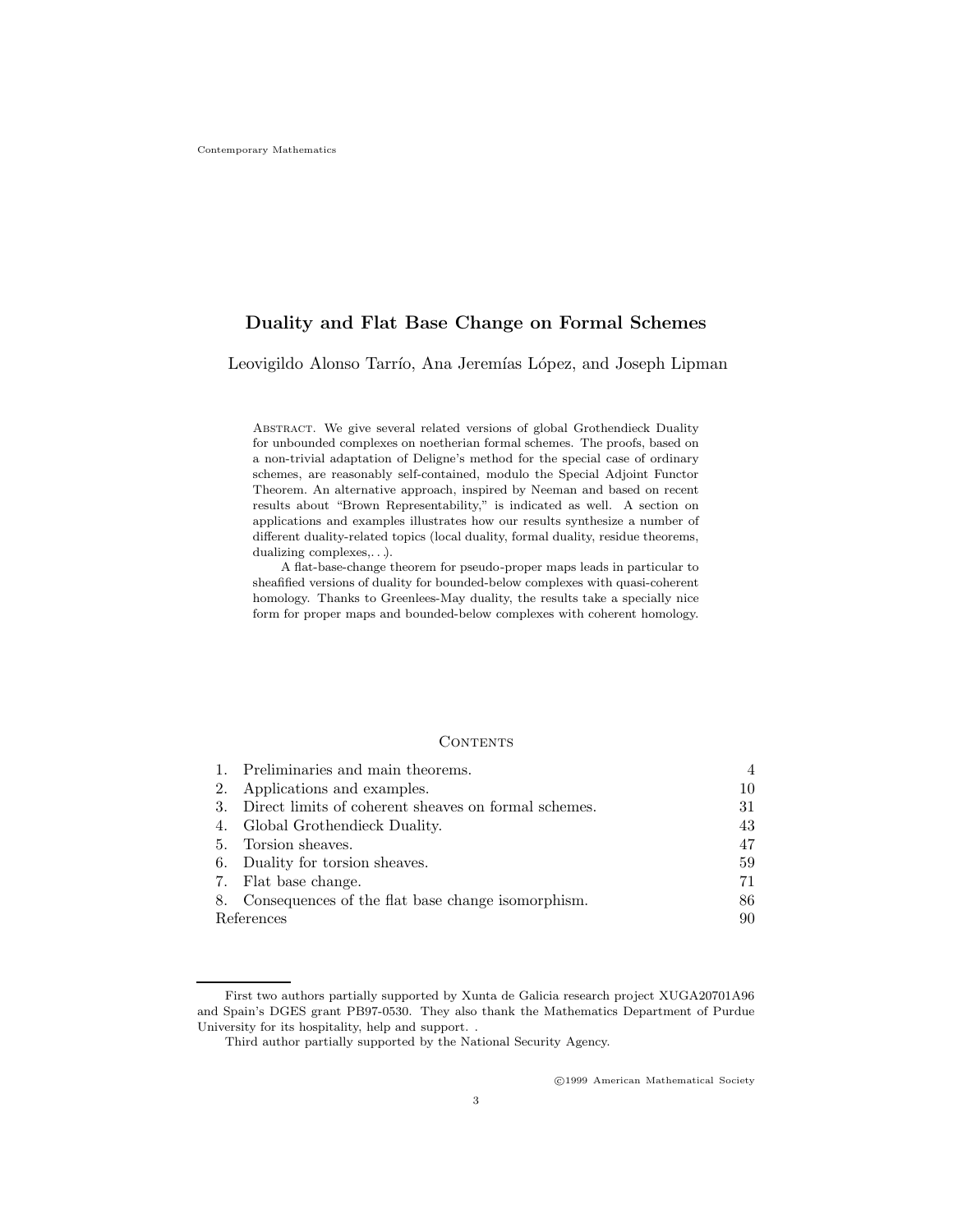# Duality and Flat Base Change on Formal Schemes

Leovigildo Alonso Tarrío, Ana Jeremías López, and Joseph Lipman

Abstract. We give several related versions of global Grothendieck Duality for unbounded complexes on noetherian formal schemes. The proofs, based on a non-trivial adaptation of Deligne's method for the special case of ordinary schemes, are reasonably self-contained, modulo the Special Adjoint Functor Theorem. An alternative approach, inspired by Neeman and based on recent results about "Brown Representability," is indicated as well. A section on applications and examples illustrates how our results synthesize a number of different duality-related topics (local duality, formal duality, residue theorems, dualizing complexes,. . .).

A flat-base-change theorem for pseudo-proper maps leads in particular to sheafified versions of duality for bounded-below complexes with quasi-coherent homology. Thanks to Greenlees-May duality, the results take a specially nice form for proper maps and bounded-below complexes with coherent homology.

### **CONTENTS**

| 1. Preliminaries and main theorems.                     | $\overline{4}$ |
|---------------------------------------------------------|----------------|
| 2. Applications and examples.                           | 10             |
| 3. Direct limits of coherent sheaves on formal schemes. | 31             |
| 4. Global Grothendieck Duality.                         | 43             |
| 5. Torsion sheaves.                                     | 47             |
| 6. Duality for torsion sheaves.                         | 59             |
| 7. Flat base change.                                    | 71             |
| 8. Consequences of the flat base change isomorphism.    | 86             |
| References                                              | 90             |
|                                                         |                |

c 1999 American Mathematical Society

First two authors partially supported by Xunta de Galicia research project XUGA20701A96 and Spain's DGES grant PB97-0530. They also thank the Mathematics Department of Purdue University for its hospitality, help and support. .

Third author partially supported by the National Security Agency.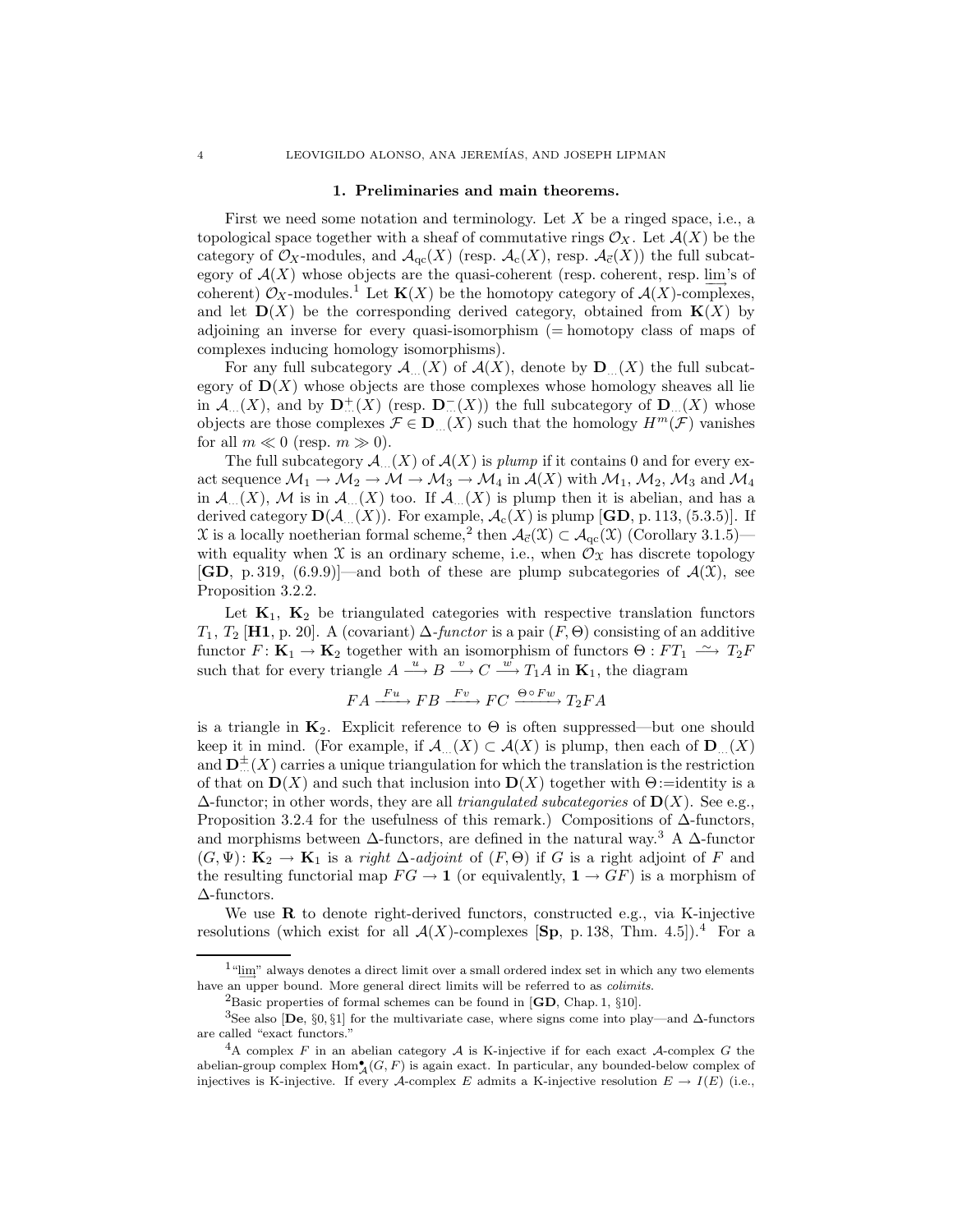#### 1. Preliminaries and main theorems.

First we need some notation and terminology. Let X be a ringed space, i.e., a topological space together with a sheaf of commutative rings  $\mathcal{O}_X$ . Let  $\mathcal{A}(X)$  be the category of  $\mathcal{O}_X$ -modules, and  $\mathcal{A}_{qc}(X)$  (resp.  $\mathcal{A}_c(X)$ , resp.  $\mathcal{A}_{\vec{c}}(X)$ ) the full subcategory of  $\mathcal{A}(X)$  whose objects are the quasi-coherent (resp. coherent, resp.  $\lim_{\longrightarrow}$  of coherent)  $\mathcal{O}_X$ -modules.<sup>1</sup> Let  $\mathbf{K}(X)$  be the homotopy category of  $\mathcal{A}(X)$ -complexes, and let  $\mathbf{D}(X)$  be the corresponding derived category, obtained from  $\mathbf{K}(X)$  by adjoining an inverse for every quasi-isomorphism (= homotopy class of maps of complexes inducing homology isomorphisms).

For any full subcategory  $\mathcal{A}_{...}(X)$  of  $\mathcal{A}(X)$ , denote by  $\mathbf{D}_{...}(X)$  the full subcategory of  $D(X)$  whose objects are those complexes whose homology sheaves all lie in  $\mathcal{A}_{...}(X)$ , and by  $\mathbf{D}_{...}^{+}(X)$  (resp.  $\mathbf{D}_{...}^{-}(X)$ ) the full subcategory of  $\mathbf{D}_{...}(X)$  whose objects are those complexes  $\mathcal{F} \in \mathbf{D}_{\alpha}(X)$  such that the homology  $H^m(\mathcal{F})$  vanishes for all  $m \ll 0$  (resp.  $m \gg 0$ ).

The full subcategory  $\mathcal{A}_{...}(X)$  of  $\mathcal{A}(X)$  is plump if it contains 0 and for every exact sequence  $\mathcal{M}_1 \to \mathcal{M}_2 \to \mathcal{M} \to \mathcal{M}_3 \to \mathcal{M}_4$  in  $\mathcal{A}(X)$  with  $\mathcal{M}_1$ ,  $\mathcal{M}_2$ ,  $\mathcal{M}_3$  and  $\mathcal{M}_4$ in  $\mathcal{A}_{\alpha}(X)$ , M is in  $\mathcal{A}_{\alpha}(X)$  too. If  $\mathcal{A}_{\alpha}(X)$  is plump then it is abelian, and has a derived category  $\mathbf{D}(\mathcal{A}_{...}(X))$ . For example,  $\mathcal{A}_{c}(X)$  is plump [GD, p. 113, (5.3.5)]. If  $\mathfrak X$  is a locally noetherian formal scheme,<sup>2</sup> then  $\mathcal A_{\vec c}(\mathfrak X)\subset \mathcal A_{\rm qc}(\mathfrak X)$  (Corollary 3.1.5) with equality when  $\mathfrak X$  is an ordinary scheme, i.e., when  $\mathcal O_{\mathfrak X}$  has discrete topology [GD, p. 319, (6.9.9)]—and both of these are plump subcategories of  $\mathcal{A}(\mathfrak{X})$ , see Proposition 3.2.2.

Let  $K_1$ ,  $K_2$  be triangulated categories with respective translation functors  $T_1, T_2$  [H1, p. 20]. A (covariant)  $\Delta$ -functor is a pair  $(F, \Theta)$  consisting of an additive functor  $F: \mathbf{K}_1 \to \mathbf{K}_2$  together with an isomorphism of functors  $\Theta: FT_1 \longrightarrow T_2F$ such that for every triangle  $A \xrightarrow{u} B \xrightarrow{v} C \xrightarrow{w} T_1 A$  in  $\mathbf{K}_1$ , the diagram

$$
FA \xrightarrow{Fu} FB \xrightarrow{Fv} FC \xrightarrow{\Theta \circ Fw} T_2FA
$$

is a triangle in  $\mathbf{K}_2$ . Explicit reference to  $\Theta$  is often suppressed—but one should keep it in mind. (For example, if  $\mathcal{A}_{\alpha}(X) \subset \mathcal{A}(X)$  is plump, then each of  $\mathbf{D}_{\alpha}(X)$ and  $\mathbf{D}_{\dots}^{\pm}(X)$  carries a unique triangulation for which the translation is the restriction of that on  $\mathbf{D}(X)$  and such that inclusion into  $\mathbf{D}(X)$  together with  $\Theta$ :=identity is a  $\Delta$ -functor; in other words, they are all triangulated subcategories of  $\mathbf{D}(X)$ . See e.g., Proposition 3.2.4 for the usefulness of this remark.) Compositions of ∆-functors, and morphisms between  $\Delta$ -functors, are defined in the natural way.<sup>3</sup> A  $\Delta$ -functor  $(G, \Psi)$ :  $\mathbf{K}_2 \to \mathbf{K}_1$  is a *right*  $\Delta$ -*adjoint* of  $(F, \Theta)$  if G is a right adjoint of F and the resulting functorial map  $FG \to \mathbf{1}$  (or equivalently,  $\mathbf{1} \to GF$ ) is a morphism of ∆-functors.

We use  **to denote right-derived functors, constructed e.g., via K-injective** resolutions (which exist for all  $\mathcal{A}(X)$ -complexes [Sp, p. 138, Thm. 4.5]).<sup>4</sup> For a

 $^{1}$ "lim" always denotes a direct limit over a small ordered index set in which any two elements have an upper bound. More general direct limits will be referred to as *colimits*.

<sup>&</sup>lt;sup>2</sup>Basic properties of formal schemes can be found in  $[GD, Chap. 1, §10]$ .

<sup>3</sup>See also [De, §0, §1] for the multivariate case, where signs come into play—and ∆-functors are called "exact functors."

<sup>&</sup>lt;sup>4</sup>A complex F in an abelian category A is K-injective if for each exact A-complex G the abelian-group complex  $\text{Hom}_{\mathcal{A}}^{\bullet}(G, F)$  is again exact. In particular, any bounded-below complex of injectives is K-injective. If every A-complex E admits a K-injective resolution  $E \to I(E)$  (i.e.,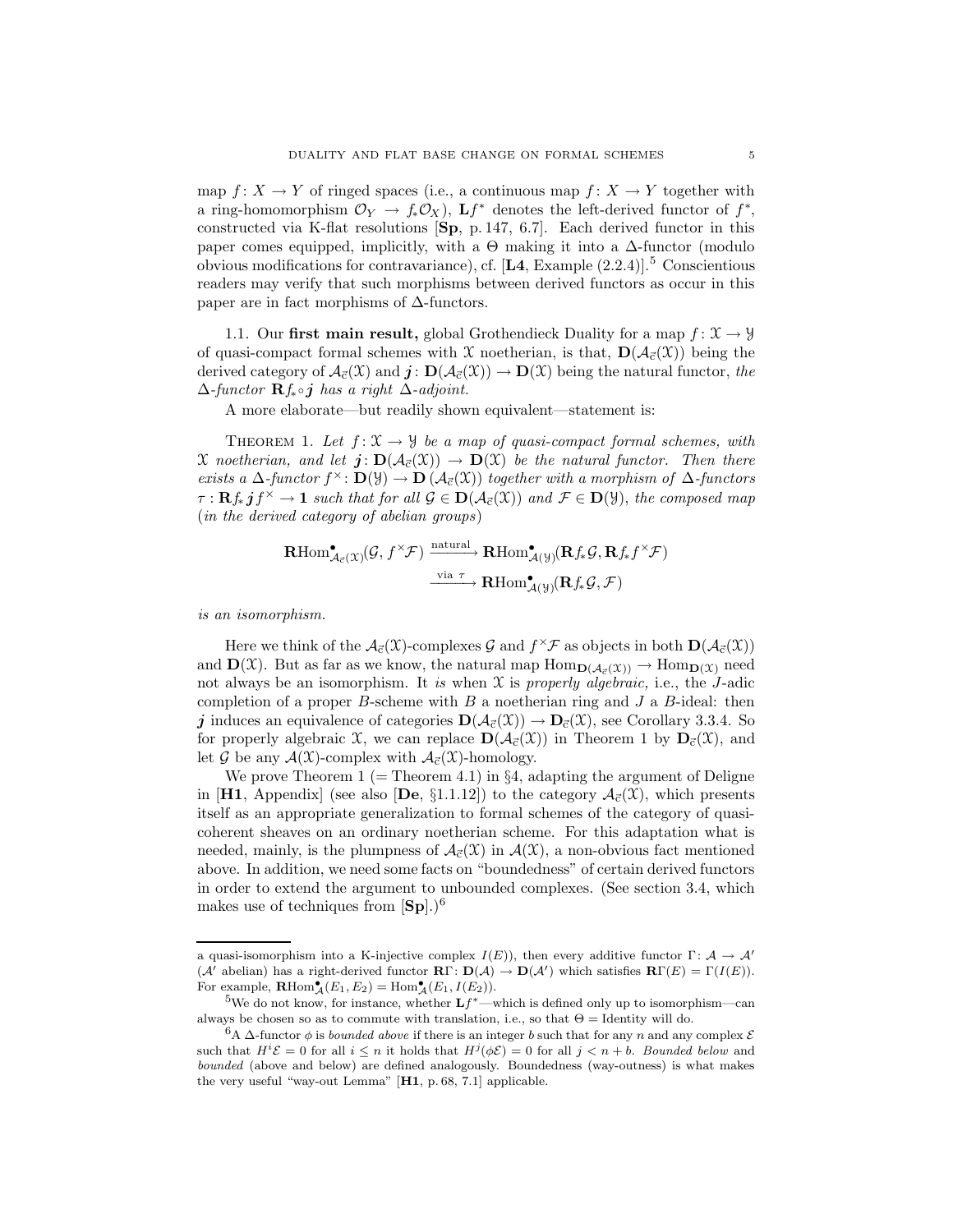map  $f: X \to Y$  of ringed spaces (i.e., a continuous map  $f: X \to Y$  together with a ring-homomorphism  $\mathcal{O}_Y \to f_* \mathcal{O}_X$ ),  $\mathbf{L} f^*$  denotes the left-derived functor of  $f^*$ , constructed via K-flat resolutions [Sp, p. 147, 6.7]. Each derived functor in this paper comes equipped, implicitly, with a  $\Theta$  making it into a  $\Delta$ -functor (modulo obvious modifications for contravariance), cf.  $[\textbf{L4}, \text{Example (2.2.4)}]$ .<sup>5</sup> Conscientious readers may verify that such morphisms between derived functors as occur in this paper are in fact morphisms of  $\Delta$ -functors.

1.1. Our first main result, global Grothendieck Duality for a map  $f: \mathcal{X} \to \mathcal{Y}$ of quasi-compact formal schemes with X noetherian, is that,  $\mathbf{D}(\mathcal{A}_{\vec{c}}(\mathcal{X}))$  being the derived category of  $\mathcal{A}_{\vec{c}}(\mathfrak{X})$  and  $\vec{\boldsymbol{j}}$ :  $\mathbf{D}(\mathcal{A}_{\vec{c}}(\mathfrak{X})) \to \mathbf{D}(\mathfrak{X})$  being the natural functor, the  $\Delta$ -functor  $\mathbf{R}f_*\circ j$  has a right  $\Delta$ -adjoint.

A more elaborate—but readily shown equivalent—statement is:

THEOREM 1. Let  $f: \mathfrak{X} \to \mathfrak{Y}$  be a map of quasi-compact formal schemes, with X noetherian, and let  $j: D(\mathcal{A}_{\vec{c}}(\mathfrak{X})) \to D(\mathfrak{X})$  be the natural functor. Then there exists a  $\Delta$ -functor  $f^{\times}$ :  $\mathbf{D}(\mathcal{Y}) \to \mathbf{D}(\mathcal{A}_{\vec{c}}(\mathcal{X}))$  together with a morphism of  $\Delta$ -functors  $\tau: \mathbf{R} f_* \, \textbf{j} f^\times \to \textbf{1}$  such that for all  $\mathcal{G} \in \mathbf{D}(\mathcal{A}_{\vec{c}}(\mathcal{X}))$  and  $\mathcal{F} \in \mathbf{D}(\mathcal{Y})$ , the composed map (in the derived category of abelian groups)

$$
\mathbf{R}\mathrm{Hom}^{\bullet}_{\mathcal{A}_{\vec{c}}(\mathcal{X})}(\mathcal{G},f^{\times}\mathcal{F}) \xrightarrow{\text{natural}} \mathbf{R}\mathrm{Hom}^{\bullet}_{\mathcal{A}(\mathcal{Y})}(\mathbf{R}f_{*}\mathcal{G},\mathbf{R}f_{*}f^{\times}\mathcal{F})
$$

$$
\xrightarrow{\text{via }\tau \to} \mathbf{R}\mathrm{Hom}^{\bullet}_{\mathcal{A}(\mathcal{Y})}(\mathbf{R}f_{*}\mathcal{G},\mathcal{F})
$$

is an isomorphism.

Here we think of the  $\mathcal{A}_{\vec{c}}(\mathfrak{X})$ -complexes  $\mathcal G$  and  $f^{\times} \mathcal F$  as objects in both  $\mathbf{D}(\mathcal{A}_{\vec{c}}(\mathfrak{X}))$ and  $\mathbf{D}(\mathfrak{X})$ . But as far as we know, the natural map  $\text{Hom}_{\mathbf{D}(\mathcal{A}_{\vec{r}}(\mathfrak{X}))} \to \text{Hom}_{\mathbf{D}(\mathfrak{X})}$  need not always be an isomorphism. It is when  $\mathfrak X$  is properly algebraic, i.e., the J-adic completion of a proper B-scheme with B a noetherian ring and  $J$  a B-ideal: then j induces an equivalence of categories  $\mathbf{D}(\mathcal{A}_{\vec{c}}(\mathcal{X})) \to \mathbf{D}_{\vec{c}}(\mathcal{X})$ , see Corollary 3.3.4. So for properly algebraic X, we can replace  $\mathbf{D}(\mathcal{A}_{\vec{c}}(\mathcal{X}))$  in Theorem 1 by  $\mathbf{D}_{\vec{c}}(\mathcal{X})$ , and let G be any  $\mathcal{A}(\mathfrak{X})$ -complex with  $\mathcal{A}_{\vec{c}}(\mathfrak{X})$ -homology.

We prove Theorem 1 (= Theorem 4.1) in  $\S 4$ , adapting the argument of Deligne in [H1, Appendix] (see also [De, §1.1.12]) to the category  $\mathcal{A}_{\vec{c}}(\mathfrak{X})$ , which presents itself as an appropriate generalization to formal schemes of the category of quasicoherent sheaves on an ordinary noetherian scheme. For this adaptation what is needed, mainly, is the plumpness of  $\mathcal{A}_{\vec{c}}(\mathfrak{X})$  in  $\mathcal{A}(\mathfrak{X})$ , a non-obvious fact mentioned above. In addition, we need some facts on "boundedness" of certain derived functors in order to extend the argument to unbounded complexes. (See section 3.4, which makes use of techniques from  $\text{[Sp]}$ .)<sup>6</sup>

a quasi-isomorphism into a K-injective complex  $I(E)$ ), then every additive functor  $\Gamma: \mathcal{A} \to \mathcal{A}'$  $(\mathcal{A}'$  abelian) has a right-derived functor  $\mathbf{R}\Gamma\colon \mathbf{D}(\mathcal{A}) \to \mathbf{D}(\mathcal{A}')$  which satisfies  $\mathbf{R}\Gamma(E) = \Gamma(I(E)).$ For example,  $\mathbf{R}\text{Hom}_{\mathcal{A}}^{\bullet}(E_1, E_2) = \text{Hom}_{\mathcal{A}}^{\bullet}(E_1, I(E_2)).$ 

<sup>&</sup>lt;sup>5</sup>We do not know, for instance, whether  $Lf^*$ —which is defined only up to isomorphism—can always be chosen so as to commute with translation, i.e., so that  $\Theta =$  Identity will do.

 $6A \Delta$ -functor  $\phi$  is *bounded above* if there is an integer b such that for any n and any complex  $\mathcal E$ such that  $H^i \mathcal{E} = 0$  for all  $i \leq n$  it holds that  $H^j(\phi \mathcal{E}) = 0$  for all  $j < n + b$ . Bounded below and bounded (above and below) are defined analogously. Boundedness (way-outness) is what makes the very useful "way-out Lemma" [H1, p. 68, 7.1] applicable.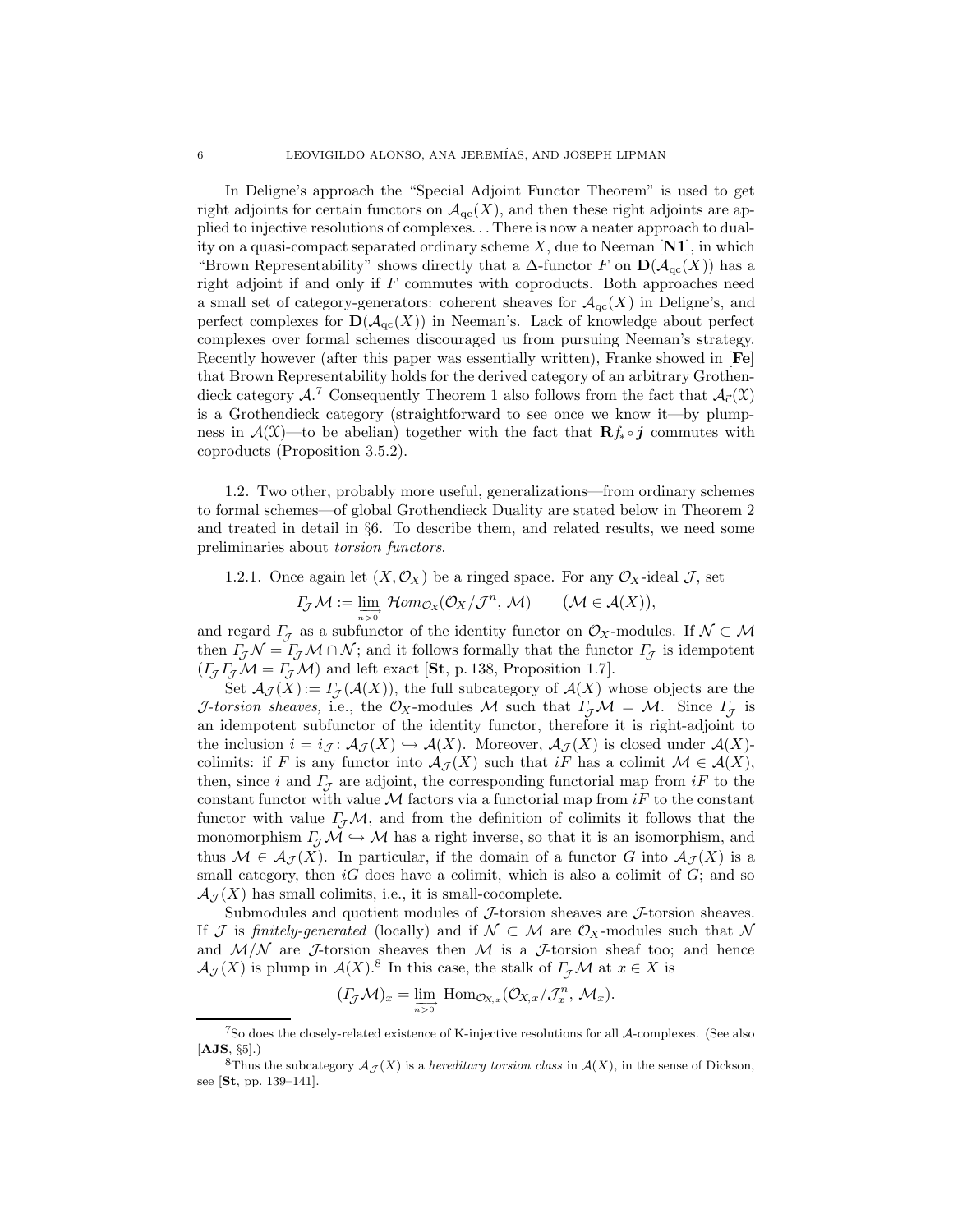In Deligne's approach the "Special Adjoint Functor Theorem" is used to get right adjoints for certain functors on  $\mathcal{A}_{qc}(X)$ , and then these right adjoints are applied to injective resolutions of complexes. . . There is now a neater approach to duality on a quasi-compact separated ordinary scheme  $X$ , due to Neeman [N1], in which "Brown Representability" shows directly that a  $\Delta$ -functor F on  $\mathbf{D}(\mathcal{A}_{\text{qc}}(X))$  has a right adjoint if and only if  $F$  commutes with coproducts. Both approaches need a small set of category-generators: coherent sheaves for  $\mathcal{A}_{\text{qc}}(X)$  in Deligne's, and perfect complexes for  $\mathbf{D}(\mathcal{A}_{\text{qc}}(X))$  in Neeman's. Lack of knowledge about perfect complexes over formal schemes discouraged us from pursuing Neeman's strategy. Recently however (after this paper was essentially written), Franke showed in [Fe] that Brown Representability holds for the derived category of an arbitrary Grothendieck category  $A^{\mathcal{I}}$  Consequently Theorem 1 also follows from the fact that  $A_{\vec{c}}(\mathfrak{X})$ is a Grothendieck category (straightforward to see once we know it—by plumpness in  $\mathcal{A}(\mathfrak{X})$ —to be abelian) together with the fact that  $\mathbf{R}f_*\circ j$  commutes with coproducts (Proposition 3.5.2).

1.2. Two other, probably more useful, generalizations—from ordinary schemes to formal schemes—of global Grothendieck Duality are stated below in Theorem 2 and treated in detail in §6. To describe them, and related results, we need some preliminaries about torsion functors.

1.2.1. Once again let  $(X, \mathcal{O}_X)$  be a ringed space. For any  $\mathcal{O}_X$ -ideal J, set

$$
\Gamma_{\!\mathcal{J}}\mathcal{M}:=\lim_{n\to 0}\mathcal{H}om_{\mathcal{O}_X}(\mathcal{O}_X/\mathcal{J}^n,\,\mathcal{M})\qquad(\mathcal{M}\in\mathcal{A}(X)),
$$

and regard  $\Gamma_{\mathcal{J}}$  as a subfunctor of the identity functor on  $\mathcal{O}_X$ -modules. If  $\mathcal{N} \subset \mathcal{M}$ then  $\Gamma_{\mathcal{J}}\mathcal{N}=\Gamma_{\mathcal{J}}\mathcal{M}\cap\mathcal{N}$ ; and it follows formally that the functor  $\Gamma_{\mathcal{J}}$  is idempotent  $(\Gamma_{\mathcal{J}}\Gamma_{\mathcal{J}}\mathcal{M} = \Gamma_{\mathcal{J}}\mathcal{M})$  and left exact [St, p. 138, Proposition 1.7].

Set  $\mathcal{A}_{\mathcal{J}}(X) := \Gamma_{\mathcal{J}}(\mathcal{A}(X)),$  the full subcategory of  $\mathcal{A}(X)$  whose objects are the J-torsion sheaves, i.e., the  $\mathcal{O}_X$ -modules M such that  $\Gamma_{\mathcal{J}}\mathcal{M} = \mathcal{M}$ . Since  $\Gamma_{\mathcal{J}}$  is an idempotent subfunctor of the identity functor, therefore it is right-adjoint to the inclusion  $i = i_{\mathcal{J}}: \mathcal{A}_{\mathcal{J}}(X) \hookrightarrow \mathcal{A}(X)$ . Moreover,  $\mathcal{A}_{\mathcal{J}}(X)$  is closed under  $\mathcal{A}(X)$ colimits: if F is any functor into  $\mathcal{A}_{\mathcal{J}}(X)$  such that iF has a colimit  $\mathcal{M} \in \mathcal{A}(X)$ , then, since i and  $\Gamma$ <sub>7</sub> are adjoint, the corresponding functorial map from iF to the constant functor with value  $\mathcal M$  factors via a functorial map from iF to the constant functor with value  $\Gamma$ <sub>*J</sub>M*, and from the definition of colimits it follows that the</sub> monomorphism  $\Gamma_{\mathcal{J}}\mathcal{M} \hookrightarrow \mathcal{M}$  has a right inverse, so that it is an isomorphism, and thus  $M \in \mathcal{A}_{\mathcal{J}}(X)$ . In particular, if the domain of a functor G into  $\mathcal{A}_{\mathcal{J}}(X)$  is a small category, then  $iG$  does have a colimit, which is also a colimit of  $G$ ; and so  $\mathcal{A}_{\mathcal{I}}(X)$  has small colimits, i.e., it is small-cocomplete.

Submodules and quotient modules of  $J$ -torsion sheaves are  $J$ -torsion sheaves. If J is finitely-generated (locally) and if  $\mathcal{N} \subset \mathcal{M}$  are  $\mathcal{O}_X$ -modules such that N and  $M/N$  are J-torsion sheaves then M is a J-torsion sheaf too; and hence  $\mathcal{A}_{\mathcal{J}}(X)$  is plump in  $\mathcal{A}(X)$ .<sup>8</sup> In this case, the stalk of  $\Gamma_{\mathcal{J}}\mathcal{M}$  at  $x \in X$  is

$$
(I_{\mathcal{J}}\mathcal{M})_x=\lim_{\substack{\longrightarrow\\n>0}}\;{\rm Hom}_{\mathcal{O}_{X,x}}(\mathcal{O}_{X,x}/\mathcal{J}_x^n,\,\mathcal{M}_x).
$$

<sup>7</sup>So does the closely-related existence of K-injective resolutions for all A-complexes. (See also  $[{\bf AJS}, \, \S_5]$ .)

<sup>&</sup>lt;sup>8</sup>Thus the subcategory  $A_{\mathcal{J}}(X)$  is a *hereditary torsion class* in  $A(X)$ , in the sense of Dickson, see [St, pp. 139–141].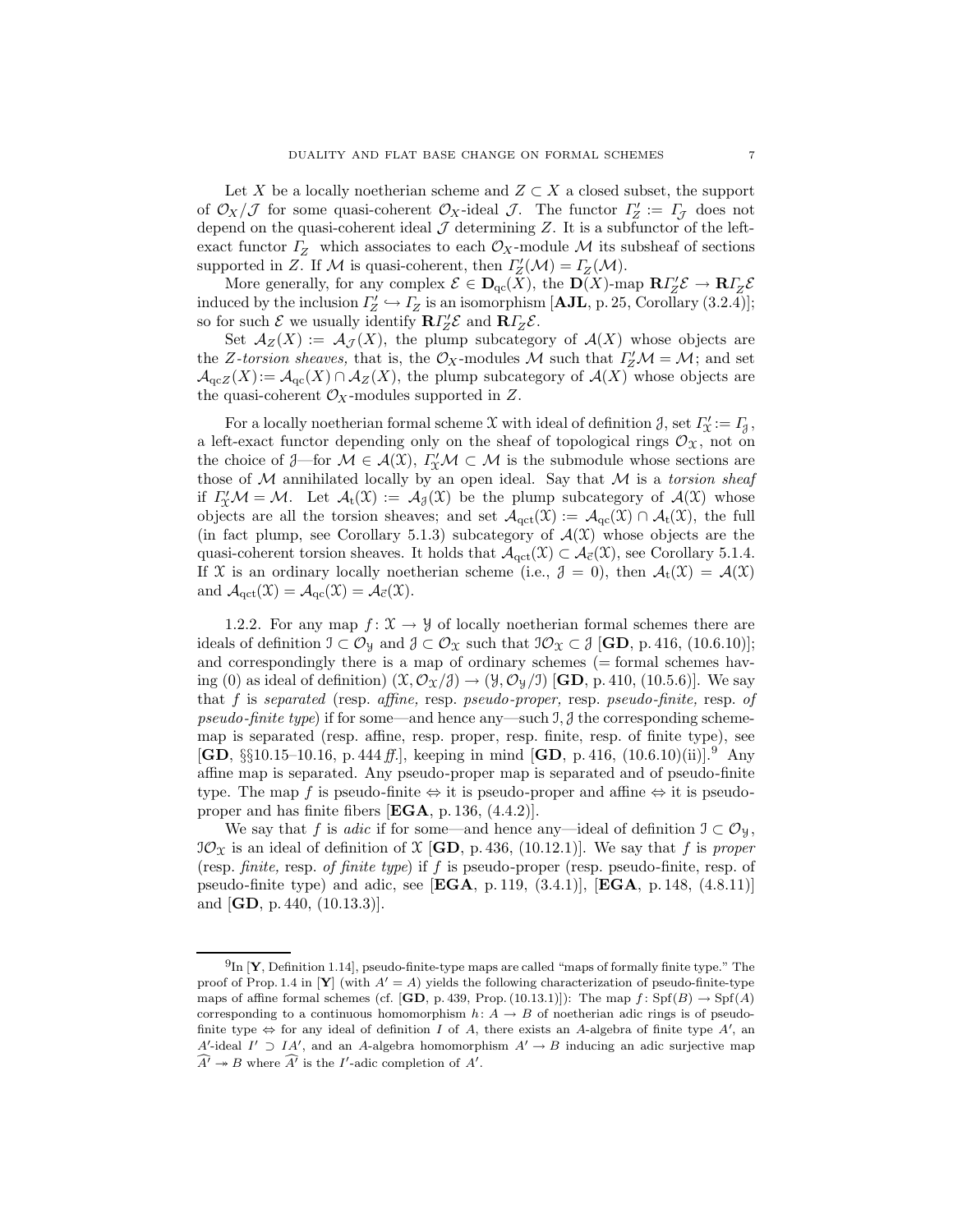Let X be a locally noetherian scheme and  $Z \subset X$  a closed subset, the support of  $\mathcal{O}_X/\mathcal{J}$  for some quasi-coherent  $\mathcal{O}_X$ -ideal  $\mathcal{J}$ . The functor  $\Gamma'_Z := \Gamma_{\mathcal{J}}$  does not depend on the quasi-coherent ideal  $\mathcal J$  determining  $Z$ . It is a subfunctor of the leftexact functor  $\Gamma$ <sub>Z</sub> which associates to each  $\mathcal{O}_X$ -module M its subsheaf of sections supported in Z. If M is quasi-coherent, then  $\Gamma''_Z(\mathcal{M}) = \Gamma_Z(\mathcal{M})$ .

More generally, for any complex  $\mathcal{E} \in \mathbf{D}_{\mathrm{qc}}(X)$ , the  $\mathbf{D}(X)$ -map  $\mathbf{R} \Gamma'_{Z} \mathcal{E} \to \mathbf{R} \Gamma_{Z} \mathcal{E}$ induced by the inclusion  $\Gamma'_{Z} \hookrightarrow \Gamma_{Z}$  is an isomorphism [**AJL**, p. 25, Corollary (3.2.4)]; so for such  $\mathcal{E}$  we usually identify  $\mathbf{R}\Gamma'_{Z}\mathcal{E}$  and  $\mathbf{R}\Gamma'_{Z}\mathcal{E}$ .

Set  $\mathcal{A}_Z(X) := \mathcal{A}_{\mathcal{J}}(X)$ , the plump subcategory of  $\mathcal{A}(X)$  whose objects are the Z-torsion sheaves, that is, the  $\mathcal{O}_X$ -modules M such that  $\Gamma_Z^{\prime} \mathcal{M} = \mathcal{M}$ ; and set  $\mathcal{A}_{\text{qc}}(X) := \mathcal{A}_{\text{qc}}(X) \cap \mathcal{A}_{Z}(X)$ , the plump subcategory of  $\mathcal{A}(X)$  whose objects are the quasi-coherent  $\mathcal{O}_X$ -modules supported in Z.

For a locally noetherian formal scheme  $\mathfrak X$  with ideal of definition  $\mathfrak J,$  set  $\varGamma'_{\mathfrak X}:=\varGamma_{\mathfrak J},$ a left-exact functor depending only on the sheaf of topological rings  $\mathcal{O}_\mathfrak{X}$ , not on the choice of  $\mathcal{J}$ —for  $\mathcal{M} \in \mathcal{A}(\mathcal{X})$ ,  $\Gamma'_\mathcal{X} \mathcal{M} \subset \mathcal{M}$  is the submodule whose sections are those of  $M$  annihilated locally by an open ideal. Say that  $M$  is a *torsion sheaf* if  $\Gamma''_{\mathfrak{X}}\mathcal{M}=\mathcal{M}$ . Let  $\mathcal{A}_t(\mathfrak{X}) := \mathcal{A}_{\mathfrak{X}}(\mathfrak{X})$  be the plump subcategory of  $\mathcal{A}(\mathfrak{X})$  whose objects are all the torsion sheaves; and set  $\mathcal{A}_{\text{qct}}(\mathfrak{X}) := \mathcal{A}_{\text{qc}}(\mathfrak{X}) \cap \mathcal{A}_{\text{t}}(\mathfrak{X})$ , the full (in fact plump, see Corollary 5.1.3) subcategory of  $\mathcal{A}(\mathcal{X})$  whose objects are the quasi-coherent torsion sheaves. It holds that  $\mathcal{A}_{\text{qct}}(\mathcal{X}) \subset \mathcal{A}_{\vec{c}}(\mathcal{X})$ , see Corollary 5.1.4. If X is an ordinary locally noetherian scheme (i.e.,  $\mathcal{J} = 0$ ), then  $\mathcal{A}_t(\mathcal{X}) = \mathcal{A}(\mathcal{X})$ and  $\mathcal{A}_{\text{qct}}(\mathfrak{X}) = \mathcal{A}_{\text{qc}}(\mathfrak{X}) = \mathcal{A}_{\vec{c}}(\mathfrak{X}).$ 

1.2.2. For any map  $f: \mathfrak{X} \to \mathfrak{Y}$  of locally noetherian formal schemes there are ideals of definition  $\mathcal{I} \subset \mathcal{O}_{\mathfrak{X}}$  and  $\mathcal{J} \subset \mathcal{O}_{\mathfrak{X}}$  such that  $\mathcal{I}\mathcal{O}_{\mathfrak{X}} \subset \mathcal{J}$  [GD, p. 416, (10.6.10)]; and correspondingly there is a map of ordinary schemes  $(=$  formal schemes having (0) as ideal of definition)  $(\mathfrak{X}, \mathcal{O}_{\mathfrak{X}}/\mathfrak{Z}) \rightarrow (\mathfrak{Y}, \mathcal{O}_{\mathfrak{Y}}/\mathfrak{I})$  [GD, p. 410, (10.5.6)]. We say that f is separated (resp. affine, resp. pseudo-proper, resp. pseudo-finite, resp. of pseudo-finite type) if for some—and hence any—such  $\mathcal{I}, \mathcal{J}$  the corresponding schememap is separated (resp. affine, resp. proper, resp. finite, resp. of finite type), see  $[GD, \S\S10.15-10.16, p. 444 ff.],$  keeping in mind  $[GD, p. 416, (10.6.10)(ii)].$ <sup>9</sup> Any affine map is separated. Any pseudo-proper map is separated and of pseudo-finite type. The map f is pseudo-finite  $\Leftrightarrow$  it is pseudo-proper and affine  $\Leftrightarrow$  it is pseudoproper and has finite fibers [EGA, p. 136, (4.4.2)].

We say that f is *adic* if for some—and hence any—ideal of definition  $\mathfrak{I} \subset \mathcal{O}_{\mathfrak{Y}}$ ,  $\mathcal{O}_{\mathcal{X}}$  is an ideal of definition of  $\mathcal{X}$  [GD, p. 436, (10.12.1)]. We say that f is proper (resp. finite, resp. of finite type) if f is pseudo-proper (resp. pseudo-finite, resp. of pseudo-finite type) and adic, see  $[\textbf{EGA}, p.119, (3.4.1)], [\textbf{EGA}, p.148, (4.8.11)]$ and  $[GD, p. 440, (10.13.3)].$ 

 $^{9}$ In [Y, Definition 1.14], pseudo-finite-type maps are called "maps of formally finite type." The proof of Prop. 1.4 in [Y] (with  $A' = A$ ) yields the following characterization of pseudo-finite-type maps of affine formal schemes (cf.  $[\mathbf{GD}, p. 439, \text{Prop.} (10.13.1)]$ ): The map  $f : Spf(B) \to Spf(A)$ corresponding to a continuous homomorphism  $h: A \rightarrow B$  of noetherian adic rings is of pseudofinite type  $\Leftrightarrow$  for any ideal of definition I of A, there exists an A-algebra of finite type A', and A'-ideal I'  $\supset I$  A', and an A-algebra homomorphism  $A' \to B$  inducing an adic surjective map  $\widehat{A'} \twoheadrightarrow B$  where  $\widehat{A'}$  is the I'-adic completion of  $\widehat{A'}$ .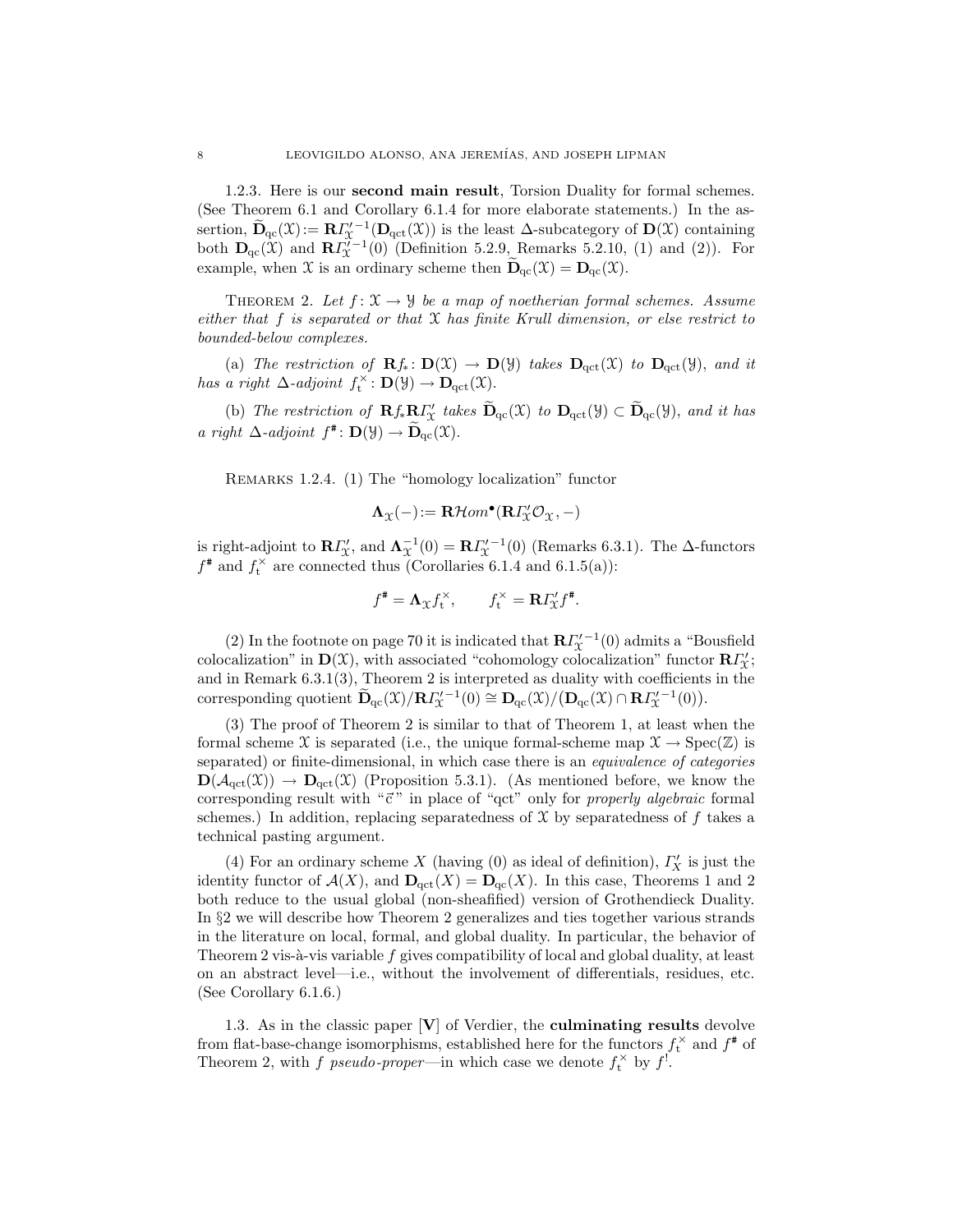1.2.3. Here is our second main result, Torsion Duality for formal schemes. (See Theorem 6.1 and Corollary 6.1.4 for more elaborate statements.) In the assertion,  $\widetilde{\mathbf{D}}_{\mathrm{qc}}(\mathfrak{X}):=\mathbf{R}\mathbf{\Gamma}_{\mathfrak{X}}'^{-1}(\mathbf{D}_{\mathrm{qct}}(\mathfrak{X}))$  is the least  $\Delta$ -subcategory of  $\mathbf{D}(\mathfrak{X})$  containing both  $\mathbf{D}_{\mathrm{qc}}(\mathfrak{X})$  and  $\mathbf{R} \Gamma_{\mathfrak{X}}^{\prime-1}(0)$  (Definition 5.2.9, Remarks 5.2.10, (1) and (2)). For example, when X is an ordinary scheme then  $D_{qc}(\mathfrak{X}) = D_{qc}(\mathfrak{X})$ .

THEOREM 2. Let  $f: \mathfrak{X} \to \mathfrak{Y}$  be a map of noetherian formal schemes. Assume either that  $f$  is separated or that  $X$  has finite Krull dimension, or else restrict to bounded-below complexes.

(a) The restriction of  $\mathbf{R}f_*\colon \mathbf{D}(\mathfrak{X}) \to \mathbf{D}(\mathfrak{Y})$  takes  $\mathbf{D}_{\text{qct}}(\mathfrak{X})$  to  $\mathbf{D}_{\text{qct}}(\mathfrak{Y})$ , and it has a right  $\Delta$ -adjoint  $f_t^{\times} : \mathbf{D}(\mathcal{Y}) \to \mathbf{D}_{\mathrm{qct}}(\mathcal{X})$ .

(b) The restriction of  $\mathbf{R} f_* \mathbf{R} \Gamma'_X$  takes  $\widetilde{\mathbf{D}}_{\text{qc}}(\mathfrak{X})$  to  $\mathbf{D}_{\text{qc}}(\mathfrak{Y}) \subset \widetilde{\mathbf{D}}_{\text{qc}}(\mathfrak{Y})$ , and it has a right  $\Delta$ -adjoint  $f^*$ :  $\mathbf{D}(\mathcal{Y}) \to \widetilde{\mathbf{D}}_{\mathrm{qc}}(\mathcal{X})$ .

Remarks 1.2.4. (1) The "homology localization" functor

$$
\boldsymbol{\Lambda}_{\mathcal{X}}(-)\!:=\mathbf{R}\mathcal{H}om^\bullet(\mathbf{R}\varGamma_{\!\mathcal{X}}'\mathcal{O}_\mathcal{X},-)
$$

is right-adjoint to  $\mathbb{R}\Gamma''_{\mathfrak{X}}$ , and  $\Lambda_{\mathfrak{X}}^{-1}(0) = \mathbb{R}\Gamma'^{-1}_{\mathfrak{X}}(0)$  (Remarks 6.3.1). The  $\Delta$ -functors  $f^*$  and  $f_t^*$  are connected thus (Corollaries 6.1.4 and 6.1.5(a)):

$$
f^{\#} = \mathbf{\Lambda}_{\mathfrak{X}} f_{\mathfrak{t}}^{\times}, \qquad f_{\mathfrak{t}}^{\times} = \mathbf{R} \Gamma_{\mathfrak{X}}' f^{\#}.
$$

(2) In the footnote on page 70 it is indicated that  $\mathbb{R} \Gamma_{\mathcal{X}}^{\prime -1}(0)$  admits a "Bousfield colocalization" in  $\mathbf{D}(\mathfrak{X})$ , with associated "cohomology colocalization" functor  $\mathbf{R}\Gamma'_{\mathfrak{X}}$ ; and in Remark 6.3.1(3), Theorem 2 is interpreted as duality with coefficients in the corresponding quotient  $\widetilde{\mathbf{D}}_{qc}(X)/\mathbf{R} I_X^{r-1}(0) \cong \mathbf{D}_{qc}(X)/(\mathbf{D}_{qc}(X) \cap \mathbf{R} I_X^{r-1}(0)).$ 

(3) The proof of Theorem 2 is similar to that of Theorem 1, at least when the formal scheme X is separated (i.e., the unique formal-scheme map  $\mathfrak{X} \to \text{Spec}(\mathbb{Z})$  is separated) or finite-dimensional, in which case there is an equivalence of categories  $\mathbf{D}(\mathcal{A}_{\text{qct}}(\mathfrak{X})) \to \mathbf{D}_{\text{qct}}(\mathfrak{X})$  (Proposition 5.3.1). (As mentioned before, we know the corresponding result with " $\vec{c}$ " in place of "qct" only for properly algebraic formal schemes.) In addition, replacing separatedness of  $\mathcal X$  by separatedness of f takes a technical pasting argument.

(4) For an ordinary scheme X (having (0) as ideal of definition),  $\varGamma_X'$  is just the identity functor of  $\mathcal{A}(X)$ , and  $\mathbf{D}_{\text{qct}}(X) = \mathbf{D}_{\text{qc}}(X)$ . In this case, Theorems 1 and 2 both reduce to the usual global (non-sheafified) version of Grothendieck Duality. In §2 we will describe how Theorem 2 generalizes and ties together various strands in the literature on local, formal, and global duality. In particular, the behavior of Theorem 2 vis- $\alpha$ -vis variable f gives compatibility of local and global duality, at least on an abstract level—i.e., without the involvement of differentials, residues, etc. (See Corollary 6.1.6.)

1.3. As in the classic paper  $|V|$  of Verdier, the **culminating results** devolve from flat-base-change isomorphisms, established here for the functors  $f_t^{\times}$  and  $f^*$  of Theorem 2, with f pseudo-proper—in which case we denote  $f_t^{\times}$  by  $f^!$ .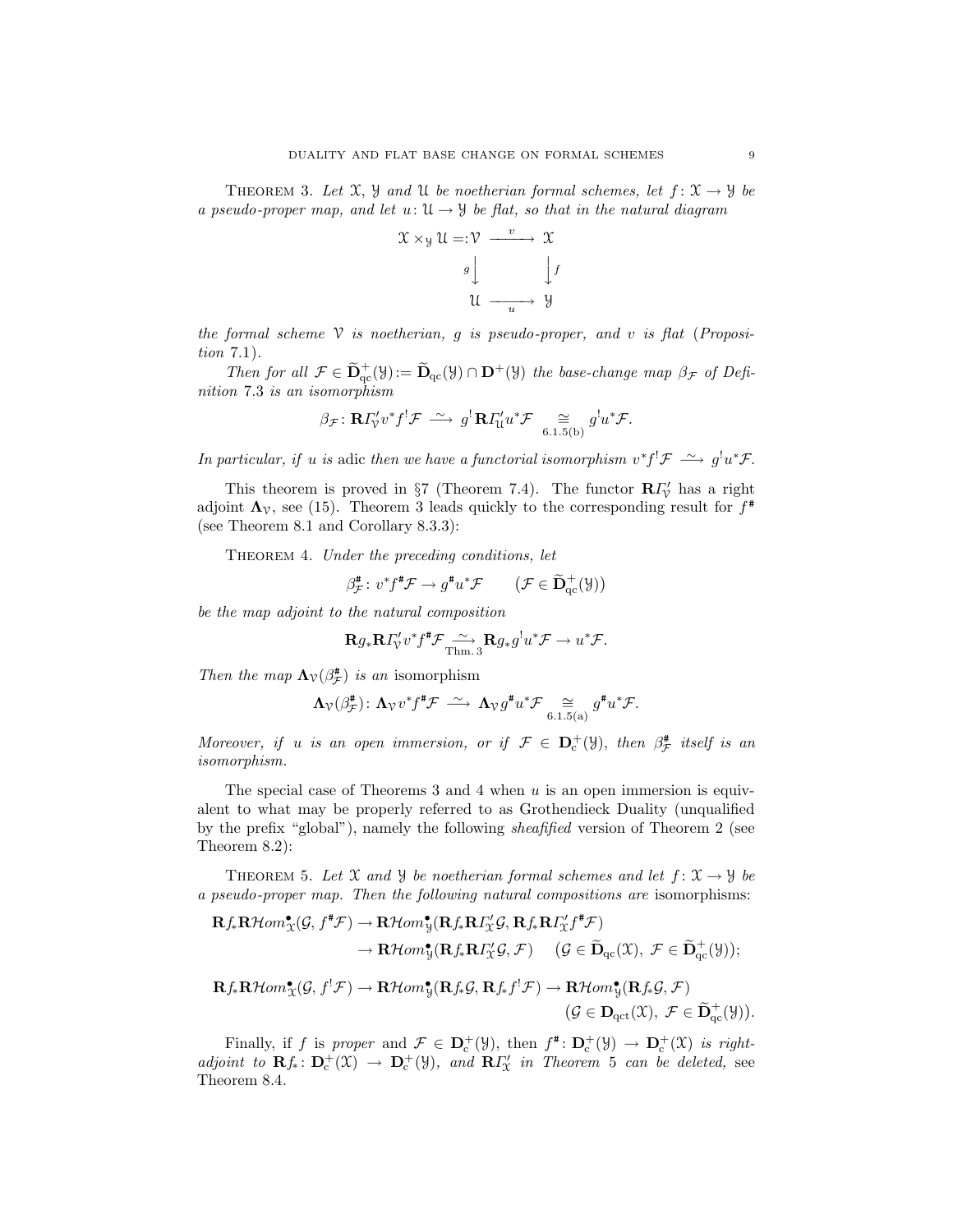THEOREM 3. Let  $\mathfrak{X}, \mathfrak{Y}$  and  $\mathfrak{U}$  be noetherian formal schemes, let  $f: \mathfrak{X} \to \mathfrak{Y}$  be a pseudo-proper map, and let  $u: \mathfrak{U} \to \mathfrak{Y}$  be flat, so that in the natural diagram



the formal scheme  $V$  is noetherian, g is pseudo-proper, and v is flat (Proposition 7.1).

Then for all  $\mathcal{F} \in \tilde{\mathbf{D}}_{\text{qc}}^+(\mathcal{Y}) := \tilde{\mathbf{D}}_{\text{qc}}(\mathcal{Y}) \cap \mathbf{D}^+(\mathcal{Y})$  the base-change map  $\beta_{\mathcal{F}}$  of Definition 7.3 is an isomorphism

$$
\beta_{\mathcal{F}} \colon \mathbf{R} \Gamma_{\mathcal{V}}' v^* f^! \mathcal{F} \; \xrightarrow{\sim} \; g^! \mathbf{R} \Gamma_{\mathcal{U}}' u^* \mathcal{F} \; \underset{6.1.5(b)}{\cong} \; g^! u^* \mathcal{F}.
$$

In particular, if u is adic then we have a functorial isomorphism  $v^*f^! \mathcal{F} \longrightarrow g^!u^*\mathcal{F}$ .

This theorem is proved in §7 (Theorem 7.4). The functor  $\mathbf{R}\Gamma'_{\mathcal{V}}$  has a right adjoint  $\Lambda_{\mathcal{V}}$ , see (15). Theorem 3 leads quickly to the corresponding result for  $f^*$ (see Theorem 8.1 and Corollary 8.3.3):

THEOREM 4. Under the preceding conditions, let

$$
\beta_{\mathcal{F}}^{\sharp}: v^* f^{\sharp} \mathcal{F} \to g^{\sharp} u^* \mathcal{F} \qquad (\mathcal{F} \in \widetilde{\mathbf{D}}_{\mathrm{qc}}^+(\mathcal{Y}))
$$

be the map adjoint to the natural composition

$$
\mathbf{R} g_* \mathbf{R} \Gamma_{\mathcal{V}}' v^* f^* \mathcal{F} \xrightarrow{\sim} \mathbf{R} g_* g^! u^* \mathcal{F} \to u^* \mathcal{F}.
$$

Then the map  $\Lambda_{\mathcal{V}}(\beta^{\sharp}_{\mathcal{F}})$  is an isomorphism

$$
\Lambda_{\mathcal{V}}(\beta_{\mathcal{F}}^{\#})\colon \Lambda_{\mathcal{V}}v^*f^{\#}\mathcal{F}\ \stackrel{\sim}{\longrightarrow}\ \Lambda_{\mathcal{V}}g^{\#}u^*\mathcal{F}\underset{6.1.5(a)}{\cong}g^{\#}u^*\mathcal{F}.
$$

Moreover, if u is an open immersion, or if  $\mathcal{F} \in \mathbf{D}_{c}^{+}(\mathcal{Y})$ , then  $\beta_{\mathcal{F}}^{*}$  itself is an isomorphism.

The special case of Theorems 3 and 4 when  $u$  is an open immersion is equivalent to what may be properly referred to as Grothendieck Duality (unqualified by the prefix "global"), namely the following sheafified version of Theorem 2 (see Theorem 8.2):

THEOREM 5. Let X and Y be noetherian formal schemes and let  $f: \mathfrak{X} \to \mathfrak{Y}$  be a pseudo-proper map. Then the following natural compositions are isomorphisms:

$$
\begin{aligned} &\mathbf{R}f_*\mathbf{R}\mathcal{H}om^{\bullet}_{\mathcal{X}}(\mathcal{G},f^{\sharp}\mathcal{F})\rightarrow\mathbf{R}\mathcal{H}om^{\bullet}_{\mathcal{Y}}(\mathbf{R}f_*\mathbf{R}\varGamma_{\mathcal{X}}^{\prime}\mathcal{G},\mathbf{R}f_*\mathbf{R}\varGamma_{\mathcal{X}}^{\prime}f^{\sharp}\mathcal{F})\\ &\rightarrow\mathbf{R}\mathcal{H}om^{\bullet}_{\mathcal{Y}}(\mathbf{R}f_*\mathbf{R}\varGamma_{\mathcal{X}}^{\prime}\mathcal{G},\mathcal{F})\quad (\mathcal{G}\in\widetilde{\mathbf{D}}_{qc}(\mathcal{X}),\ \mathcal{F}\in\widetilde{\mathbf{D}}_{qc}^{+}(\mathcal{Y}));\\ &\mathbf{R}f_*\mathbf{R}\mathcal{H}om^{\bullet}_{\mathcal{X}}(\mathcal{G},f^!\mathcal{F})\rightarrow\mathbf{R}\mathcal{H}om^{\bullet}_{\mathcal{Y}}(\mathbf{R}f_*\mathcal{G},\mathbf{R}f_*f^!\mathcal{F})\rightarrow\mathbf{R}\mathcal{H}om^{\bullet}_{\mathcal{Y}}(\mathbf{R}f_*\mathcal{G},\mathcal{F})\\ &\qquad\qquad (\mathcal{G}\in\mathbf{D}_{qc}(\mathcal{X}),\ \mathcal{F}\in\widetilde{\mathbf{D}}_{qc}^{+}(\mathcal{Y})).\end{aligned}
$$

Finally, if f is proper and  $\mathcal{F} \in D_c^+(\mathcal{Y})$ , then  $f^*: D_c^+(\mathcal{Y}) \to D_c^+(\mathcal{X})$  is rightadjoint to  $\mathbf{R}f_*\colon \mathbf{D}^+_c(\mathfrak{X}) \to \mathbf{D}^+_c(\mathfrak{Y})$ , and  $\mathbf{R}f''_*$  in Theorem 5 can be deleted, see Theorem 8.4.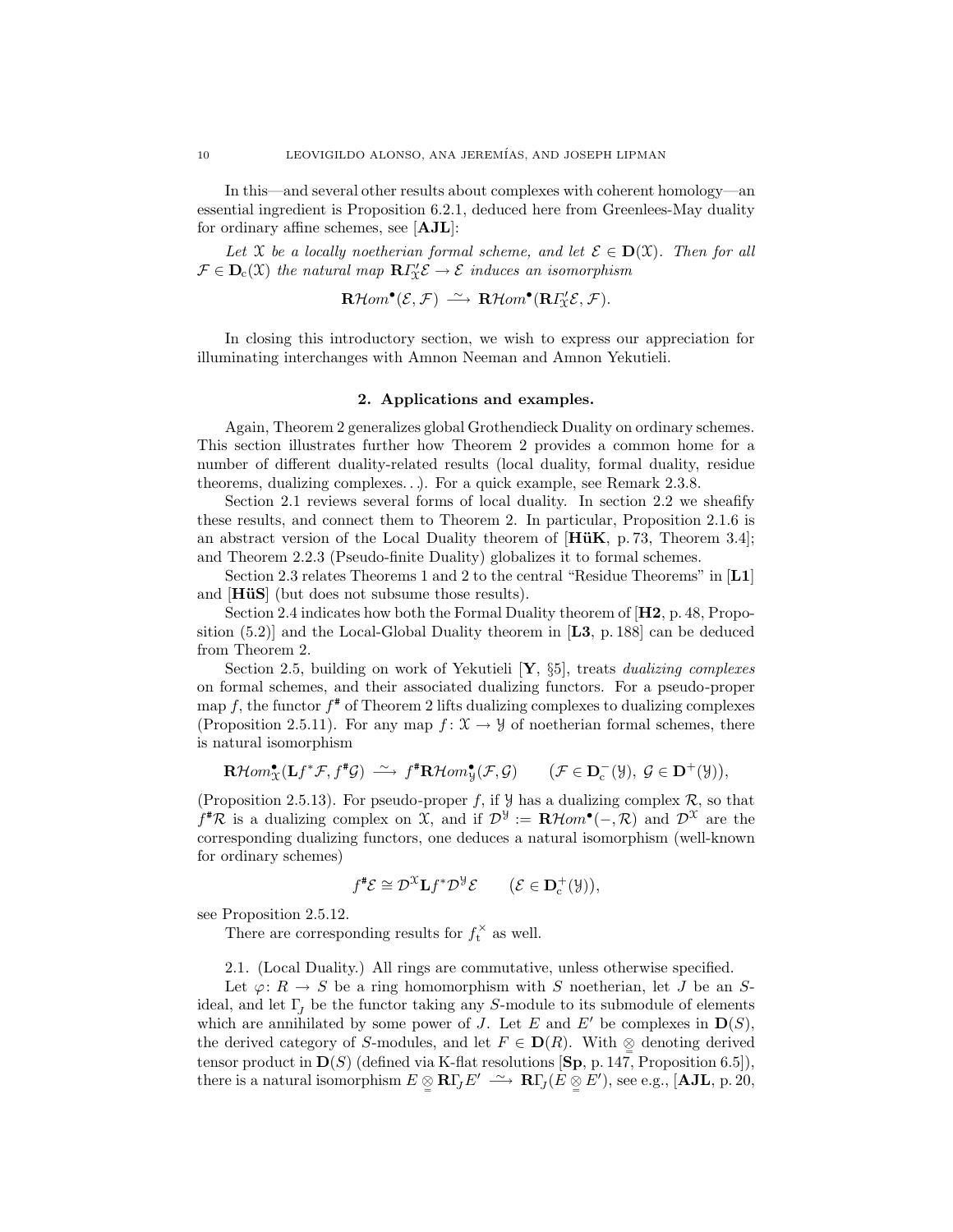In this—and several other results about complexes with coherent homology—an essential ingredient is Proposition 6.2.1, deduced here from Greenlees-May duality for ordinary affine schemes, see [AJL]:

Let X be a locally noetherian formal scheme, and let  $\mathcal{E} \in \mathbf{D}(\mathfrak{X})$ . Then for all  $\mathcal{F} \in \mathbf{D}_{c}(\mathfrak{X})$  the natural map  $\mathbf{R}\Gamma_{\mathfrak{X}}^{\prime} \mathcal{E} \to \mathcal{E}$  induces an isomorphism

 $\mathbf{R}\mathcal{H}om^{\bullet}(\mathcal{E},\mathcal{F}) \stackrel{\sim}{\longrightarrow} \mathbf{R}\mathcal{H}om^{\bullet}(\mathbf{R}\Gamma_{\mathbf{X}}^{\prime}\mathcal{E},\mathcal{F}).$ 

In closing this introductory section, we wish to express our appreciation for illuminating interchanges with Amnon Neeman and Amnon Yekutieli.

## 2. Applications and examples.

Again, Theorem 2 generalizes global Grothendieck Duality on ordinary schemes. This section illustrates further how Theorem 2 provides a common home for a number of different duality-related results (local duality, formal duality, residue theorems, dualizing complexes. . .). For a quick example, see Remark 2.3.8.

Section 2.1 reviews several forms of local duality. In section 2.2 we sheafify these results, and connect them to Theorem 2. In particular, Proposition 2.1.6 is an abstract version of the Local Duality theorem of  $[H\ddot{u}K, p. 73, Theorem 3.4];$ and Theorem 2.2.3 (Pseudo-finite Duality) globalizes it to formal schemes.

Section 2.3 relates Theorems 1 and 2 to the central "Residue Theorems" in [L1] and  $[H\ddot{u}S]$  (but does not subsume those results).

Section 2.4 indicates how both the Formal Duality theorem of  $[H2, p. 48, Propo$ sition  $(5.2)$  and the Local-Global Duality theorem in [L3, p. 188] can be deduced from Theorem 2.

Section 2.5, building on work of Yekutieli  $[Y, \S_5]$ , treats *dualizing complexes* on formal schemes, and their associated dualizing functors. For a pseudo-proper map f, the functor  $f^*$  of Theorem 2 lifts dualizing complexes to dualizing complexes (Proposition 2.5.11). For any map  $f: \mathfrak{X} \to \mathcal{Y}$  of noetherian formal schemes, there is natural isomorphism

$$
\mathbf{R}\mathcal{H}om_{\mathfrak{X}}^{\bullet}(\mathbf{L}f^{*}\mathcal{F}, f^{*}\mathcal{G}) \xrightarrow{\sim} f^{*}\mathbf{R}\mathcal{H}om_{\mathfrak{Y}}^{\bullet}(\mathcal{F}, \mathcal{G}) \qquad (\mathcal{F} \in \mathbf{D}_{c}^{-}(\mathcal{Y}), \ \mathcal{G} \in \mathbf{D}^{+}(\mathcal{Y})),
$$

(Proposition 2.5.13). For pseudo-proper f, if  $\mathcal Y$  has a dualizing complex  $\mathcal R$ , so that  $f^{\#}\mathcal{R}$  is a dualizing complex on X, and if  $\mathcal{D}^{\mathcal{Y}} := \mathbf{R}\mathcal{H}om^{\bullet}(-, \mathcal{R})$  and  $\mathcal{D}^{\mathcal{X}}$  are the corresponding dualizing functors, one deduces a natural isomorphism (well-known for ordinary schemes)

$$
f^{\#}\mathcal{E} \cong \mathcal{D}^{\mathfrak{X}} \mathbf{L} f^{\ast} \mathcal{D}^{\mathcal{Y}} \mathcal{E} \qquad (\mathcal{E} \in \mathbf{D}_{\mathrm{c}}^{+}(\mathcal{Y})),
$$

see Proposition 2.5.12.

There are corresponding results for  $f_t^{\times}$  as well.

2.1. (Local Duality.) All rings are commutative, unless otherwise specified.

Let  $\varphi: R \to S$  be a ring homomorphism with S noetherian, let J be an Sideal, and let  $\Gamma_J$  be the functor taking any S-module to its submodule of elements which are annihilated by some power of J. Let E and E' be complexes in  $\mathbf{D}(S)$ , the derived category of S-modules, and let  $F \in \mathbf{D}(R)$ . With  $\mathcal{Q}$  denoting derived tensor product in  $\mathbf{D}(S)$  (defined via K-flat resolutions  $[\mathbf{Sp}, p. 147,$  Proposition 6.5]), there is a natural isomorphism  $E \underset{\cong}{\otimes} \mathbf{R}\Gamma_J E' \longrightarrow \mathbf{R}\Gamma_J (E \underset{\cong}{\otimes} E'),$  see e.g., [AJL, p. 20,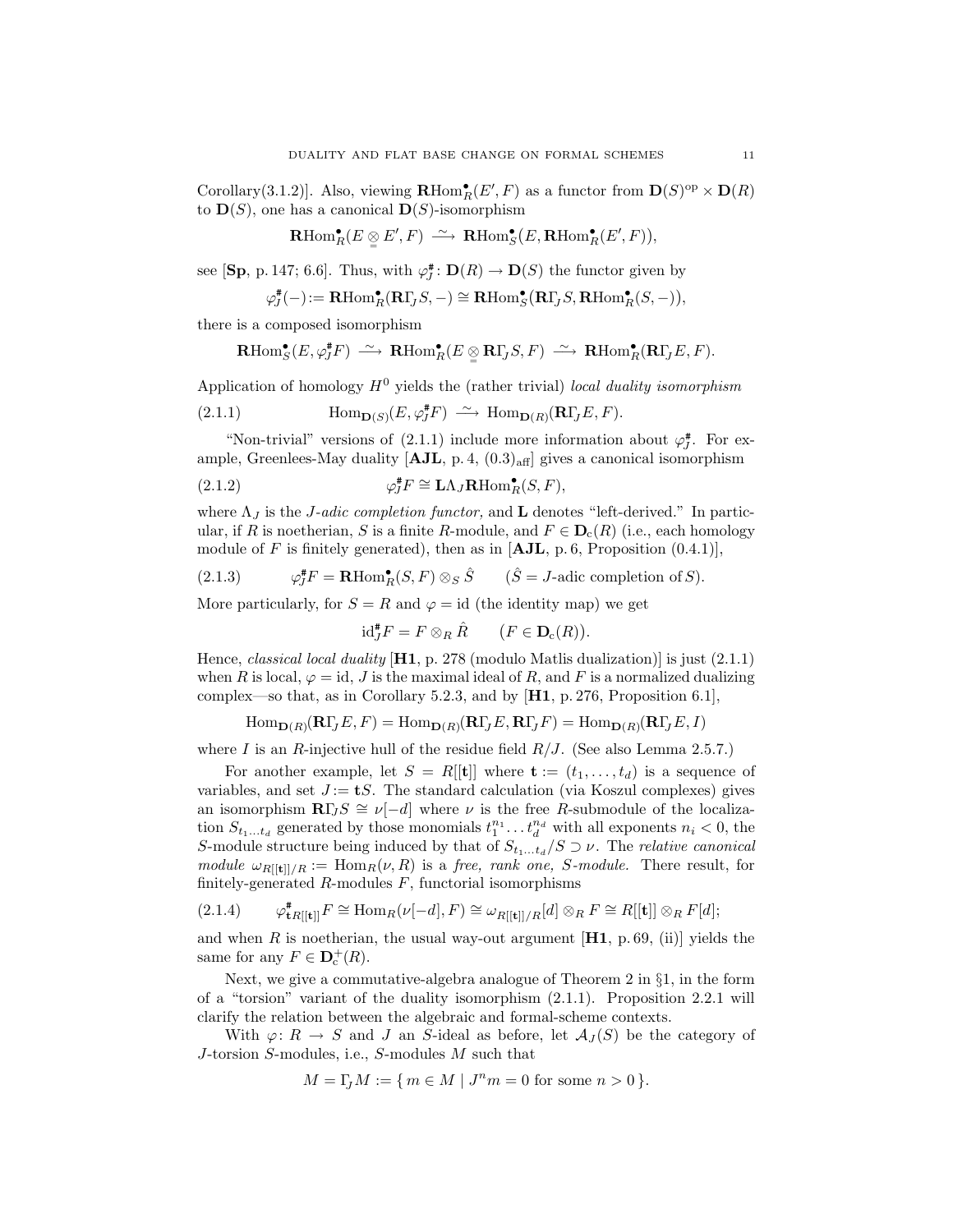Corollary(3.1.2)]. Also, viewing  $\mathbf{R}\text{Hom}_{R}^{\bullet}(E',F)$  as a functor from  $\mathbf{D}(S)^{\text{op}} \times \mathbf{D}(R)$ to  $\mathbf{D}(S)$ , one has a canonical  $\mathbf{D}(S)$ -isomorphism

$$
\mathbf{R}\mathrm{Hom}^\bullet_R(E \underset{\cong}{\otimes} E', F) \longrightarrow \mathbf{R}\mathrm{Hom}^\bullet_S(E, \mathbf{R}\mathrm{Hom}^\bullet_R(E', F)),
$$

see [Sp, p. 147; 6.6]. Thus, with  $\varphi_j^{\#} \colon \mathbf{D}(R) \to \mathbf{D}(S)$  the functor given by

$$
\varphi^{\#}_{J}(-):=\mathbf{R}\mathrm{Hom}^{\bullet}_{R}(\mathbf{R}\Gamma_{J}S,-)\cong\mathbf{R}\mathrm{Hom}^{\bullet}_{S}(\mathbf{R}\Gamma_{J}S,\mathbf{R}\mathrm{Hom}^{\bullet}_{R}(S,-)),
$$

there is a composed isomorphism

$$
\mathrm{\mathbf{R}Hom}^{\bullet}_{S}(E, \varphi^{\#}_{J}F) \ \stackrel{\sim}{\longrightarrow} \ \mathrm{\mathbf{R}Hom}^{\bullet}_{R}(E \underset{\cong}{\otimes} \mathrm{\mathbf{R} } \Gamma_{J}S, F) \ \stackrel{\sim}{\longrightarrow} \ \mathrm{\mathbf{R} Hom}^{\bullet}_{R}(\mathrm{\mathbf{R} } \Gamma_{J}E, F).
$$

Application of homology  $H^0$  yields the (rather trivial) local duality isomorphism

(2.1.1) 
$$
\text{Hom}_{\mathbf{D}(S)}(E,\varphi_J^*F) \xrightarrow{\sim} \text{Hom}_{\mathbf{D}(R)}(\mathbf{R}\Gamma_JE,F).
$$

"Non-trivial" versions of  $(2.1.1)$  include more information about  $\varphi_j^*$ . For example, Greenlees-May duality  $[AJL, p. 4, (0.3)_{aff}]$  gives a canonical isomorphism

(2.1.2) 
$$
\varphi_J^* F \cong \mathbf{L}\Lambda_J \mathbf{R} \text{Hom}_R^\bullet(S, F),
$$

where  $\Lambda_J$  is the *J-adic completion functor*, and **L** denotes "left-derived." In particular, if R is noetherian, S is a finite R-module, and  $F \in \mathbf{D}_{c}(R)$  (i.e., each homology module of F is finitely generated), then as in  $[AJL, p. 6, Proposition (0.4.1)],$ 

(2.1.3) 
$$
\varphi_J^* F = \mathbf{R} \text{Hom}_R^{\bullet}(S, F) \otimes_S \hat{S} \qquad (\hat{S} = J \text{-adic completion of } S).
$$

More particularly, for  $S = R$  and  $\varphi = id$  (the identity map) we get

$$
\mathrm{id}_J^* F = F \otimes_R \hat{R} \qquad (F \in \mathbf{D}_c(R)).
$$

Hence, *classical local duality*  $[H1, p. 278 \text{ (modulo Matlis dualization)}]$  is just  $(2.1.1)$ when R is local,  $\varphi = id$ , J is the maximal ideal of R, and F is a normalized dualizing complex—so that, as in Corollary 5.2.3, and by  $[H1, p. 276,$  Proposition 6.1],

$$
\operatorname{Hom}\nolimits_{{\mathbf D}(R)}({\mathbf R}\Gamma_J E, F) = \operatorname{Hom}\nolimits_{{\mathbf D}(R)}({\mathbf R}\Gamma_J E, {\mathbf R}\Gamma_J F) = \operatorname{Hom}\nolimits_{{\mathbf D}(R)}({\mathbf R}\Gamma_J E, I)
$$

where I is an R-injective hull of the residue field  $R/J$ . (See also Lemma 2.5.7.)

For another example, let  $S = R[[t]]$  where  $\mathbf{t} := (t_1, \ldots, t_d)$  is a sequence of variables, and set  $J := tS$ . The standard calculation (via Koszul complexes) gives an isomorphism  $\mathbb{R}\Gamma J S \cong \nu[-d]$  where  $\nu$  is the free R-submodule of the localization  $S_{t_1...t_d}$  generated by those monomials  $t_1^{n_1} \dots t_d^{n_d}$  with all exponents  $n_i < 0$ , the S-module structure being induced by that of  $S_{t_1...t_d}/S \supseteq \nu$ . The relative canonical module  $\omega_{R[[t]]/R} := \text{Hom}_R(\nu, R)$  is a free, rank one, S-module. There result, for finitely-generated  $R$ -modules  $F$ , functorial isomorphisms

$$
(2.1.4) \qquad \varphi_{\mathbf{t}R[[\mathbf{t}]]}^{\mathbf{t}}F \cong \text{Hom}_{R}(\nu[-d], F) \cong \omega_{R[[\mathbf{t}]]/R}[d] \otimes_{R} F \cong R[[\mathbf{t}]] \otimes_{R} F[d];
$$

and when R is noetherian, the usual way-out argument  $[H1, p. 69, (ii)]$  yields the same for any  $F \in \mathbf{D}_{\mathbf{c}}^{+}(R)$ .

Next, we give a commutative-algebra analogue of Theorem 2 in §1, in the form of a "torsion" variant of the duality isomorphism (2.1.1). Proposition 2.2.1 will clarify the relation between the algebraic and formal-scheme contexts.

With  $\varphi: R \to S$  and J an S-ideal as before, let  $\mathcal{A}_J(S)$  be the category of J-torsion S-modules, i.e., S-modules M such that

$$
M=\Gamma_{\!\!J}M:=\{\,m\in M\mid J^nm=0\text{ for some }n>0\,\}.
$$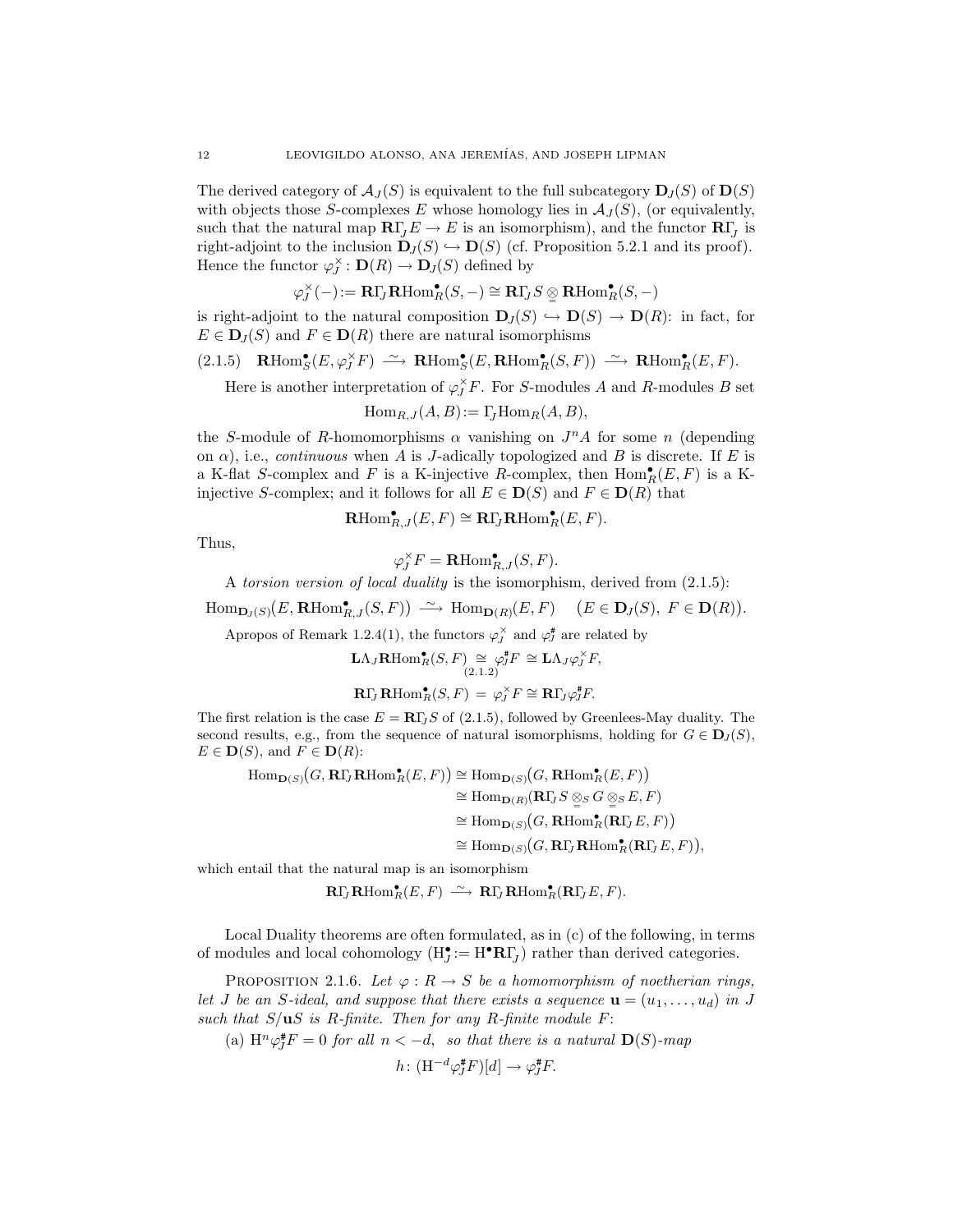The derived category of  $\mathcal{A}_J(S)$  is equivalent to the full subcategory  $D_J(S)$  of  $D(S)$ with objects those S-complexes E whose homology lies in  $\mathcal{A}_J(S)$ , (or equivalently, such that the natural map  $\mathbf{R}\Gamma_j E \to E$  is an isomorphism), and the functor  $\mathbf{R}\Gamma_j$  is right-adjoint to the inclusion  $\mathbf{D}_J(S) \hookrightarrow \mathbf{D}(S)$  (cf. Proposition 5.2.1 and its proof). Hence the functor  $\varphi_J^{\times} : \mathbf{D}(R) \to \mathbf{D}_J(S)$  defined by

$$
\varphi^{\times}_J(-) \mathbin{:=} {\mathbf{R}} \Gamma_J{\mathbf{R}} \mathrm{Hom}_R^{\bullet}(S,-) \cong {\mathbf{R}} \Gamma_J S \underset{\cong}{\otimes} {\mathbf{R}} \mathrm{Hom}_R^{\bullet}(S,-)
$$

is right-adjoint to the natural composition  $\mathbf{D}_J(S) \hookrightarrow \mathbf{D}(S) \to \mathbf{D}(R)$ : in fact, for  $E \in D_I(S)$  and  $F \in D(R)$  there are natural isomorphisms

$$
(2.1.5) \quad \mathbf{R}\text{Hom}_{S}^{\bullet}(E,\varphi_{J}^{\times}F) \ \xrightarrow{\sim} \ \mathbf{R}\text{Hom}_{S}^{\bullet}(E,\mathbf{R}\text{Hom}_{R}^{\bullet}(S,F)) \ \xrightarrow{\sim} \ \mathbf{R}\text{Hom}_{R}^{\bullet}(E,F).
$$

Here is another interpretation of  $\varphi_J^{\times} F$ . For S-modules A and R-modules B set

$$
\operatorname{Hom}_{R,J}(A,B):=\Gamma_J\operatorname{Hom}_R(A,B),
$$

the S-module of R-homomorphisms  $\alpha$  vanishing on  $J<sup>n</sup>A$  for some n (depending on  $\alpha$ ), i.e., *continuous* when A is J-adically topologized and B is discrete. If E is a K-flat S-complex and F is a K-injective R-complex, then  $\text{Hom}_R^{\bullet}(E, F)$  is a Kinjective S-complex; and it follows for all  $E \in \mathbf{D}(S)$  and  $F \in \mathbf{D}(R)$  that

$$
\mathbf{R}\mathrm{Hom}^\bullet_{R,J}(E,F) \cong \mathbf{R}\Gamma_J\mathbf{R}\mathrm{Hom}^\bullet_R(E,F).
$$

Thus,

$$
\varphi_J^\times F = \mathbf{R}\mathrm{Hom}^\bullet_{R,J}(S,F).
$$

A torsion version of local duality is the isomorphism, derived from (2.1.5):

$$
\operatorname{Hom}\nolimits_{{\mathbf D}_J(S)}(E,\operatorname{\bf RHom}\nolimits_{{\mathcal R}_J}^\bullet(S,F))\ \stackrel{\sim}{\longrightarrow}\ \operatorname{Hom}\nolimits_{{\mathbf D}(R)}(E,F)\quad \ (E\in {\mathbf D}_J(S),\ F\in {\mathbf D}(R)).
$$

Apropos of Remark 1.2.4(1), the functors  $\varphi_j^{\times}$  and  $\varphi_j^{\#}$  are related by

$$
\mathbf{L}\Lambda_J\mathbf{R}\mathrm{Hom}_R^\bullet(S, F) \underset{(2.1.2)}{\simeq} \varphi_J^\sharp F \cong \mathbf{L}\Lambda_J\varphi_J^\times F,
$$
  

$$
\mathbf{R}\Gamma_J\mathbf{R}\mathrm{Hom}_R^\bullet(S, F) = \varphi_J^\times F \cong \mathbf{R}\Gamma_J\varphi_J^\sharp F.
$$

The first relation is the case  $E = \mathbf{R} \Gamma I S$  of (2.1.5), followed by Greenlees-May duality. The second results, e.g., from the sequence of natural isomorphisms, holding for  $G \in \mathbf{D}_J(S)$ ,  $E \in \mathbf{D}(S)$ , and  $F \in \mathbf{D}(R)$ :

$$
\begin{align}\n\operatorname{Hom}_{\mathbf{D}(S)}(G, \mathbf{R}\Gamma_J\mathbf{R}\mathrm{Hom}_R^\bullet(E, F)) &\cong \operatorname{Hom}_{\mathbf{D}(S)}(G, \mathbf{R}\mathrm{Hom}_R^\bullet(E, F)) \\
&\cong \operatorname{Hom}_{\mathbf{D}(R)}(\mathbf{R}\Gamma_J S \underset{\cong}{\otimes}_S G \underset{\cong}{\otimes}_S E, F) \\
&\cong \operatorname{Hom}_{\mathbf{D}(S)}(G, \mathbf{R}\mathrm{Hom}_R^\bullet(\mathbf{R}\Gamma_J E, F)) \\
&\cong \operatorname{Hom}_{\mathbf{D}(S)}(G, \mathbf{R}\Gamma_J\mathbf{R}\mathrm{Hom}_R^\bullet(\mathbf{R}\Gamma_J E, F)),\n\end{align}
$$

which entail that the natural map is an isomorphism

$$
\mathbf{R}\Gamma_{\!J}\mathbf{R}\mathrm{Hom}_R^{\bullet}(E,F) \ \stackrel{\sim}{\longrightarrow}\ \mathbf{R}\Gamma_{\!J}\mathbf{R}\mathrm{Hom}_R^{\bullet}(\mathbf{R}\Gamma_{\!J}E,F).
$$

Local Duality theorems are often formulated, as in (c) of the following, in terms of modules and local cohomology  $(H_J^{\bullet} := H^{\bullet}R\Gamma_J)$  rather than derived categories.

PROPOSITION 2.1.6. Let  $\varphi : R \to S$  be a homomorphism of noetherian rings, let J be an S-ideal, and suppose that there exists a sequence  $\mathbf{u} = (u_1, \ldots, u_d)$  in J such that  $S/\mathbf{u}S$  is R-finite. Then for any R-finite module F:

(a)  $H^n \varphi_J^* F = 0$  for all  $n < -d$ , so that there is a natural  $D(S)$ -map

$$
h\colon(\mathrm{H}^{-d}\varphi_J^{\#}F)[d]\to\varphi_J^{\#}F.
$$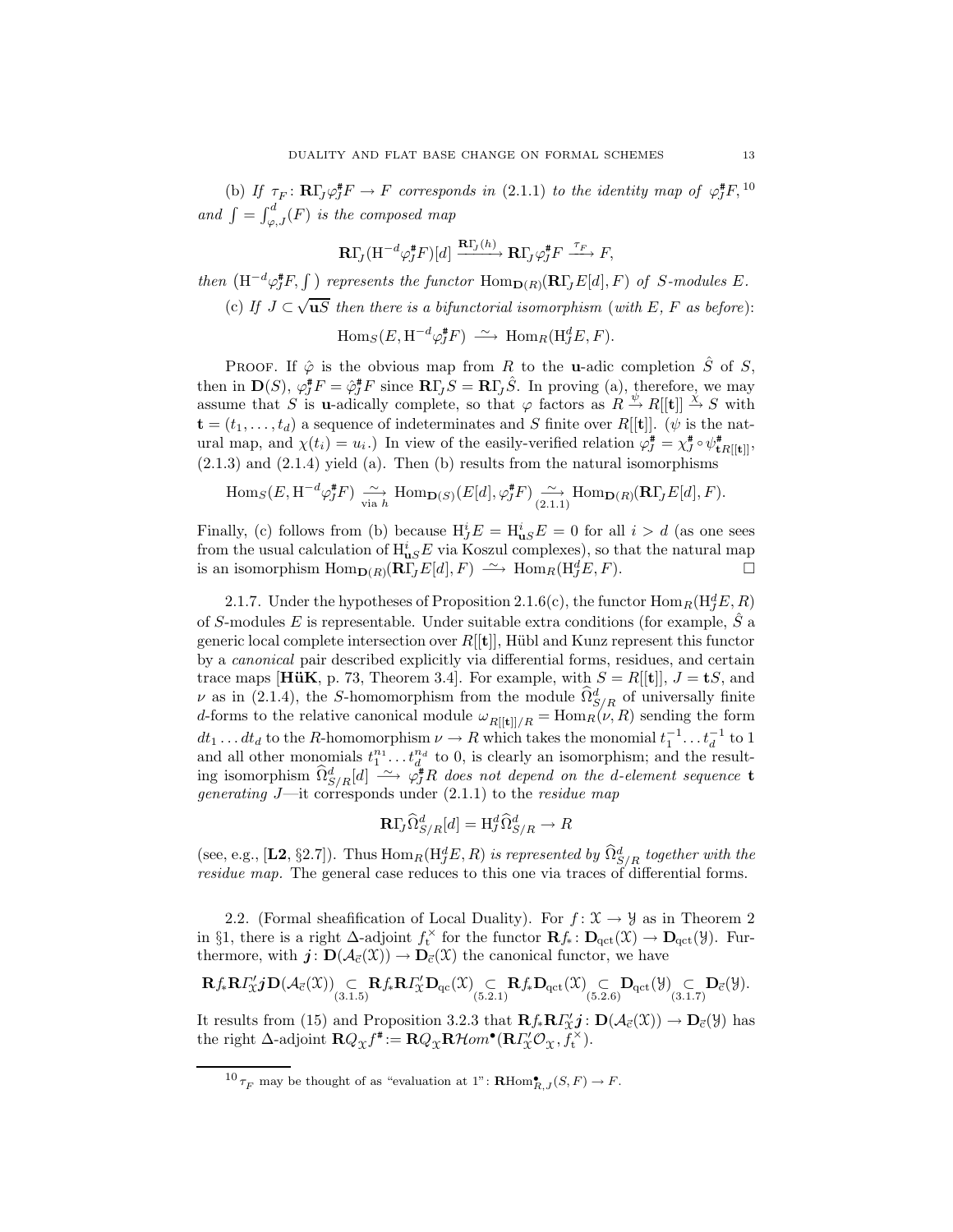(b) If  $\tau_F \colon \mathbf{R}\Gamma_J \varphi_J^* F \to F$  corresponds in (2.1.1) to the identity map of  $\varphi_J^* F$ ,  $^{10}$ and  $\int = \int_{\varphi, J}^d(F)$  is the composed map

$$
\mathbf{R}\Gamma_{\!J}(\mathrm{H}^{-d}\varphi_{\!J}^{\#}\mathrm{F})[d] \xrightarrow{\mathbf{R}\Gamma_{\!J}(h)} \mathbf{R}\Gamma_{\!J}\varphi_{\!J}^{\#}\mathrm{F} \xrightarrow{\tau_{F}} \mathrm{F},
$$

then  $(H^{-d}\varphi_J^{\#}F, \int)$  represents the functor  $\text{Hom}_{\mathbf{D}(R)}(\mathbf{R}\Gamma_J E[d], F)$  of S-modules E. (c) If  $J \subset \sqrt{\mathbf{u}S}$  then there is a bifunctorial isomorphism (with E, F as before):

 $\text{Hom}_S(E, \text{H}^{-d}\varphi_J^{\#}F) \longrightarrow \text{Hom}_R(\text{H}^d_JE, F).$ 

PROOF. If  $\hat{\varphi}$  is the obvious map from R to the **u**-adic completion  $\hat{S}$  of S, then in  $\mathbf{D}(S)$ ,  $\varphi_J^* F = \hat{\varphi}_J^* F$  since  $\mathbf{R} \Gamma_J S = \mathbf{R} \Gamma_J \hat{S}$ . In proving (a), therefore, we may assume that S is **u**-adically complete, so that  $\varphi$  factors as  $R \overset{\psi}{\rightarrow} R[[t]] \overset{\chi}{\rightarrow} S$  with  $\mathbf{t} = (t_1, \ldots, t_d)$  a sequence of indeterminates and S finite over R[[t]]. ( $\psi$  is the natural map, and  $\chi(t_i) = u_i$ .) In view of the easily-verified relation  $\varphi_J^* = \chi_J^* \circ \psi_{\mathbf{t}R[[\mathbf{t}]]}^*,$  $(2.1.3)$  and  $(2.1.4)$  yield  $(a)$ . Then  $(b)$  results from the natural isomorphisms

$$
\operatorname{Hom}_S(E, \operatorname{H}^{-d} \varphi_J^* F) \xrightarrow[\text{via } h]{} \operatorname{Hom}_{\mathbf{D}(S)}(E[d], \varphi_J^* F) \xrightarrow[\text{(2.1.1)}]{} \operatorname{Hom}_{\mathbf{D}(R)}(\mathbf{R}\Gamma_J E[d], F).
$$

Finally, (c) follows from (b) because  $H_j^i E = H_{\text{uS}}^i E = 0$  for all  $i > d$  (as one sees from the usual calculation of  $H_{\mathbf{u}S}^i E$  via Koszul complexes), so that the natural map is an isomorphism  $\text{Hom}_{\mathbf{D}(R)}(\mathbf{R}\overline{\Gamma}_J E[d], F) \longrightarrow \text{Hom}_R(\mathbf{H}_J^d E, F).$ 

2.1.7. Under the hypotheses of Proposition 2.1.6(c), the functor  $\text{Hom}_R(\text{H}^d_JE, R)$ of S-modules E is representable. Under suitable extra conditions (for example,  $\tilde{S}$  a generic local complete intersection over  $R[[t]]$ , Hübl and Kunz represent this functor by a canonical pair described explicitly via differential forms, residues, and certain trace maps [HüK, p. 73, Theorem 3.4]. For example, with  $S = R[[t]]$ ,  $J = tS$ , and  $\nu$  as in (2.1.4), the S-homomorphism from the module  $\hat{\Omega}^d_{S/R}$  of universally finite d-forms to the relative canonical module  $\omega_{R[[t]]/R} = \text{Hom}_{R}(\nu, R)$  sending the form  $dt_1 \dots dt_d$  to the R-homomorphism  $\nu \to R$  which takes the monomial  $t_1^{-1} \dots t_d^{-1}$  to 1 and all other monomials  $t_1^{n_1} \dots t_d^{n_d}$  to 0, is clearly an isomorphism; and the resulting isomorphism  $\widehat{\Omega}^d_{S/R}[d] \longrightarrow \varphi_J^*R$  does not depend on the d-element sequence t generating  $J$ —it corresponds under  $(2.1.1)$  to the residue map

$$
\mathbf{R}\Gamma_{\!J}\widehat{\Omega}^d_{S/R}[d] = \mathrm{H}^d_J\widehat{\Omega}^d_{S/R} \to R
$$

(see, e.g., [L2, §2.7]). Thus  $\text{Hom}_R(\text{H}^d_Z E, R)$  is represented by  $\hat{\Omega}^d_{S/R}$  together with the residue map. The general case reduces to this one via traces of differential forms.

2.2. (Formal sheafification of Local Duality). For  $f: \mathfrak{X} \to \mathcal{Y}$  as in Theorem 2 in §1, there is a right  $\Delta$ -adjoint  $f_t^{\times}$  for the functor  $\mathbf{R} f_* \colon \mathbf{D}_{\text{qct}}(\mathfrak{X}) \to \mathbf{D}_{\text{qct}}(\mathfrak{Y})$ . Furthermore, with  $\mathbf{j}: \mathbf{D}(\mathcal{A}_{\vec{c}}(\mathfrak{X})) \to \mathbf{D}_{\vec{c}}(\mathfrak{X})$  the canonical functor, we have

$$
\mathbf{R} f_*\mathbf{R} \varGamma_{\mathbb{X}}' j \mathbf{D}(\mathcal{A}_{\vec{c}}(\mathfrak{X})) \underset{(3.1.5)}{\subset} \mathbf{R} f_*\mathbf{R} \varGamma_{\mathbb{X}}' \mathbf{D}_{\mathrm{qc}}(\mathfrak{X}) \underset{(5.2.1)}{\subset} \mathbf{R} f_*\mathbf{D}_{\mathrm{qct}}(\mathfrak{X}) \underset{(5.2.6)}{\subset} \mathbf{D}_{\mathrm{qct}}(\mathcal{Y}) \underset{(3.1.7)}{\subset} \mathbf{D}_{\vec{c}}(\mathcal{Y}).
$$

It results from (15) and Proposition 3.2.3 that  $\mathbf{R} f_* \mathbf{R} \Gamma'_{\chi} j : \mathbf{D}(\mathcal{A}_{\vec{c}}(\mathfrak{X})) \to \mathbf{D}_{\vec{c}}(\mathfrak{Y})$  has the right  $\Delta$ -adjoint  $\mathbf{R} Q_{\mathfrak{X}} f^* := \mathbf{R} Q_{\mathfrak{X}} \mathbf{R} \mathcal{H} om^{\bullet}(\mathbf{R} \Gamma_{\mathfrak{X}}' \mathcal{O}_{\mathfrak{X}}, f_t^{\times}).$ 

 $^{10}\tau_F$  may be thought of as "evaluation at 1":  $\mathbf{R}\text{Hom}_{R,J}^{\bullet}(S,F) \to F.$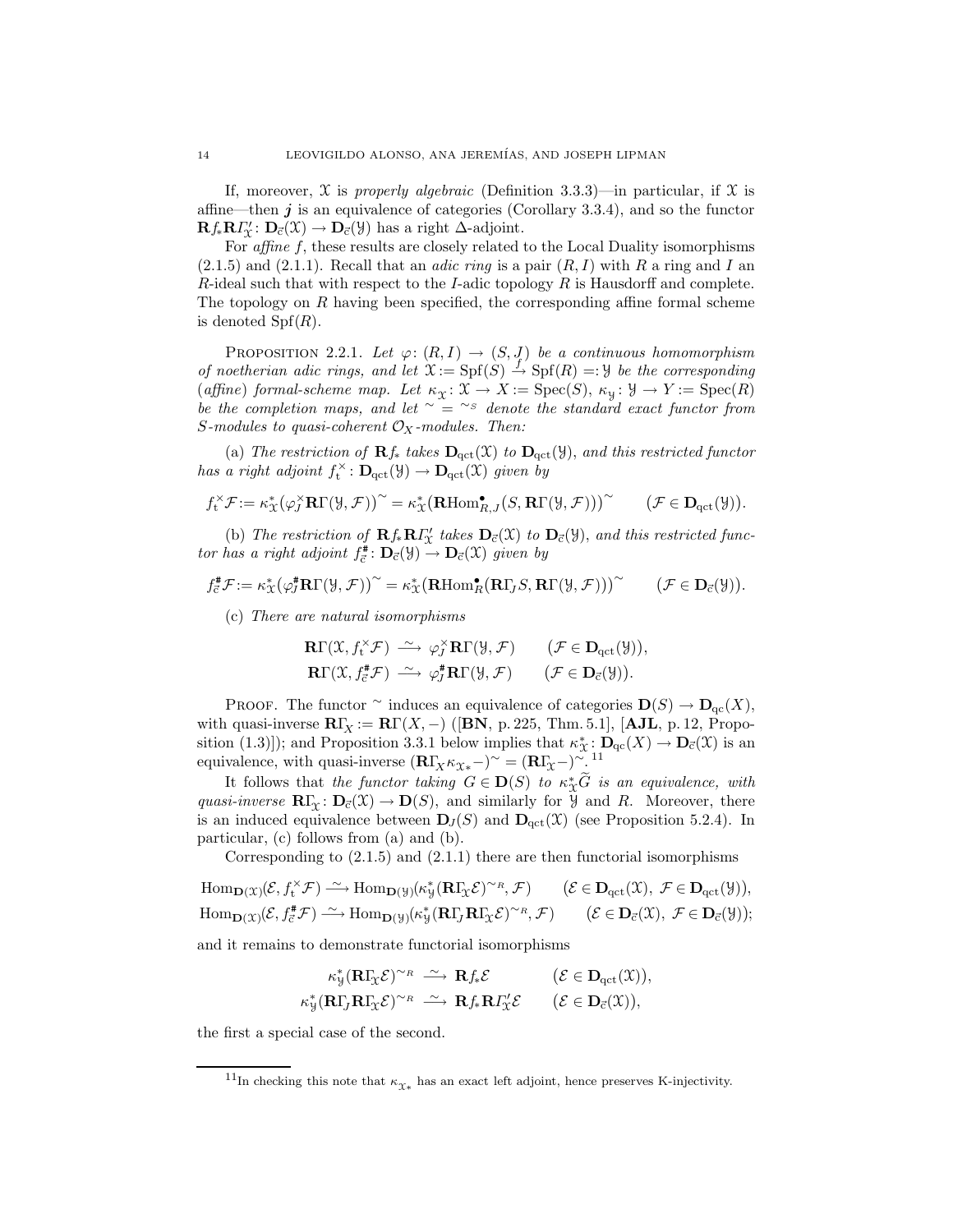If, moreover,  $\mathfrak X$  is properly algebraic (Definition 3.3.3)—in particular, if  $\mathfrak X$  is affine—then  $j$  is an equivalence of categories (Corollary 3.3.4), and so the functor  $\mathbf{R} f_* \mathbf{R} \Gamma'_{\mathcal{X}} \colon \mathbf{D}_{\vec{c}}(\mathcal{X}) \to \mathbf{D}_{\vec{c}}(\mathcal{Y})$  has a right  $\Delta$ -adjoint.

For *affine f*, these results are closely related to the Local Duality isomorphisms  $(2.1.5)$  and  $(2.1.1)$ . Recall that an *adic ring* is a pair  $(R, I)$  with R a ring and I an  $R$ -ideal such that with respect to the I-adic topology  $R$  is Hausdorff and complete. The topology on R having been specified, the corresponding affine formal scheme is denoted  $Spf(R)$ .

PROPOSITION 2.2.1. Let  $\varphi: (R, I) \to (S, J)$  be a continuous homomorphism of noetherian adic rings, and let  $\mathfrak{X} := \mathrm{Spf}(S) \stackrel{f'}{\to} \mathrm{Spf}(R) =: \mathcal{Y}$  be the corresponding (affine) formal-scheme map. Let  $\kappa_{\mathfrak{X}} \colon \mathfrak{X} \to X := \text{Spec}(S)$ ,  $\kappa_{\mathfrak{Y}} \colon \mathfrak{Y} \to Y := \text{Spec}(R)$ be the completion maps, and let  $\sim$  = ∼s denote the standard exact functor from S-modules to quasi-coherent  $\mathcal{O}_X$ -modules. Then:

(a) The restriction of  $\mathbf{R}f_{*}$  takes  $\mathbf{D}_{\text{qct}}(\mathfrak{X})$  to  $\mathbf{D}_{\text{qct}}(\mathfrak{Y})$ , and this restricted functor has a right adjoint  $f_t^{\times} \colon \mathbf{D}_{\text{qct}}(\mathfrak{Y}) \to \mathbf{D}_{\text{qct}}(\mathfrak{X})$  given by

$$
f_t^\times \mathcal{F}:=\kappa^\ast_X\big(\varphi_J^\times {\mathbf{R}}\Gamma(\mathcal{Y},\mathcal{F})\big)^\sim=\kappa^\ast_X\big({\mathbf{R}\mathrm{Hom}}_{R,J}^\bullet\big(S,{\mathbf{R}}\Gamma(\mathcal{Y},\mathcal{F})\big)\big)^\sim \qquad \big(\mathcal{F}\in \mathbf{D}_{\mathrm{qct}}(\mathcal{Y})\big).
$$

(b) The restriction of  $\mathbf{R} f_* \mathbf{R} \Gamma'_\chi$  takes  $\mathbf{D}_{\vec{c}}(\mathfrak{X})$  to  $\mathbf{D}_{\vec{c}}(\mathfrak{Y})$ , and this restricted functor has a right adjoint  $f_{\vec{c}}^{\#} \colon \mathbf{D}_{\vec{c}}(\mathcal{Y}) \to \mathbf{D}_{\vec{c}}(\mathcal{X})$  given by

$$
f_{\vec{c}}^{\#}\mathcal{F} := \kappa_X^* (\varphi_J^{\#} \mathbf{R} \Gamma(\mathcal{Y}, \mathcal{F}))^{\sim} = \kappa_X^* (\mathbf{R} \text{Hom}_R^{\bullet} (\mathbf{R} \Gamma_J S, \mathbf{R} \Gamma(\mathcal{Y}, \mathcal{F})))^{\sim} \qquad (\mathcal{F} \in \mathbf{D}_{\vec{c}}(\mathcal{Y})).
$$

(c) There are natural isomorphisms

$$
\begin{array}{ll}\n\mathbf{R}\Gamma(\mathfrak{X},f_{\mathbf{t}}^{\times}\mathcal{F}) \xrightarrow{\sim} \varphi_{J}^{\times}\mathbf{R}\Gamma(\mathfrak{Y},\mathcal{F}) & (\mathcal{F} \in \mathbf{D}_{\mathrm{qct}}(\mathfrak{Y})), \\
\mathbf{R}\Gamma(\mathfrak{X},f_{\mathbf{c}}^{\#}\mathcal{F}) \xrightarrow{\sim} \varphi_{J}^{\#}\mathbf{R}\Gamma(\mathfrak{Y},\mathcal{F}) & (\mathcal{F} \in \mathbf{D}_{\overline{c}}(\mathfrak{Y})).\n\end{array}
$$

PROOF. The functor  $\sim$  induces an equivalence of categories  $\mathbf{D}(S) \to \mathbf{D}_{\text{qc}}(X)$ , with quasi-inverse  $\mathbf{R}\Gamma_X := \mathbf{R}\Gamma(X, -)$  ([BN, p. 225, Thm. 5.1], [AJL, p. 12, Proposition (1.3)]); and Proposition 3.3.1 below implies that  $\kappa_{\mathcal{X}}^* : \mathbf{D}_{\mathbf{q}c}(X) \to \mathbf{D}_{\mathbf{c}}(\mathcal{X})$  is an equivalence, with quasi-inverse  $(\mathbf{R}\Gamma_X\kappa_{\chi_*})^{\sim} = (\mathbf{R}\Gamma_{\chi} - )^{\sim}$ .<sup>11</sup>

It follows that the functor taking  $G \in \mathbf{D}(S)$  to  $\kappa_X^* \tilde{G}$  is an equivalence, with quasi-inverse  $\mathbb{R}\Gamma_{\mathfrak{X}}\colon \mathbb{D}_{\mathfrak{C}}(\mathfrak{X})\to \mathbb{D}(S)$ , and similarly for  $\mathcal Y$  and R. Moreover, there is an induced equivalence between  $\mathbf{D}_J(S)$  and  $\mathbf{D}_{\text{qct}}(\mathfrak{X})$  (see Proposition 5.2.4). In particular, (c) follows from (a) and (b).

Corresponding to  $(2.1.5)$  and  $(2.1.1)$  there are then functorial isomorphisms

$$
\begin{array}{ll}\n\operatorname{Hom}\nolimits_{{\mathbf D}({\mathfrak X})}({\mathcal E},f_{\mathbf t}^{\times}{\mathcal F}) \xrightarrow{\sim} \operatorname{Hom}\nolimits_{{\mathbf D}({\mathcal Y})}(\kappa_{\mathcal Y}^*({\mathbf R}\Gamma_{\!{\mathfrak X}}{\mathcal E})^{\sim_R},{\mathcal F}) \qquad ({\mathcal E}\in {\mathbf D}_{\operatorname{qct}}({\mathfrak X}),\ {\mathcal F}\in {\mathbf D}_{\operatorname{qct}}({\mathcal Y})),\\ \operatorname{Hom}\nolimits_{{\mathbf D}({\mathfrak X})}({\mathcal E},f_{\vec {\mathbf c}}^{\#}{\mathcal F}) \xrightarrow{\sim} \operatorname{Hom}\nolimits_{{\mathbf D}({\mathcal Y})}(\kappa_{\mathcal Y}^*({\mathbf R}\Gamma_{\!J}{\mathbf R}\Gamma_{\!{\mathfrak X}}{\mathcal E})^{\sim_R},{\mathcal F}) \qquad ({\mathcal E}\in {\mathbf D}_{\vec {\mathbf c}}({\mathfrak X}),\ {\mathcal F}\in {\mathbf D}_{\vec {\mathbf c}}({\mathcal Y}));\n\end{array}
$$

and it remains to demonstrate functorial isomorphisms

$$
\kappa_{\mathcal{Y}}^*(\mathbf{R}\Gamma_{\mathcal{X}}\mathcal{E})^{\sim_R} \xrightarrow{\sim} \mathbf{R}f_*\mathcal{E} \qquad (\mathcal{E} \in \mathbf{D}_{\mathrm{qct}}(\mathcal{X})),
$$
  

$$
\kappa_{\mathcal{Y}}^*(\mathbf{R}\Gamma_J\mathbf{R}\Gamma_{\mathcal{X}}\mathcal{E})^{\sim_R} \xrightarrow{\sim} \mathbf{R}f_*\mathbf{R}I_{\mathcal{X}}'\mathcal{E} \qquad (\mathcal{E} \in \mathbf{D}_{\overline{c}}(\mathcal{X})),
$$

the first a special case of the second.

<sup>&</sup>lt;sup>11</sup>In checking this note that  $\kappa_{\mathfrak{X}*}$  has an exact left adjoint, hence preserves K-injectivity.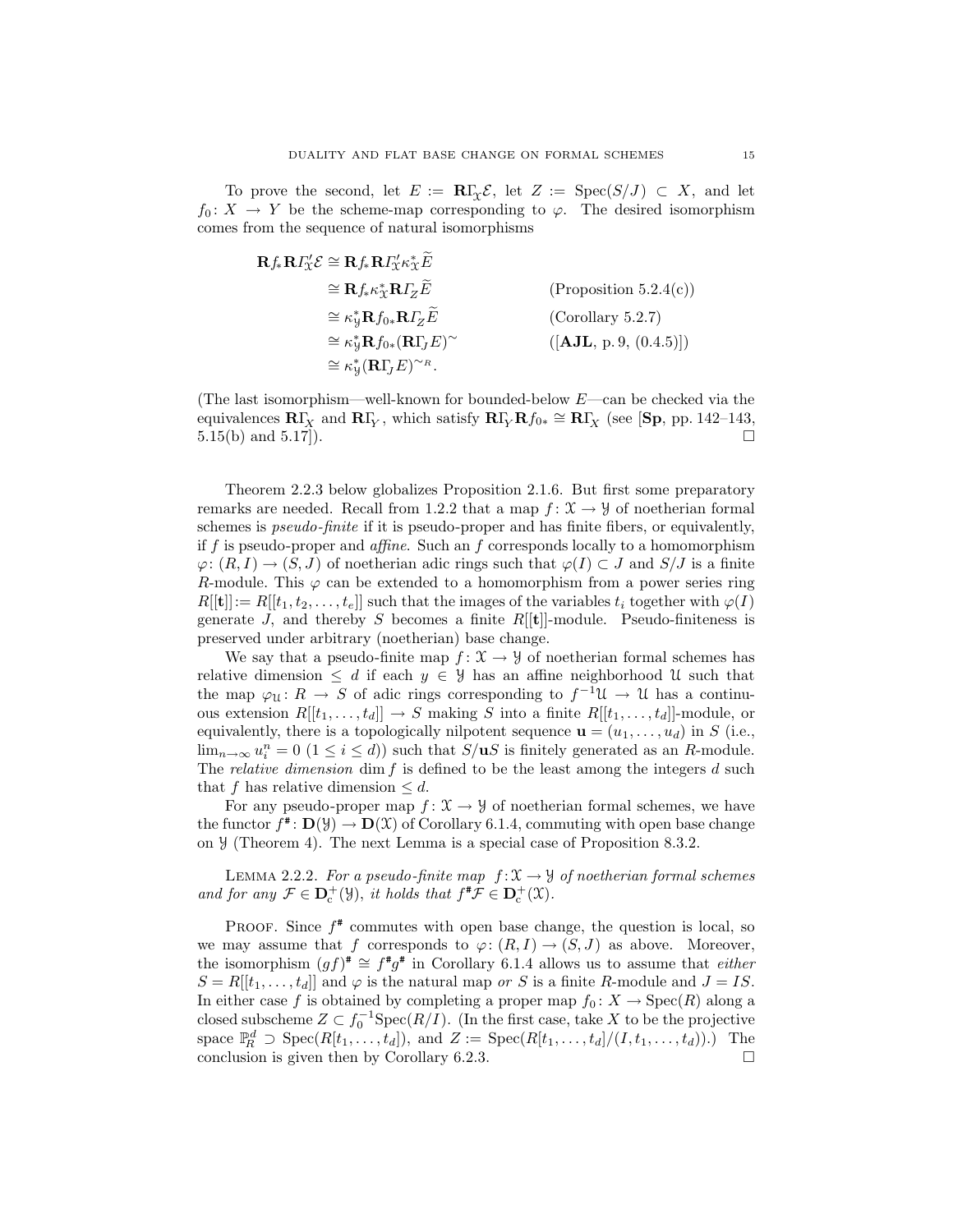To prove the second, let  $E := \mathbb{R}\Gamma_{\Gamma} \mathcal{E}$ , let  $Z := \text{Spec}(S/J) \subset X$ , and let  $f_0: X \to Y$  be the scheme-map corresponding to  $\varphi$ . The desired isomorphism comes from the sequence of natural isomorphisms

$$
\mathbf{R} f_* \mathbf{R} I'_X \mathcal{E} \cong \mathbf{R} f_* \mathbf{R} I'_X \kappa_X^* \widetilde{E}
$$
  
\n
$$
\cong \mathbf{R} f_* \kappa_X^* \mathbf{R} I_Z \widetilde{E}
$$
  
\n
$$
\cong \kappa_Y^* \mathbf{R} f_{0*} \mathbf{R} I_Z \widetilde{E}
$$
  
\n
$$
\cong \kappa_Y^* \mathbf{R} f_{0*} (\mathbf{R} I_J E)^\sim
$$
  
\n
$$
\cong \kappa_Y^* \mathbf{R} f_{0*} (\mathbf{R} I_J E)^\sim
$$
  
\n
$$
\cong \kappa_Y^* (\mathbf{R} I_J E)^\sim
$$
  
\n
$$
[(\mathbf{A} \mathbf{J} \mathbf{L}, \mathbf{p}, 9, (0.4.5)])
$$

(The last isomorphism—well-known for bounded-below  $E$ —can be checked via the equivalences  $\mathbf{R}\Gamma_X$  and  $\mathbf{R}\Gamma_Y$ , which satisfy  $\mathbf{R}\Gamma_Y\mathbf{R}f_{0*} \cong \mathbf{R}\Gamma_X$  (see [Sp, pp. 142–143, 5.15(b) and 5.17]).  $\square$ 

Theorem 2.2.3 below globalizes Proposition 2.1.6. But first some preparatory remarks are needed. Recall from 1.2.2 that a map  $f: \mathcal{X} \to \mathcal{Y}$  of noetherian formal schemes is *pseudo-finite* if it is pseudo-proper and has finite fibers, or equivalently, if f is pseudo-proper and *affine*. Such an f corresponds locally to a homomorphism  $\varphi: (R, I) \to (S, J)$  of noetherian adic rings such that  $\varphi(I) \subset J$  and  $S/J$  is a finite R-module. This  $\varphi$  can be extended to a homomorphism from a power series ring  $R[[t]] := R[[t_1, t_2, \ldots, t_e]]$  such that the images of the variables  $t_i$  together with  $\varphi(I)$ generate J, and thereby S becomes a finite  $R[[t]]$ -module. Pseudo-finiteness is preserved under arbitrary (noetherian) base change.

We say that a pseudo-finite map  $f: \mathfrak{X} \to \mathfrak{Y}$  of noetherian formal schemes has relative dimension  $\leq d$  if each  $y \in \mathcal{Y}$  has an affine neighborhood U such that the map  $\varphi_{\mathfrak{U}}: R \to S$  of adic rings corresponding to  $f^{-1}\mathfrak{U} \to \mathfrak{U}$  has a continuous extension  $R[[t_1, \ldots, t_d]] \to S$  making S into a finite  $R[[t_1, \ldots, t_d]]$ -module, or equivalently, there is a topologically nilpotent sequence  $\mathbf{u} = (u_1, \dots, u_d)$  in S (i.e.,  $\lim_{n\to\infty}u_i^n=0$   $(1\leq i\leq d)$  such that  $S/\mathbf{u}$  is finitely generated as an R-module. The *relative dimension* dim  $f$  is defined to be the least among the integers  $d$  such that f has relative dimension  $\leq d$ .

For any pseudo-proper map  $f: \mathfrak{X} \to \mathcal{Y}$  of noetherian formal schemes, we have the functor  $f^* \colon \mathbf{D}(\mathcal{Y}) \to \mathbf{D}(\mathcal{X})$  of Corollary 6.1.4, commuting with open base change on Y (Theorem 4). The next Lemma is a special case of Proposition 8.3.2.

LEMMA 2.2.2. For a pseudo-finite map  $f: \mathcal{X} \to \mathcal{Y}$  of noetherian formal schemes and for any  $\mathcal{F} \in \mathbf{D}_{c}^{+}(\mathcal{Y})$ , it holds that  $f^{\#}\mathcal{F} \in \mathbf{D}_{c}^{+}(\mathcal{X})$ .

PROOF. Since  $f^*$  commutes with open base change, the question is local, so we may assume that f corresponds to  $\varphi: (R, I) \to (S, J)$  as above. Moreover, the isomorphism  $(gf)^* \cong f^*g^*$  in Corollary 6.1.4 allows us to assume that *either*  $S = R[[t_1, \ldots, t_d]]$  and  $\varphi$  is the natural map or S is a finite R-module and  $J = IS$ . In either case f is obtained by completing a proper map  $f_0: X \to \text{Spec}(R)$  along a closed subscheme  $Z \subset f_0^{-1}Spec(R/I)$ . (In the first case, take X to be the projective space  $\mathbb{P}_R^d \supset \text{Spec}(R[t_1,\ldots,t_d]),$  and  $Z := \text{Spec}(R[t_1,\ldots,t_d]/(I,t_1,\ldots,t_d)).$  The conclusion is given then by Corollary 6.2.3.  $\Box$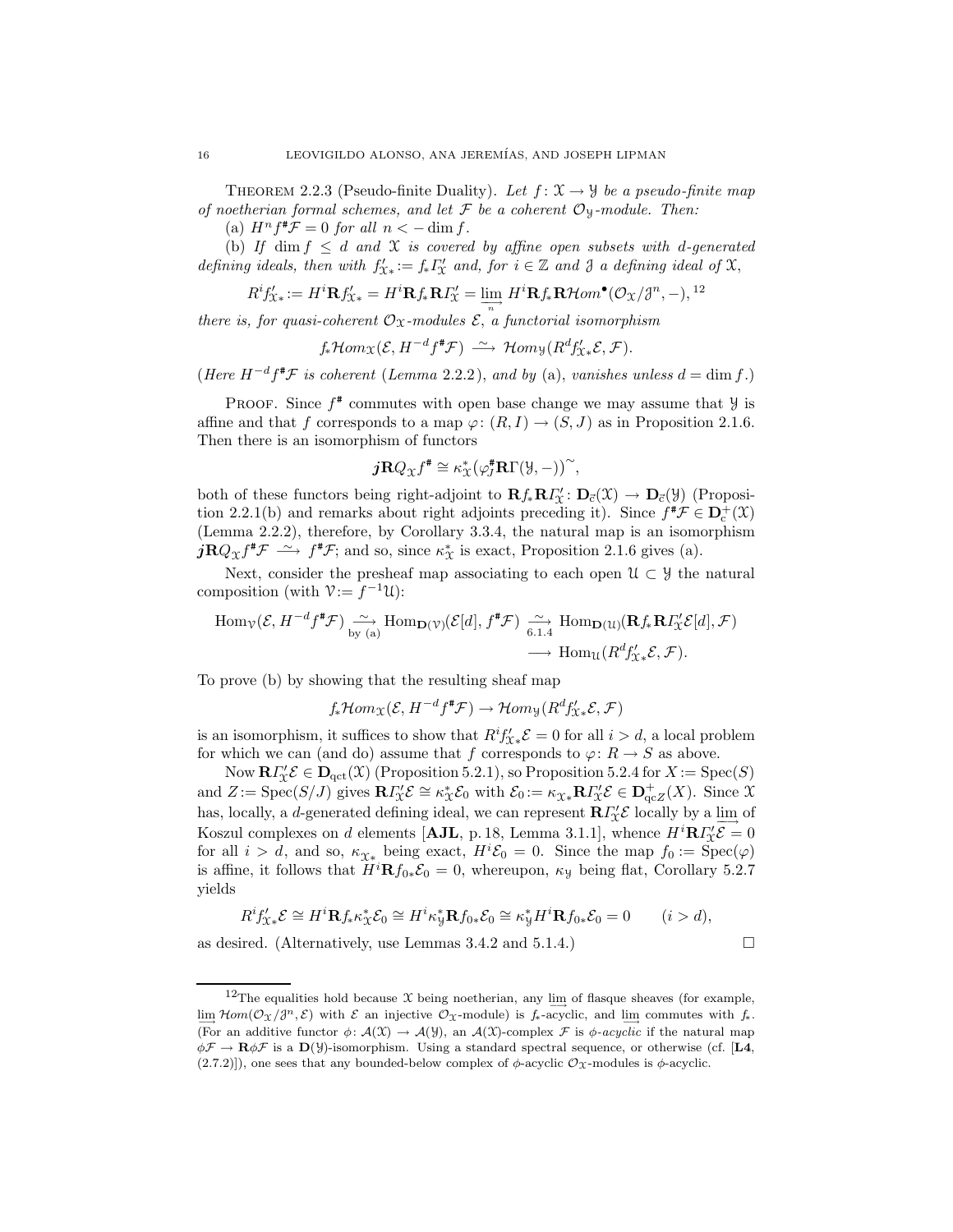THEOREM 2.2.3 (Pseudo-finite Duality). Let  $f: \mathfrak{X} \to \mathcal{Y}$  be a pseudo-finite map of noetherian formal schemes, and let  $\mathcal F$  be a coherent  $\mathcal O_Y$ -module. Then:

(a)  $H^n f^* \mathcal{F} = 0$  for all  $n < -\dim f$ .

(b) If dim  $f \leq d$  and  $\mathfrak X$  is covered by affine open subsets with d-generated defining ideals, then with  $f'_{\mathfrak{X}*} := f_* \Gamma'_{\mathfrak{X}}$  and, for  $i \in \mathbb{Z}$  and  $\mathfrak{Z}$  a defining ideal of  $\mathfrak{X}$ ,

$$
R^i f'_{\mathcal{X}*} := H^i \mathbf{R} f'_{\mathcal{X}*} = H^i \mathbf{R} f_* \mathbf{R} I'_{\mathcal{X}} = \varinjlim_{n} H^i \mathbf{R} f_* \mathbf{R} \mathcal{H} om^{\bullet}(\mathcal{O}_{\mathcal{X}}/J^n, -),^{12}
$$

there is, for quasi-coherent  $\mathcal{O}_{\mathfrak{X}}$ -modules  $\mathcal{E},$  a functorial isomorphism

 $f_*\mathcal{H}om_\mathfrak{X}(\mathcal{E}, H^{-d}f^*\mathcal{F}) \stackrel{\sim}{\longrightarrow} \mathcal{H}om_\mathfrak{Y}(R^d f'_{\mathfrak{X}*}\mathcal{E}, \mathcal{F}).$ 

(Here  $H^{-d} f^{\sharp} \mathcal{F}$  is coherent (Lemma 2.2.2), and by (a), vanishes unless  $d = \dim f$ .)

PROOF. Since  $f^*$  commutes with open base change we may assume that  $\mathcal{Y}$  is affine and that f corresponds to a map  $\varphi: (R, I) \to (S, J)$  as in Proposition 2.1.6. Then there is an isomorphism of functors

$$
j\mathbf{R}Q_{\mathfrak{X}}f^{\ast} \cong \kappa_{\mathfrak{X}}^*(\varphi_J^{\ast}\mathbf{R}\Gamma(\mathfrak{Y},-))^{\sim},
$$

both of these functors being right-adjoint to  $\mathbf{R} f_* \mathbf{R} I'_{\mathfrak{X}} : \mathbf{D}_{\vec{c}}(\mathfrak{X}) \to \mathbf{D}_{\vec{c}}(\mathfrak{Y})$  (Proposition 2.2.1(b) and remarks about right adjoints preceding it). Since  $f^{\#} \mathcal{F} \in D_c^+(\mathcal{X})$ (Lemma 2.2.2), therefore, by Corollary 3.3.4, the natural map is an isomorphism  $j\mathbf{R}Q_{\mathcal{X}}f^{\sharp}\mathcal{F} \longrightarrow f^{\sharp}\mathcal{F}$ ; and so, since  $\kappa_{\mathcal{X}}^{*}$  is exact, Proposition 2.1.6 gives (a).

Next, consider the presheaf map associating to each open  $\mathcal{U} \subset \mathcal{Y}$  the natural composition (with  $\mathcal{V} := f^{-1}\mathcal{U}$ ):

$$
\text{Hom}_{\mathcal{V}}(\mathcal{E}, H^{-d} f^{\#} \mathcal{F}) \xrightarrow[\text{by (a)}]{} \text{Hom}_{\mathbf{D}(\mathcal{V})}(\mathcal{E}[d], f^{\#} \mathcal{F}) \xrightarrow[\text{6.1.4}]{} \text{Hom}_{\mathbf{D}(\mathcal{U})}(\mathbf{R} f_{*} \mathbf{R} I_{\mathcal{X}}^{\prime} \mathcal{E}[d], \mathcal{F})
$$
\n
$$
\longrightarrow \text{Hom}_{\mathcal{U}}(R^{d} f_{\mathcal{X}*}^{\prime} \mathcal{E}, \mathcal{F}).
$$

To prove (b) by showing that the resulting sheaf map

 $f_*\mathcal{H}om_\mathcal{X}(\mathcal{E}, H^{-d}f^*\mathcal{F}) \to \mathcal{H}om_\mathcal{Y}(R^d f'_{\mathcal{X}*}\mathcal{E}, \mathcal{F})$ 

is an isomorphism, it suffices to show that  $R^i f'_{\mathfrak{X} *} \mathcal{E} = 0$  for all  $i > d$ , a local problem for which we can (and do) assume that f corresponds to  $\varphi: R \to S$  as above.

Now  $\mathbf{R} \Gamma_{X}^{\prime} \mathcal{E} \in \mathbf{D}_{\mathrm{qct}}(\mathfrak{X})$  (Proposition 5.2.1), so Proposition 5.2.4 for  $X := \mathrm{Spec}(S)$ and  $Z := \text{Spec}(S/J)$  gives  $\mathbb{R}I'_{X} \mathcal{E} \cong \kappa_{X}^{*} \mathcal{E}_{0}$  with  $\mathcal{E}_{0} := \kappa_{X*} \mathbb{R}I'_{X} \mathcal{E} \in \mathbb{D}_{\text{qc}}^{+}(X)$ . Since X has, locally, a d-generated defining ideal, we can represent  $\mathbb{R}\Gamma_{\mathcal{X}}^{\prime}\mathcal{E}$  locally by a  $\lim_{\longrightarrow}$  of Koszul complexes on d elements [AJL, p. 18, Lemma 3.1.1], whence  $H^i \mathbb{R} I''_{\mathcal{X}} \mathcal{E} = 0$ for all  $i > d$ , and so,  $\kappa_{\mathfrak{X}^*}$  being exact,  $H^i \mathcal{E}_0 = 0$ . Since the map  $f_0 := \text{Spec}(\varphi)$ is affine, it follows that  $H^{i} \mathbf{R} f_{0*} \mathcal{E}_0 = 0$ , whereupon,  $\kappa_y$  being flat, Corollary 5.2.7 yields

$$
R^i f'_{\mathcal{X}*} \mathcal{E} \cong H^i \mathbf{R} f_* \kappa_{\mathcal{X}}^* \mathcal{E}_0 \cong H^i \kappa_{\mathcal{Y}}^* \mathbf{R} f_{0*} \mathcal{E}_0 \cong \kappa_{\mathcal{Y}}^* H^i \mathbf{R} f_{0*} \mathcal{E}_0 = 0 \qquad (i > d),
$$

as desired. (Alternatively, use Lemmas 3.4.2 and 5.1.4.)  $\Box$ 

<sup>&</sup>lt;sup>12</sup>The equalities hold because X being noetherian, any lim of flasque sheaves (for example,  $\lim_{m \to \infty} \mathcal{H}om(\mathcal{O}_X/\mathcal{J}^n, \mathcal{E})$  with  $\mathcal E$  an injective  $\mathcal{O}_X$ -module) is  $f_*$ -acyclic, and  $\lim_{m \to \infty}$  commutes with  $f_*$ . (For an additive functor  $\phi: \mathcal{A}(\mathcal{X}) \to \mathcal{A}(\mathcal{Y})$ , an  $\mathcal{A}(\mathcal{X})$ -complex F is  $\phi$ -acyclic if the natural map  $\phi \mathcal{F} \to \mathbf{R} \phi \mathcal{F}$  is a  $\mathbf{D}(\mathcal{Y})$ -isomorphism. Using a standard spectral sequence, or otherwise (cf. [L4,  $(2.7.2))$ , one sees that any bounded-below complex of  $\phi$ -acyclic  $\mathcal{O}_X$ -modules is  $\phi$ -acyclic.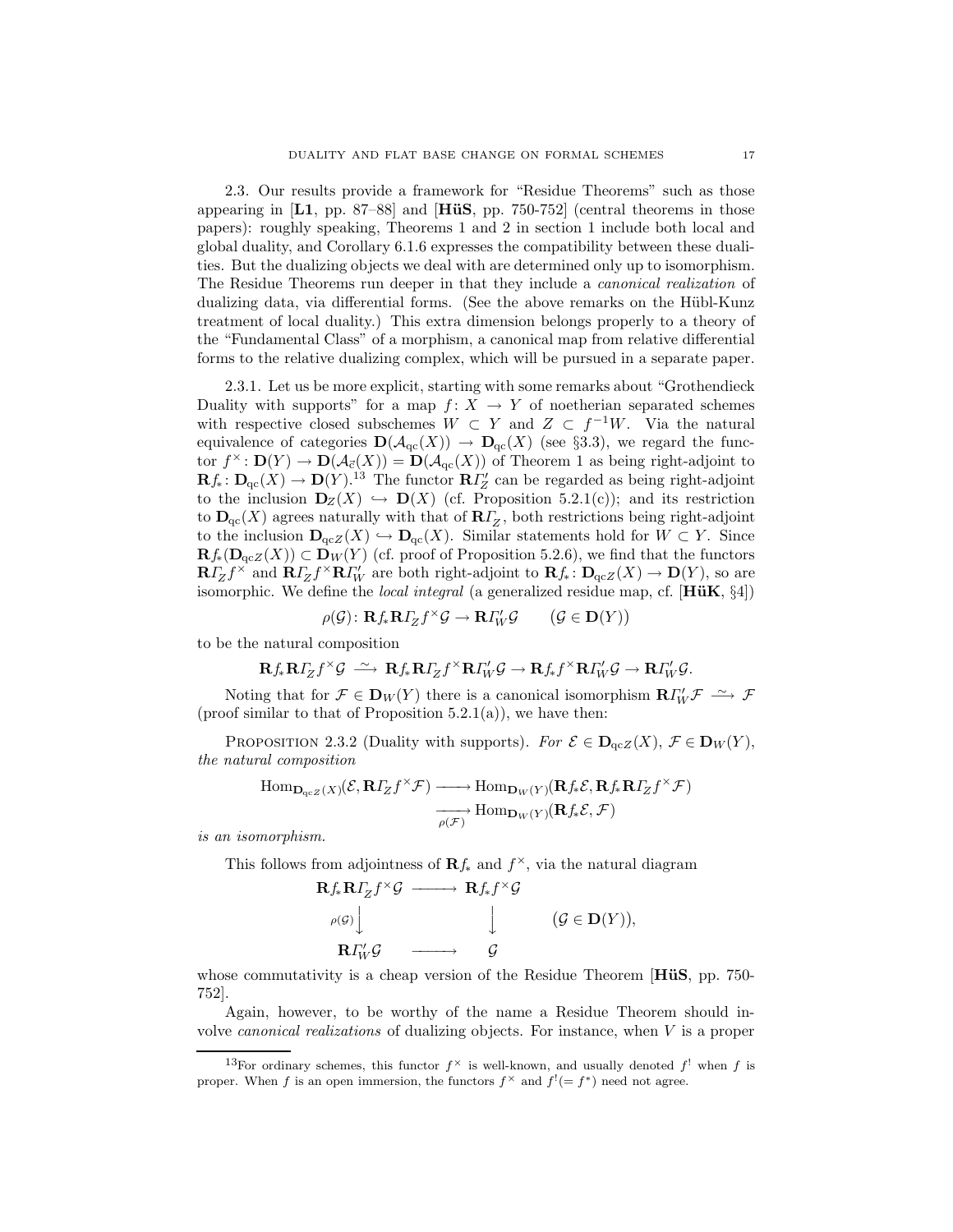2.3. Our results provide a framework for "Residue Theorems" such as those appearing in  $\left[ \text{L1, pp. 87–88} \right]$  and  $\left[ \text{HüS, pp. 750-752} \right]$  (central theorems in those papers): roughly speaking, Theorems 1 and 2 in section 1 include both local and global duality, and Corollary 6.1.6 expresses the compatibility between these dualities. But the dualizing objects we deal with are determined only up to isomorphism. The Residue Theorems run deeper in that they include a canonical realization of dualizing data, via differential forms. (See the above remarks on the Hübl-Kunz treatment of local duality.) This extra dimension belongs properly to a theory of the "Fundamental Class" of a morphism, a canonical map from relative differential forms to the relative dualizing complex, which will be pursued in a separate paper.

2.3.1. Let us be more explicit, starting with some remarks about "Grothendieck Duality with supports" for a map  $f: X \to Y$  of noetherian separated schemes with respective closed subschemes  $W \subset Y$  and  $Z \subset f^{-1}W$ . Via the natural equivalence of categories  $\mathbf{D}(\mathcal{A}_{\text{qc}}(X)) \to \mathbf{D}_{\text{qc}}(X)$  (see §3.3), we regard the functor  $f^{\times} \colon \mathbf{D}(Y) \to \mathbf{D}(\mathcal{A}_{\vec{c}}(X)) = \mathbf{D}(\mathcal{A}_{\text{qc}}(X))$  of Theorem 1 as being right-adjoint to  $\mathbf{R}f_*\colon \mathbf{D}_\mathrm{qc}(X) \to \mathbf{D}(Y).$ <sup>13</sup> The functor  $\mathbf{R}I_Z$  can be regarded as being right-adjoint to the inclusion  $\mathbf{D}_Z(X) \hookrightarrow \mathbf{D}(X)$  (cf. Proposition 5.2.1(c)); and its restriction to  $\mathbf{D}_{\mathrm{qc}}(X)$  agrees naturally with that of  $\mathbf{R} \Gamma_Z$ , both restrictions being right-adjoint to the inclusion  $\mathbf{D}_{\text{qc}Z}(X) \hookrightarrow \mathbf{D}_{\text{qc}}(X)$ . Similar statements hold for  $W \subset Y$ . Since  $\mathbf{R}f_{*}(\mathbf{D}_{\mathrm{qc}Z}(X)) \subset \mathbf{D}_W(Y)$  (cf. proof of Proposition 5.2.6), we find that the functors  $\mathbf{R} \Gamma_Z f^{\times}$  and  $\mathbf{R} \Gamma_Z f^{\times} \mathbf{R} \Gamma_W'$  are both right-adjoint to  $\mathbf{R} f_* \colon \mathbf{D}_{\text{qcZ}}(X) \to \mathbf{D}(Y)$ , so are isomorphic. We define the *local integral* (a generalized residue map, cf.  $[H\ddot{u}K, \S4]$ )

$$
\rho(\mathcal{G})\colon \mathbf{R}f_*\mathbf{R}I_Zf^{\times}\mathcal{G} \to \mathbf{R}I_W'\mathcal{G} \qquad (\mathcal{G} \in \mathbf{D}(Y))
$$

to be the natural composition

$$
\mathbf{R} f_*\mathbf{R} I_Zf^{\times}\mathcal{G} \ \stackrel{\sim}{\longrightarrow}\ \mathbf{R} f_*\mathbf{R} I_Zf^{\times}\mathbf{R} I_W'\mathcal{G} \to \mathbf{R} f_*f^{\times}\mathbf{R} I_W'\mathcal{G} \to \mathbf{R} I_W'\mathcal{G}.
$$

Noting that for  $\mathcal{F} \in \mathbf{D}_W(Y)$  there is a canonical isomorphism  $\mathbf{R} \Gamma'_W \mathcal{F} \longrightarrow \mathcal{F}$ (proof similar to that of Proposition  $5.2.1(a)$ ), we have then:

PROPOSITION 2.3.2 (Duality with supports). For  $\mathcal{E} \in \mathbf{D}_{\mathrm{qcZ}}(X)$ ,  $\mathcal{F} \in \mathbf{D}_W(Y)$ , the natural composition

$$
\text{Hom}_{\mathbf{D}_{\text{qc}Z}(X)}(\mathcal{E}, \mathbf{R}\Gamma_Z f^\times \mathcal{F}) \longrightarrow \text{Hom}_{\mathbf{D}_W(Y)}(\mathbf{R}f_*\mathcal{E}, \mathbf{R}f_*\mathbf{R}\Gamma_Z f^\times \mathcal{F})
$$

$$
\xrightarrow[\rho(\mathcal{F})]{} \text{Hom}_{\mathbf{D}_W(Y)}(\mathbf{R}f_*\mathcal{E}, \mathcal{F})
$$

is an isomorphism.

This follows from adjointness of  $\mathbb{R} f_*$  and  $f^{\times}$ , via the natural diagram

$$
\begin{array}{ccc}\n\mathbf{R} f_* \mathbf{R} T_Z f^{\times} \mathcal{G} & \longrightarrow & \mathbf{R} f_* f^{\times} \mathcal{G} \\
\downarrow & \downarrow & (\mathcal{G} \in \mathbf{D}(Y)), \\
\mathbf{R} T'_W \mathcal{G} & \longrightarrow & \mathcal{G}\n\end{array}
$$

whose commutativity is a cheap version of the Residue Theorem  $[H\ddot{u}S, pp. 750-$ 752].

Again, however, to be worthy of the name a Residue Theorem should involve canonical realizations of dualizing objects. For instance, when V is a proper

<sup>&</sup>lt;sup>13</sup>For ordinary schemes, this functor  $f^{\times}$  is well-known, and usually denoted  $f'$  when f is proper. When f is an open immersion, the functors  $f^{\times}$  and  $f^{!} (= f^*)$  need not agree.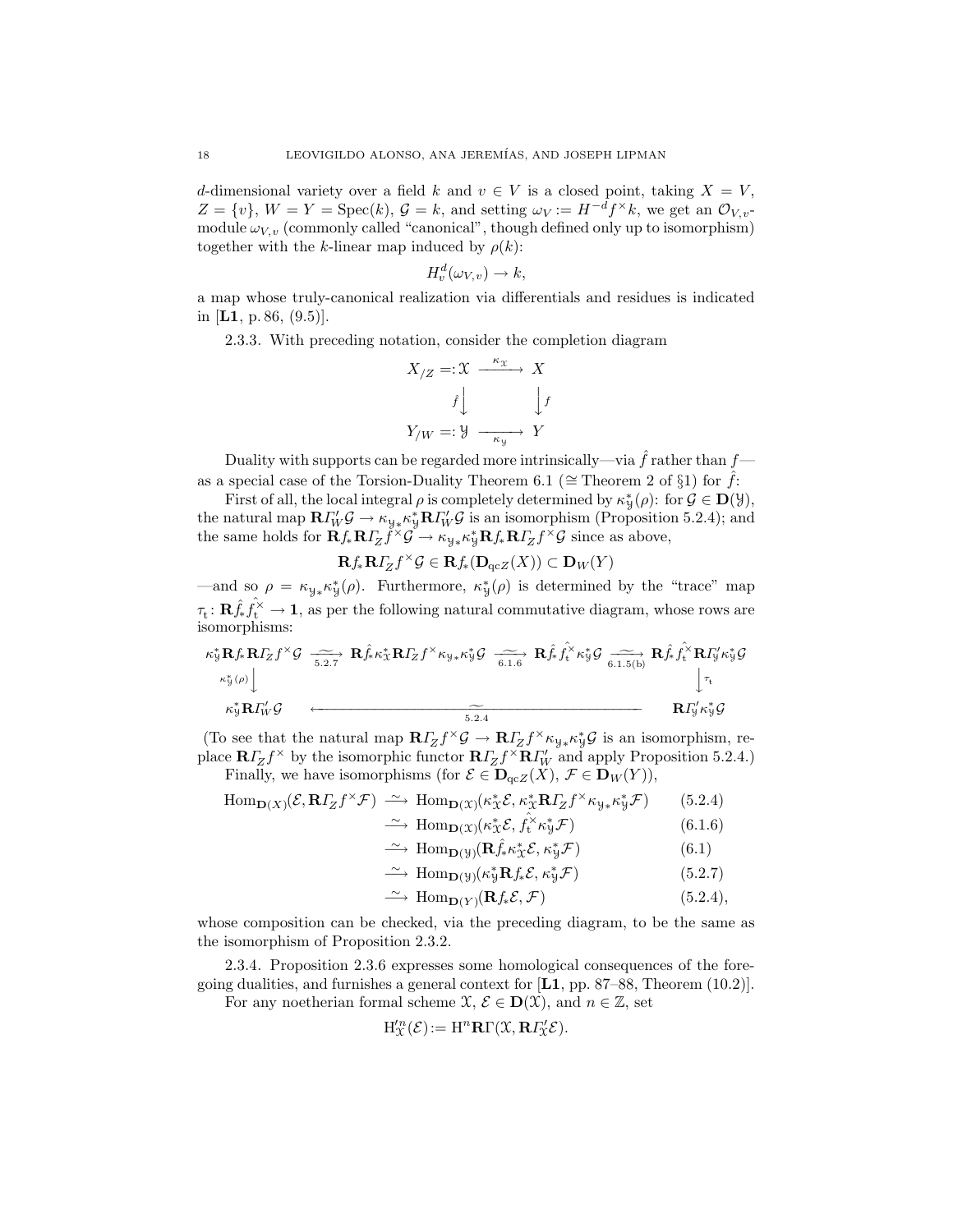d-dimensional variety over a field k and  $v \in V$  is a closed point, taking  $X = V$ ,  $Z = \{v\}, W = Y = \text{Spec}(k), \mathcal{G} = k$ , and setting  $\omega_V := H^{-d} f^{\times} k$ , we get an  $\mathcal{O}_{V, v}$ . module  $\omega_{V,v}$  (commonly called "canonical", though defined only up to isomorphism) together with the k-linear map induced by  $\rho(k)$ :

$$
H_v^d(\omega_{V,v}) \to k,
$$

a map whose truly-canonical realization via differentials and residues is indicated in [L1, p. 86,  $(9.5)$ ].

2.3.3. With preceding notation, consider the completion diagram

$$
X_{/Z} =: \mathcal{X} \xrightarrow{\kappa_{\mathcal{X}}} X
$$

$$
\hat{f} \downarrow \qquad \qquad \downarrow f
$$

$$
Y_{/W} =: \mathcal{Y} \xrightarrow{\kappa_{\mathcal{Y}}} Y
$$

Duality with supports can be regarded more intrinsically—via  $\hat{f}$  rather than  $f$  as a special case of the Torsion-Duality Theorem 6.1 ( $\cong$  Theorem 2 of §1) for  $\hat{f}$ :

First of all, the local integral  $\rho$  is completely determined by  $\kappa^*_{\mathcal{Y}}(\rho)$ : for  $\mathcal{G} \in \mathbf{D}(\mathcal{Y})$ , the natural map  $\mathbf{R}\Gamma'_{W}g \to \kappa_{y*}\kappa_{y}^{*}\mathbf{R}\Gamma'_{W}g$  is an isomorphism (Proposition 5.2.4); and the same holds for  $\mathbf{R} f_* \mathbf{R} \Gamma_Z \check{f}^\times \check{\mathcal{G}} \to \kappa_{\mathcal{Y}*} \kappa_{\mathcal{Y}}^* \mathbf{R} f_* \mathbf{R} \Gamma_Z f^\times \mathcal{G}$  since as above,

$$
\mathbf{R}f_*\mathbf{R}\Gamma_Zf^{\times}\mathcal{G} \in \mathbf{R}f_*(\mathbf{D}_{\mathrm{qc}Z}(X)) \subset \mathbf{D}_W(Y)
$$

—and so  $\rho = \kappa_{y*} \kappa_{y}^{*}(\rho)$ . Furthermore,  $\kappa_{y}^{*}(\rho)$  is determined by the "trace" map  $\tau_t: \mathbf{R} \hat{f}_t \hat{f}_t^{\times} \to \mathbf{1}$ , as per the following natural commutative diagram, whose rows are isomorphisms:

$$
\begin{array}{ccc}\n\kappa_{y}^{*} \mathbf{R} f_{*} \mathbf{R} I_{Z} f^{\times} \mathcal{G} & \xrightarrow[5.2.7]{\sim} & \mathbf{R} \hat{f}_{*} \kappa_{x}^{*} \mathbf{R} I_{Z} f^{\times} \kappa_{y} \cdot \kappa_{y}^{*} \mathcal{G} & \xrightarrow[6.1.6]{\sim} & \mathbf{R} \hat{f}_{*} \hat{f}_{t}^{\times} \kappa_{y}^{*} \mathcal{G} & \xrightarrow[6.1.5(b)]{\sim} & \mathbf{R} \hat{f}_{*} \hat{f}_{t}^{\times} \mathbf{R} I_{y}^{\prime} \kappa_{y}^{*} \mathcal{G} \\
\kappa_{y}^{*} \mathbf{R} I_{W}^{\prime} \mathcal{G} & & \xrightarrow[5.2.4]{\sim} & & \mathbf{R} \hat{f}_{*} \hat{f}_{t}^{\times} \kappa_{y}^{*} \mathcal{G} \\
\downarrow^{\tau_{t}} & & \downarrow^{\tau_{t}} & & \mathbf{R} \hat{f}_{y}^{\prime} \kappa_{y}^{*} \mathcal{G} \\
\end{array}
$$

(To see that the natural map  $\mathbf{R} \Gamma_Z f^{\times} \mathcal{G} \to \mathbf{R} \Gamma_Z f^{\times} \kappa_{\mathcal{Y}*} \kappa_{\mathcal{Y}}^* \mathcal{G}$  is an isomorphism, replace  $\mathbf{R} \Gamma_Z f^{\times}$  by the isomorphic functor  $\mathbf{R} \Gamma_Z f^{\times} \mathbf{R} \Gamma_W'$  and apply Proposition 5.2.4.)

Finally, we have isomorphisms (for  $\mathcal{E} \in \mathbf{D}_{\mathrm{qc}Z}(X)$ ,  $\mathcal{F} \in \mathbf{D}_W(Y)$ ),

$$
\text{Hom}_{\mathbf{D}(X)}(\mathcal{E}, \mathbf{R} I_Z f^\times \mathcal{F}) \xrightarrow{\sim} \text{Hom}_{\mathbf{D}(X)}(\kappa_X^* \mathcal{E}, \kappa_X^* \mathbf{R} I_Z f^\times \kappa_{y*} \kappa_y^* \mathcal{F}) \qquad (5.2.4)
$$
  

$$
\xrightarrow{\sim} \text{Hom}_{\mathbf{D}(X)}(\kappa_X^* \mathcal{E}, \hat{f}_t^\times \kappa_y^* \mathcal{F}) \qquad (6.1.6)
$$

$$
\stackrel{\sim}{\longrightarrow} \text{Hom}_{\mathbf{D}(\mathcal{Y})}(\mathbf{R}\hat{f}_*\kappa^*_{\mathcal{X}}\mathcal{E}, \kappa^*_{\mathcal{Y}}\mathcal{F})
$$
(6.1)

$$
\xrightarrow{\sim} \text{Hom}_{\mathbf{D}(\mathcal{Y})}(\kappa_{\mathcal{Y}}^* \mathbf{R} f_* \mathcal{E}, \kappa_{\mathcal{Y}}^* \mathcal{F}) \tag{5.2.7}
$$

$$
\xrightarrow{\sim} \text{Hom}_{\mathbf{D}(Y)}(\mathbf{R}f_*\mathcal{E}, \mathcal{F}) \tag{5.2.4},
$$

whose composition can be checked, via the preceding diagram, to be the same as the isomorphism of Proposition 2.3.2.

2.3.4. Proposition 2.3.6 expresses some homological consequences of the foregoing dualities, and furnishes a general context for  $\mathbf{L1}$ , pp. 87–88, Theorem (10.2). For any noetherian formal scheme  $\mathfrak{X}, \mathcal{E} \in \mathbf{D}(\mathfrak{X})$ , and  $n \in \mathbb{Z}$ , set

$$
H''_{\mathcal{X}}(\mathcal{E}) := H^{n} \mathbf{R} \Gamma(\mathcal{X}, \mathbf{R} \Gamma'_{\mathcal{X}} \mathcal{E}).
$$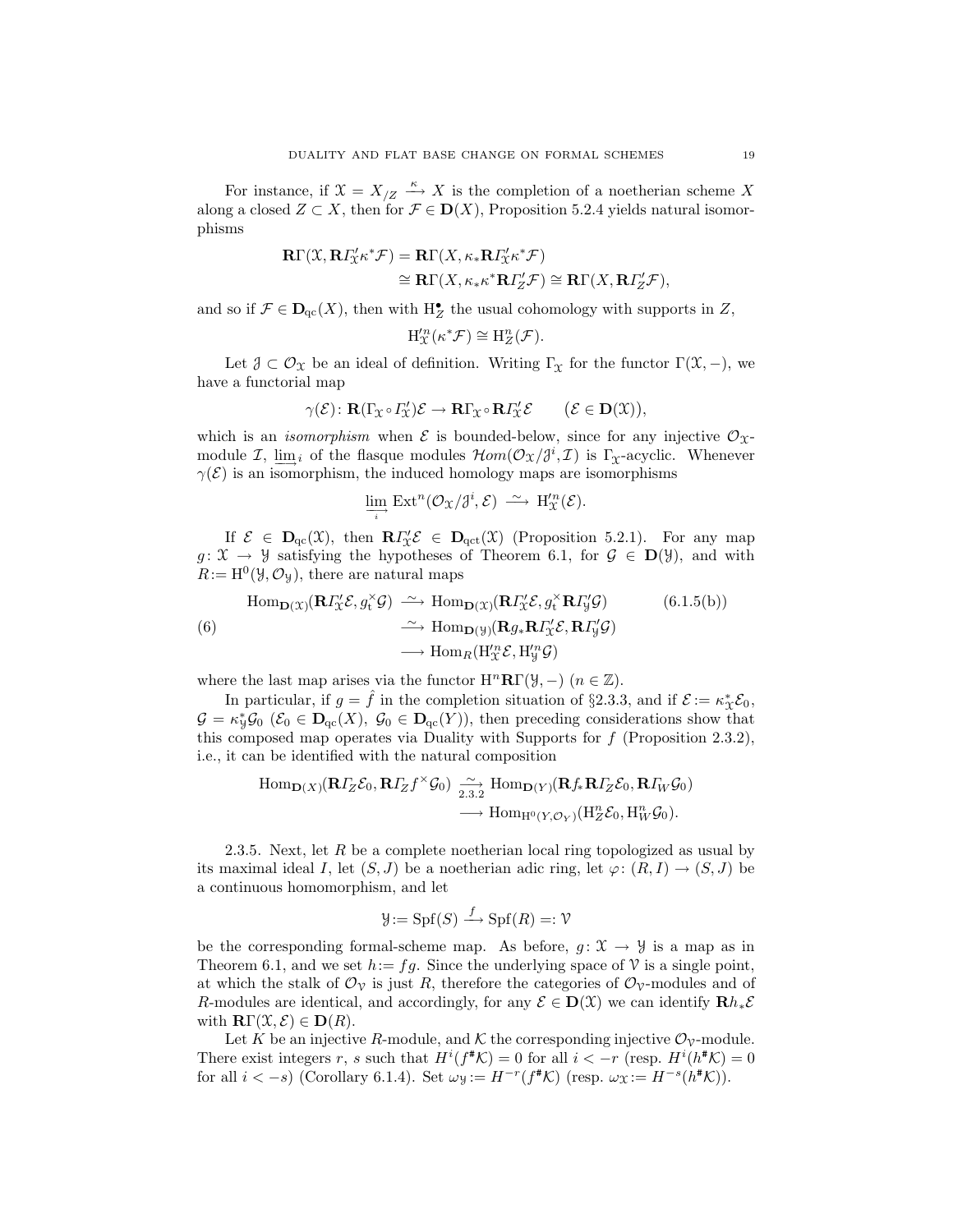For instance, if  $X = X_{/Z} \xrightarrow{\kappa} X$  is the completion of a noetherian scheme X along a closed  $Z \subset X$ , then for  $\mathcal{F} \in \mathbf{D}(X)$ , Proposition 5.2.4 yields natural isomorphisms

$$
\begin{aligned} \mathbf{R} \Gamma(\mathcal{X}, \mathbf{R} I_{\mathcal{X}}^{\prime} \kappa^* \mathcal{F}) & = \mathbf{R} \Gamma(X, \kappa_* \mathbf{R} I_{\mathcal{X}}^{\prime} \kappa^* \mathcal{F}) \\ & \cong \mathbf{R} \Gamma(X, \kappa_* \kappa^* \mathbf{R} I_{\mathcal{Z}}^{\prime} \mathcal{F}) \cong \mathbf{R} \Gamma(X, \mathbf{R} I_{\mathcal{Z}}^{\prime} \mathcal{F}), \end{aligned}
$$

and so if  $\mathcal{F} \in \mathbf{D}_{\mathrm{qc}}(X)$ , then with  $H_Z^{\bullet}$  the usual cohomology with supports in Z,

$$
\mathrm{H}^{\prime n}_\mathfrak{X}(\kappa^*\mathcal{F}) \cong \mathrm{H}^n_Z(\mathcal{F}).
$$

Let  $\mathcal{J} \subset \mathcal{O}_{\mathfrak{X}}$  be an ideal of definition. Writing  $\Gamma_{\mathfrak{X}}$  for the functor  $\Gamma(\mathfrak{X}, -)$ , we have a functorial map

$$
\gamma(\mathcal{E})\colon \mathbf{R}(\Gamma_{\mathfrak{X}}\circ \varGamma_{\mathfrak{X}}')\mathcal{E}\to \mathbf{R}\Gamma_{\mathfrak{X}}\circ \mathbf{R}\varGamma_{\mathfrak{X}}'\mathcal{E}\qquad (\mathcal{E}\in \mathbf{D}(\mathfrak{X})),
$$

which is an *isomorphism* when  $\mathcal E$  is bounded-below, since for any injective  $\mathcal O_{\mathcal X}$ module  $\mathcal{I}$ ,  $\underline{\lim}_{i}$  of the flasque modules  $\mathcal{H}om(\mathcal{O}_{\mathfrak{X}}/\mathfrak{J}^{i}, \mathcal{I})$  is  $\Gamma_{\mathfrak{X}}$ -acyclic. Whenever  $\gamma(\mathcal{E})$  is an isomorphism, the induced homology maps are isomorphisms

$$
\lim_{\longrightarrow} \mathrm{Ext}^n(\mathcal{O}_{\mathfrak{X}}/\mathfrak{F}^i, \mathcal{E}) \longrightarrow \mathrm{H}'^n_{\mathfrak{X}}(\mathcal{E}).
$$

If  $\mathcal{E} \in \mathbf{D}_{\mathrm{qc}}(\mathcal{X})$ , then  $\mathbb{R}I'_{\mathcal{X}}\mathcal{E} \in \mathbf{D}_{\mathrm{qc}t}(\mathcal{X})$  (Proposition 5.2.1). For any map  $g: \mathfrak{X} \to \mathcal{Y}$  satisfying the hypotheses of Theorem 6.1, for  $\mathcal{G} \in \mathbf{D}(\mathcal{Y})$ , and with  $R:=\mathrm{H}^{0}(\mathcal{Y},\mathcal{O}_{\mathcal{Y}}),$  there are natural maps

$$
\text{Hom}_{\mathbf{D}(\mathcal{X})}(\mathbf{R}I_{\mathcal{X}}^{\prime}\mathcal{E}, g_{t}^{\times}\mathcal{G}) \xrightarrow{\sim} \text{Hom}_{\mathbf{D}(\mathcal{X})}(\mathbf{R}I_{\mathcal{X}}^{\prime}\mathcal{E}, g_{t}^{\times}\mathbf{R}I_{\mathcal{Y}}^{\prime}\mathcal{G}) \tag{6.1.5(b)}
$$
\n
$$
\xrightarrow{\sim} \text{Hom}_{\mathbf{D}(\mathcal{Y})}(\mathbf{R}g_{*}\mathbf{R}I_{\mathcal{X}}^{\prime}\mathcal{E}, \mathbf{R}I_{\mathcal{Y}}^{\prime}\mathcal{G})
$$
\n
$$
\xrightarrow{\sim} \text{Hom}_{R}(\text{H}_{\mathcal{X}}^{\prime n}\mathcal{E}, \text{H}_{\mathcal{Y}}^{\prime n}\mathcal{G})
$$

where the last map arises via the functor  $\mathrm{H}^n\mathbf{R}\Gamma(\mathcal{Y},-)$   $(n \in \mathbb{Z})$ .

In particular, if  $g = \hat{f}$  in the completion situation of §2.3.3, and if  $\mathcal{E} := \kappa_{\mathcal{X}}^* \mathcal{E}_0$ ,  $\mathcal{G} = \kappa_{\mathcal{Y}}^*\mathcal{G}_0 \; (\mathcal{E}_0 \in \mathbf{D}_{\mathrm{qc}}(X), \; \mathcal{G}_0 \in \mathbf{D}_{\mathrm{qc}}(Y)),$  then preceding considerations show that this composed map operates via Duality with Supports for  $f$  (Proposition 2.3.2), i.e., it can be identified with the natural composition

$$
\text{Hom}_{\mathbf{D}(X)}(\mathbf{R}\Gamma_Z\mathcal{E}_0,\mathbf{R}\Gamma_Zf^{\times}\mathcal{G}_0)\xrightarrow[2.3.2]{\sim}\text{Hom}_{\mathbf{D}(Y)}(\mathbf{R}f_*\mathbf{R}\Gamma_Z\mathcal{E}_0,\mathbf{R}\Gamma_W\mathcal{G}_0)\longrightarrow\text{Hom}_{\text{H}^0(Y,\mathcal{O}_Y)}(\text{H}_Z^n\mathcal{E}_0,\text{H}_W^n\mathcal{G}_0).
$$

2.3.5. Next, let  $R$  be a complete noetherian local ring topologized as usual by its maximal ideal I, let  $(S, J)$  be a noetherian adic ring, let  $\varphi: (R, I) \to (S, J)$  be a continuous homomorphism, and let

$$
\mathcal{Y} := \mathrm{Spf}(S) \xrightarrow{f} \mathrm{Spf}(R) =: \mathcal{V}
$$

be the corresponding formal-scheme map. As before,  $g: \mathcal{X} \to \mathcal{Y}$  is a map as in Theorem 6.1, and we set  $h:=fg$ . Since the underlying space of  $\mathcal V$  is a single point, at which the stalk of  $\mathcal{O}_{\mathcal{V}}$  is just R, therefore the categories of  $\mathcal{O}_{\mathcal{V}}$ -modules and of R-modules are identical, and accordingly, for any  $\mathcal{E} \in \mathbf{D}(\mathcal{X})$  we can identify  $\mathbf{R}h_*\mathcal{E}$ with  $\mathbf{R}\Gamma(\mathfrak{X},\mathcal{E})\in \mathbf{D}(R)$ .

Let K be an injective R-module, and K the corresponding injective  $\mathcal{O}_v$ -module. There exist integers r, s such that  $H^{i}(f^{*}\mathcal{K}) = 0$  for all  $i < -r$  (resp.  $H^{i}(h^{*}\mathcal{K}) = 0$ for all  $i < -s$ ) (Corollary 6.1.4). Set  $\omega_{\mathcal{Y}} := H^{-r}(f^*\mathcal{K})$  (resp.  $\omega_{\mathcal{X}} := H^{-s}(h^*\mathcal{K})$ ).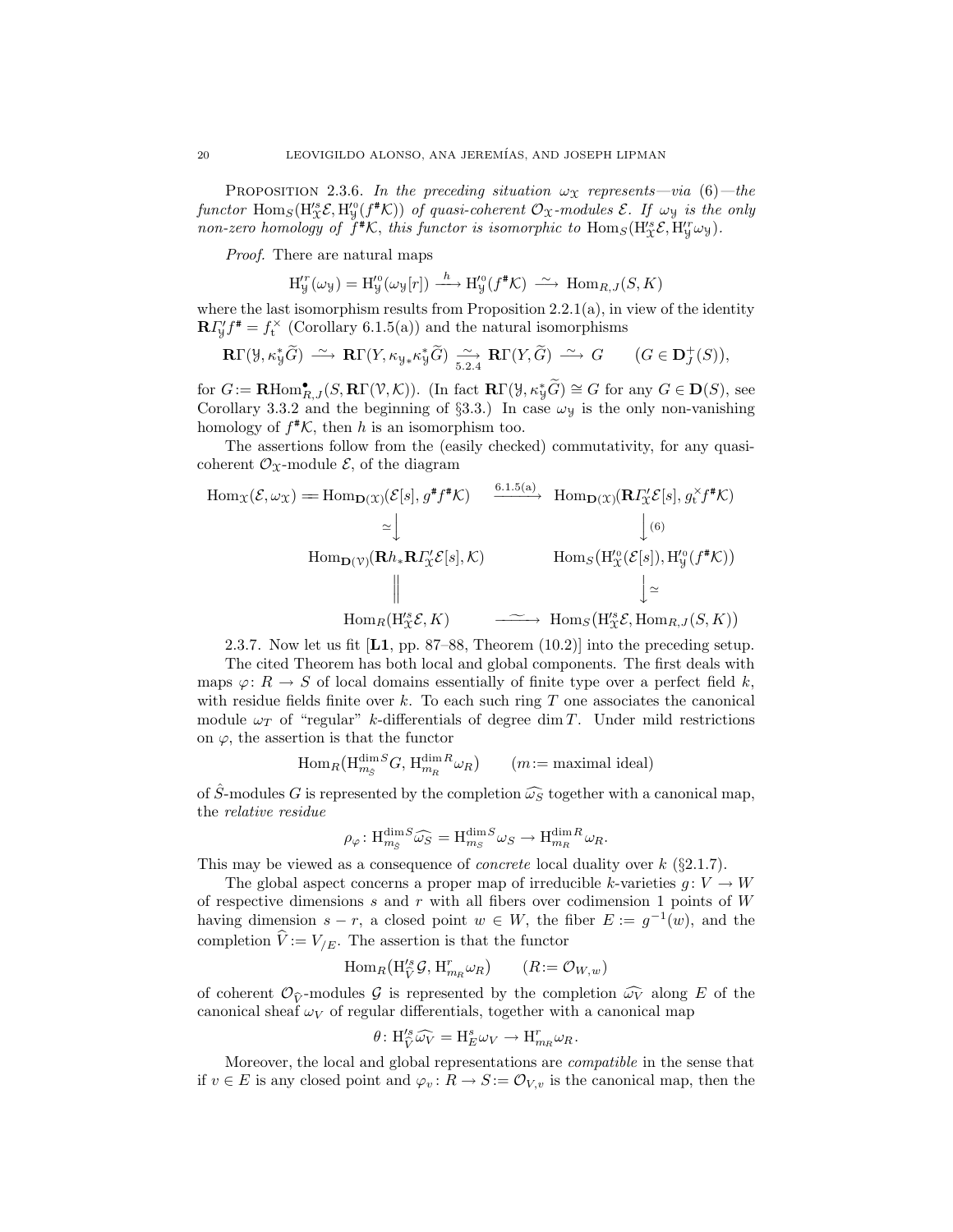PROPOSITION 2.3.6. In the preceding situation  $\omega_{\mathfrak{X}}$  represents—via (6)—the functor  $\text{Hom}_S(H^{ss}_{\mathfrak{X}}\mathcal{E}, H^{s_0}_{\mathfrak{Y}}(f^*\mathcal{K}))$  of quasi-coherent  $\mathcal{O}_{\mathfrak{X}}$ -modules  $\mathcal{E}$ . If  $\omega_{\mathfrak{Y}}$  is the only non-zero homology of  $\ddot{f}^*K$ , this functor is isomorphic to  $\text{Hom}_S(H^s_{\mathcal{X}}\mathcal{E}, H^r_{\mathcal{Y}}\omega_{\mathcal{Y}})$ .

Proof. There are natural maps

$$
H''_y(\omega_y) = H''_y(\omega_y[r]) \xrightarrow{h} H''_y(f^*K) \xrightarrow{\sim} \text{Hom}_{R,J}(S,K)
$$

where the last isomorphism results from Proposition  $2.2.1(a)$ , in view of the identity  $\mathbf{R} \Gamma_{\mathcal{Y}}' f^* = f_t^{\times}$  (Corollary 6.1.5(a)) and the natural isomorphisms

$$
\mathbf{R}\Gamma(\mathcal{Y},\kappa_{\mathcal{Y}}^*\widetilde{G}) \stackrel{\sim}{\longrightarrow} \mathbf{R}\Gamma(Y,\kappa_{\mathcal{Y}*}\kappa_{\mathcal{Y}}^*\widetilde{G}) \stackrel{\sim}{\longrightarrow} \mathbf{R}\Gamma(Y,\widetilde{G}) \stackrel{\sim}{\longrightarrow} G \qquad (G \in \mathbf{D}_J^+(S)),
$$

for  $G := \mathbf{R} \text{Hom}_{R,J}^{\bullet}(S, \mathbf{R}\Gamma(\mathcal{V}, \mathcal{K}))$ . (In fact  $\mathbf{R}\Gamma(\mathcal{Y}, \kappa_{\mathcal{Y}}^* \widetilde{G}) \cong G$  for any  $G \in \mathbf{D}(S)$ , see Corollary 3.3.2 and the beginning of §3.3.) In case  $\omega_y$  is the only non-vanishing homology of  $f^{\#}\mathcal{K}$ , then h is an isomorphism too.

The assertions follow from the (easily checked) commutativity, for any quasicoherent  $\mathcal{O}_\mathfrak{X}$ -module  $\mathcal{E}$ , of the diagram

$$
\text{Hom}_{\mathfrak{X}}(\mathcal{E}, \omega_{\mathfrak{X}}) = \text{Hom}_{\mathbf{D}(\mathfrak{X})}(\mathcal{E}[s], g^* f^* \mathcal{K}) \xrightarrow{\text{6.1.5(a)}} \text{Hom}_{\mathbf{D}(\mathfrak{X})}(\mathbf{R} \Gamma_{\mathfrak{X}}' \mathcal{E}[s], g_{\mathfrak{t}}' f^* \mathcal{K})
$$
\n
$$
\simeq \downarrow \qquad \qquad \downarrow (6)
$$
\n
$$
\text{Hom}_{\mathbf{D}(\mathcal{V})}(\mathbf{R} h_* \mathbf{R} \Gamma_{\mathfrak{X}}' \mathcal{E}[s], \mathcal{K}) \qquad \text{Hom}_{S}(\text{H}_{\mathfrak{X}}^{\prime 0}(\mathcal{E}[s]), \text{H}_{\mathfrak{Y}}^{\prime 0}(f^* \mathcal{K}))
$$
\n
$$
\parallel \qquad \qquad \downarrow \simeq
$$
\n
$$
\text{Hom}_{R}(\text{H}_{\mathfrak{X}}^{\prime s} \mathcal{E}, K) \qquad \longrightarrow \text{Hom}_{S}(\text{H}_{\mathfrak{X}}^{\prime s} \mathcal{E}, \text{Hom}_{R,J}(S, K))
$$

2.3.7. Now let us fit  $[L1, pp. 87–88, Theorem (10.2)]$  into the preceding setup.

The cited Theorem has both local and global components. The first deals with maps  $\varphi: R \to S$  of local domains essentially of finite type over a perfect field k, with residue fields finite over  $k$ . To each such ring  $T$  one associates the canonical module  $\omega_T$  of "regular" k-differentials of degree dim T. Under mild restrictions on  $\varphi$ , the assertion is that the functor

$$
\text{Hom}_{R}(\text{H}^{\dim S}_{m_{S}}G, \text{H}^{\dim R}_{m_{R}}\omega_{R}) \qquad (m := \text{maximal ideal})
$$

of  $\hat{S}$ -modules G is represented by the completion  $\widehat{\omega_S}$  together with a canonical map, the relative residue

$$
\rho_{\varphi}\colon \mathrm{H}^{\dim S}_{m_{\tilde{S}}}\widehat{\omega_S}=\mathrm{H}^{\dim S}_{m_S}\omega_S\to \mathrm{H}^{\dim R}_{m_R}\omega_R.
$$

This may be viewed as a consequence of *concrete* local duality over  $k$  (§2.1.7).

The global aspect concerns a proper map of irreducible k-varieties  $q: V \to W$ of respective dimensions  $s$  and  $r$  with all fibers over codimension 1 points of  $W$ having dimension  $s - r$ , a closed point  $w \in W$ , the fiber  $E := g^{-1}(w)$ , and the completion  $\hat{V} := V_{/E}$ . The assertion is that the functor

$$
\operatorname{Hom}_R(\mathrm{H}'^s_{\widehat{V}}\mathcal{G}, \mathrm{H}'_{m_R}\omega_R) \qquad (R := \mathcal{O}_{W,w})
$$

of coherent  $\mathcal{O}_{\hat{V}}$ -modules G is represented by the completion  $\widehat{\omega_V}$  along E of the canonical sheaf  $\omega_V$  of regular differentials, together with a canonical map

$$
\theta\colon \mathrm{H}'^s_{\widehat{V}}\widehat{\omega_V} = \mathrm{H}^s_E\omega_V \to \mathrm{H}^r_{m_R}\omega_R.
$$

Moreover, the local and global representations are compatible in the sense that if  $v \in E$  is any closed point and  $\varphi_v : R \to S := \mathcal{O}_{V,v}$  is the canonical map, then the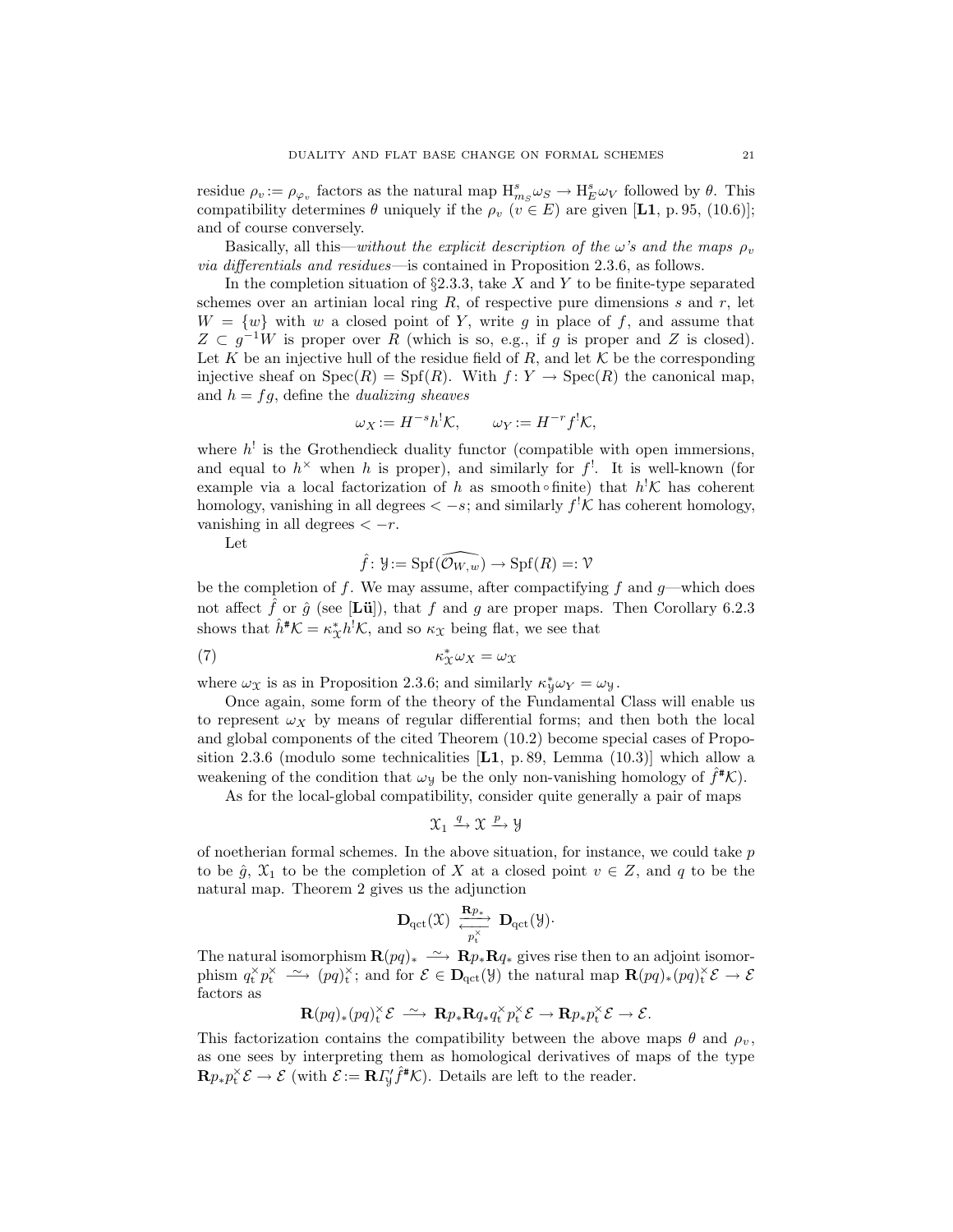residue  $\rho_v := \rho_{\varphi_v}$  factors as the natural map  $H_{ms}^s \omega_S \to H_E^s \omega_V$  followed by  $\theta$ . This compatibility determines  $\theta$  uniquely if the  $\rho_v$  ( $v \in E$ ) are given [L1, p. 95, (10.6)]; and of course conversely.

Basically, all this—without the explicit description of the  $\omega$ 's and the maps  $\rho_v$ via differentials and residues—is contained in Proposition 2.3.6, as follows.

In the completion situation of  $\S2.3.3$ , take X and Y to be finite-type separated schemes over an artinian local ring  $R$ , of respective pure dimensions s and  $r$ , let  $W = \{w\}$  with w a closed point of Y, write g in place of f, and assume that  $Z \subset g^{-1}W$  is proper over R (which is so, e.g., if g is proper and Z is closed). Let K be an injective hull of the residue field of  $R$ , and let K be the corresponding injective sheaf on  $Spec(R) = Spf(R)$ . With  $f: Y \to Spec(R)$  the canonical map, and  $h = fg$ , define the *dualizing sheaves* 

$$
\omega_X := H^{-s}h^!\mathcal{K}, \qquad \omega_Y := H^{-r}f^!\mathcal{K},
$$

where  $h^!$  is the Grothendieck duality functor (compatible with open immersions, and equal to  $h^{\times}$  when h is proper), and similarly for  $f^!$ . It is well-known (for example via a local factorization of h as smooth • finite) that  $h^{\dagger}K$  has coherent homology, vanishing in all degrees  $\langle -s;$  and similarly  $f^{\dagger} \mathcal{K}$  has coherent homology, vanishing in all degrees  $\langle -r$ .

Let

$$
\hat{f} \colon \mathcal{Y} := \operatorname{Spf}(\widehat{\mathcal{O}_{W,w}}) \to \operatorname{Spf}(R) =: \mathcal{V}
$$

be the completion of f. We may assume, after compactifying f and  $g$ —which does not affect  $\hat{f}$  or  $\hat{g}$  (see [Lü]), that f and g are proper maps. Then Corollary 6.2.3 shows that  $\hat{h}^{\#}\mathcal{K} = \kappa_{\mathcal{X}}^*h^{\dagger}\mathcal{K}$ , and so  $\kappa_{\mathcal{X}}$  being flat, we see that

$$
\kappa_X^* \omega_X = \omega_X
$$

where  $\omega_{\mathfrak{X}}$  is as in Proposition 2.3.6; and similarly  $\kappa_{\mathfrak{Y}}^* \omega_Y = \omega_{\mathfrak{Y}}$ .

Once again, some form of the theory of the Fundamental Class will enable us to represent  $\omega_X$  by means of regular differential forms; and then both the local and global components of the cited Theorem (10.2) become special cases of Proposition 2.3.6 (modulo some technicalities  $[L1, p. 89, Lemma (10.3)]$  which allow a weakening of the condition that  $\omega_y$  be the only non-vanishing homology of  $\hat{f}^{\#}\mathcal{K}$ .

As for the local-global compatibility, consider quite generally a pair of maps

$$
\mathfrak{X}_1\xrightarrow{q}\mathfrak{X}\xrightarrow{p}\mathfrak{Y}
$$

of noetherian formal schemes. In the above situation, for instance, we could take  $p$ to be  $\hat{g}$ ,  $\mathfrak{X}_1$  to be the completion of X at a closed point  $v \in Z$ , and q to be the natural map. Theorem 2 gives us the adjunction

$$
\mathbf{D}_{\operatorname{qct}}(\mathfrak{X}) \ \xrightarrow[\hbox{$p^{\times}_t$}]{\mathbf{R}p_*} \ \mathbf{D}_{\operatorname{qct}}(\mathfrak{Y})\cdot
$$

The natural isomorphism  $\mathbf{R}(pq)_* \longrightarrow \mathbf{R}p_*\mathbf{R}q_*$  gives rise then to an adjoint isomorphism  $q_t^{\times} p_t^{\times} \longrightarrow (pq)_t^{\times}$ ; and for  $\mathcal{E} \in \mathbf{D}_{\text{qct}}(\mathcal{Y})$  the natural map  $\mathbf{R}(pq)_*(pq)_t^{\times} \mathcal{E} \longrightarrow \mathcal{E}$ factors as

$$
\mathbf{R}(pq)_*(pq)_t^{\times} \mathcal{E} \longrightarrow \mathbf{R}p_*\mathbf{R}q_*q_t^{\times}p_t^{\times} \mathcal{E} \longrightarrow \mathbf{R}p_*p_t^{\times} \mathcal{E} \longrightarrow \mathcal{E}.
$$

This factorization contains the compatibility between the above maps  $\theta$  and  $\rho_v$ , as one sees by interpreting them as homological derivatives of maps of the type  $\mathbf{R} p_* p_t^{\times} \mathcal{E} \to \mathcal{E}$  (with  $\mathcal{E} := \mathbf{R} \Gamma'_y \hat{f}^{\#} \mathcal{K}$ ). Details are left to the reader.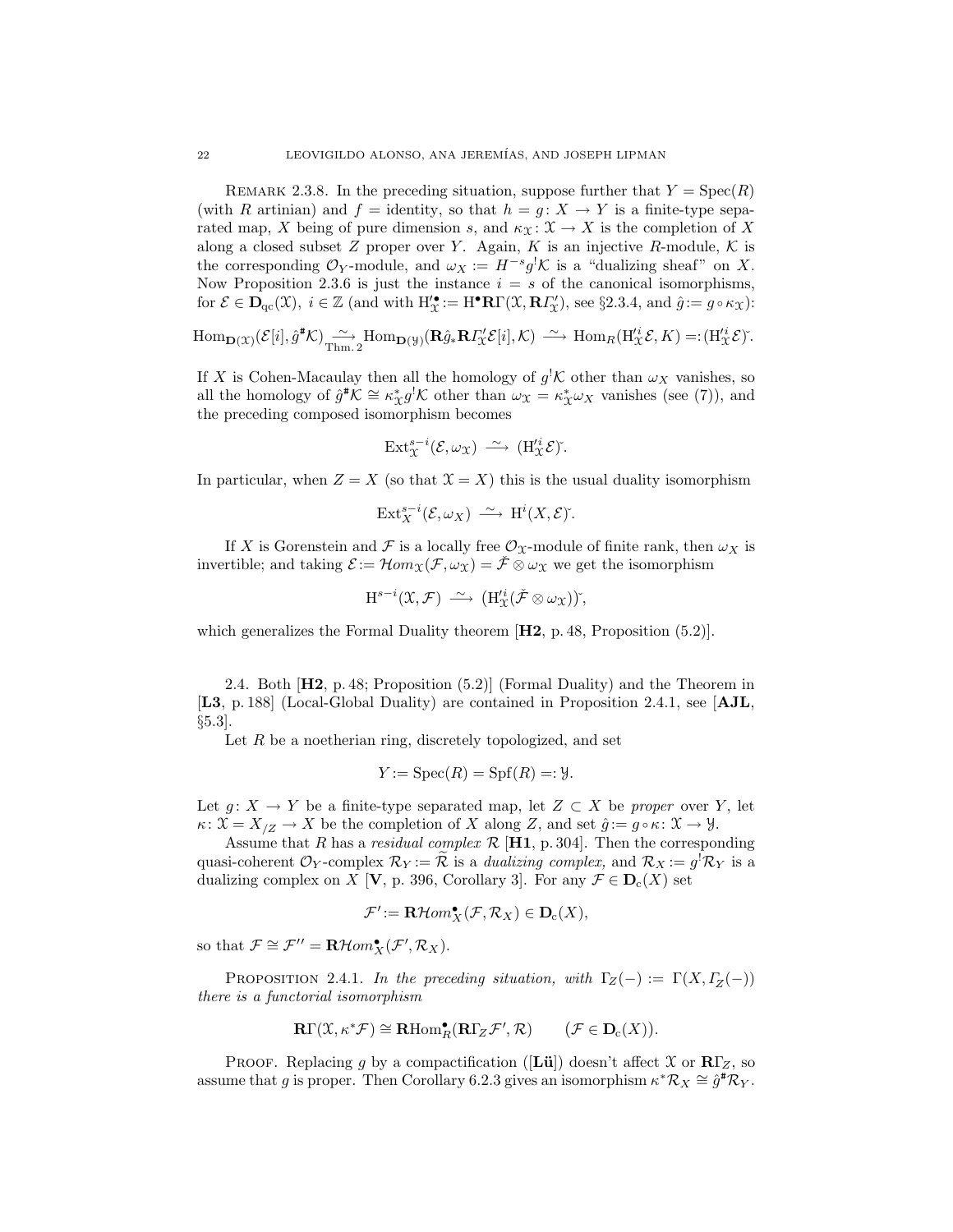REMARK 2.3.8. In the preceding situation, suppose further that  $Y = \text{Spec}(R)$ (with R artinian) and  $f =$  identity, so that  $h = g: X \to Y$  is a finite-type separated map, X being of pure dimension s, and  $\kappa_{\mathfrak{X}}: \mathfrak{X} \to X$  is the completion of X along a closed subset  $Z$  proper over  $Y$ . Again,  $K$  is an injective  $R$ -module,  $K$  is the corresponding  $\mathcal{O}_Y$ -module, and  $\omega_X := H^{-s} g^! \mathcal{K}$  is a "dualizing sheaf" on X. Now Proposition 2.3.6 is just the instance  $i = s$  of the canonical isomorphisms, for  $\mathcal{E} \in \mathbf{D}_{\mathrm{qc}}(\mathfrak{X}), i \in \mathbb{Z}$  (and with  $H'_{\mathfrak{X}} := H^{\bullet} \mathbf{R} \Gamma(\mathfrak{X}, \mathbf{R} I'_{\mathfrak{X}})$ , see §2.3.4, and  $\hat{g} := g \circ \kappa_{\mathfrak{X}}$ ):

 $\text{Hom}_{\mathbf{D}(\mathcal{X})}(\mathcal{E}[i], \hat{g}^{\#}\mathcal{K}) \longrightarrow \text{Hom}_{\mathbf{D}(\mathcal{Y})}(\mathbf{R}\hat{g}_{*}\mathbf{R}I_{\mathcal{X}}^{\prime}\mathcal{E}[i], \mathcal{K}) \longrightarrow \text{Hom}_{R}(\text{H}_{\mathcal{X}}^{\prime i}\mathcal{E}, K) =: (\text{H}_{\mathcal{X}}^{\prime i}\mathcal{E})^{\cdot}.$ 

If X is Cohen-Macaulay then all the homology of  $g^{\dagger}$ K other than  $\omega_X$  vanishes, so all the homology of  $\hat{g}^* \mathcal{K} \cong \kappa_X^* g^! \mathcal{K}$  other than  $\omega_X = \kappa_X^* \omega_X$  vanishes (see (7)), and the preceding composed isomorphism becomes

$$
\mathrm{Ext}^{s-i}_{\mathfrak{X}}(\mathcal{E},\omega_{\mathfrak{X}}) \stackrel{\sim}{\longrightarrow} (\mathrm{H}'^i_{\mathfrak{X}}\mathcal{E})^{\check{}}.
$$

In particular, when  $Z = X$  (so that  $\mathcal{X} = X$ ) this is the usual duality isomorphism

$$
\text{Ext}^{s-i}_X(\mathcal{E}, \omega_X) \stackrel{\sim}{\longrightarrow} \text{H}^i(X, \mathcal{E})^{\check{}}.
$$

If X is Gorenstein and F is a locally free  $\mathcal{O}_{\mathfrak{X}}$ -module of finite rank, then  $\omega_X$  is invertible; and taking  $\mathcal{E} := \mathcal{H}om_{\mathcal{X}}(\mathcal{F}, \omega_{\mathcal{X}}) = \check{\mathcal{F}} \otimes \omega_{\mathcal{X}}$  we get the isomorphism

 $\text{H}^{s-i}(\mathfrak{X}, \mathcal{F}) \longrightarrow (\text{H}'^i_{\mathfrak{X}}(\check{\mathcal{F}} \otimes \omega_{\mathfrak{X}}))$ <sup>\*</sup>,

which generalizes the Formal Duality theorem [**H2**, p. 48, Proposition  $(5.2)$ ].

2.4. Both [H2, p. 48; Proposition (5.2)] (Formal Duality) and the Theorem in [L3, p. 188] (Local-Global Duality) are contained in Proposition 2.4.1, see [AJL,  $\S5.3$ .

Let  $R$  be a noetherian ring, discretely topologized, and set

$$
Y := \operatorname{Spec}(R) = \operatorname{Spf}(R) =: \mathcal{Y}.
$$

Let  $g: X \to Y$  be a finite-type separated map, let  $Z \subset X$  be proper over Y, let  $\kappa: \mathfrak{X} = X_{\mathfrak{Z}} \to X$  be the completion of X along Z, and set  $\hat{g} := g \circ \kappa: \mathfrak{X} \to \mathcal{Y}$ .

Assume that R has a residual complex  $\mathcal{R}$  [H1, p. 304]. Then the corresponding quasi-coherent  $\mathcal{O}_Y$ -complex  $\mathcal{R}_Y := \mathcal{R}$  is a *dualizing complex*, and  $\mathcal{R}_X := g^! \mathcal{R}_Y$  is a dualizing complex on X [V, p. 396, Corollary 3]. For any  $\mathcal{F} \in \mathbf{D}_{c}(X)$  set

$$
\mathcal{F}' := \mathbf{R}\mathcal{H}om_{X}^{\bullet}(\mathcal{F}, \mathcal{R}_X) \in \mathbf{D}_c(X),
$$

so that  $\mathcal{F} \cong \mathcal{F}'' = \mathbf{R} \mathcal{H} om_{X}^{\bullet}(\mathcal{F}', \mathcal{R}_{X}).$ 

PROPOSITION 2.4.1. In the preceding situation, with  $\Gamma_Z(-) := \Gamma(X, \Gamma_Z(-))$ there is a functorial isomorphism

$$
\mathbf{R}\Gamma(\mathfrak{X},\kappa^*\mathcal{F})\cong\mathbf{R}\mathrm{Hom}_R^\bullet(\mathbf{R}\Gamma_Z\mathcal{F}',\mathcal{R})\qquad\big(\mathcal{F}\in\mathbf{D}_c(X)\big).
$$

PROOF. Replacing g by a compactification ([Lŭ]) doesn't affect  $\mathfrak{X}$  or  $\mathbb{R}\Gamma_Z$ , so assume that g is proper. Then Corollary 6.2.3 gives an isomorphism  $\kappa^* \mathcal{R}_X \cong \hat{g}^* \mathcal{R}_Y$ .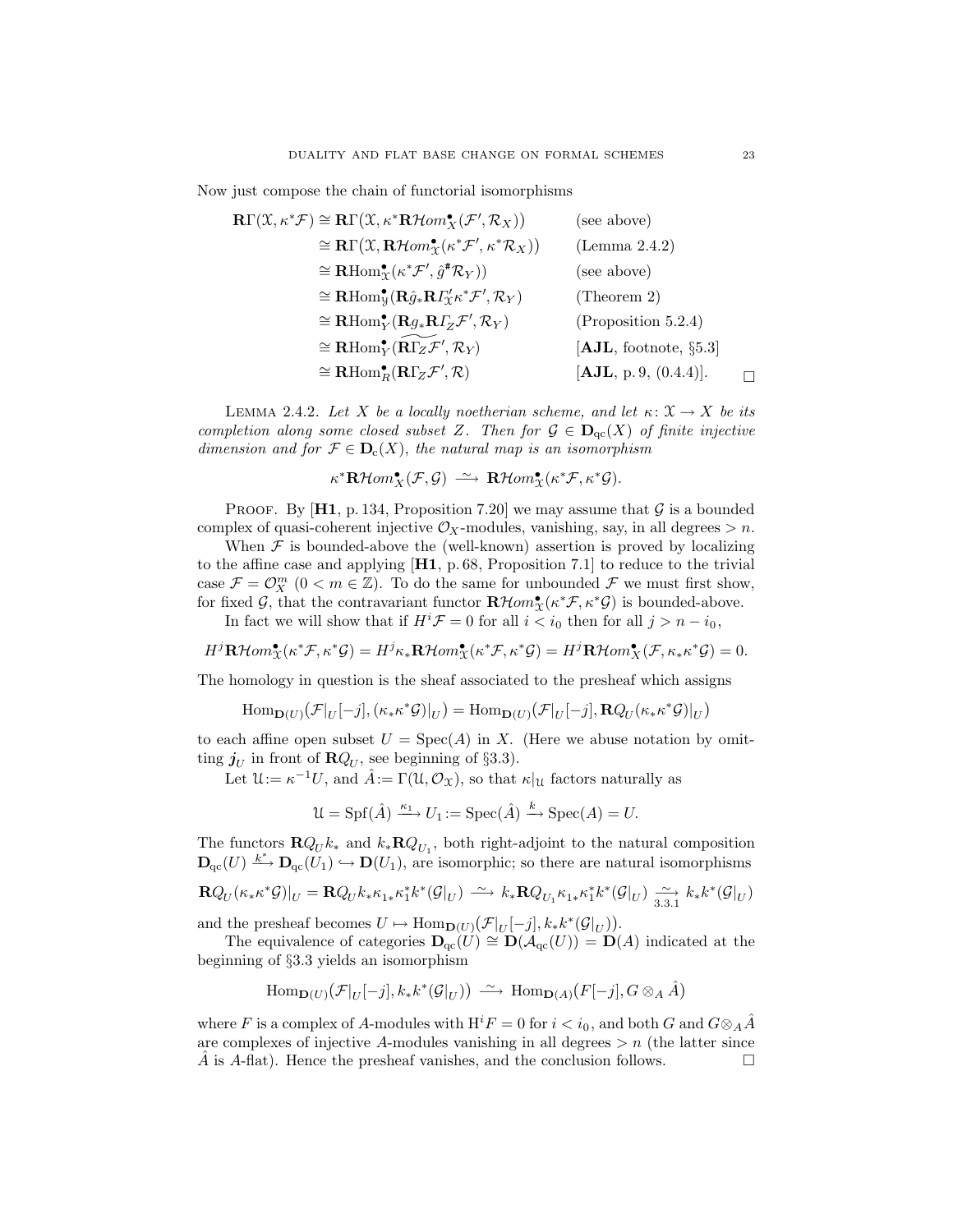Now just compose the chain of functorial isomorphisms

$$
\begin{aligned}\n\mathbf{R}\Gamma(\mathcal{X}, \kappa^* \mathcal{F}) &\cong \mathbf{R}\Gamma(\mathcal{X}, \kappa^* \mathbf{R} \mathcal{H}om_{\mathbf{X}}^{\bullet}(\mathcal{F}', \mathcal{R}_X)) & \text{(see above)} \\
&\cong \mathbf{R}\Gamma(\mathcal{X}, \mathbf{R} \mathcal{H}om_{\mathbf{X}}^{\bullet}(\kappa^* \mathcal{F}', \kappa^* \mathcal{R}_X)) & \text{(Lemma 2.4.2)} \\
&\cong \mathbf{R}\text{Hom}_{\mathbf{X}}^{\bullet}(\kappa^* \mathcal{F}', \hat{g}^* \mathcal{R}_Y)) & \text{(see above)} \\
&\cong \mathbf{R}\text{Hom}_{\mathbf{Y}}^{\bullet}(\mathbf{R}\hat{g}_* \mathbf{R} \Gamma_{\mathbf{X}}^{\prime} \kappa^* \mathcal{F}', \mathcal{R}_Y) & \text{(Theorem 2)} \\
&\cong \mathbf{R}\text{Hom}_{\mathbf{Y}}^{\bullet}(\mathbf{R}g_* \mathbf{R} \Gamma_Z \mathcal{F}', \mathcal{R}_Y) & \text{(Proposition 5.2.4)} \\
&\cong \mathbf{R}\text{Hom}_{\mathbf{Y}}^{\bullet}(\mathbf{R}\Gamma_Z \mathcal{F}', \mathcal{R}_Y) & \text{[AJL, footnote, §5.3]} \\
&\cong \mathbf{R}\text{Hom}_{\mathbf{R}}^{\bullet}(\mathbf{R}\Gamma_Z \mathcal{F}', \mathcal{R}) & \text{[AJL, p. 9, (0.4.4)].} \end{aligned}
$$

LEMMA 2.4.2. Let X be a locally noetherian scheme, and let  $\kappa: \mathfrak{X} \to X$  be its completion along some closed subset Z. Then for  $\mathcal{G} \in \mathbf{D}_{\mathrm{qc}}(X)$  of finite injective dimension and for  $\mathcal{F} \in \mathbf{D}_{c}(X)$ , the natural map is an isomorphism

$$
\kappa^*{\mathbf R}{\mathcal H}om_{X}^\bullet({\mathcal F},{\mathcal G})\ \stackrel{\sim}{\longrightarrow}\ {\mathbf R}{\mathcal H}om_{X}^\bullet(\kappa^*{\mathcal F},\kappa^*{\mathcal G}).
$$

PROOF. By [H1, p. 134, Proposition 7.20] we may assume that  $\mathcal G$  is a bounded complex of quasi-coherent injective  $\mathcal{O}_X$ -modules, vanishing, say, in all degrees  $> n$ .

When  $F$  is bounded-above the (well-known) assertion is proved by localizing to the affine case and applying [H1, p. 68, Proposition 7.1] to reduce to the trivial case  $\mathcal{F} = \mathcal{O}_X^m$   $(0 < m \in \mathbb{Z})$ . To do the same for unbounded  $\mathcal{F}$  we must first show, for fixed G, that the contravariant functor  $\mathbf{R}\mathcal{H}om_{\mathcal{X}}^{\bullet}(\kappa^*\mathcal{F},\kappa^*\mathcal{G})$  is bounded-above.

In fact we will show that if  $H^{i} \mathcal{F} = 0$  for all  $i < i_0$  then for all  $j > n - i_0$ ,

$$
H^j\mathbf{R}\mathcal{H}om_{\mathcal{X}}^{\bullet}(\kappa^*\mathcal{F},\kappa^*\mathcal{G})=H^j\kappa_*\mathbf{R}\mathcal{H}om_{\mathcal{X}}^{\bullet}(\kappa^*\mathcal{F},\kappa^*\mathcal{G})=H^j\mathbf{R}\mathcal{H}om_{\mathcal{X}}^{\bullet}(\mathcal{F},\kappa_*\kappa^*\mathcal{G})=0.
$$

The homology in question is the sheaf associated to the presheaf which assigns

$$
\mathrm{Hom}_{\mathbf{D}(U)}(\mathcal{F}|_U[-j],(\kappa_*\kappa^*\mathcal{G})|_U)=\mathrm{Hom}_{\mathbf{D}(U)}(\mathcal{F}|_U[-j],\mathbf{R}Q_U(\kappa_*\kappa^*\mathcal{G})|_U)
$$

to each affine open subset  $U = \text{Spec}(A)$  in X. (Here we abuse notation by omitting  $j_U$  in front of  $\mathbf{R}Q_U$ , see beginning of §3.3).

Let  $\mathcal{U} := \kappa^{-1} U$ , and  $\hat{A} := \Gamma(\mathcal{U}, \mathcal{O}_\mathcal{X})$ , so that  $\kappa|_{\mathcal{U}}$  factors naturally as

 $\mathcal{U} = \text{Spf}(\hat{A}) \xrightarrow{\kappa_1} U_1 := \text{Spec}(\hat{A}) \xrightarrow{k} \text{Spec}(A) = U.$ 

The functors  $\mathbf{R}Q_U k_*$  and  $k_* \mathbf{R}Q_{U_1}$ , both right-adjoint to the natural composition  $\mathbf{D}_{\mathrm{qc}}(U) \xrightarrow{k^*} \mathbf{D}_{\mathrm{qc}}(U_1) \hookrightarrow \mathbf{D}(U_1)$ , are isomorphic; so there are natural isomorphisms

$$
\mathbf{R}Q_{U}(\kappa_{*}\kappa^{*}\mathcal{G})|_{U} = \mathbf{R}Q_{U}k_{*}\kappa_{1*}\kappa_{1}^{*}k^{*}(\mathcal{G}|_{U}) \stackrel{\sim}{\longrightarrow} k_{*}\mathbf{R}Q_{U_{1}}\kappa_{1*}\kappa_{1}^{*}k^{*}(\mathcal{G}|_{U}) \stackrel{\sim}{\underset{3.3.1}{\longrightarrow}} k_{*}k^{*}(\mathcal{G}|_{U})
$$

and the presheaf becomes  $U \mapsto \text{Hom}_{\mathbf{D}(U)}(\mathcal{F}|_U[-j], k_*k^*(\mathcal{G}|_U)).$ 

The equivalence of categories  $\mathbf{D}_{qc}(U) \cong \mathbf{D}(\mathcal{A}_{qc}(U)) = \mathbf{D}(A)$  indicated at the beginning of §3.3 yields an isomorphism

$$
\operatorname{Hom}\nolimits_{{\mathbf D}(U)}({\mathcal F}|_U[-j],k_*k^*({\mathcal G}|_U))\ \stackrel{\sim}{\longrightarrow}\ \operatorname{Hom}\nolimits_{{\mathbf D}(A)}(F[-j],G\otimes_A \hat{A})
$$

where F is a complex of A-modules with  $H^iF = 0$  for  $i < i_0$ , and both G and  $G \otimes_A A^T$ are complexes of injective A-modules vanishing in all degrees  $>n$  (the latter since A is A-flat). Hence the presheaf vanishes, and the conclusion follows.  $\Box$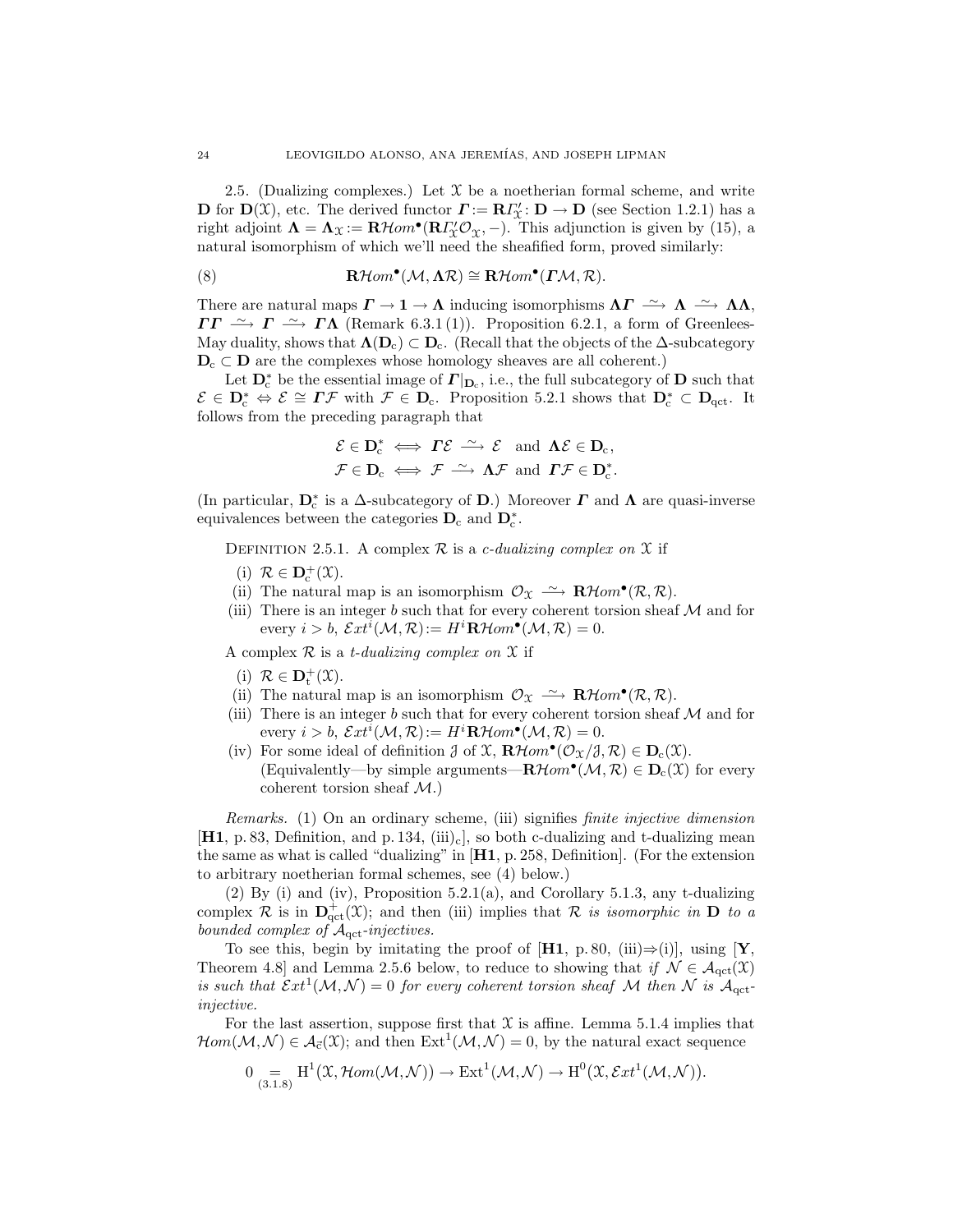2.5. (Dualizing complexes.) Let  $X$  be a noetherian formal scheme, and write **D** for  $\mathbf{D}(\mathcal{X})$ , etc. The derived functor  $\mathbf{\Gamma} := \mathbf{R}\mathbf{\Gamma}'_{\mathcal{X}} : \mathbf{D} \to \mathbf{D}$  (see Section 1.2.1) has a right adjoint  $\Lambda = \Lambda_{\mathfrak{X}} := \mathbf{R}\mathcal{H}om^{\bullet}(\mathbf{R}I_{\mathfrak{X}}^{\prime}\mathcal{O}_{\mathfrak{X}},-)$ . This adjunction is given by (15), a natural isomorphism of which we'll need the sheafified form, proved similarly:

(8) 
$$
\mathbf{R}\mathcal{H}om^{\bullet}(\mathcal{M}, \Lambda \mathcal{R}) \cong \mathbf{R}\mathcal{H}om^{\bullet}(\Gamma \mathcal{M}, \mathcal{R}).
$$

There are natural maps  $\Gamma \to 1 \to \Lambda$  inducing isomorphisms  $\Lambda \Gamma \stackrel{\sim}{\longrightarrow} \Lambda \stackrel{\sim}{\longrightarrow} \Lambda \Lambda$ ,  $\Gamma\Gamma \longrightarrow \Gamma \longrightarrow \Gamma\Lambda$  (Remark 6.3.1(1)). Proposition 6.2.1, a form of Greenlees-May duality, shows that  $\Lambda(D_c) \subset D_c$ . (Recall that the objects of the  $\Delta$ -subcategory  $D_c \subset D$  are the complexes whose homology sheaves are all coherent.)

Let  $\mathbf{D}_{c}^{*}$  be the essential image of  $\mathbf{\Gamma} |_{\mathbf{D}_{c}}$ , i.e., the full subcategory of  $\mathbf{D}$  such that  $\mathcal{E} \in \mathbb{D}_{c}^{*} \Leftrightarrow \mathcal{E} \cong \Gamma \mathcal{F}$  with  $\mathcal{F} \in \mathbb{D}_{c}$ . Proposition 5.2.1 shows that  $\mathbb{D}_{c}^{*} \subset \mathbb{D}_{qct}$ . It follows from the preceding paragraph that

$$
\mathcal{E} \in \mathbf{D}_{\mathrm{c}}^* \iff \Gamma \mathcal{E} \stackrel{\sim}{\longrightarrow} \mathcal{E} \text{ and } \Lambda \mathcal{E} \in \mathbf{D}_{\mathrm{c}},
$$
  

$$
\mathcal{F} \in \mathbf{D}_{\mathrm{c}} \iff \mathcal{F} \stackrel{\sim}{\longrightarrow} \Lambda \mathcal{F} \text{ and } \Gamma \mathcal{F} \in \mathbf{D}_{\mathrm{c}}^*.
$$

(In particular,  $\mathbf{D}_{\rm c}^*$  is a  $\Delta$ -subcategory of  $\mathbf{D}$ .) Moreover  $\boldsymbol{\varGamma}$  and  $\boldsymbol{\Lambda}$  are quasi-inverse equivalences between the categories  $D_c$  and  $D_c^*$ .

DEFINITION 2.5.1. A complex  $\mathcal R$  is a c-dualizing complex on  $\mathcal X$  if

- (i)  $\mathcal{R} \in \mathbf{D}_{c}^{+}(\mathfrak{X}).$
- (ii) The natural map is an isomorphism  $\mathcal{O}_{\mathfrak{X}} \longrightarrow \mathbf{R}\mathcal{H}om^{\bullet}(\mathcal{R}, \mathcal{R})$ .
- (iii) There is an integer b such that for every coherent torsion sheaf  $\mathcal M$  and for every  $i > b$ ,  $\mathcal{E}xt^{i}(\mathcal{M}, \mathcal{R}) := H^{i} \mathbf{R} \mathcal{H}om^{\bullet}(\mathcal{M}, \mathcal{R}) = 0.$

A complex  $\mathcal R$  is a *t*-dualizing complex on  $\mathfrak X$  if

- (i)  $\mathcal{R} \in \mathbf{D}_{t}^{+}(\mathfrak{X}).$
- (ii) The natural map is an isomorphism  $\mathcal{O}_{\mathfrak{X}} \longrightarrow \mathbf{R}\mathcal{H}om^{\bullet}(\mathcal{R}, \mathcal{R})$ .
- (iii) There is an integer b such that for every coherent torsion sheaf  $\mathcal M$  and for every  $i > b$ ,  $\mathcal{E}xt^{i}(\mathcal{M}, \mathcal{R}) := H^{i}\mathbf{R}\mathcal{H}om^{\bullet}(\mathcal{M}, \mathcal{R}) = 0.$
- (iv) For some ideal of definition  $\mathcal{J}$  of  $\mathcal{X}, \mathbf{R}\mathcal{H}om^{\bullet}(\mathcal{O}_{\mathcal{X}}/\mathcal{J}, \mathcal{R}) \in \mathbf{D}_{c}(\mathcal{X})$ . (Equivalently—by simple arguments— $\mathbf{R}\mathcal{H}$ om• $(\mathcal{M}, \mathcal{R}) \in \mathbf{D}_c(\mathfrak{X})$  for every coherent torsion sheaf  $M$ .)

Remarks. (1) On an ordinary scheme, (iii) signifies finite injective dimension  $[H1, p. 83, Definition, and p. 134, (iii)<sub>c</sub>],$  so both c-dualizing and t-dualizing mean the same as what is called "dualizing" in [H1, p. 258, Definition]. (For the extension to arbitrary noetherian formal schemes, see (4) below.)

(2) By (i) and (iv), Proposition 5.2.1(a), and Corollary 5.1.3, any t-dualizing complex R is in  $\mathbf{D}^{\dagger}_{\text{qct}}(\mathfrak{X})$ ; and then (iii) implies that R is isomorphic in D to a bounded complex of  $A_{\text{qct}}$ -injectives.

To see this, begin by imitating the proof of [H1, p. 80, (iii)⇒(i)], using [Y, Theorem 4.8] and Lemma 2.5.6 below, to reduce to showing that if  $\mathcal{N} \in \mathcal{A}_{\text{qct}}(\mathfrak{X})$ is such that  $\mathcal{E}xt^1(\mathcal{M},\mathcal{N})=0$  for every coherent torsion sheaf  $\mathcal M$  then  $\mathcal N$  is  $\mathcal A_{\text{qct}}$ injective.

For the last assertion, suppose first that  $\mathfrak X$  is affine. Lemma 5.1.4 implies that  $\mathcal{H}om(\mathcal{M}, \mathcal{N}) \in \mathcal{A}_{\vec{c}}(\mathfrak{X})$ ; and then  $\mathrm{Ext}^1(\mathcal{M}, \mathcal{N}) = 0$ , by the natural exact sequence

$$
0 \underset{(3.1.8)}{=} \mathrm{H}^{1}(\mathfrak{X},\mathcal{H}om(\mathcal{M},\mathcal{N})) \to \mathrm{Ext}^{1}(\mathcal{M},\mathcal{N}) \to \mathrm{H}^{0}(\mathfrak{X},\mathcal{E}xt^{1}(\mathcal{M},\mathcal{N})).
$$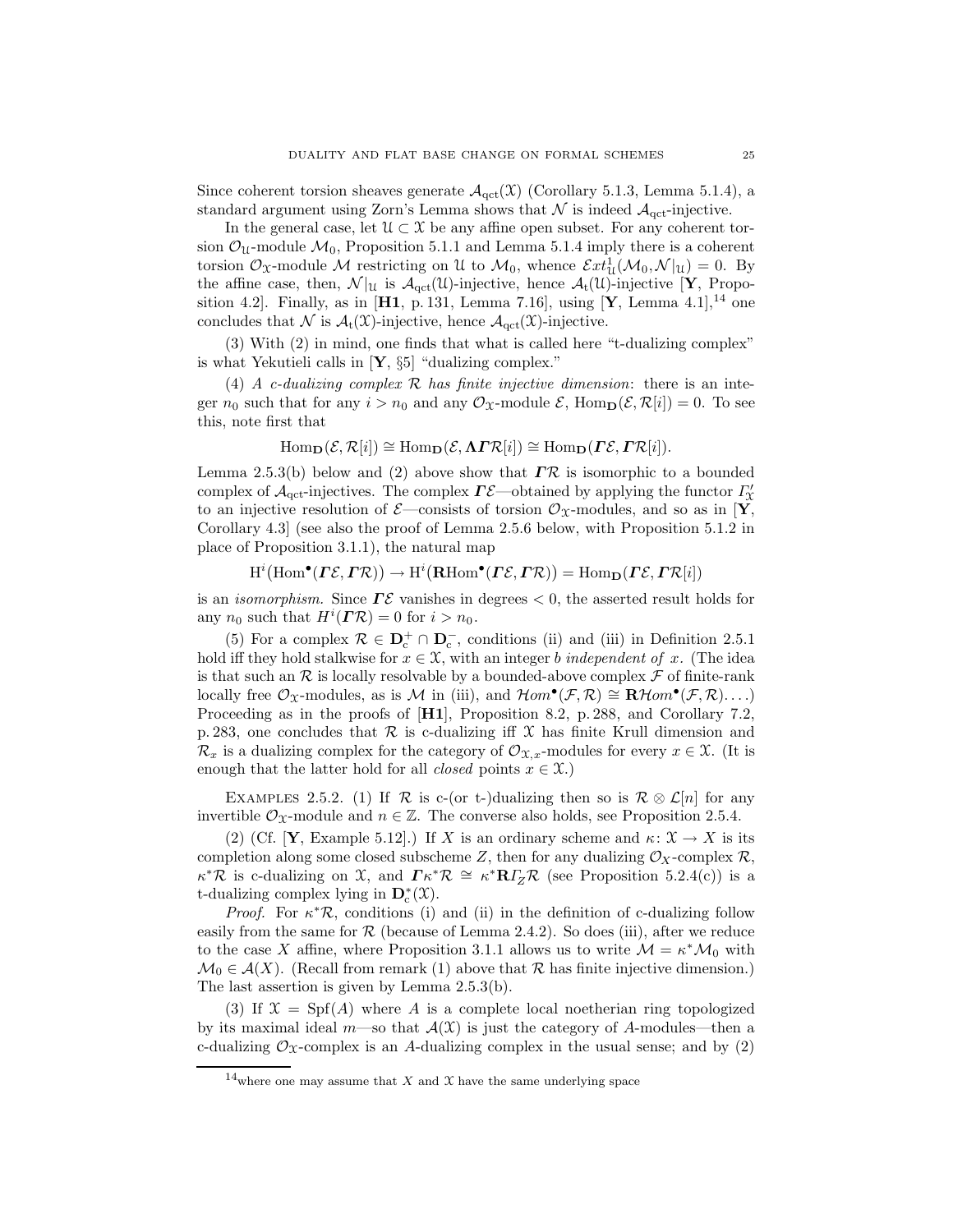Since coherent torsion sheaves generate  $\mathcal{A}_{\text{qct}}(\mathfrak{X})$  (Corollary 5.1.3, Lemma 5.1.4), a standard argument using Zorn's Lemma shows that  $\mathcal N$  is indeed  $\mathcal A_{\text{qct}}$ -injective.

In the general case, let  $\mathcal{U} \subset \mathcal{X}$  be any affine open subset. For any coherent torsion  $\mathcal{O}_U$ -module  $\mathcal{M}_0$ , Proposition 5.1.1 and Lemma 5.1.4 imply there is a coherent torsion  $\mathcal{O}_X$ -module M restricting on U to  $\mathcal{M}_0$ , whence  $\mathcal{E}xt^1_{\mathcal{U}}(\mathcal{M}_0,\mathcal{N}|_U)=0$ . By the affine case, then,  $\mathcal{N}|_{\mathcal{U}}$  is  $\mathcal{A}_{\text{qct}}(\mathcal{U})$ -injective, hence  $\mathcal{A}_{t}(\mathcal{U})$ -injective [**Y**, Proposition 4.2]. Finally, as in [H1, p. 131, Lemma 7.16], using [Y, Lemma 4.1],<sup>14</sup> one concludes that N is  $\mathcal{A}_t(\mathfrak{X})$ -injective, hence  $\mathcal{A}_{\text{qct}}(\mathfrak{X})$ -injective.

(3) With (2) in mind, one finds that what is called here "t-dualizing complex" is what Yekutieli calls in  $[Y, \S5]$  "dualizing complex."

(4) A c-dualizing complex  $R$  has finite injective dimension: there is an integer  $n_0$  such that for any  $i > n_0$  and any  $\mathcal{O}_\mathcal{X}$ -module  $\mathcal{E}$ , Hom $\mathbf{p}(\mathcal{E}, \mathcal{R}[i]) = 0$ . To see this, note first that

$$
\mathrm{Hom}_{\mathbf{D}}(\mathcal{E}, \mathcal{R}[i]) \cong \mathrm{Hom}_{\mathbf{D}}(\mathcal{E}, \mathbf{\Lambda} \mathbf{\Gamma} \mathcal{R}[i]) \cong \mathrm{Hom}_{\mathbf{D}}(\mathbf{\Gamma} \mathcal{E}, \mathbf{\Gamma} \mathcal{R}[i]).
$$

Lemma 2.5.3(b) below and (2) above show that  $\overline{IR}$  is isomorphic to a bounded complex of  $\mathcal{A}_{\text{qct}}$ -injectives. The complex  $\Gamma \mathcal{E}$ —obtained by applying the functor  $\Gamma'_{\mathcal{X}}$ to an injective resolution of  $\mathcal{E}-$ consists of torsion  $\mathcal{O}_{\mathfrak{X}}$ -modules, and so as in [Y, Corollary 4.3] (see also the proof of Lemma 2.5.6 below, with Proposition 5.1.2 in place of Proposition 3.1.1), the natural map

$$
H^{i}(\mathrm{Hom}^{\bullet}(\Gamma \mathcal{E}, \Gamma \mathcal{R})) \to H^{i}(\mathrm{RHom}^{\bullet}(\Gamma \mathcal{E}, \Gamma \mathcal{R})) = \mathrm{Hom}_{\mathbf{D}}(\Gamma \mathcal{E}, \Gamma \mathcal{R}[i])
$$

is an *isomorphism*. Since  $\Gamma \mathcal{E}$  vanishes in degrees  $< 0$ , the asserted result holds for any  $n_0$  such that  $H^i(\mathbf{I}^*\mathcal{R}) = 0$  for  $i > n_0$ .

(5) For a complex  $\mathcal{R} \in \mathbf{D}_{c}^{+} \cap \mathbf{D}_{c}^{-}$ , conditions (ii) and (iii) in Definition 2.5.1 hold iff they hold stalkwise for  $x \in \mathfrak{X}$ , with an integer b independent of x. (The idea is that such an R is locally resolvable by a bounded-above complex  $\mathcal F$  of finite-rank locally free  $\mathcal{O}_{\mathfrak{X}}$ -modules, as is  $\mathcal{M}$  in (iii), and  $\mathcal{H}om^{\bullet}(\mathcal{F}, \mathcal{R}) \cong \mathbf{R}\mathcal{H}om^{\bullet}(\mathcal{F}, \mathcal{R})...$ Proceeding as in the proofs of  $[H1]$ , Proposition 8.2, p. 288, and Corollary 7.2, p. 283, one concludes that  $\mathcal R$  is c-dualizing iff  $\mathcal X$  has finite Krull dimension and  $\mathcal{R}_x$  is a dualizing complex for the category of  $\mathcal{O}_{\mathfrak{X},x}$ -modules for every  $x \in \mathfrak{X}$ . (It is enough that the latter hold for all *closed* points  $x \in \mathcal{X}$ .)

EXAMPLES 2.5.2. (1) If R is c-(or t-)dualizing then so is  $\mathcal{R} \otimes \mathcal{L}[n]$  for any invertible  $\mathcal{O}_X$ -module and  $n \in \mathbb{Z}$ . The converse also holds, see Proposition 2.5.4.

(2) (Cf. [**Y**, Example 5.12].) If X is an ordinary scheme and  $\kappa: \mathfrak{X} \to X$  is its completion along some closed subscheme Z, then for any dualizing  $\mathcal{O}_X$ -complex  $\mathcal{R}$ ,  $\kappa^* \mathcal{R}$  is c-dualizing on X, and  $\Gamma \kappa^* \mathcal{R} \cong \kappa^* R I_Z \mathcal{R}$  (see Proposition 5.2.4(c)) is a t-dualizing complex lying in  $\mathbf{D}_{c}^{*}(\mathfrak{X})$ .

*Proof.* For  $\kappa^* \mathcal{R}$ , conditions (i) and (ii) in the definition of c-dualizing follow easily from the same for  $\mathcal R$  (because of Lemma 2.4.2). So does (iii), after we reduce to the case X affine, where Proposition 3.1.1 allows us to write  $\mathcal{M} = \kappa^* \mathcal{M}_0$  with  $\mathcal{M}_0 \in \mathcal{A}(X)$ . (Recall from remark (1) above that R has finite injective dimension.) The last assertion is given by Lemma 2.5.3(b).

(3) If  $\mathfrak{X} = \mathrm{Spf}(A)$  where A is a complete local noetherian ring topologized by its maximal ideal  $m$ —so that  $\mathcal{A}(\mathcal{X})$  is just the category of A-modules—then a c-dualizing  $\mathcal{O}_\mathcal{X}$ -complex is an A-dualizing complex in the usual sense; and by (2)

 $^{14}$  where one may assume that  $X$  and  $\mathfrak X$  have the same underlying space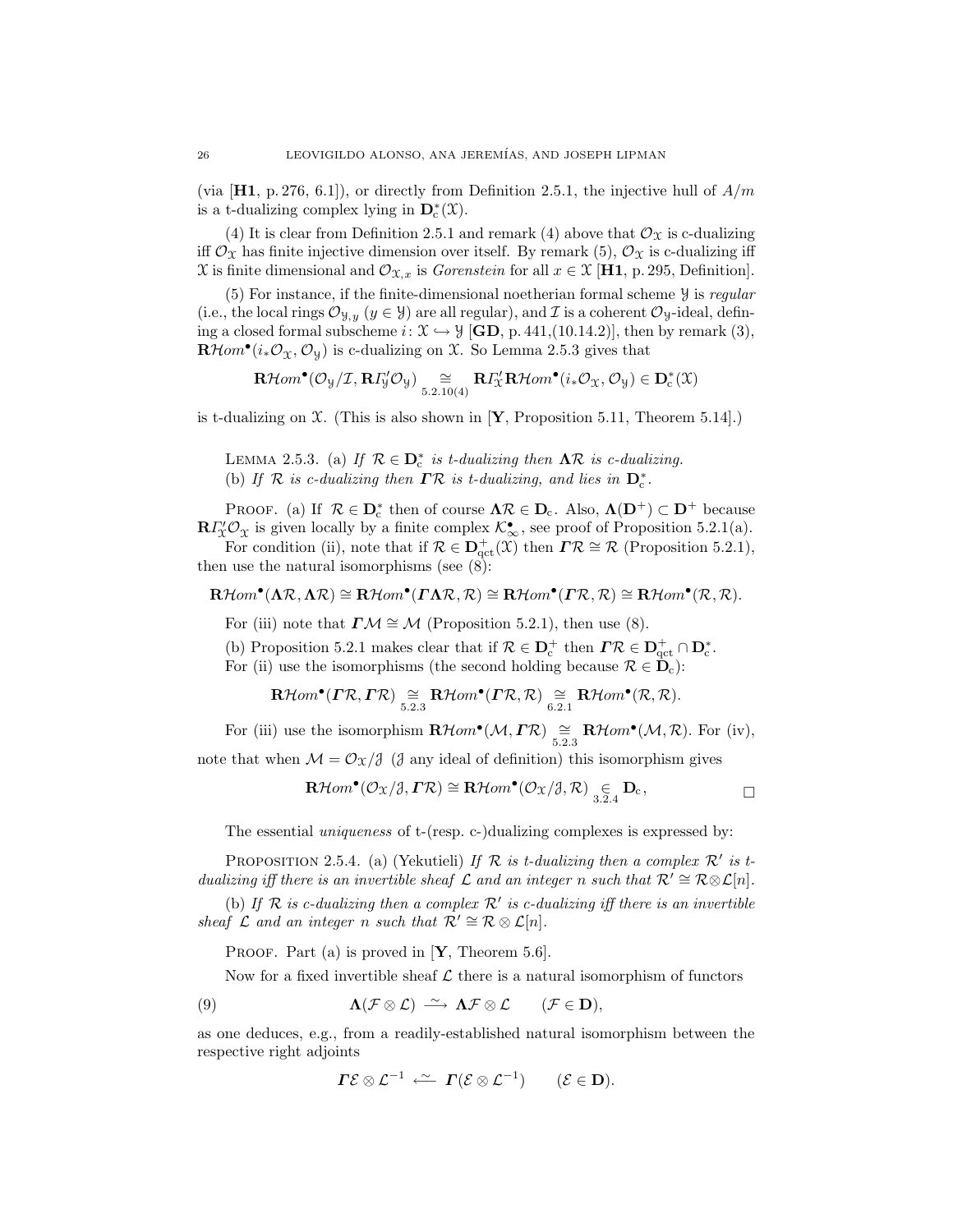(via  $[H1, p. 276, 6.1]$ ), or directly from Definition 2.5.1, the injective hull of  $A/m$ is a t-dualizing complex lying in  $\mathbf{D}_{c}^{*}(\mathfrak{X})$ .

(4) It is clear from Definition 2.5.1 and remark (4) above that  $\mathcal{O}_{\mathfrak{X}}$  is c-dualizing iff  $\mathcal{O}_{\mathfrak{X}}$  has finite injective dimension over itself. By remark (5),  $\mathcal{O}_{\mathfrak{X}}$  is c-dualizing iff X is finite dimensional and  $\mathcal{O}_{\mathfrak{X},x}$  is *Gorenstein* for all  $x \in \mathfrak{X}$  [H1, p. 295, Definition].

 $(5)$  For instance, if the finite-dimensional noetherian formal scheme  $\mathcal Y$  is regular (i.e., the local rings  $\mathcal{O}_{\mathcal{Y},y}$  ( $y \in \mathcal{Y}$ ) are all regular), and  $\mathcal{I}$  is a coherent  $\mathcal{O}_y$ -ideal, defining a closed formal subscheme  $i: \mathfrak{X} \hookrightarrow \mathcal{Y}$  [GD, p. 441,(10.14.2)], then by remark (3),  $\mathbf{R}\mathcal{H}om^{\bullet}(i_{*}\mathcal{O}_{\mathfrak{X}},\mathcal{O}_{\mathfrak{Y}})$  is c-dualizing on X. So Lemma 2.5.3 gives that

$$
\mathbf{R}\mathcal{H}om^{\bullet}(\mathcal{O}_{\mathcal{Y}}/\mathcal{I}, \mathbf{R}\mathit{I}_{\mathcal{Y}}^{\prime}\mathcal{O}_{\mathcal{Y}}) \underset{5.2.10(4)}{\cong} \mathbf{R}\mathit{I}_{\mathcal{X}}^{\prime}\mathbf{R}\mathcal{H}om^{\bullet}(i_{*}\mathcal{O}_{\mathcal{X}}, \mathcal{O}_{\mathcal{Y}}) \in \mathbf{D}_{c}^{*}(\mathcal{X})
$$

is t-dualizing on  $\mathfrak X$ . (This is also shown in [Y, Proposition 5.11, Theorem 5.14].)

LEMMA 2.5.3. (a) If  $\mathcal{R} \in \mathbf{D}_{c}^{*}$  is t-dualizing then  $\Lambda \mathcal{R}$  is c-dualizing. (b) If  $R$  is c-dualizing then  $\Gamma R$  is t-dualizing, and lies in  $D_c^*$ .

PROOF. (a) If  $\mathcal{R} \in \mathbf{D}_{c}^{*}$  then of course  $\Lambda \mathcal{R} \in \mathbf{D}_{c}$ . Also,  $\Lambda(\mathbf{D}^{+}) \subset \mathbf{D}^{+}$  because  $\mathbf{R} \Gamma_{\mathcal{X}}^{\prime} \mathcal{O}_{\mathcal{X}}$  is given locally by a finite complex  $\mathcal{K}_{\infty}^{\bullet}$ , see proof of Proposition 5.2.1(a).

For condition (ii), note that if  $\mathcal{R} \in \mathbf{D}^+_{\mathrm{qct}}(\mathcal{X})$  then  $\mathbf{I}\mathcal{R} \cong \mathcal{R}$  (Proposition 5.2.1), then use the natural isomorphisms (see (8):

$$
\mathbf{R}\mathcal{H}om^{\bullet}(\Lambda\mathcal{R},\Lambda\mathcal{R})\cong\mathbf{R}\mathcal{H}om^{\bullet}(\Gamma\Lambda\mathcal{R},\mathcal{R})\cong\mathbf{R}\mathcal{H}om^{\bullet}(\Gamma\mathcal{R},\mathcal{R})\cong\mathbf{R}\mathcal{H}om^{\bullet}(\mathcal{R},\mathcal{R}).
$$

For (iii) note that  $\Gamma \mathcal{M} \cong \mathcal{M}$  (Proposition 5.2.1), then use (8).

(b) Proposition 5.2.1 makes clear that if  $\mathcal{R} \in \mathbf{D}_{c}^{+}$  then  $\mathbf{\Gamma} \mathcal{R} \in \mathbf{D}_{\text{qct}}^{+} \cap \mathbf{D}_{c}^{*}$ .

For (ii) use the isomorphisms (the second holding because  $\mathcal{R} \in \mathbf{D}_c$ ):

$$
\mathbf{R}\mathcal{H}om^{\bullet}(\Gamma\mathcal{R},\Gamma\mathcal{R})\underset{5.2.3}{\cong}\mathbf{R}\mathcal{H}om^{\bullet}(\Gamma\mathcal{R},\mathcal{R})\underset{6.2.1}{\cong}\mathbf{R}\mathcal{H}om^{\bullet}(\mathcal{R},\mathcal{R}).
$$

For (iii) use the isomorphism  $\mathbf{R}\mathcal{H}om^{\bullet}(\mathcal{M},\Gamma\mathcal{R}) \cong \sum_{5.2.3} \mathbf{R}\mathcal{H}om^{\bullet}(\mathcal{M},\mathcal{R})$ . For (iv),

note that when  $\mathcal{M} = \mathcal{O}_{\mathfrak{X}}/\mathfrak{J}$  ( $\mathfrak{J}$  any ideal of definition) this isomorphism gives

$$
\mathbf{R}\mathcal{H}om^{\bullet}(\mathcal{O}_{\mathfrak{X}}/\mathfrak{J},\mathbf{\Gamma}\mathcal{R})\cong\mathbf{R}\mathcal{H}om^{\bullet}(\mathcal{O}_{\mathfrak{X}}/\mathfrak{J},\mathcal{R})\underset{3.2.4}{\in}\mathbf{D}_{c},\qquad\qquad\Box
$$

The essential *uniqueness* of t-(resp. c-)dualizing complexes is expressed by:

PROPOSITION 2.5.4. (a) (Yekutieli) If  $R$  is t-dualizing then a complex  $R'$  is tdualizing iff there is an invertible sheaf  $\mathcal L$  and an integer n such that  $\mathcal R' \cong \mathcal R \otimes \mathcal L[n]$ .

(b) If  $R$  is c-dualizing then a complex  $R'$  is c-dualizing iff there is an invertible sheaf  $\mathcal L$  and an integer n such that  $\mathcal R' \cong \mathcal R \otimes \mathcal L[n].$ 

PROOF. Part (a) is proved in  $[Y,$  Theorem 5.6.

Now for a fixed invertible sheaf  $\mathcal L$  there is a natural isomorphism of functors

(9) 
$$
\Lambda(\mathcal{F}\otimes\mathcal{L})\longrightarrow\Lambda\mathcal{F}\otimes\mathcal{L} \qquad (\mathcal{F}\in\mathbf{D}),
$$

as one deduces, e.g., from a readily-established natural isomorphism between the respective right adjoints

$$
\Gamma \mathcal{E} \otimes \mathcal{L}^{-1} \stackrel{\sim}{\longleftarrow} \Gamma(\mathcal{E} \otimes \mathcal{L}^{-1}) \qquad (\mathcal{E} \in \mathbf{D}).
$$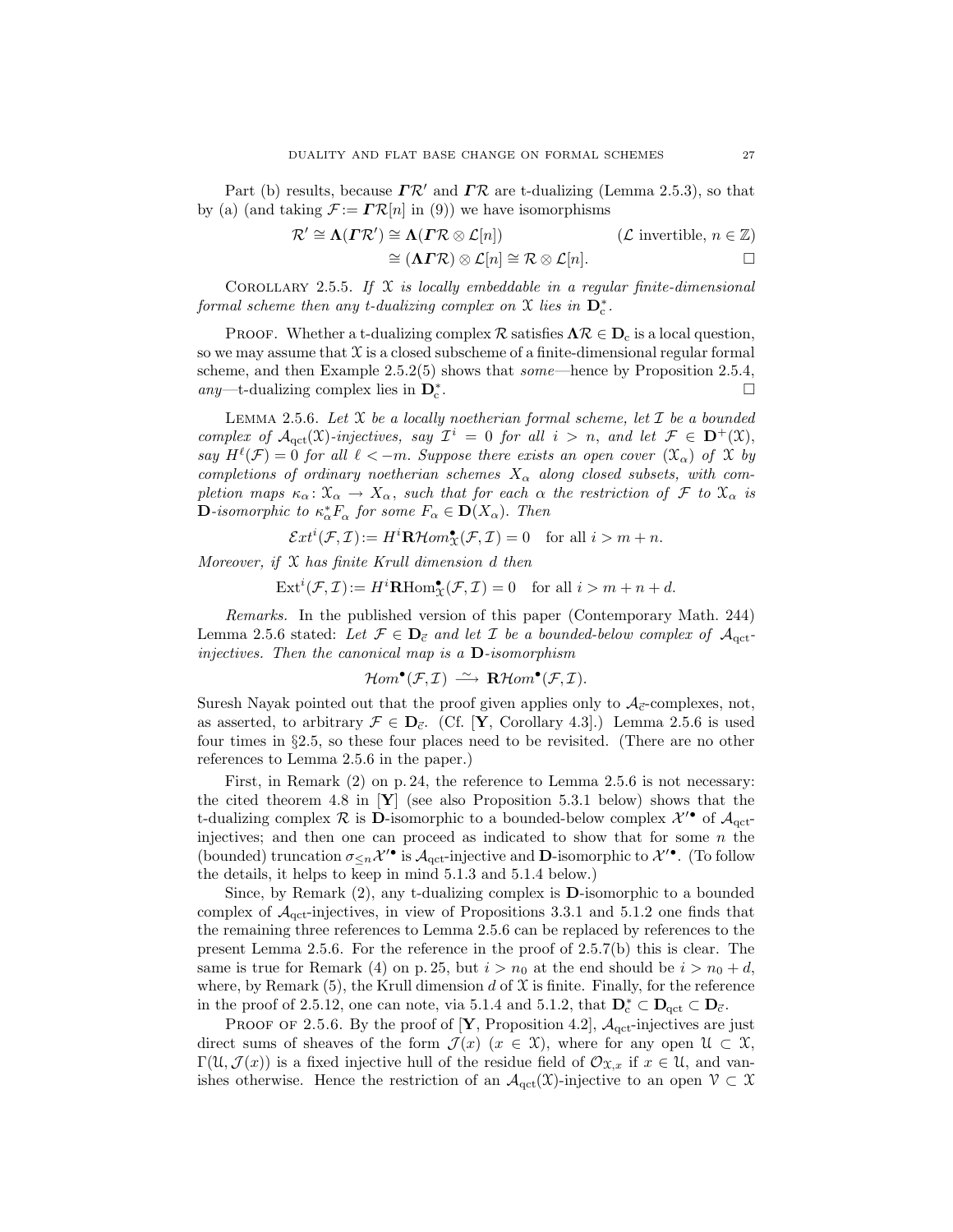Part (b) results, because  $\Gamma \mathcal{R}'$  and  $\Gamma \mathcal{R}$  are t-dualizing (Lemma 2.5.3), so that by (a) (and taking  $\mathcal{F} := \mathbb{R}[n]$  in (9)) we have isomorphisms

$$
\mathcal{R}' \cong \Lambda(\mathcal{I}\mathcal{R}') \cong \Lambda(\mathcal{I}\mathcal{R} \otimes \mathcal{L}[n]) \qquad (\mathcal{L} \text{ invertible}, n \in \mathbb{Z})
$$
  

$$
\cong (\Lambda\mathcal{I}\mathcal{R}) \otimes \mathcal{L}[n] \cong \mathcal{R} \otimes \mathcal{L}[n]. \qquad \Box
$$

COROLLARY 2.5.5. If  $X$  is locally embeddable in a regular finite-dimensional formal scheme then any t-dualizing complex on  $\mathfrak X$  lies in  $\mathbf D_{\mathfrak c}^*$ .

PROOF. Whether a t-dualizing complex  $\mathcal{R}$  satisfies  $\Lambda \mathcal{R} \in \mathbf{D}_c$  is a local question, so we may assume that  $\mathfrak X$  is a closed subscheme of a finite-dimensional regular formal scheme, and then Example 2.5.2(5) shows that *some*—hence by Proposition 2.5.4, any—t-dualizing complex lies in  $\mathbf{D}_{\mathrm{c}}^{*}$ .

LEMMA 2.5.6. Let  $X$  be a locally noetherian formal scheme, let  $\mathcal I$  be a bounded complex of  $\mathcal{A}_{\text{qct}}(\mathfrak{X})$ -injectives, say  $\mathcal{I}^i = 0$  for all  $i > n$ , and let  $\mathcal{F} \in \mathbf{D}^+(\mathfrak{X})$ , say  $H^{\ell}(\mathcal{F}) = 0$  for all  $\ell < -m$ . Suppose there exists an open cover  $(\mathfrak{X}_{\alpha})$  of  $\mathfrak X$  by completions of ordinary noetherian schemes  $X_{\alpha}$  along closed subsets, with completion maps  $\kappa_\alpha: \mathfrak{X}_\alpha \to X_\alpha$ , such that for each  $\alpha$  the restriction of  $\mathcal F$  to  $\mathfrak{X}_\alpha$  is **D**-isomorphic to  $\kappa_{\alpha}^* F_{\alpha}$  for some  $F_{\alpha} \in \mathbf{D}(X_{\alpha})$ . Then

 $\mathcal{E}xt^{i}(\mathcal{F},\mathcal{I}):=H^{i}\mathbf{R}\mathcal{H}om_{\mathcal{X}}^{\bullet}(\mathcal{F},\mathcal{I})=0 \text{ for all } i>m+n.$ 

Moreover, if  $X$  has finite Krull dimension d then

 $\text{Ext}^i(\mathcal{F}, \mathcal{I}) := H^i \mathbf{R} \text{Hom}^{\bullet}_{\mathcal{X}}(\mathcal{F}, \mathcal{I}) = 0 \quad \text{for all } i > m + n + d.$ 

Remarks. In the published version of this paper (Contemporary Math. 244) Lemma 2.5.6 stated: Let  $\mathcal{F} \in \mathbf{D}_{\vec{c}}$  and let  $\mathcal{I}$  be a bounded-below complex of  $\mathcal{A}_{\text{act}}$ injectives. Then the canonical map is a  $D$ -isomorphism

$$
\mathcal{H}om^{\bullet}(\mathcal{F},\mathcal{I}) \stackrel{\sim}{\longrightarrow} \mathbf{R}\mathcal{H}om^{\bullet}(\mathcal{F},\mathcal{I}).
$$

Suresh Nayak pointed out that the proof given applies only to  $A_{\vec{c}}$ -complexes, not, as asserted, to arbitrary  $\mathcal{F} \in \mathbf{D}_{\vec{c}}$ . (Cf. [**Y**, Corollary 4.3].) Lemma 2.5.6 is used four times in §2.5, so these four places need to be revisited. (There are no other references to Lemma 2.5.6 in the paper.)

First, in Remark (2) on p. 24, the reference to Lemma 2.5.6 is not necessary: the cited theorem 4.8 in  $Y$  (see also Proposition 5.3.1 below) shows that the t-dualizing complex  $\mathcal{R}$  is **D**-isomorphic to a bounded-below complex  $\mathcal{X}'^{\bullet}$  of  $\mathcal{A}_{\text{qct}}$ injectives; and then one can proceed as indicated to show that for some  $n$  the (bounded) truncation  $\sigma_{\leq n} \mathcal{X}'^{\bullet}$  is  $\mathcal{A}_{\text{qct}}$ -injective and **D**-isomorphic to  $\mathcal{X}'^{\bullet}$ . (To follow the details, it helps to keep in mind 5.1.3 and 5.1.4 below.)

Since, by Remark (2), any t-dualizing complex is D-isomorphic to a bounded complex of  $A<sub>qct</sub>$ -injectives, in view of Propositions 3.3.1 and 5.1.2 one finds that the remaining three references to Lemma 2.5.6 can be replaced by references to the present Lemma 2.5.6. For the reference in the proof of 2.5.7(b) this is clear. The same is true for Remark (4) on p. 25, but  $i > n_0$  at the end should be  $i > n_0 + d$ , where, by Remark  $(5)$ , the Krull dimension d of X is finite. Finally, for the reference in the proof of 2.5.12, one can note, via 5.1.4 and 5.1.2, that  $D_c^* \subset D_{\text{qct}} \subset D_{\vec{c}}$ .

PROOF OF 2.5.6. By the proof of [**Y**, Proposition 4.2],  $A_{\text{qct}}$ -injectives are just direct sums of sheaves of the form  $\mathcal{J}(x)$  ( $x \in \mathcal{X}$ ), where for any open  $\mathcal{U} \subset \mathcal{X}$ ,  $\Gamma(\mathfrak{U},\mathcal{J}(x))$  is a fixed injective hull of the residue field of  $\mathcal{O}_{\mathfrak{X},x}$  if  $x \in \mathfrak{U}$ , and vanishes otherwise. Hence the restriction of an  $\mathcal{A}_{\text{qct}}(\mathfrak{X})$ -injective to an open  $\mathcal{V} \subset \mathfrak{X}$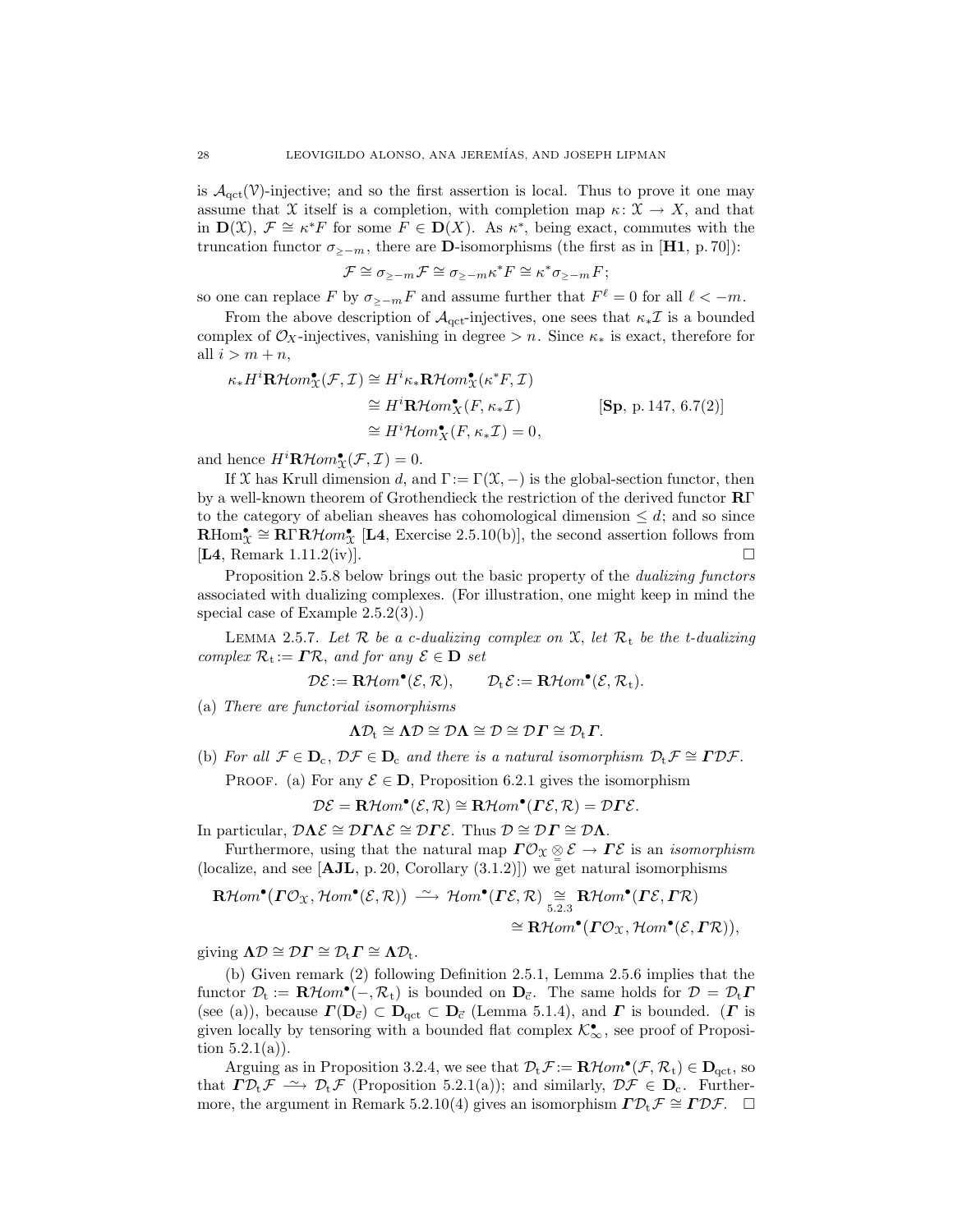is  $\mathcal{A}_{act}(\mathcal{V})$ -injective; and so the first assertion is local. Thus to prove it one may assume that X itself is a completion, with completion map  $\kappa: \mathfrak{X} \to X$ , and that in  $\mathbf{D}(\mathcal{X}), \mathcal{F} \cong \kappa^* F$  for some  $F \in \mathbf{D}(X)$ . As  $\kappa^*$ , being exact, commutes with the truncation functor  $\sigma_{>−m}$ , there are **D**-isomorphisms (the first as in [**H1**, p. 70]):

$$
\mathcal{F} \cong \sigma_{\geq -m} \mathcal{F} \cong \sigma_{\geq -m} \kappa^* F \cong \kappa^* \sigma_{\geq -m} F;
$$

so one can replace F by  $\sigma_{\geq -m} F$  and assume further that  $F^{\ell} = 0$  for all  $\ell < -m$ .

From the above description of  $\mathcal{A}_{\text{act}}$ -injectives, one sees that  $\kappa_* \mathcal{I}$  is a bounded complex of  $\mathcal{O}_X$ -injectives, vanishing in degree > n. Since  $\kappa_*$  is exact, therefore for all  $i > m + n$ ,

$$
\kappa_* H^i \mathbf{R} \mathcal{H}om_{\mathfrak{X}}^{\bullet}(\mathcal{F}, \mathcal{I}) \cong H^i \kappa_* \mathbf{R} \mathcal{H}om_{\mathfrak{X}}^{\bullet}(\kappa^* F, \mathcal{I})
$$
  
\n
$$
\cong H^i \mathbf{R} \mathcal{H}om_{\mathfrak{X}}^{\bullet}(F, \kappa_* \mathcal{I})
$$
  
\n
$$
\cong H^i \mathcal{H}om_{\mathfrak{X}}^{\bullet}(F, \kappa_* \mathcal{I}) = 0,
$$
  
\n
$$
(Sp, p. 147, 6.7(2))
$$

and hence  $H^i \mathbf{R} \mathcal{H} om_{\mathcal{X}}^{\bullet}(\mathcal{F}, \mathcal{I}) = 0.$ 

If X has Krull dimension d, and  $\Gamma := \Gamma(\mathfrak{X}, -)$  is the global-section functor, then by a well-known theorem of Grothendieck the restriction of the derived functor RΓ to the category of abelian sheaves has cohomological dimension  $\leq d$ ; and so since  $\mathbf{R}\text{Hom}_{\mathcal{X}}^{\bullet} \cong \mathbf{R}\Gamma\mathbf{R}\mathcal{H}om_{\mathcal{X}}^{\bullet}$  [L4, Exercise 2.5.10(b)], the second assertion follows from  $\boxed{\mathbf{L4}}$ , Remark 1.11.2(iv).

Proposition 2.5.8 below brings out the basic property of the *dualizing functors* associated with dualizing complexes. (For illustration, one might keep in mind the special case of Example 2.5.2(3).)

LEMMA 2.5.7. Let  $R$  be a c-dualizing complex on  $X$ , let  $R_t$  be the t-dualizing complex  $\mathcal{R}_t := \Gamma \mathcal{R}$ , and for any  $\mathcal{E} \in \mathbf{D}$  set

$$
\mathcal{D}\mathcal{E}:=\mathbf{R}\mathcal{H}om^{\bullet}(\mathcal{E},\mathcal{R}),\qquad \mathcal{D}_t\mathcal{E}:=\mathbf{R}\mathcal{H}om^{\bullet}(\mathcal{E},\mathcal{R}_t).
$$

(a) There are functorial isomorphisms

$$
\Lambda \mathcal{D}_t \cong \Lambda \mathcal{D} \cong \mathcal{D} \Lambda \cong \mathcal{D} \cong \mathcal{D} \Gamma \cong \mathcal{D}_t \Gamma.
$$

(b) For all  $\mathcal{F} \in \mathbf{D}_c$ ,  $\mathcal{D}\mathcal{F} \in \mathbf{D}_c$  and there is a natural isomorphism  $\mathcal{D}_t \mathcal{F} \cong \mathbf{\Gamma} \mathcal{D} \mathcal{F}$ .

PROOF. (a) For any  $\mathcal{E} \in \mathbf{D}$ , Proposition 6.2.1 gives the isomorphism

$$
\mathcal{D}\mathcal{E} = \mathbf{R}\mathcal{H}om^{\bullet}(\mathcal{E}, \mathcal{R}) \cong \mathbf{R}\mathcal{H}om^{\bullet}(\Gamma\mathcal{E}, \mathcal{R}) = \mathcal{D}\Gamma\mathcal{E}.
$$

In particular,  $\mathcal{D}\Lambda \mathcal{E} \cong \mathcal{D}\Gamma\Lambda \mathcal{E} \cong \mathcal{D}\Gamma \mathcal{E}$ . Thus  $\mathcal{D} \cong \mathcal{D}\Gamma \cong \mathcal{D}\Lambda$ .

Furthermore, using that the natural map  $\Gamma \mathcal{O}_\mathfrak{X} \subseteq \mathcal{E} \to \Gamma \mathcal{E}$  is an *isomorphism* (localize, and see  $[AJL, p. 20, Corollary (3.1.2)]$ ) we get natural isomorphisms

$$
\mathbf{R}\mathcal{H}om^{\bullet}(\mathbf{\Gamma}\mathcal{O}_{\mathfrak{X}},\mathcal{H}om^{\bullet}(\mathcal{E},\mathcal{R}))\stackrel{\sim}{\longrightarrow}\mathcal{H}om^{\bullet}(\mathbf{\Gamma}\mathcal{E},\mathcal{R})\underset{5.2.3}{\cong}\mathbf{R}\mathcal{H}om^{\bullet}(\mathbf{\Gamma}\mathcal{E},\mathbf{\Gamma}\mathcal{R})\newline \cong\mathbf{R}\mathcal{H}om^{\bullet}(\mathbf{\Gamma}\mathcal{O}_{\mathfrak{X}},\mathcal{H}om^{\bullet}(\mathcal{E},\mathbf{\Gamma}\mathcal{R})),
$$

giving  $\Lambda \mathcal{D} \cong \mathcal{D} \Gamma \cong \mathcal{D}_t \Gamma \cong \Lambda \mathcal{D}_t$ .

(b) Given remark (2) following Definition 2.5.1, Lemma 2.5.6 implies that the functor  $\mathcal{D}_t := \mathbf{R}\mathcal{H}om^{\bullet}(-, \mathcal{R}_t)$  is bounded on  $\mathbf{D}_{\vec{c}}$ . The same holds for  $\mathcal{D} = \mathcal{D}_t \mathbf{\Gamma}$ (see (a)), because  $\Gamma(\mathbf{D}_{\vec{c}}) \subset \mathbf{D}_{\vec{c}} \subset \mathbf{D}_{\vec{c}}$  (Lemma 5.1.4), and  $\Gamma$  is bounded. ( $\Gamma$  is given locally by tensoring with a bounded flat complex  $\mathcal{K}_{\infty}^{\bullet}$ , see proof of Proposition  $5.2.1(a)$ ).

Arguing as in Proposition 3.2.4, we see that  $\mathcal{D}_t \mathcal{F} := \mathbf{R} \mathcal{H} \text{om}^{\bullet}(\mathcal{F}, \mathcal{R}_t) \in \mathbf{D}_{\text{qct}}$ , so that  $\Gamma \mathcal{D}_t \mathcal{F} \longrightarrow \mathcal{D}_t \mathcal{F}$  (Proposition 5.2.1(a)); and similarly,  $\mathcal{D} \mathcal{F} \in \mathbf{D}_c$ . Furthermore, the argument in Remark 5.2.10(4) gives an isomorphism  $\Gamma \mathcal{D}_t \mathcal{F} \cong \Gamma \mathcal{D} \mathcal{F}$ .  $\Box$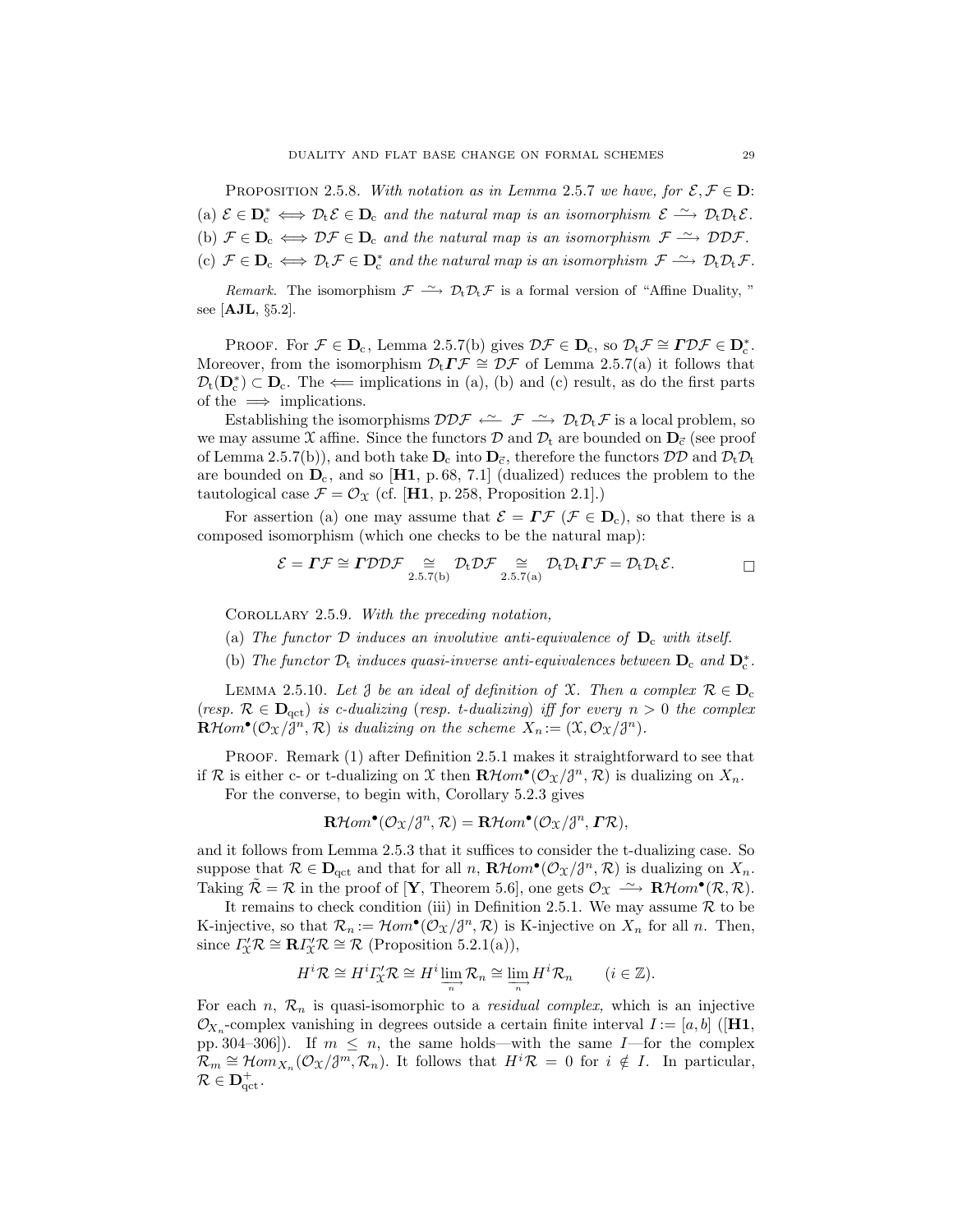PROPOSITION 2.5.8. With notation as in Lemma 2.5.7 we have, for  $\mathcal{E}, \mathcal{F} \in \mathbf{D}$ : (a)  $\mathcal{E} \in \mathbf{D}_{c}^{*} \iff \mathcal{D}_{t} \mathcal{E} \in \mathbf{D}_{c}$  and the natural map is an isomorphism  $\mathcal{E} \stackrel{\sim}{\longrightarrow} \mathcal{D}_{t} \mathcal{D}_{t} \mathcal{E}$ . (b)  $\mathcal{F} \in \mathbf{D}_c \iff \mathcal{DF} \in \mathbf{D}_c$  and the natural map is an isomorphism  $\mathcal{F} \xrightarrow{\sim} \mathcal{DDF}$ . (c)  $\mathcal{F} \in \mathbf{D}_{c} \iff \mathcal{D}_{t} \mathcal{F} \in \mathbf{D}_{c}^{*}$  and the natural map is an isomorphism  $\mathcal{F} \xrightarrow{\sim} \mathcal{D}_{t} \mathcal{D}_{t} \mathcal{F}$ .

Remark. The isomorphism  $\mathcal{F} \longrightarrow \mathcal{D}_t \mathcal{D}_t \mathcal{F}$  is a formal version of "Affine Duality," see [AJL, §5.2].

PROOF. For  $\mathcal{F} \in \mathbf{D}_c$ , Lemma 2.5.7(b) gives  $\mathcal{DF} \in \mathbf{D}_c$ , so  $\mathcal{D}_t \mathcal{F} \cong \mathbf{\Gamma} \mathcal{DF} \in \mathbf{D}_c^*$ . Moreover, from the isomorphism  $\mathcal{D}_t \Gamma \mathcal{F} \cong \mathcal{D} \mathcal{F}$  of Lemma 2.5.7(a) it follows that  $\mathcal{D}_t(\mathbf{D}_c^*) \subset \mathbf{D}_c$ . The  $\Leftarrow$  implications in (a), (b) and (c) result, as do the first parts of the  $\implies$  implications.

Establishing the isomorphisms  $\mathcal{D}D\mathcal{F} \xrightarrow{\sim} \mathcal{P}_t \mathcal{D}_t \mathcal{F}$  is a local problem, so we may assume X affine. Since the functors D and  $\mathcal{D}_t$  are bounded on  $\mathbf{D}_{\vec{c}}$  (see proof of Lemma 2.5.7(b)), and both take  $D_c$  into  $D_{\vec{c}}$ , therefore the functors  $\mathcal{DD}$  and  $\mathcal{D}_t\mathcal{D}_t$ are bounded on  $D_c$ , and so [H1, p. 68, 7.1] (dualized) reduces the problem to the tautological case  $\mathcal{F} = \mathcal{O}_{\mathcal{X}}$  (cf. [H1, p. 258, Proposition 2.1].)

For assertion (a) one may assume that  $\mathcal{E} = \Gamma \mathcal{F} (\mathcal{F} \in \mathbf{D}_c)$ , so that there is a composed isomorphism (which one checks to be the natural map):

$$
\mathcal{E} = \boldsymbol{\Gamma}\mathcal{F} \cong \boldsymbol{\Gamma} \mathcal{D} \mathcal{D} \mathcal{F} \underset{2.5.7(b)}{\cong} \mathcal{D}_{t} \mathcal{D} \mathcal{F} \underset{2.5.7(a)}{\cong} \mathcal{D}_{t} \mathcal{D}_{t} \boldsymbol{\Gamma} \mathcal{F} = \mathcal{D}_{t} \mathcal{D}_{t} \mathcal{E}.
$$

COROLLARY 2.5.9. With the preceding notation,

(a) The functor  $\mathcal D$  induces an involutive anti-equivalence of  $D_c$  with itself.

(b) The functor  $\mathcal{D}_t$  induces quasi-inverse anti-equivalences between  $D_c$  and  $D_c^*$ .

LEMMA 2.5.10. Let  $\delta$  be an ideal of definition of  $\mathfrak{X}$ . Then a complex  $\mathcal{R} \in \mathbf{D}_c$ (resp.  $\mathcal{R} \in \mathbf{D}_{\text{act}}$ ) is c-dualizing (resp. t-dualizing) iff for every  $n > 0$  the complex  $\mathbf{R}\mathcal{H} om^{\bullet}(\mathcal{O}_{\mathfrak{X}}/\mathfrak{J}^n,\mathcal{R})$  is dualizing on the scheme  $X_n:=(\mathfrak{X},\mathcal{O}_{\mathfrak{X}}/\mathfrak{J}^n)$ .

PROOF. Remark (1) after Definition 2.5.1 makes it straightforward to see that if R is either c- or t-dualizing on X then  $\mathbf{R}\mathcal{H}$ om<sup>•</sup> $(\mathcal{O}_X/\mathcal{J}^n, \mathcal{R})$  is dualizing on  $X_n$ . For the converse, to begin with, Corollary 5.2.3 gives

$$
\mathbf{R}\mathcal{H}om^{\bullet}(\mathcal{O}_{\mathfrak{X}}/\mathfrak{J}^n,\mathcal{R})=\mathbf{R}\mathcal{H}om^{\bullet}(\mathcal{O}_{\mathfrak{X}}/\mathfrak{J}^n,\mathbf{\Gamma}\mathcal{R}),
$$

and it follows from Lemma 2.5.3 that it suffices to consider the t-dualizing case. So suppose that  $\mathcal{R} \in \mathbf{D}_{\mathrm{qct}}$  and that for all n,  $\mathbf{R} \mathcal{H} om^{\bullet}(\mathcal{O}_{\mathfrak{X}}/\mathfrak{J}^n, \mathcal{R})$  is dualizing on  $X_n$ . Taking  $\tilde{\mathcal{R}} = \mathcal{R}$  in the proof of [**Y**, Theorem 5.6], one gets  $\mathcal{O}_{\mathcal{X}} \longrightarrow \mathbf{R} \mathcal{H} om^{\bullet}(\mathcal{R}, \mathcal{R})$ .

It remains to check condition (iii) in Definition 2.5.1. We may assume  $R$  to be K-injective, so that  $\mathcal{R}_n := \mathcal{H}om^{\bullet}(\mathcal{O}_{\mathfrak{X}}/J^n, \mathcal{R})$  is K-injective on  $X_n$  for all n. Then, since  $\Gamma''_{\mathfrak{X}} \mathcal{R} \cong \mathbf{R} \Gamma''_{\mathfrak{X}} \mathcal{R} \cong \mathcal{R}$  (Proposition 5.2.1(a)),

$$
H^i \mathcal{R} \cong H^i \Gamma_{\!\!X}^{\prime} \mathcal{R} \cong H^i \lim_{\substack{\longrightarrow \\ n}} \mathcal{R}_n \cong \lim_{\substack{\longrightarrow \\ n}} H^i \mathcal{R}_n \qquad (i \in \mathbb{Z}).
$$

For each  $n, \mathcal{R}_n$  is quasi-isomorphic to a *residual complex*, which is an injective  $\mathcal{O}_{X_n}$ -complex vanishing in degrees outside a certain finite interval  $I := [a, b]$  ([H1, pp. 304–306]). If  $m \leq n$ , the same holds—with the same I—for the complex  $\mathcal{R}_m \cong \mathcal{H}om_{X_n}(\mathcal{O}_{\mathfrak{X}}/\mathfrak{F}^m, \mathcal{R}_n)$ . It follows that  $H^i\mathcal{R} = 0$  for  $i \notin I$ . In particular,  $\mathcal{R} \in \mathbf{D}^+_{\mathrm{qct}}$  .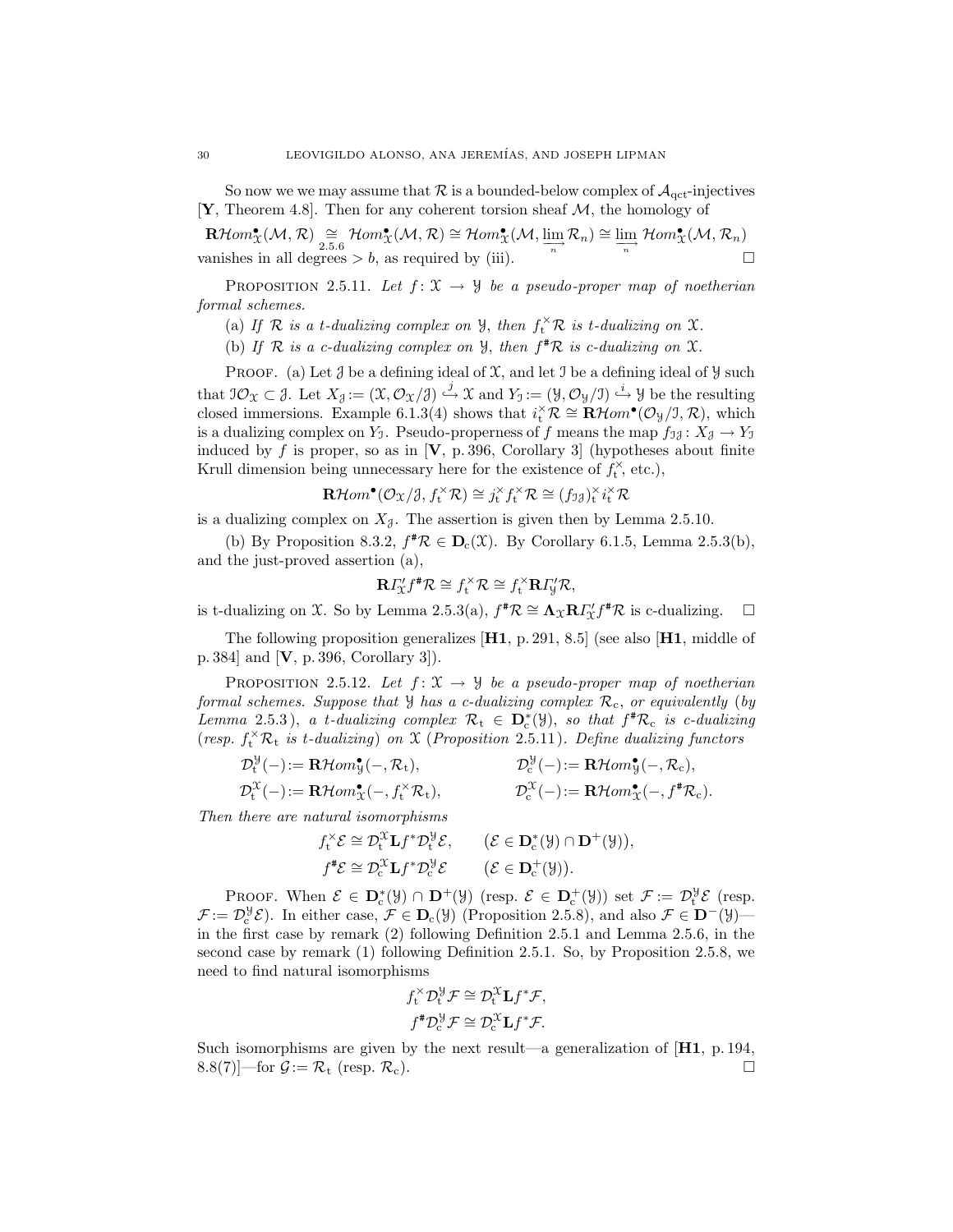So now we we may assume that  $\mathcal R$  is a bounded-below complex of  $\mathcal A_{\text{qct}}$ -injectives [Y, Theorem 4.8]. Then for any coherent torsion sheaf  $M$ , the homology of

 $\mathbf{R}\mathcal{H}om_{\mathfrak{X}}^{\bullet}(\mathcal{M},\mathcal{R})\cong \mathcal{H}om_{\mathfrak{X}}^{\bullet}(\mathcal{M},\mathcal{R})\cong \mathcal{H}om_{\mathfrak{X}}^{\bullet}(\mathcal{M},\varinjlim_{n}\mathcal{R}_{n})\cong \varinjlim_{n}\mathcal{H}om_{\mathfrak{X}}^{\bullet}(\mathcal{M},\mathcal{R}_{n})$ vanishes in all degrees  $> b$ , as required by (iii).

PROPOSITION 2.5.11. Let  $f: \mathfrak{X} \to \mathfrak{Y}$  be a pseudo-proper map of noetherian formal schemes.

(a) If  $\mathcal R$  is a t-dualizing complex on  $\mathcal Y$ , then  $f_t^{\times} \mathcal R$  is t-dualizing on  $\mathcal X$ .

(b) If  $R$  is a c-dualizing complex on  $\mathcal{Y}$ , then  $f^{\#}\mathcal{R}$  is c-dualizing on  $\mathcal{X}$ .

PROOF. (a) Let  $\mathcal J$  be a defining ideal of  $\mathcal X$ , and let  $\mathcal I$  be a defining ideal of  $\mathcal Y$  such that  $\mathcal{IO}_{\mathcal{X}} \subset \mathcal{J}$ . Let  $X_{\mathcal{J}} := (\mathcal{X}, \mathcal{O}_{\mathcal{X}}/\mathcal{J}) \stackrel{j}{\hookrightarrow} \mathcal{X}$  and  $Y_{\mathcal{I}} := (\mathcal{Y}, \mathcal{O}_{\mathcal{Y}}/\mathcal{I}) \stackrel{i}{\hookrightarrow} \mathcal{Y}$  be the resulting closed immersions. Example 6.1.3(4) shows that  $i_t^{\times} \mathcal{R} \cong \mathbf{R} \mathcal{H} om^{\bullet}(\mathcal{O}_{\mathcal{Y}}/J, \mathcal{R})$ , which is a dualizing complex on  $Y_1$ . Pseudo-properness of f means the map  $f_{\mathfrak{I}j}: X_{\mathfrak{I}} \to Y_{\mathfrak{I}}$ induced by  $f$  is proper, so as in [V, p. 396, Corollary 3] (hypotheses about finite Krull dimension being unnecessary here for the existence of  $f_t^{\times}$ , etc.),

$$
\mathbf{R}\mathcal{H}om^{\bullet}(\mathcal{O}_{\mathfrak{X}}/\mathfrak{Z},f_{\mathrm{t}}^{\times}\mathcal{R})\cong j_{\mathrm{t}}^{\times}f_{\mathrm{t}}^{\times}\mathcal{R}\cong (f_{\mathfrak{I}\mathfrak{Z}})_{\mathrm{t}}^{\times}i_{\mathrm{t}}^{\times}\mathcal{R}
$$

is a dualizing complex on  $X_{\mathcal{J}}$ . The assertion is given then by Lemma 2.5.10.

(b) By Proposition 8.3.2,  $f^{\#}\mathcal{R} \in \mathbf{D}_{c}(\mathcal{X})$ . By Corollary 6.1.5, Lemma 2.5.3(b), and the just-proved assertion (a),

$$
\mathbf{R}\varGamma_{\mathcal{X}}f^{\#}\mathcal{R}\cong f_{t}^{\times}\mathcal{R}\cong f_{t}^{\times}\mathbf{R}\varGamma_{\mathcal{Y}}'\mathcal{R},
$$

is t-dualizing on X. So by Lemma 2.5.3(a),  $f^{\#}\mathcal{R} \cong \Lambda_{\mathcal{X}}\mathbf{R}I'_{\mathcal{X}}f^{\#}\mathcal{R}$  is c-dualizing.  $\Box$ 

The following proposition generalizes [H1, p. 291, 8.5] (see also [H1, middle of p. 384] and [V, p. 396, Corollary 3]).

PROPOSITION 2.5.12. Let  $f: \mathfrak{X} \to \mathcal{Y}$  be a pseudo-proper map of noetherian formal schemes. Suppose that  $\mathcal{Y}$  has a c-dualizing complex  $\mathcal{R}_{c}$ , or equivalently (by Lemma 2.5.3), a t-dualizing complex  $\mathcal{R}_t \in \mathbf{D}_c^*(\mathcal{Y})$ , so that  $f^* \mathcal{R}_c$  is c-dualizing (resp.  $f_t^{\times} \mathcal{R}_t$  is t-dualizing) on X (Proposition 2.5.11). Define dualizing functors

$$
\mathcal{D}_{t}^{\mathcal{Y}}(-) := \mathbf{R}\mathcal{H}om_{\mathcal{Y}}^{\bullet}(-, \mathcal{R}_{t}), \qquad \qquad \mathcal{D}_{c}^{\mathcal{Y}}(-) := \mathbf{R}\mathcal{H}om_{\mathcal{Y}}^{\bullet}(-, \mathcal{R}_{c}), \n\mathcal{D}_{t}^{\mathcal{X}}(-) := \mathbf{R}\mathcal{H}om_{\mathcal{X}}^{\bullet}(-, f_{t}^{*}\mathcal{R}_{t}), \qquad \qquad \mathcal{D}_{c}^{\mathcal{X}}(-) := \mathbf{R}\mathcal{H}om_{\mathcal{X}}^{\bullet}(-, f^{*}\mathcal{R}_{c}).
$$

Then there are natural isomorphisms

$$
f_t^{\times} \mathcal{E} \cong \mathcal{D}_t^{\mathcal{X}} \mathbf{L} f^* \mathcal{D}_t^{\mathcal{Y}} \mathcal{E}, \qquad (\mathcal{E} \in \mathbf{D}_c^*(\mathcal{Y}) \cap \mathbf{D}^+(\mathcal{Y})),
$$
  

$$
f^* \mathcal{E} \cong \mathcal{D}_c^{\mathcal{X}} \mathbf{L} f^* \mathcal{D}_c^{\mathcal{Y}} \mathcal{E} \qquad (\mathcal{E} \in \mathbf{D}_c^+(\mathcal{Y})).
$$

PROOF. When  $\mathcal{E} \in \mathbf{D}_{c}^{*}(\mathcal{Y}) \cap \mathbf{D}^{+}(\mathcal{Y})$  (resp.  $\mathcal{E} \in \mathbf{D}_{c}^{+}(\mathcal{Y})$ ) set  $\mathcal{F} := \mathcal{D}_{t}^{\mathcal{Y}} \mathcal{E}$  (resp.  $\mathcal{F} := \mathcal{D}_{c}^{\mathcal{Y}} \mathcal{E}$ . In either case,  $\mathcal{F} \in \mathbf{D}_{c}(\mathcal{Y})$  (Proposition 2.5.8), and also  $\mathcal{F} \in \mathbf{D}^{-}(\mathcal{Y})$ in the first case by remark (2) following Definition 2.5.1 and Lemma 2.5.6, in the second case by remark (1) following Definition 2.5.1. So, by Proposition 2.5.8, we need to find natural isomorphisms

$$
f_t^{\times} \mathcal{D}_t^{\mathcal{Y}} \mathcal{F} \cong \mathcal{D}_t^{\mathcal{X}} \mathbf{L} f^* \mathcal{F},
$$
  

$$
f^* \mathcal{D}_c^{\mathcal{Y}} \mathcal{F} \cong \mathcal{D}_c^{\mathcal{X}} \mathbf{L} f^* \mathcal{F}.
$$

Such isomorphisms are given by the next result—a generalization of [H1, p. 194,  $8.8(7)$ —for  $\mathcal{G} := \mathcal{R}_t$  (resp.  $\mathcal{R}_c$ ).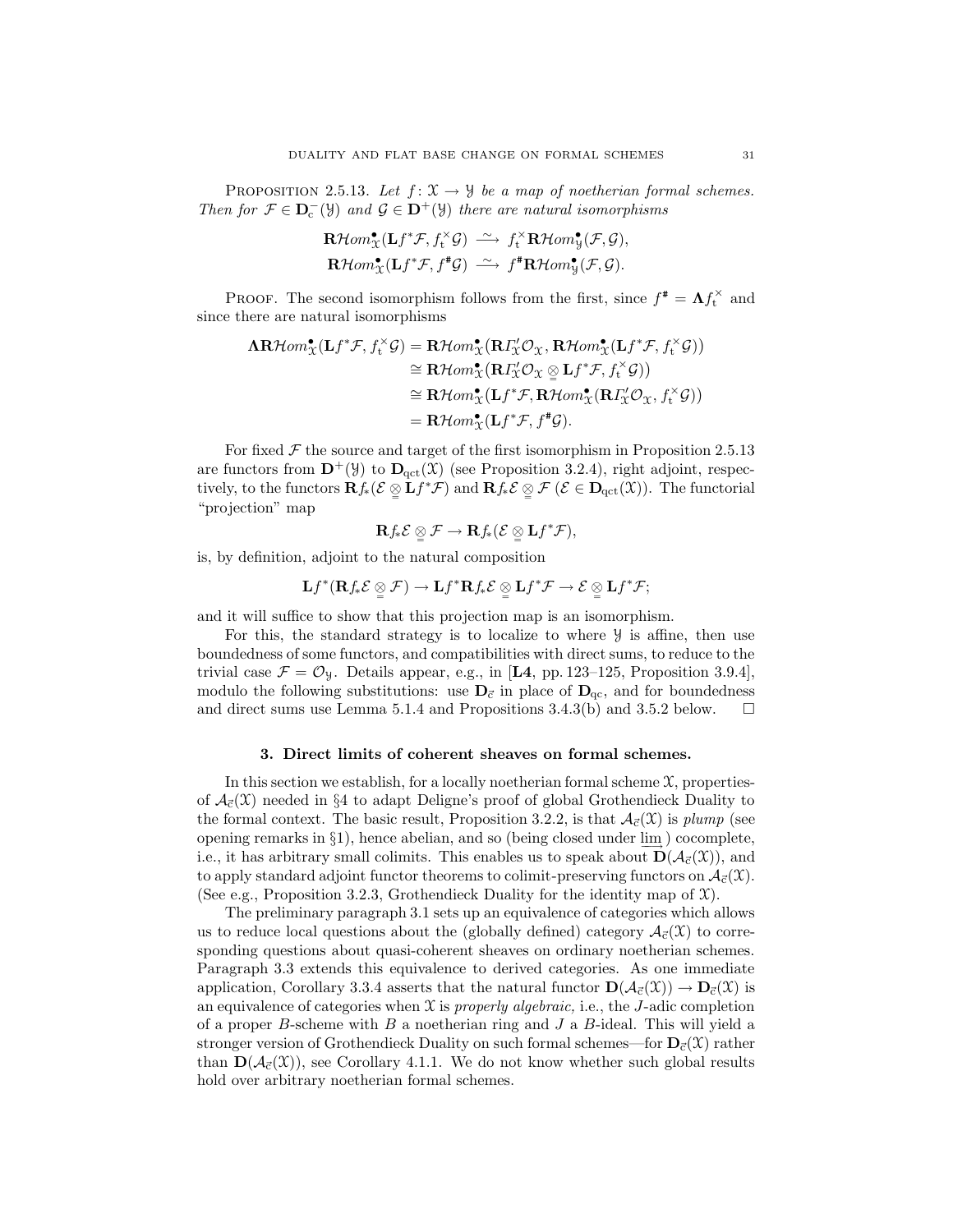PROPOSITION 2.5.13. Let  $f: \mathfrak{X} \to \mathfrak{Y}$  be a map of noetherian formal schemes. Then for  $\mathcal{F} \in \mathbf{D}_{c}^{-}(\mathcal{Y})$  and  $\mathcal{G} \in \mathbf{D}^{+}(\mathcal{Y})$  there are natural isomorphisms

$$
\mathbf{R}\mathcal{H}om_{\mathfrak{X}}^{\bullet}(\mathbf{L}f^{*}\mathcal{F},f_{t}^{\times}\mathcal{G}) \xrightarrow{\sim} f_{t}^{\times}\mathbf{R}\mathcal{H}om_{\mathfrak{Y}}^{\bullet}(\mathcal{F},\mathcal{G}),
$$
  

$$
\mathbf{R}\mathcal{H}om_{\mathfrak{X}}^{\bullet}(\mathbf{L}f^{*}\mathcal{F},f^{*}\mathcal{G}) \xrightarrow{\sim} f^{*}\mathbf{R}\mathcal{H}om_{\mathfrak{Y}}^{\bullet}(\mathcal{F},\mathcal{G}).
$$

PROOF. The second isomorphism follows from the first, since  $f^* = \Lambda f_t^{\times}$  and since there are natural isomorphisms

$$
\begin{aligned}\n\mathbf{AR}\mathcal{H}om_{\mathbf{x}}^{\bullet}(\mathbf{L}f^{*}\mathcal{F},f_{t}^{\times}\mathcal{G}) &= \mathbf{R}\mathcal{H}om_{\mathbf{x}}^{\bullet}(\mathbf{R}\Gamma_{\mathbf{x}}^{\prime}\mathcal{O}_{\mathbf{x}},\mathbf{R}\mathcal{H}om_{\mathbf{x}}^{\bullet}(\mathbf{L}f^{*}\mathcal{F},f_{t}^{\times}\mathcal{G})) \\
&\cong \mathbf{R}\mathcal{H}om_{\mathbf{x}}^{\bullet}(\mathbf{R}\Gamma_{\mathbf{x}}^{\prime}\mathcal{O}_{\mathbf{x}}\otimes\mathbf{L}f^{*}\mathcal{F},f_{t}^{\times}\mathcal{G})) \\
&\cong \mathbf{R}\mathcal{H}om_{\mathbf{x}}^{\bullet}(\mathbf{L}f^{*}\mathcal{F},\mathbf{R}\mathcal{H}om_{\mathbf{x}}^{\bullet}(\mathbf{R}\Gamma_{\mathbf{x}}^{\prime}\mathcal{O}_{\mathbf{x}},f_{t}^{\times}\mathcal{G})) \\
&= \mathbf{R}\mathcal{H}om_{\mathbf{x}}^{\bullet}(\mathbf{L}f^{*}\mathcal{F},f^{*}\mathcal{G}).\n\end{aligned}
$$

For fixed  $\mathcal F$  the source and target of the first isomorphism in Proposition 2.5.13 are functors from  $\mathbf{D}^+(\mathcal{Y})$  to  $\mathbf{D}_{\text{qct}}(\mathcal{X})$  (see Proposition 3.2.4), right adjoint, respectively, to the functors  $\mathbf{R} f_*(\mathcal{E} \underset{\cong}{\otimes} \mathbf{L} f^* \mathcal{F})$  and  $\mathbf{R} f_* \mathcal{E} \underset{\cong}{\otimes} \mathcal{F} (\mathcal{E} \in \mathbf{D}_{\text{qct}}(\mathfrak{X}))$ . The functorial "projection" map

$$
\mathbf{R} f_{*} \mathcal{E} \underset{=} {\otimes} \mathcal{F} \to \mathbf{R} f_{*} (\mathcal{E} \underset{=} {\otimes} \mathbf{L} f^{*} \mathcal{F}),
$$

is, by definition, adjoint to the natural composition

$$
\mathbf{L} f^{*} (\mathbf{R} f_{*} \mathcal{E} \underset{\cong}{\otimes} \mathcal{F}) \to \mathbf{L} f^{*} \mathbf{R} f_{*} \mathcal{E} \underset{\cong}{\otimes} \mathbf{L} f^{*} \mathcal{F} \to \mathcal{E} \underset{\cong}{\otimes} \mathbf{L} f^{*} \mathcal{F};
$$

and it will suffice to show that this projection map is an isomorphism.

For this, the standard strategy is to localize to where  $\mathcal{Y}$  is affine, then use boundedness of some functors, and compatibilities with direct sums, to reduce to the trivial case  $\mathcal{F} = \mathcal{O}_y$ . Details appear, e.g., in [L4, pp. 123-125, Proposition 3.9.4], modulo the following substitutions: use  $D_{\vec{c}}$  in place of  $D_{\text{qc}}$ , and for boundedness and direct sums use Lemma 5.1.4 and Propositions 3.4.3(b) and 3.5.2 below.  $\Box$ 

#### 3. Direct limits of coherent sheaves on formal schemes.

In this section we establish, for a locally noetherian formal scheme  $\mathfrak{X}$ , propertiesof  $\mathcal{A}_{\vec{c}}(\mathfrak{X})$  needed in §4 to adapt Deligne's proof of global Grothendieck Duality to the formal context. The basic result, Proposition 3.2.2, is that  $A_{\vec{c}}(\mathfrak{X})$  is plump (see opening remarks in §1), hence abelian, and so (being closed under  $\underline{\lim}_{\longrightarrow}$ ) cocomplete, i.e., it has arbitrary small colimits. This enables us to speak about  $\mathbf{D}(\mathcal{A}_{\vec{e}}(\mathcal{X}))$ , and to apply standard adjoint functor theorems to colimit-preserving functors on  $\mathcal{A}_{\vec{c}}(\mathcal{X})$ . (See e.g., Proposition 3.2.3, Grothendieck Duality for the identity map of  $\mathfrak{X}$ ).

The preliminary paragraph 3.1 sets up an equivalence of categories which allows us to reduce local questions about the (globally defined) category  $\mathcal{A}_{\vec{c}}(\mathfrak{X})$  to corresponding questions about quasi-coherent sheaves on ordinary noetherian schemes. Paragraph 3.3 extends this equivalence to derived categories. As one immediate application, Corollary 3.3.4 asserts that the natural functor  $\mathbf{D}(\mathcal{A}_{\vec{c}}(\mathcal{X})) \to \mathbf{D}_{\vec{c}}(\mathcal{X})$  is an equivalence of categories when  $\mathfrak X$  is properly algebraic, i.e., the J-adic completion of a proper B-scheme with B a noetherian ring and J a B-ideal. This will yield a stronger version of Grothendieck Duality on such formal schemes—for  $D_c(\mathcal{X})$  rather than  $\mathbf{D}(\mathcal{A}_{\vec{c}}(\mathcal{X}))$ , see Corollary 4.1.1. We do not know whether such global results hold over arbitrary noetherian formal schemes.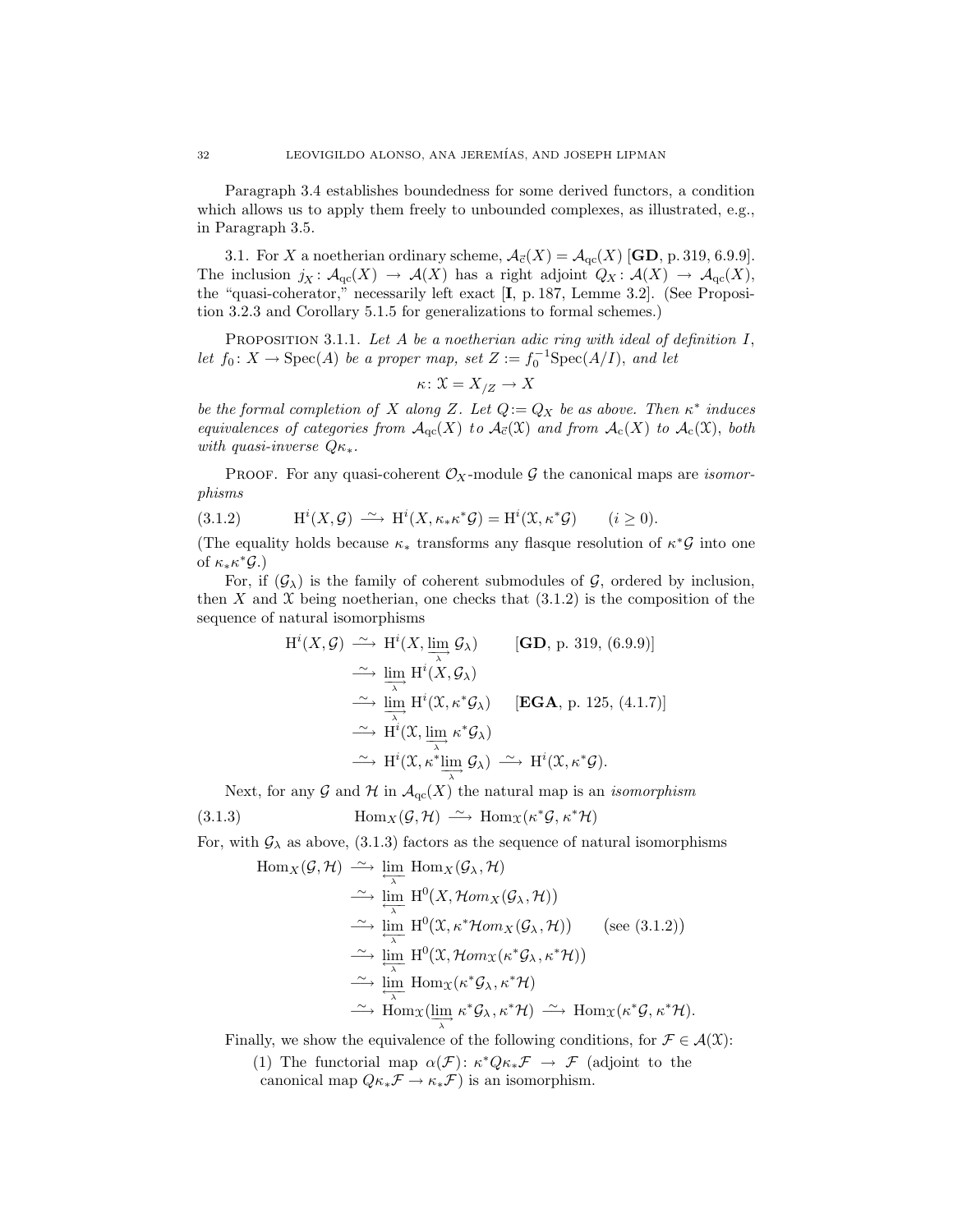Paragraph 3.4 establishes boundedness for some derived functors, a condition which allows us to apply them freely to unbounded complexes, as illustrated, e.g., in Paragraph 3.5.

3.1. For X a noetherian ordinary scheme,  $A_{\vec{c}}(X) = A_{\text{qc}}(X)$  [GD, p. 319, 6.9.9]. The inclusion  $j_X: \mathcal{A}_{\text{qc}}(X) \to \mathcal{A}(X)$  has a right adjoint  $Q_X: \mathcal{A}(X) \to \mathcal{A}_{\text{qc}}(X)$ , the "quasi-coherator," necessarily left exact [I, p. 187, Lemme 3.2]. (See Proposition 3.2.3 and Corollary 5.1.5 for generalizations to formal schemes.)

PROPOSITION 3.1.1. Let  $A$  be a noetherian adic ring with ideal of definition  $I$ , let  $f_0: X \to \text{Spec}(A)$  be a proper map, set  $Z := f_0^{-1} \text{Spec}(A/I)$ , and let

$$
\kappa\colon \mathfrak{X}=X_{/Z}\to X
$$

be the formal completion of X along Z. Let  $Q := Q_X$  be as above. Then  $\kappa^*$  induces equivalences of categories from  $\mathcal{A}_{qc}(X)$  to  $\mathcal{A}_{\vec{c}}(X)$  and from  $\mathcal{A}_c(X)$  to  $\mathcal{A}_c(X)$ , both with quasi-inverse  $Q\kappa_*$ .

PROOF. For any quasi-coherent  $\mathcal{O}_X$ -module G the canonical maps are *isomor*phisms

(3.1.2) 
$$
\mathrm{H}^i(X,\mathcal{G}) \xrightarrow{\sim} \mathrm{H}^i(X,\kappa_*\kappa^*\mathcal{G}) = \mathrm{H}^i(\mathfrak{X},\kappa^*\mathcal{G}) \qquad (i \geq 0).
$$

(The equality holds because  $\kappa_*$  transforms any flasque resolution of  $\kappa^* \mathcal{G}$  into one of  $\kappa_* \kappa^* \mathcal{G}$ .)

For, if  $(\mathcal{G}_{\lambda})$  is the family of coherent submodules of  $\mathcal{G}$ , ordered by inclusion, then X and X being noetherian, one checks that  $(3.1.2)$  is the composition of the sequence of natural isomorphisms

$$
H^{i}(X, \mathcal{G}) \xrightarrow{\sim} H^{i}(X, \varinjlim_{\lambda} \mathcal{G}_{\lambda})
$$
 [GD, p. 319, (6.9.9)]  
\n
$$
\xrightarrow{\sim} \varinjlim_{\lambda} H^{i}(X, \mathcal{G}_{\lambda})
$$
  
\n
$$
\xrightarrow{\sim} \varinjlim_{\lambda} H^{i}(\mathfrak{X}, \kappa^{*} \mathcal{G}_{\lambda})
$$
 [EGA, p. 125, (4.1.7)]  
\n
$$
\xrightarrow{\sim} H^{i}(X, \varinjlim_{\lambda} \kappa^{*} \mathcal{G}_{\lambda})
$$
  
\n
$$
\xrightarrow{\sim} H^{i}(\mathfrak{X}, \kappa^{*} \varinjlim_{\lambda} \mathcal{G}_{\lambda}) \xrightarrow{\sim} H^{i}(\mathfrak{X}, \kappa^{*} \mathcal{G}).
$$

Next, for any  $\mathcal G$  and  $\mathcal H$  in  $\mathcal A_{\mathrm{qc}}(X)$  the natural map is an *isomorphism* 

(3.1.3) Hom<sub>X</sub>( $\mathcal{G}, \mathcal{H}$ )  $\longrightarrow$  Hom<sub>X</sub>( $\kappa^* \mathcal{G}, \kappa^* \mathcal{H}$ )

For, with  $\mathcal{G}_{\lambda}$  as above, (3.1.3) factors as the sequence of natural isomorphisms

$$
\operatorname{Hom}_{X}(\mathcal{G}, \mathcal{H}) \xrightarrow{\sim} \varprojlim_{\lambda} \operatorname{Hom}_{X}(\mathcal{G}_{\lambda}, \mathcal{H})
$$
\n
$$
\xrightarrow{\sim} \varprojlim_{\lambda} \operatorname{H}^{0}(X, \mathcal{H}om_{X}(\mathcal{G}_{\lambda}, \mathcal{H}))
$$
\n
$$
\xrightarrow{\sim} \varprojlim_{\lambda} \operatorname{H}^{0}(\mathfrak{X}, \kappa^{*} \mathcal{H}om_{X}(\mathcal{G}_{\lambda}, \mathcal{H})) \quad \text{(see (3.1.2))}
$$
\n
$$
\xrightarrow{\sim} \varprojlim_{\lambda} \operatorname{H}^{0}(\mathfrak{X}, \mathcal{H}om_{X}(\kappa^{*} \mathcal{G}_{\lambda}, \kappa^{*} \mathcal{H}))
$$
\n
$$
\xrightarrow{\sim} \varprojlim_{\lambda} \operatorname{Hom}_{X}(\kappa^{*} \mathcal{G}_{\lambda}, \kappa^{*} \mathcal{H}) \xrightarrow{\sim} \operatorname{Hom}_{X}(\kappa^{*} \mathcal{G}, \kappa^{*} \mathcal{H}).
$$

Finally, we show the equivalence of the following conditions, for  $\mathcal{F} \in \mathcal{A}(\mathfrak{X})$ :

(1) The functorial map  $\alpha(\mathcal{F})$ :  $\kappa^* Q \kappa_* \mathcal{F} \to \mathcal{F}$  (adjoint to the canonical map  $Q\kappa_*\mathcal{F} \to \kappa_*\mathcal{F}$  is an isomorphism.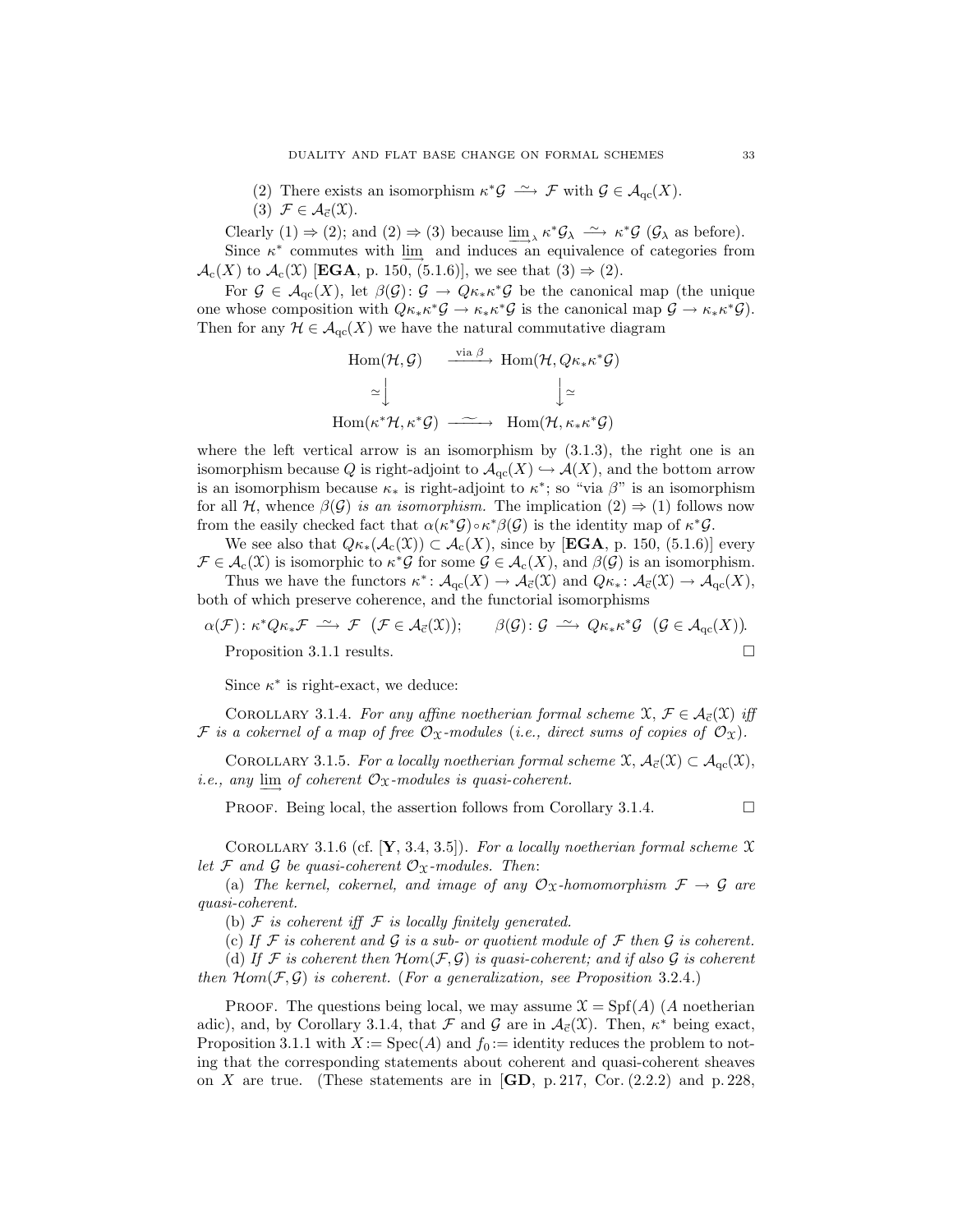(2) There exists an isomorphism  $\kappa^* \mathcal{G} \longrightarrow \mathcal{F}$  with  $\mathcal{G} \in \mathcal{A}_{\text{qc}}(X)$ . (3)  $\mathcal{F} \in \mathcal{A}_{\vec{c}}(\mathfrak{X}).$ 

Clearly (1)  $\Rightarrow$  (2); and (2)  $\Rightarrow$  (3) because  $\underline{\lim}_{\lambda} \kappa^* \mathcal{G}_{\lambda} \xrightarrow{\sim} \kappa^* \mathcal{G}$  ( $\mathcal{G}_{\lambda}$  as before). Since  $\kappa^*$  commutes with  $\underline{\lim}$  and induces an equivalence of categories from  $\mathcal{A}_{c}(X)$  to  $\mathcal{A}_{c}(X)$  [EGA, p. 150, (5.1.6)], we see that  $(3) \Rightarrow (2)$ .

For  $\mathcal{G} \in \mathcal{A}_{\text{qc}}(X)$ , let  $\beta(\mathcal{G}): \mathcal{G} \to Q\kappa_*\kappa^*\mathcal{G}$  be the canonical map (the unique one whose composition with  $Q\kappa_*\kappa^* \mathcal{G} \to \kappa_*\kappa^* \mathcal{G}$  is the canonical map  $\mathcal{G} \to \kappa_*\kappa^* \mathcal{G}$ . Then for any  $\mathcal{H} \in \mathcal{A}_{qc}(X)$  we have the natural commutative diagram

$$
\begin{array}{ccc}\n\text{Hom}(\mathcal{H}, \mathcal{G}) & \xrightarrow{\text{via } \beta} & \text{Hom}(\mathcal{H}, Q_{\kappa_* \kappa^* \mathcal{G}}) \\
\cong \Big\downarrow & \Big\downarrow \cong \\
\text{Hom}(\kappa^* \mathcal{H}, \kappa^* \mathcal{G}) & \xrightarrow{\sim} & \text{Hom}(\mathcal{H}, \kappa_* \kappa^* \mathcal{G})\n\end{array}
$$

where the left vertical arrow is an isomorphism by  $(3.1.3)$ , the right one is an isomorphism because Q is right-adjoint to  $\mathcal{A}_{qc}(X) \hookrightarrow \mathcal{A}(X)$ , and the bottom arrow is an isomorphism because  $\kappa_*$  is right-adjoint to  $\kappa^*$ ; so "via  $\beta$ " is an isomorphism for all H, whence  $\beta(\mathcal{G})$  is an isomorphism. The implication  $(2) \Rightarrow (1)$  follows now from the easily checked fact that  $\alpha(\kappa^*\mathcal{G}) \circ \kappa^*\beta(\mathcal{G})$  is the identity map of  $\kappa^*\mathcal{G}$ .

We see also that  $Q_{\kappa_*}(\mathcal{A}_{c}(\mathcal{X})) \subset \mathcal{A}_{c}(X)$ , since by [**EGA**, p. 150, (5.1.6)] every  $\mathcal{F} \in \mathcal{A}_{c}(\mathcal{X})$  is isomorphic to  $\kappa^* \mathcal{G}$  for some  $\mathcal{G} \in \mathcal{A}_{c}(X)$ , and  $\beta(\mathcal{G})$  is an isomorphism. Thus we have the functors  $\kappa^*: A_{\text{qc}}(X) \to A_{\vec{c}}(\mathfrak{X})$  and  $Q_{\kappa_*}: A_{\vec{c}}(\mathfrak{X}) \to A_{\text{qc}}(X)$ ,

both of which preserve coherence, and the functorial isomorphisms

$$
\alpha(\mathcal{F})\colon \kappa^* Q \kappa_* \mathcal{F} \xrightarrow{\sim} \mathcal{F} \ (\mathcal{F} \in \mathcal{A}_{\vec{c}}(\mathfrak{X})); \qquad \beta(\mathcal{G})\colon \mathcal{G} \xrightarrow{\sim} Q \kappa_* \kappa^* \mathcal{G} \ (\mathcal{G} \in \mathcal{A}_{qc}(X)).
$$
  
Proposition 3.1.1 results.

Since  $\kappa^*$  is right-exact, we deduce:

COROLLARY 3.1.4. For any affine noetherian formal scheme  $\mathfrak{X}, \mathcal{F} \in \mathcal{A}_{\vec{c}}(\mathfrak{X})$  iff F is a cokernel of a map of free  $\mathcal{O}_\mathfrak{X}$ -modules (i.e., direct sums of copies of  $\mathcal{O}_\mathfrak{X}$ ).

COROLLARY 3.1.5. For a locally noetherian formal scheme  $\mathfrak{X}, \mathcal{A}_{\vec{c}}(\mathfrak{X}) \subset \mathcal{A}_{qc}(\mathfrak{X}),$ *i.e.*, any  $\underline{\lim}$  of coherent  $\mathcal{O}_\mathfrak{X}$ -modules is quasi-coherent.

**PROOF.** Being local, the assertion follows from Corollary 3.1.4.  $\Box$ 

COROLLARY 3.1.6 (cf.  $[Y, 3.4, 3.5]$ ). For a locally noetherian formal scheme X let F and G be quasi-coherent  $\mathcal{O}_{\mathfrak{X}}$ -modules. Then:

(a) The kernel, cokernel, and image of any  $\mathcal{O}_X$ -homomorphism  $\mathcal{F} \to \mathcal{G}$  are quasi-coherent.

(b)  $\mathcal F$  is coherent iff  $\mathcal F$  is locally finitely generated.

(c) If  $\mathcal F$  is coherent and  $\mathcal G$  is a sub- or quotient module of  $\mathcal F$  then  $\mathcal G$  is coherent.

(d) If F is coherent then  $Hom(\mathcal{F}, \mathcal{G})$  is quasi-coherent; and if also  $\mathcal G$  is coherent then  $\mathcal{H}om(\mathcal{F}, \mathcal{G})$  is coherent. (For a generalization, see Proposition 3.2.4.)

**PROOF.** The questions being local, we may assume  $\mathcal{X} = \text{Spf}(A)$  (A noetherian adic), and, by Corollary 3.1.4, that  $\mathcal F$  and  $\mathcal G$  are in  $\mathcal A_{\vec c}(\mathfrak X)$ . Then,  $\kappa^*$  being exact, Proposition 3.1.1 with  $X := \text{Spec}(A)$  and  $f_0 :=$  identity reduces the problem to noting that the corresponding statements about coherent and quasi-coherent sheaves on X are true. (These statements are in  $\mathbf{[GD}, p. 217, \mathbf{Cor}, (2.2.2)$  and p. 228,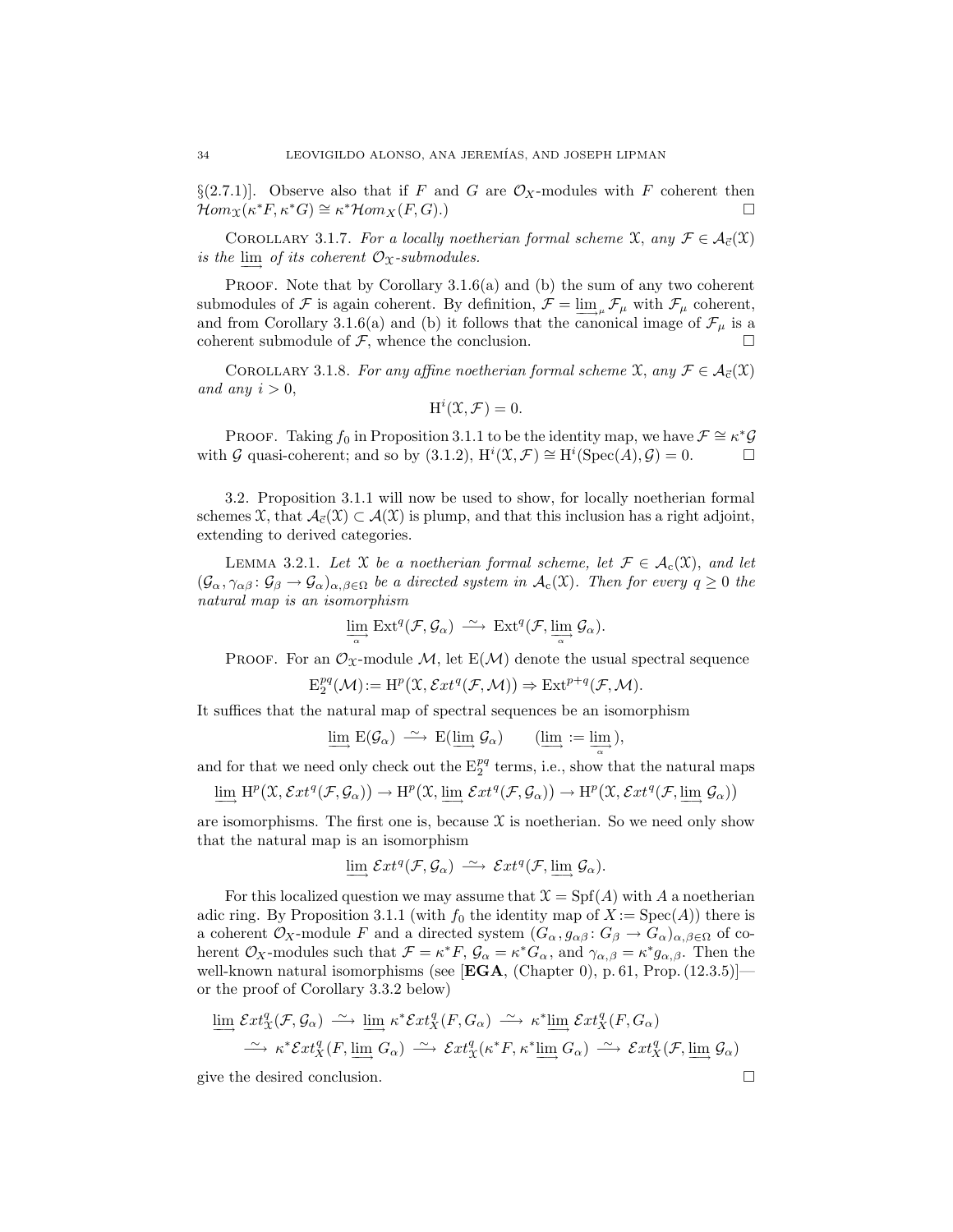§(2.7.1)]. Observe also that if F and G are  $\mathcal{O}_X$ -modules with F coherent then  $\mathcal{H}om_{X}(\kappa^*F, \kappa^*G) \cong \kappa^* \mathcal{H}om_X(F, G)$ .  $\mathcal{H}om_{\mathfrak{X}}(\kappa^*F, \kappa^*G) \cong \kappa^*\mathcal{H}om_{X}(F, G).$ 

COROLLARY 3.1.7. For a locally noetherian formal scheme  $\mathfrak{X}$ , any  $\mathcal{F} \in \mathcal{A}_{\vec{c}}(\mathfrak{X})$ is the  $\varinjlim$  of its coherent  $\mathcal{O}_\mathfrak{X}$ -submodules.

**PROOF.** Note that by Corollary  $3.1.6(a)$  and (b) the sum of any two coherent submodules of F is again coherent. By definition,  $\mathcal{F} = \lim_{\mu} \mathcal{F}_{\mu}$  with  $\mathcal{F}_{\mu}$  coherent, and from Corollary 3.1.6(a) and (b) it follows that the canonical image of  $\mathcal{F}_{\mu}$  is a coherent submodule of  $F$ , whence the conclusion.

COROLLARY 3.1.8. For any affine noetherian formal scheme X, any  $\mathcal{F} \in \mathcal{A}_{\vec{c}}(\mathfrak{X})$ and any  $i > 0$ ,

$$
H^i(\mathfrak{X}, \mathcal{F}) = 0.
$$

PROOF. Taking  $f_0$  in Proposition 3.1.1 to be the identity map, we have  $\mathcal{F} \cong \kappa^*\mathcal{G}$ with G quasi-coherent; and so by (3.1.2),  $H^i(\mathfrak{X}, \mathcal{F}) \cong H^i(\text{Spec}(A), \mathcal{G}) = 0.$ 

3.2. Proposition 3.1.1 will now be used to show, for locally noetherian formal schemes X, that  $\mathcal{A}_{\vec{c}}(\mathcal{X}) \subset \mathcal{A}(\mathcal{X})$  is plump, and that this inclusion has a right adjoint, extending to derived categories.

LEMMA 3.2.1. Let X be a noetherian formal scheme, let  $\mathcal{F} \in \mathcal{A}_c(\mathfrak{X})$ , and let  $(\mathcal{G}_{\alpha}, \gamma_{\alpha\beta} : \mathcal{G}_{\beta} \to \mathcal{G}_{\alpha})_{\alpha, \beta \in \Omega}$  be a directed system in  $\mathcal{A}_{c}(\mathfrak{X})$ . Then for every  $q \geq 0$  the natural map is an isomorphism

$$
\lim_{\alpha} \mathrm{Ext}^q(\mathcal{F}, \mathcal{G}_{\alpha}) \stackrel{\sim}{\longrightarrow} \mathrm{Ext}^q(\mathcal{F}, \lim_{\alpha} \mathcal{G}_{\alpha}).
$$

PROOF. For an  $\mathcal{O}_{\mathfrak{X}}$ -module M, let  $E(\mathcal{M})$  denote the usual spectral sequence

$$
\mathrm{E}_{2}^{pq}(\mathcal{M}) := \mathrm{H}^{p}(\mathfrak{X}, \mathcal{E}xt^{q}(\mathcal{F}, \mathcal{M})) \Rightarrow \mathrm{Ext}^{p+q}(\mathcal{F}, \mathcal{M}).
$$

It suffices that the natural map of spectral sequences be an isomorphism

$$
\varinjlim E(\mathcal{G}_{\alpha}) \xrightarrow{\sim} E(\varinjlim \mathcal{G}_{\alpha}) \qquad (\varinjlim := \varinjlim_{\alpha}),
$$

and for that we need only check out the  $E_2^{pq}$  terms, i.e., show that the natural maps

$$
\varinjlim \, \mathrm{H}^p\big(\mathfrak{X}, \mathcal{E}xt^q({\mathcal F},{\mathcal G}_\alpha)\big) \to \mathrm{H}^p\big(\mathfrak{X}, \varinjlim \, \mathcal{E}xt^q({\mathcal F},{\mathcal G}_\alpha)\big) \to \mathrm{H}^p\big(\mathfrak{X}, \mathcal{E}xt^q({\mathcal F}, \varinjlim {\mathcal G}_\alpha)\big)
$$

are isomorphisms. The first one is, because  $\mathfrak X$  is noetherian. So we need only show that the natural map is an isomorphism

$$
\varinjlim \mathcal{E}xt^q(\mathcal{F},\mathcal{G}_{\alpha}) \stackrel{\sim}{\longrightarrow} \mathcal{E}xt^q(\mathcal{F},\varinjlim \mathcal{G}_{\alpha}).
$$

For this localized question we may assume that  $\mathfrak{X} = Spf(A)$  with A a noetherian adic ring. By Proposition 3.1.1 (with  $f_0$  the identity map of  $X := \text{Spec}(A)$ ) there is a coherent  $\mathcal{O}_X$ -module F and a directed system  $(G_\alpha, g_{\alpha\beta}: G_\beta \to G_\alpha)_{\alpha,\beta \in \Omega}$  of coherent  $\mathcal{O}_X$ -modules such that  $\mathcal{F} = \kappa^* F$ ,  $\mathcal{G}_{\alpha} = \kappa^* G_{\alpha}$ , and  $\gamma_{\alpha,\beta} = \kappa^* g_{\alpha,\beta}$ . Then the well-known natural isomorphisms (see [EGA, (Chapter 0), p. 61, Prop.  $(12.3.5)$ ] or the proof of Corollary 3.3.2 below)

$$
\varinjlim_{\substack{\longrightarrow \\ \longrightarrow}} \mathcal{E}xt_{\mathcal{X}}^q(\mathcal{F}, \mathcal{G}_{\alpha}) \stackrel{\sim}{\longrightarrow} \varinjlim_{\substack{\longrightarrow \\ \longrightarrow}} \kappa^* \mathcal{E}xt_{\mathcal{X}}^q(F, G_{\alpha}) \stackrel{\sim}{\longrightarrow} \kappa^* \varinjlim_{\substack{\longrightarrow \\ \longrightarrow}} \mathcal{E}xt_{\mathcal{X}}^q(F, G_{\alpha})
$$
\n
$$
\stackrel{\sim}{\longrightarrow} \kappa^* \mathcal{E}xt_{\mathcal{X}}^q(F, \varinjlim_{\substack{\longrightarrow \\ \longrightarrow}} G_{\alpha}) \stackrel{\sim}{\longrightarrow} \mathcal{E}xt_{\mathcal{X}}^q(\mathcal{F}, \varinjlim_{\substack{\longrightarrow \\ \longrightarrow}} \mathcal{G}_{\alpha})
$$

give the desired conclusion.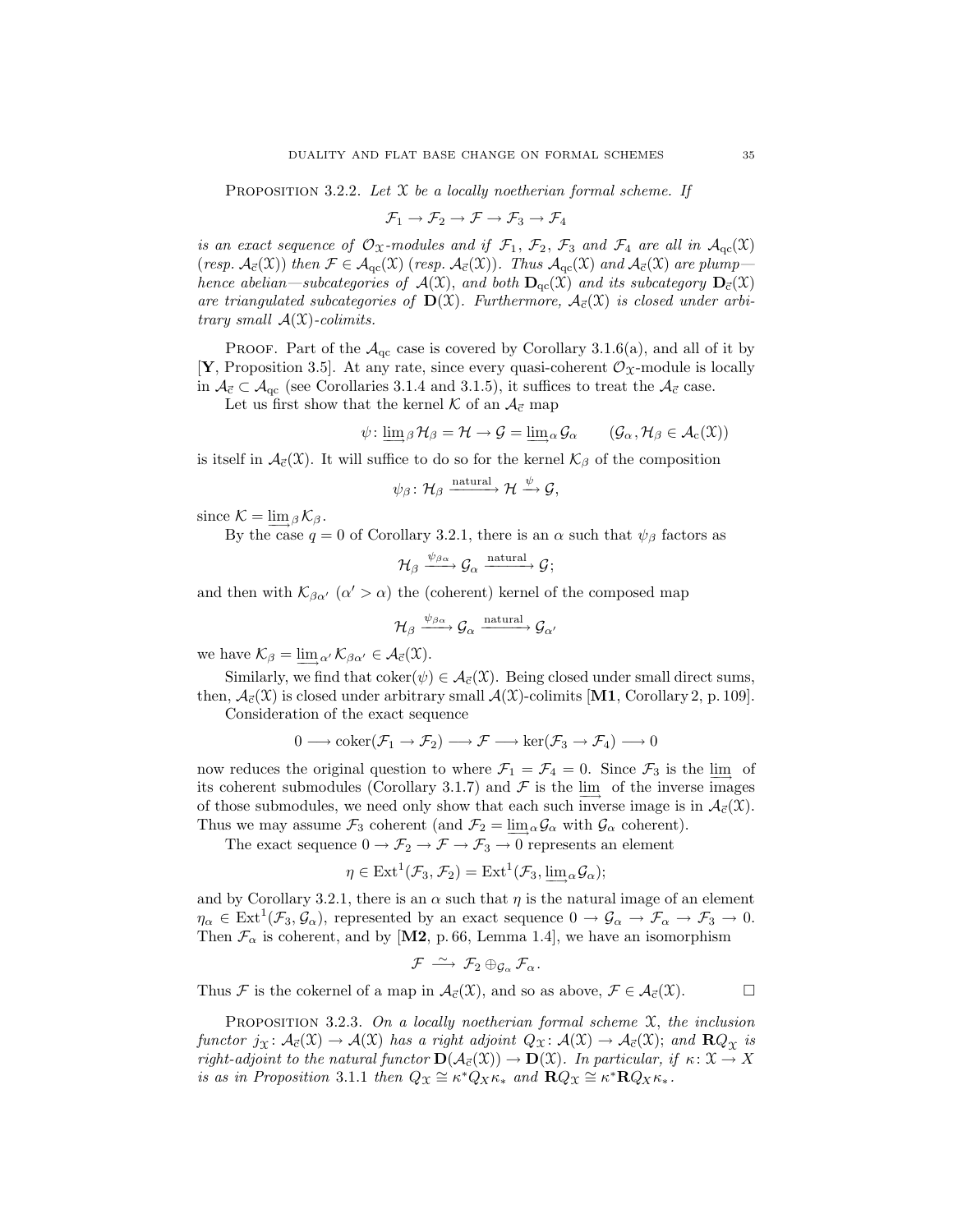PROPOSITION 3.2.2. Let  $\mathfrak X$  be a locally noetherian formal scheme. If

$$
\mathcal{F}_1 \to \mathcal{F}_2 \to \mathcal{F} \to \mathcal{F}_3 \to \mathcal{F}_4
$$

is an exact sequence of  $\mathcal{O}_{\mathfrak{X}}$ -modules and if  $\mathcal{F}_1$ ,  $\mathcal{F}_2$ ,  $\mathcal{F}_3$  and  $\mathcal{F}_4$  are all in  $\mathcal{A}_{qc}(\mathfrak{X})$ (resp.  $\mathcal{A}_{\vec{c}}(\mathfrak{X})$ ) then  $\mathcal{F} \in \mathcal{A}_{qc}(\mathfrak{X})$  (resp.  $\mathcal{A}_{\vec{c}}(\mathfrak{X})$ ). Thus  $\mathcal{A}_{qc}(\mathfrak{X})$  and  $\mathcal{A}_{\vec{c}}(\mathfrak{X})$  are plumphence abelian—subcategories of  $\mathcal{A}(\mathfrak{X})$ , and both  $\mathbf{D}_{\alpha}(\mathfrak{X})$  and its subcategory  $\mathbf{D}_{\vec{c}}(\mathfrak{X})$ are triangulated subcategories of  $\mathbf{D}(\mathfrak{X})$ . Furthermore,  $\mathcal{A}_{\vec{c}}(\mathfrak{X})$  is closed under arbitrary small  $\mathcal{A}(\mathfrak{X})$ -colimits.

PROOF. Part of the  $A_{qc}$  case is covered by Corollary 3.1.6(a), and all of it by [Y, Proposition 3.5]. At any rate, since every quasi-coherent  $\mathcal{O}_{\mathfrak{X}}$ -module is locally in  $A_{\vec{c}} \subset A_{\text{qc}}$  (see Corollaries 3.1.4 and 3.1.5), it suffices to treat the  $A_{\vec{c}}$  case.

Let us first show that the kernel  $K$  of an  $\mathcal{A}_{\vec{c}}$  map

$$
\psi: \underline{\lim}_{\beta} \mathcal{H}_{\beta} = \mathcal{H} \to \mathcal{G} = \underline{\lim}_{\alpha} \mathcal{G}_{\alpha} \qquad (\mathcal{G}_{\alpha}, \mathcal{H}_{\beta} \in \mathcal{A}_{c}(\mathfrak{X}))
$$

is itself in  $\mathcal{A}_{\vec{c}}(\mathfrak{X})$ . It will suffice to do so for the kernel  $\mathcal{K}_{\beta}$  of the composition

$$
\psi_{\beta} \colon \mathcal{H}_{\beta} \xrightarrow{\text{natural}} \mathcal{H} \xrightarrow{\psi} \mathcal{G},
$$

since  $\mathcal{K} = \lim_{\beta} \mathcal{K}_{\beta}$ .

By the case  $q = 0$  of Corollary 3.2.1, there is an  $\alpha$  such that  $\psi_{\beta}$  factors as

$$
\mathcal{H}_{\beta}\xrightarrow{\psi_{\beta\alpha}}\mathcal{G}_{\alpha}\xrightarrow{\text{natural}}\mathcal{G};
$$

and then with  $\mathcal{K}_{\beta\alpha'}$  ( $\alpha' > \alpha$ ) the (coherent) kernel of the composed map

$$
\mathcal{H}_{\beta} \xrightarrow{\psi_{\beta\alpha}} \mathcal{G}_{\alpha} \xrightarrow{\text{natural}} \mathcal{G}_{\alpha'}
$$

we have  $\mathcal{K}_{\beta} = \lim_{\alpha'} \mathcal{K}_{\beta\alpha'} \in \mathcal{A}_{\vec{c}}(\mathfrak{X}).$ 

Similarly, we find that coker( $\psi$ )  $\in$   $\mathcal{A}_{\vec{c}}(\mathcal{X})$ . Being closed under small direct sums, then,  $\mathcal{A}_{\vec{c}}(\mathcal{X})$  is closed under arbitrary small  $\mathcal{A}(\mathcal{X})$ -colimits [M1, Corollary 2, p. 109]. Consideration of the exact sequence

$$
0 \longrightarrow \mathrm{coker}(\mathcal{F}_1 \to \mathcal{F}_2) \longrightarrow \mathcal{F} \longrightarrow \mathrm{ker}(\mathcal{F}_3 \to \mathcal{F}_4) \longrightarrow 0
$$

now reduces the original question to where  $\mathcal{F}_1 = \mathcal{F}_4 = 0$ . Since  $\mathcal{F}_3$  is the limport its coherent submodules (Corollary 3.1.7) and  $\mathcal F$  is the lim<sub>→</sub> of the inverse images of those submodules, we need only show that each such inverse image is in  $\mathcal{A}_{\vec{c}}(\mathfrak{X})$ . Thus we may assume  $\mathcal{F}_3$  coherent (and  $\mathcal{F}_2 = \lim_{\alpha} \mathcal{G}_{\alpha}$  with  $\mathcal{G}_{\alpha}$  coherent).

The exact sequence  $0 \to \mathcal{F}_2 \to \mathcal{F} \to \mathcal{F}_3 \to 0$  represents an element

$$
\eta \in \text{Ext}^1(\mathcal{F}_3, \mathcal{F}_2) = \text{Ext}^1(\mathcal{F}_3, \underline{\lim}_{\alpha} \mathcal{G}_{\alpha});
$$

and by Corollary 3.2.1, there is an  $\alpha$  such that  $\eta$  is the natural image of an element  $\eta_{\alpha} \in \text{Ext}^1(\mathcal{F}_3, \mathcal{G}_{\alpha})$ , represented by an exact sequence  $0 \to \mathcal{G}_{\alpha} \to \mathcal{F}_{\alpha} \to \mathcal{F}_3 \to 0$ . Then  $\mathcal{F}_{\alpha}$  is coherent, and by [M2, p. 66, Lemma 1.4], we have an isomorphism

$$
\mathcal{F} \,\stackrel{\sim}{\longrightarrow}\, \mathcal{F}_2 \oplus_{\mathcal{G}_{\alpha}} \mathcal{F}_{\alpha}.
$$

Thus F is the cokernel of a map in  $\mathcal{A}_{\vec{c}}(\mathfrak{X})$ , and so as above,  $\mathcal{F} \in \mathcal{A}_{\vec{c}}(\mathfrak{X})$ .

PROPOSITION 3.2.3. On a locally noetherian formal scheme  $\mathfrak{X}$ , the inclusion functor  $j_{\mathfrak{X}}: \mathcal{A}_{\vec{c}}(\mathfrak{X}) \to \mathcal{A}(\mathfrak{X})$  has a right adjoint  $Q_{\mathfrak{X}}: \mathcal{A}(\mathfrak{X}) \to \mathcal{A}_{\vec{c}}(\mathfrak{X})$ ; and  $\mathbf{R} Q_{\mathfrak{X}}$  is right-adjoint to the natural functor  $\mathbf{D}(\mathcal{A}_{\vec{c}}(\mathfrak{X})) \to \mathbf{D}(\mathfrak{X})$ . In particular, if  $\kappa \colon \mathfrak{X} \to X$ is as in Proposition 3.1.1 then  $Q_{\mathfrak{X}} \cong \kappa^* Q_X \kappa_*$  and  $\mathbf{R} Q_{\mathfrak{X}} \cong \kappa^* \mathbf{R} Q_X \kappa_*$ .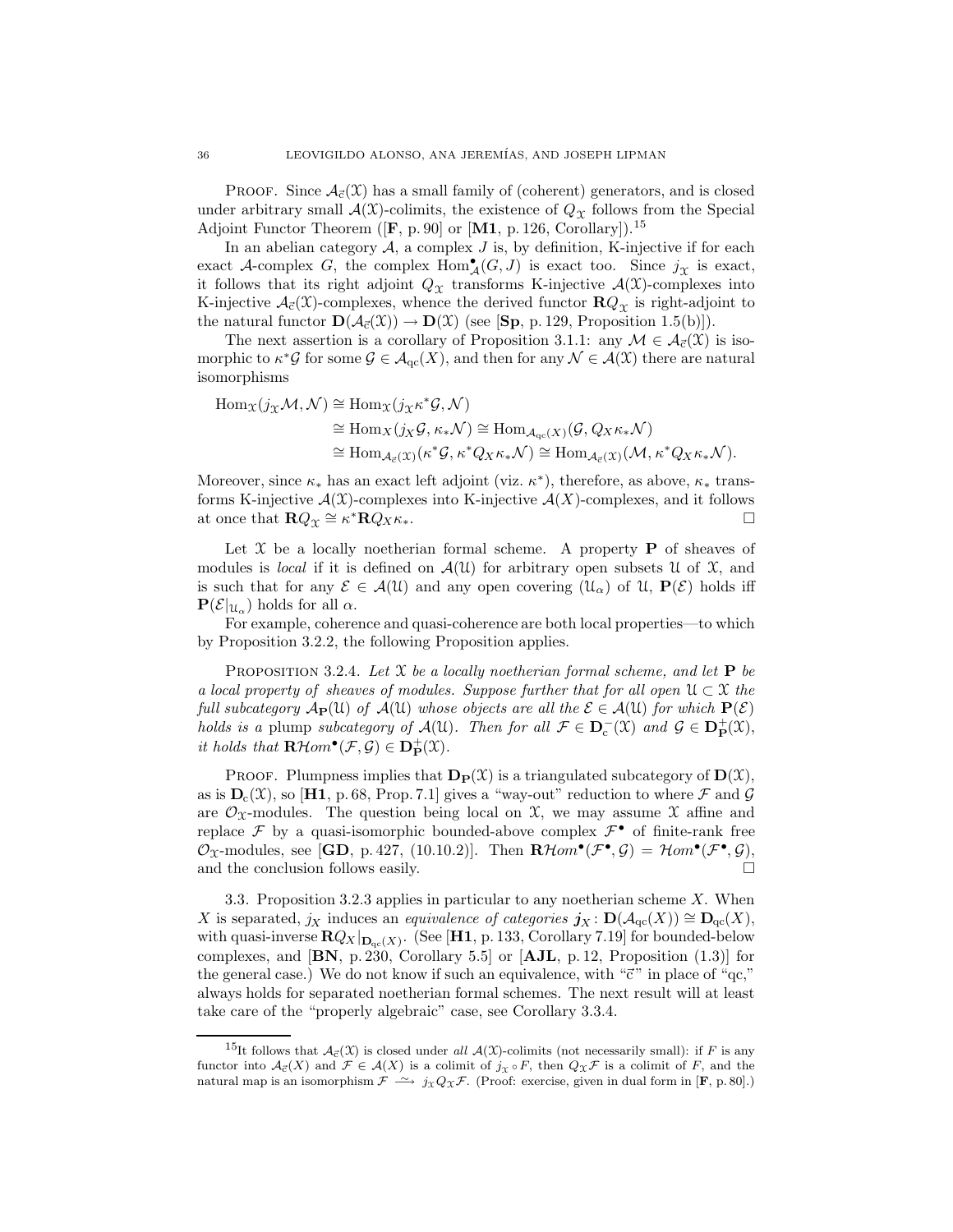**PROOF.** Since  $\mathcal{A}_{\vec{c}}(\mathcal{X})$  has a small family of (coherent) generators, and is closed under arbitrary small  $\mathcal{A}(\mathfrak{X})$ -colimits, the existence of  $Q_{\mathfrak{X}}$  follows from the Special Adjoint Functor Theorem ( $[F, p. 90]$  or  $[M1, p. 126, Corollary]$ ).<sup>15</sup>

In an abelian category  $A$ , a complex  $J$  is, by definition, K-injective if for each exact A-complex G, the complex  $\text{Hom}_{\mathcal{A}}^{\bullet}(G, J)$  is exact too. Since  $j_{\mathcal{X}}$  is exact, it follows that its right adjoint  $Q_{\mathfrak{X}}$  transforms K-injective  $\mathcal{A}(\mathfrak{X})$ -complexes into K-injective  $\mathcal{A}_{\vec{c}}(\mathfrak{X})$ -complexes, whence the derived functor  $\mathbf{R}Q_{\gamma}$  is right-adjoint to the natural functor  $\mathbf{D}(\mathcal{A}_{\vec{c}}(\mathcal{X})) \to \mathbf{D}(\mathcal{X})$  (see [Sp, p. 129, Proposition 1.5(b)]).

The next assertion is a corollary of Proposition 3.1.1: any  $\mathcal{M} \in \mathcal{A}_{\vec{c}}(\mathfrak{X})$  is isomorphic to  $\kappa^* \mathcal{G}$  for some  $\mathcal{G} \in \mathcal{A}_{\text{qc}}(X)$ , and then for any  $\mathcal{N} \in \mathcal{A}(\mathcal{X})$  there are natural isomorphisms

$$
\begin{aligned} \mathrm{Hom}_{\mathcal{X}}(j_{\mathcal{X}}\mathcal{M},\mathcal{N}) &\cong \mathrm{Hom}_{\mathcal{X}}(j_{\mathcal{X}}\kappa^*\mathcal{G},\mathcal{N}) \\ &\cong \mathrm{Hom}_{X}(j_{X}\mathcal{G},\kappa_*\mathcal{N}) \cong \mathrm{Hom}_{\mathcal{A}_{\mathrm{qc}}(X)}(\mathcal{G},Q_X\kappa_*\mathcal{N}) \\ &\cong \mathrm{Hom}_{\mathcal{A}_{\vec{c}}(\mathcal{X})}(\kappa^*\mathcal{G},\kappa^*\mathcal{Q}_X\kappa_*\mathcal{N}) \cong \mathrm{Hom}_{\mathcal{A}_{\vec{c}}(\mathcal{X})}(\mathcal{M},\kappa^*\mathcal{Q}_X\kappa_*\mathcal{N}). \end{aligned}
$$

Moreover, since  $\kappa_*$  has an exact left adjoint (viz.  $\kappa^*$ ), therefore, as above,  $\kappa_*$  transforms K-injective  $\mathcal{A}(X)$ -complexes into K-injective  $\mathcal{A}(X)$ -complexes, and it follows at once that  $\mathbf{R}Q_{\infty} \cong \kappa^* \mathbf{R}Q_{\infty}$ . at once that  $\mathbf{R}Q_{\mathfrak{X}} \cong \kappa^* \mathbf{R} Q_X \kappa_*$ .

Let  $X$  be a locally noetherian formal scheme. A property **P** of sheaves of modules is *local* if it is defined on  $\mathcal{A}(\mathcal{U})$  for arbitrary open subsets U of X, and is such that for any  $\mathcal{E} \in \mathcal{A}(\mathcal{U})$  and any open covering  $(\mathcal{U}_{\alpha})$  of  $\mathcal{U}, \mathbf{P}(\mathcal{E})$  holds iff  $\mathbf{P}(\mathcal{E}|_{\mathcal{U}_{\alpha}})$  holds for all  $\alpha$ .

For example, coherence and quasi-coherence are both local properties—to which by Proposition 3.2.2, the following Proposition applies.

PROPOSITION 3.2.4. Let X be a locally noetherian formal scheme, and let  $P$  be a local property of sheaves of modules. Suppose further that for all open  $\mathfrak{U} \subset \mathfrak{X}$  the full subcategory  $A_P(\mathfrak{U})$  of  $A(\mathfrak{U})$  whose objects are all the  $\mathcal{E} \in A(\mathfrak{U})$  for which  $P(\mathcal{E})$ holds is a plump subcategory of  $\mathcal{A}(\mathfrak{U})$ . Then for all  $\mathcal{F} \in \mathbf{D}_{c}^{-}(\mathfrak{X})$  and  $\mathcal{G} \in \mathbf{D}_{\mathbf{P}}^{+}(\mathfrak{X})$ , it holds that  $\mathbf{R}\mathcal{H}om^{\bullet}(\mathcal{F}, \mathcal{G}) \in \mathbf{D}_{\mathbf{P}}^{+}(\mathfrak{X})$ .

**PROOF.** Plumpness implies that  $\mathbf{D}_P(\mathcal{X})$  is a triangulated subcategory of  $D(\mathcal{X})$ , as is  $D_c(\mathcal{X})$ , so [H1, p. 68, Prop. 7.1] gives a "way-out" reduction to where  $\mathcal F$  and  $\mathcal G$ are  $\mathcal{O}_{\mathfrak{X}}$ -modules. The question being local on  $\mathfrak{X}$ , we may assume  $\mathfrak{X}$  affine and replace  $\mathcal F$  by a quasi-isomorphic bounded-above complex  $\mathcal F$ <sup>•</sup> of finite-rank free  $\mathcal{O}_{\mathfrak{X}}$ -modules, see [GD, p. 427, (10.10.2)]. Then  $\mathbf{R}\mathcal{H}om^{\bullet}(\mathcal{F}^{\bullet},\mathcal{G}) = \mathcal{H}om^{\bullet}(\mathcal{F}^{\bullet},\mathcal{G}),$ and the conclusion follows easily.  $\Box$ 

3.3. Proposition 3.2.3 applies in particular to any noetherian scheme X. When X is separated,  $j_X$  induces an equivalence of categories  $\mathbf{j}_X : \mathbf{D}(\mathcal{A}_{\mathrm{qc}}(X)) \cong \mathbf{D}_{\mathrm{qc}}(X)$ , with quasi-inverse  $RQ_X|_{\mathbf{D}_{\text{qc}}(X)}$ . (See [H1, p. 133, Corollary 7.19] for bounded-below complexes, and  $[BN, p. 230, Corollary 5.5]$  or  $[AJL, p. 12, Proposition (1.3)]$  for the general case.) We do not know if such an equivalence, with " $\vec{c}$ " in place of "qc," always holds for separated noetherian formal schemes. The next result will at least take care of the "properly algebraic" case, see Corollary 3.3.4.

<sup>&</sup>lt;sup>15</sup>It follows that  $A_{\vec{c}}(\mathfrak{X})$  is closed under all  $A(\mathfrak{X})$ -colimits (not necessarily small): if F is any functor into  $\mathcal{A}_{\vec{\epsilon}}(X)$  and  $\mathcal{F} \in \mathcal{A}(X)$  is a colimit of  $j_X \circ F$ , then  $Q_X \mathcal{F}$  is a colimit of F, and the natural map is an isomorphism  $\mathcal{F} \longrightarrow j_{\mathcal{X}}Q_{\mathcal{X}}\mathcal{F}$ . (Proof: exercise, given in dual form in [**F**, p. 80].)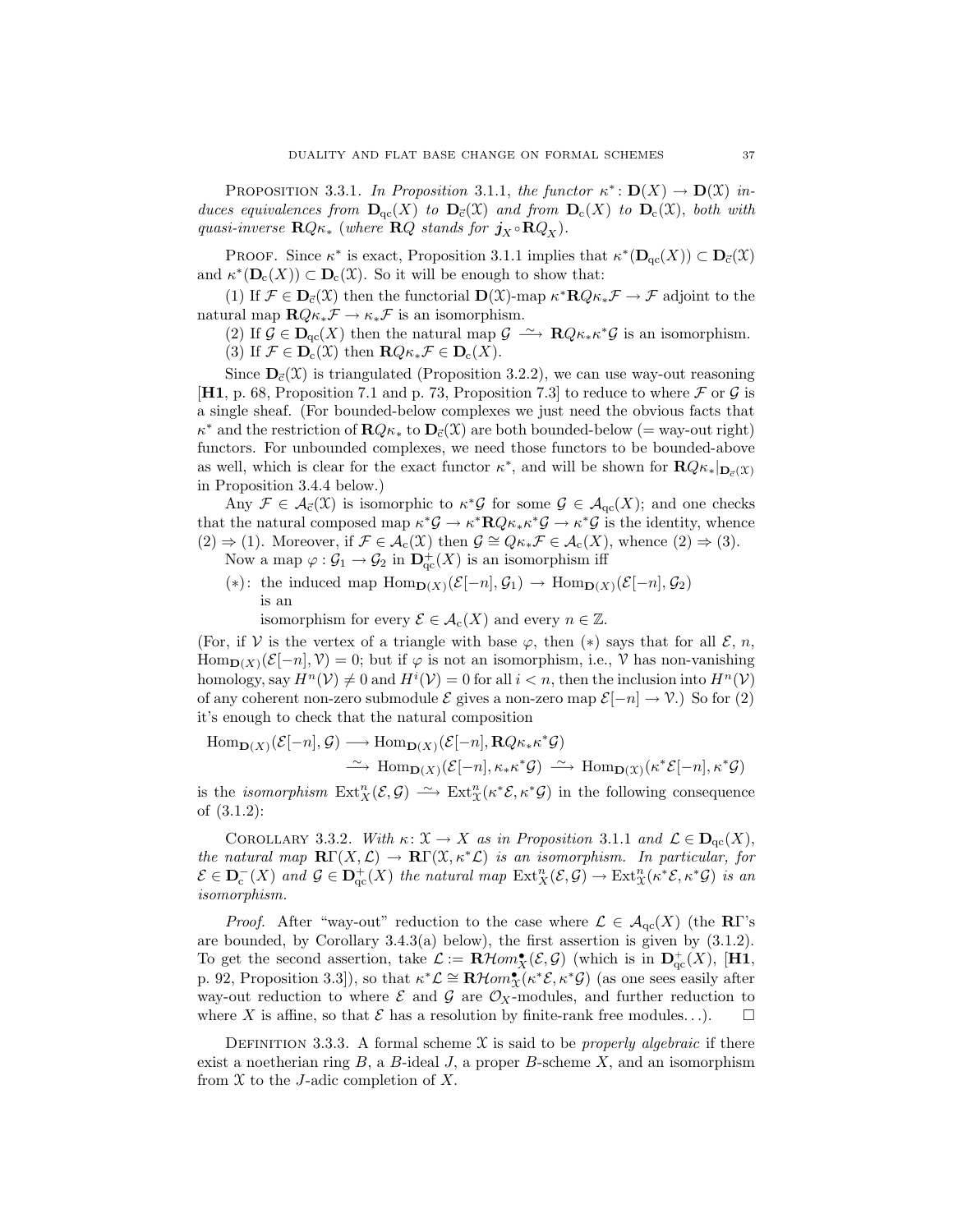PROPOSITION 3.3.1. In Proposition 3.1.1, the functor  $\kappa^* : \mathbf{D}(X) \to \mathbf{D}(\mathfrak{X})$  induces equivalences from  $D_{qc}(X)$  to  $D_{\bar{c}}(X)$  and from  $D_c(X)$  to  $D_c(X)$ , both with quasi-inverse  $\mathbf{R}Q\kappa_*$  (where  $\mathbf{R}Q$  stands for  $j_X \circ \mathbf{R}Q_X$ ).

PROOF. Since  $\kappa^*$  is exact, Proposition 3.1.1 implies that  $\kappa^*(\mathbf{D}_{\mathrm{qc}}(X)) \subset \mathbf{D}_{\bar{c}}(\mathfrak{X})$ and  $\kappa^*(\mathbf{D}_c(X)) \subset \mathbf{D}_c(X)$ . So it will be enough to show that:

(1) If  $\mathcal{F} \in \mathbf{D}_{\vec{c}}(\mathcal{X})$  then the functorial  $\mathbf{D}(\mathcal{X})$ -map  $\kappa^* \mathbf{R} Q \kappa_* \mathcal{F} \to \mathcal{F}$  adjoint to the natural map  $\mathbf{R}Q\kappa_*\mathcal{F} \to \kappa_*\mathcal{F}$  is an isomorphism.

(2) If  $\mathcal{G} \in \mathbf{D}_{\mathrm{qc}}(X)$  then the natural map  $\mathcal{G} \longrightarrow \mathbf{R} Q \kappa_* \kappa^* \mathcal{G}$  is an isomorphism.

(3) If  $\mathcal{F} \in \mathbf{D}_{c}(\mathfrak{X})$  then  $\mathbf{R} Q \kappa_* \mathcal{F} \in \mathbf{D}_{c}(X)$ .

Since  $\mathbf{D}_{\vec{c}}(\mathcal{X})$  is triangulated (Proposition 3.2.2), we can use way-out reasoning **[H1**, p. 68, Proposition 7.1 and p. 73, Proposition 7.3] to reduce to where  $\mathcal F$  or  $\mathcal G$  is a single sheaf. (For bounded-below complexes we just need the obvious facts that  $\kappa^*$  and the restriction of  $\mathbf{R} Q \kappa_*$  to  $\mathbf{D}_{\vec{c}}(\mathfrak{X})$  are both bounded-below (= way-out right) functors. For unbounded complexes, we need those functors to be bounded-above as well, which is clear for the exact functor  $\kappa^*$ , and will be shown for  $\mathbf{R}Q\kappa_*|_{\mathbf{D}_\epsilon(\mathcal{X})}$ in Proposition 3.4.4 below.)

Any  $\mathcal{F} \in \mathcal{A}_{\vec{c}}(\mathcal{X})$  is isomorphic to  $\kappa^* \mathcal{G}$  for some  $\mathcal{G} \in \mathcal{A}_{\text{qc}}(X)$ ; and one checks that the natural composed map  $\kappa^* \mathcal{G} \to \kappa^* \mathbf{R} Q \kappa_* \kappa^* \mathcal{G} \to \kappa^* \mathcal{G}$  is the identity, whence  $(2) \Rightarrow (1)$ . Moreover, if  $\mathcal{F} \in \mathcal{A}_{c}(\mathcal{X})$  then  $\mathcal{G} \cong Q_{\kappa_*} \mathcal{F} \in \mathcal{A}_{c}(X)$ , whence  $(2) \Rightarrow (3)$ .

- Now a map  $\varphi : \mathcal{G}_1 \to \mathcal{G}_2$  in  $\mathbf{D}^+_{\mathrm{qc}}(X)$  is an isomorphism iff
- (\*): the induced map  $\text{Hom}_{\mathbf{D}(X)}(\mathcal{E}[-n], \mathcal{G}_1) \rightarrow \text{Hom}_{\mathbf{D}(X)}(\mathcal{E}[-n], \mathcal{G}_2)$ is an

isomorphism for every  $\mathcal{E} \in \mathcal{A}_{c}(X)$  and every  $n \in \mathbb{Z}$ .

(For, if V is the vertex of a triangle with base  $\varphi$ , then  $(*)$  says that for all  $\mathcal{E}, n$ ,  $\text{Hom}_{\mathbf{D}(X)}(\mathcal{E}[-n], \mathcal{V}) = 0$ ; but if  $\varphi$  is not an isomorphism, i.e.,  $\mathcal V$  has non-vanishing homology, say  $H^n(\mathcal{V}) \neq 0$  and  $H^i(\mathcal{V}) = 0$  for all  $i < n$ , then the inclusion into  $H^n(\mathcal{V})$ of any coherent non-zero submodule  $\mathcal E$  gives a non-zero map  $\mathcal E[-n] \to \mathcal V$ .) So for (2) it's enough to check that the natural composition

$$
\text{Hom}_{\mathbf{D}(X)}(\mathcal{E}[-n],\mathcal{G}) \longrightarrow \text{Hom}_{\mathbf{D}(X)}(\mathcal{E}[-n],\mathbf{R}Q\kappa_{*}\kappa^{*}\mathcal{G})
$$
  

$$
\xrightarrow{\sim} \text{Hom}_{\mathbf{D}(X)}(\mathcal{E}[-n],\kappa_{*}\kappa^{*}\mathcal{G}) \xrightarrow{\sim} \text{Hom}_{\mathbf{D}(X)}(\kappa^{*}\mathcal{E}[-n],\kappa^{*}\mathcal{G})
$$

is the *isomorphism*  $\text{Ext}^n_X(\mathcal{E}, \mathcal{G}) \longrightarrow \text{Ext}^n_X(\kappa^*\mathcal{E}, \kappa^*\mathcal{G})$  in the following consequence of (3.1.2):

COROLLARY 3.3.2. With  $\kappa: \mathfrak{X} \to X$  as in Proposition 3.1.1 and  $\mathcal{L} \in \mathbf{D}_{\mathrm{qc}}(X)$ , the natural map  $\mathbf{R}\Gamma(X,\mathcal{L}) \to \mathbf{R}\Gamma(\mathcal{X},\kappa^*\mathcal{L})$  is an isomorphism. In particular, for  $\mathcal{E} \in \mathbf{D}_{\mathbf{c}}^-(X)$  and  $\mathcal{G} \in \mathbf{D}_{\mathbf{qc}}^+(X)$  the natural map  $\mathrm{Ext}^n_X(\mathcal{E}, \mathcal{G}) \to \mathrm{Ext}^n_X(\kappa^*\mathcal{E}, \kappa^*\mathcal{G})$  is an isomorphism.

*Proof.* After "way-out" reduction to the case where  $\mathcal{L} \in \mathcal{A}_{qc}(X)$  (the RΓ's are bounded, by Corollary 3.4.3(a) below), the first assertion is given by (3.1.2). To get the second assertion, take  $\mathcal{L} := \mathbf{R}\mathcal{H}om_X^{\bullet}(\mathcal{E}, \mathcal{G})$  (which is in  $\mathbf{D}^+_{\mathrm{qc}}(X)$ , [H1, p. 92, Proposition 3.3]), so that  $\kappa^*\mathcal{L} \cong \mathbf{R}\mathcal{H}om_{\mathfrak{X}}^*(\kappa^*\mathcal{E},\kappa^*\mathcal{G})$  (as one sees easily after way-out reduction to where  $\mathcal E$  and  $\mathcal G$  are  $\mathcal O_X$ -modules, and further reduction to where X is affine, so that  $\mathcal E$  has a resolution by finite-rank free modules...). where X is affine, so that  $\mathcal E$  has a resolution by finite-rank free modules...).

DEFINITION 3.3.3. A formal scheme  $\mathfrak X$  is said to be *properly algebraic* if there exist a noetherian ring  $B$ , a  $B$ -ideal  $J$ , a proper  $B$ -scheme  $X$ , and an isomorphism from  $X$  to the J-adic completion of X.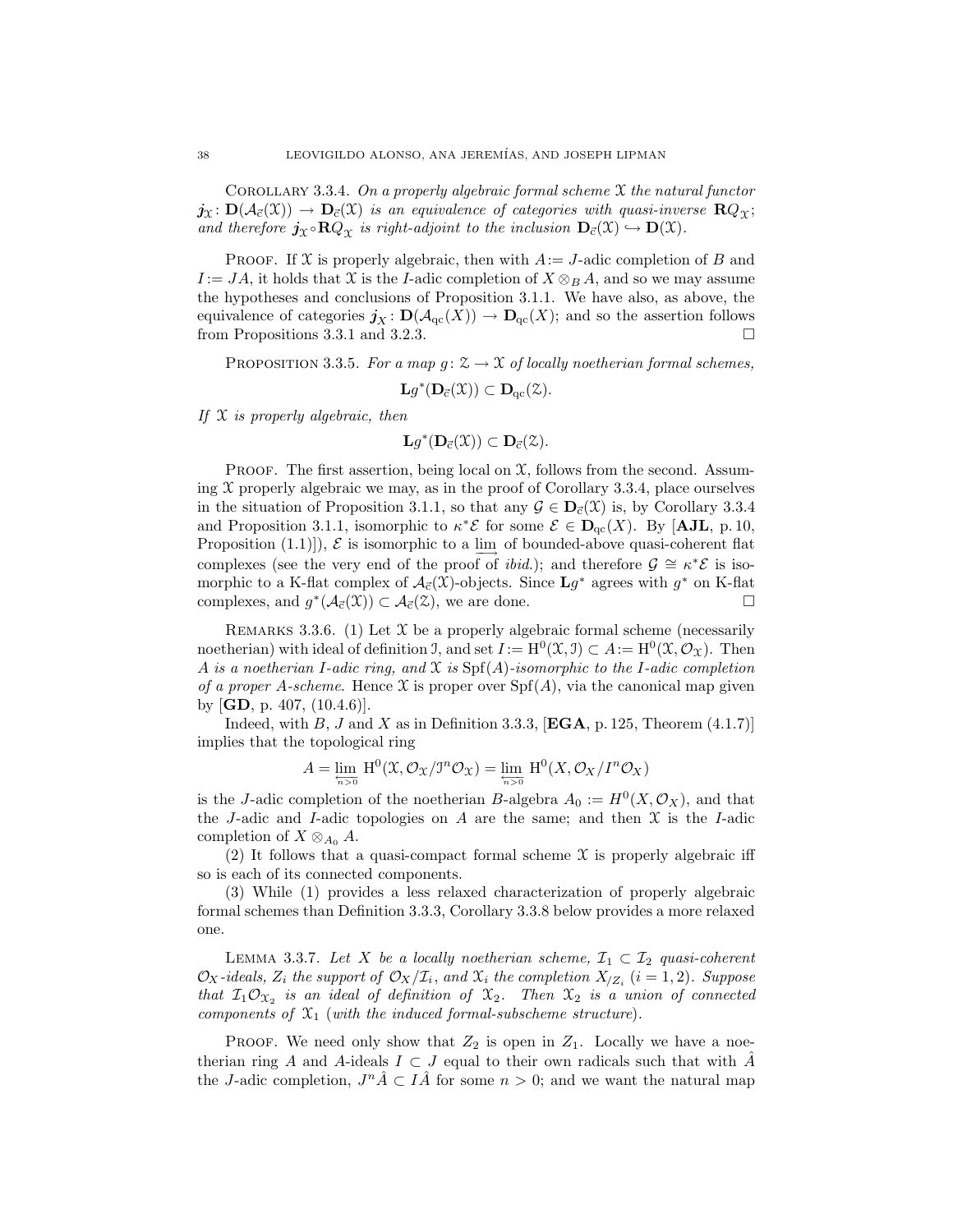COROLLARY 3.3.4. On a properly algebraic formal scheme  $\mathfrak X$  the natural functor  $j_{\mathfrak{X}}\colon\mathbf{D}(\mathcal{A}_{\vec{c}}(\mathfrak{X}))\to\mathbf{D}_{\vec{c}}(\mathfrak{X})$  is an equivalence of categories with quasi-inverse  $\mathbf{R}Q_{\gamma}$ ; and therefore  $j_{\chi} \circ \mathbf{R} Q_{\chi}$  is right-adjoint to the inclusion  $\mathbf{D}_{\vec{c}}(\mathfrak{X}) \hookrightarrow \mathbf{D}(\mathfrak{X})$ .

PROOF. If X is properly algebraic, then with  $A:=J$ -adic completion of B and  $I := JA$ , it holds that X is the I-adic completion of  $X \otimes_B A$ , and so we may assume the hypotheses and conclusions of Proposition 3.1.1. We have also, as above, the equivalence of categories  $j_X : \mathbf{D}(\mathcal{A}_{\mathrm{qc}}(X)) \to \mathbf{D}_{\mathrm{qc}}(X)$ ; and so the assertion follows from Propositions 3.3.1 and 3.2.3. from Propositions 3.3.1 and 3.2.3.

PROPOSITION 3.3.5. For a map  $g: \mathcal{Z} \to \mathcal{X}$  of locally noetherian formal schemes,

$$
\mathbf{L} g^*(\mathbf{D}_{\vec{c}}(\mathfrak{X})) \subset \mathbf{D}_{qc}(\mathfrak{Z}).
$$

If  $X$  is properly algebraic, then

$$
\mathbf{L} g^*(\mathbf{D}_{\vec{c}}(\mathfrak{X})) \subset \mathbf{D}_{\vec{c}}(\mathfrak{X}).
$$

PROOF. The first assertion, being local on  $\mathfrak{X}$ , follows from the second. Assuming  $\mathfrak X$  properly algebraic we may, as in the proof of Corollary 3.3.4, place ourselves in the situation of Proposition 3.1.1, so that any  $\mathcal{G} \in \mathbf{D}_{\vec{c}}(\mathcal{X})$  is, by Corollary 3.3.4 and Proposition 3.1.1, isomorphic to  $\kappa^* \mathcal{E}$  for some  $\mathcal{E} \in \mathbf{D}_{\mathrm{qc}}(X)$ . By [AJL, p. 10, Proposition (1.1)]),  $\mathcal{E}$  is isomorphic to a lim of bounded-above quasi-coherent flat complexes (see the very end of the proof of *ibid.*); and therefore  $\mathcal{G} \cong \kappa^* \mathcal{E}$  is isomorphic to a K-flat complex of  $\mathcal{A}_{\vec{c}}(\mathfrak{X})$ -objects. Since  $\mathbf{L}g^*$  agrees with  $g^*$  on K-flat complexes, and  $g^*(A_{\vec{c}}(\mathfrak{X})) \subset A_{\vec{c}}(\mathfrak{X})$ , we are done.

REMARKS 3.3.6. (1) Let  $\mathfrak X$  be a properly algebraic formal scheme (necessarily noetherian) with ideal of definition J, and set  $I := H^0(\mathfrak{X}, \mathfrak{I}) \subset A := H^0(\mathfrak{X}, \mathcal{O}_{\mathfrak{X}})$ . Then A is a noetherian I-adic ring, and X is  $\text{Spf}(A)$ -isomorphic to the I-adic completion of a proper A-scheme. Hence X is proper over  $\text{Spf}(A)$ , via the canonical map given by [GD, p. 407, (10.4.6)].

Indeed, with B, J and X as in Definition 3.3.3,  $[EGA, p. 125, Theorem (4.1.7)]$ implies that the topological ring

$$
A=\varprojlim_{n>0}\, \mathrm{H}^{0}(\mathfrak{X}, \mathcal{O}_{\mathfrak{X}}/J^{n}\mathcal{O}_{\mathfrak{X}})=\varprojlim_{n>0}\, \mathrm{H}^{0}(X, \mathcal{O}_{X}/I^{n}\mathcal{O}_{X})
$$

is the J-adic completion of the noetherian B-algebra  $A_0 := H^0(X, \mathcal{O}_X)$ , and that the J-adic and I-adic topologies on A are the same; and then  $\mathfrak X$  is the I-adic completion of  $X \otimes_{A_0} A$ .

(2) It follows that a quasi-compact formal scheme  $\mathfrak X$  is properly algebraic iff so is each of its connected components.

(3) While (1) provides a less relaxed characterization of properly algebraic formal schemes than Definition 3.3.3, Corollary 3.3.8 below provides a more relaxed one.

LEMMA 3.3.7. Let X be a locally noetherian scheme,  $\mathcal{I}_1 \subset \mathcal{I}_2$  quasi-coherent  $\mathcal{O}_X$ -ideals,  $Z_i$  the support of  $\mathcal{O}_X/\mathcal{I}_i$ , and  $\mathcal{X}_i$  the completion  $X_{Z_i}$   $(i = 1, 2)$ . Suppose that  $I_1 \mathcal{O}_{\mathfrak{X}_2}$  is an ideal of definition of  $\mathfrak{X}_2$ . Then  $\mathfrak{X}_2$  is a union of connected components of  $\mathfrak{X}_1$  (with the induced formal-subscheme structure).

PROOF. We need only show that  $Z_2$  is open in  $Z_1$ . Locally we have a noetherian ring A and A-ideals  $I \subset J$  equal to their own radicals such that with  $\hat{A}$ the J-adic completion,  $J^n \hat{A} \subset I \hat{A}$  for some  $n > 0$ ; and we want the natural map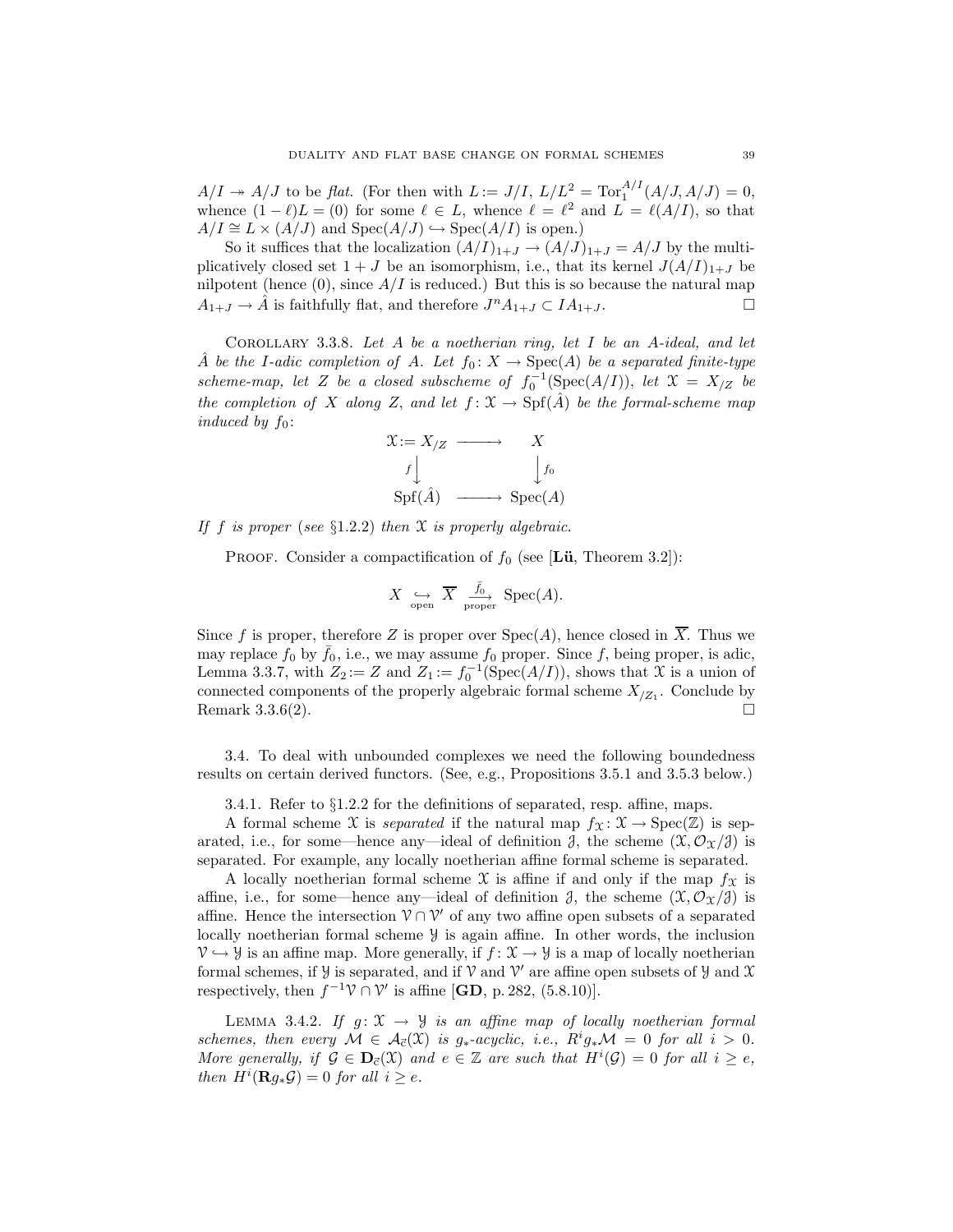$A/I \twoheadrightarrow A/J$  to be flat. (For then with  $L := J/I$ ,  $L/L^2 = \text{Tor}_1^{A/I}(A/J, A/J) = 0$ , whence  $(1 - \ell)L = (0)$  for some  $\ell \in L$ , whence  $\ell = \ell^2$  and  $L = \ell(A/I)$ , so that  $A/I \cong L \times (A/J)$  and  $Spec(A/J) \hookrightarrow Spec(A/I)$  is open.)

So it suffices that the localization  $(A/I)_{1+J} \to (A/J)_{1+J} = A/J$  by the multiplicatively closed set  $1 + J$  be an isomorphism, i.e., that its kernel  $J(A/I)_{1+J}$  be nilpotent (hence  $(0)$ , since  $A/I$  is reduced.) But this is so because the natural map  $A_{1+J} \to \hat{A}$  is faithfully flat, and therefore  $J^n A_{1+J} \subset IA_{1+J}$ .

Corollary 3.3.8. Let A be a noetherian ring, let I be an A-ideal, and let A be the I-adic completion of A. Let  $f_0: X \to \text{Spec}(A)$  be a separated finite-type scheme-map, let Z be a closed subscheme of  $f_0^{-1}(\text{Spec}(A/I))$ , let  $\mathfrak{X} = X_{/Z}$  be the completion of X along Z, and let  $f: \mathfrak{X} \to \mathrm{Spf}(\hat{A})$  be the formal-scheme map induced by  $f_0$ :

$$
\begin{array}{ccc}\n\mathfrak{X} := X_{/Z} & \longrightarrow & X \\
f \downarrow & & \downarrow f_0 \\
\text{Spf}(\hat{A}) & \longrightarrow & \text{Spec}(A)\n\end{array}
$$

If f is proper (see  $\S 1.2.2$ ) then X is properly algebraic.

**PROOF.** Consider a compactification of  $f_0$  (see [**Lü**, Theorem 3.2]):

$$
X \leftrightarrow \overline{X} \xrightarrow[\text{proper}]{\bar{f}_0} \text{Spec}(A).
$$

Since f is proper, therefore Z is proper over  $Spec(A)$ , hence closed in  $\overline{X}$ . Thus we may replace  $f_0$  by  $\bar{f}_0$ , i.e., we may assume  $f_0$  proper. Since f, being proper, is adic, Lemma 3.3.7, with  $Z_2 := Z$  and  $Z_1 := f_0^{-1}(\text{Spec}(A/I))$ , shows that X is a union of connected components of the properly algebraic formal scheme  $X_{Z_1}$ . Conclude by Remark 3.3.6(2).

3.4. To deal with unbounded complexes we need the following boundedness results on certain derived functors. (See, e.g., Propositions 3.5.1 and 3.5.3 below.)

3.4.1. Refer to §1.2.2 for the definitions of separated, resp. affine, maps.

A formal scheme X is separated if the natural map  $f_{\mathfrak{X}} : \mathfrak{X} \to \text{Spec}(\mathbb{Z})$  is separated, i.e., for some—hence any—ideal of definition  $\mathcal{J}$ , the scheme  $(\mathcal{X}, \mathcal{O}_{\mathcal{X}}/\mathcal{J})$  is separated. For example, any locally noetherian affine formal scheme is separated.

A locally noetherian formal scheme  $\mathfrak X$  is affine if and only if the map  $f\mathfrak X$  is affine, i.e., for some—hence any—ideal of definition  $\partial$ , the scheme  $(\mathfrak{X}, \mathcal{O}_{\mathfrak{X}}/\partial)$  is affine. Hence the intersection  $V \cap V'$  of any two affine open subsets of a separated locally noetherian formal scheme Y is again affine. In other words, the inclusion  $\mathcal{V} \hookrightarrow \mathcal{Y}$  is an affine map. More generally, if  $f : \mathcal{X} \to \mathcal{Y}$  is a map of locally noetherian formal schemes, if  $\mathcal Y$  is separated, and if  $\mathcal V$  and  $\mathcal V'$  are affine open subsets of  $\mathcal Y$  and  $\mathcal X$ respectively, then  $f^{-1}\mathcal{V} \cap \mathcal{V}'$  is affine [**GD**, p. 282, (5.8.10)].

LEMMA 3.4.2. If  $g: \mathfrak{X} \to \mathcal{Y}$  is an affine map of locally noetherian formal schemes, then every  $M \in \mathcal{A}_{\vec{c}}(\mathcal{X})$  is  $g_*$ -acyclic, i.e.,  $R^i g_* M = 0$  for all  $i > 0$ . More generally, if  $\mathcal{G} \in \mathbf{D}_{\mathcal{C}}(\mathcal{X})$  and  $e \in \mathbb{Z}$  are such that  $H^i(\mathcal{G}) = 0$  for all  $i \geq e$ , then  $H^i(\mathbf{R}g_*\mathcal{G})=0$  for all  $i \geq e$ .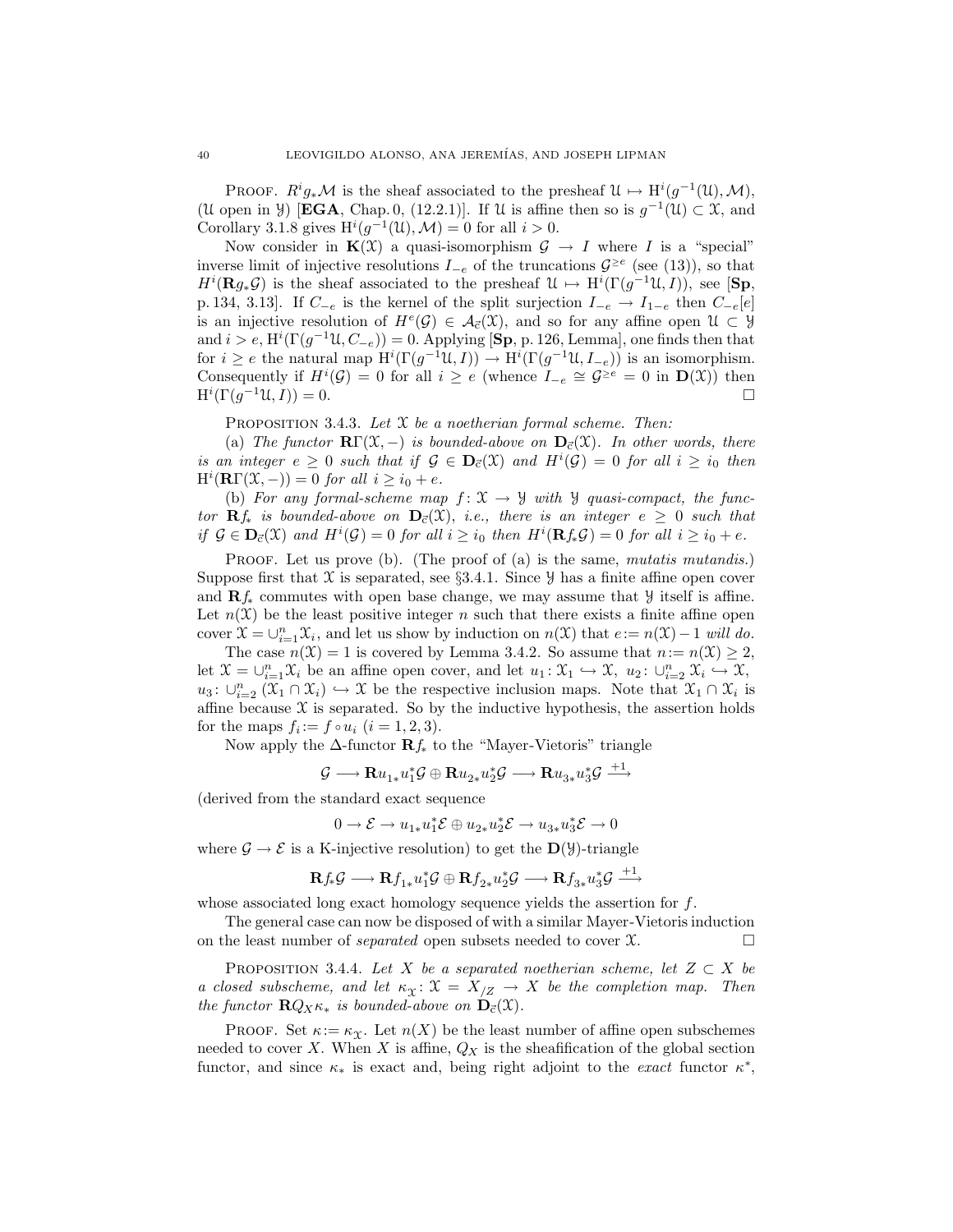PROOF.  $R^i g_* \mathcal{M}$  is the sheaf associated to the presheaf  $\mathcal{U} \mapsto H^i(g^{-1}(\mathcal{U}), \mathcal{M})$ , (U open in y) [**EGA**, Chap. 0, (12.2.1)]. If U is affine then so is  $g^{-1}(U) \subset \mathcal{X}$ , and Corollary 3.1.8 gives  $H^{i}(g^{-1}(\mathcal{U}), \mathcal{M}) = 0$  for all  $i > 0$ .

Now consider in  $K(\mathfrak{X})$  a quasi-isomorphism  $\mathcal{G} \to I$  where I is a "special" inverse limit of injective resolutions  $I_{-e}$  of the truncations  $\mathcal{G}^{\geq e}$  (see (13)), so that  $H^i(\mathbf{R}g_*\mathcal{G})$  is the sheaf associated to the presheaf  $\mathcal{U} \mapsto H^i(\Gamma(g^{-1}\mathcal{U},I)),$  see [Sp, p. 134, 3.13]. If  $C_{-e}$  is the kernel of the split surjection  $I_{-e} \rightarrow I_{1-e}$  then  $C_{-e}[e]$ is an injective resolution of  $H^e(G) \in \mathcal{A}_{\vec{c}}(\mathfrak{X})$ , and so for any affine open  $\mathfrak{U} \subset \mathcal{Y}$ and  $i > e$ ,  $\mathrm{H}^i(\Gamma(g^{-1}\mathfrak{U}, C_{-e})) = 0$ . Applying [Sp, p. 126, Lemma], one finds then that for  $i \geq e$  the natural map  $\mathrm{H}^i(\Gamma(g^{-1}\mathfrak{U}, I)) \to \mathrm{H}^i(\Gamma(g^{-1}\mathfrak{U}, I_{-e}))$  is an isomorphism. Consequently if  $H^i(\mathcal{G}) = 0$  for all  $i \geq e$  (whence  $I_{-e} \cong \mathcal{G}^{\geq e} = 0$  in  $\mathbf{D}(\mathfrak{X})$ ) then  $\mathrm{H}^i(\Gamma(g^{-1}\mathfrak{U},I))=0.$ 

PROPOSITION 3.4.3. Let  $\mathfrak X$  be a noetherian formal scheme. Then:

(a) The functor  $\mathbb{R}\Gamma(\mathfrak{X},-)$  is bounded-above on  $\mathbb{D}_{\vec{c}}(\mathfrak{X})$ . In other words, there is an integer  $e \geq 0$  such that if  $\mathcal{G} \in \mathbf{D}_{\vec{c}}(\mathfrak{X})$  and  $H^i(\mathcal{G}) = 0$  for all  $i \geq i_0$  then  $H^i(\mathbf{R}\Gamma(\mathfrak{X},-))=0$  for all  $i\geq i_0+e$ .

(b) For any formal-scheme map  $f: \mathfrak{X} \to \mathfrak{Y}$  with  $\mathfrak{Y}$  quasi-compact, the functor  $\mathbf{R}f_*$  is bounded-above on  $\mathbf{D}_{\vec{c}}(\mathfrak{X})$ , i.e., there is an integer  $e \geq 0$  such that if  $\mathcal{G} \in \mathbf{D}_{\bar{c}}(\mathcal{X})$  and  $H^i(\mathcal{G}) = 0$  for all  $i \geq i_0$  then  $H^i(\mathbf{R} f_* \mathcal{G}) = 0$  for all  $i \geq i_0 + e$ .

PROOF. Let us prove (b). (The proof of (a) is the same, mutatis mutandis.) Suppose first that  $\mathfrak X$  is separated, see §3.4.1. Since  $\mathcal Y$  has a finite affine open cover and  $\mathbf{R}f_*$  commutes with open base change, we may assume that  $\mathcal{Y}$  itself is affine. Let  $n(\mathfrak{X})$  be the least positive integer n such that there exists a finite affine open cover  $\mathfrak{X} = \bigcup_{i=1}^n \mathfrak{X}_i$ , and let us show by induction on  $n(\mathfrak{X})$  that  $e := n(\mathfrak{X}) - 1$  will do.

The case  $n(\mathfrak{X}) = 1$  is covered by Lemma 3.4.2. So assume that  $n := n(\mathfrak{X}) \geq 2$ , let  $\mathcal{X} = \bigcup_{i=1}^n \mathcal{X}_i$  be an affine open cover, and let  $u_1: \mathcal{X}_1 \hookrightarrow \mathcal{X}, u_2: \bigcup_{i=2}^n \mathcal{X}_i \hookrightarrow \mathcal{X},$  $u_3: \cup_{i=2}^n (\mathfrak{X}_1 \cap \mathfrak{X}_i) \hookrightarrow \mathfrak{X}$  be the respective inclusion maps. Note that  $\mathfrak{X}_1 \cap \mathfrak{X}_i$  is affine because  $\mathfrak X$  is separated. So by the inductive hypothesis, the assertion holds for the maps  $f_i := f \circ u_i$   $(i = 1, 2, 3)$ .

Now apply the  $\Delta$ -functor  $\mathbf{R}f_*$  to the "Mayer-Vietoris" triangle

$$
\mathcal{G} \longrightarrow \mathbf{R}u_{1*}u_1^*\mathcal{G} \oplus \mathbf{R}u_{2*}u_2^*\mathcal{G} \longrightarrow \mathbf{R}u_{3*}u_3^*\mathcal{G} \stackrel{+1}{\longrightarrow}
$$

(derived from the standard exact sequence

$$
0\to \mathcal{E}\to u_{1*}u_1^*\mathcal{E}\oplus u_{2*}u_2^*\mathcal{E}\to u_{3*}u_3^*\mathcal{E}\to 0
$$

where  $\mathcal{G} \to \mathcal{E}$  is a K-injective resolution) to get the  $\mathbf{D}(\mathcal{Y})$ -triangle

$$
\mathbf{R} f_*\mathcal{G} \longrightarrow \mathbf{R} f_{1*}u_1^*\mathcal{G} \oplus \mathbf{R} f_{2*}u_2^*\mathcal{G} \longrightarrow \mathbf{R} f_{3*}u_3^*\mathcal{G} \stackrel{+1}{\longrightarrow}
$$

whose associated long exact homology sequence yields the assertion for  $f$ .

The general case can now be disposed of with a similar Mayer-Vietorisinduction on the least number of *separated* open subsets needed to cover  $\mathfrak{X}$ .

PROPOSITION 3.4.4. Let X be a separated noetherian scheme, let  $Z \subset X$  be a closed subscheme, and let  $\kappa_{\Upsilon} \colon \mathfrak{X} = X_{Z} \to X$  be the completion map. Then the functor  $\mathbf{R} Q_X \kappa_*$  is bounded-above on  $\mathbf{D}_{\vec{c}}(\mathfrak{X})$ .

PROOF. Set  $\kappa := \kappa_{\Upsilon}$ . Let  $n(X)$  be the least number of affine open subschemes needed to cover X. When X is affine,  $Q_X$  is the sheafification of the global section functor, and since  $\kappa_*$  is exact and, being right adjoint to the *exact* functor  $\kappa^*$ ,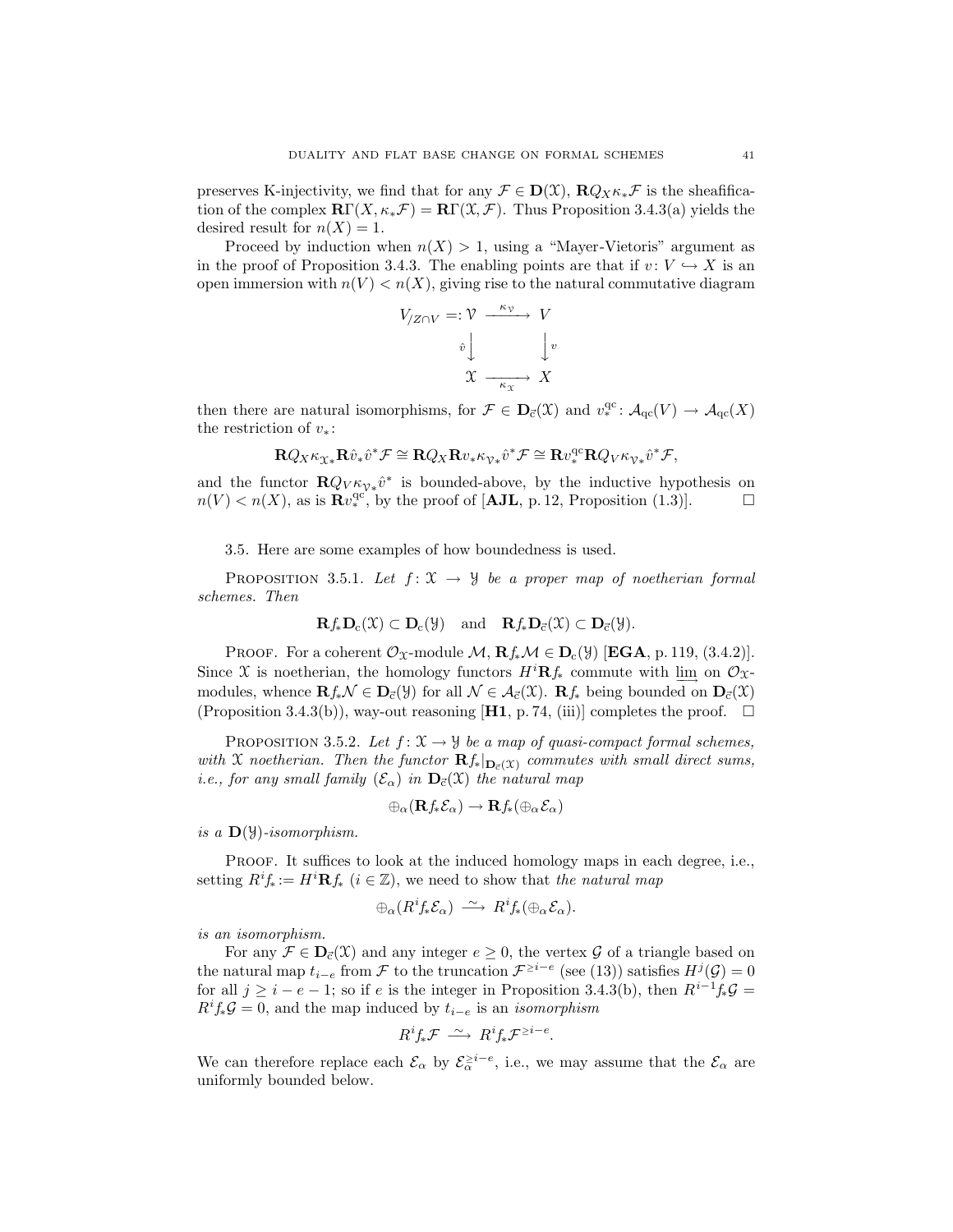preserves K-injectivity, we find that for any  $\mathcal{F} \in \mathbf{D}(\mathcal{X})$ ,  $\mathbf{R} Q_x \kappa_x \mathcal{F}$  is the sheafification of the complex  $\mathbf{R}\Gamma(X,\kappa_*\mathcal{F}) = \mathbf{R}\Gamma(\mathcal{X},\mathcal{F})$ . Thus Proposition 3.4.3(a) yields the desired result for  $n(X) = 1$ .

Proceed by induction when  $n(X) > 1$ , using a "Mayer-Vietoris" argument as in the proof of Proposition 3.4.3. The enabling points are that if  $v: V \hookrightarrow X$  is an open immersion with  $n(V) < n(X)$ , giving rise to the natural commutative diagram

$$
V_{Z\cap V} =: \mathcal{V} \xrightarrow{\kappa_{\mathcal{V}}} V
$$

$$
\hat{v} \downarrow \qquad \qquad \downarrow v
$$

$$
\mathcal{X} \xrightarrow{\kappa_{\mathcal{X}}} X
$$

then there are natural isomorphisms, for  $\mathcal{F} \in \mathbf{D}_{\vec{c}}(\mathcal{X})$  and  $v_*^{\text{qc}} \colon \mathcal{A}_{\text{qc}}(V) \to \mathcal{A}_{\text{qc}}(X)$ the restriction of  $v_*$ :

$$
\mathbf{R} Q_X \kappa_{\chi_*} \mathbf{R} \hat{v}_* \hat{v}^* \mathcal{F} \cong \mathbf{R} Q_X \mathbf{R} v_* \kappa_{\gamma *} \hat{v}^* \mathcal{F} \cong \mathbf{R} v^{\text{qc}}_* \mathbf{R} Q_V \kappa_{\gamma *} \hat{v}^* \mathcal{F},
$$

and the functor  $\mathbf{R}Q_V \kappa_{V*} \hat{v}^*$  is bounded-above, by the inductive hypothesis on  $n(V) < n(X)$ , as is  $\mathbf{R}v_*^{\text{qc}}$ , by the proof of [AJL, p. 12, Proposition (1.3)].

3.5. Here are some examples of how boundedness is used.

PROPOSITION 3.5.1. Let  $f: \mathfrak{X} \to \mathcal{Y}$  be a proper map of noetherian formal schemes. Then

$$
\mathbf{R} f_* \mathbf{D}_c(\mathfrak{X}) \subset \mathbf{D}_c(\mathfrak{Y}) \quad \text{and} \quad \mathbf{R} f_* \mathbf{D}_{\vec{c}}(\mathfrak{X}) \subset \mathbf{D}_{\vec{c}}(\mathfrak{Y}).
$$

PROOF. For a coherent  $\mathcal{O}_{\mathfrak{X}}$ -module  $\mathcal{M}, \mathbf{R} f_* \mathcal{M} \in \mathbf{D}_c(\mathcal{Y})$  [EGA, p. 119, (3.4.2)]. Since X is noetherian, the homology functors  $H^{i}Rf_{*}$  commute with  $\lim_{n \to \infty}$  on  $\mathcal{O}_{\mathfrak{X}}$ modules, whence  $\mathbf{R} f_* \mathcal{N} \in \mathbf{D}_{\vec{c}}(\mathcal{Y})$  for all  $\mathcal{N} \in \mathcal{A}_{\vec{c}}(\mathcal{X})$ .  $\mathbf{R} f_*$  being bounded on  $\mathbf{D}_{\vec{c}}(\mathcal{X})$ (Proposition 3.4.3(b)), way-out reasoning [H1, p. 74, (iii)] completes the proof.  $\Box$ 

PROPOSITION 3.5.2. Let  $f: \mathfrak{X} \to \mathfrak{Y}$  be a map of quasi-compact formal schemes, with X noetherian. Then the functor  $\mathbf{R}f_*|_{\mathbf{D}_{\vec{c}}(\mathfrak{X})}$  commutes with small direct sums, i.e., for any small family  $(\mathcal{E}_{\alpha})$  in  $\mathbf{D}_{\vec{c}}(\mathfrak{X})$  the natural map

$$
\oplus_{\alpha}(\mathbf{R}f_*\mathcal{E}_{\alpha}) \to \mathbf{R}f_* (\oplus_{\alpha}\mathcal{E}_{\alpha})
$$

is a  $\mathbf{D}(\mathcal{Y})$ -isomorphism.

PROOF. It suffices to look at the induced homology maps in each degree, i.e., setting  $R^i f_* := H^i \mathbf{R} f_*$   $(i \in \mathbb{Z})$ , we need to show that the natural map

$$
\oplus_{\alpha} (R^i f_* \mathcal{E}_{\alpha}) \ \stackrel{\sim}{\longrightarrow} \ R^i f_* (\oplus_{\alpha} \mathcal{E}_{\alpha}).
$$

is an isomorphism.

For any  $\mathcal{F} \in \mathbf{D}_{\vec{c}}(\mathcal{X})$  and any integer  $e \geq 0$ , the vertex  $\mathcal{G}$  of a triangle based on the natural map  $t_{i-e}$  from  $\mathcal F$  to the truncation  $\mathcal F^{\geq i-e}$  (see (13)) satisfies  $H^j(\mathcal G)=0$ for all  $j \geq i - e - 1$ ; so if e is the integer in Proposition 3.4.3(b), then  $R^{i-1} f_* \mathcal{G} =$  $R^i f_* \mathcal{G} = 0$ , and the map induced by  $t_{i-e}$  is an *isomorphism* 

$$
R^i f_* \mathcal{F} \stackrel{\sim}{\longrightarrow} R^i f_* \mathcal{F}^{\geq i-e}.
$$

We can therefore replace each  $\mathcal{E}_{\alpha}$  by  $\mathcal{E}_{\alpha}^{\geq i-e}$ , i.e., we may assume that the  $\mathcal{E}_{\alpha}$  are uniformly bounded below.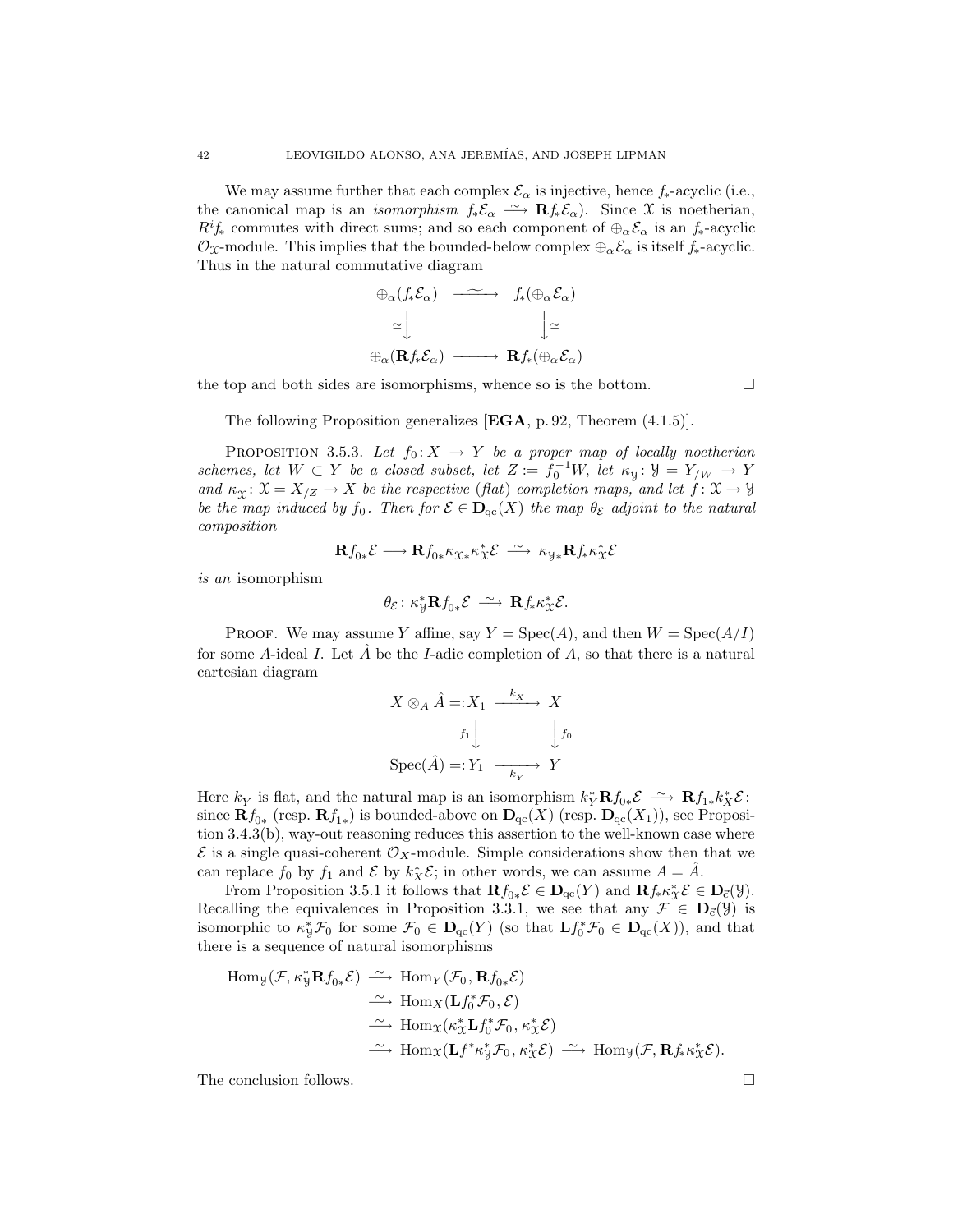We may assume further that each complex  $\mathcal{E}_{\alpha}$  is injective, hence  $f_*$ -acyclic (i.e., the canonical map is an *isomorphism*  $f_*\mathcal{E}_{\alpha} \longrightarrow \mathbf{R} f_*\mathcal{E}_{\alpha}$ . Since X is noetherian,  $R^i f_*$  commutes with direct sums; and so each component of  $\bigoplus_{\alpha} \mathcal{E}_{\alpha}$  is an  $f_*$ -acyclic  $\mathcal{O}_\mathfrak{X}$ -module. This implies that the bounded-below complex  $\oplus_\alpha \mathcal{E}_\alpha$  is itself  $f_*$ -acyclic. Thus in the natural commutative diagram

$$
\begin{array}{ccc}\n\oplus_{\alpha}(f_*\mathcal{E}_{\alpha}) & \xrightarrow{\sim} & f_*(\oplus_{\alpha}\mathcal{E}_{\alpha}) \\
\cong & & \downarrow{\simeq} \\
\oplus_{\alpha}(\mathbf{R}f_*\mathcal{E}_{\alpha}) & \xrightarrow{\qquad} & \mathbf{R}f_*(\oplus_{\alpha}\mathcal{E}_{\alpha})\n\end{array}
$$

the top and both sides are isomorphisms, whence so is the bottom.

The following Proposition generalizes  $[EGA, p. 92, Theorem (4.1.5)].$ 

PROPOSITION 3.5.3. Let  $f_0: X \to Y$  be a proper map of locally noetherian schemes, let  $W \subset Y$  be a closed subset, let  $Z := f_0^{-1}W$ , let  $\kappa_y : Y = Y_{/W} \to Y$ and  $\kappa_X \colon \mathfrak{X} = X_{\mathfrak{Z}} \to X$  be the respective (flat) completion maps, and let  $f \colon \mathfrak{X} \to \mathfrak{Y}$ be the map induced by  $f_0$ . Then for  $\mathcal{E} \in \mathbf{D}_{qc}(X)$  the map  $\theta_{\mathcal{E}}$  adjoint to the natural composition

$$
\mathbf{R} f_{0*} \mathcal{E} \longrightarrow \mathbf{R} f_{0*} \kappa_{\mathfrak{X}*} \kappa_{\mathfrak{X}}^* \mathcal{E} \stackrel{\sim}{\longrightarrow} \kappa_{\mathcal{Y}*} \mathbf{R} f_* \kappa_{\mathfrak{X}}^* \mathcal{E}
$$

is an isomorphism

$$
\theta_{\mathcal{E}}\colon \kappa_{\mathcal{Y}}^*{\mathbf{R}} f_{0*}\mathcal{E} \ \stackrel{\sim}{\longrightarrow}\ {\mathbf{R}} f_* \kappa_{\mathcal{X}}^* \mathcal{E}.
$$

PROOF. We may assume Y affine, say  $Y = \text{Spec}(A)$ , and then  $W = \text{Spec}(A/I)$ for some A-ideal I. Let  $\tilde{A}$  be the I-adic completion of A, so that there is a natural cartesian diagram

$$
X \otimes_A \hat{A} =: X_1 \xrightarrow{k_X} X
$$

$$
f_1 \downarrow \qquad \qquad \downarrow f_0
$$

$$
Spec(\hat{A}) =: Y_1 \xrightarrow[k_X]{} Y
$$

Here  $k_Y$  is flat, and the natural map is an isomorphism  $k_Y^* \mathbf{R} f_{0*} \mathcal{E} \simeq \mathbf{R} f_{1*} k_X^* \mathcal{E}$ : since  $\mathbf{R} f_{0*}$  (resp.  $\mathbf{R} f_{1*}$ ) is bounded-above on  $\mathbf{D}_{\mathrm{qc}}(X)$  (resp.  $\mathbf{D}_{\mathrm{qc}}(X_1)$ ), see Proposition 3.4.3(b), way-out reasoning reduces this assertion to the well-known case where  $\mathcal E$  is a single quasi-coherent  $\mathcal O_X$ -module. Simple considerations show then that we can replace  $f_0$  by  $f_1$  and  $\mathcal E$  by  $k_X^*\mathcal E$ ; in other words, we can assume  $A = \hat A$ .

From Proposition 3.5.1 it follows that  $\mathbf{R} f_{0*} \mathcal{E} \in \mathbf{D}_{\mathrm{qc}}(Y)$  and  $\mathbf{R} f_{*} \kappa_{\mathcal{X}}^{*} \mathcal{E} \in \mathbf{D}_{\mathrm{c}}(\mathcal{Y})$ . Recalling the equivalences in Proposition 3.3.1, we see that any  $\mathcal{F} \in D_{\vec{c}}(\mathcal{Y})$  is isomorphic to  $\kappa_{\mathcal{Y}}^* \mathcal{F}_0$  for some  $\mathcal{F}_0 \in D_{\text{qc}}(Y)$  (so that  $\mathbf{L} f_0^* \mathcal{F}_0 \in D_{\text{qc}}(X)$ ), and that there is a sequence of natural isomorphisms

$$
\begin{array}{rcl}\n\operatorname{Hom}_{\mathcal{Y}}(\mathcal{F},\kappa_{\mathcal{Y}}^{*}\mathbf{R}f_{0*}\mathcal{E}) & \xrightarrow{\sim} \operatorname{Hom}_{Y}(\mathcal{F}_{0},\mathbf{R}f_{0*}\mathcal{E}) \\
& \xrightarrow{\sim} \operatorname{Hom}_{X}(\mathbf{L}f_{0}^{*}\mathcal{F}_{0},\mathcal{E}) \\
& \xrightarrow{\sim} \operatorname{Hom}_{X}(\kappa_{X}^{*}\mathbf{L}f_{0}^{*}\mathcal{F}_{0},\kappa_{X}^{*}\mathcal{E}) \\
& \xrightarrow{\sim} \operatorname{Hom}_{X}(\mathbf{L}f^{*}\kappa_{\mathcal{Y}}^{*}\mathcal{F}_{0},\kappa_{X}^{*}\mathcal{E}) & \xrightarrow{\sim} \operatorname{Hom}_{\mathcal{Y}}(\mathcal{F},\mathbf{R}f_{*}\kappa_{X}^{*}\mathcal{E}).\n\end{array}
$$

The conclusion follows.  $\Box$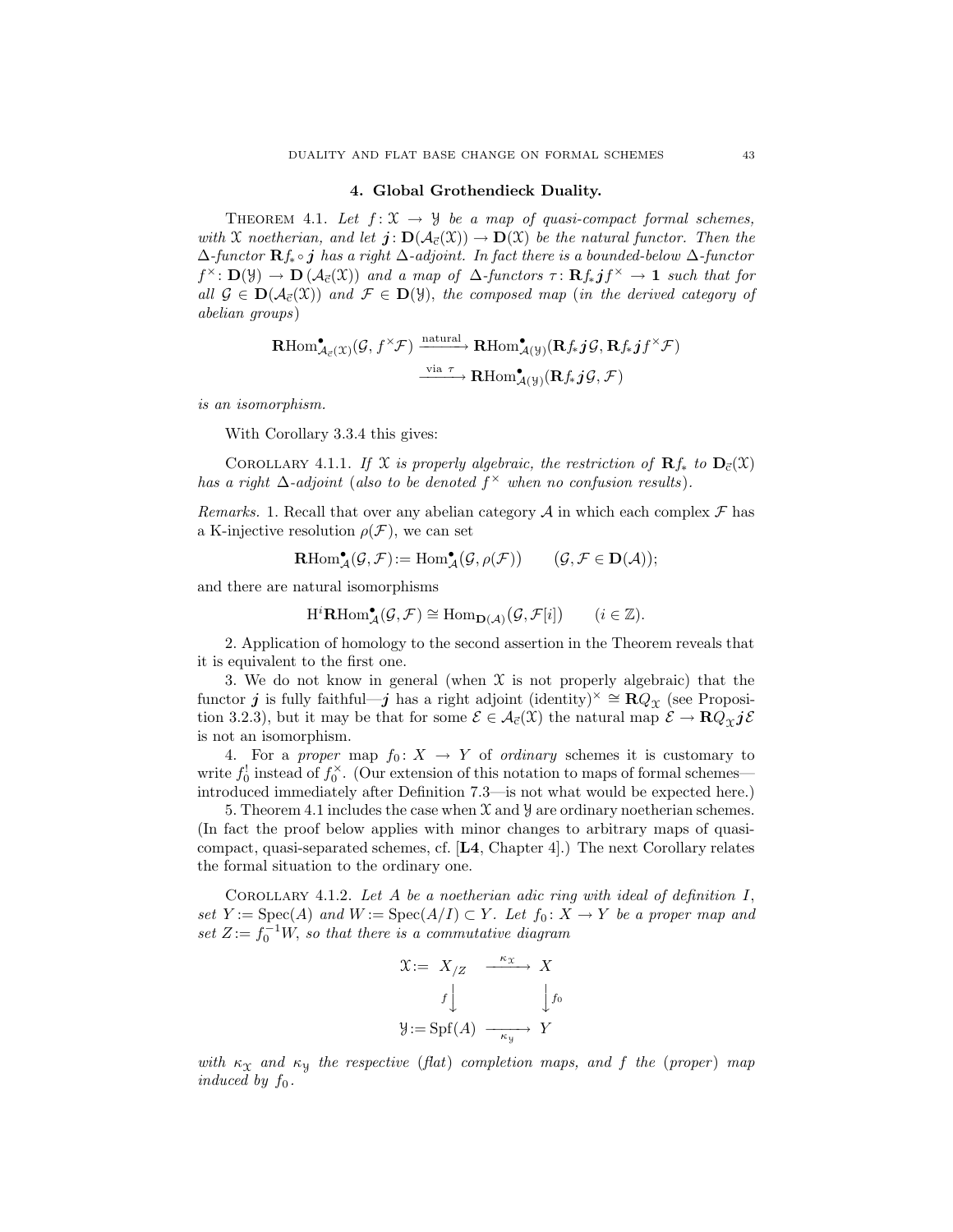## 4. Global Grothendieck Duality.

THEOREM 4.1. Let  $f: \mathfrak{X} \to \mathfrak{Y}$  be a map of quasi-compact formal schemes, with X noetherian, and let  $j: D(\mathcal{A}_{\vec{c}}(\mathcal{X})) \to D(\mathcal{X})$  be the natural functor. Then the  $\Delta$ -functor  $\mathbf{R}f_*\circ j$  has a right  $\Delta$ -adjoint. In fact there is a bounded-below  $\Delta$ -functor  $f^{\times} \colon \mathbf{D}(\mathcal{Y}) \to \mathbf{D}(\mathcal{A}_{\vec{c}}(\mathcal{X}))$  and a map of  $\Delta$ -functors  $\tau \colon \mathbf{R} f_* \mathbf{j} f^{\times} \to \mathbf{1}$  such that for all  $\mathcal{G} \in \mathbf{D}(\mathcal{A}_{\vec{c}}(\mathcal{X}))$  and  $\mathcal{F} \in \mathbf{D}(\mathcal{Y})$ , the composed map (in the derived category of abelian groups)

$$
\mathbf{R}\mathrm{Hom}^{\bullet}_{\mathcal{A}_{\vec{c}}(\mathfrak{X})}(\mathcal{G},f^{\times}\mathcal{F}) \xrightarrow{\text{natural}} \mathbf{R}\mathrm{Hom}^{\bullet}_{\mathcal{A}(\mathcal{Y})}(\mathbf{R}f_*\boldsymbol{j}\mathcal{G},\mathbf{R}f_*\boldsymbol{j}f^{\times}\mathcal{F})
$$
  

$$
\xrightarrow{\text{via }\tau} \mathbf{R}\mathrm{Hom}^{\bullet}_{\mathcal{A}(\mathcal{Y})}(\mathbf{R}f_*\boldsymbol{j}\mathcal{G},\mathcal{F})
$$

is an isomorphism.

With Corollary 3.3.4 this gives:

COROLLARY 4.1.1. If X is properly algebraic, the restriction of  $\mathbf{R} f_*$  to  $\mathbf{D}_{\vec{c}}(\mathcal{X})$ has a right  $\Delta$ -adjoint (also to be denoted  $f^{\times}$  when no confusion results).

Remarks. 1. Recall that over any abelian category  $A$  in which each complex  $\mathcal F$  has a K-injective resolution  $\rho(\mathcal{F})$ , we can set

$$
\mathrm{\mathbf{R}Hom}^{\bullet}_{\mathcal{A}}(\mathcal{G},\mathcal{F}) := \mathrm{Hom}^{\bullet}_{\mathcal{A}}(\mathcal{G},\rho(\mathcal{F})) \qquad \text{$(\mathcal{G},\mathcal{F}\in\mathbf{D}(\mathcal{A}))$};
$$

and there are natural isomorphisms

$$
\mathrm{H}^i\mathbf{R}\mathrm{Hom}^\bullet_\mathcal{A}(\mathcal{G},\mathcal{F})\cong \mathrm{Hom}_{\mathbf{D}(\mathcal{A})}(\mathcal{G},\mathcal{F}[i])\qquad(i\in\mathbb{Z}).
$$

2. Application of homology to the second assertion in the Theorem reveals that it is equivalent to the first one.

3. We do not know in general (when  $X$  is not properly algebraic) that the functor j is fully faithful—j has a right adjoint (identity)<sup>×</sup>  $\cong \mathbb{R}Q_{\Upsilon}$  (see Proposition 3.2.3), but it may be that for some  $\mathcal{E} \in \mathcal{A}_{\vec{c}}(\mathfrak{X})$  the natural map  $\mathcal{E} \to \mathbf{R} Q_{\gamma} j\mathcal{E}$ is not an isomorphism.

4. For a proper map  $f_0: X \to Y$  of ordinary schemes it is customary to write  $f_0^!$  instead of  $f_0^{\times}$ . (Our extension of this notation to maps of formal schemes introduced immediately after Definition 7.3—is not what would be expected here.)

5. Theorem 4.1 includes the case when  $X$  and  $Y$  are ordinary noetherian schemes. (In fact the proof below applies with minor changes to arbitrary maps of quasicompact, quasi-separated schemes, cf. [L4, Chapter 4].) The next Corollary relates the formal situation to the ordinary one.

COROLLARY 4.1.2. Let  $A$  be a noetherian adic ring with ideal of definition  $I$ , set  $Y := \text{Spec}(A)$  and  $W := \text{Spec}(A/I) \subset Y$ . Let  $f_0: X \to Y$  be a proper map and set  $Z := f_0^{-1}W$ , so that there is a commutative diagram

$$
\mathfrak{X} := X_{/Z} \xrightarrow{\kappa_{\mathfrak{X}}} X
$$

$$
f \downarrow \qquad \qquad f_0
$$

$$
\mathfrak{Y} := \mathrm{Spf}(A) \xrightarrow{\kappa_{\mathfrak{Y}}} Y
$$

with  $\kappa_X$  and  $\kappa_Y$  the respective (flat) completion maps, and f the (proper) map induced by  $f_0$ .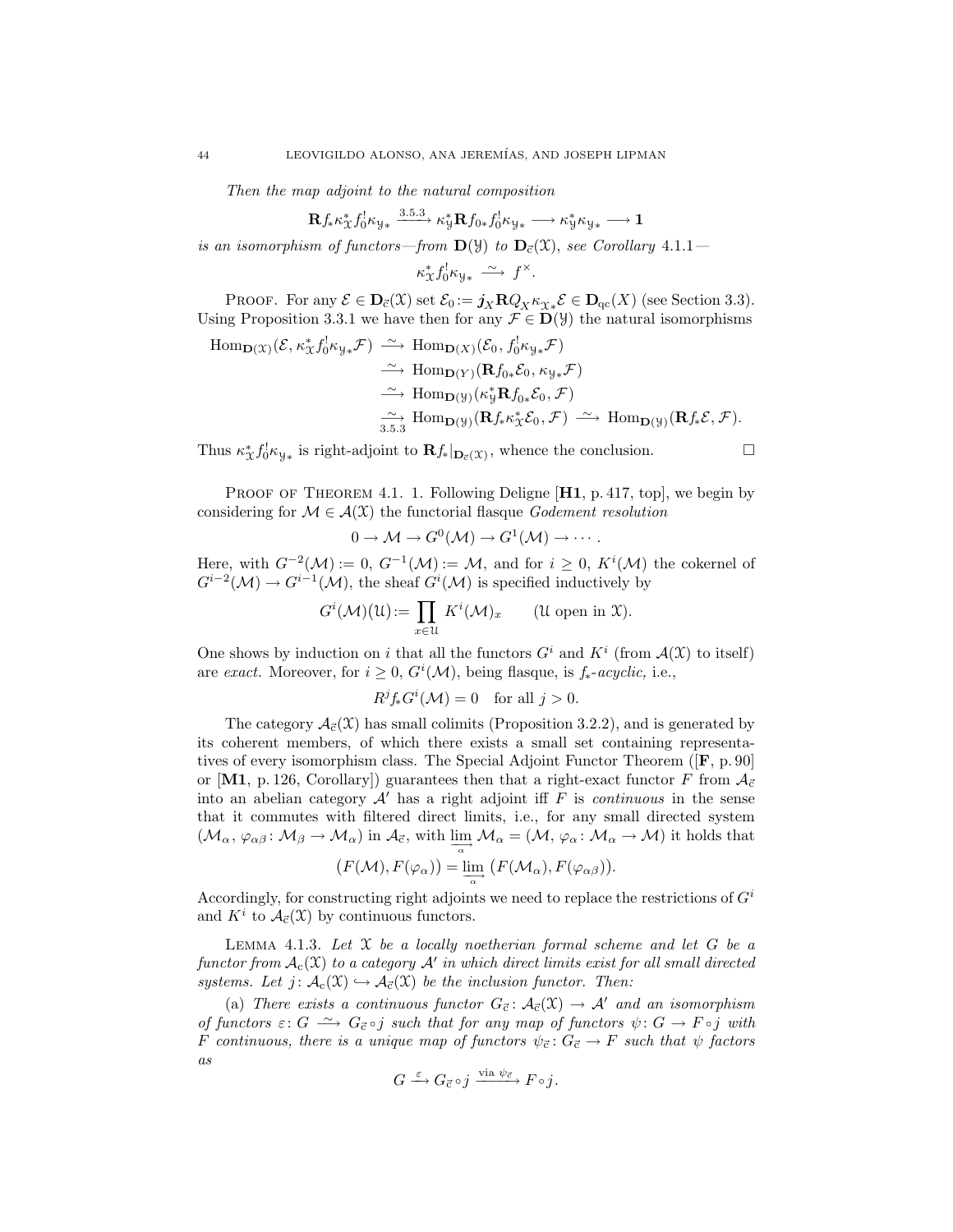Then the map adjoint to the natural composition

$$
\mathbf{R} f_{*} \kappa_{\mathfrak{X}}^{*} f_{0}^{\dagger} \kappa_{\mathfrak{Y}*} \xrightarrow{3.5.3} \kappa_{\mathfrak{Y}}^{*} \mathbf{R} f_{0*} f_{0}^{\dagger} \kappa_{\mathfrak{Y}*} \longrightarrow \kappa_{\mathfrak{Y}}^{*} \kappa_{\mathfrak{Y}*} \longrightarrow \mathbf{1}
$$

is an isomorphism of functors—from  $\mathbf{D}(\mathcal{Y})$  to  $\mathbf{D}_{\vec{c}}(\mathcal{X})$ , see Corollary 4.1.1—

 $\kappa_{\mathfrak{X}}^* f_0^! \kappa_{\mathfrak{Y}*} \xrightarrow{\sim} f^\times.$ 

PROOF. For any  $\mathcal{E} \in \mathbf{D}_{\vec{c}}(\mathcal{X})$  set  $\mathcal{E}_0 := \mathbf{j}_X \mathbf{R} Q_X \kappa_{\mathcal{X} *} \mathcal{E} \in \mathbf{D}_{\text{qc}}(X)$  (see Section 3.3). Using Proposition 3.3.1 we have then for any  $\mathcal{F} \in \mathbf{D}(\mathcal{Y})$  the natural isomorphisms

Hom<sub>D(X)</sub>(
$$
\mathcal{E}, \kappa_X^* f_0^! \kappa_{y*} \mathcal{F}) \xrightarrow{\sim} \text{Hom}_{D(X)}(\mathcal{E}_0, f_0^! \kappa_{y*} \mathcal{F})
$$
  
\n $\xrightarrow{\sim} \text{Hom}_{D(Y)}(\mathbf{R} f_0, \mathcal{E}_0, \kappa_{y*} \mathcal{F})$   
\n $\xrightarrow{\sim} \text{Hom}_{D(y)}(\kappa_y^* \mathbf{R} f_0, \mathcal{E}_0, \mathcal{F})$   
\n $\xrightarrow{\sim} \text{Hom}_{D(y)}(\mathbf{R} f_* \kappa_X^* \mathcal{E}_0, \mathcal{F}) \xrightarrow{\sim} \text{Hom}_{D(y)}(\mathbf{R} f_* \mathcal{E}, \mathcal{F}).$ 

Thus  $\kappa^*_{\mathcal{X}} f_0^! \kappa_{\mathcal{Y}*}$  is right-adjoint to  $\mathbf{R} f_*|_{\mathbf{D}_{\vec{c}}(\mathcal{X})}$ , whence the conclusion.

PROOF OF THEOREM 4.1. 1. Following Deligne  $[H1, p. 417, top]$ , we begin by considering for  $\mathcal{M} \in \mathcal{A}(\mathfrak{X})$  the functorial flasque Godement resolution

$$
0 \to \mathcal{M} \to G^0(\mathcal{M}) \to G^1(\mathcal{M}) \to \cdots.
$$

Here, with  $G^{-2}(\mathcal{M}) := 0$ ,  $G^{-1}(\mathcal{M}) := \mathcal{M}$ , and for  $i \geq 0$ ,  $K^{i}(\mathcal{M})$  the cokernel of  $G^{i-2}(\mathcal{M}) \to G^{i-1}(\mathcal{M})$ , the sheaf  $G^i(\mathcal{M})$  is specified inductively by

$$
G^{i}(\mathcal{M})(\mathfrak{U}) := \prod_{x \in \mathfrak{U}} K^{i}(\mathcal{M})_{x} \qquad (\mathfrak{U} \text{ open in } \mathfrak{X}).
$$

One shows by induction on i that all the functors  $G^i$  and  $K^i$  (from  $\mathcal{A}(\mathcal{X})$  to itself) are exact. Moreover, for  $i \geq 0$ ,  $G^{i}(\mathcal{M})$ , being flasque, is  $f_{*}$ -acyclic, i.e.,

$$
R^jf_*G^i(\mathcal{M})=0 \text{ for all } j>0.
$$

The category  $\mathcal{A}_{\vec{c}}(\mathfrak{X})$  has small colimits (Proposition 3.2.2), and is generated by its coherent members, of which there exists a small set containing representatives of every isomorphism class. The Special Adjoint Functor Theorem ([F, p. 90] or [M1, p. 126, Corollary]) guarantees then that a right-exact functor F from  $A_{\vec{c}}$ into an abelian category  $\mathcal{A}'$  has a right adjoint iff F is *continuous* in the sense that it commutes with filtered direct limits, i.e., for any small directed system  $(\mathcal{M}_{\alpha}, \varphi_{\alpha\beta} : \mathcal{M}_{\beta} \to \mathcal{M}_{\alpha})$  in  $\mathcal{A}_{\vec{\alpha}}$ , with  $\lim_{\alpha \to \infty} \mathcal{M}_{\alpha} = (\mathcal{M}, \varphi_{\alpha} : \mathcal{M}_{\alpha} \to \mathcal{M})$  it holds that

$$
(F(\mathcal{M}), F(\varphi_{\alpha})) = \varinjlim_{\alpha} (F(\mathcal{M}_{\alpha}), F(\varphi_{\alpha\beta})).
$$

Accordingly, for constructing right adjoints we need to replace the restrictions of  $G<sup>i</sup>$ and  $K^i$  to  $\mathcal{A}_{\vec{c}}(\mathfrak{X})$  by continuous functors.

LEMMA 4.1.3. Let  $X$  be a locally noetherian formal scheme and let  $G$  be a functor from  $\mathcal{A}_c(\mathfrak{X})$  to a category  $\mathcal{A}'$  in which direct limits exist for all small directed systems. Let  $j: \mathcal{A}_{c}(\mathfrak{X}) \hookrightarrow \mathcal{A}_{\vec{c}}(\mathfrak{X})$  be the inclusion functor. Then:

(a) There exists a continuous functor  $G_{\vec{c}}: A_{\vec{c}}(\mathfrak{X}) \to A'$  and an isomorphism of functors  $\varepsilon: G \longrightarrow G_{\vec{c}} \circ j$  such that for any map of functors  $\psi: G \to F \circ j$  with F continuous, there is a unique map of functors  $\psi_{\vec{c}}: G_{\vec{c}} \to F$  such that  $\psi$  factors as

$$
G \xrightarrow{\varepsilon} G_{\vec{c}} \circ j \xrightarrow{\text{via } \psi_{\vec{c}}} F \circ j.
$$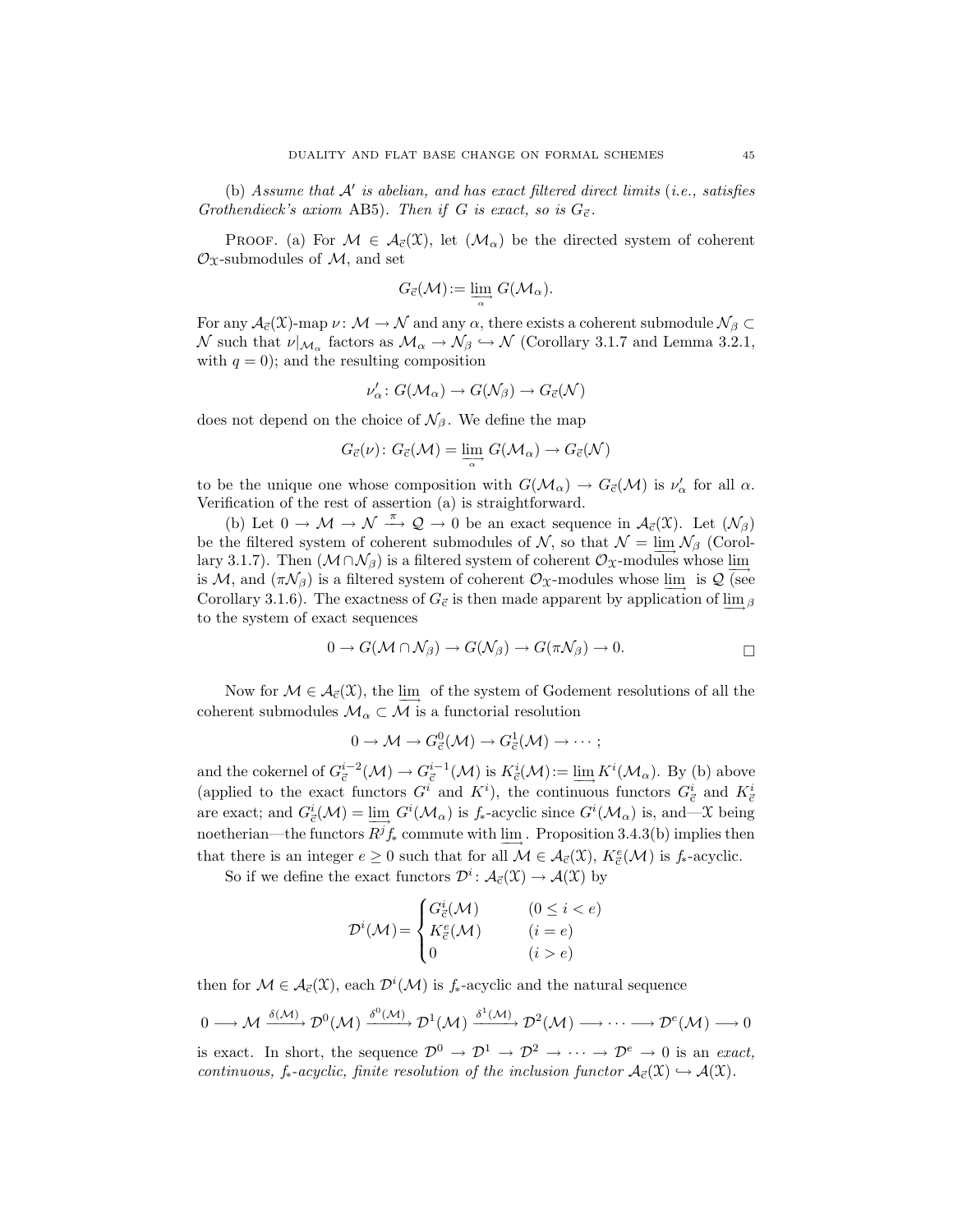(b) Assume that  $A'$  is abelian, and has exact filtered direct limits (i.e., satisfies Grothendieck's axiom AB5). Then if G is exact, so is  $G_{\vec{c}}$ .

PROOF. (a) For  $M \in \mathcal{A}_{\vec{c}}(\mathfrak{X})$ , let  $(\mathcal{M}_{\alpha})$  be the directed system of coherent  $\mathcal{O}_X$ -submodules of  $\mathcal{M}$ , and set

$$
G_{\vec{c}}(\mathcal{M})\!:=\varinjlim_\alpha G(\mathcal{M}_\alpha).
$$

For any  $\mathcal{A}_{\vec{c}}(\mathfrak{X})$ -map  $\nu \colon \mathcal{M} \to \mathcal{N}$  and any  $\alpha$ , there exists a coherent submodule  $\mathcal{N}_{\beta} \subset$  $\mathcal N$  such that  $\nu|_{\mathcal M_{\alpha}}$  factors as  $\mathcal M_{\alpha} \to \mathcal N_{\beta} \hookrightarrow \mathcal N$  (Corollary 3.1.7 and Lemma 3.2.1, with  $q = 0$ ; and the resulting composition

$$
\nu'_{\alpha} \colon G(\mathcal{M}_{\alpha}) \to G(\mathcal{N}_{\beta}) \to G_{\vec{c}}(\mathcal{N})
$$

does not depend on the choice of  $\mathcal{N}_{\beta}$ . We define the map

$$
G_{\vec{c}}(\nu): G_{\vec{c}}(\mathcal{M}) = \varinjlim_{\alpha} G(\mathcal{M}_{\alpha}) \to G_{\vec{c}}(\mathcal{N})
$$

to be the unique one whose composition with  $G(M_\alpha) \to G_{\vec{c}}(\mathcal{M})$  is  $\nu'_\alpha$  for all  $\alpha$ . Verification of the rest of assertion (a) is straightforward.

(b) Let  $0 \to \mathcal{M} \to \mathcal{N} \stackrel{\pi}{\to} \mathcal{Q} \to 0$  be an exact sequence in  $\mathcal{A}_{\vec{c}}(\mathcal{X})$ . Let  $(\mathcal{N}_{\beta})$ be the filtered system of coherent submodules of  $\mathcal{N}$ , so that  $\mathcal{N} = \lim_{n \to \infty} \mathcal{N}_{\beta}$  (Corollary 3.1.7). Then  $(M \cap \mathcal{N}_\beta)$  is a filtered system of coherent  $\mathcal{O}_X$ -modules whose lim is M, and  $(\pi \mathcal{N}_{\beta})$  is a filtered system of coherent  $\mathcal{O}_{\mathfrak{X}}$ -modules whose  $\varinjlim$  is  $\mathcal{Q}$  (see Corollary 3.1.6). The exactness of  $G_{\vec{c}}$  is then made apparent by application of lim<sub>β</sub> to the system of exact sequences

$$
0 \to G(\mathcal{M} \cap \mathcal{N}_{\beta}) \to G(\mathcal{N}_{\beta}) \to G(\pi \mathcal{N}_{\beta}) \to 0.
$$

Now for  $\mathcal{M} \in \mathcal{A}_{\vec{c}}(\mathcal{X})$ , the  $\varinjlim$  of the system of Godement resolutions of all the coherent submodules  $\mathcal{M}_{\alpha} \subset \mathcal{M}$  is a functorial resolution

$$
0 \to \mathcal{M} \to G^0_{\vec{c}}(\mathcal{M}) \to G^1_{\vec{c}}(\mathcal{M}) \to \cdots;
$$

and the cokernel of  $G_{\vec{c}}^{i-2}(\mathcal{M}) \to G_{\vec{c}}^{i-1}(\mathcal{M})$  is  $K_{\vec{c}}^{i}(\mathcal{M}) := \underline{\lim}_{\longrightarrow} K^{i}(\mathcal{M}_{\alpha})$ . By (b) above (applied to the exact functors  $G^i$  and  $K^i$ ), the continuous functors  $G^i_{\vec{c}}$  and  $K^i_{\vec{c}}$ are exact; and  $G^i_{\vec{c}}(\mathcal{M}) = \varinjlim_{\alpha} G^i(\mathcal{M}_{\alpha})$  is  $f_*$ -acyclic since  $G^i(\mathcal{M}_{\alpha})$  is, and—X being noetherian—the functors  $R^jf_*$  commute with  $\underline{\lim}$ . Proposition 3.4.3(b) implies then that there is an integer  $e \geq 0$  such that for all  $\mathcal{M} \in \mathcal{A}_{\vec{c}}(\mathcal{X}), K^e_{\vec{c}}(\mathcal{M})$  is  $f_*$ -acyclic.

So if we define the exact functors  $\mathcal{D}^i$ :  $\mathcal{A}_{\vec{c}}(\mathcal{X}) \to \mathcal{A}(\mathcal{X})$  by

$$
\mathcal{D}^i(\mathcal{M}) = \begin{cases} G^i_{\vec{c}}(\mathcal{M}) & (0 \le i < e) \\ K^e_{\vec{c}}(\mathcal{M}) & (i = e) \\ 0 & (i > e) \end{cases}
$$

then for  $\mathcal{M} \in \mathcal{A}_{\vec{c}}(\mathcal{X})$ , each  $\mathcal{D}^i(\mathcal{M})$  is  $f_*$ -acyclic and the natural sequence

$$
0 \longrightarrow \mathcal{M} \xrightarrow{\delta(\mathcal{M})} \mathcal{D}^0(\mathcal{M}) \xrightarrow{\delta^0(\mathcal{M})} \mathcal{D}^1(\mathcal{M}) \xrightarrow{\delta^1(\mathcal{M})} \mathcal{D}^2(\mathcal{M}) \longrightarrow \cdots \longrightarrow \mathcal{D}^e(\mathcal{M}) \longrightarrow 0
$$

is exact. In short, the sequence  $\mathcal{D}^0 \to \mathcal{D}^1 \to \mathcal{D}^2 \to \cdots \to \mathcal{D}^e \to 0$  is an exact, continuous,  $f_*$ -acyclic, finite resolution of the inclusion functor  $\mathcal{A}_{\vec{c}}(\mathfrak{X}) \hookrightarrow \mathcal{A}(\mathfrak{X})$ .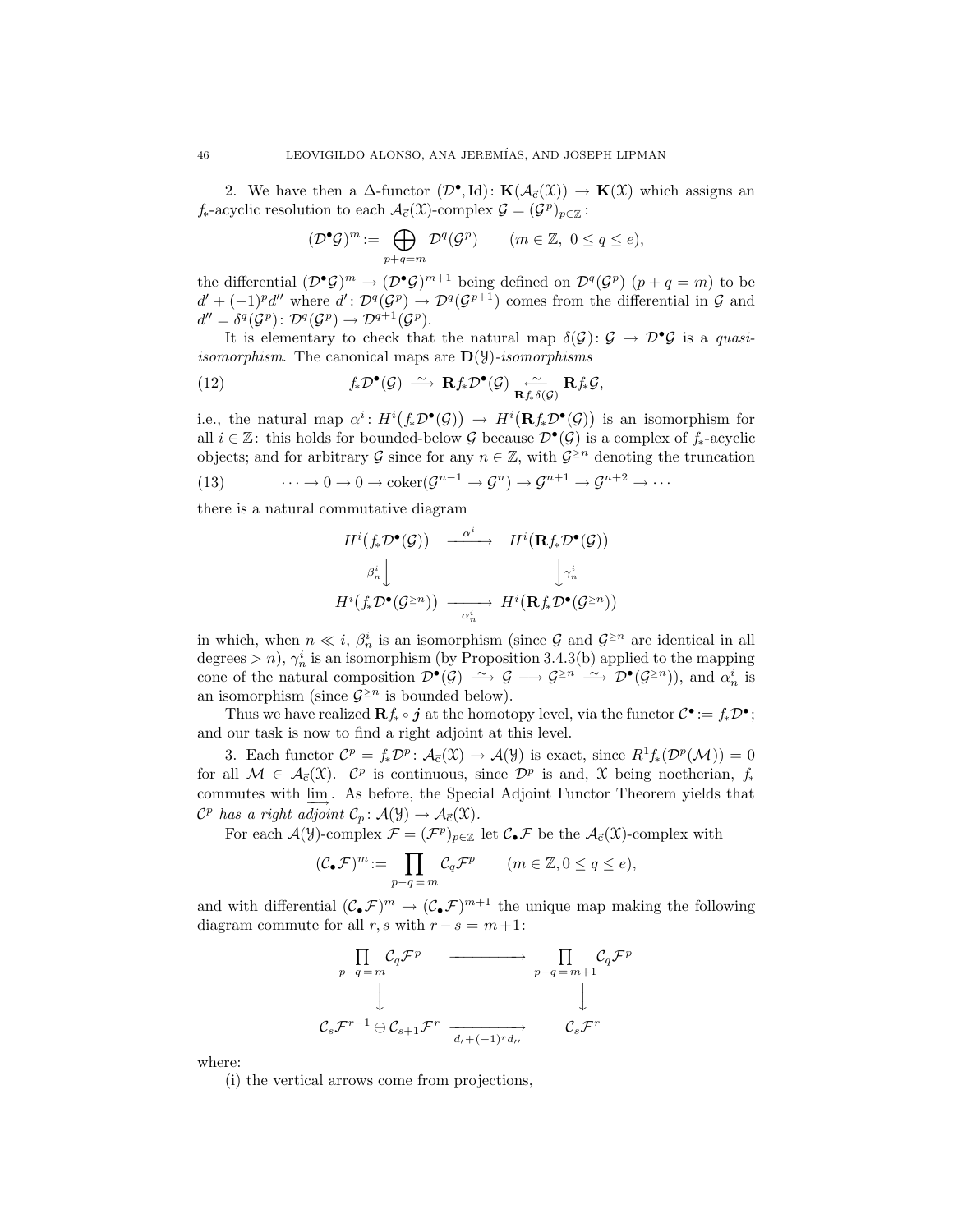2. We have then a  $\Delta$ -functor  $(\mathcal{D}^{\bullet},Id): \mathbf{K}(\mathcal{A}_{\vec{c}}(\mathfrak{X})) \to \mathbf{K}(\mathfrak{X})$  which assigns an  $f_*$ -acyclic resolution to each  $\mathcal{A}_{\vec{c}}(\mathcal{X})$ -complex  $\mathcal{G} = (\mathcal{G}^p)_{p \in \mathbb{Z}}$ :

$$
(\mathcal{D}^{\bullet}\mathcal{G})^m := \bigoplus_{p+q=m} \mathcal{D}^q(\mathcal{G}^p) \qquad (m \in \mathbb{Z}, \ 0 \le q \le e),
$$

the differential  $(\mathcal{D}^{\bullet}\mathcal{G})^m \to (\mathcal{D}^{\bullet}\mathcal{G})^{m+1}$  being defined on  $\mathcal{D}^q(\mathcal{G}^p)$   $(p+q=m)$  to be  $d' + (-1)^{p}d''$  where  $d' : \mathcal{D}^{q}(\mathcal{G}^{p}) \to \mathcal{D}^{q}(\mathcal{G}^{p+1})$  comes from the differential in  $\mathcal{G}$  and  $d'' = \delta^q(\mathcal{G}^p) : \mathcal{D}^q(\mathcal{G}^p) \to \mathcal{D}^{q+1}(\mathcal{G}^p).$ 

It is elementary to check that the natural map  $\delta(\mathcal{G})$ :  $\mathcal{G} \to \mathcal{D}^{\bullet} \mathcal{G}$  is a quasi*isomorphism.* The canonical maps are  $\mathbf{D}(\mathcal{Y})$ -isomorphisms

(12) 
$$
f_* \mathcal{D}^{\bullet}(\mathcal{G}) \stackrel{\sim}{\longrightarrow} \mathbf{R} f_* \mathcal{D}^{\bullet}(\mathcal{G}) \underset{\mathbf{R} f_* \delta(\mathcal{G})}{\longleftarrow} \mathbf{R} f_* \mathcal{G},
$$

i.e., the natural map  $\alpha^i$ :  $H^i(f_*\mathcal{D}^{\bullet}(\mathcal{G})) \to H^i(\mathbf{R}f_*\mathcal{D}^{\bullet}(\mathcal{G}))$  is an isomorphism for all  $i \in \mathbb{Z}$ : this holds for bounded-below G because  $\mathcal{D}^{\bullet}(\mathcal{G})$  is a complex of  $f_*$ -acyclic objects; and for arbitrary  $\mathcal G$  since for any  $n \in \mathbb Z$ , with  $\mathcal G^{\geq n}$  denoting the truncation

(13) 
$$
\cdots \to 0 \to 0 \to \mathrm{coker}(\mathcal{G}^{n-1} \to \mathcal{G}^n) \to \mathcal{G}^{n+1} \to \mathcal{G}^{n+2} \to \cdots
$$

there is a natural commutative diagram

$$
H^{i}(f_{*}\mathcal{D}^{\bullet}(\mathcal{G})) \xrightarrow{\alpha^{i}} H^{i}(\mathbf{R}f_{*}\mathcal{D}^{\bullet}(\mathcal{G}))
$$

$$
\beta_{n}^{i} \downarrow \qquad \qquad \downarrow \gamma_{n}^{i}
$$

$$
H^{i}(f_{*}\mathcal{D}^{\bullet}(\mathcal{G}^{\geq n})) \xrightarrow{\alpha_{n}^{i}} H^{i}(\mathbf{R}f_{*}\mathcal{D}^{\bullet}(\mathcal{G}^{\geq n}))
$$

in which, when  $n \ll i$ ,  $\beta_n^i$  is an isomorphism (since G and  $\mathcal{G}^{\geq n}$  are identical in all degrees > n),  $\gamma_n^i$  is an isomorphism (by Proposition 3.4.3(b) applied to the mapping cone of the natural composition  $\mathcal{D}^{\bullet}(\mathcal{G}) \longrightarrow \mathcal{G} \longrightarrow \mathcal{G}^{\geq n} \longrightarrow \mathcal{D}^{\bullet}(\mathcal{G}^{\geq n})$ , and  $\alpha_n^i$  is an isomorphism (since  $\mathcal{G}^{\geq n}$  is bounded below).

Thus we have realized  $\mathbf{R} f_* \circ j$  at the homotopy level, via the functor  $\mathcal{C}^{\bullet} := f_* \mathcal{D}^{\bullet}$ ; and our task is now to find a right adjoint at this level.

3. Each functor  $\mathcal{C}^p = f_*\mathcal{D}^p$ :  $\mathcal{A}_{\vec{c}}(\mathfrak{X}) \to \mathcal{A}(\mathfrak{Y})$  is exact, since  $R^1f_*(\mathcal{D}^p(\mathcal{M})) = 0$ for all  $\mathcal{M} \in \mathcal{A}_{\vec{c}}(\mathcal{X})$ .  $\mathcal{C}^p$  is continuous, since  $\mathcal{D}^p$  is and, X being noetherian,  $f_*$ commutes with lim−→ . As before, the Special Adjoint Functor Theorem yields that  $\mathcal{C}^p$  has a right adjoint  $\mathcal{C}_p : \mathcal{A}(\mathcal{Y}) \to \mathcal{A}_{\vec{c}}(\mathcal{X})$ .

For each  $\mathcal{A}(\mathcal{Y})$ -complex  $\mathcal{F} = (\mathcal{F}^p)_{p \in \mathbb{Z}}$  let  $\mathcal{C}_{\bullet} \mathcal{F}$  be the  $\mathcal{A}_{\vec{c}}(\mathcal{X})$ -complex with

$$
(\mathcal{C}_{\bullet}\mathcal{F})^m := \prod_{p-q=m} \mathcal{C}_q \mathcal{F}^p \qquad (m \in \mathbb{Z}, 0 \le q \le e),
$$

and with differential  $(C_{\bullet}\mathcal{F})^m \to (C_{\bullet}\mathcal{F})^{m+1}$  the unique map making the following diagram commute for all r, s with  $r - s = m + 1$ :

$$
\begin{array}{ccc}\n\prod_{p-q=m} C_q \mathcal{F}^p & \xrightarrow{\hspace{1cm}} & \prod_{p-q=m+1} C_q \mathcal{F}^p \\
\downarrow & & \downarrow \\
\mathcal{C}_s \mathcal{F}^{r-1} \oplus \mathcal{C}_{s+1} \mathcal{F}^r & \xrightarrow[d_r + (-1)^r d_{rr}] & \mathcal{C}_s \mathcal{F}^r\n\end{array}
$$

where:

(i) the vertical arrows come from projections,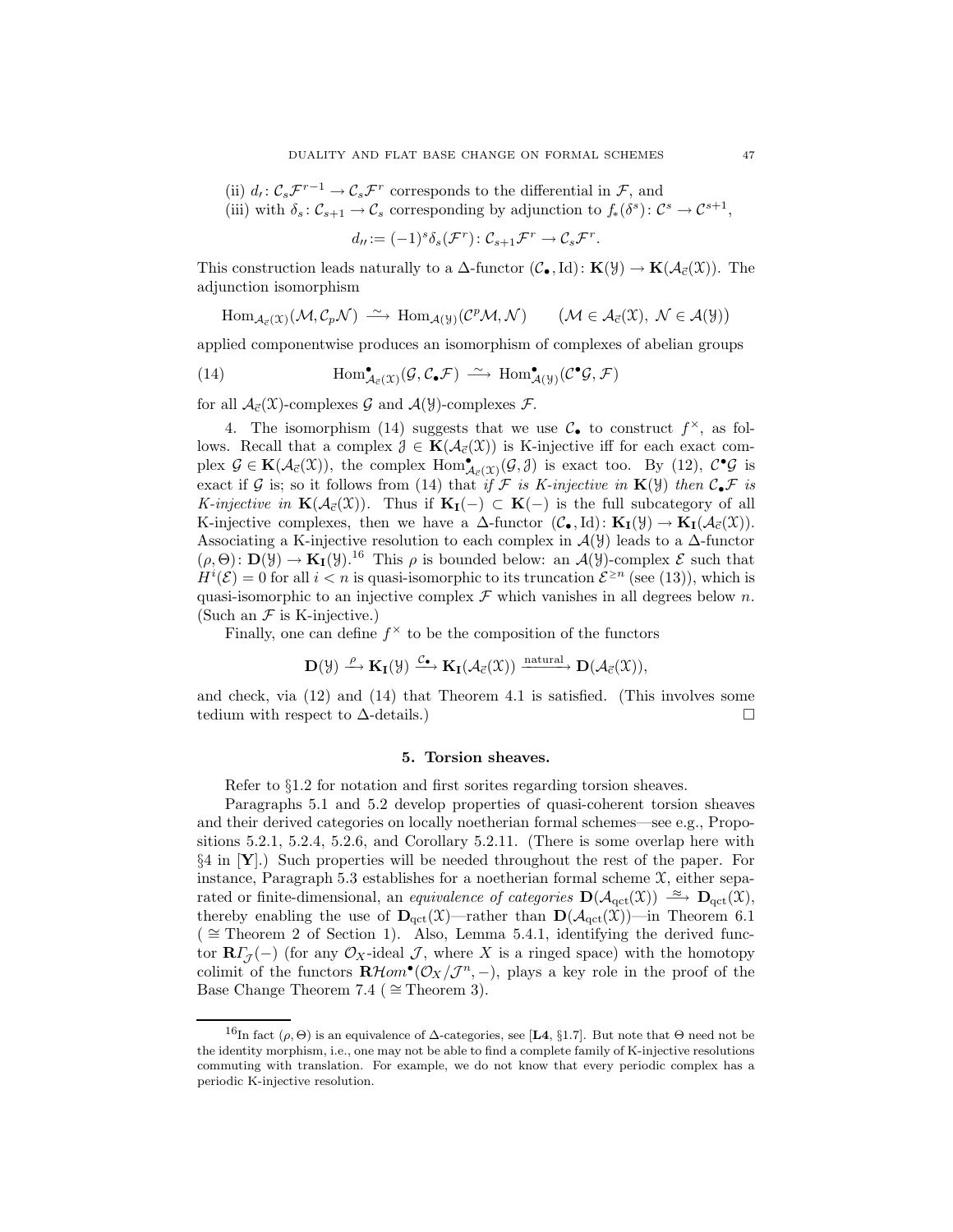(ii)  $d_t: C_s\mathcal{F}^{r-1} \to C_s\mathcal{F}^r$  corresponds to the differential in  $\mathcal{F}$ , and

(iii) with  $\delta_s \colon C_{s+1} \to C_s$  corresponding by adjunction to  $f_*(\delta^s) \colon C^s \to C^{s+1}$ ,

$$
d_{tt} := (-1)^s \delta_s(\mathcal{F}^r) \colon \mathcal{C}_{s+1} \mathcal{F}^r \to \mathcal{C}_s \mathcal{F}^r.
$$

This construction leads naturally to a  $\Delta$ -functor  $(\mathcal{C}_{\bullet},Id): \mathbf{K}(\mathcal{Y}) \to \mathbf{K}(\mathcal{A}_{\vec{c}}(\mathcal{X}))$ . The adjunction isomorphism

$$
\mathrm{Hom}_{\mathcal{A}_{\vec{c}}(\mathfrak{X})}(\mathcal{M},\mathcal{C}_p\mathcal{N})\;\stackrel{\sim}{\longrightarrow}\; \mathrm{Hom}_{\mathcal{A}(\mathcal{Y})}(\mathcal{C}^p\mathcal{M},\mathcal{N}) \qquad \big(\mathcal{M}\in\mathcal{A}_{\vec{c}}(\mathfrak{X}),\;\mathcal{N}\in\mathcal{A}(\mathcal{Y})\big)
$$

applied componentwise produces an isomorphism of complexes of abelian groups

(14) 
$$
\text{Hom}^{\bullet}_{\mathcal{A}_{\vec{c}}(\mathcal{X})}(\mathcal{G}, \mathcal{C}_{\bullet} \mathcal{F}) \xrightarrow{\sim} \text{Hom}^{\bullet}_{\mathcal{A}(\mathcal{Y})}(\mathcal{C}^{\bullet} \mathcal{G}, \mathcal{F})
$$

for all  $\mathcal{A}_{\vec{c}}(\mathfrak{X})$ -complexes  $\mathcal G$  and  $\mathcal{A}(\mathcal{Y})$ -complexes  $\mathcal F$ .

4. The isomorphism (14) suggests that we use  $\mathcal{C}_{\bullet}$  to construct  $f^{\times}$ , as follows. Recall that a complex  $\mathcal{J} \in \mathbf{K}(\mathcal{A}_{\vec{c}}(\mathcal{X}))$  is K-injective iff for each exact complex  $\mathcal{G} \in \mathbf{K}(\mathcal{A}_{\vec{c}}(\mathfrak{X}))$ , the complex  $\text{Hom}^{\bullet}_{\mathcal{A}_{\vec{c}}(\mathfrak{X})}(\mathcal{G}, \mathcal{J})$  is exact too. By (12),  $\mathcal{C}^{\bullet}\mathcal{G}$  is exact if G is; so it follows from (14) that if F is K-injective in  $\mathbf{K}(\mathcal{Y})$  then  $\mathcal{C}_\bullet\mathcal{F}$  is K-injective in  $\mathbf{K}(\mathcal{A}_{\vec{c}}(\mathcal{X}))$ . Thus if  $\mathbf{K}_{\mathbf{I}}(-) \subset \mathbf{K}(-)$  is the full subcategory of all K-injective complexes, then we have a  $\Delta$ -functor  $(\mathcal{C}_{\bullet},Id): \mathbf{K}_{\mathbf{I}}(\mathcal{Y}) \to \mathbf{K}_{\mathbf{I}}(\mathcal{A}_{\vec{c}}(\mathcal{X})).$ Associating a K-injective resolution to each complex in  $\mathcal{A}(\mathcal{Y})$  leads to a  $\Delta$ -functor  $(\rho, \Theta) \colon \mathbf{D}(\mathcal{Y}) \to \mathbf{K}_{\mathbf{I}}(\mathcal{Y})$ .<sup>16</sup> This  $\rho$  is bounded below: an  $\mathcal{A}(\mathcal{Y})$ -complex  $\mathcal{E}$  such that  $H^i(\mathcal{E}) = 0$  for all  $i < n$  is quasi-isomorphic to its truncation  $\mathcal{E}^{\geq n}$  (see (13)), which is quasi-isomorphic to an injective complex  $\mathcal F$  which vanishes in all degrees below n. (Such an  $\mathcal F$  is K-injective.)

Finally, one can define  $f^{\times}$  to be the composition of the functors

$$
\mathbf{D}(\mathcal{Y}) \xrightarrow{\rho} \mathbf{K}_{\mathbf{I}}(\mathcal{Y}) \xrightarrow{\mathcal{C}_{\bullet}} \mathbf{K}_{\mathbf{I}}(\mathcal{A}_{\vec{c}}(\mathcal{X})) \xrightarrow{\text{natural}} \mathbf{D}(\mathcal{A}_{\vec{c}}(\mathcal{X})),
$$

and check, via (12) and (14) that Theorem 4.1 is satisfied. (This involves some tedium with respect to  $\Delta$ -details.)

## 5. Torsion sheaves.

Refer to §1.2 for notation and first sorites regarding torsion sheaves.

Paragraphs 5.1 and 5.2 develop properties of quasi-coherent torsion sheaves and their derived categories on locally noetherian formal schemes—see e.g., Propositions 5.2.1, 5.2.4, 5.2.6, and Corollary 5.2.11. (There is some overlap here with  $\S4$  in  $[Y]$ .) Such properties will be needed throughout the rest of the paper. For instance, Paragraph 5.3 establishes for a noetherian formal scheme  $\mathfrak{X}$ , either separated or finite-dimensional, an equivalence of categories  $\mathbf{D}(\mathcal{A}_{\text{qct}}(\mathfrak{X})) \stackrel{\approx}{\longrightarrow} \mathbf{D}_{\text{qct}}(\mathfrak{X}),$ thereby enabling the use of  $\mathbf{D}_{\text{qct}}(\mathfrak{X})$ —rather than  $\mathbf{D}(\mathcal{A}_{\text{qct}}(\mathfrak{X}))$ —in Theorem 6.1  $($  ≃ Theorem 2 of Section 1). Also, Lemma 5.4.1, identifying the derived functor  $\mathbf{R}\Gamma_{\mathcal{J}}(-)$  (for any  $\mathcal{O}_X$ -ideal  $\mathcal{J}$ , where X is a ringed space) with the homotopy colimit of the functors  $\mathbf{R}\mathcal{H}om^{\bullet}(\mathcal{O}_X/\mathcal{J}^n,-)$ , plays a key role in the proof of the Base Change Theorem 7.4 ( $\cong$  Theorem 3).

<sup>&</sup>lt;sup>16</sup>In fact ( $\rho$ ,  $\Theta$ ) is an equivalence of  $\Delta$ -categories, see [**L4**, §1.7]. But note that  $\Theta$  need not be the identity morphism, i.e., one may not be able to find a complete family of K-injective resolutions commuting with translation. For example, we do not know that every periodic complex has a periodic K-injective resolution.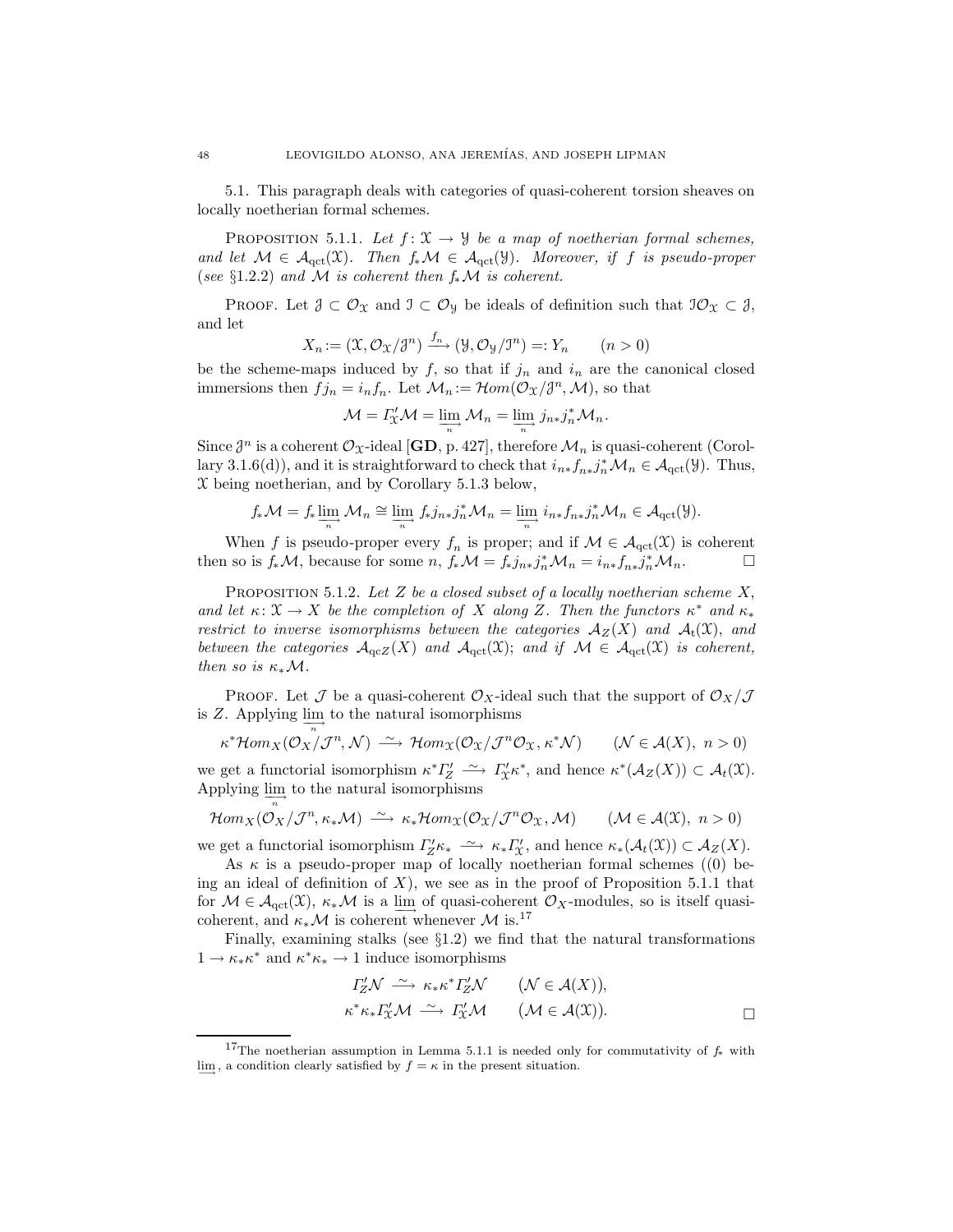5.1. This paragraph deals with categories of quasi-coherent torsion sheaves on locally noetherian formal schemes.

PROPOSITION 5.1.1. Let  $f: \mathfrak{X} \to \mathcal{Y}$  be a map of noetherian formal schemes, and let  $\mathcal{M} \in \mathcal{A}_{\text{qct}}(\mathfrak{X})$ . Then  $f_*\mathcal{M} \in \mathcal{A}_{\text{qct}}(\mathfrak{Y})$ . Moreover, if f is pseudo-proper (see §1.2.2) and M is coherent then  $f_*\mathcal{M}$  is coherent.

PROOF. Let  $\mathcal{J} \subset \mathcal{O}_{\mathfrak{X}}$  and  $\mathcal{I} \subset \mathcal{O}_{\mathfrak{Y}}$  be ideals of definition such that  $\mathcal{I}\mathcal{O}_{\mathfrak{X}} \subset \mathcal{J}$ , and let

$$
X_n := (\mathfrak{X}, \mathcal{O}_{\mathfrak{X}}/\mathfrak{J}^n) \xrightarrow{f_n} (\mathfrak{Y}, \mathcal{O}_{\mathfrak{Y}}/\mathfrak{I}^n) =: Y_n \qquad (n > 0)
$$

be the scheme-maps induced by  $f$ , so that if  $j_n$  and  $i_n$  are the canonical closed immersions then  $f_{j_n} = i_n f_n$ . Let  $\mathcal{M}_n := \mathcal{H}om(\mathcal{O}_X/\mathcal{J}^n, \mathcal{M})$ , so that

$$
\mathcal{M} = \Gamma_{\mathcal{X}}' \mathcal{M} = \varinjlim_{n} \mathcal{M}_{n} = \varinjlim_{n} j_{n*} j_{n}^{*} \mathcal{M}_{n}.
$$

Since  $\mathcal{J}^n$  is a coherent  $\mathcal{O}_\mathcal{X}$ -ideal [**GD**, p. 427], therefore  $\mathcal{M}_n$  is quasi-coherent (Corollary 3.1.6(d)), and it is straightforward to check that  $i_{n*} f_{n*} j_n^* \mathcal{M}_n \in \mathcal{A}_{\text{qct}}(\mathcal{Y})$ . Thus,  $X$  being noetherian, and by Corollary 5.1.3 below,

$$
f_*\mathcal{M}=f_*\varinjlim_{n}\mathcal{M}_n\cong\varinjlim_{n}f_*j_{n*}j_n^*\mathcal{M}_n=\varinjlim_{n}i_{n*}f_{n*}j_n^*\mathcal{M}_n\in\mathcal{A}_{\text{qct}}(\mathcal{Y}).
$$

When f is pseudo-proper every  $f_n$  is proper; and if  $\mathcal{M} \in \mathcal{A}_{\text{qct}}(\mathcal{X})$  is coherent then so is  $f_*\mathcal{M}$ , because for some  $n, f_*\mathcal{M} = f_*j_{n*}j_n^*\mathcal{M}_n = i_{n*}f_{n*}j_n^*\mathcal{M}_n.$ 

PROPOSITION 5.1.2. Let  $Z$  be a closed subset of a locally noetherian scheme  $X$ , and let  $\kappa: \mathfrak{X} \to X$  be the completion of X along Z. Then the functors  $\kappa^*$  and  $\kappa_*$ restrict to inverse isomorphisms between the categories  $A_Z(X)$  and  $A_t(X)$ , and between the categories  $\mathcal{A}_{qcZ}(X)$  and  $\mathcal{A}_{qct}(\mathfrak{X})$ ; and if  $\mathcal{M} \in \mathcal{A}_{qct}(\mathfrak{X})$  is coherent, then so is  $\kappa_* \mathcal{M}$ .

PROOF. Let  $\mathcal J$  be a quasi-coherent  $\mathcal O_X$ -ideal such that the support of  $\mathcal O_X/\mathcal J$ is Z. Applying  $\lim_{n\to\infty}$  to the natural isomorphisms

$$
\kappa^* \mathcal{H}om_X(\mathcal{O}_X/\mathcal{J}^n,\mathcal{N}) \xrightarrow{\sim} \mathcal{H}om_X(\mathcal{O}_X/\mathcal{J}^n\mathcal{O}_X,\kappa^*\mathcal{N}) \qquad (\mathcal{N} \in \mathcal{A}(X),\ n > 0)
$$

we get a functorial isomorphism  $\kappa^* I_Z^{\prime} \longrightarrow \Gamma_{\!\!X}^{\prime} \kappa^*$ , and hence  $\kappa^*({\mathcal A}_Z(X)) \subset {\mathcal A}_t({\mathfrak X})$ . Applying  $\lim_{n\to\infty}$  to the natural isomorphisms

$$
\mathcal{H}om_X(\mathcal{O}_X/\mathcal{J}^n, \kappa_*\mathcal{M}) \stackrel{\sim}{\longrightarrow} \kappa_*\mathcal{H}om_X(\mathcal{O}_X/\mathcal{J}^n\mathcal{O}_X, \mathcal{M}) \qquad (\mathcal{M} \in \mathcal{A}(\mathfrak{X}), n > 0)
$$

we get a functorial isomorphism  $\Gamma'_{Z}\kappa_* \longrightarrow \kappa_*\Gamma'_{X}$ , and hence  $\kappa_*(\mathcal{A}_t(\mathfrak{X})) \subset \mathcal{A}_Z(X)$ .

As  $\kappa$  is a pseudo-proper map of locally noetherian formal schemes ((0) being an ideal of definition of  $X$ ), we see as in the proof of Proposition 5.1.1 that for  $M \in \mathcal{A}_{\text{qct}}(\mathfrak{X}), \ \kappa_* \mathcal{M}$  is a  $\underline{\lim}_{\longrightarrow}$  of quasi-coherent  $\mathcal{O}_X$ -modules, so is itself quasicoherent, and  $\kappa_* \mathcal{M}$  is coherent whenever  $\mathcal{M}$  is.<sup>17</sup>

Finally, examining stalks (see  $\S1.2$ ) we find that the natural transformations  $1 \to \kappa_* \kappa^*$  and  $\kappa^* \kappa_* \to 1$  induce isomorphisms

$$
\begin{aligned}\n\varGamma_Z' \mathcal{N} &\xrightarrow{\sim} \kappa_* \kappa^* \varGamma_Z' \mathcal{N} \qquad (\mathcal{N} \in \mathcal{A}(X)), \\
\kappa^* \kappa_* \varGamma_{\mathcal{X}}' \mathcal{M} &\xrightarrow{\sim} \varGamma_{\mathcal{X}}' \mathcal{M} \qquad (\mathcal{M} \in \mathcal{A}(\mathcal{X})).\n\end{aligned} \qquad \qquad \Box
$$

<sup>&</sup>lt;sup>17</sup>The noetherian assumption in Lemma 5.1.1 is needed only for commutativity of  $f_*$  with lim, a condition clearly satisfied by  $f = \kappa$  in the present situation.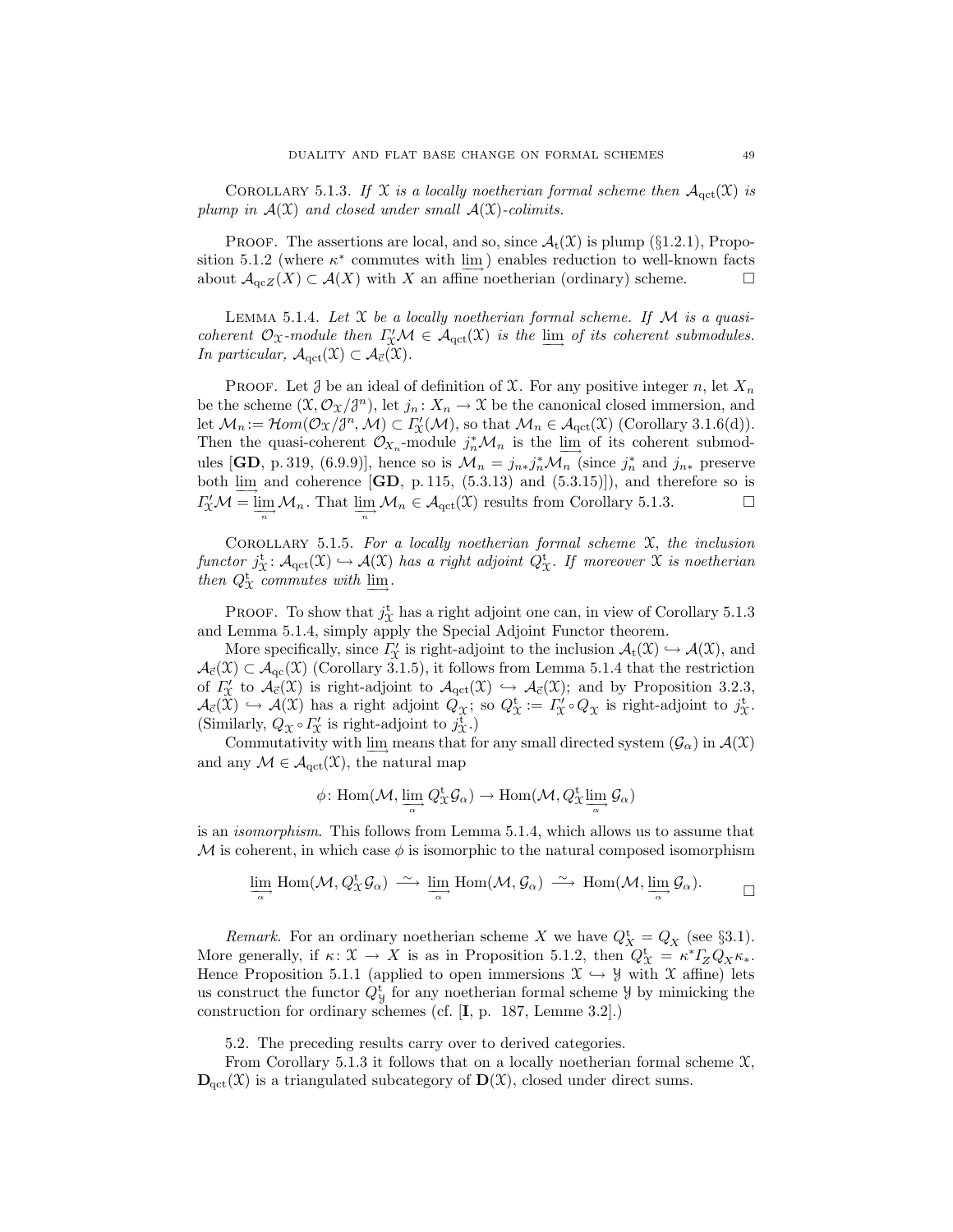COROLLARY 5.1.3. If X is a locally noetherian formal scheme then  $\mathcal{A}_{\text{act}}(\mathcal{X})$  is plump in  $A(\mathfrak{X})$  and closed under small  $A(\mathfrak{X})$ -colimits.

**PROOF.** The assertions are local, and so, since  $\mathcal{A}_t(\mathcal{X})$  is plump (§1.2.1), Proposition 5.1.2 (where  $\kappa^*$  commutes with  $\lim_{n \to \infty}$ ) enables reduction to well-known facts about  $\mathcal{A}_{\alpha\in Z}(X) \subset \mathcal{A}(X)$  with X an affine noetherian (ordinary) scheme.

LEMMA 5.1.4. Let  $\mathfrak X$  be a locally noetherian formal scheme. If  $\mathcal M$  is a quasicoherent  $\mathcal{O}_\mathfrak{X}$ -module then  $\Gamma'_\mathfrak{X}\mathcal{M} \in \mathcal{A}_{\text{qct}}(\mathfrak{X})$  is the  $\underline{\lim}_{\longrightarrow}$  of its coherent submodules. In particular,  $\mathcal{A}_{\text{qct}}(\mathfrak{X}) \subset \mathcal{A}_{\vec{c}}(\mathfrak{X})$ .

**PROOF.** Let  $\mathcal{J}$  be an ideal of definition of  $\mathcal{X}$ . For any positive integer n, let  $X_n$ be the scheme  $(\mathfrak{X}, \mathcal{O}_{\mathfrak{X}}/\mathfrak{F}^n)$ , let  $j_n : X_n \to \mathfrak{X}$  be the canonical closed immersion, and let  $\mathcal{M}_n := \mathcal{H}om(\mathcal{O}_{\mathfrak{X}}/ \mathfrak{J}^n, \mathcal{M}) \subset \Gamma'_{\mathfrak{X}}(\mathcal{M}),$  so that  $\mathcal{M}_n \in \mathcal{A}_{\text{qct}}(\mathfrak{X})$  (Corollary 3.1.6(d)). Then the quasi-coherent  $\mathcal{O}_{X_n}$ -module  $j_n^*\mathcal{M}_n$  is the  $\lim_{n\to\infty}$  of its coherent submodules [GD, p. 319, (6.9.9)], hence so is  $\mathcal{M}_n = j_{n*} j_n^* \mathcal{M}_n$  (since  $j_n^*$  and  $j_{n*}$  preserve both  $\lim_{n \to \infty}$  and coherence  $[\mathbf{GD}, p. 115, (5.3.13)$  and  $(5.3.15)]$ , and therefore so is  $\Gamma''_{\mathfrak{X}}\mathcal{M} = \lim_{\substack{\longrightarrow \\ n}} \mathcal{M}_n$ . That  $\lim_{\substack{\longrightarrow \\ n}} \mathcal{M}_n \in \mathcal{A}_{\text{qct}}(\mathfrak{X})$  results from Corollary 5.1.3.

COROLLARY 5.1.5. For a locally noetherian formal scheme  $\mathfrak{X}$ , the inclusion functor  $j^{\text{t}}_{\mathfrak{X}}: \mathcal{A}_{\text{qct}}(\mathfrak{X}) \hookrightarrow \mathcal{A}(\mathfrak{X})$  has a right adjoint  $Q_{\mathfrak{X}}^{\text{t}}$ . If moreover  $\mathfrak{X}$  is noetherian then  $Q^t_{\mathfrak{X}}$  commutes with  $\underline{\lim}$ .

PROOF. To show that  $j_{\chi}^{\rm t}$  has a right adjoint one can, in view of Corollary 5.1.3 and Lemma 5.1.4, simply apply the Special Adjoint Functor theorem.

More specifically, since  $\Gamma_{\mathcal{X}}'$  is right-adjoint to the inclusion  $\mathcal{A}_t(\mathcal{X}) \hookrightarrow \mathcal{A}(\mathcal{X})$ , and  $\mathcal{A}_{\vec{c}}(\mathcal{X}) \subset \mathcal{A}_{\text{qc}}(\mathcal{X})$  (Corollary 3.1.5), it follows from Lemma 5.1.4 that the restriction of  $\Gamma'_{\mathfrak{X}}$  to  $\mathcal{A}_{\vec{c}}(\mathfrak{X})$  is right-adjoint to  $\mathcal{A}_{\text{qct}}(\mathfrak{X}) \hookrightarrow \mathcal{A}_{\vec{c}}(\mathfrak{X})$ ; and by Proposition 3.2.3,  $\mathcal{A}_{\vec{c}}(\mathfrak{X}) \hookrightarrow \mathcal{A}(\mathfrak{X})$  has a right adjoint  $Q_{\mathfrak{X}}$ ; so  $Q_{\mathfrak{X}}^{\mathbf{t}} := \varGamma_{\mathfrak{X}}' \circ Q_{\mathfrak{X}}$  is right-adjoint to  $j_{\mathfrak{X}}^{\mathbf{t}}$ . (Similarly,  $Q_{\mathfrak{X}} \circ I_{\mathfrak{X}}'$  is right-adjoint to  $j_{\mathfrak{X}}^{\operatorname{t}}$ .)

Commutativity with  $\lim_{n \to \infty}$  means that for any small directed system  $(\mathcal{G}_{\alpha})$  in  $\mathcal{A}(\mathcal{X})$ and any  $\mathcal{M} \in \mathcal{A}_{\text{act}}(\mathfrak{X})$ , the natural map

$$
\phi\colon \text{Hom}(\mathcal{M}, \varinjlim_{\alpha} Q_{\mathfrak{X}}^{\mathbf{t}} \mathcal{G}_{\alpha}) \to \text{Hom}(\mathcal{M}, Q_{\mathfrak{X}}^{\mathbf{t}} \varinjlim_{\alpha} \mathcal{G}_{\alpha})
$$

is an isomorphism. This follows from Lemma 5.1.4, which allows us to assume that M is coherent, in which case  $\phi$  is isomorphic to the natural composed isomorphism

$$
\varinjlim_{\alpha} \text{Hom}(\mathcal{M}, Q_{\mathcal{X}}^{\mathbf{t}} \mathcal{G}_{\alpha}) \stackrel{\sim}{\longrightarrow} \varinjlim_{\alpha} \text{Hom}(\mathcal{M}, \mathcal{G}_{\alpha}) \stackrel{\sim}{\longrightarrow} \text{Hom}(\mathcal{M}, \varinjlim_{\alpha} \mathcal{G}_{\alpha}).
$$

Remark. For an ordinary noetherian scheme X we have  $Q_X^{\text{t}} = Q_X$  (see §3.1). More generally, if  $\kappa \colon \mathfrak{X} \to X$  is as in Proposition 5.1.2, then  $Q^{\mathbf{t}}_{\mathfrak{X}} = \kappa^* I_Z Q_X \kappa_*$ . Hence Proposition 5.1.1 (applied to open immersions  $\mathfrak{X} \hookrightarrow \mathfrak{Y}$  with X affine) lets us construct the functor  $Q_y^{\rm t}$  for any noetherian formal scheme  $\mathcal Y$  by mimicking the construction for ordinary schemes (cf. [I, p. 187, Lemme 3.2].)

5.2. The preceding results carry over to derived categories.

From Corollary 5.1.3 it follows that on a locally noetherian formal scheme  $\mathfrak{X}$ ,  $\mathbf{D}_{\mathrm{qct}}(\mathfrak{X})$  is a triangulated subcategory of  $\mathbf{D}(\mathfrak{X})$ , closed under direct sums.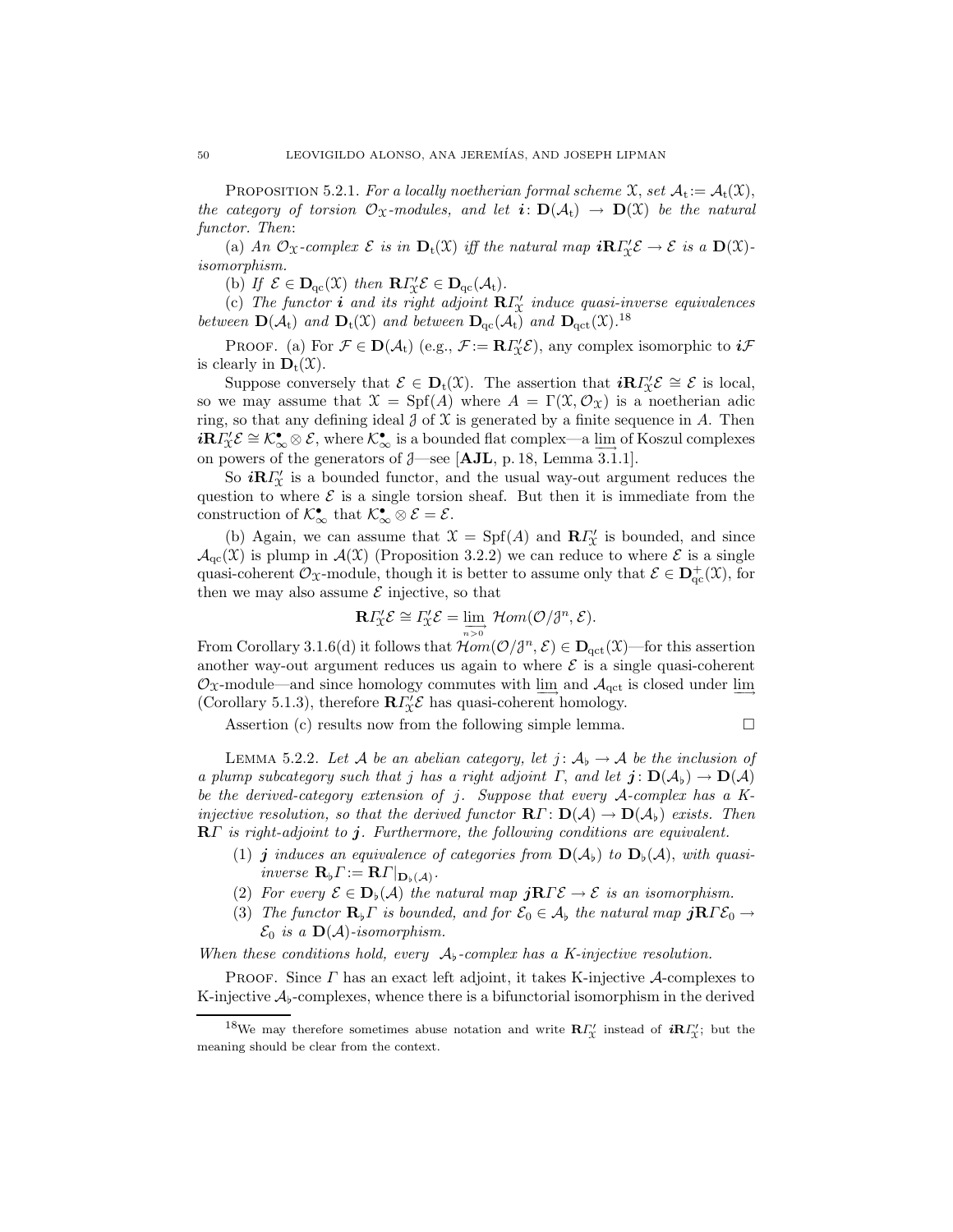PROPOSITION 5.2.1. For a locally noetherian formal scheme  $\mathfrak{X}$ , set  $\mathcal{A}_t := \mathcal{A}_t(\mathfrak{X})$ , the category of torsion  $\mathcal{O}_X$ -modules, and let  $i: D(\mathcal{A}_t) \to D(\mathcal{X})$  be the natural functor. Then:

(a) An  $\mathcal{O}_{\mathfrak{X}}$ -complex  $\mathcal E$  is in  $\mathbf{D}_t(\mathfrak{X})$  iff the natural map  $i\mathbf{R}\Gamma'_{\mathfrak{X}}\mathcal{E} \to \mathcal E$  is a  $\mathbf{D}(\mathfrak{X})$ isomorphism.

(b) If  $\mathcal{E} \in \mathbf{D}_{qc}(\mathfrak{X})$  then  $\mathbf{R} \Gamma'_{\mathfrak{X}} \mathcal{E} \in \mathbf{D}_{qc}(\mathcal{A}_t)$ .

(c) The functor **i** and its right adjoint  $\mathbb{R} \Gamma_{\mathcal{X}}'$  induce quasi-inverse equivalences between  $\mathbf{D}(\mathcal{A}_{t})$  and  $\mathbf{D}_{t}(\mathcal{X})$  and between  $\mathbf{D}_{qc}(\mathcal{A}_{t})$  and  $\mathbf{D}_{qct}(\mathcal{X})$ .<sup>18</sup>

PROOF. (a) For  $\mathcal{F} \in \mathbf{D}(\mathcal{A}_{t})$  (e.g.,  $\mathcal{F} := \mathbf{R} \Gamma'_{\mathcal{X}} \mathcal{E}$ ), any complex isomorphic to  $i\mathcal{F}$ is clearly in  $\mathbf{D}_t(\mathfrak{X})$ .

Suppose conversely that  $\mathcal{E} \in \mathbf{D}_t(\mathfrak{X})$ . The assertion that  $i\mathbf{R} \Gamma'_\mathfrak{X} \mathcal{E} \cong \mathcal{E}$  is local, so we may assume that  $\mathfrak{X} = Spf(A)$  where  $A = \Gamma(\mathfrak{X}, \mathcal{O}_{\mathfrak{X}})$  is a noetherian adic ring, so that any defining ideal  $\partial$  of  $\mathfrak X$  is generated by a finite sequence in A. Then  $i\mathbf{R}\Gamma'_{\mathcal{X}}\mathcal{E} \cong \mathcal{K}_{\infty}^{\bullet}\otimes \mathcal{E}$ , where  $\mathcal{K}_{\infty}^{\bullet}$  is a bounded flat complex—a  $\underline{\lim}_{\longrightarrow}$  of Koszul complexes on powers of the generators of  $\beta$ —see [AJL, p. 18, Lemma 3.1.1].

So  $i\mathbf{R} \Gamma_{\chi}^{\prime}$  is a bounded functor, and the usual way-out argument reduces the question to where  $\mathcal E$  is a single torsion sheaf. But then it is immediate from the construction of  $\mathcal{K}_{\infty}^{\bullet}$  that  $\mathcal{K}_{\infty}^{\bullet} \otimes \mathcal{E} = \mathcal{E}$ .

(b) Again, we can assume that  $\mathfrak{X} = \mathrm{Spf}(A)$  and  $\mathbb{R} \Gamma'_{\mathfrak{X}}$  is bounded, and since  $\mathcal{A}_{\text{qc}}(\mathfrak{X})$  is plump in  $\mathcal{A}(\mathfrak{X})$  (Proposition 3.2.2) we can reduce to where  $\mathcal E$  is a single quasi-coherent  $\mathcal{O}_{\mathfrak{X}}$ -module, though it is better to assume only that  $\mathcal{E} \in \mathbf{D}^+_{\mathrm{qc}}(\mathfrak{X})$ , for then we may also assume  $\mathcal E$  injective, so that

$$
\mathbf{R}\varGamma_{\!\mathcal{X}}'\mathcal{E}\cong\varGamma_{\!\mathcal{X}}'\mathcal{E}=\lim_{n>o}\mathcal{H}om(\mathcal{O}/\mathcal{J}^n,\mathcal{E}).
$$

From Corollary 3.1.6(d) it follows that  $Hom(\mathcal{O}/\mathcal{J}^n, \mathcal{E}) \in \mathbf{D}_{\text{qct}}(\mathcal{X})$ —for this assertion another way-out argument reduces us again to where  $\mathcal E$  is a single quasi-coherent  $\mathcal{O}_X$ -module—and since homology commutes with lim<sub>→</sub> and  $\mathcal{A}_{\text{qct}}$  is closed under lim (Corollary 5.1.3), therefore  $\mathbb{R} \Gamma_{\mathcal{X}}' \mathcal{E}$  has quasi-coherent homology.

Assertion (c) results now from the following simple lemma.  $\Box$ 

LEMMA 5.2.2. Let A be an abelian category, let  $j: A_{\mathfrak{b}} \to A$  be the inclusion of a plump subcategory such that j has a right adjoint  $\Gamma$ , and let  $\mathbf{j} : \mathbf{D}(\mathcal{A}_{\flat}) \to \mathbf{D}(\mathcal{A})$ be the derived-category extension of j. Suppose that every A-complex has a Kinjective resolution, so that the derived functor  $\mathbf{R}\Gamma\colon \mathbf{D}(\mathcal{A}) \to \mathbf{D}(\mathcal{A}_b)$  exists. Then RΓ is right-adjoint to j. Furthermore, the following conditions are equivalent.

- (1) j induces an equivalence of categories from  $\mathbf{D}(\mathcal{A}_{\mathfrak{b}})$  to  $\mathbf{D}_{\mathfrak{b}}(\mathcal{A})$ , with quasiinverse  $\mathbf{R}_{\flat}\Gamma := \mathbf{R}\Gamma|_{\mathbf{D}_{\flat}(\mathcal{A})}.$
- (2) For every  $\mathcal{E} \in \mathbf{D}_{\flat}(\mathcal{A})$  the natural map  $j\mathbf{R}\Gamma\mathcal{E} \to \mathcal{E}$  is an isomorphism.
- (3) The functor  $\mathbf{R}_{\flat}\Gamma$  is bounded, and for  $\mathcal{E}_0 \in \mathcal{A}_{\flat}$  the natural map  $j\mathbf{R}\Gamma\mathcal{E}_0 \to$  $\mathcal{E}_0$  is a  $\mathbf{D}(\mathcal{A})$ -isomorphism.

When these conditions hold, every  $A_{\flat}$ -complex has a K-injective resolution.

PROOF. Since  $\Gamma$  has an exact left adjoint, it takes K-injective  $\mathcal{A}$ -complexes to K-injective  $\mathcal{A}_{\flat}$ -complexes, whence there is a bifunctorial isomorphism in the derived

<sup>&</sup>lt;sup>18</sup>We may therefore sometimes abuse notation and write  $\mathbb{R} \Gamma_{\chi}^{\prime}$  instead of  $i \mathbb{R} \Gamma_{\chi}^{\prime}$ ; but the meaning should be clear from the context.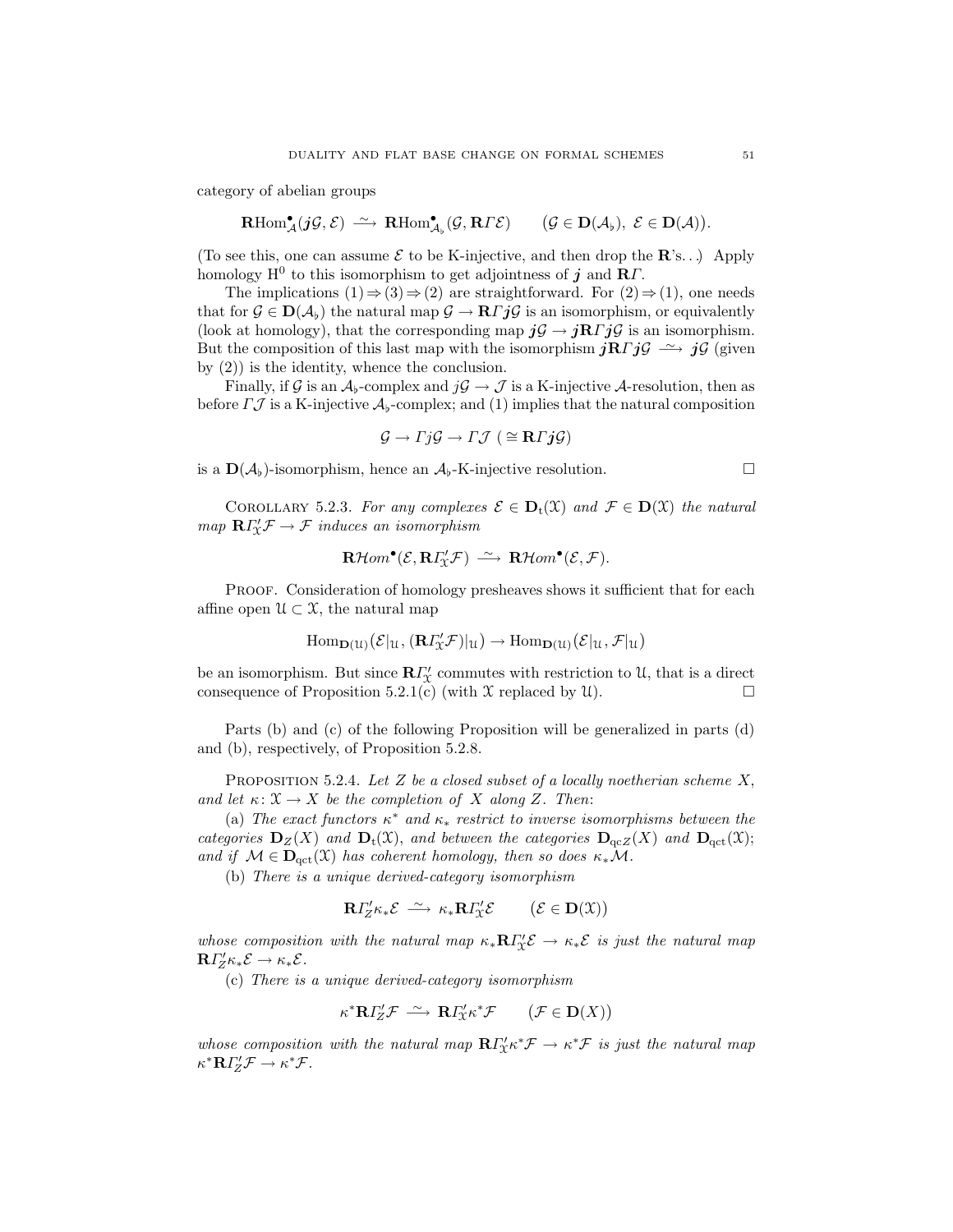category of abelian groups

$$
\mathrm{\mathbf{R}Hom}^\bullet_{\mathcal{A}}(j{\mathcal G},{\mathcal E}) \ \stackrel{\sim}{\longrightarrow} \ \mathrm{\mathbf{R}Hom}^\bullet_{\mathcal{A}_\flat}({\mathcal G},\mathbf{R}\varGamma {\mathcal E}) \qquad ({\mathcal G}\in {\mathbf D}({\mathcal A}_\flat), \ {\mathcal E}\in {\mathbf D}({\mathcal A})).
$$

(To see this, one can assume  $\mathcal E$  to be K-injective, and then drop the  $\mathbb R$ 's...) Apply homology H<sup>0</sup> to this isomorphism to get adjointness of  $j$  and RT.

The implications  $(1) \Rightarrow (3) \Rightarrow (2)$  are straightforward. For  $(2) \Rightarrow (1)$ , one needs that for  $\mathcal{G} \in \mathbf{D}(\mathcal{A}_b)$  the natural map  $\mathcal{G} \to \mathbf{R} \Gamma j \mathcal{G}$  is an isomorphism, or equivalently (look at homology), that the corresponding map  $j\mathcal{G} \rightarrow j\mathbf{R} \Gamma j\mathcal{G}$  is an isomorphism. But the composition of this last map with the isomorphism  $j\mathbf{R}\Gamma j\mathcal{G} \longrightarrow j\mathcal{G}$  (given by (2)) is the identity, whence the conclusion.

Finally, if G is an  $A_b$ -complex and  $j\mathcal{G} \to \mathcal{J}$  is a K-injective A-resolution, then as before  $\Gamma \mathcal{J}$  is a K-injective  $\mathcal{A}_{\flat}$ -complex; and (1) implies that the natural composition

$$
\mathcal{G} \to \Gamma j \mathcal{G} \to \Gamma \mathcal{J} \ (\cong \mathbf{R} \Gamma j \mathcal{G})
$$

is a  $\mathbf{D}(\mathcal{A}_{\flat})$ -isomorphism, hence an  $\mathcal{A}_{\flat}$ -K-injective resolution.

COROLLARY 5.2.3. For any complexes  $\mathcal{E} \in \mathbf{D}_t(\mathcal{X})$  and  $\mathcal{F} \in \mathbf{D}(\mathcal{X})$  the natural  $map \ \mathbf{R} \Gamma'_{\mathcal{X}} \mathcal{F} \to \mathcal{F}$  induces an isomorphism

$$
\mathbf{R}\mathcal{H}om^{\bullet}(\mathcal{E},\mathbf{R}\Gamma'_{\mathcal{X}}\mathcal{F})\ \stackrel{\sim}{\longrightarrow}\ \mathbf{R}\mathcal{H}om^{\bullet}(\mathcal{E},\mathcal{F}).
$$

PROOF. Consideration of homology presheaves shows it sufficient that for each affine open  $\mathcal{U} \subset \mathcal{X}$ , the natural map

$$
\mathrm{Hom}_{\mathbf{D}(\mathcal{U})}(\mathcal{E}|_{\mathcal{U}}, (\mathbf{R} \Gamma_{\!\mathcal{X}}^{\prime} \mathcal{F})|_{\mathcal{U}}) \to \mathrm{Hom}_{\mathbf{D}(\mathcal{U})}(\mathcal{E}|_{\mathcal{U}}, \mathcal{F}|_{\mathcal{U}})
$$

be an isomorphism. But since  $\mathbb{R}\Gamma_{\mathcal{X}}'$  commutes with restriction to U, that is a direct consequence of Proposition 5.2.1(c) (with  $\mathfrak X$  replaced by  $\mathfrak U$ ).

Parts (b) and (c) of the following Proposition will be generalized in parts (d) and (b), respectively, of Proposition 5.2.8.

PROPOSITION 5.2.4. Let Z be a closed subset of a locally noetherian scheme  $X$ , and let  $\kappa: \mathfrak{X} \to X$  be the completion of X along Z. Then:

(a) The exact functors  $\kappa^*$  and  $\kappa_*$  restrict to inverse isomorphisms between the categories  $\mathbf{D}_Z(X)$  and  $\mathbf{D}_t(X)$ , and between the categories  $\mathbf{D}_{qcZ}(X)$  and  $\mathbf{D}_{qct}(X)$ ; and if  $\mathcal{M} \in \mathbf{D}_{\mathrm{act}}(\mathfrak{X})$  has coherent homology, then so does  $\kappa_* \mathcal{M}$ .

(b) There is a unique derived-category isomorphism

$$
\mathbf{R}\Gamma'_{Z}\kappa_*\mathcal{E}\ \stackrel{\sim}{\longrightarrow}\ \kappa_*\mathbf{R}\Gamma'_{\mathcal{X}}\mathcal{E}\qquad \ \ (\mathcal{E}\in\mathbf{D}(\mathcal{X}))
$$

whose composition with the natural map  $\kappa_* \mathbf{R} \Gamma_{\mathcal{X}}^{\prime} \mathcal{E} \to \kappa_* \mathcal{E}$  is just the natural map  $\mathbf{R} \Gamma Z^{\prime} \kappa_* \mathcal{E} \to \kappa_* \mathcal{E}.$ 

(c) There is a unique derived-category isomorphism

$$
\kappa^* \mathbf{R} \Gamma_Z' \mathcal{F} \stackrel{\sim}{\longrightarrow} \mathbf{R} \Gamma_X' \kappa^* \mathcal{F} \qquad \big( \mathcal{F} \in \mathbf{D}(X) \big)
$$

whose composition with the natural map  $\mathbb{R} \Gamma'_X \kappa^* \mathcal{F} \to \kappa^* \mathcal{F}$  is just the natural map  $\kappa^* \mathbf{R} \Gamma Z' \mathcal{F} \to \kappa^* \mathcal{F}.$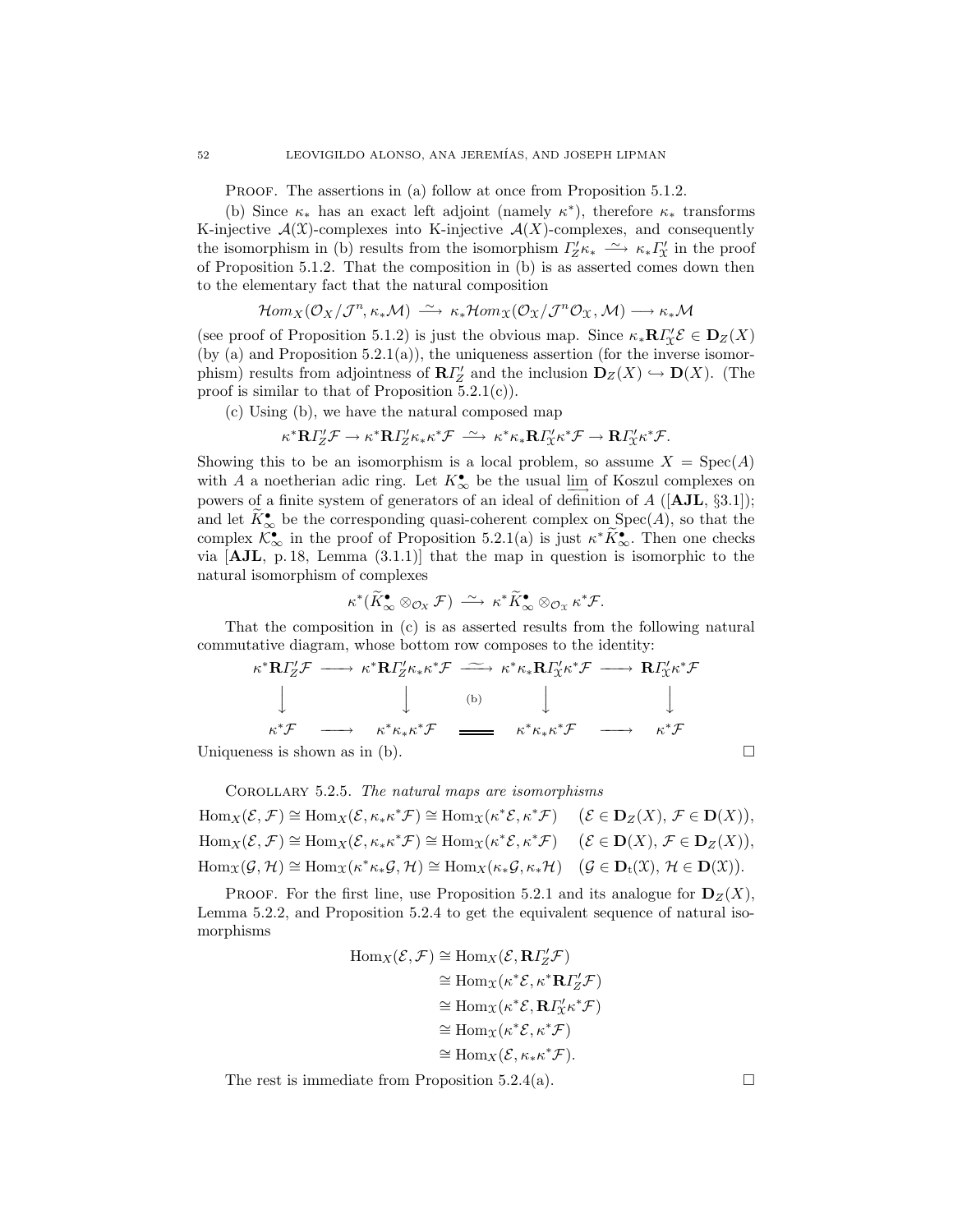PROOF. The assertions in (a) follow at once from Proposition 5.1.2.

(b) Since  $\kappa_*$  has an exact left adjoint (namely  $\kappa^*$ ), therefore  $\kappa_*$  transforms K-injective  $\mathcal{A}(\mathcal{X})$ -complexes into K-injective  $\mathcal{A}(X)$ -complexes, and consequently the isomorphism in (b) results from the isomorphism  $\Gamma'_{Z}\kappa_{*} \longrightarrow \kappa_{*}\Gamma'_{X}$  in the proof of Proposition 5.1.2. That the composition in (b) is as asserted comes down then to the elementary fact that the natural composition

$$
\mathcal{H}om_{X}(\mathcal{O}_{X}/\mathcal{J}^{n},\kappa_{*}\mathcal{M})\;\stackrel{\sim}{\longrightarrow}\;\kappa_{*}\mathcal{H}om_{X}(\mathcal{O}_{X}/\mathcal{J}^{n}\mathcal{O}_{X},\mathcal{M})\longrightarrow\kappa_{*}\mathcal{M}
$$

(see proof of Proposition 5.1.2) is just the obvious map. Since  $\kappa_* \mathbf{R} \Gamma_{\mathcal{X}}^{\prime} \mathcal{E} \in \mathbf{D}_{Z}(X)$ (by (a) and Proposition  $5.2.1(a)$ ), the uniqueness assertion (for the inverse isomorphism) results from adjointness of  $\mathbb{R}I''_Z$  and the inclusion  $\mathbb{D}_Z(X) \hookrightarrow \mathbb{D}(X)$ . (The proof is similar to that of Proposition  $5.2.1(c)$ .

(c) Using (b), we have the natural composed map

$$
\kappa^* {\mathbf R} \Gamma_Z' {\mathcal F} \to \kappa^* {\mathbf R} \Gamma_Z' \kappa_* \kappa^* {\mathcal F} \ \stackrel{\sim}{\longrightarrow} \ \kappa^* \kappa_* {\mathbf R} \Gamma_X' \kappa^* {\mathcal F} \to {\mathbf R} \Gamma_X' \kappa^* {\mathcal F}.
$$

Showing this to be an isomorphism is a local problem, so assume  $X = \text{Spec}(A)$ with A a noetherian adic ring. Let  $K^{\bullet}_{\infty}$  be the usual lim of Koszul complexes on powers of a finite system of generators of an ideal of definition of  $A$  ([AJL, §3.1]); and let  $K_{\infty}^{\bullet}$  be the corresponding quasi-coherent complex on  $Spec(A)$ , so that the complex  $\mathcal{K}_{\infty}^{\bullet}$  in the proof of Proposition 5.2.1(a) is just  $\kappa^* \tilde{K}_{\infty}^{\bullet}$ . Then one checks via [AJL, p. 18, Lemma (3.1.1)] that the map in question is isomorphic to the natural isomorphism of complexes

$$
\kappa^*(\widetilde{K}^{\bullet}_{\infty} \otimes_{\mathcal{O}_X} \mathcal{F}) \stackrel{\sim}{\longrightarrow} \kappa^* \widetilde{K}^{\bullet}_{\infty} \otimes_{\mathcal{O}_X} \kappa^* \mathcal{F}.
$$

That the composition in (c) is as asserted results from the following natural commutative diagram, whose bottom row composes to the identity:

$$
\kappa^* \mathbf{R} \Gamma_Z^{\prime} \mathcal{F} \longrightarrow \kappa^* \mathbf{R} \Gamma_Z^{\prime} \kappa_* \kappa^* \mathcal{F} \longrightarrow \kappa^* \kappa_* \mathbf{R} \Gamma_X^{\prime} \kappa^* \mathcal{F} \longrightarrow \mathbf{R} \Gamma_X^{\prime} \kappa^* \mathcal{F}
$$
\n
$$
\downarrow \qquad \qquad \downarrow \qquad \qquad \downarrow \qquad \qquad \downarrow
$$
\n
$$
\kappa^* \mathcal{F} \longrightarrow \kappa^* \kappa_* \kappa^* \mathcal{F} \longrightarrow \kappa^* \mathcal{F} \longrightarrow \kappa^* \mathcal{F}
$$
\nUniqueness is shown as in (b).

\n
$$
\Box
$$

COROLLARY  $5.2.5$ . The natural maps are isomorphisms

 $\text{Hom}_X(\mathcal{E}, \mathcal{F}) \cong \text{Hom}_X(\mathcal{E}, \kappa_* \kappa^* \mathcal{F}) \cong \text{Hom}_X(\kappa^* \mathcal{E}, \kappa^* \mathcal{F}) \quad (\mathcal{E} \in \mathbf{D}_Z(X), \, \mathcal{F} \in \mathbf{D}(X)),$  $\text{Hom}_X(\mathcal{E}, \mathcal{F}) \cong \text{Hom}_X(\mathcal{E}, \kappa_* \kappa^* \mathcal{F}) \cong \text{Hom}_X(\kappa^* \mathcal{E}, \kappa^* \mathcal{F}) \quad (\mathcal{E} \in \mathbf{D}(X), \, \mathcal{F} \in \mathbf{D}_Z(X)),$  $\text{Hom}_{\mathfrak{X}}(\mathcal{G}, \mathcal{H}) \cong \text{Hom}_{\mathfrak{X}}(\kappa^*\kappa_*\mathcal{G}, \mathcal{H}) \cong \text{Hom}_X(\kappa_*\mathcal{G}, \kappa_*\mathcal{H}) \quad (\mathcal{G} \in \mathbf{D}_t(\mathfrak{X}), \mathcal{H} \in \mathbf{D}(\mathfrak{X})).$ 

**PROOF.** For the first line, use Proposition 5.2.1 and its analogue for  $D_Z(X)$ , Lemma 5.2.2, and Proposition 5.2.4 to get the equivalent sequence of natural isomorphisms

$$
\text{Hom}_X(\mathcal{E}, \mathcal{F}) \cong \text{Hom}_X(\mathcal{E}, \mathbf{R}I'_Z \mathcal{F})
$$
\n
$$
\cong \text{Hom}_X(\kappa^* \mathcal{E}, \kappa^* \mathbf{R}I'_Z \mathcal{F})
$$
\n
$$
\cong \text{Hom}_X(\kappa^* \mathcal{E}, \mathbf{R}I'_X \kappa^* \mathcal{F})
$$
\n
$$
\cong \text{Hom}_X(\kappa^* \mathcal{E}, \kappa^* \mathcal{F})
$$
\n
$$
\cong \text{Hom}_X(\mathcal{E}, \kappa_* \kappa^* \mathcal{F}).
$$

The rest is immediate from Proposition 5.2.4(a).  $\Box$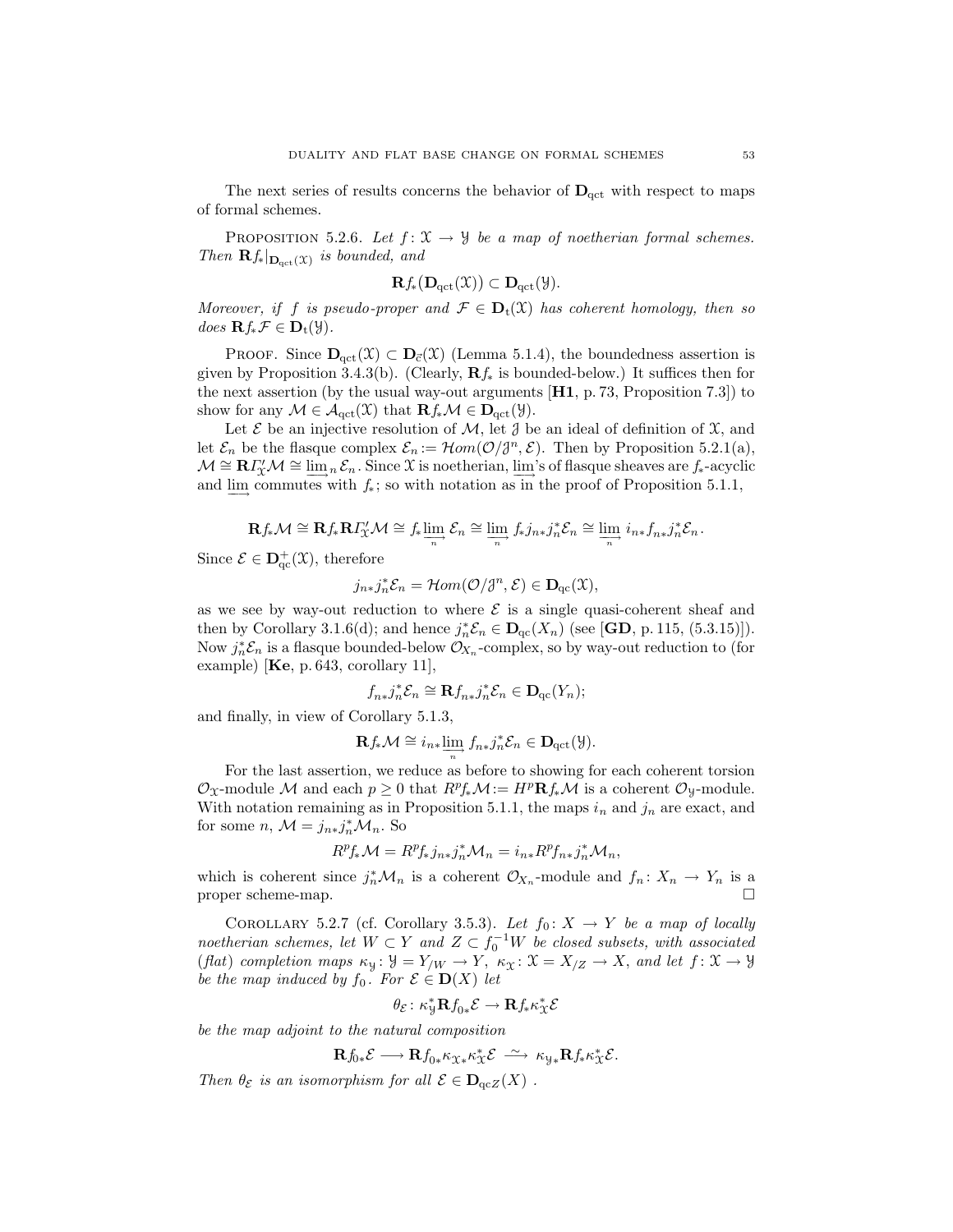The next series of results concerns the behavior of  $D_{\text{act}}$  with respect to maps of formal schemes.

PROPOSITION 5.2.6. Let  $f: \mathfrak{X} \to \mathfrak{Y}$  be a map of noetherian formal schemes. Then  $\mathbf{R} f_*|_{\mathbf{D}_{\text{qct}}(\mathfrak{X})}$  is bounded, and

$$
\mathbf{R}f_{*}(\mathbf{D}_{\mathrm{qct}}(\mathfrak{X})) \subset \mathbf{D}_{\mathrm{qct}}(\mathfrak{Y}).
$$

Moreover, if f is pseudo-proper and  $\mathcal{F} \in \mathbf{D}_t(\mathfrak{X})$  has coherent homology, then so does  $\mathbf{R} f_* \mathcal{F} \in \mathbf{D}_t(\mathcal{Y}).$ 

PROOF. Since  $D_{\text{qct}}(\mathfrak{X}) \subset D_{\vec{c}}(\mathfrak{X})$  (Lemma 5.1.4), the boundedness assertion is given by Proposition 3.4.3(b). (Clearly,  $\mathbf{R}f_*$  is bounded-below.) It suffices then for the next assertion (by the usual way-out arguments [H1, p. 73, Proposition 7.3]) to show for any  $\mathcal{M} \in \mathcal{A}_{\text{qct}}(\mathfrak{X})$  that  $\mathbf{R} f_* \mathcal{M} \in \mathbf{D}_{\text{qct}}(\mathfrak{Y})$ .

Let  $\mathcal E$  be an injective resolution of  $\mathcal M$ , let  $\mathcal J$  be an ideal of definition of  $\mathfrak X$ , and let  $\mathcal{E}_n$  be the flasque complex  $\mathcal{E}_n := \mathcal{H}om(\mathcal{O}/\mathcal{J}^n, \mathcal{E})$ . Then by Proposition 5.2.1(a),  $\mathcal{M} \cong \mathbf{R} \Gamma_{\mathcal{X}}' \mathcal{M} \cong \underline{\lim}_{n} \mathcal{E}_{n}$ . Since X is noetherian,  $\underline{\lim}_{n}$ 's of flasque sheaves are  $f_{*}$ -acyclic and  $\varinjlim$  commutes with  $f_*$ ; so with notation as in the proof of Proposition 5.1.1,

$$
\mathbf{R} f_*\mathcal{M} \cong \mathbf{R} f_*\mathbf{R} I_{\mathbb{X}}'\mathcal{M} \cong f_*\varinjlim_n \mathcal{E}_n \cong \varinjlim_n f_*j_{n*}j_n^*\mathcal{E}_n \cong \varinjlim_n i_{n*}f_{n*}j_n^*\mathcal{E}_n.
$$

Since  $\mathcal{E} \in \mathbf{D}^+_{\mathrm{qc}}(\mathfrak{X})$ , therefore

$$
j_{n*}j_n^*\mathcal{E}_n = \mathcal{H}om(\mathcal{O}/\mathcal{J}^n, \mathcal{E}) \in \mathbf{D}_{\mathrm{qc}}(\mathfrak{X}),
$$

as we see by way-out reduction to where  $\mathcal E$  is a single quasi-coherent sheaf and then by Corollary 3.1.6(d); and hence  $j_n^* \mathcal{E}_n \in \mathbf{D}_{\mathrm{qc}}(X_n)$  (see [**GD**, p. 115, (5.3.15)]). Now  $j_n^* \mathcal{E}_n$  is a flasque bounded-below  $\mathcal{O}_{X_n}$ -complex, so by way-out reduction to (for example)  $[\text{Ke}, p. 643, corollary 11],$ 

$$
f_{n*}j_n^*\mathcal{E}_n \cong \mathbf{R} f_{n*}j_n^*\mathcal{E}_n \in \mathbf{D}_\mathrm{qc}(Y_n);
$$

and finally, in view of Corollary 5.1.3,

$$
\mathbf{R} f_* \mathcal{M} \cong i_{n*} \lim_{n \to \infty} f_{n*} j_n^* \mathcal{E}_n \in \mathbf{D}_{\text{qct}}(\mathcal{Y}).
$$

For the last assertion, we reduce as before to showing for each coherent torsion  $\mathcal{O}_{\mathfrak{X}}$ -module M and each  $p \geq 0$  that  $R^p f_* \mathcal{M} := H^p \mathbf{R} f_* \mathcal{M}$  is a coherent  $\mathcal{O}_{\mathfrak{Y}}$ -module. With notation remaining as in Proposition 5.1.1, the maps  $i_n$  and  $j_n$  are exact, and for some  $n, \mathcal{M} = j_{n*}j_n^* \mathcal{M}_n$ . So

$$
R^p f_* \mathcal{M} = R^p f_* j_{n*} j_n^* \mathcal{M}_n = i_{n*} R^p f_{n*} j_n^* \mathcal{M}_n,
$$

which is coherent since  $j_n^* \mathcal{M}_n$  is a coherent  $\mathcal{O}_{X_n}$ -module and  $f_n: X_n \to Y_n$  is a proper scheme-map.

COROLLARY 5.2.7 (cf. Corollary 3.5.3). Let  $f_0: X \to Y$  be a map of locally noetherian schemes, let  $W \subset Y$  and  $Z \subset f_0^{-1}W$  be closed subsets, with associated (flat) completion maps  $\kappa_y: \mathcal{Y} = Y_{/W} \to Y$ ,  $\kappa_x: \mathcal{X} = X_{/Z} \to X$ , and let  $f: \mathcal{X} \to \mathcal{Y}$ be the map induced by  $f_0$ . For  $\mathcal{E} \in \mathbf{D}(X)$  let

$$
\theta_{\mathcal{E}}\colon \kappa_{\mathcal{Y}}^*{\mathbf{R}} f_{0*}\mathcal{E} \to {\mathbf{R}} f_* \kappa_{\mathcal{X}}^* \mathcal{E}
$$

be the map adjoint to the natural composition

$$
\mathbf{R} f_{0*} \mathcal{E} \longrightarrow \mathbf{R} f_{0*} \kappa_{\mathfrak{X}*} \kappa_{\mathfrak{X}}^{*} \mathcal{E} \stackrel{\sim}{\longrightarrow} \kappa_{\mathcal{Y}*} \mathbf{R} f_{*} \kappa_{\mathfrak{X}}^{*} \mathcal{E}.
$$

Then  $\theta_{\mathcal{E}}$  is an isomorphism for all  $\mathcal{E} \in \mathbf{D}_{\mathrm{qc}Z}(X)$ .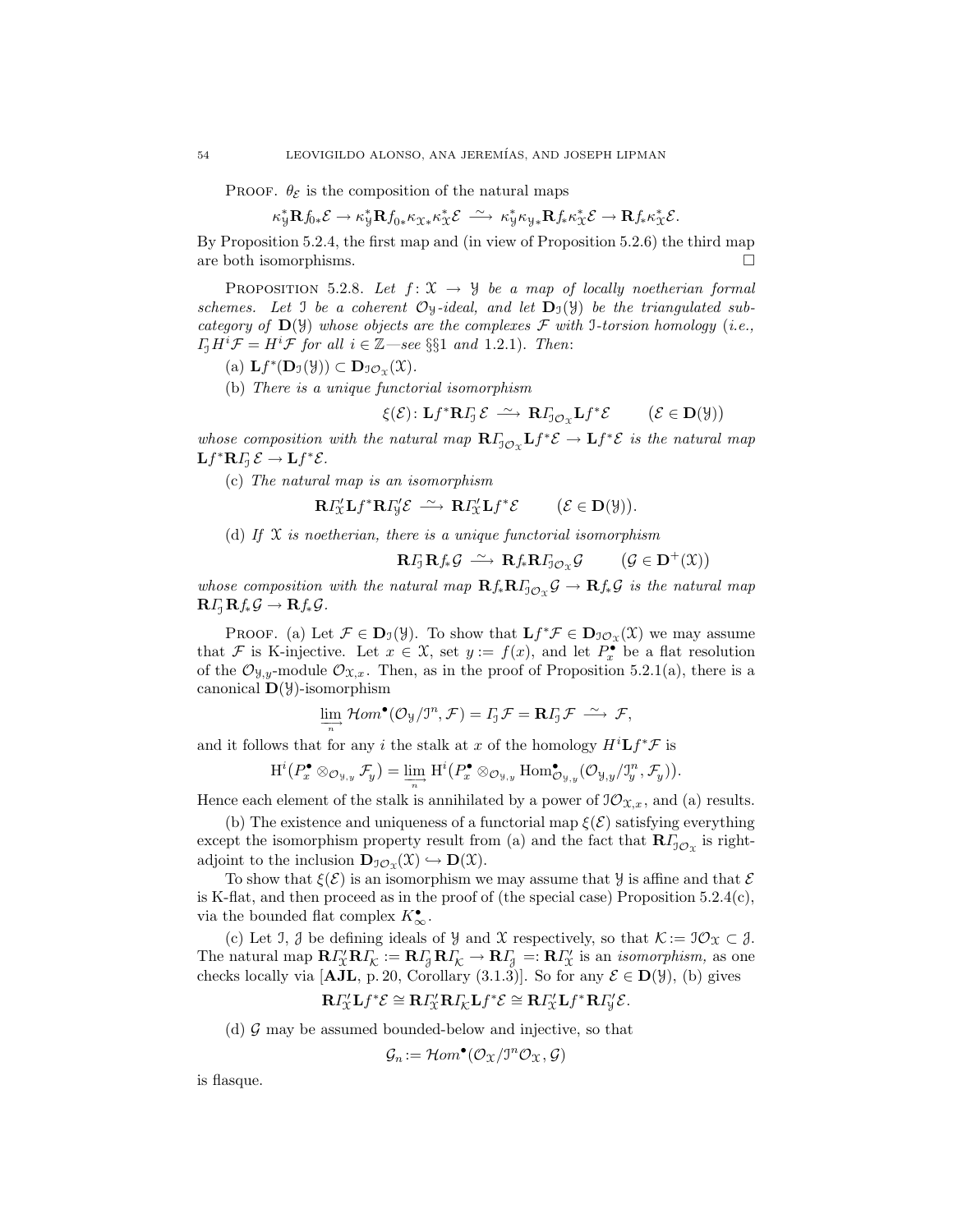PROOF.  $\theta_{\mathcal{E}}$  is the composition of the natural maps

$$
\kappa_{\mathcal{Y}}^* \mathbf{R} f_{0*} \mathcal{E} \rightarrow \kappa_{\mathcal{Y}}^* \mathbf{R} f_{0*} \kappa_{\mathcal{X}*}\kappa_{\mathcal{X}}^* \mathcal{E} \; \xrightarrow{\sim} \; \kappa_{\mathcal{Y}}^* \kappa_{\mathcal{Y}*}\mathbf{R} f_* \kappa_{\mathcal{X}}^* \mathcal{E} \rightarrow \mathbf{R} f_* \kappa_{\mathcal{X}}^* \mathcal{E}.
$$

By Proposition 5.2.4, the first map and (in view of Proposition 5.2.6) the third map are both isomorphisms.  $\Box$ 

PROPOSITION 5.2.8. Let  $f: \mathfrak{X} \to \mathcal{Y}$  be a map of locally noetherian formal schemes. Let I be a coherent  $\mathcal{O}_y$ -ideal, and let  $\mathbf{D}_y(\mathcal{Y})$  be the triangulated subcategory of  $\mathbf{D}(\mathcal{Y})$  whose objects are the complexes  $\mathcal F$  with I-torsion homology (i.e.,  $\Gamma_1 H^i \mathcal{F} = H^i \mathcal{F}$  for all  $i \in \mathbb{Z}$ —see §§1 and 1.2.1). Then:

- (a)  $\mathbf{L}f^*(\mathbf{D}_{\mathfrak{I}}(\mathcal{Y})) \subset \mathbf{D}_{\mathfrak{I}\mathcal{O}_{\mathfrak{X}}}(\mathfrak{X}).$
- (b) There is a unique functorial isomorphism

$$
\xi(\mathcal{E})\colon\mathbf{L}f^*\mathbf{R}\varGamma_{\!\!\jmath}\,\mathcal{E}\;\stackrel{\sim}{\longrightarrow}\;\mathbf{R}\varGamma_{\!\!\jmath\,\mathcal{O}_{\mathfrak{X}}}\mathbf{L}f^*\mathcal{E}\qquad\; \big(\mathcal{E}\in\mathbf{D}(\mathfrak{Y})\big)
$$

whose composition with the natural map  $R_{J_{{\mathcal{O}}X}}Lf^*{\mathcal{E}} \to Lf^*{\mathcal{E}}$  is the natural map  $\mathbf{L} f^* \mathbf{R} \Gamma_{\!\! \rm J} \, {\mathcal E} \to \mathbf{L} f^* {\mathcal E}.$ 

(c) The natural map is an isomorphism

$$
\mathbf{R} \varGamma_{\mathcal{X}}' \mathbf{L} f^* \mathbf{R} \varGamma_{\mathcal{Y}}' \mathcal{E} \stackrel{\sim}{\longrightarrow} \mathbf{R} \varGamma_{\mathcal{X}}' \mathbf{L} f^* \mathcal{E} \qquad (\mathcal{E} \in \mathbf{D}(\mathcal{Y})).
$$

(d) If  $\mathfrak X$  is noetherian, there is a unique functorial isomorphism

$$
\mathbf{R} \cdot \mathbf{I}_{\mathcal{J}} \mathbf{R} \cdot \mathbf{I}_{\ast} \mathcal{G} \xrightarrow{\sim} \mathbf{R} \cdot \mathbf{I}_{\ast} \mathbf{R} \cdot \mathbf{I}_{\mathcal{J} \mathcal{O}_{\mathcal{X}}} \mathcal{G} \qquad (\mathcal{G} \in \mathbf{D}^{+}(\mathcal{X}))
$$

whose composition with the natural map  $\mathbf{R} f_* \mathbf{R} I_{\mathcal{I}\mathcal{O}_X} \mathcal{G} \to \mathbf{R} f_* \mathcal{G}$  is the natural map  $\mathbf{R}\Gamma_1\mathbf{R}f_*\mathcal{G}\to\mathbf{R}f_*\mathcal{G}.$ 

PROOF. (a) Let  $\mathcal{F} \in \mathbf{D}_{\mathcal{I}}(\mathcal{Y})$ . To show that  $\mathbf{L} f^* \mathcal{F} \in \mathbf{D}_{\mathcal{I}\mathcal{O}_{\mathcal{X}}}(\mathcal{X})$  we may assume that F is K-injective. Let  $x \in \mathcal{X}$ , set  $y := f(x)$ , and let  $P_x^{\bullet}$  be a flat resolution of the  $\mathcal{O}_{\mathfrak{Y},y}$ -module  $\mathcal{O}_{\mathfrak{X},x}$ . Then, as in the proof of Proposition 5.2.1(a), there is a canonical  $\mathbf{D}(\mathcal{Y})$ -isomorphism

$$
\lim_{\longrightarrow} \mathcal{H}om^{\bullet}(\mathcal{O}_{\mathcal{Y}}/J^{n}, \mathcal{F}) = I_{\mathcal{I}}\mathcal{F} = \mathbf{R}I_{\mathcal{I}}\mathcal{F} \stackrel{\sim}{\longrightarrow} \mathcal{F},
$$

and it follows that for any i the stalk at x of the homology  $H^{i}Lf^{\ast}\mathcal{F}$  is

$$
\mathrm{H}^i(P_x^{\bullet} \otimes_{\mathcal{O}_{\mathfrak{Y},y}} \mathcal{F}_y) = \lim_{\substack{\longrightarrow \\ n}} \mathrm{H}^i(P_x^{\bullet} \otimes_{\mathcal{O}_{\mathfrak{Y},y}} \mathrm{Hom}^{\bullet}_{\mathcal{O}_{\mathfrak{Y},y}}(\mathcal{O}_{\mathfrak{Y},y}/\mathfrak{I}_y^n, \mathcal{F}_y)).
$$

Hence each element of the stalk is annihilated by a power of  $\mathcal{O}_{\mathfrak{X},x}$ , and (a) results.

(b) The existence and uniqueness of a functorial map  $\xi(\mathcal{E})$  satisfying everything except the isomorphism property result from (a) and the fact that  $\mathbf{R} \Gamma_{\mathcal{I} \mathcal{O}_{\mathfrak{X}}}$  is rightadjoint to the inclusion  $\mathbf{D}_{\mathcal{I}\mathcal{O}_{\Upsilon}}(\mathfrak{X}) \hookrightarrow \mathbf{D}(\mathfrak{X}).$ 

To show that  $\xi(\mathcal{E})$  is an isomorphism we may assume that  $\mathcal Y$  is affine and that  $\mathcal E$ is K-flat, and then proceed as in the proof of (the special case) Proposition  $5.2.4(c)$ , via the bounded flat complex  $K^{\bullet}_{\infty}$ .

(c) Let J,  $\mathcal{J}$  be defining ideals of  $\mathcal{Y}$  and X respectively, so that  $\mathcal{K} := \mathcal{I}\mathcal{O}\mathcal{X} \subset \mathcal{J}$ . The natural map  $\mathbf{R} \Gamma'_X \mathbf{R} \Gamma'_\mathcal{K} := \mathbf{R} \Gamma_{\!\!\beta} \, \mathbf{R} \Gamma'_\mathcal{K} \to \mathbf{R} \Gamma'_{\!\!\beta} =: \mathbf{R} \Gamma'_X$  is an *isomorphism*, as one checks locally via [AJL, p. 20, Corollary (3.1.3)]. So for any  $\mathcal{E} \in D(\mathcal{Y})$ , (b) gives

$$
\mathbf{R}\Gamma''_{\mathcal{X}}\mathbf{L}f^*\mathcal{E}\cong \mathbf{R}\Gamma''_{\mathcal{X}}\mathbf{R}\Gamma_{\mathcal{K}}\mathbf{L}f^*\mathcal{E}\cong \mathbf{R}\Gamma''_{\mathcal{X}}\mathbf{L}f^*\mathbf{R}\Gamma''_{\mathcal{Y}}\mathcal{E}.
$$

(d)  $\mathcal G$  may be assumed bounded-below and injective, so that

$$
\mathcal{G}_n := \mathcal{H}om^{\bullet}(\mathcal{O}_{\mathfrak{X}}/\mathfrak{I}^n\mathcal{O}_{\mathfrak{X}}, \mathcal{G})
$$

is flasque.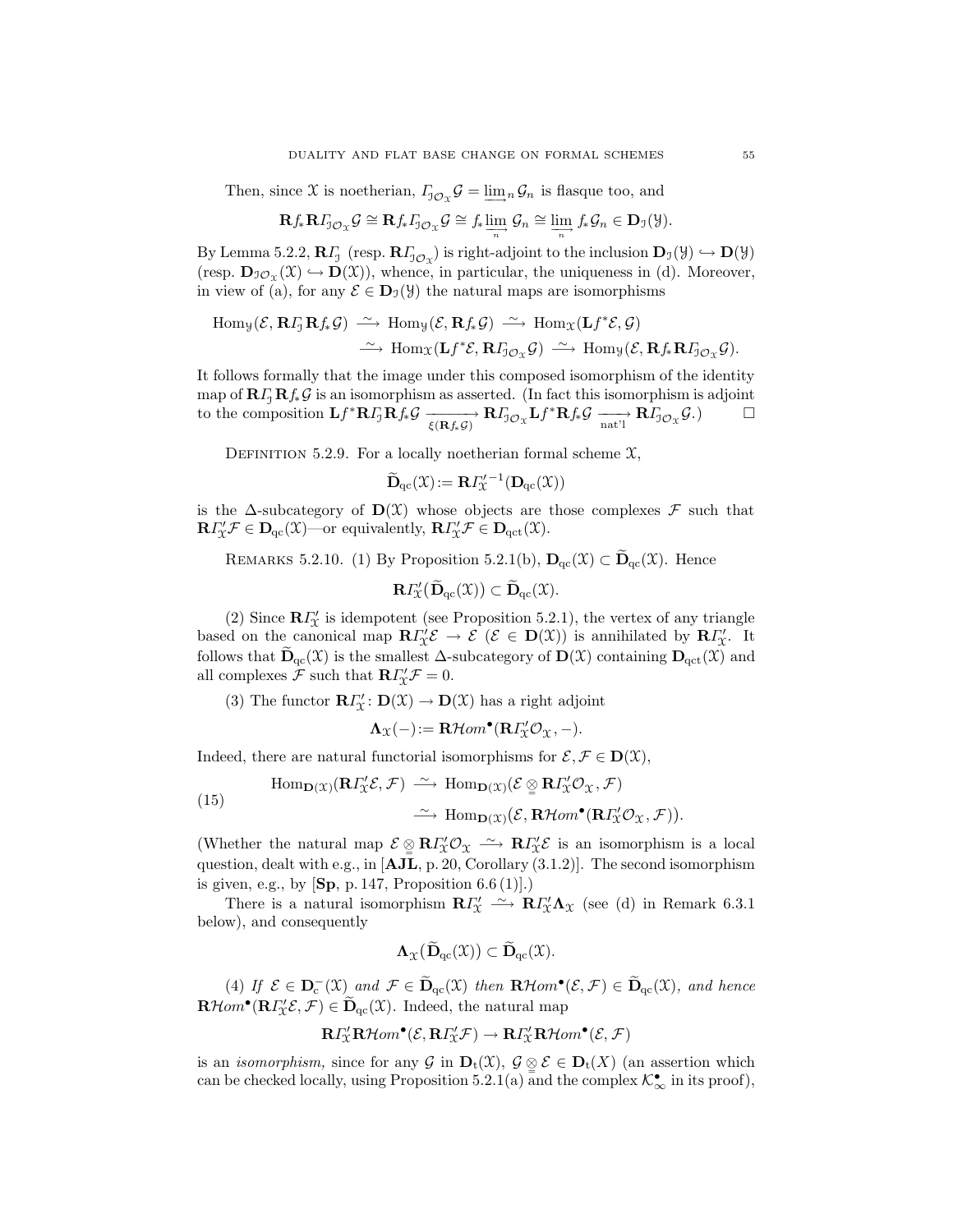Then, since X is noetherian,  $\Gamma_{\!\!1\mathcal{O}_X}\mathcal{G} = \underline{\lim}_n \mathcal{G}_n$  is flasque too, and

$$
\mathbf{R} f_* \mathbf{R} I_{\mathcal{J}\mathcal{O}_X} \mathcal{G} \cong \mathbf{R} f_* I_{\mathcal{J}\mathcal{O}_X} \mathcal{G} \cong f_* \varinjlim_n \mathcal{G}_n \cong \varinjlim_n f_* \mathcal{G}_n \in \mathbf{D}_{\mathcal{I}}(\mathcal{Y}).
$$

By Lemma 5.2.2,  $\mathbf{R}\Gamma_1$  (resp.  $\mathbf{R}\Gamma_{J\mathcal{O}_X}$ ) is right-adjoint to the inclusion  $\mathbf{D}_\mathfrak{I}(\mathcal{Y}) \hookrightarrow \mathbf{D}(\mathcal{Y})$ (resp.  $\mathbf{D}_{\mathcal{IO}_{\Upsilon}}(\mathfrak{X}) \hookrightarrow \mathbf{D}(\mathfrak{X})$ ), whence, in particular, the uniqueness in (d). Moreover, in view of (a), for any  $\mathcal{E} \in D_{\mathcal{I}}(\mathcal{Y})$  the natural maps are isomorphisms

$$
\text{Hom}_{\mathcal{Y}}(\mathcal{E}, \mathbf{R} \Gamma_{\!\!J} \mathbf{R} f_* \mathcal{G}) \xrightarrow{\sim} \text{Hom}_{\mathcal{Y}}(\mathcal{E}, \mathbf{R} f_* \mathcal{G}) \xrightarrow{\sim} \text{Hom}_{\mathcal{X}}(\mathbf{L} f^* \mathcal{E}, \mathcal{G})
$$

$$
\xrightarrow{\sim} \text{Hom}_{\mathcal{X}}(\mathbf{L} f^* \mathcal{E}, \mathbf{R} \Gamma_{\!\!J \mathcal{O}_{\mathcal{X}}} \mathcal{G}) \xrightarrow{\sim} \text{Hom}_{\mathcal{Y}}(\mathcal{E}, \mathbf{R} f_* \mathbf{R} \Gamma_{\!\!J \mathcal{O}_{\mathcal{X}}} \mathcal{G}).
$$

It follows formally that the image under this composed isomorphism of the identity map of  $\mathbf{R}\mathbf{I}_J^T\mathbf{R}\mathbf{f}_*^T\mathbf{G}$  is an isomorphism as asserted. (In fact this isomorphism is adjoint<br>to the composition  $\mathbf{L}f^* \mathbf{R} \mathbf{I}_I^T\mathbf{R} \mathbf{f}_*^T\mathbf{G} \longrightarrow \mathbf{R}\mathbf{I}_{I^c}^T\mathbf{G}$   $\mathbf{L}f^* \mathbf{R} \$ to the composition  $\mathbf{L} f^* \mathbf{R} I_J \mathbf{R} f_* \mathcal{G} \xrightarrow[\xi(\mathbf{R} f_* \mathcal{G})]{} \mathbf{R} I_{J\mathcal{O}_X} \mathbf{L} f^* \mathbf{R} f_* \mathcal{G} \xrightarrow[\text{nat}']]{} \mathbf{R} I_{J\mathcal{O}_X} \mathcal{G}.) \square$ 

DEFINITION 5.2.9. For a locally noetherian formal scheme  $\mathfrak{X}$ ,

$$
\widetilde{\mathbf{D}}_{\mathrm{qc}}(\mathfrak{X})\! := \mathbf{R} \Gamma_{\!\mathfrak{X}}^{\prime -1}(\mathbf{D}_{\mathrm{qc}}(\mathfrak{X}))
$$

is the  $\Delta$ -subcategory of  $\mathbf{D}(\mathcal{X})$  whose objects are those complexes  $\mathcal F$  such that  $\mathbf{R} \Gamma'_{\mathcal{X}} \mathcal{F} \in \mathbf{D}_{\mathrm{qc}}(\mathcal{X})$ —or equivalently,  $\mathbf{R} \Gamma'_{\mathcal{X}} \mathcal{F} \in \mathbf{D}_{\mathrm{qct}}(\mathcal{X})$ .

REMARKS 5.2.10. (1) By Proposition 5.2.1(b),  $D_{qc}(\mathfrak{X}) \subset \widetilde{D}_{qc}(\mathfrak{X})$ . Hence

$$
\mathbf{R}\varGamma_{\!\mathfrak{X}}'(\widetilde{\mathbf{D}}_{\mathrm{qc}}(\mathfrak{X}))\subset \widetilde{\mathbf{D}}_{\mathrm{qc}}(\mathfrak{X}).
$$

(2) Since  $\mathbb{R}I_{\mathcal{X}}^{\prime}$  is idempotent (see Proposition 5.2.1), the vertex of any triangle based on the canonical map  $\mathbb{R}I'_{\chi}\mathcal{E} \to \mathcal{E} \ (\mathcal{E} \in \mathbf{D}(\mathfrak{X}))$  is annihilated by  $\mathbb{R}I''_{\chi}$ . It follows that  $\widetilde{\mathbf{D}}_{qc}(\mathfrak{X})$  is the smallest  $\Delta$ -subcategory of  $\mathbf{D}(\mathfrak{X})$  containing  $\mathbf{D}_{qct}(\mathfrak{X})$  and all complexes  $\mathcal F$  such that  $\mathbf{R}\Gamma'_{\mathcal X}\mathcal F=0$ .

(3) The functor  $\mathbf{R}\Gamma'_{\mathcal{X}}\colon \mathbf{D}(\mathcal{X}) \to \mathbf{D}(\mathcal{X})$  has a right adjoint

$$
\Lambda_{\mathfrak{X}}(-) := \mathbf{R}\mathcal{H}om^{\bullet}(\mathbf{R}\varGamma_{\mathfrak{X}}^{\prime}\mathcal{O}_{\mathfrak{X}}, -).
$$

Indeed, there are natural functorial isomorphisms for  $\mathcal{E}, \mathcal{F} \in \mathbf{D}(\mathfrak{X}),$ 

(15) 
$$
\text{Hom}_{\mathbf{D}(\mathcal{X})}(\mathbf{R}I_{\mathcal{X}}^{\prime}\mathcal{E}, \mathcal{F}) \xrightarrow{\sim} \text{Hom}_{\mathbf{D}(\mathcal{X})}(\mathcal{E} \underset{\simeq}{\otimes} \mathbf{R}I_{\mathcal{X}}^{\prime}\mathcal{O}_{\mathcal{X}}, \mathcal{F})
$$

$$
\xrightarrow{\sim} \text{Hom}_{\mathbf{D}(\mathcal{X})}(\mathcal{E}, \mathbf{R}\mathcal{H}om^{\bullet}(\mathbf{R}I_{\mathcal{X}}^{\prime}\mathcal{O}_{\mathcal{X}}, \mathcal{F})).
$$

(Whether the natural map  $\mathcal{E} \subseteq \mathbb{R} \Gamma''_{\mathcal{X}} \mathcal{O}_{\mathcal{X}} \longrightarrow \mathbb{R} \Gamma''_{\mathcal{X}} \mathcal{E}$  is an isomorphism is a local question, dealt with e.g., in [AJL, p. 20, Corollary (3.1.2)]. The second isomorphism is given, e.g., by  $[\mathbf{Sp}, p. 147, \text{Proposition 6.6 (1)}]$ .

There is a natural isomorphism  $\mathbb{R}I''_{\mathfrak{X}} \longrightarrow \mathbb{R}I''_{\mathfrak{X}}\Lambda_{\mathfrak{X}}$  (see (d) in Remark 6.3.1 below), and consequently

$$
\mathbf{\Lambda}_{\mathfrak{X}}(\widetilde{\mathbf{D}}_{\mathrm{qc}}(\mathfrak{X})) \subset \widetilde{\mathbf{D}}_{\mathrm{qc}}(\mathfrak{X}).
$$

(4) If  $\mathcal{E} \in \mathbf{D}_{c}^{-}(\mathfrak{X})$  and  $\mathcal{F} \in \widetilde{\mathbf{D}}_{qc}(\mathfrak{X})$  then  $\mathbf{R}\mathcal{H}om^{\bullet}(\mathcal{E}, \mathcal{F}) \in \widetilde{\mathbf{D}}_{qc}(\mathfrak{X})$ , and hence  $\mathbf{R}\mathcal{H}om^{\bullet}(\mathbf{R}\Gamma'_{\mathcal{X}}\mathcal{E},\mathcal{F})\in\widetilde{\mathbf{D}}_{\mathrm{qc}}(\mathcal{X}).$  Indeed, the natural map

$$
\mathbf{R} \varGamma_{\mathbb{X}}' \mathbf{R}\mathcal{H}om^{\bullet}(\mathcal{E},\mathbf{R}\varGamma_{\mathbb{X}}'\mathcal{F}) \to \mathbf{R} \varGamma_{\mathbb{X}}' \mathbf{R}\mathcal{H}om^{\bullet}(\mathcal{E},\mathcal{F})
$$

is an *isomorphism*, since for any  $\mathcal{G}$  in  $\mathbf{D}_t(\mathcal{X}), \mathcal{G} \subseteq \mathcal{E} \in \mathbf{D}_t(X)$  (an assertion which can be checked locally, using Proposition 5.2.1(a) and the complex  $\mathcal{K}_{\infty}^{\bullet}$  in its proof),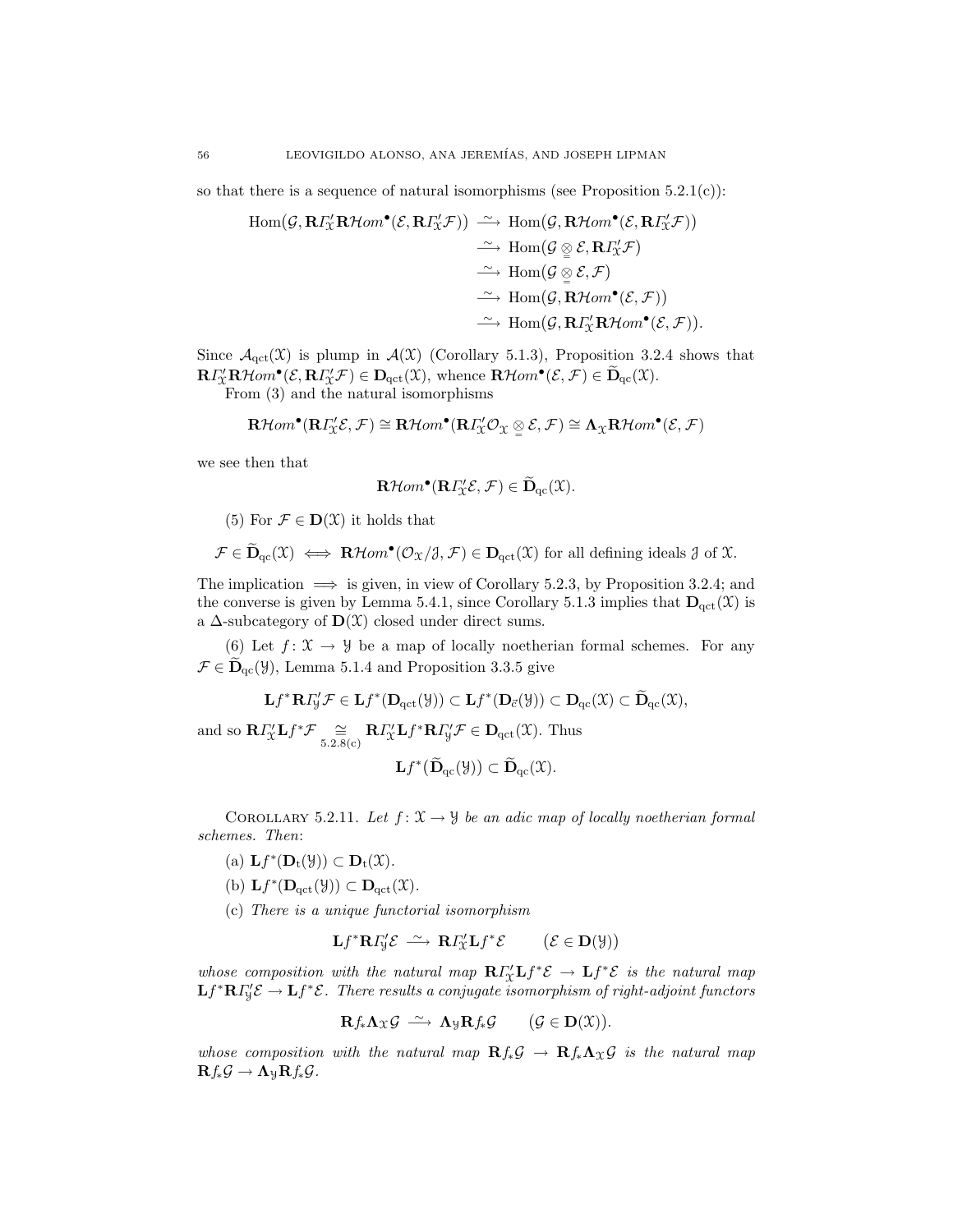so that there is a sequence of natural isomorphisms (see Proposition  $5.2.1(c)$ ):

$$
\begin{array}{rcl}\n\operatorname{Hom}(\mathcal{G}, \mathbf{R} \Gamma_{\mathcal{X}}' \mathbf{R} \mathcal{H}om^{\bullet}(\mathcal{E}, \mathbf{R} \Gamma_{\mathcal{X}}' \mathcal{F})) & \xrightarrow{\sim} \operatorname{Hom}(\mathcal{G}, \mathbf{R} \mathcal{H}om^{\bullet}(\mathcal{E}, \mathbf{R} \Gamma_{\mathcal{X}}' \mathcal{F})) \\
& \xrightarrow{\sim} \operatorname{Hom}(\mathcal{G} \underset{\cong}{\otimes} \mathcal{E}, \mathbf{R} \Gamma_{\mathcal{X}}' \mathcal{F}) \\
& \xrightarrow{\sim} \operatorname{Hom}(\mathcal{G} \underset{\cong}{\otimes} \mathcal{E}, \mathcal{F}) \\
& \xrightarrow{\sim} \operatorname{Hom}(\mathcal{G}, \mathbf{R} \mathcal{H}om^{\bullet}(\mathcal{E}, \mathcal{F})) \\
& \xrightarrow{\sim} \operatorname{Hom}(\mathcal{G}, \mathbf{R} \Gamma_{\mathcal{X}}' \mathbf{R} \mathcal{H}om^{\bullet}(\mathcal{E}, \mathcal{F})).\n\end{array}
$$

Since  $\mathcal{A}_{\text{act}}(\mathfrak{X})$  is plump in  $\mathcal{A}(\mathfrak{X})$  (Corollary 5.1.3), Proposition 3.2.4 shows that  $\mathbf{R}\Gamma'_{\mathcal{X}}\mathbf{R}\mathcal{H}om^{\bullet}(\mathcal{E},\mathbf{R}\Gamma'_{\mathcal{X}}\mathcal{F})\in \mathbf{D}_{\mathrm{qct}}(\mathcal{X}),$  whence  $\mathbf{R}\mathcal{H}om^{\bullet}(\mathcal{E},\mathcal{F})\in \widetilde{\mathbf{D}}_{\mathrm{qc}}(\mathcal{X}).$ 

From (3) and the natural isomorphisms

$$
\mathbf{R}\mathcal{H}om^{\bullet}(\mathbf{R}\varGamma_{\mathcal{X}}^{\prime}\mathcal{E},\mathcal{F})\cong\mathbf{R}\mathcal{H}om^{\bullet}(\mathbf{R}\varGamma_{\mathcal{X}}^{\prime}\mathcal{O}_{\mathcal{X}}\underset{\cong}{\otimes}\mathcal{E},\mathcal{F})\cong\Lambda_{\mathcal{X}}\mathbf{R}\mathcal{H}om^{\bullet}(\mathcal{E},\mathcal{F})
$$

we see then that

$$
\mathbf{R}\mathcal{H}om^{\bullet}(\mathbf{R}\Gamma'_{\mathfrak{X}}\mathcal{E},\mathcal{F})\in\widetilde{\mathbf{D}}_{\mathrm{qc}}(\mathfrak{X}).
$$

(5) For  $\mathcal{F} \in \mathbf{D}(\mathfrak{X})$  it holds that

$$
\mathcal{F} \in \widetilde{\mathbf{D}}_{\mathrm{qc}}(\mathfrak{X}) \iff \mathbf{R}\mathcal{H}om^{\bullet}(\mathcal{O}_{\mathfrak{X}}/\mathfrak{Z}, \mathcal{F}) \in \mathbf{D}_{\mathrm{qct}}(\mathfrak{X}) \text{ for all defining ideals } \mathfrak{Z} \text{ of } \mathfrak{X}.
$$

The implication  $\implies$  is given, in view of Corollary 5.2.3, by Proposition 3.2.4; and the converse is given by Lemma 5.4.1, since Corollary 5.1.3 implies that  $\mathbf{D}_{\text{qct}}(\mathcal{X})$  is a  $\Delta$ -subcategory of  $\mathbf{D}(\mathcal{X})$  closed under direct sums.

(6) Let  $f: \mathfrak{X} \to \mathfrak{Y}$  be a map of locally noetherian formal schemes. For any  $\mathcal{F} \in \widetilde{\mathbf{D}}_{\mathrm{qc}}(\mathcal{Y})$ , Lemma 5.1.4 and Proposition 3.3.5 give

$$
\mathbf{L} f^* \mathbf{R} \Gamma'_{\mathcal{Y}} \mathcal{F} \in \mathbf{L} f^*(\mathbf{D}_{\mathrm{qct}}(\mathcal{Y})) \subset \mathbf{L} f^*(\mathbf{D}_{\overline{c}}(\mathcal{Y})) \subset \mathbf{D}_{\mathrm{qc}}(\mathfrak{X}) \subset \widetilde{\mathbf{D}}_{\mathrm{qc}}(\mathfrak{X}),
$$

and so  $\mathbf{R} \Gamma_{\mathcal{X}}^{\prime} \mathbf{L} f^* \mathcal{F} \cong \underset{5.2.8(c)}{\simeq} \mathbf{R} \Gamma_{\mathcal{X}}^{\prime} \mathbf{L} f^* \mathbf{R} \Gamma_{\mathcal{Y}}^{\prime} \mathcal{F} \in \mathbf{D}_{\text{qct}}(\mathcal{X})$ . Thus

$$
\mathbf{L}f^*(\widetilde{\mathbf{D}}_{\mathrm{qc}}(\mathcal{Y})) \subset \widetilde{\mathbf{D}}_{\mathrm{qc}}(\mathcal{X}).
$$

COROLLARY 5.2.11. Let  $f: \mathfrak{X} \to \mathfrak{Y}$  be an adic map of locally noetherian formal schemes. Then:

(a)  $\mathbf{L}f^*(\mathbf{D}_t(\mathcal{Y})) \subset \mathbf{D}_t(\mathcal{X})$ .

(b) 
$$
\mathbf{L}f^*(\mathbf{D}_{\mathrm{qct}}(\mathcal{Y})) \subset \mathbf{D}_{\mathrm{qct}}(\mathcal{X}).
$$

(c) There is a unique functorial isomorphism

$$
\mathbf{L} f^* \mathbf{R} \Gamma'_{\mathcal{Y}} \mathcal{E} \stackrel{\sim}{\longrightarrow} \mathbf{R} \Gamma'_{\mathcal{X}} \mathbf{L} f^* \mathcal{E} \qquad (\mathcal{E} \in \mathbf{D}(\mathcal{Y}))
$$

whose composition with the natural map  $R\Gamma''_{\mathcal{X}}Lf^*\mathcal{E} \to Lf^*\mathcal{E}$  is the natural map  $\mathbf{L} f^* \mathbf{R} I'_\mathtt{J} \mathcal{E} \to \mathbf{L} f^* \mathcal{E}$ . There results a conjugate isomorphism of right-adjoint functors

$$
\mathbf{R}f_*\mathbf{\Lambda}_{\mathfrak{X}}\mathcal{G}\ \stackrel{\sim}{\longrightarrow}\ \mathbf{\Lambda}_{\mathfrak{Y}}\mathbf{R}f_*\mathcal{G}\qquad \big(\mathcal{G}\in\mathbf{D}(\mathfrak{X})\big).
$$

whose composition with the natural map  $Rf_*\mathcal{G} \to Rf_*\Lambda_{\mathfrak{X}}\mathcal{G}$  is the natural map  $\mathbf{R}f_*\mathcal{G} \to \mathbf{\Lambda}_\mathcal{Y}\mathbf{R}f_*\mathcal{G}.$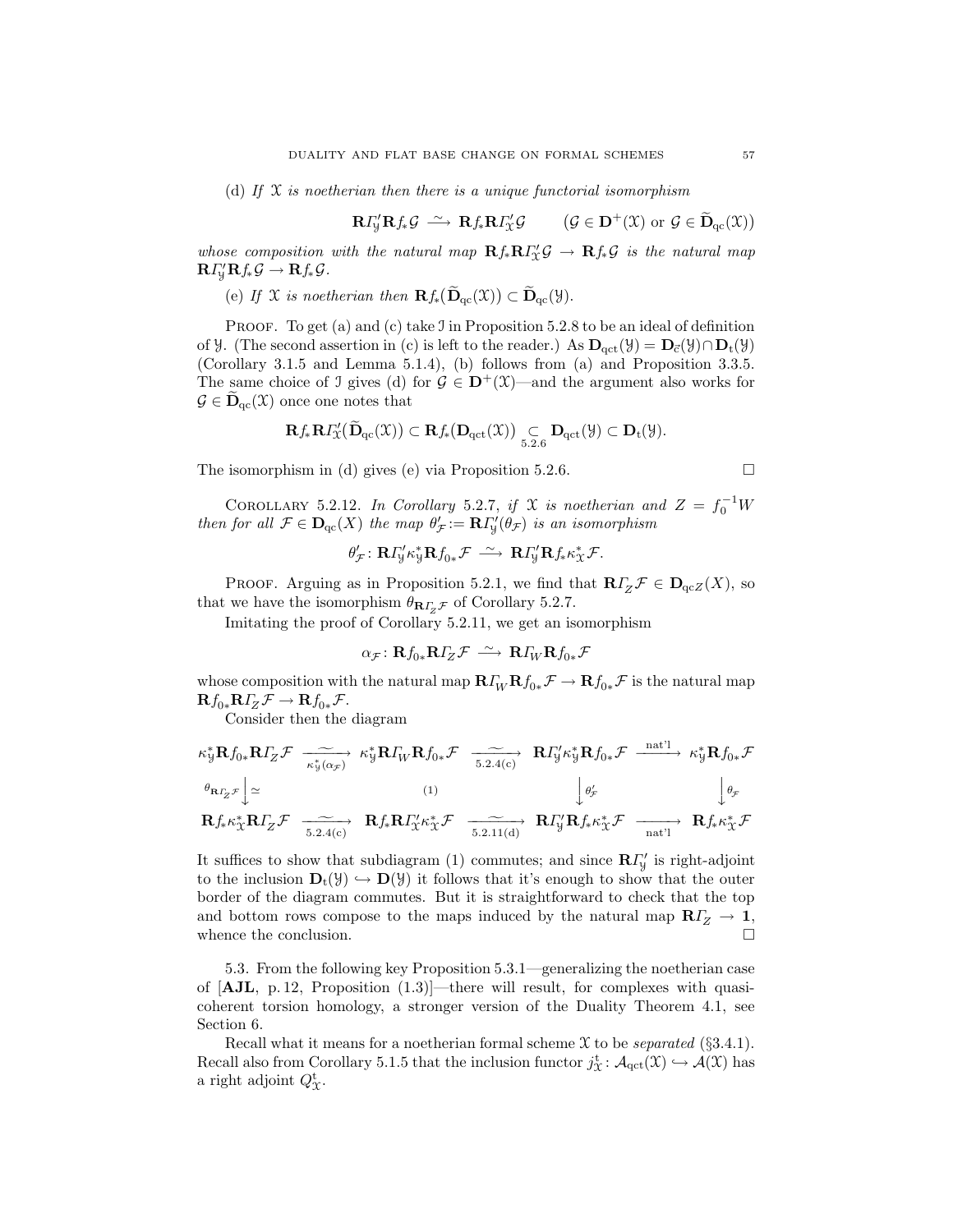(d) If  $\mathfrak X$  is noetherian then there is a unique functorial isomorphism

$$
\mathbf{R}\Gamma_{\mathcal{Y}}'\mathbf{R}f_*\mathcal{G} \stackrel{\sim}{\longrightarrow} \mathbf{R}f_*\mathbf{R}\Gamma_{\mathcal{X}}'\mathcal{G} \qquad (\mathcal{G} \in \mathbf{D}^+(\mathcal{X}) \text{ or } \mathcal{G} \in \widetilde{\mathbf{D}}_{qc}(\mathcal{X}))
$$

whose composition with the natural map  $\mathbf{R} f_* \mathbf{R} \Gamma'_x \mathcal{G} \to \mathbf{R} f_* \mathcal{G}$  is the natural map  $\mathbf{R} \Gamma'_{\mathcal{Y}} \mathbf{R} f_* \mathcal{G} \to \mathbf{R} f_* \mathcal{G}.$ 

(e) If X is noetherian then  $\mathbf{R} f_*(\widetilde{\mathbf{D}}_{ac}(\mathfrak{X})) \subset \widetilde{\mathbf{D}}_{ac}(\mathfrak{Y}).$ 

PROOF. To get (a) and (c) take J in Proposition 5.2.8 to be an ideal of definition of *Y*. (The second assertion in (c) is left to the reader.) As  $D_{\text{act}}(\mathcal{Y}) = D_{\vec{c}}(\mathcal{Y}) \cap D_{t}(\mathcal{Y})$ (Corollary 3.1.5 and Lemma 5.1.4), (b) follows from (a) and Proposition 3.3.5. The same choice of J gives (d) for  $\mathcal{G} \in \mathbf{D}^+(\mathfrak{X})$ —and the argument also works for  $\mathcal{G} \in \mathbf{D}_{qc}(\mathfrak{X})$  once one notes that

$$
\mathbf{R} f_*\mathbf{R} \varGamma_{\!\mathfrak{X}}' \big( \widetilde{\mathbf{D}}_{qc}(\mathfrak{X}) \big) \subset \mathbf{R} f_* \big( \mathbf{D}_{qct}(\mathfrak{X}) \big) \underset{5.2.6}{\subset} \mathbf{D}_{qct}(\mathfrak{Y}) \subset \mathbf{D}_t(\mathfrak{Y}).
$$

The isomorphism in (d) gives (e) via Proposition 5.2.6.

$$
\Box
$$

COROLLARY 5.2.12. In Corollary 5.2.7, if X is noetherian and  $Z = f_0^{-1}W$ then for all  $\mathcal{F} \in \mathbf{D}_{\mathrm{qc}}(X)$  the map  $\theta'_{\mathcal{F}} := \mathbf{R} \Gamma'_{\mathcal{Y}}(\theta_{\mathcal{F}})$  is an isomorphism

$$
\theta_{\mathcal{F}}': \mathbf{R} \Gamma_{\mathsf{Y}}' \kappa_{\mathsf{Y}}^* \mathbf{R} f_{0*} \mathcal{F} \; \xrightarrow{\sim} \; \mathbf{R} \Gamma_{\mathsf{Y}}' \mathbf{R} f_* \kappa_{\mathcal{X}}^* \mathcal{F}.
$$

PROOF. Arguing as in Proposition 5.2.1, we find that  $R\Gamma_Z\mathcal{F} \in D_{qcZ}(X)$ , so that we have the isomorphism  $\theta_{\mathbf{R}\Gamma_z\mathcal{F}}$  of Corollary 5.2.7.

Imitating the proof of Corollary 5.2.11, we get an isomorphism

$$
\alpha_{\mathcal{F}} \colon \mathbf{R} f_{0 *} \mathbf{R} I_Z^{\prime} \mathcal{F} \stackrel{\sim}{\longrightarrow} \mathbf{R} I_W^{\prime} \mathbf{R} f_{0 *}^{\prime} \mathcal{F}
$$

whose composition with the natural map  $\mathbf{R}\Gamma_W\mathbf{R}f_{0*}\mathcal{F} \to \mathbf{R}f_{0*}\mathcal{F}$  is the natural map  $\mathbf{R}f_{0*}\mathbf{R}f_{Z}\mathcal{F} \to \mathbf{R}f_{0*}\mathcal{F}.$ 

Consider then the diagram

$$
\kappa_{\mathcal{Y}}^* \mathbf{R} f_{0*} \mathbf{R} I_Z \mathcal{F} \xrightarrow[\kappa_{\mathcal{Y}}^* \mathbf{R} ]_Q \mathcal{F} \xrightarrow[\kappa_{\mathcal{Y}}^* \mathbf{R} ]_Q \mathcal{F} \xrightarrow[\kappa_{\mathcal{Y}}^* \mathbf{R} ]_Q \mathcal{F} \xrightarrow[\kappa_{\mathcal{Y}}^* \mathbf{R} ]_Q \mathcal{F} \xrightarrow[\kappa_{\mathcal{Y}}^* \mathbf{R} ]_Q \mathcal{F} \xrightarrow[\kappa_{\mathcal{Y}}^* \mathbf{R} ]_Q \mathcal{F} \xrightarrow[\kappa_{\mathcal{Y}}^* \mathbf{R} ]_Q \mathcal{F} \xrightarrow[\kappa_{\mathcal{Y}}^* \mathbf{R} ]_Q \mathcal{F} \xrightarrow[\kappa_{\mathcal{Y}}^* \mathbf{R} ]_Q \mathcal{F} \xrightarrow[\kappa_{\mathcal{Y}}^* \mathbf{R} ]_Q \mathcal{F} \xrightarrow[\kappa_{\mathcal{Y}}^* \mathbf{R} ]_Q \mathcal{F} \xrightarrow[\kappa_{\mathcal{Y}}^* \mathbf{R} ]_Q \mathcal{F} \xrightarrow[\kappa_{\mathcal{Y}}^* \mathbf{R} ]_Q \mathcal{F} \xrightarrow[\kappa_{\mathcal{Y}}^* \mathbf{R} ]_Q \mathcal{F} \xrightarrow[\kappa_{\mathcal{Y}}^* \mathbf{R} ]_Q \mathcal{F} \xrightarrow[\kappa_{\mathcal{Y}}^* \mathbf{R} ]_Q \mathcal{F} \xrightarrow[\kappa_{\mathcal{Y}}^* \mathbf{R} ]_Q \mathcal{F} \xrightarrow[\kappa_{\mathcal{Y}}^* \mathbf{R} ]_Q \mathcal{F} \xrightarrow[\kappa_{\mathcal{Y}}^* \mathbf{R} ]_Q \mathcal{F} \xrightarrow[\kappa_{\mathcal{Y}}^* \mathbf{R} ]_Q \mathcal{F} \xrightarrow[\kappa_{\mathcal{Y}}^* \mathbf{R} ]_Q \mathcal{F} \xrightarrow[\kappa_{\mathcal{Y}}^* \mathbf{R} ]_Q \mathcal{F} \xrightarrow[\kappa_{\mathcal{Y}}^* \mathbf{R} ]_Q \mathcal{F} \xrightarrow[\kappa_{\mathcal{Y}}^* \mathbf{R} ]_Q \mathcal{F} \xrightarrow
$$

It suffices to show that subdiagram (1) commutes; and since  $\mathbb{R}\Gamma'_{\mathcal{Y}}$  is right-adjoint to the inclusion  $\mathbf{D}_t(\mathcal{Y}) \hookrightarrow \mathbf{D}(\mathcal{Y})$  it follows that it's enough to show that the outer border of the diagram commutes. But it is straightforward to check that the top and bottom rows compose to the maps induced by the natural map  $R\Gamma\!\!{Z} \to {\bf 1},$ whence the conclusion.

5.3. From the following key Proposition 5.3.1—generalizing the noetherian case of  $$ coherent torsion homology, a stronger version of the Duality Theorem 4.1, see Section 6.

Recall what it means for a noetherian formal scheme  $\mathfrak X$  to be *separated* (§3.4.1). Recall also from Corollary 5.1.5 that the inclusion functor  $j^{\text{t}}_X : \mathcal{A}_{\text{qct}}(\mathcal{X}) \hookrightarrow \mathcal{A}(\mathcal{X})$  has a right adjoint  $Q_{\mathfrak{X}}^{\mathbf{t}}$ .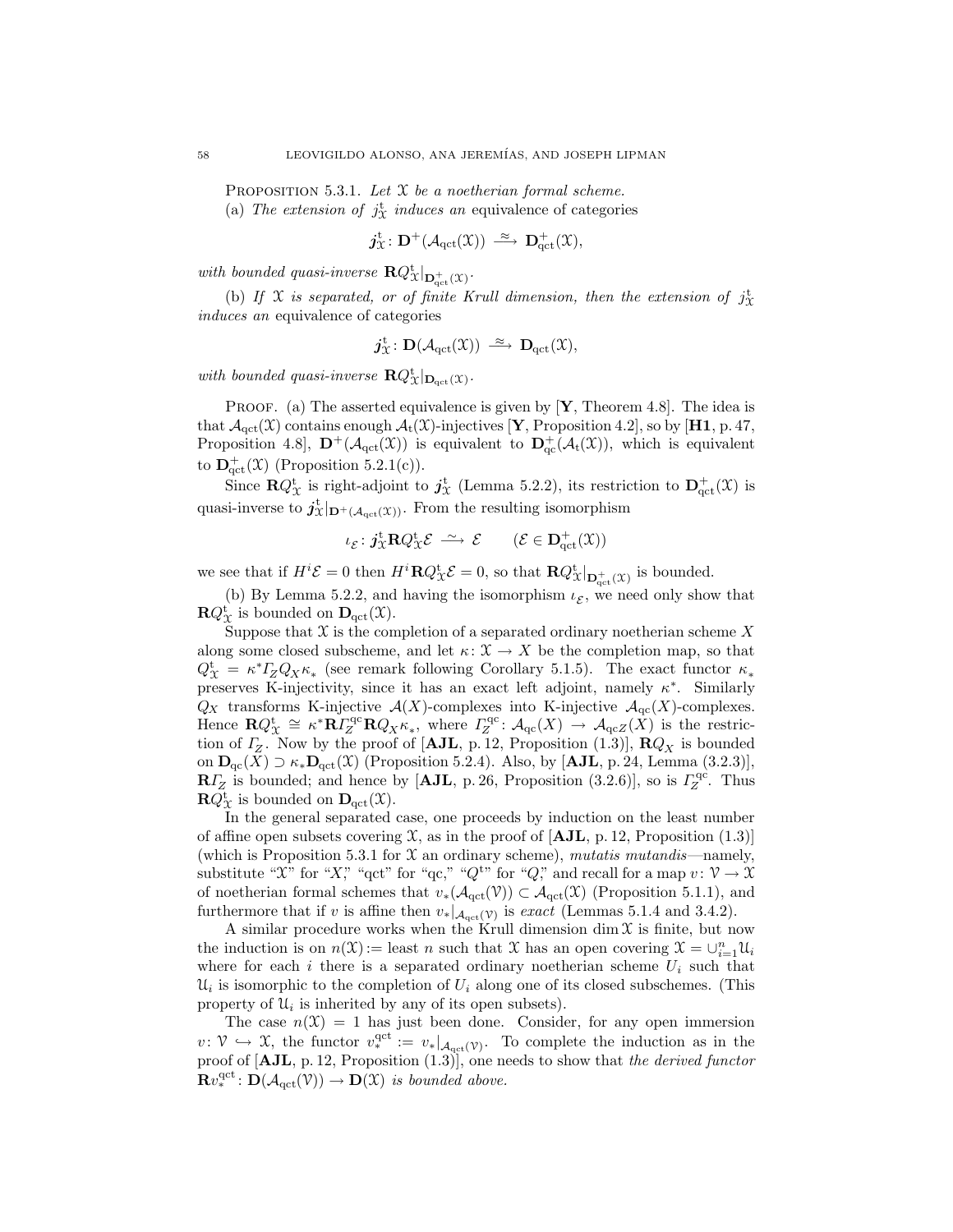PROPOSITION 5.3.1. Let  $X$  be a noetherian formal scheme.

(a) The extension of  $j^{\text{t}}_{\mathcal{X}}$  induces an equivalence of categories

$$
\boldsymbol{j}^{\mathrm{t}}_{\mathfrak{X}}\colon \mathbf{D}^+(\mathcal{A}_{\mathrm{qct}}(\mathfrak{X})) \ \stackrel{\approx}{\longrightarrow} \ \mathbf{D}^+_{\mathrm{qct}}(\mathfrak{X}),
$$

with bounded quasi-inverse  $\mathbf{R} Q_{\mathfrak{X}}^{\mathbf{t}}|_{\mathbf{D}_{\mathrm{qct}}^{+}(\mathfrak{X})}$ .

(b) If X is separated, or of finite Krull dimension, then the extension of  $j^{\text{t}}_{\text{X}}$ induces an equivalence of categories

$$
j_{\mathfrak{X}}^t\colon \mathbf{D}(\mathcal{A}_{\mathrm{qct}}(\mathfrak{X})) \; \xrightarrow{\; \approx \;} \mathbf{D}_{\mathrm{qct}}(\mathfrak{X}),
$$

with bounded quasi-inverse  $\mathbf{R} Q_{\mathfrak{X}}^{\mathbf{t}}|_{\mathbf{D}_{\mathrm{qct}}(\mathfrak{X})}$ .

**PROOF.** (a) The asserted equivalence is given by  $[Y,$  Theorem 4.8. The idea is that  $\mathcal{A}_{\text{act}}(\mathcal{X})$  contains enough  $\mathcal{A}_{t}(\mathcal{X})$ -injectives [Y, Proposition 4.2], so by [H1, p. 47, Proposition 4.8,  $\mathbf{D}^+(\mathcal{A}_{\text{qct}}(\mathfrak{X}))$  is equivalent to  $\mathbf{D}^+(\mathcal{A}_{\text{t}}(\mathfrak{X}))$ , which is equivalent to  $\mathbf{D}^+_{\mathrm{qct}}(\mathfrak{X})$  (Proposition 5.2.1(c)).

Since  $\mathbf{R} Q_{\mathfrak{X}}^{\mathbf{t}}$  is right-adjoint to  $j_{\mathfrak{X}}^{\mathbf{t}}$  (Lemma 5.2.2), its restriction to  $\mathbf{D}_{\mathrm{qct}}^{+}(\mathfrak{X})$  is quasi-inverse to  $j_{\mathcal{X}}^{\mathbf{t}}|_{\mathbf{D}^+(\mathcal{A}_{\mathrm{qct}}(\mathcal{X}))}$ . From the resulting isomorphism

$$
\iota_{\mathcal{E}} \colon j_{\mathfrak{X}}^{\rm t} \mathbf{R} Q_{\mathfrak{X}}^{\rm t} \mathcal{E} \; \stackrel{\sim}{\longrightarrow} \; \mathcal{E} \qquad \, (\mathcal{E} \in \mathbf{D}^+_{\mathrm{qct}}(\mathfrak{X}))
$$

we see that if  $H^i \mathcal{E} = 0$  then  $H^i \mathbf{R} Q^{\mathsf{t}}_{\mathcal{X}} \mathcal{E} = 0$ , so that  $\mathbf{R} Q^{\mathsf{t}}_{\mathcal{X}} |_{\mathbf{D}_{\mathsf{qct}}^{\mathsf{t}}(\mathcal{X})}$  is bounded.

(b) By Lemma 5.2.2, and having the isomorphism  $\iota_{\mathcal{E}}$ , we need only show that  $\mathbf{R} Q_{\mathcal{X}}^{\mathrm{t}}$  is bounded on  $\mathbf{D}_{\mathrm{qct}}(\mathcal{X})$ .

Suppose that  $X$  is the completion of a separated ordinary noetherian scheme X along some closed subscheme, and let  $\kappa: \mathfrak{X} \to X$  be the completion map, so that  $Q_{\mathcal{X}}^{\mathbf{t}} = \kappa^* I_Z^T Q_X \kappa_*$  (see remark following Corollary 5.1.5). The exact functor  $\kappa_*$ preserves K-injectivity, since it has an exact left adjoint, namely  $\kappa^*$ . Similarly  $Q_X$  transforms K-injective  $\mathcal{A}(X)$ -complexes into K-injective  $\mathcal{A}_{\text{qc}}(X)$ -complexes. Hence  $\mathbf{R}Q_{\mathfrak{X}}^{\mathfrak{t}} \cong \kappa^*\mathbf{R}I_Z^{\mathsf{qc}}\mathbf{R}Q_X\kappa_*,$  where  $I_Z^{\mathsf{qc}}: \mathcal{A}_{\mathsf{qc}}(X) \to \mathcal{A}_{\mathsf{qc}}(X)$  is the restriction of  $\Gamma_Z$ . Now by the proof of [AJL, p. 12, Proposition (1.3)],  $\mathbf{R}Q_X$  is bounded on  $\mathbf{D}_{\mathrm{qc}}(X) \supset \kappa_* \mathbf{D}_{\mathrm{qct}}(\mathfrak{X})$  (Proposition 5.2.4). Also, by [AJL, p. 24, Lemma (3.2.3)],  $\mathbb{R} \Gamma_Z$  is bounded; and hence by [AJL, p. 26, Proposition (3.2.6)], so is  $\Gamma_Z^{\text{qc}}$ . Thus  $\mathbf{R} Q_{\mathcal{X}}^{\mathrm{t}}$  is bounded on  $\mathbf{D}_{\mathrm{qct}}(\mathcal{X})$ .

In the general separated case, one proceeds by induction on the least number of affine open subsets covering  $\mathfrak{X}$ , as in the proof of [AJL, p. 12, Proposition (1.3)] (which is Proposition 5.3.1 for  $\mathfrak X$  an ordinary scheme), mutatis mutandis—namely, substitute " $\mathfrak{X}$ " for " $X$ ", "qct" for "qc," " $Q^{\mathfrak{t}''}$  for " $Q$ ", and recall for a map  $v: \mathcal{V} \to \mathcal{X}$ of noetherian formal schemes that  $v_*(\mathcal{A}_{\text{qct}}(\mathcal{V})) \subset \mathcal{A}_{\text{qct}}(\mathcal{X})$  (Proposition 5.1.1), and furthermore that if v is affine then  $v_*|_{\mathcal{A}_{\text{qct}}(\mathcal{V})}$  is exact (Lemmas 5.1.4 and 3.4.2).

A similar procedure works when the Krull dimension dim  $\mathfrak X$  is finite, but now the induction is on  $n(\mathfrak{X}) =$  least n such that X has an open covering  $\mathfrak{X} = \bigcup_{i=1}^n \mathfrak{U}_i$ where for each i there is a separated ordinary noetherian scheme  $U_i$  such that  $\mathcal{U}_i$  is isomorphic to the completion of  $U_i$  along one of its closed subschemes. (This property of  $\mathcal{U}_i$  is inherited by any of its open subsets).

The case  $n(\mathfrak{X}) = 1$  has just been done. Consider, for any open immersion  $v: \mathcal{V} \hookrightarrow \mathcal{X}$ , the functor  $v^{\text{qct}}_* := v_*|_{\mathcal{A}_{\text{qct}}(\mathcal{V})}$ . To complete the induction as in the proof of  $[AJL, p. 12, Proposition (1.3)],$  one needs to show that the derived functor  $\mathbf{R}v^{\text{qct}}_* : \mathbf{D}(\mathcal{A}_{\text{qct}}(\mathcal{V})) \to \mathbf{D}(\mathcal{X})$  is bounded above.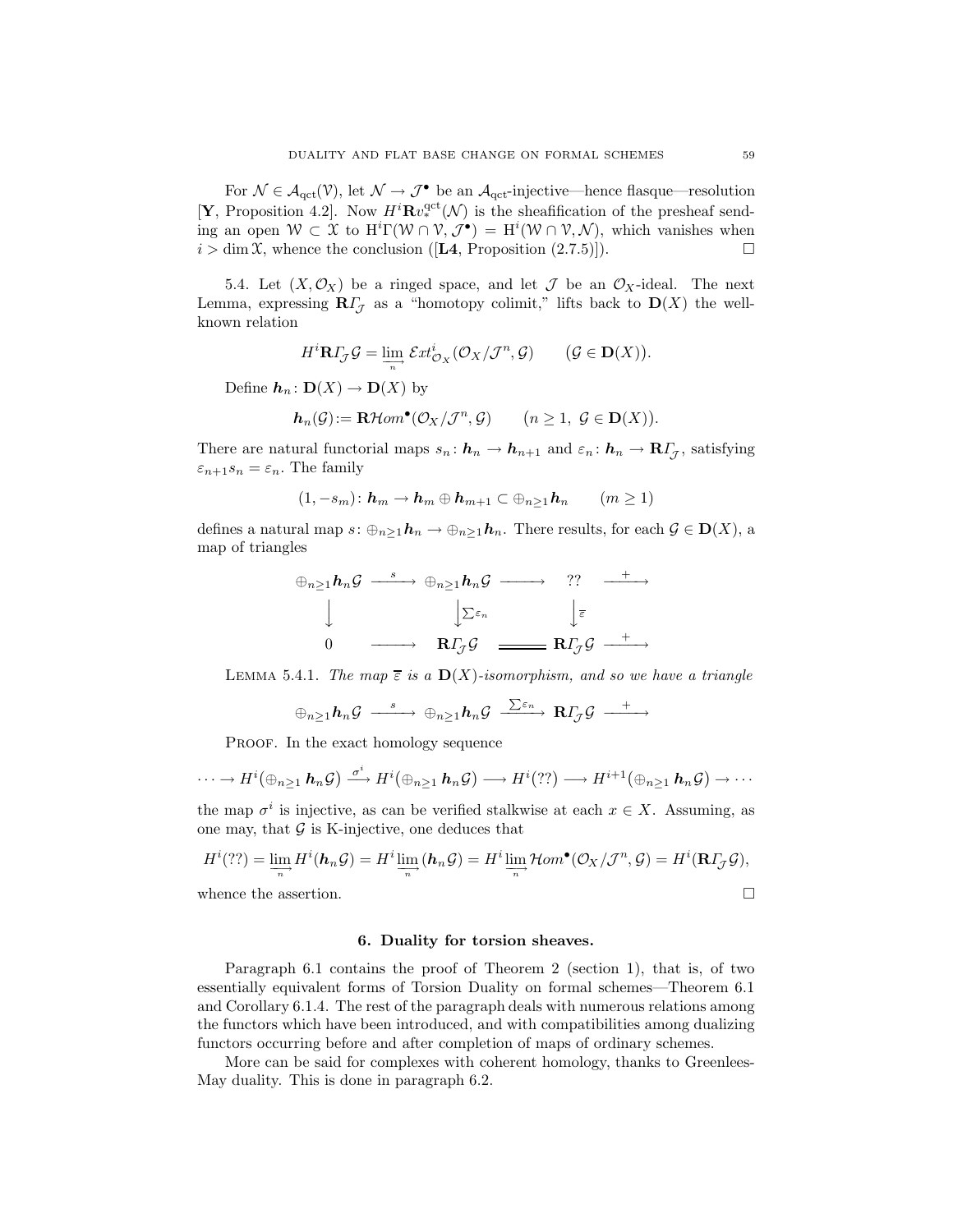For  $\mathcal{N} \in \mathcal{A}_{\text{qct}}(\mathcal{V})$ , let  $\mathcal{N} \to \mathcal{J}^{\bullet}$  be an  $\mathcal{A}_{\text{qct}}$ -injective—hence flasque—resolution [**Y**, Proposition 4.2]. Now  $H^i \mathbf{R} v_*^{\text{qct}}(\mathcal{N})$  is the sheafification of the presheaf sending an open  $W \subset \mathfrak{X}$  to  $H^i\Gamma(\mathcal{W} \cap \mathcal{V}, \mathcal{J}^{\bullet}) = H^i(\mathcal{W} \cap \mathcal{V}, \mathcal{N})$ , which vanishes when  $i > \dim \mathfrak{X}$ , whence the conclusion ([L4, Proposition (2.7.5)]).

5.4. Let  $(X, \mathcal{O}_X)$  be a ringed space, and let  $\mathcal J$  be an  $\mathcal O_X$ -ideal. The next Lemma, expressing  $\mathbf{R}\Gamma_{\mathcal{J}}$  as a "homotopy colimit," lifts back to  $\mathbf{D}(X)$  the wellknown relation

$$
H^i \mathbf{R} \Gamma_{\mathcal{J}} \mathcal{G} = \varinjlim_{n} \mathcal{E}xt_{\mathcal{O}_X}^i(\mathcal{O}_X/\mathcal{J}^n, \mathcal{G}) \qquad (\mathcal{G} \in \mathbf{D}(X)).
$$

Define  $h_n: D(X) \to D(X)$  by

$$
\mathbf{h}_n(\mathcal{G}) := \mathbf{R}\mathcal{H}om^{\bullet}(\mathcal{O}_X/\mathcal{J}^n, \mathcal{G}) \qquad (n \geq 1, \ \mathcal{G} \in \mathbf{D}(X)).
$$

There are natural functorial maps  $s_n: \mathbf{h}_n \to \mathbf{h}_{n+1}$  and  $\varepsilon_n: \mathbf{h}_n \to \mathbf{R} I_{\mathcal{J}}$ , satisfying  $\varepsilon_{n+1} s_n = \varepsilon_n$ . The family

$$
(1, -s_m) \colon \mathbf{h}_m \to \mathbf{h}_m \oplus \mathbf{h}_{m+1} \subset \oplus_{n \geq 1} \mathbf{h}_n \qquad (m \geq 1)
$$

defines a natural map  $s: \bigoplus_{n\geq 1} h_n \to \bigoplus_{n\geq 1} h_n$ . There results, for each  $\mathcal{G} \in \mathbf{D}(X)$ , a map of triangles

$$
\oplus_{n\geq 1} h_n \mathcal{G} \xrightarrow{s} \oplus_{n\geq 1} h_n \mathcal{G} \xrightarrow{\qquad} ?? \xrightarrow{+}
$$
  

$$
\downarrow \qquad \qquad \downarrow \Sigma^{\varepsilon_n} \qquad \qquad \downarrow \overline{\varepsilon}
$$
  

$$
0 \qquad \longrightarrow \qquad \mathbf{R} \Gamma_{\mathcal{J}} \mathcal{G} \xrightarrow{\qquad} \mathbf{R} \Gamma_{\mathcal{J}} \mathcal{G} \xrightarrow{\qquad +}
$$

LEMMA 5.4.1. The map  $\overline{\epsilon}$  is a  $\mathbf{D}(X)$ -isomorphism, and so we have a triangle

$$
\oplus_{n\geq 1} \boldsymbol{h}_n \mathcal{G} \stackrel{s}{\xrightarrow{\hspace*{1cm}}} \oplus_{n\geq 1} \boldsymbol{h}_n \mathcal{G} \stackrel{\sum \varepsilon_n}{\xrightarrow{\hspace*{1cm}}} \mathbf{R} \boldsymbol{\varGamma}_{\!\mathcal{J}} \mathcal{G} \stackrel{+}{\xrightarrow{\hspace*{1cm}}} \rightarrow
$$

PROOF. In the exact homology sequence

$$
\cdots \to H^{i}(\oplus_{n\geq 1} h_n \mathcal{G}) \xrightarrow{\sigma^i} H^{i}(\oplus_{n\geq 1} h_n \mathcal{G}) \longrightarrow H^{i}(??) \longrightarrow H^{i+1}(\oplus_{n\geq 1} h_n \mathcal{G}) \longrightarrow \cdots
$$

the map  $\sigma^i$  is injective, as can be verified stalkwise at each  $x \in X$ . Assuming, as one may, that  $\mathcal G$  is K-injective, one deduces that

$$
H^{i}(??) = \lim_{\substack{\longrightarrow \\ n}} H^{i}(\mathbf{h}_{n}\mathcal{G}) = H^{i}\lim_{\substack{\longrightarrow \\ n}} (\mathbf{h}_{n}\mathcal{G}) = H^{i}\lim_{\substack{\longrightarrow \\ n}} \mathcal{H}om^{\bullet}(\mathcal{O}_{X}/\mathcal{J}^{n}, \mathcal{G}) = H^{i}(\mathbf{R}\mathbf{\Gamma}_{\mathcal{J}}\mathcal{G}),
$$
  
whence the assertion.

hence the assertic

## 6. Duality for torsion sheaves.

Paragraph 6.1 contains the proof of Theorem 2 (section 1), that is, of two essentially equivalent forms of Torsion Duality on formal schemes—Theorem 6.1 and Corollary 6.1.4. The rest of the paragraph deals with numerous relations among the functors which have been introduced, and with compatibilities among dualizing functors occurring before and after completion of maps of ordinary schemes.

More can be said for complexes with coherent homology, thanks to Greenlees-May duality. This is done in paragraph 6.2.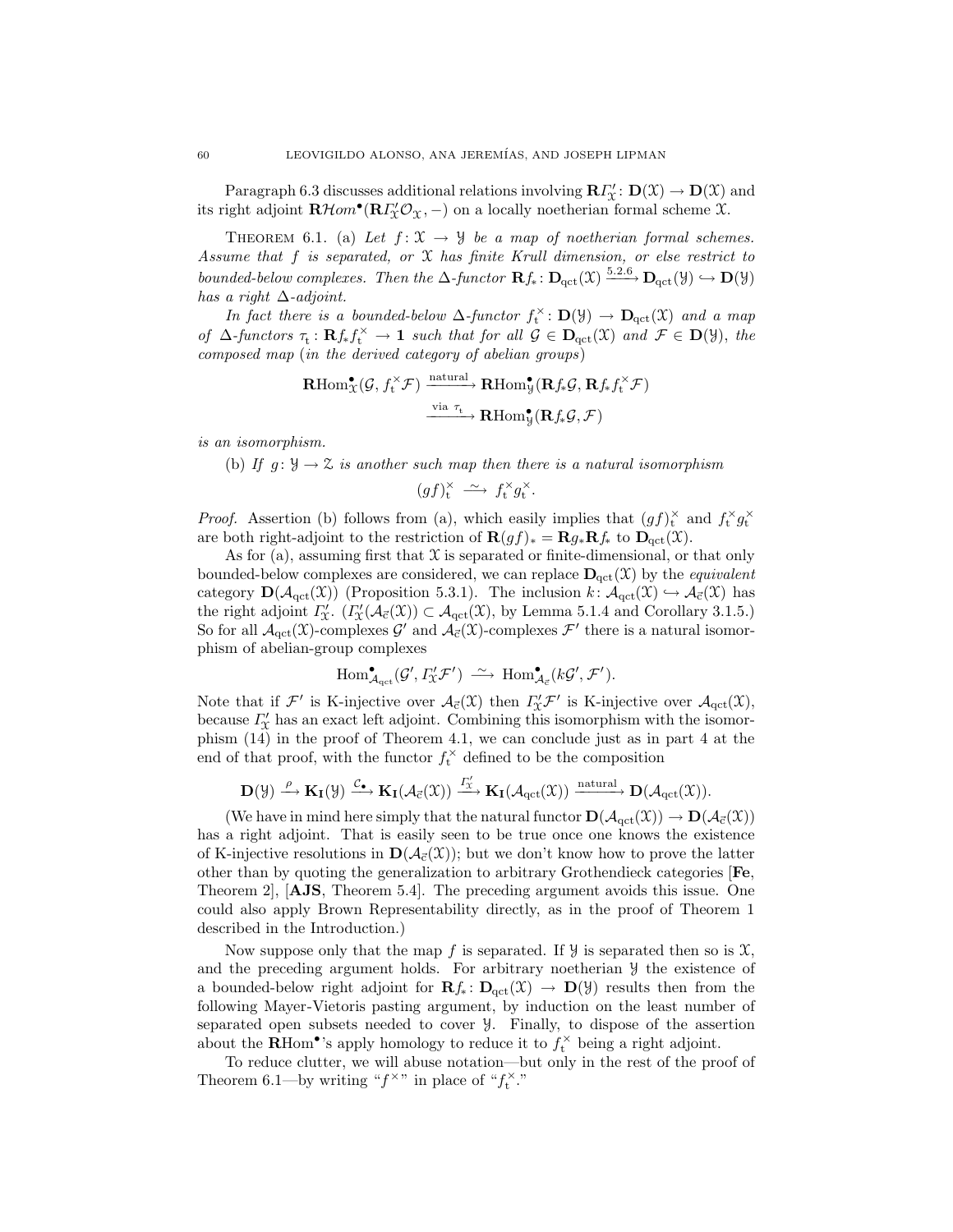Paragraph 6.3 discusses additional relations involving  $\mathbf{R} \Gamma''_X : \mathbf{D}(\mathfrak{X}) \to \mathbf{D}(\mathfrak{X})$  and its right adjoint  $\mathbf{R}\mathcal{H}om^{\bullet}(\mathbf{R}I_{\chi}'\mathcal{O}_{\chi},-)$  on a locally noetherian formal scheme  $\chi$ .

THEOREM 6.1. (a) Let  $f: \mathfrak{X} \to \mathcal{Y}$  be a map of noetherian formal schemes. Assume that f is separated, or X has finite Krull dimension, or else restrict to bounded-below complexes. Then the  $\Delta$ -functor  $\mathbf{R} f_* : \mathbf{D}_{\text{qct}}(\mathfrak{X}) \xrightarrow{5.2.6} \mathbf{D}_{\text{qct}}(\mathfrak{Y}) \hookrightarrow \mathbf{D}(\mathfrak{Y})$ has a right  $\Delta$ -adjoint.

In fact there is a bounded-below  $\Delta$ -functor  $f_t^{\times} \colon \mathbf{D}(\mathcal{Y}) \to \mathbf{D}_{\text{qct}}(\mathcal{X})$  and a map of  $\Delta$ -functors  $\tau_t: \mathbf{R} f_* f_t^{\times} \to \mathbf{1}$  such that for all  $\mathcal{G} \in \mathbf{D}_{\mathrm{qct}}(\mathfrak{X})$  and  $\mathcal{F} \in \mathbf{D}(\mathcal{Y})$ , the composed map (in the derived category of abelian groups)

$$
\mathbf{R}\mathrm{Hom}^{\bullet}_{\mathfrak{X}}(\mathcal{G}, f_{\mathrm{t}}^{\times}\mathcal{F}) \xrightarrow{\mathrm{natural}} \mathbf{R}\mathrm{Hom}^{\bullet}_{\mathcal{Y}}(\mathbf{R}f_{\ast}\mathcal{G}, \mathbf{R}f_{\ast}f_{\mathrm{t}}^{\times}\mathcal{F})
$$

$$
\xrightarrow{\mathrm{via}\ \tau_{\mathrm{t}}} \mathbf{R}\mathrm{Hom}^{\bullet}_{\mathcal{Y}}(\mathbf{R}f_{\ast}\mathcal{G}, \mathcal{F})
$$

is an isomorphism.

(b) If  $q: \mathcal{Y} \to \mathcal{Z}$  is another such map then there is a natural isomorphism

$$
(gf)^{\times}_{t} \longrightarrow f^{\times}_{t} g^{\times}_{t}.
$$

*Proof.* Assertion (b) follows from (a), which easily implies that  $(gf)_{t}^{\times}$  and  $f_{t}^{\times}g_{t}^{\times}$ are both right-adjoint to the restriction of  $\mathbf{R}(gf)_* = \mathbf{R}g_*\mathbf{R}f_*$  to  $\mathbf{D}_{\text{qct}}(\mathfrak{X})$ .

As for (a), assuming first that  $X$  is separated or finite-dimensional, or that only bounded-below complexes are considered, we can replace  $\mathbf{D}_{\text{act}}(\mathcal{X})$  by the *equivalent* category  $\mathbf{D}(\mathcal{A}_{\text{act}}(\mathfrak{X}))$  (Proposition 5.3.1). The inclusion  $k: \mathcal{A}_{\text{act}}(\mathfrak{X}) \hookrightarrow \mathcal{A}_{\vec{c}}(\mathfrak{X})$  has the right adjoint  $\Gamma'_{\mathfrak{X}}$ .  $(\Gamma'_{\mathfrak{X}}(\mathcal{A}_{\vec{c}}(\mathfrak{X})) \subset \mathcal{A}_{\text{qct}}(\mathfrak{X}),$  by Lemma 5.1.4 and Corollary 3.1.5.) So for all  $\mathcal{A}_{\text{qct}}(\mathfrak{X})$ -complexes  $\mathcal{G}'$  and  $\mathcal{A}_{\vec{c}}(\mathfrak{X})$ -complexes  $\mathcal{F}'$  there is a natural isomorphism of abelian-group complexes

$$
\text{Hom}^{\bullet}_{\mathcal{A}_{\text{qct}}}(\mathcal{G}', \varGamma_{\!\!X}' \mathcal{F}') \; \xrightarrow{\sim} \; \text{Hom}^{\bullet}_{\mathcal{A}_{\vec{c}}}(k\mathcal{G}', \mathcal{F}').
$$

Note that if  $\mathcal{F}'$  is K-injective over  $\mathcal{A}_{\vec{c}}(\mathfrak{X})$  then  $\Gamma'_\mathfrak{X}\mathcal{F}'$  is K-injective over  $\mathcal{A}_{\text{qct}}(\mathfrak{X})$ , because  $\Gamma_{\!\chi}^\prime$  has an exact left adjoint. Combining this isomorphism with the isomorphism (14) in the proof of Theorem 4.1, we can conclude just as in part 4 at the end of that proof, with the functor  $f_t^{\times}$  defined to be the composition

$$
\mathbf{D}(\mathcal{Y}) \xrightarrow{\rho} \mathbf{K}_{\mathbf{I}}(\mathcal{Y}) \xrightarrow{\mathcal{C}_{\bullet}} \mathbf{K}_{\mathbf{I}}(\mathcal{A}_{\vec{c}}(\mathcal{X})) \xrightarrow{I'_{\mathcal{X}}} \mathbf{K}_{\mathbf{I}}(\mathcal{A}_{\mathrm{qct}}(\mathcal{X})) \xrightarrow{\text{natural}} \mathbf{D}(\mathcal{A}_{\mathrm{qct}}(\mathcal{X})).
$$

(We have in mind here simply that the natural functor  $\mathbf{D}(\mathcal{A}_{\text{qct}}(\mathfrak{X})) \to \mathbf{D}(\mathcal{A}_{\vec{c}}(\mathfrak{X}))$ has a right adjoint. That is easily seen to be true once one knows the existence of K-injective resolutions in  $\mathbf{D}(\mathcal{A}_{\vec{c}}(\mathcal{X}))$ ; but we don't know how to prove the latter other than by quoting the generalization to arbitrary Grothendieck categories [Fe, Theorem 2], [AJS, Theorem 5.4]. The preceding argument avoids this issue. One could also apply Brown Representability directly, as in the proof of Theorem 1 described in the Introduction.)

Now suppose only that the map f is separated. If  $\mathcal{Y}$  is separated then so is  $\mathcal{X}$ , and the preceding argument holds. For arbitrary noetherian Y the existence of a bounded-below right adjoint for  $\mathbf{R}f_* : \mathbf{D}_{\text{act}}(\mathcal{X}) \to \mathbf{D}(\mathcal{Y})$  results then from the following Mayer-Vietoris pasting argument, by induction on the least number of separated open subsets needed to cover Y. Finally, to dispose of the assertion about the **RHom<sup>•</sup>**'s apply homology to reduce it to  $f_t^{\times}$  being a right adjoint.

To reduce clutter, we will abuse notation—but only in the rest of the proof of Theorem 6.1—by writing " $f^{\times}$ " in place of " $f_t^{\times}$ ."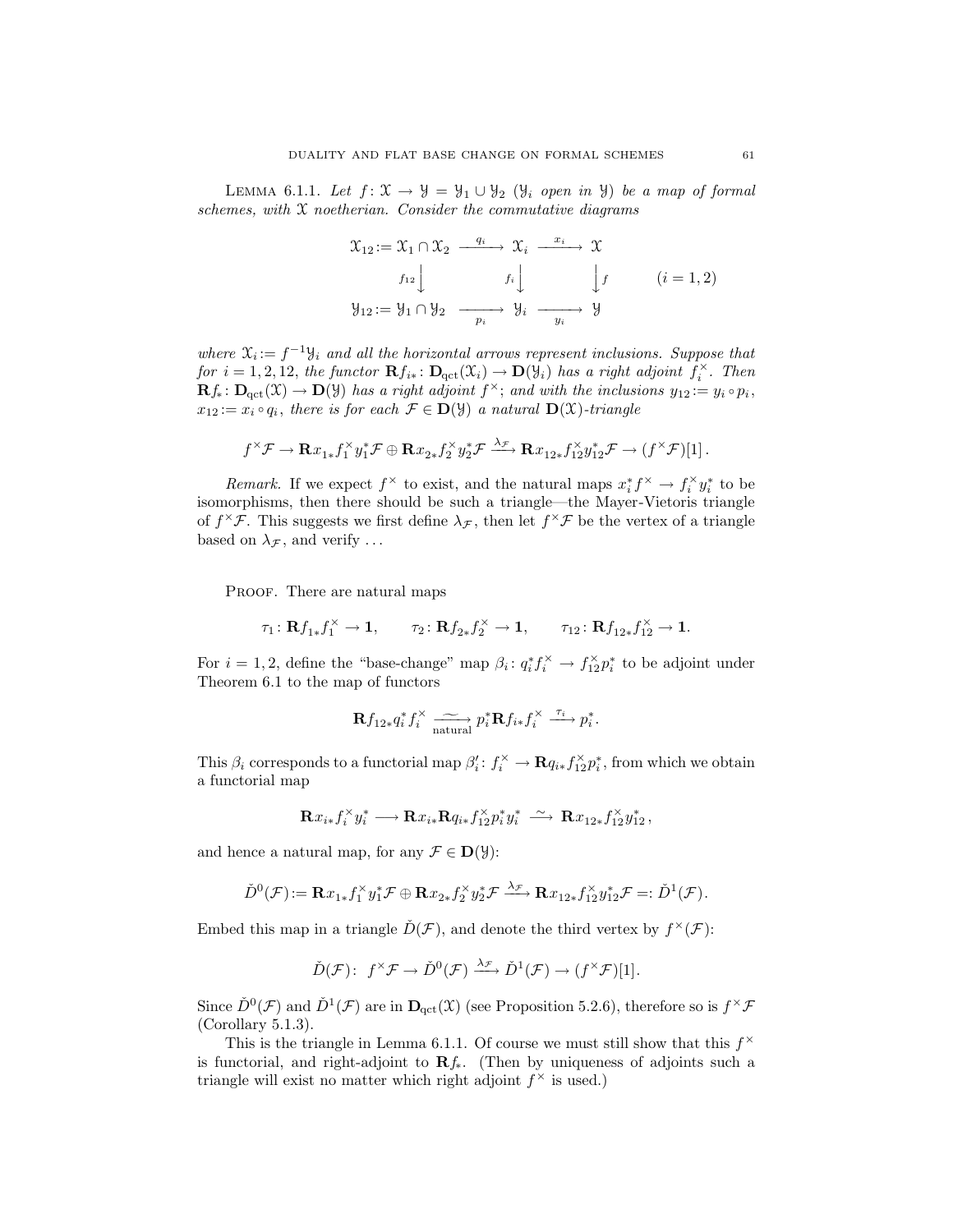LEMMA 6.1.1. Let  $f: \mathfrak{X} \to \mathcal{Y} = \mathcal{Y}_1 \cup \mathcal{Y}_2$  ( $\mathcal{Y}_i$  open in  $\mathcal{Y}$ ) be a map of formal schemes, with  $X$  noetherian. Consider the commutative diagrams

$$
\mathcal{X}_{12} := \mathcal{X}_1 \cap \mathcal{X}_2 \xrightarrow{q_i} \mathcal{X}_i \xrightarrow{x_i} \mathcal{X}
$$
\n
$$
f_{12} \downarrow \qquad f_i \downarrow \qquad \qquad f \downarrow \qquad (i = 1, 2)
$$
\n
$$
\mathcal{Y}_{12} := \mathcal{Y}_1 \cap \mathcal{Y}_2 \xrightarrow{p_i} \mathcal{Y}_i \xrightarrow{y_i} \mathcal{Y}
$$

where  $\mathfrak{X}_i := f^{-1} \mathfrak{Y}_i$  and all the horizontal arrows represent inclusions. Suppose that for  $i = 1, 2, 12$ , the functor  $\mathbf{R} f_{i*} : \mathbf{D}_{\text{qct}}(\mathfrak{X}_i) \to \mathbf{D}(\mathfrak{Y}_i)$  has a right adjoint  $f_i^{\times}$ . Then  $\mathbf{R} f_* \colon \mathbf{D}_{\text{qct}}(\mathfrak{X}) \to \mathbf{D}(\mathfrak{Y})$  has a right adjoint  $f^{\times}$ ; and with the inclusions  $y_{12} := y_i \circ p_i$ ,  $x_{12} := x_i \circ q_i$ , there is for each  $\mathcal{F} \in \mathbf{D}(\mathcal{Y})$  a natural  $\mathbf{D}(\mathcal{X})$ -triangle

$$
f^{\times}\mathcal{F} \to \mathbf{R}x_{1*}f_1^{\times}y_1^*\mathcal{F} \oplus \mathbf{R}x_{2*}f_2^{\times}y_2^*\mathcal{F} \xrightarrow{\lambda_{\mathcal{F}}} \mathbf{R}x_{12*}f_{12}^{\times}y_{12}^*\mathcal{F} \to (f^{\times}\mathcal{F})[1].
$$

Remark. If we expect  $f^{\times}$  to exist, and the natural maps  $x_i^* f^{\times} \to f_i^{\times} y_i^*$  to be isomorphisms, then there should be such a triangle—the Mayer-Vietoris triangle of  $f^{\times} \mathcal{F}$ . This suggests we first define  $\lambda_{\mathcal{F}}$ , then let  $f^{\times} \mathcal{F}$  be the vertex of a triangle based on  $\lambda_{\mathcal{F}}$ , and verify ...

PROOF. There are natural maps

$$
\tau_1\colon {\mathbf R f_{1*}}{f_{1}^{\times}}\to {\mathbf 1}, \qquad \tau_2\colon {\mathbf R f_{2*}}{f_{2}^{\times}}\to {\mathbf 1}, \qquad \tau_{12}\colon {\mathbf R f_{12*}}{f_{12}^{\times}}\to {\mathbf 1}.
$$

For  $i = 1, 2$ , define the "base-change" map  $\beta_i: q_i^* f_i^* \to f_{12}^* p_i^*$  to be adjoint under Theorem 6.1 to the map of functors

$$
\mathbf{R} f_{12*} q_i^* f_i^{\times} \xrightarrow[\text{natural}]{\sim} p_i^* \mathbf{R} f_{i*} f_i^{\times} \xrightarrow{\tau_i} p_i^*.
$$

This  $\beta_i$  corresponds to a functorial map  $\beta'_i: f_i^{\times} \to \mathbf{R} q_{i*} f_{12}^{\times} p_i^*$ , from which we obtain a functorial map

$$
\mathbf{R} x_{i*} f_i^{\times} y_i^* \longrightarrow \mathbf{R} x_{i*} \mathbf{R} q_{i*} f_{12}^{\times} p_i^* y_i^* \stackrel{\sim}{\longrightarrow} \mathbf{R} x_{12*} f_{12}^{\times} y_{12}^*,
$$

and hence a natural map, for any  $\mathcal{F} \in \mathbf{D}(\mathcal{Y})$ :

$$
\check{D}^0(\mathcal{F}) := \mathbf{R} x_{1*} f_1^{\times} y_1^* \mathcal{F} \oplus \mathbf{R} x_{2*} f_2^{\times} y_2^* \mathcal{F} \xrightarrow{\lambda_{\mathcal{F}}} \mathbf{R} x_{12*} f_{12}^{\times} y_{12}^* \mathcal{F} =: \check{D}^1(\mathcal{F}).
$$

Embed this map in a triangle  $\check{D}(\mathcal{F})$ , and denote the third vertex by  $f^{\times}(\mathcal{F})$ :

$$
\check{D}(\mathcal{F})\colon f^{\times}\mathcal{F}\to \check{D}^0(\mathcal{F})\xrightarrow{\lambda_{\mathcal{F}}}\check{D}^1(\mathcal{F})\to (f^{\times}\mathcal{F})[1].
$$

Since  $\check{D}^0(\mathcal{F})$  and  $\check{D}^1(\mathcal{F})$  are in  $\mathbf{D}_{\text{qct}}(\mathfrak{X})$  (see Proposition 5.2.6), therefore so is  $f^{\times}\mathcal{F}$ (Corollary 5.1.3).

This is the triangle in Lemma 6.1.1. Of course we must still show that this  $f^{\times}$ is functorial, and right-adjoint to  $\mathbf{R} f_*$ . (Then by uniqueness of adjoints such a triangle will exist no matter which right adjoint  $f^{\times}$  is used.)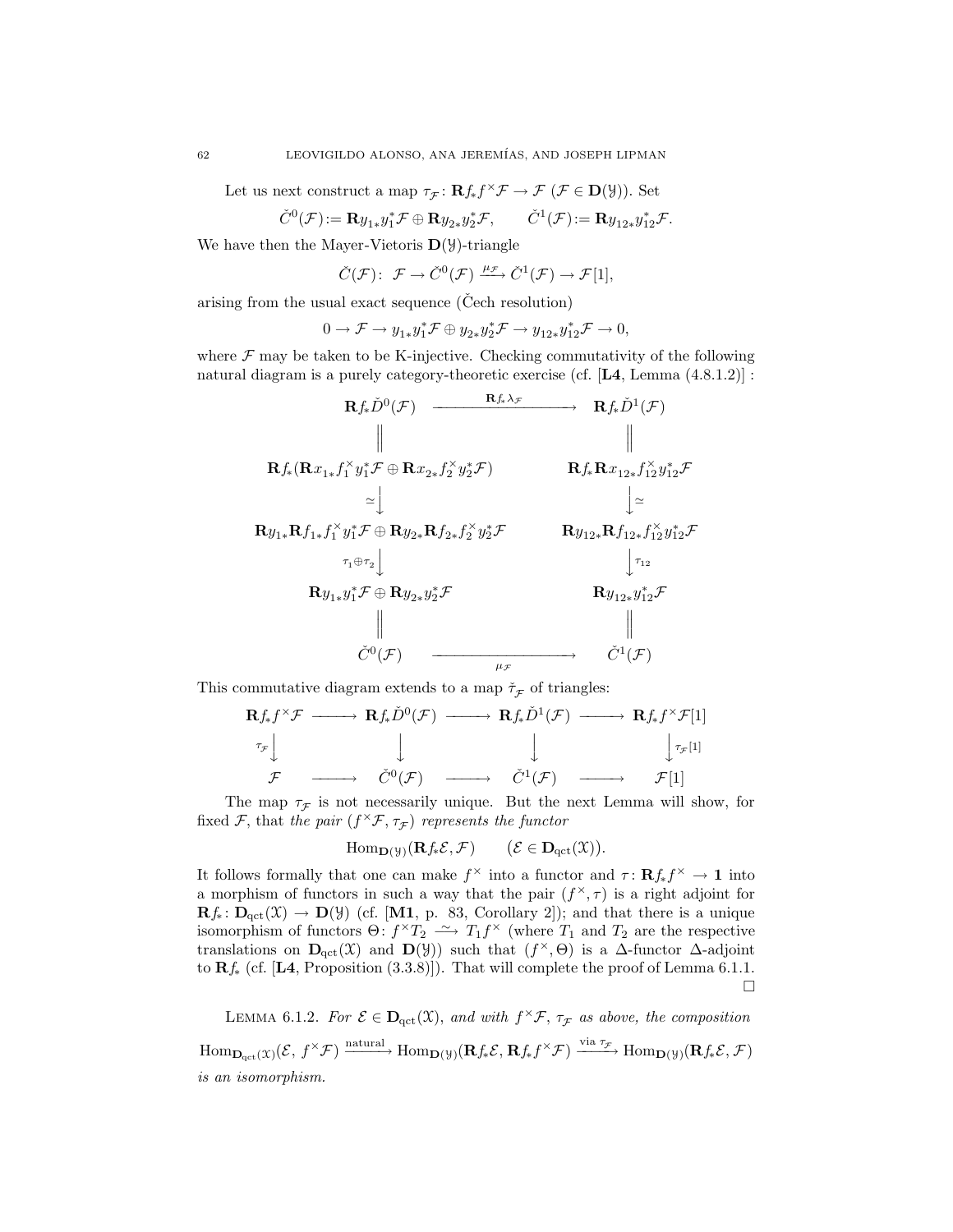Let us next construct a map  $\tau_{\mathcal{F}} \colon \mathbf{R} f_* f^{\times} \mathcal{F} \to \mathcal{F} (\mathcal{F} \in \mathbf{D}(\mathcal{Y}))$ . Set

$$
\check{C}^0(\mathcal{F}) := \mathbf{R} y_{1*} y_1^* \mathcal{F} \oplus \mathbf{R} y_{2*} y_2^* \mathcal{F}, \qquad \check{C}^1(\mathcal{F}) := \mathbf{R} y_{12*} y_{12}^* \mathcal{F}.
$$

We have then the Mayer-Vietoris  $\mathbf{D}(\mathcal{Y})$ -triangle

$$
\check{C}(\mathcal{F})\colon\; \mathcal{F}\to \check{C}^0(\mathcal{F})\xrightarrow{\mu_{\mathcal{F}}} \check{C}^1(\mathcal{F})\to \mathcal{F}[1],
$$

arising from the usual exact sequence ( $\text{Čech resolution}$ )

$$
0 \to \mathcal{F} \to y_{1*} y_1^* \mathcal{F} \oplus y_{2*} y_2^* \mathcal{F} \to y_{12*} y_{12}^* \mathcal{F} \to 0,
$$

where  $\mathcal F$  may be taken to be K-injective. Checking commutativity of the following natural diagram is a purely category-theoretic exercise (cf. [L4, Lemma (4.8.1.2)] :



This commutative diagram extends to a map  $\check{\tau}_{\mathcal{F}}$  of triangles:

Rf∗f <sup>×</sup><sup>F</sup> −−−−→ <sup>R</sup>f∗D<sup>ˇ</sup> <sup>0</sup> (<sup>F</sup> ) −−−−→ <sup>R</sup>f∗D<sup>ˇ</sup> <sup>1</sup> (F ) −−−−→ Rf∗f <sup>×</sup>F[1] τF y y y y<sup>τ</sup><sup>F</sup> [1] <sup>F</sup> −−−−→ <sup>C</sup>ˇ<sup>0</sup> (<sup>F</sup> ) −−−−→ <sup>C</sup>ˇ<sup>1</sup> (F ) −−−−→ F [1]

The map  $\tau_{\mathcal{F}}$  is not necessarily unique. But the next Lemma will show, for fixed  $\mathcal{F}$ , that the pair  $(f^{\times}\mathcal{F}, \tau_{\mathcal{F}})$  represents the functor

$$
\mathrm{Hom}_{\mathbf{D}(\mathcal{Y})}(\mathbf{R}f_*\mathcal{E},\mathcal{F}) \qquad (\mathcal{E} \in \mathbf{D}_{\mathrm{qct}}(\mathfrak{X})).
$$

It follows formally that one can make  $f^{\times}$  into a functor and  $\tau: \mathbf{R} f_* f^{\times} \to \mathbf{1}$  into a morphism of functors in such a way that the pair  $(f^{\times}, \tau)$  is a right adjoint for  $\mathbf{R}f_*\colon \mathbf{D}_{\mathrm{qct}}(\mathfrak{X}) \to \mathbf{D}(\mathfrak{Y})$  (cf. [M1, p. 83, Corollary 2]); and that there is a unique isomorphism of functors  $\Theta: f^{\times}T_2 \longrightarrow T_1f^{\times}$  (where  $T_1$  and  $T_2$  are the respective translations on  $\mathbf{D}_{\text{qct}}(\mathfrak{X})$  and  $\mathbf{D}(\mathcal{Y})$  such that  $(f^{\times}, \Theta)$  is a  $\Delta$ -functor  $\Delta$ -adjoint to  $\mathbf{R}f_*$  (cf. [L4, Proposition (3.3.8)]). That will complete the proof of Lemma 6.1.1.  $\Box$ 

LEMMA 6.1.2. For  $\mathcal{E} \in \mathbf{D}_{\text{qct}}(\mathfrak{X})$ , and with  $f^{\times}\mathcal{F}$ ,  $\tau_{\mathcal{F}}$  as above, the composition  $\mathrm{Hom}_{\mathbf{D}_{\mathrm{qct}}(\mathcal{X})}(\mathcal{E},f^{\times}\mathcal{F}) \xrightarrow{\mathrm{natural}} \mathrm{Hom}_{\mathbf{D}(\mathcal{Y})}(\mathbf{R}f_{*}\mathcal{E},\mathbf{R}f_{*}f^{\times}\mathcal{F}) \xrightarrow{\mathrm{via}\,\tau_{\mathcal{F}}} \mathrm{Hom}_{\mathbf{D}(\mathcal{Y})}(\mathbf{R}f_{*}\mathcal{E},\mathcal{F})$ is an isomorphism.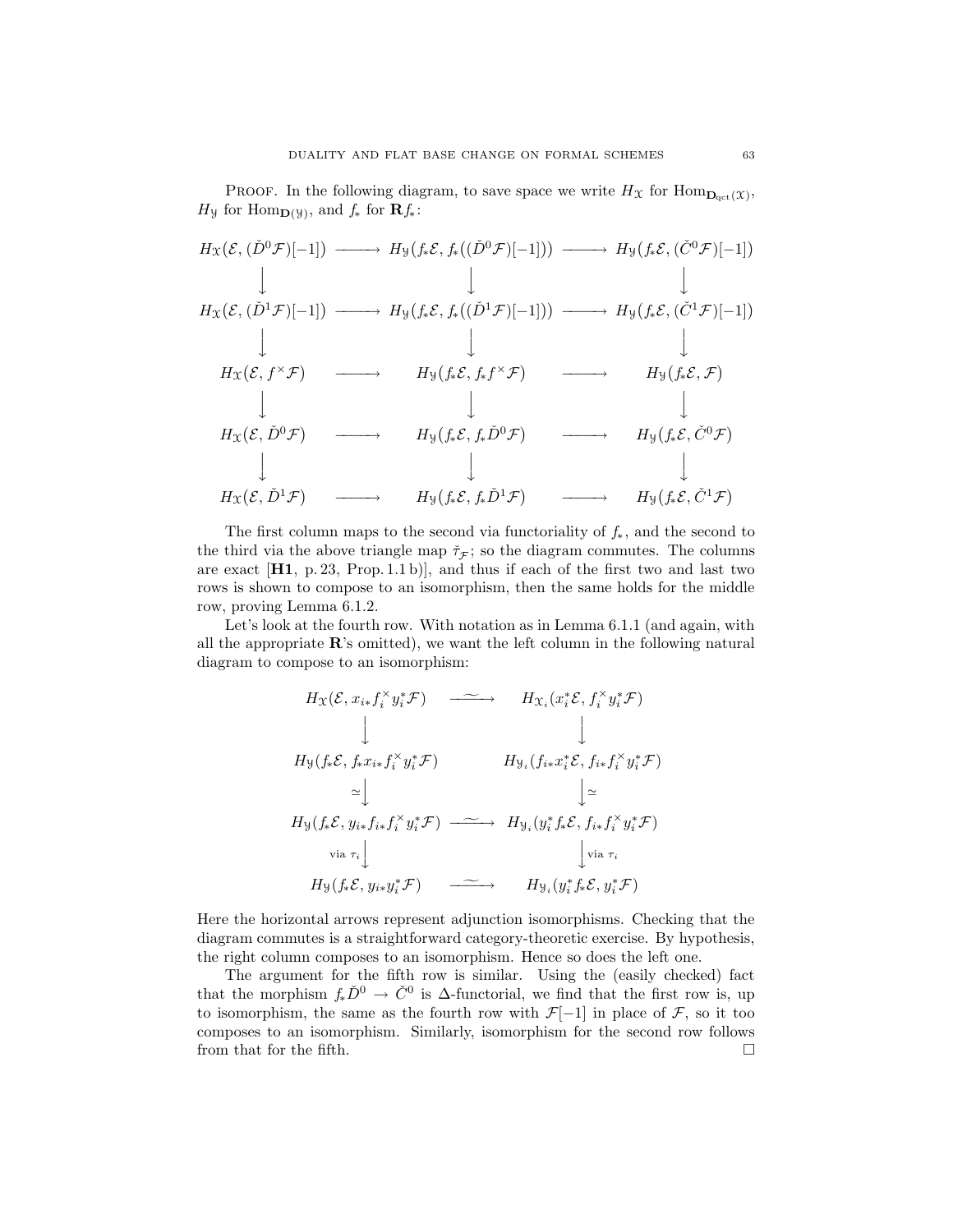PROOF. In the following diagram, to save space we write  $H_{\mathfrak{X}}$  for  $\text{Hom}_{\textbf{D}_{\text{qct}}(\mathfrak{X})}$ ,  $H_{\mathcal{Y}}$  for  $\text{Hom}_{\mathbf{D}(\mathcal{Y})}$ , and  $f_*$  for  $\mathbf{R}f_*$ :

$$
H_{\mathcal{X}}(\mathcal{E}, (\check{D}^{0}\mathcal{F})[-1]) \longrightarrow H_{\mathcal{Y}}(f_{*}\mathcal{E}, f_{*}((\check{D}^{0}\mathcal{F})[-1])) \longrightarrow H_{\mathcal{Y}}(f_{*}\mathcal{E}, (\check{C}^{0}\mathcal{F})[-1])
$$
\n
$$
\downarrow \qquad \qquad \downarrow \qquad \qquad \downarrow
$$
\n
$$
H_{\mathcal{X}}(\mathcal{E}, (\check{D}^{1}\mathcal{F})[-1]) \longrightarrow H_{\mathcal{Y}}(f_{*}\mathcal{E}, f_{*}((\check{D}^{1}\mathcal{F})[-1])) \longrightarrow H_{\mathcal{Y}}(f_{*}\mathcal{E}, (\check{C}^{1}\mathcal{F})[-1])
$$
\n
$$
\downarrow \qquad \qquad \downarrow \qquad \qquad \downarrow
$$
\n
$$
H_{\mathcal{X}}(\mathcal{E}, f^{*}\mathcal{F}) \longrightarrow H_{\mathcal{Y}}(f_{*}\mathcal{E}, f_{*}f^{*}\mathcal{F}) \longrightarrow H_{\mathcal{Y}}(f_{*}\mathcal{E}, \mathcal{F})
$$
\n
$$
\downarrow \qquad \qquad \downarrow
$$
\n
$$
H_{\mathcal{X}}(\mathcal{E}, \check{D}^{0}\mathcal{F}) \longrightarrow H_{\mathcal{Y}}(f_{*}\mathcal{E}, f_{*}\check{D}^{0}\mathcal{F}) \longrightarrow H_{\mathcal{Y}}(f_{*}\mathcal{E}, \check{C}^{0}\mathcal{F})
$$
\n
$$
\downarrow \qquad \qquad \downarrow
$$
\n
$$
H_{\mathcal{X}}(\mathcal{E}, \check{D}^{1}\mathcal{F}) \longrightarrow H_{\mathcal{Y}}(f_{*}\mathcal{E}, f_{*}\check{D}^{1}\mathcal{F}) \longrightarrow H_{\mathcal{Y}}(f_{*}\mathcal{E}, \check{C}^{1}\mathcal{F})
$$

The first column maps to the second via functoriality of  $f_*$ , and the second to the third via the above triangle map  $\check{\tau}_{\mathcal{F}}$ ; so the diagram commutes. The columns are exact  $[H1, p. 23, Prop. 1.1 b]$ , and thus if each of the first two and last two rows is shown to compose to an isomorphism, then the same holds for the middle row, proving Lemma 6.1.2.

Let's look at the fourth row. With notation as in Lemma 6.1.1 (and again, with all the appropriate  $\mathbb{R}$ 's omitted), we want the left column in the following natural diagram to compose to an isomorphism:

$$
H_{\mathcal{X}}(\mathcal{E}, x_{i*} f_{i}^{\times} y_{i}^{*} \mathcal{F}) \longrightarrow H_{\mathcal{X}_{i}}(x_{i}^{*} \mathcal{E}, f_{i}^{\times} y_{i}^{*} \mathcal{F})
$$
\n
$$
\downarrow \qquad \qquad \downarrow
$$
\n
$$
H_{\mathcal{Y}}(f_{*} \mathcal{E}, f_{*} x_{i*} f_{i}^{\times} y_{i}^{*} \mathcal{F}) \longrightarrow H_{\mathcal{Y}_{i}}(f_{i*} x_{i}^{*} \mathcal{E}, f_{i*} f_{i}^{\times} y_{i}^{*} \mathcal{F})
$$
\n
$$
\simeq \downarrow \qquad \qquad \downarrow \simeq
$$
\n
$$
H_{\mathcal{Y}}(f_{*} \mathcal{E}, y_{i*} f_{i*} f_{i}^{\times} y_{i}^{*} \mathcal{F}) \longrightarrow H_{\mathcal{Y}_{i}}(y_{i}^{*} f_{*} \mathcal{E}, f_{i*} f_{i}^{\times} y_{i}^{*} \mathcal{F})
$$
\n
$$
\text{via } \tau_{i} \downarrow \qquad \qquad \downarrow \text{via } \tau_{i}
$$
\n
$$
H_{\mathcal{Y}}(f_{*} \mathcal{E}, y_{i*} y_{i}^{*} \mathcal{F}) \longrightarrow H_{\mathcal{Y}_{i}}(y_{i}^{*} f_{*} \mathcal{E}, y_{i}^{*} \mathcal{F})
$$

Here the horizontal arrows represent adjunction isomorphisms. Checking that the diagram commutes is a straightforward category-theoretic exercise. By hypothesis, the right column composes to an isomorphism. Hence so does the left one.

The argument for the fifth row is similar. Using the (easily checked) fact that the morphism  $f_*\check{D}^0 \to \check{C}^0$  is  $\Delta$ -functorial, we find that the first row is, up to isomorphism, the same as the fourth row with  $\mathcal{F}[-1]$  in place of  $\mathcal{F}$ , so it too composes to an isomorphism. Similarly, isomorphism for the second row follows from that for the fifth.  $\Box$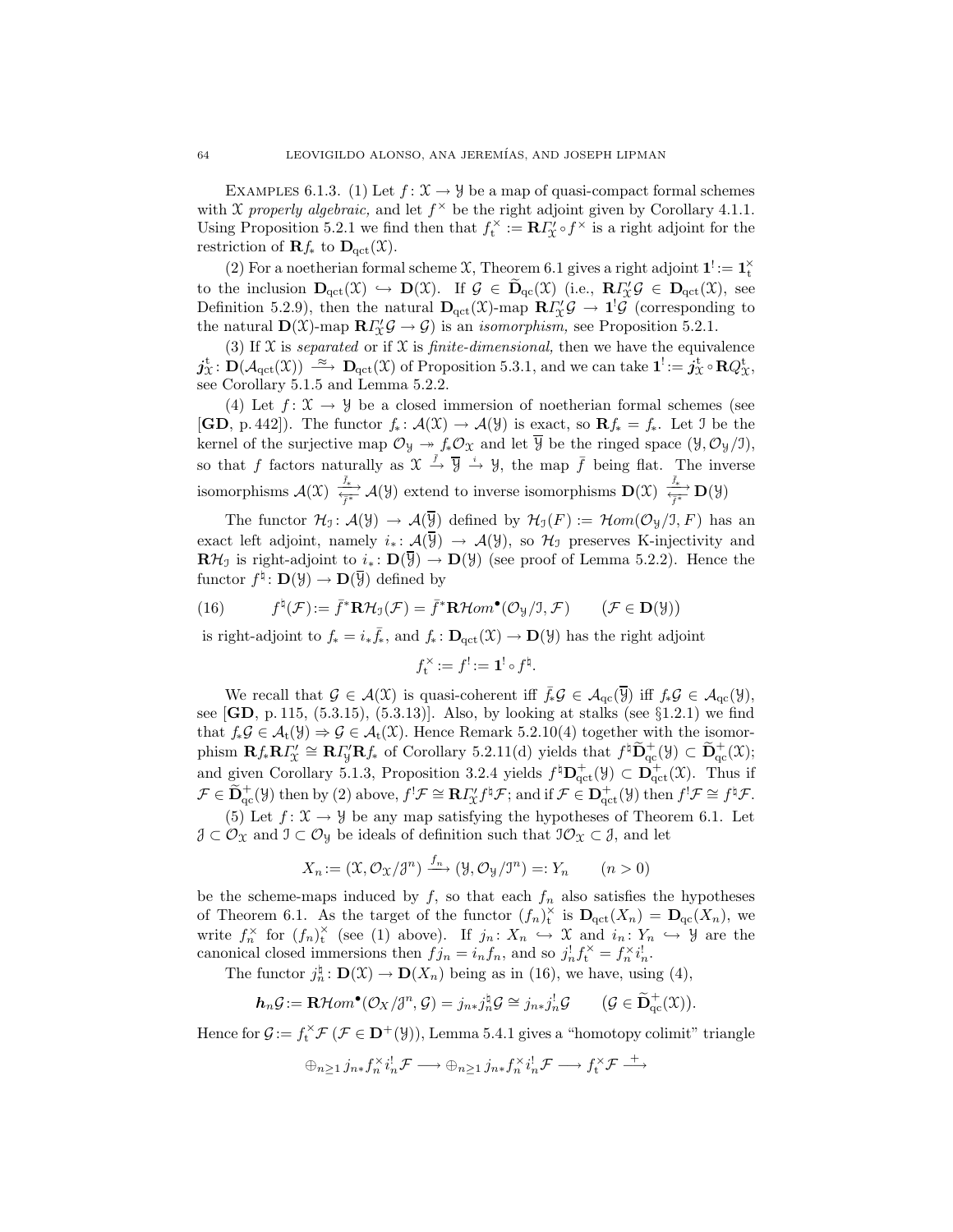EXAMPLES 6.1.3. (1) Let  $f: \mathcal{X} \to \mathcal{Y}$  be a map of quasi-compact formal schemes with X properly algebraic, and let  $f^{\times}$  be the right adjoint given by Corollary 4.1.1. Using Proposition 5.2.1 we find then that  $f_t^{\times} := \mathbf{R} I_{\mathcal{X}}^{\prime} \circ f^{\times}$  is a right adjoint for the restriction of  $\mathbf{R}f_*$  to  $\mathbf{D}_{\text{qct}}(\mathfrak{X})$ .

(2) For a noetherian formal scheme  $\mathfrak{X}$ , Theorem 6.1 gives a right adjoint  $\mathbf{1}^! := \mathbf{1}_t^{\times}$ to the inclusion  $\mathbf{D}_{\text{qct}}(\mathfrak{X}) \hookrightarrow \mathbf{D}(\mathfrak{X})$ . If  $\mathcal{G} \in \widetilde{\mathbf{D}}_{\text{qc}}(\mathfrak{X})$  (i.e.,  $\mathbf{R} \Gamma'_{\mathfrak{X}} \mathcal{G} \in \mathbf{D}_{\text{qct}}(\mathfrak{X})$ , see Definition 5.2.9), then the natural  $\mathbf{D}_{\text{qct}}(\mathcal{X})$ -map  $\mathbf{R} \Gamma_{\mathcal{X}}' \mathcal{G} \to \mathbf{1}^{\mathsf{I}} \mathcal{G}$  (corresponding to the natural  $\mathbf{D}(\mathfrak{X})$ -map  $\mathbf{R}I'_{\mathfrak{X}}\mathcal{G} \to \mathcal{G}$  is an *isomorphism*, see Proposition 5.2.1.

(3) If  $X$  is *separated* or if  $X$  is *finite-dimensional*, then we have the equivalence  $j_{\mathfrak{X}}^{\mathfrak{t}} \colon \mathbf{D}(\mathcal{A}_{\mathrm{qct}}(\mathfrak{X})) \stackrel{\approx}{\longrightarrow} \mathbf{D}_{\mathrm{qct}}(\mathfrak{X})$  of Proposition 5.3.1, and we can take  $\mathbf{1}^! := j_{\mathfrak{X}}^{\mathfrak{t}} \circ \mathbf{R} Q_{\mathfrak{X}}^{\mathfrak{t}}$ , see Corollary 5.1.5 and Lemma 5.2.2.

(4) Let  $f: \mathfrak{X} \to \mathcal{Y}$  be a closed immersion of noetherian formal schemes (see  $[\mathbf{GD}, \, \mathrm{p. 442}]$ . The functor  $f_* : \mathcal{A}(\mathfrak{X}) \to \mathcal{A}(\mathfrak{Y})$  is exact, so  $\mathbf{R} f_* = f_*$ . Let J be the kernel of the surjective map  $\mathcal{O}_y \rightarrow f_*\mathcal{O}_x$  and let  $\overline{y}$  be the ringed space  $(\overline{y}, \mathcal{O}_y/\overline{y})$ , so that f factors naturally as  $\mathfrak{X} \stackrel{\bar{f}}{\rightarrow} \overline{\mathfrak{Y}} \stackrel{i}{\rightarrow} \mathfrak{Y}$ , the map  $\bar{f}$  being flat. The inverse isomorphisms  $\mathcal{A}(\mathfrak{X}) \xrightarrow[\overline{f^*}]{\overline{f^*}} \mathcal{A}(\mathcal{Y})$  extend to inverse isomorphisms  $\mathbf{D}(\mathfrak{X}) \xrightarrow[\overline{f^*}]{\overline{f^*}} \mathbf{D}(\mathcal{Y})$ 

The functor  $\mathcal{H}_1: \mathcal{A}(\mathcal{Y}) \to \mathcal{A}(\overline{\mathcal{Y}})$  defined by  $\mathcal{H}_1(F) := \mathcal{H}om(\mathcal{O}_{\mathcal{Y}}/J, F)$  has an exact left adjoint, namely  $i_* : \mathcal{A}(\overline{Y}) \to \mathcal{A}(Y)$ , so  $\mathcal{H}_I$  preserves K-injectivity and  $\mathbb{R}\mathcal{H}_{\mathcal{I}}$  is right-adjoint to  $i_*\colon \mathbb{D}(\overline{\mathcal{Y}}) \to \mathbb{D}(\mathcal{Y})$  (see proof of Lemma 5.2.2). Hence the functor  $f^{\natural} \colon \mathbf{D}(\mathcal{Y}) \to \mathbf{D}(\overline{\mathcal{Y}})$  defined by

(16) 
$$
f^{\sharp}(\mathcal{F}) := \bar{f}^* \mathbf{R} \mathcal{H}_\mathfrak{I}(\mathcal{F}) = \bar{f}^* \mathbf{R} \mathcal{H}om^{\bullet}(\mathcal{O}_\mathfrak{Y}/\mathfrak{I}, \mathcal{F}) \qquad (\mathcal{F} \in \mathbf{D}(\mathfrak{Y}))
$$

is right-adjoint to  $f_* = i_* \bar{f}_*$ , and  $f_* : \mathbf{D}_{\text{qct}}(\mathfrak{X}) \to \mathbf{D}(\mathcal{Y})$  has the right adjoint

$$
f_t^\times := f^! := \mathbf{1}^! \circ f^\natural.
$$

We recall that  $\mathcal{G} \in \mathcal{A}(\mathfrak{X})$  is quasi-coherent iff  $\bar{f}_* \mathcal{G} \in \mathcal{A}_{\mathrm{qc}}(\overline{\mathcal{Y}})$  iff  $f_* \mathcal{G} \in \mathcal{A}_{\mathrm{qc}}(\mathcal{Y})$ , see  $[GD, p. 115, (5.3.15), (5.3.13)]$ . Also, by looking at stalks (see §1.2.1) we find that  $f_*\mathcal{G} \in \mathcal{A}_t(\mathcal{Y}) \Rightarrow \mathcal{G} \in \mathcal{A}_t(\mathcal{X})$ . Hence Remark 5.2.10(4) together with the isomorphism  $\mathbf{R} f_* \mathbf{R} I'_{\mathcal{X}} \cong \mathbf{R} I'_{\mathcal{Y}} \mathbf{R} f_*$  of Corollary 5.2.11(d) yields that  $f^{\sharp} \widetilde{\mathbf{D}}_{\mathrm{qc}}^{\dagger}(\mathcal{Y}) \subset \widetilde{\mathbf{D}}_{\mathrm{qc}}^{\dagger}(\mathcal{X});$ and given Corollary 5.1.3, Proposition 3.2.4 yields  $f^{\dagger} \mathbf{D}_{\mathrm{qct}}^{+}(\mathcal{Y}) \subset \mathbf{D}_{\mathrm{qct}}^{+}(\mathcal{X})$ . Thus if  $\mathcal{F} \in \widetilde{\mathbf{D}}_{\mathrm{qc}}^{+}(\mathcal{Y})$  then by (2) above,  $f^{!}\mathcal{F} \cong \mathbf{R}I_{\mathcal{X}}^{\prime}f^{\sharp}\mathcal{F}$ ; and if  $\mathcal{F} \in \mathbf{D}_{\mathrm{qc}^{+}}^{+}(\mathcal{Y})$  then  $f^{!}\mathcal{F} \cong f^{\sharp}\mathcal{F}$ .

(5) Let  $f: \mathfrak{X} \to \mathcal{Y}$  be any map satisfying the hypotheses of Theorem 6.1. Let  $\mathcal{J} \subset \mathcal{O}_\mathfrak{X}$  and  $\mathcal{I} \subset \mathcal{O}_\mathfrak{Y}$  be ideals of definition such that  $\mathcal{I}\mathcal{O}_\mathfrak{X} \subset \mathcal{J}$ , and let

$$
X_n := (\mathfrak{X}, \mathcal{O}_{\mathfrak{X}}/\mathfrak{Z}^n) \xrightarrow{f_n} (\mathfrak{Y}, \mathcal{O}_{\mathfrak{Y}}/\mathfrak{Y}^n) =: Y_n \qquad (n > 0)
$$

be the scheme-maps induced by  $f$ , so that each  $f_n$  also satisfies the hypotheses of Theorem 6.1. As the target of the functor  $(f_n)_t^{\times}$  is  $D_{\text{qct}}(X_n) = D_{\text{qc}}(X_n)$ , we write  $f_n^{\times}$  for  $(f_n)_t^{\times}$  (see (1) above). If  $j_n: X_n \longrightarrow \mathfrak{X}$  and  $i_n: Y_n \hookrightarrow \mathcal{Y}$  are the canonical closed immersions then  $f_{j_n} = i_n f_n$ , and so  $j_n^{\dagger} f_{\mathbf{t}}^{\times} = f_n^{\times} i_n^{\dagger}$ .

The functor  $j_n^{\natural}$ :  $\mathbf{D}(\mathcal{X}) \to \mathbf{D}(X_n)$  being as in (16), we have, using (4),

$$
\mathbf{h}_n \mathcal{G} := \mathbf{R} \mathcal{H}om^{\bullet}(\mathcal{O}_X/\mathcal{J}^n, \mathcal{G}) = j_{n*} j_n^{\dagger} \mathcal{G} \cong j_{n*} j_n^{\dagger} \mathcal{G} \qquad (\mathcal{G} \in \widetilde{\mathbf{D}}_{\mathrm{qc}}^+(\mathfrak{X})).
$$

Hence for  $\mathcal{G} := f_t^{\times} \mathcal{F} (\mathcal{F} \in \mathbf{D}^+(\mathcal{Y}))$ , Lemma 5.4.1 gives a "homotopy colimit" triangle

$$
\oplus_{n\geq 1} j_{n*} f_n^{\times} i_n^! \mathcal{F} \longrightarrow \oplus_{n\geq 1} j_{n*} f_n^{\times} i_n^! \mathcal{F} \longrightarrow f_t^{\times} \mathcal{F} \longrightarrow
$$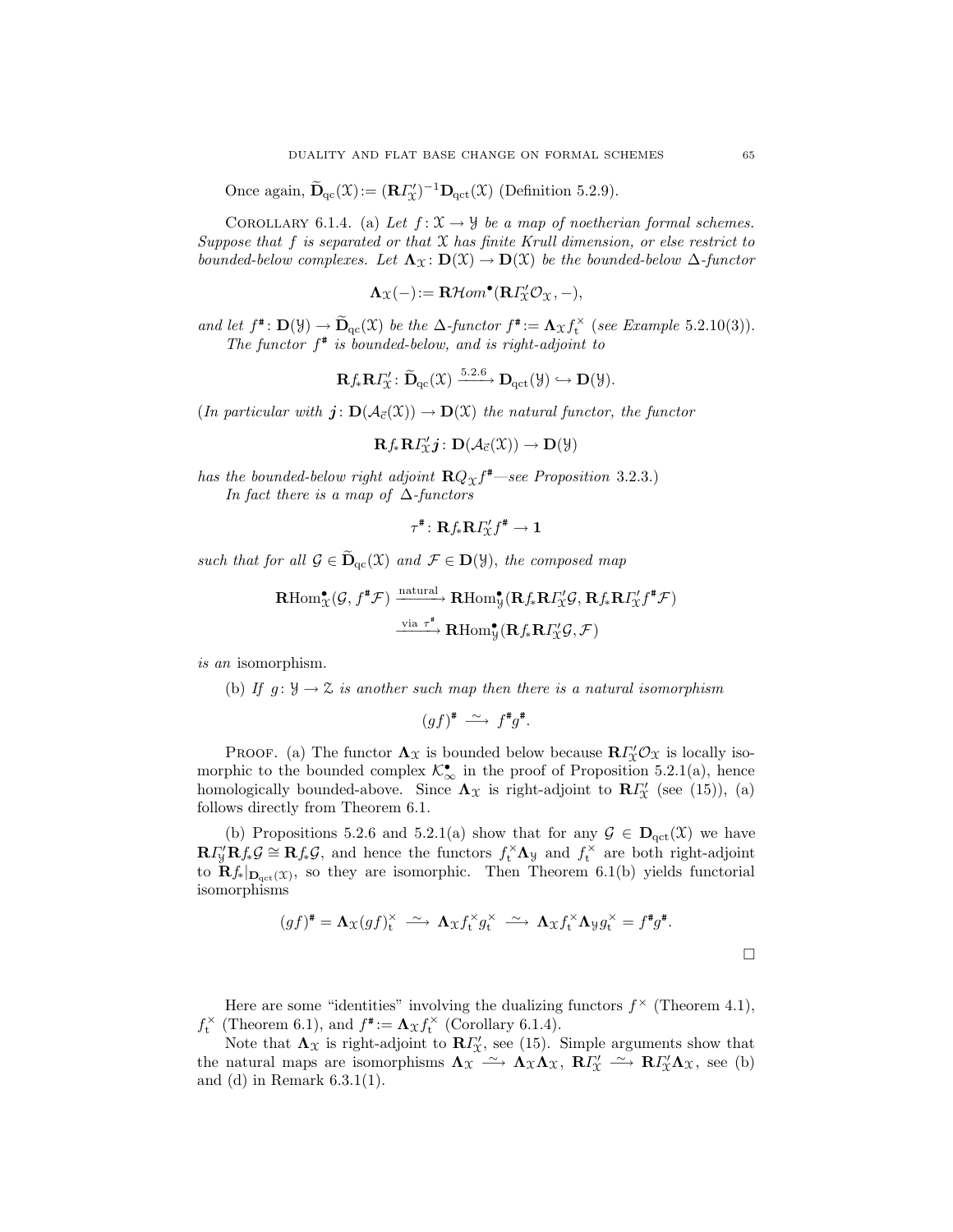Once again,  $\widetilde{\mathbf{D}}_{\text{qc}}(\mathfrak{X}):=(\mathbf{R}\mathbf{\Gamma}_{\mathfrak{X}}')^{-1}\mathbf{D}_{\text{qct}}(\mathfrak{X})$  (Definition 5.2.9).

COROLLARY 6.1.4. (a) Let  $f: \mathfrak{X} \to \mathcal{Y}$  be a map of noetherian formal schemes. Suppose that f is separated or that  $X$  has finite Krull dimension, or else restrict to bounded-below complexes. Let  $\Lambda_{\mathfrak{X}} : D(\mathfrak{X}) \to D(\mathfrak{X})$  be the bounded-below  $\Delta$ -functor

$$
\Lambda_{\mathfrak{X}}(-) := \mathbf{R}\mathcal{H}om^{\bullet}(\mathbf{R}\varGamma_{\mathfrak{X}}^{\prime}\mathcal{O}_{\mathfrak{X}}, -),
$$

and let  $f^*$ :  $\mathbf{D}(\mathcal{Y}) \to \widetilde{\mathbf{D}}_{\text{qc}}(\mathcal{X})$  be the  $\Delta$ -functor  $f^* := \Lambda_{\mathcal{X}} f_t^{\times}$  (see Example 5.2.10(3)). The functor  $f^*$  is bounded-below, and is right-adjoint to

$$
\mathbf{R} f_* \mathbf{R} \Gamma'_{\mathfrak{X}} \colon \widetilde{\mathbf{D}}_{\mathrm{qc}}(\mathfrak{X}) \xrightarrow{5.2.6} \mathbf{D}_{\mathrm{qct}}(\mathfrak{Y}) \hookrightarrow \mathbf{D}(\mathfrak{Y}).
$$

(In particular with  $j: D(\mathcal{A}_{\vec{c}}(\mathfrak{X})) \to D(\mathfrak{X})$  the natural functor, the functor

$$
\mathbf{R} f_{*}\mathbf{R} I^{\prime}_{\mathfrak{X}}\boldsymbol{j} \colon \mathbf{D}(\mathcal{A}_{\vec{c}}(\mathfrak{X})) \to \mathbf{D}(\mathcal{Y})
$$

has the bounded-below right adjoint  $\mathbf{R} Q_{\mathfrak{X}} f^*$ —see Proposition 3.2.3.) In fact there is a map of  $\Delta$ -functors

$$
\tau^{\texttt{\#}}\colon \mathbf{R} f_{\ast} \mathbf{R} \varGamma_{\!\mathcal{X}}' f^{\texttt{\#}} \to \mathbf{1}
$$

such that for all  $\mathcal{G} \in \widetilde{\mathbf{D}}_{\mathrm{qc}}(\mathfrak{X})$  and  $\mathcal{F} \in \mathbf{D}(\mathcal{Y})$ , the composed map

$$
\mathbf{R}\mathrm{Hom}^{\bullet}_{\mathcal{X}}(\mathcal{G},f^{\#}\mathcal{F}) \xrightarrow{\text{natural}} \mathbf{R}\mathrm{Hom}^{\bullet}_{\mathcal{Y}}(\mathbf{R}f_{*}\mathbf{R}I_{\mathcal{X}}^{\prime}\mathcal{G},\mathbf{R}f_{*}\mathbf{R}I_{\mathcal{X}}^{\prime}f^{\#}\mathcal{F})
$$
\n
$$
\xrightarrow{\text{via }\tau^{\#}} \mathbf{R}\mathrm{Hom}^{\bullet}_{\mathcal{Y}}(\mathbf{R}f_{*}\mathbf{R}I_{\mathcal{X}}^{\prime}\mathcal{G},\mathcal{F})
$$

is an isomorphism.

(b) If  $g: \mathcal{Y} \to \mathcal{Z}$  is another such map then there is a natural isomorphism

$$
(gf)^{\#} \stackrel{\sim}{\longrightarrow} f^{\#}g^{\#}.
$$

PROOF. (a) The functor  $\Lambda_{\mathfrak{X}}$  is bounded below because  $\mathbf{R} \Gamma'_{\mathfrak{X}} \mathcal{O}_{\mathfrak{X}}$  is locally isomorphic to the bounded complex  $\mathcal{K}_{\infty}^{\bullet}$  in the proof of Proposition 5.2.1(a), hence homologically bounded-above. Since  $\Lambda_{\mathfrak{X}}$  is right-adjoint to  $\mathbb{R}I_{\mathfrak{X}}'$  (see (15)), (a) follows directly from Theorem 6.1.

(b) Propositions 5.2.6 and 5.2.1(a) show that for any  $\mathcal{G} \in \mathbf{D}_{\text{qct}}(\mathcal{X})$  we have  $\mathbf{R} \Gamma'_{\mathcal{Y}} \mathbf{R} f_* \mathcal{G} \cong \mathbf{R} f_* \mathcal{G}$ , and hence the functors  $f_t^{\times} \Lambda_{\mathcal{Y}}$  and  $f_t^{\times}$  are both right-adjoint to  $\mathbf{R} f_*|_{\mathbf{D}_{\text{qct}}(\mathfrak{X})}$ , so they are isomorphic. Then Theorem 6.1(b) yields functorial isomorphisms

$$
(gf)^{\#} = \mathbf{\Lambda}_{\mathfrak{X}}(gf)^{\times}_{\mathfrak{t}} \xrightarrow{\sim} \mathbf{\Lambda}_{\mathfrak{X}} f_{\mathfrak{t}}^{\times} g_{\mathfrak{t}}^{\times} \xrightarrow{\sim} \mathbf{\Lambda}_{\mathfrak{X}} f_{\mathfrak{t}}^{\times} \mathbf{\Lambda}_{\mathfrak{Y}} g_{\mathfrak{t}}^{\times} = f^{\#} g^{\#}.
$$

Here are some "identities" involving the dualizing functors  $f^{\times}$  (Theorem 4.1),  $f_t^{\times}$  (Theorem 6.1), and  $f^{\#} := \Lambda_{\mathcal{X}} f_t^{\times}$  (Corollary 6.1.4).

Note that  $\Lambda_{\mathfrak{X}}$  is right-adjoint to  $\mathbb{R}I'_{\mathfrak{X}}$ , see (15). Simple arguments show that the natural maps are isomorphisms  $\Lambda_{\mathfrak{X}} \longrightarrow \Lambda_{\mathfrak{X}} \Lambda_{\mathfrak{X}}$ ,  $\mathbf{R} \Gamma'_{\mathfrak{X}} \longrightarrow \mathbf{R} \Gamma'_{\mathfrak{X}} \Lambda_{\mathfrak{X}}$ , see (b) and (d) in Remark 6.3.1(1).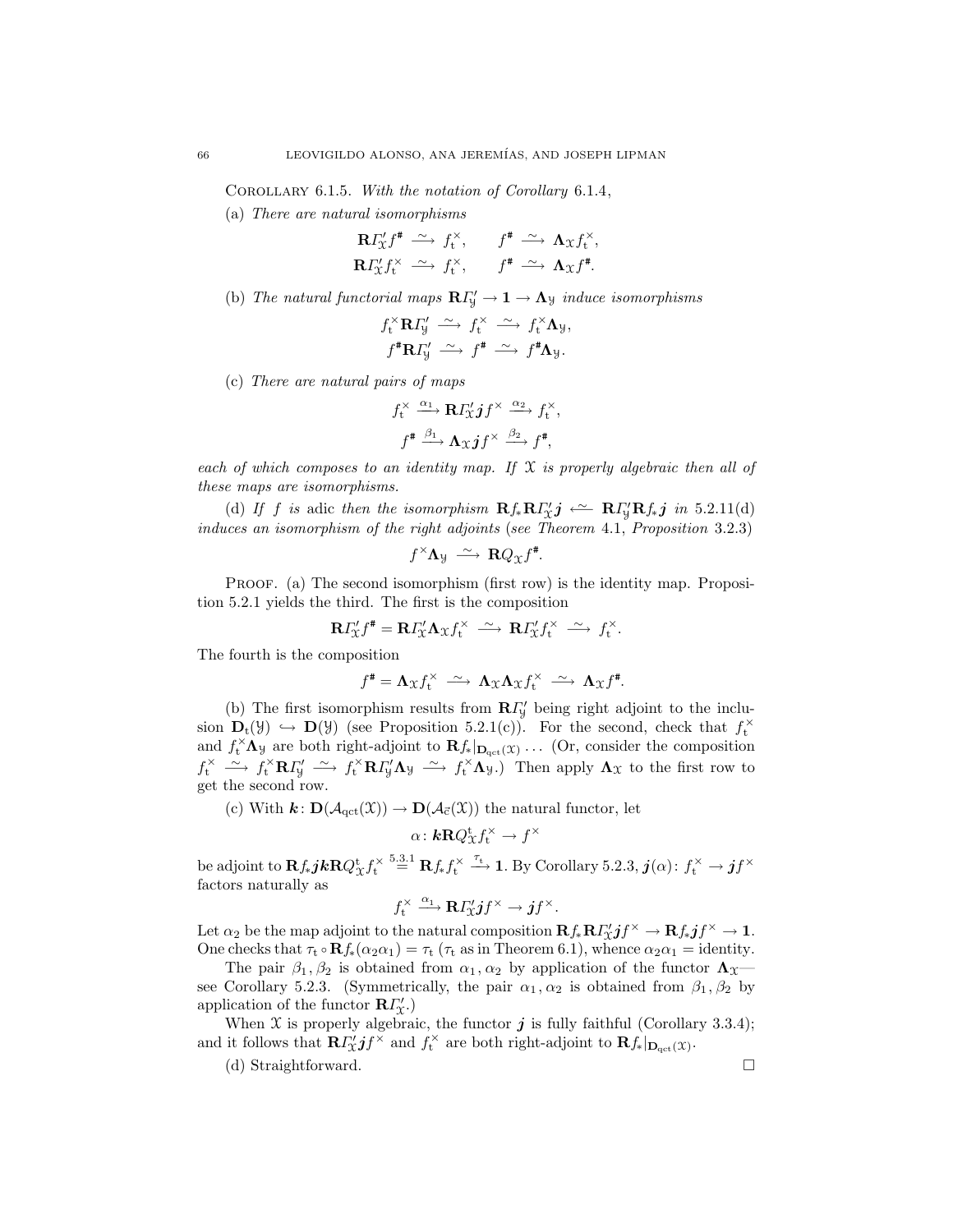COROLLARY 6.1.5. With the notation of Corollary 6.1.4,

(a) There are natural isomorphisms

$$
\mathbf{R} \Gamma_{\mathcal{X}}^{\prime} f^{\ast} \xrightarrow{\sim} f_{t}^{\times}, \qquad f^{\ast} \xrightarrow{\sim} \mathbf{\Lambda}_{\mathcal{X}} f_{t}^{\times}, \mathbf{R} \Gamma_{\mathcal{X}}^{\prime} f_{t}^{\times} \xrightarrow{\sim} f_{t}^{\times}, \qquad f^{\ast} \xrightarrow{\sim} \mathbf{\Lambda}_{\mathcal{X}} f^{\ast}.
$$

(b) The natural functorial maps  $\mathbf{R} \Gamma'_{y} \to \mathbf{1} \to \mathbf{\Lambda}_{y}$  induce isomorphisms

$$
f_t^{\times} \mathbf{R} I_y' \xrightarrow{\sim} f_t^{\times} \xrightarrow{\sim} f_t^{\times} \Lambda_y,
$$
  

$$
f^{\#} \mathbf{R} I_y' \xrightarrow{\sim} f^{\#} \xrightarrow{\sim} f^{\#} \Lambda_y.
$$

(c) There are natural pairs of maps

$$
f_t^* \xrightarrow{\alpha_1} \mathbf{R} I_x' j f^\times \xrightarrow{\alpha_2} f_t^\times,
$$
  

$$
f^* \xrightarrow{\beta_1} \Lambda_x j f^\times \xrightarrow{\beta_2} f^*,
$$

each of which composes to an identity map. If  $\mathfrak X$  is properly algebraic then all of these maps are isomorphisms.

(d) If f is adic then the isomorphism  $\mathbf{R} f_* \mathbf{R} \Gamma''_{\mathbf{X}} \mathbf{j} \leftarrow \mathbf{R} \Gamma''_{\mathbf{Y}} \mathbf{R} f_* \mathbf{j}$  in 5.2.11(d) induces an isomorphism of the right adjoints (see Theorem 4.1, Proposition 3.2.3)

$$
f^{\times} \Lambda_{\mathcal{Y}} \stackrel{\sim}{\longrightarrow} \mathbf{R} Q_{\mathcal{X}} f^{\sharp}.
$$

PROOF. (a) The second isomorphism (first row) is the identity map. Proposition 5.2.1 yields the third. The first is the composition

$$
\mathbf{R}\Gamma_{\mathcal{X}}'f^* = \mathbf{R}\Gamma_{\mathcal{X}}'\mathbf{\Lambda}_{\mathcal{X}}f_t^{\times} \stackrel{\sim}{\longrightarrow} \mathbf{R}\Gamma_{\mathcal{X}}'f_t^{\times} \stackrel{\sim}{\longrightarrow} f_t^{\times}.
$$

The fourth is the composition

$$
f^{\#} = \mathbf{\Lambda}_{\mathfrak{X}} f_{\mathfrak{t}}^{\times} \stackrel{\sim}{\longrightarrow} \mathbf{\Lambda}_{\mathfrak{X}} \mathbf{\Lambda}_{\mathfrak{X}} f_{\mathfrak{t}}^{\times} \stackrel{\sim}{\longrightarrow} \mathbf{\Lambda}_{\mathfrak{X}} f^{\#}.
$$

(b) The first isomorphism results from  $\mathbb{R}I_{\mathcal{Y}}^{\prime}$  being right adjoint to the inclusion  $\mathbf{D}_t(\mathcal{Y}) \hookrightarrow \mathbf{D}(\mathcal{Y})$  (see Proposition 5.2.1(c)). For the second, check that  $f_t^{\times}$ and  $f_t^{\times} \Lambda_y$  are both right-adjoint to  $\mathbf{R} f_*|_{\mathbf{D}_{\text{qct}}(\mathcal{X})}$ ... (Or, consider the composition  $f_t^{\times} \longrightarrow f_t^{\times} \mathbf{R} I_y' \longrightarrow f_t^{\times} \mathbf{R} I_y' \Lambda_y \longrightarrow f_t^{\times} \Lambda_y.$  Then apply  $\Lambda_x$  to the first row to get the second row.

(c) With  $\mathbf{k} \colon \mathbf{D}(\mathcal{A}_{\mathrm{qct}}(\mathfrak{X})) \to \mathbf{D}(\mathcal{A}_{\vec{c}}(\mathfrak{X}))$  the natural functor, let

$$
\alpha\colon \mathbf{k}\mathbf{R}Q_{\mathfrak{X}}^{\mathbf{t}}f_{\mathbf{t}}^{\times}\to f^{\times}
$$

be adjoint to  $\mathbf{R} f_* j \mathbf{k} \mathbf{R} Q_X^{\mathrm{t}} f_{\mathrm{t}}^{\times} \stackrel{5.3.1}{=} \mathbf{R} f_* f_{\mathrm{t}}^{\times} \stackrel{\tau_{\mathrm{t}}}{\longrightarrow} \mathbf{1}$ . By Corollary 5.2.3,  $\boldsymbol{j}(\alpha) \colon f_{\mathrm{t}}^{\times} \to \boldsymbol{j} f^{\times}$ factors naturally as

$$
f_{\mathrm{t}}^{\times} \stackrel{\alpha_1}{\longrightarrow} \mathbf{R} \varGamma_{\!\mathrm{x}}' j f^{\times} \to j f^{\times}.
$$

Let  $\alpha_2$  be the map adjoint to the natural composition  $\mathbf{R} f_* \mathbf{R} \Gamma_x' j f^\times \to \mathbf{R} f_* j f^\times \to \mathbf{1}$ . One checks that  $\tau_t \circ \mathbf{R} f_*(\alpha_2 \alpha_1) = \tau_t (\tau_t \text{ as in Theorem 6.1}), \text{ whence } \alpha_2 \alpha_1 = \text{identity.}$ 

The pair  $\beta_1, \beta_2$  is obtained from  $\alpha_1, \alpha_2$  by application of the functor  $\Lambda_{\mathfrak{X}}$  see Corollary 5.2.3. (Symmetrically, the pair  $\alpha_1, \alpha_2$  is obtained from  $\beta_1, \beta_2$  by application of the functor  $\mathbf{R}\Gamma'_{\mathcal{X}}$ .)

When  $\mathfrak X$  is properly algebraic, the functor  $j$  is fully faithful (Corollary 3.3.4); and it follows that  $\mathbf{R} \Gamma'_{\mathcal{X}} j f^{\times}$  and  $f_t^{\times}$  are both right-adjoint to  $\mathbf{R} f_*|_{\mathbf{D}_{\text{qct}}(\mathcal{X})}$ .

(d) Straightforward.

$$
\Box
$$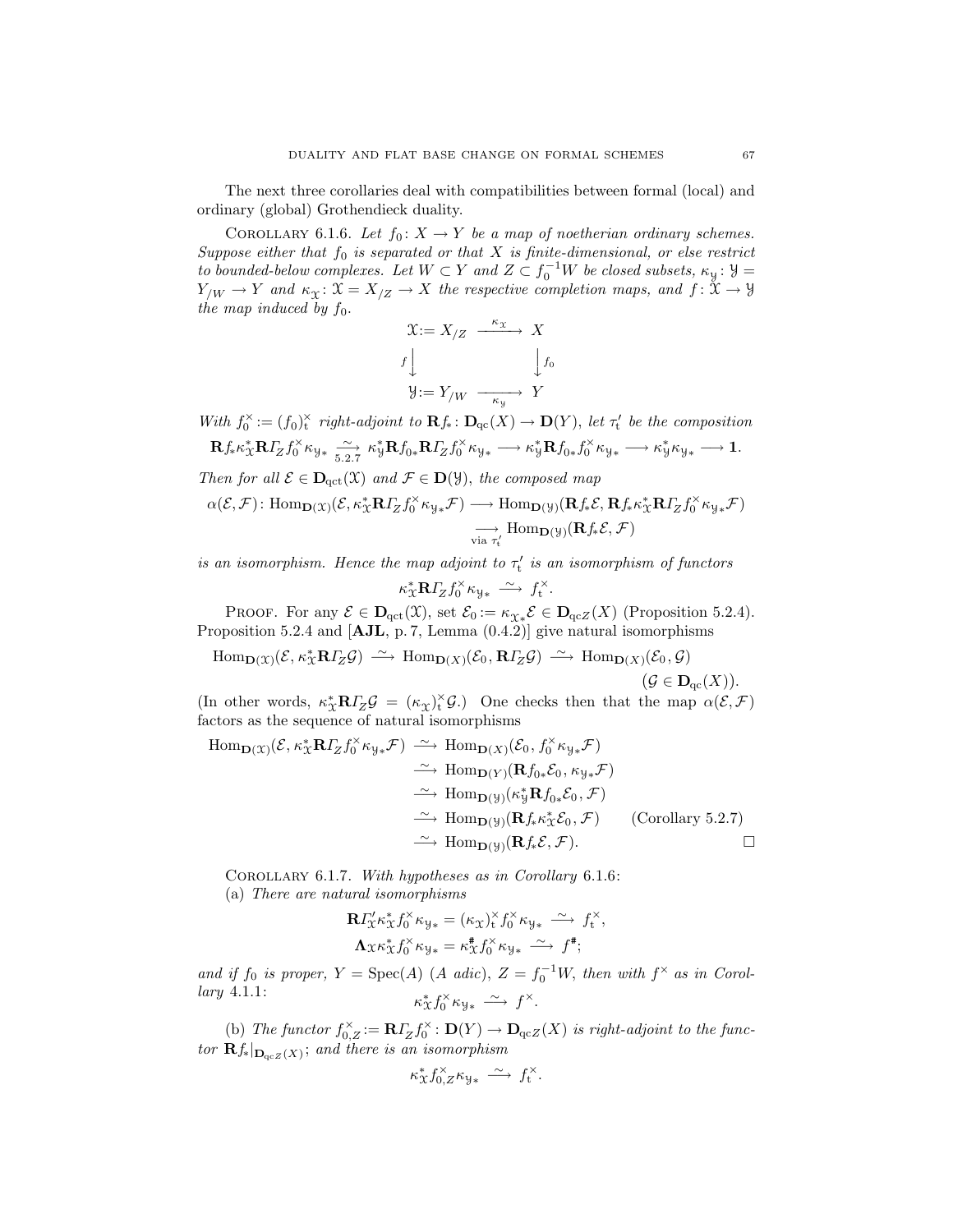The next three corollaries deal with compatibilities between formal (local) and ordinary (global) Grothendieck duality.

COROLLARY 6.1.6. Let  $f_0: X \to Y$  be a map of noetherian ordinary schemes. Suppose either that  $f_0$  is separated or that  $X$  is finite-dimensional, or else restrict to bounded-below complexes. Let  $W \subset Y$  and  $Z \subset f_0^{-1}W$  be closed subsets,  $\kappa_y : Y =$  $Y_{/W} \to Y$  and  $\kappa_X \colon \mathfrak{X} = X_{/Z} \to X$  the respective completion maps, and  $f \colon \mathfrak{X} \to \mathcal{Y}$ the map induced by  $f_0$ .

$$
\mathcal{X} := X_{/Z} \xrightarrow{\kappa_{\mathcal{X}}} X
$$

$$
f \downarrow \qquad \qquad f_{0}
$$

$$
\mathcal{Y} := Y_{/W} \xrightarrow{\kappa_{\mathcal{Y}}} Y
$$

With  $f_0^{\times} := (f_0)_t^{\times}$  right-adjoint to  $\mathbf{R} f_* \colon \mathbf{D}_{\mathrm{qc}}(X) \to \mathbf{D}(Y)$ , let  $\tau'_t$  be the composition  ${\bf R} f_{*} \kappa_{\mathfrak{X}}^{*} {\bf R} I_{Z} f_{0}^{\times} \kappa_{\mathfrak{Y}*} \xrightarrow{\sim} \kappa_{\mathfrak{Y}}^{*} {\bf R} f_{0*} f_{0}^{\times} \kappa_{\mathfrak{Y}*} \longrightarrow \kappa_{\mathfrak{Y}}^{*} {\bf R} f_{0*} f_{0}^{\times} \kappa_{\mathfrak{Y}*} \longrightarrow \kappa_{\mathfrak{Y}}^{*} \kappa_{\mathfrak{Y}*} \longrightarrow 1.$ 

Then for all  $\mathcal{E} \in \mathbf{D}_{\mathrm{qct}}(\mathfrak{X})$  and  $\mathcal{F} \in \mathbf{D}(\mathfrak{Y})$ , the composed map ∗

$$
\alpha(\mathcal{E}, \mathcal{F}) : \text{Hom}_{\mathbf{D}(\mathfrak{X})}(\mathcal{E}, \kappa_{\mathfrak{X}}^* \mathbf{R} I_Z f_0^{\times} \kappa_{\mathfrak{Y}*} \mathcal{F}) \longrightarrow \text{Hom}_{\mathbf{D}(\mathfrak{Y})}(\mathbf{R} f_* \mathcal{E}, \mathbf{R} f_* \kappa_{\mathfrak{X}}^* \mathbf{R} I_Z f_0^{\times} \kappa_{\mathfrak{Y}*} \mathcal{F})
$$
  

$$
\longrightarrow_{\text{via } \tau_t'} \text{Hom}_{\mathbf{D}(\mathfrak{Y})}(\mathbf{R} f_* \mathcal{E}, \mathcal{F})
$$

is an isomorphism. Hence the map adjoint to  $\tau_t'$  is an isomorphism of functors

$$
\kappa_{\mathfrak{X}}^* \mathbf{R} \Gamma_Z f_0^\times \kappa_{\mathfrak{Y}*} \xrightarrow{\sim} f_t^\times.
$$

PROOF. For any  $\mathcal{E} \in \mathbf{D}_{\text{qct}}(\mathcal{X})$ , set  $\mathcal{E}_0 := \kappa_{\mathcal{X}*} \mathcal{E} \in \mathbf{D}_{\text{qcz}}(X)$  (Proposition 5.2.4). Proposition 5.2.4 and [AJL, p. 7, Lemma (0.4.2)] give natural isomorphisms

$$
\text{Hom}_{\mathbf{D}(X)}(\mathcal{E}, \kappa_X^* \mathbf{R} I_Z^* \mathcal{G}) \xrightarrow{\sim} \text{Hom}_{\mathbf{D}(X)}(\mathcal{E}_0, \mathbf{R} I_Z^* \mathcal{G}) \xrightarrow{\sim} \text{Hom}_{\mathbf{D}(X)}(\mathcal{E}_0, \mathcal{G})
$$

$$
(\mathcal{G} \in \mathbf{D}_{\text{qc}}(X)).
$$

(In other words,  $\kappa_{\mathfrak{X}}^* \mathbf{R} I_Z \mathcal{G} = (\kappa_{\mathfrak{X}})_t^{\times} \mathcal{G}$ .) One checks then that the map  $\alpha(\mathcal{E}, \mathcal{F})$ factors as the sequence of natural isomorphisms

Hom<sub>**D**</sub>(
$$
\mathbf{x}
$$
) $(\mathcal{E}, \kappa_{\mathbf{X}}^* \mathbf{R} I_Z f_0^{\times} \kappa_{\mathbf{y}_{*}} \mathcal{F}) \xrightarrow{\sim} \text{Hom}_{\mathbf{D}(X)}(\mathcal{E}_0, f_0^{\times} \kappa_{\mathbf{y}_{*}} \mathcal{F})$   
\n $\xrightarrow{\sim} \text{Hom}_{\mathbf{D}(Y)}(\mathbf{R} f_{0*} \mathcal{E}_0, \kappa_{\mathbf{y}_{*}} \mathcal{F})$   
\n $\xrightarrow{\sim} \text{Hom}_{\mathbf{D}(Y)}(\kappa_{\mathbf{y}}^* \mathbf{R} f_{0*} \mathcal{E}_0, \mathcal{F})$   
\n $\xrightarrow{\sim} \text{Hom}_{\mathbf{D}(Y)}(\mathbf{R} f_{*} \kappa_{\mathbf{X}}^* \mathcal{E}_0, \mathcal{F})$  (Corollary 5.2.7)  
\n $\xrightarrow{\sim} \text{Hom}_{\mathbf{D}(Y)}(\mathbf{R} f_{*} \mathcal{E}, \mathcal{F}).$ 

Corollary 6.1.7. With hypotheses as in Corollary 6.1.6: (a) There are natural isomorphisms

$$
\mathbf{R} \Gamma_{\mathcal{X}}^{\prime} \kappa_{\mathcal{X}}^{*} f_{0}^{\times} \kappa_{\mathcal{Y}*} = (\kappa_{\mathcal{X}})_{t}^{\times} f_{0}^{\times} \kappa_{\mathcal{Y}*} \xrightarrow{\sim} f_{t}^{\times},
$$

$$
\mathbf{\Lambda}_{\mathcal{X}} \kappa_{\mathcal{X}}^{*} f_{0}^{\times} \kappa_{\mathcal{Y}*} = \kappa_{\mathcal{X}}^{*} f_{0}^{\times} \kappa_{\mathcal{Y}*} \xrightarrow{\sim} f^{\#};
$$

and if  $f_0$  is proper,  $Y = \text{Spec}(A)$  (A adic),  $Z = f_0^{-1}W$ , then with  $f^{\times}$  as in Corollary 4.1.1:  $\kappa_{\mathfrak{X}}^* f_0^\times \kappa_{\mathfrak{Y}*} \longrightarrow f^\times.$ 

(b) The functor  $f_{0,Z}^{\times} := \mathbf{R} \Gamma_Z f_0^{\times} : \mathbf{D}(Y) \to \mathbf{D}_{\text{qc}Z}(X)$  is right-adjoint to the functor  $\mathbf{R} f_*|_{\mathbf{D}_{\mathrm{qc}Z}(X)}$ ; and there is an isomorphism

$$
\kappa^*_\mathfrak{X} f_{0,Z}^\times \kappa_{\mathfrak{Y}*} \xrightarrow{\sim} f_t^\times.
$$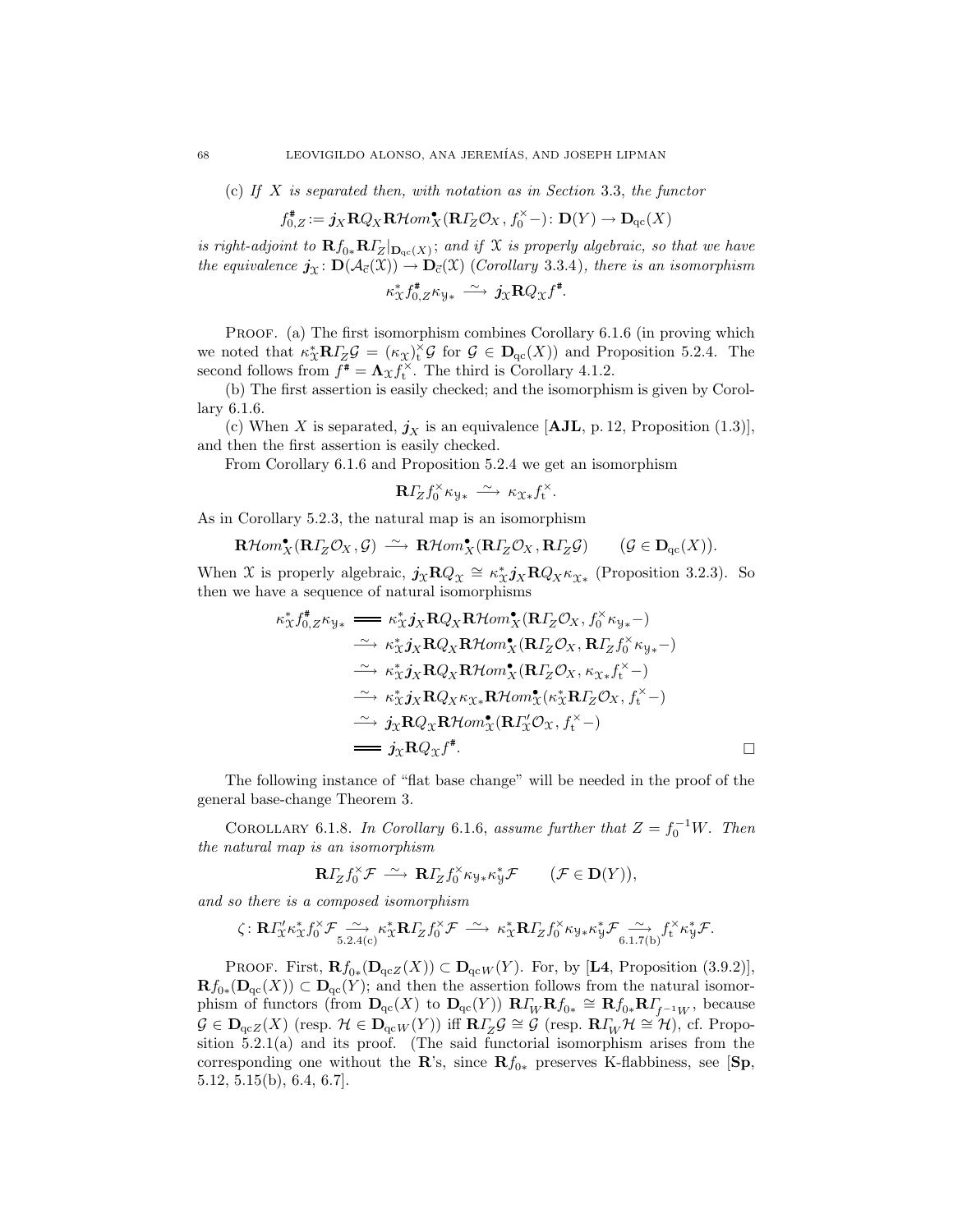(c) If  $X$  is separated then, with notation as in Section 3.3, the functor

$$
f_{0,Z}^{\#}:=\boldsymbol{j}_X\mathbf{R} Q_X\mathbf{R}\mathcal{H}om_{X}^{\bullet}(\mathbf{R}\boldsymbol{\varGamma}_{\!\!Z}\mathcal{O}_X,f_0^\times-)\colon \mathbf{D}(Y)\to \mathbf{D}_\mathrm{qc}(X)
$$

is right-adjoint to  $\mathbf{R} f_{0*} \mathbf{R} I_Z^-|_{\mathbf{D}_{\mathrm{qc}}(X)}$ ; and if X is properly algebraic, so that we have the equivalence  $\mathbf{j}_{\mathfrak{X}} \colon \mathbf{D}(\mathcal{A}_{\vec{c}}(\mathfrak{X})) \to \mathbf{D}_{\vec{c}}(\mathfrak{X})$  (Corollary 3.3.4), there is an isomorphism  $\kappa_{\mathfrak{X}}^* f_{0,Z}^* \kappa_{\mathfrak{Y}*} \stackrel{\sim}{\longrightarrow} j_{\mathfrak{X}} \mathbf{R} Q_{\mathfrak{X}} f^*.$ 

PROOF. (a) The first isomorphism combines Corollary 6.1.6 (in proving which we noted that  $\kappa_X^* \mathbf{R} I_Z \mathcal{G} = (\kappa_X)^* \mathcal{G}$  for  $\mathcal{G} \in \mathbf{D}_{\mathrm{qc}}(X)$  and Proposition 5.2.4. The second follows from  $f^* = \Lambda_{\mathcal{X}} f_t^{\times}$ . The third is Corollary 4.1.2.

(b) The first assertion is easily checked; and the isomorphism is given by Corollary 6.1.6.

(c) When X is separated,  $j_X$  is an equivalence [AJL, p. 12, Proposition (1.3)], and then the first assertion is easily checked.

From Corollary 6.1.6 and Proposition 5.2.4 we get an isomorphism

$$
\mathbf{R} \Gamma_Z f_0^{\times} \kappa_{\mathcal{Y}*} \xrightarrow{\sim} \kappa_{\mathcal{X}*} f_t^{\times}.
$$

As in Corollary 5.2.3, the natural map is an isomorphism

$$
\mathbf{R}\mathcal{H}om_{X}^{\bullet}(\mathbf{R}\Gamma_{Z}\mathcal{O}_{X},\mathcal{G})\ \stackrel{\sim}{\longrightarrow}\ \mathbf{R}\mathcal{H}om_{X}^{\bullet}(\mathbf{R}\Gamma_{Z}\mathcal{O}_{X},\mathbf{R}\Gamma_{Z}\mathcal{G})\qquad(\mathcal{G}\in\mathbf{D}_{\mathrm{qc}}(X)).
$$

When X is properly algebraic,  $j_x \mathbf{R} Q_x \cong \kappa_x^* j_x \mathbf{R} Q_x \kappa_{x*}$  (Proposition 3.2.3). So then we have a sequence of natural isomorphisms

$$
\kappa_X^* f_{0,Z}^* \kappa_{y*} \nightharpoonup \kappa_X^* j_X \mathbf{R} Q_X \mathbf{R} \mathcal{H} \text{om}_X^{\bullet}(\mathbf{R} \Gamma_Z \mathcal{O}_X, f_0^{\times} \kappa_{y*})
$$
\n
$$
\xrightarrow{\sim} \kappa_X^* j_X \mathbf{R} Q_X \mathbf{R} \mathcal{H} \text{om}_X^{\bullet}(\mathbf{R} \Gamma_Z \mathcal{O}_X, \mathbf{R} \Gamma_Z f_0^{\times} \kappa_{y*})
$$
\n
$$
\xrightarrow{\sim} \kappa_X^* j_X \mathbf{R} Q_X \mathbf{R} \mathcal{H} \text{om}_X^{\bullet}(\mathbf{R} \Gamma_Z \mathcal{O}_X, \kappa_{X*} f_0^{\times})
$$
\n
$$
\xrightarrow{\sim} \kappa_X^* j_X \mathbf{R} Q_X \kappa_{X*} \mathbf{R} \mathcal{H} \text{om}_X^{\bullet}(\kappa_X^* \mathbf{R} \Gamma_Z \mathcal{O}_X, f_0^{\times})
$$
\n
$$
\xrightarrow{\sim} j_X \mathbf{R} Q_X \mathbf{R} \mathcal{H} \text{om}_X^{\bullet}(\mathbf{R} \Gamma_X^{\prime} \mathcal{O}_X, f_0^{\times})
$$
\n
$$
\xrightarrow{\longrightarrow} j_X \mathbf{R} Q_X f^*.
$$

The following instance of "flat base change" will be needed in the proof of the general base-change Theorem 3.

COROLLARY 6.1.8. In Corollary 6.1.6, assume further that  $Z = f_0^{-1}W$ . Then the natural map is an isomorphism

$$
\mathbf{R}\Gamma_Z f_0^{\times} \mathcal{F} \stackrel{\sim}{\longrightarrow} \mathbf{R}\Gamma_Z f_0^{\times} \kappa_{\mathcal{Y}*} \kappa_{\mathcal{Y}}^* \mathcal{F} \qquad (\mathcal{F} \in \mathbf{D}(Y)),
$$

and so there is a composed isomorphism

$$
\zeta \colon \mathbf{R} \Gamma_{\mathfrak{X}}' \kappa_{\mathfrak{X}}^* f_0^\times \mathcal{F} \xrightarrow[5.2.4(c)} \kappa_{\mathfrak{X}}^* \mathbf{R} \Gamma_Z f_0^\times \mathcal{F} \xrightarrow{\sim} \kappa_{\mathfrak{X}}^* \mathbf{R} \Gamma_Z f_0^\times \kappa_{\mathcal{Y}} \kappa_{\mathfrak{Y}}^* \mathcal{F} \xrightarrow[6.1.7(b)} f_t^\times \kappa_{\mathfrak{Y}}^* \mathcal{F}.
$$

PROOF. First,  $\mathbf{R} f_{0*}(\mathbf{D}_{\mathrm{qc}Z}(X)) \subset \mathbf{D}_{\mathrm{qc}W}(Y)$ . For, by [L4, Proposition (3.9.2)],  $\mathbf{R} f_{0*}(\mathbf{D}_{\mathrm{qc}}(X)) \subset \mathbf{D}_{\mathrm{qc}}(Y)$ ; and then the assertion follows from the natural isomorphism of functors (from  $D_{\text{qc}}(X)$  to  $D_{\text{qc}}(Y)$ )  $R\Gamma_W^{\mathbf{R}}f_{0*} \cong Rf_{0*}R\Gamma_{f^{-1}W}^{\mathbf{R}},$  because  $G \in \mathbf{D}_{\mathrm{qc}Z}(X)$  (resp.  $\mathcal{H} \in \mathbf{D}_{\mathrm{qc}W}(Y)$ ) iff  $\mathbf{R}\Gamma_Z\mathcal{G} \cong \mathcal{G}$  (resp.  $\mathbf{R}\Gamma_W\mathcal{H} \cong \mathcal{H}$ ), cf. Proposition 5.2.1(a) and its proof. (The said functorial isomorphism arises from the corresponding one without the R's, since  $Rf_{0*}$  preserves K-flabbiness, see [Sp, 5.12, 5.15(b), 6.4, 6.7].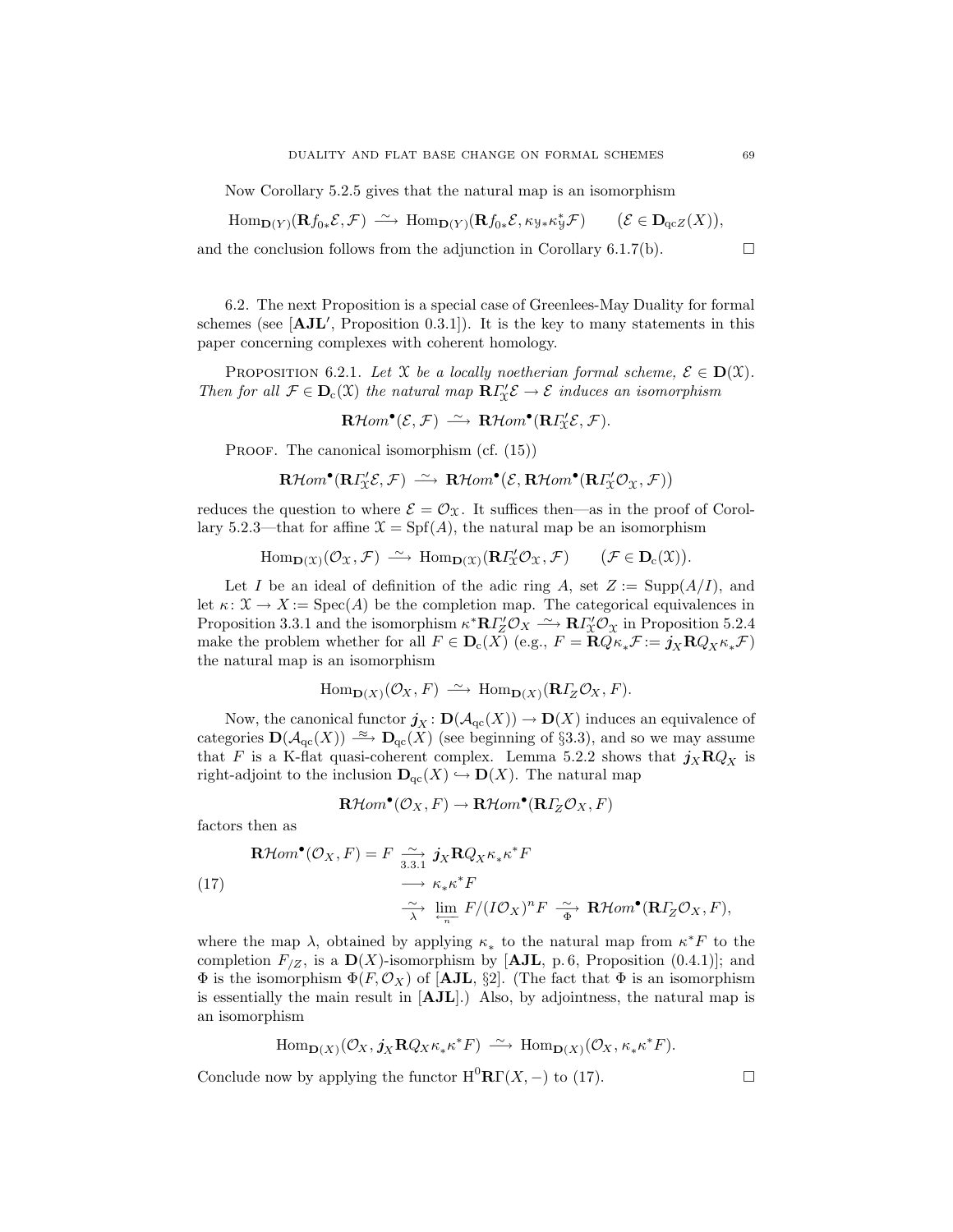Now Corollary 5.2.5 gives that the natural map is an isomorphism

$$
\mathrm{Hom}_{\mathbf{D}(Y)}(\mathbf{R} f_{0*} \mathcal{E}, \mathcal{F}) \xrightarrow{\sim} \mathrm{Hom}_{\mathbf{D}(Y)}(\mathbf{R} f_{0*} \mathcal{E}, \kappa_{\mathcal{Y}*} \kappa_{\mathcal{Y}}^{*} \mathcal{F}) \qquad (\mathcal{E} \in \mathbf{D}_{\mathrm{qcZ}}(X)),
$$

and the conclusion follows from the adjunction in Corollary 6.1.7(b).  $\Box$ 

6.2. The next Proposition is a special case of Greenlees-May Duality for formal schemes (see  $[AJL', Proposition 0.3.1]$ ). It is the key to many statements in this paper concerning complexes with coherent homology.

**PROPOSITION** 6.2.1. Let X be a locally noetherian formal scheme,  $\mathcal{E} \in D(\mathcal{X})$ . Then for all  $\mathcal{F} \in \mathbf{D}_{c}(\mathfrak{X})$  the natural map  $\mathbf{R}\Gamma'_{\mathfrak{X}}\mathcal{E} \to \mathcal{E}$  induces an isomorphism

$$
\mathbf{R}\mathcal{H}om^{\bullet}(\mathcal{E},\mathcal{F})\ \stackrel{\sim}{\longrightarrow}\ \mathbf{R}\mathcal{H}om^{\bullet}(\mathbf{R}\varGamma_{\!\!X}^{\prime}\mathcal{E},\mathcal{F}).
$$

PROOF. The canonical isomorphism (cf.  $(15)$ )

$$
\mathbf{R}\mathcal{H}om^{\bullet}(\mathbf{R}\Gamma_{\mathcal{X}}'\mathcal{E},\mathcal{F})\ \stackrel{\sim}{\longrightarrow}\ \mathbf{R}\mathcal{H}om^{\bullet}(\mathcal{E},\mathbf{R}\mathcal{H}om^{\bullet}(\mathbf{R}\Gamma_{\mathcal{X}}'\mathcal{O}_{\mathcal{X}},\mathcal{F}))
$$

reduces the question to where  $\mathcal{E} = \mathcal{O}_{\mathfrak{X}}$ . It suffices then—as in the proof of Corollary 5.2.3—that for affine  $\mathfrak{X} = \mathrm{Spf}(A)$ , the natural map be an isomorphism

 $\text{Hom}_{\mathbf{D}(\mathfrak{X})}(\mathcal{O}_{\mathfrak{X}}, \mathcal{F}) \longrightarrow \text{Hom}_{\mathbf{D}(\mathfrak{X})}(\mathbf{R} \Gamma'_{\mathfrak{X}} \mathcal{O}_{\mathfrak{X}}, \mathcal{F}) \qquad (\mathcal{F} \in \mathbf{D}_{c}(\mathfrak{X})).$ 

Let I be an ideal of definition of the adic ring A, set  $Z := \text{Supp}(A/I)$ , and let  $\kappa: \mathfrak{X} \to X := \text{Spec}(A)$  be the completion map. The categorical equivalences in Proposition 3.3.1 and the isomorphism  $\kappa^* \mathbb{R} I''_Z \mathcal{O}_X \xrightarrow{\sim} \mathbb{R} I''_X \mathcal{O}_X$  in Proposition 5.2.4 make the problem whether for all  $F \in \mathbf{D}_{c}(X)$  (e.g.,  $F = \mathbf{R}Q\kappa_*\mathcal{F} := \mathbf{j}_X\mathbf{R}Q_X\kappa_*\mathcal{F}$ ) the natural map is an isomorphism

$$
\operatorname{Hom}\nolimits_{{\mathbf D}(X)}({\mathcal O}_X,F)\ \stackrel{\sim}{\longrightarrow}\ \operatorname{Hom}\nolimits_{{\mathbf D}(X)}({\mathbf R}\varGamma_Z{\mathcal O}_X,F).
$$

Now, the canonical functor  $\mathbf{j}_X : \mathbf{D}(\mathcal{A}_{\mathrm{qc}}(X)) \to \mathbf{D}(X)$  induces an equivalence of categories  $\mathbf{D}(\mathcal{A}_{\mathrm{qc}}(X)) \stackrel{\approx}{\longrightarrow} \mathbf{D}_{\mathrm{qc}}(X)$  (see beginning of §3.3), and so we may assume that F is a K-flat quasi-coherent complex. Lemma 5.2.2 shows that  $j_X \mathbf{R} Q_X$  is right-adjoint to the inclusion  $\mathbf{D}_{\mathrm{qc}}(X) \hookrightarrow \mathbf{D}(X)$ . The natural map

$$
\mathbf{R}\mathcal{H}om^{\bullet}(\mathcal{O}_X,F)\rightarrow\mathbf{R}\mathcal{H}om^{\bullet}(\mathbf{R}\varGamma_Z\mathcal{O}_X,F)
$$

factors then as

(17)  
\n
$$
\mathbf{R}\mathcal{H}om^{\bullet}(\mathcal{O}_X, F) = F \xrightarrow[3.3.1]{\sim} \mathbf{J}_X \mathbf{R} Q_X \kappa_* \kappa^* F
$$
\n
$$
\xrightarrow[\sim]{\sim} \kappa_* \kappa^* F
$$
\n
$$
\xrightarrow[\sim]{\sim} \lim_{n} F/(I\mathcal{O}_X)^n F \xrightarrow[\sim]{\sim} \mathbf{R}\mathcal{H}om^{\bullet}(\mathbf{R}I_Z \mathcal{O}_X, F),
$$

where the map  $\lambda$ , obtained by applying  $\kappa_*$  to the natural map from  $\kappa^* F$  to the completion  $F_{/Z}$ , is a  $\mathbf{D}(X)$ -isomorphism by [AJL, p. 6, Proposition (0.4.1)]; and  $\Phi$  is the isomorphism  $\Phi(F, \mathcal{O}_X)$  of [AJL, §2]. (The fact that  $\Phi$  is an isomorphism is essentially the main result in  $[AJL]$ .) Also, by adjointness, the natural map is an isomorphism

$$
\mathrm{Hom}_{\mathbf{D}(X)}(\mathcal{O}_X, \mathbf{j}_X \mathbf{R} Q_X \kappa_* \kappa^* F) \xrightarrow{\sim} \mathrm{Hom}_{\mathbf{D}(X)}(\mathcal{O}_X, \kappa_* \kappa^* F).
$$

Conclude now by applying the functor  $\mathrm{H}^0\mathbf{R}\Gamma(X, -)$  to (17).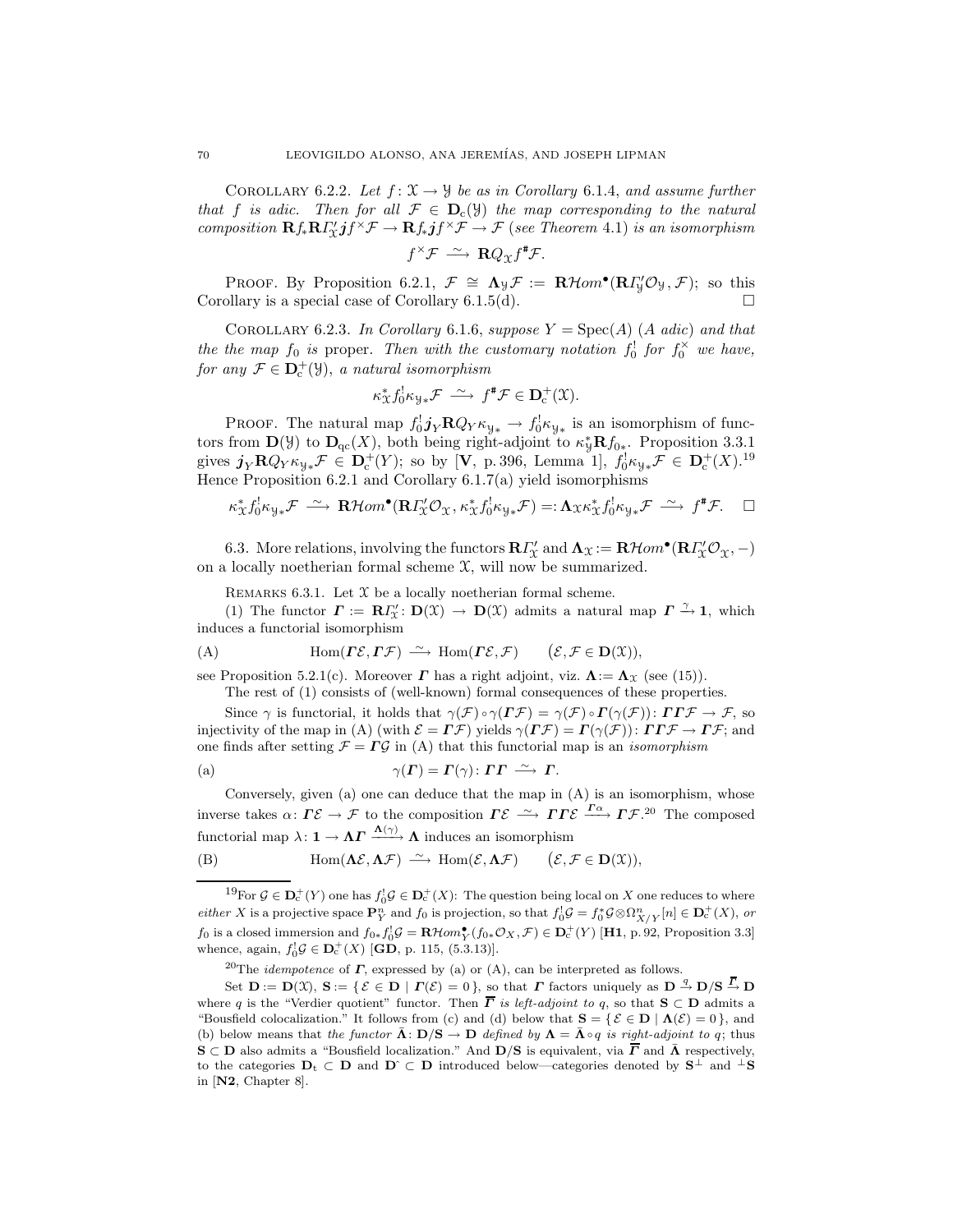COROLLARY 6.2.2. Let  $f: \mathfrak{X} \to \mathfrak{Y}$  be as in Corollary 6.1.4, and assume further that f is adic. Then for all  $\mathcal{F} \in \mathbf{D}_{c}(\mathcal{Y})$  the map corresponding to the natural composition  $\mathbf{R} f_* \mathbf{R} \Gamma'_x j f^\times \mathcal{F} \to \mathbf{R} f_* j f^\times \mathcal{F} \to \mathcal{F}$  (see Theorem 4.1) is an isomorphism

 $f^{\times} \mathcal{F} \stackrel{\sim}{\longrightarrow} \mathbf{R} Q_{\mathfrak{X}} f^{\sharp} \mathcal{F}.$ 

PROOF. By Proposition 6.2.1,  $\mathcal{F} \cong \Lambda_{\mathcal{Y}} \mathcal{F} := \mathbf{R} \mathcal{H}om^{\bullet}(\mathbf{R} \Gamma_{\mathcal{Y}}' \mathcal{O}_{\mathcal{Y}}, \mathcal{F});$  so this Corollary is a special case of Corollary 6.1.5(d).  $\square$ 

COROLLARY 6.2.3. In Corollary 6.1.6, suppose  $Y = \text{Spec}(A)$  (A adic) and that the the map  $f_0$  is proper. Then with the customary notation  $f_0^!$  for  $f_0^{\times}$  we have, for any  $\mathcal{F} \in \mathbf{D}_{c}^{+}(\mathcal{Y})$ , a natural isomorphism

$$
\kappa^*_{\mathfrak{X}} f_0^! \kappa_{\mathfrak{Y}*} \mathcal{F} \stackrel{\sim}{\longrightarrow} f^* \mathcal{F} \in \mathbf{D}_{\mathbf{c}}^+(\mathfrak{X}).
$$

PROOF. The natural map  $f_0^! j_Y \mathbf{R} Q_Y \kappa_{y*} \to f_0^! \kappa_{y*}$  is an isomorphism of functors from  $\mathbf{D}(\mathcal{Y})$  to  $\mathbf{D}_{\text{qc}}(X)$ , both being right-adjoint to  $\kappa_{\mathcal{Y}}^* \mathbf{R} f_{0*}$ . Proposition 3.3.1 gives  $j_Y \mathbf{R} Q_Y \kappa_{y*} \mathcal{F} \in \mathbf{D}_{\mathrm{c}}^+(Y)$ ; so by [V, p. 396, Lemma 1],  $f_0^{\dagger} \kappa_{y*} \mathcal{F} \in \mathbf{D}_{\mathrm{c}}^+(X)$ .<sup>19</sup> Hence Proposition 6.2.1 and Corollary 6.1.7(a) yield isomorphisms

$$
\kappa^*_{\mathfrak{X}} f_0^! \kappa_{\mathfrak{Y}*} \mathcal{F} \stackrel{\sim}{\longrightarrow} \mathbf{R}\mathcal{H}om^{\bullet}(\mathbf{R} \Gamma_{\mathfrak{X}}' \mathcal{O}_{\mathfrak{X}}, \kappa^*_{\mathfrak{X}} f_0^! \kappa_{\mathfrak{Y}*} \mathcal{F}) =: \Lambda_{\mathfrak{X}} \kappa^*_{\mathfrak{X}} f_0^! \kappa_{\mathfrak{Y}*} \mathcal{F} \stackrel{\sim}{\longrightarrow} f^* \mathcal{F}. \quad \Box
$$

6.3. More relations, involving the functors  $\mathbf{R}\Gamma'_{\mathcal{X}}$  and  $\mathbf{\Lambda}_{\mathcal{X}} := \mathbf{R}\mathcal{H}om^{\bullet}(\mathbf{R}\Gamma'_{\mathcal{X}}\mathcal{O}_{\mathcal{X}}, -)$ on a locally noetherian formal scheme  $\mathfrak{X}$ , will now be summarized.

REMARKS 6.3.1. Let  $X$  be a locally noetherian formal scheme.

(1) The functor  $\mathbf{\Gamma} := \mathbf{R} \Gamma'_{\mathcal{X}} : \mathbf{D}(\mathcal{X}) \to \mathbf{D}(\mathcal{X})$  admits a natural map  $\mathbf{\Gamma} \xrightarrow{\gamma} \mathbf{1}$ , which induces a functorial isomorphism

(A) 
$$
\text{Hom}(\Gamma \mathcal{E}, \Gamma \mathcal{F}) \xrightarrow{\sim} \text{Hom}(\Gamma \mathcal{E}, \mathcal{F}) \qquad (\mathcal{E}, \mathcal{F} \in \mathbf{D}(\mathfrak{X})),
$$

see Proposition 5.2.1(c). Moreover  $\Gamma$  has a right adjoint, viz.  $\Lambda := \Lambda_{\mathfrak{X}}$  (see (15)).

The rest of (1) consists of (well-known) formal consequences of these properties.

Since  $\gamma$  is functorial, it holds that  $\gamma(F) \circ \gamma(F\mathcal{F}) = \gamma(\mathcal{F}) \circ \Gamma(\gamma(\mathcal{F})) : \Gamma \Gamma \mathcal{F} \to \mathcal{F}$ , so injectivity of the map in (A) (with  $\mathcal{E} = \Gamma \mathcal{F}$ ) yields  $\gamma(\Gamma \mathcal{F}) = \Gamma(\gamma(\mathcal{F}))$ :  $\Gamma \Gamma \mathcal{F} \to \Gamma \mathcal{F}$ ; and one finds after setting  $\mathcal{F} = \Gamma \mathcal{G}$  in (A) that this functorial map is an *isomorphism* 

(a) 
$$
\gamma(\Gamma) = \Gamma(\gamma) : \Gamma \Gamma \stackrel{\sim}{\longrightarrow} \Gamma.
$$

Conversely, given  $(a)$  one can deduce that the map in  $(A)$  is an isomorphism, whose inverse takes  $\alpha\colon \Gamma\mathcal{E} \to \mathcal{F}$  to the composition  $\Gamma\mathcal{E} \stackrel{\sim}{\longrightarrow} \Gamma\Gamma\mathcal{E} \stackrel{\Gamma\alpha}{\longrightarrow} \Gamma\mathcal{F}$ <sup>20</sup> The composed functorial map  $\lambda: \mathbf{1} \to \Lambda \Gamma \xrightarrow{\Lambda(\gamma)} \Lambda$  induces an isomorphism

(B) 
$$
\text{Hom}(\Lambda \mathcal{E}, \Lambda \mathcal{F}) \xrightarrow{\sim} \text{Hom}(\mathcal{E}, \Lambda \mathcal{F}) \qquad (\mathcal{E}, \mathcal{F} \in \mathbf{D}(\mathfrak{X})),
$$

<sup>19</sup>For  $\mathcal{G} \in \mathbf{D}_{c}^{+}(Y)$  one has  $f_0^{\dagger} \mathcal{G} \in \mathbf{D}_{c}^{+}(X)$ : The question being local on X one reduces to where either X is a projective space  $\mathbf{P}_{Y}^{n}$  and  $f_{0}$  is projection, so that  $f_{0}^{1}G = f_{0}^{*}G \otimes \Omega_{X/Y}^{n}[n] \in \mathbf{D}_{c}^{+}(X)$ , or  $f_0$  is a closed immersion and  $f_{0*}f_0^!G = \mathbf{R}\mathcal{H}om_{Y}^{\bullet}(f_{0*}\mathcal{O}_X,\mathcal{F}) \in \mathbf{D}_{c}^+(Y)$  [H1, p. 92, Proposition 3.3] whence, again,  $f_0^! \mathcal{G} \in \mathbf{D}_{c}^{+}(X)$  [**GD**, p. 115, (5.3.13)].

<sup>20</sup>The *idempotence* of  $\Gamma$ , expressed by (a) or (A), can be interpreted as follows.

Set  $\mathbf{D} := \mathbf{D}(\mathfrak{X}), \mathbf{S} := \{ \mathcal{E} \in \mathbf{D} \mid \mathbf{\Gamma}(\mathcal{E}) = 0 \},$  so that  $\mathbf{\Gamma}$  factors uniquely as  $\mathbf{D} \stackrel{q}{\rightarrow} \mathbf{D}/\mathbf{S} \stackrel{\overline{\mathbf{\Gamma}}}{\rightarrow} \mathbf{D}$ where q is the "Verdier quotient" functor. Then  $\overline{\Gamma}$  is left-adjoint to q, so that  $S \subset D$  admits a "Bousfield colocalization." It follows from (c) and (d) below that  $S = \{ \mathcal{E} \in D \mid \Lambda(\mathcal{E}) = 0 \}$ , and (b) below means that the functor  $\bar{\mathbf{\Lambda}}$ :  $\mathbf{D}/\mathbf{S} \to \mathbf{D}$  defined by  $\mathbf{\Lambda} = \bar{\mathbf{\Lambda}} \circ q$  is right-adjoint to q; thus  $S \subset D$  also admits a "Bousfield localization." And  $D/S$  is equivalent, via  $\overline{\Gamma}$  and  $\overline{\Lambda}$  respectively, to the categories  $D_t \subset D$  and  $D \subset D$  introduced below—categories denoted by  $S^{\perp}$  and  $^{\perp}S$ in [N2, Chapter 8].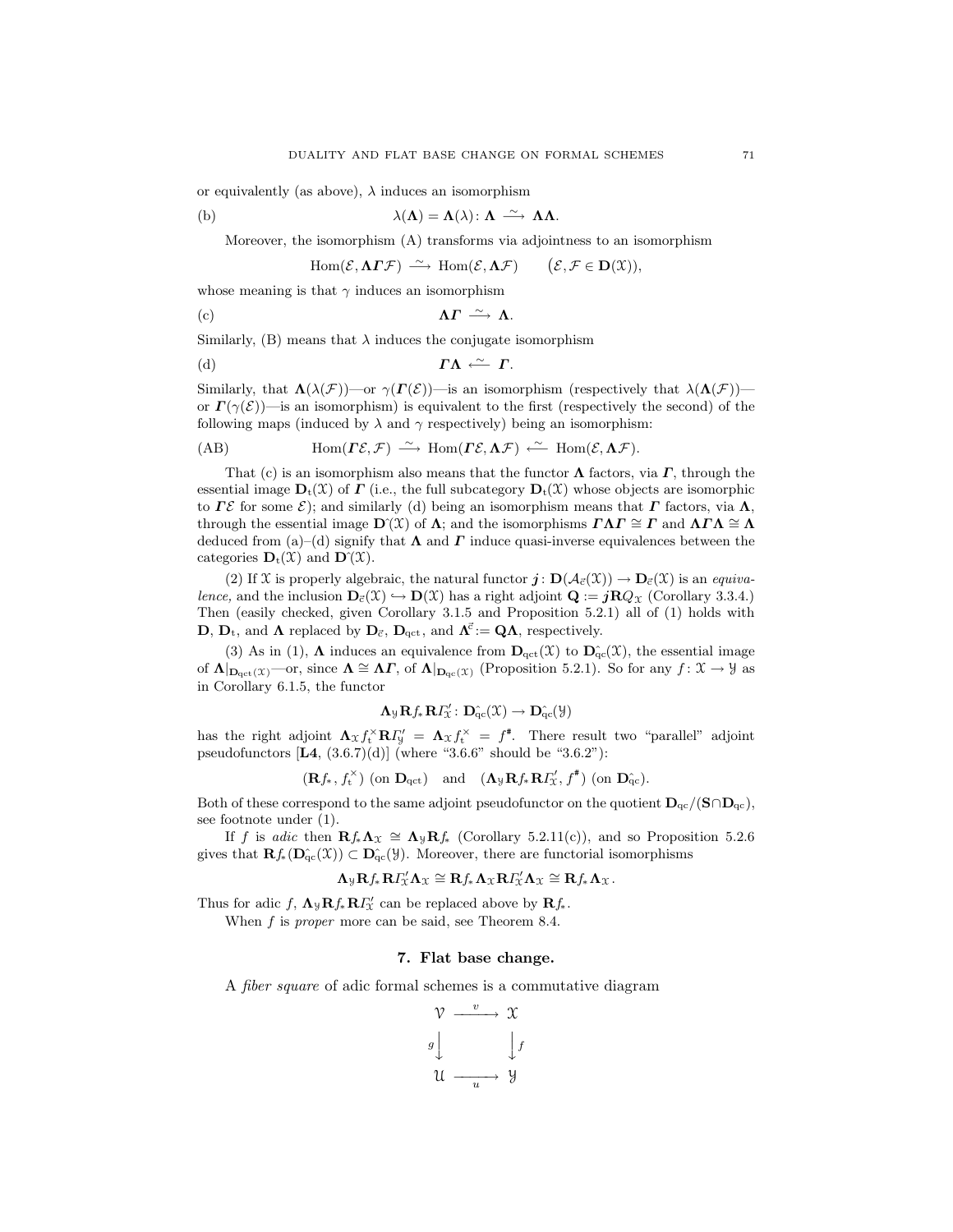or equivalently (as above),  $\lambda$  induces an isomorphism

(b) 
$$
\lambda(\Lambda) = \Lambda(\lambda) : \Lambda \xrightarrow{\sim} \Lambda \Lambda.
$$

Moreover, the isomorphism (A) transforms via adjointness to an isomorphism

$$
\operatorname{Hom}(\mathcal{E},\mathbf{\Lambda}\boldsymbol{\varGamma}\mathcal{F})\ \stackrel{\sim}{\longrightarrow}\ \operatorname{Hom}(\mathcal{E},\mathbf{\Lambda}\mathcal{F})\qquad\big(\mathcal{E},\mathcal{F}\in\mathbf{D}(\mathfrak{X})\big),
$$

whose meaning is that  $\gamma$  induces an isomorphism

(c) 
$$
\Lambda \Gamma \stackrel{\sim}{\longrightarrow} \Lambda
$$
.

Similarly, (B) means that  $\lambda$  induces the conjugate isomorphism

(d) 
$$
\Gamma \Lambda \stackrel{\sim}{\longleftarrow} \Gamma.
$$

Similarly, that  $\Lambda(\lambda(\mathcal{F}))$ —or  $\gamma(\Gamma(\mathcal{E}))$ —is an isomorphism (respectively that  $\lambda(\Lambda(\mathcal{F}))$  or  $\Gamma(\gamma(\mathcal{E}))$ —is an isomorphism) is equivalent to the first (respectively the second) of the following maps (induced by  $\lambda$  and  $\gamma$  respectively) being an isomorphism:

$$
(AB) \tHom(\Gamma \mathcal{E}, \mathcal{F}) \xrightarrow{\sim} \text{Hom}(\Gamma \mathcal{E}, \Lambda \mathcal{F}) \xleftarrow{\sim} \text{Hom}(\mathcal{E}, \Lambda \mathcal{F}).
$$

That (c) is an isomorphism also means that the functor  $\Lambda$  factors, via  $\Gamma$ , through the essential image  $\mathbf{D}_t(\mathcal{X})$  of  $\Gamma$  (i.e., the full subcategory  $\mathbf{D}_t(\mathcal{X})$  whose objects are isomorphic to Γε for some  $\mathcal{E}$ ); and similarly (d) being an isomorphism means that Γ factors, via  $\Lambda$ , through the essential image  $\mathbf{D}^{\gamma}(\mathcal{X})$  of  $\Lambda$ ; and the isomorphisms  $\Gamma \Lambda \Gamma \cong \Gamma$  and  $\Lambda \Gamma \Lambda \cong \Lambda$ deduced from (a)–(d) signify that  $\Lambda$  and  $\Gamma$  induce quasi-inverse equivalences between the categories  $\mathbf{D}_t(\mathfrak{X})$  and  $\mathbf{D}(\mathfrak{X})$ .

(2) If X is properly algebraic, the natural functor  $j: D(\mathcal{A}_{\vec{c}}(\mathcal{X})) \to D_{\vec{c}}(\mathcal{X})$  is an *equiva*lence, and the inclusion  $D_{\vec{c}}(\mathcal{X}) \hookrightarrow D(\mathcal{X})$  has a right adjoint  $\mathbf{Q} := j\mathbf{R}Q_{\mathcal{X}}$  (Corollary 3.3.4.) Then (easily checked, given Corollary 3.1.5 and Proposition 5.2.1) all of (1) holds with **D**,  $\mathbf{D}_{t}$ , and  $\mathbf{\Lambda}$  replaced by  $\mathbf{D}_{\vec{c}}$ ,  $\mathbf{D}_{\text{qct}}$ , and  $\mathbf{\Lambda}^{\vec{c}} := \mathbf{Q}\mathbf{\Lambda}$ , respectively.

(3) As in (1),  $\Lambda$  induces an equivalence from  $\mathbf{D}_{\text{qct}}(\mathcal{X})$  to  $\mathbf{D}_{\text{qc}}^{\sim}(\mathcal{X})$ , the essential image of  $\Lambda|_{\mathbf{D}_{\mathrm{qct}}(\mathfrak{X})}$ —or, since  $\Lambda \cong \Lambda \Gamma$ , of  $\Lambda|_{\mathbf{D}_{\mathrm{qct}}(\mathfrak{X})}$  (Proposition 5.2.1). So for any  $f: \mathfrak{X} \to \mathcal{Y}$  as in Corollary 6.1.5, the functor

$$
\Lambda_{\mathcal{Y}}\mathbf{R}f_{*}\mathbf{R}\varGamma_{\mathcal{X}}'\colon\mathbf{D}^{\hat{}}_{qc}(\mathcal{X})\to\mathbf{D}^{\hat{}}_{qc}(\mathcal{Y})
$$

has the right adjoint  $\Lambda_{\mathfrak{X}} f_{\mathbf{t}}^{\times} \mathbf{R} \Gamma_{\mathbf{y}}' = \Lambda_{\mathfrak{X}} f_{\mathbf{t}}^{\times} = f^*$ . There result two "parallel" adjoint pseudofunctors  $[L4, (3.6.7)(d)]$  (where "3.6.6" should be "3.6.2"):

$$
(\mathbf{R} f_*, f_{{\mathbf{t}}}^{\times}) \text{ (on } \mathbf{D}_{{\mathrm{qct}}}) \quad \text{and} \quad (\mathbf{\Lambda}_{{\mathcal{Y}}} \mathbf{R} f_* \mathbf{R} I_{{\mathcal{X}}}^{\prime}, f^*) \text{ (on } \mathbf{D}_{{\mathrm{qc}}}^{\wedge}).
$$

Both of these correspond to the same adjoint pseudofunctor on the quotient  $D_{qc}/(S \cap D_{qc})$ , see footnote under (1).

If f is adic then  $\mathbb{R}f_*\Lambda_{\mathfrak{X}} \cong \Lambda_{\mathfrak{Y}}\mathbb{R}f_*$  (Corollary 5.2.11(c)), and so Proposition 5.2.6 gives that  $\mathbf{R}f_*(\mathbf{D}_{\mathrm{qc}}(X)) \subset \mathbf{D}_{\mathrm{qc}}(Y)$ . Moreover, there are functorial isomorphisms

$$
\Lambda_{\mathcal{Y}}\mathbf{R}f_*\mathbf{R}\Gamma''_{\mathcal{X}}\Lambda_{\mathcal{X}}\cong \mathbf{R}f_*\mathbf{\Lambda}_{\mathcal{X}}\mathbf{R}\Gamma''_{\mathcal{X}}\mathbf{\Lambda}_{\mathcal{X}}\cong \mathbf{R}f_*\mathbf{\Lambda}_{\mathcal{X}}.
$$

Thus for adic f,  $\mathbf{\Lambda}_{\mathcal{Y}} \mathbf{R} f_* \mathbf{R} F'_x$  can be replaced above by  $\mathbf{R} f_*$ .

When  $f$  is *proper* more can be said, see Theorem 8.4.

## 7. Flat base change.

A fiber square of adic formal schemes is a commutative diagram

$$
\begin{array}{ccc}\n\mathcal{V} & \xrightarrow{v} & \mathcal{X} \\
g & & \downarrow f \\
\mathcal{U} & \xrightarrow{u} & \mathcal{Y}\n\end{array}
$$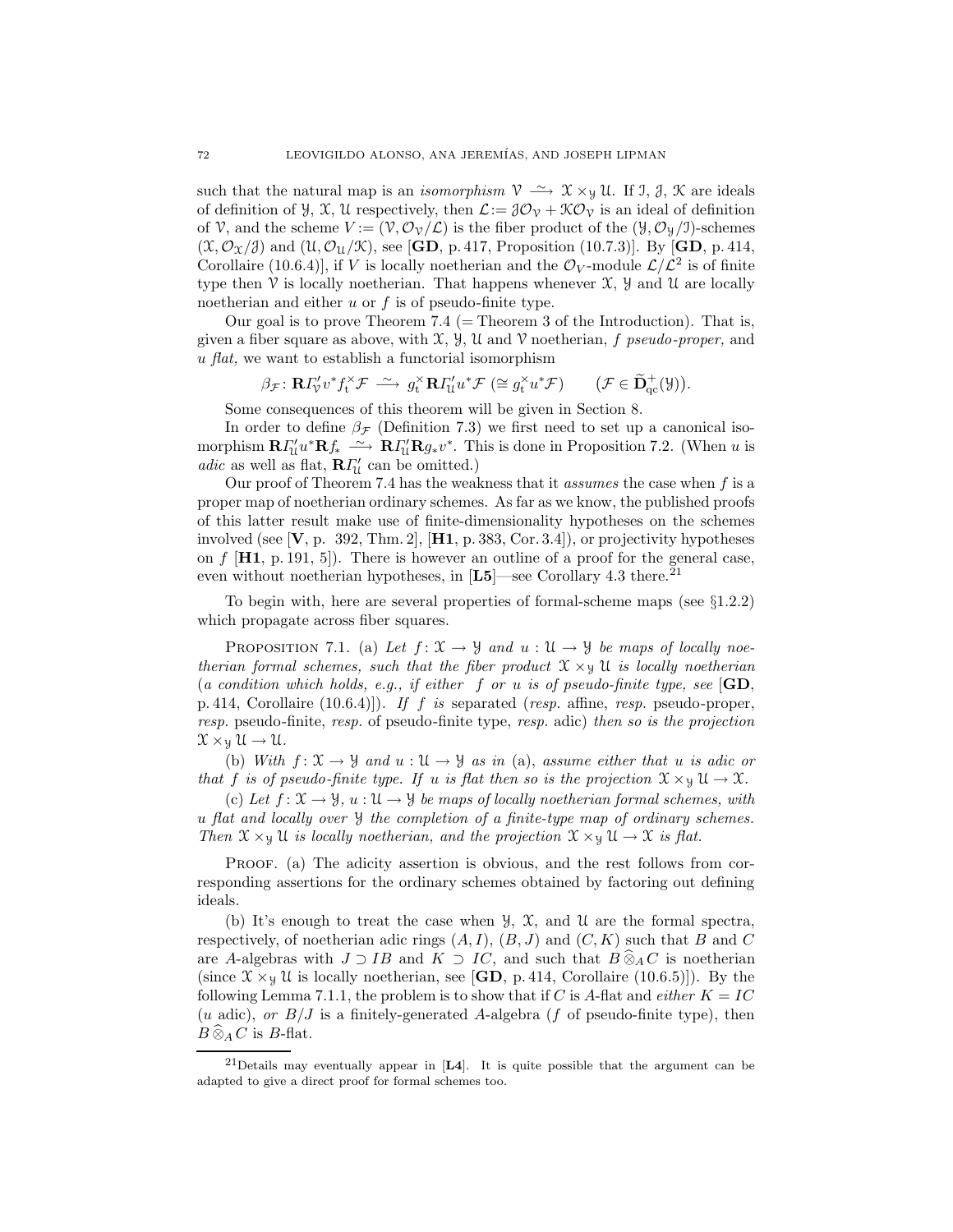such that the natural map is an *isomorphism*  $\mathcal{V} \longrightarrow \mathcal{X} \times_{\mathcal{Y}} \mathcal{U}$ . If J, J, K are ideals of definition of  $\mathcal{Y}, \mathcal{X}, \mathcal{U}$  respectively, then  $\mathcal{L}:=\mathcal{J}\mathcal{O}_{\mathcal{V}}+\mathcal{K}\mathcal{O}_{\mathcal{V}}$  is an ideal of definition of V, and the scheme  $V := (\mathcal{V}, \mathcal{O}_{\mathcal{V}}/\mathcal{L})$  is the fiber product of the  $(\mathcal{Y}, \mathcal{O}_{\mathcal{Y}}/J)$ -schemes  $(\mathfrak{X}, \mathcal{O}_{\mathfrak{X}}/3)$  and  $(\mathfrak{U}, \mathcal{O}_{\mathfrak{U}}/\mathfrak{X})$ , see [GD, p. 417, Proposition (10.7.3)]. By [GD, p. 414, Corollaire (10.6.4)], if V is locally noetherian and the  $\mathcal{O}_V$ -module  $\mathcal{L}/\mathcal{L}^2$  is of finite type then  $\mathcal V$  is locally noetherian. That happens whenever  $\mathcal X$ ,  $\mathcal Y$  and  $\mathcal U$  are locally noetherian and either  $u$  or  $f$  is of pseudo-finite type.

Our goal is to prove Theorem 7.4 ( $=$  Theorem 3 of the Introduction). That is, given a fiber square as above, with  $\mathfrak{X}, \mathfrak{Y}, \mathfrak{U}$  and  $\mathfrak{V}$  noetherian, f pseudo-proper, and  $u$  *flat*, we want to establish a functorial isomorphism

$$
\beta_{\mathcal{F}}: \mathbf{R} \Gamma_{\mathcal{V}}' v^* f_t^{\times} \mathcal{F} \stackrel{\sim}{\longrightarrow} g_t^{\times} \mathbf{R} \Gamma_{\mathcal{U}}' u^* \mathcal{F} \ (\cong g_t^{\times} u^* \mathcal{F}) \qquad (\mathcal{F} \in \widetilde{\mathbf{D}}_{qc}^+(\mathcal{Y})).
$$

Some consequences of this theorem will be given in Section 8.

In order to define  $\beta_{\mathcal{F}}$  (Definition 7.3) we first need to set up a canonical isomorphism  $\mathbf{R} \Gamma'_u u^* \mathbf{R} f_* \longrightarrow \mathbf{R} \Gamma'_u \mathbf{R} g_* v^*$ . This is done in Proposition 7.2. (When u is  $adic$  as well as flat,  ${\bf R}\varGamma'_\mathfrak{U}$  can be omitted.)

Our proof of Theorem 7.4 has the weakness that it *assumes* the case when  $f$  is a proper map of noetherian ordinary schemes. As far as we know, the published proofs of this latter result make use of finite-dimensionality hypotheses on the schemes involved (see  $[V, p. 392, Thm. 2], [H1, p. 383, Cor. 3.4]$ ), or projectivity hypotheses on  $f$  [H1, p. 191, 5]). There is however an outline of a proof for the general case, even without noetherian hypotheses, in  $[L5]$ —see Corollary 4.3 there.<sup>21</sup>

To begin with, here are several properties of formal-scheme maps (see  $\S1.2.2$ ) which propagate across fiber squares.

PROPOSITION 7.1. (a) Let  $f: \mathfrak{X} \to \mathcal{Y}$  and  $u: \mathfrak{U} \to \mathcal{Y}$  be maps of locally noetherian formal schemes, such that the fiber product  $\mathfrak{X} \times_{\mathfrak{Y}} \mathfrak{U}$  is locally noetherian (a condition which holds, e.g., if either f or u is of pseudo-finite type, see  $\mathbf{G}\mathbf{D}$ , p. 414, Corollaire  $(10.6.4)$ . If f is separated (resp. affine, resp. pseudo-proper, resp. pseudo-finite, resp. of pseudo-finite type, resp. adic) then so is the projection  $\mathfrak{X} \times_{\mathfrak{Y}} \mathfrak{U} \to \mathfrak{U}.$ 

(b) With  $f: \mathfrak{X} \to \mathfrak{Y}$  and  $u: \mathfrak{U} \to \mathfrak{Y}$  as in (a), assume either that u is adic or that f is of pseudo-finite type. If u is flat then so is the projection  $\mathfrak{X} \times \mathfrak{Y} \mathfrak{U} \to \mathfrak{X}$ .

(c) Let  $f: \mathfrak{X} \to \mathfrak{Y}$ ,  $u: \mathfrak{U} \to \mathfrak{Y}$  be maps of locally noetherian formal schemes, with u flat and locally over Y the completion of a finite-type map of ordinary schemes. Then  $\mathfrak{X} \times_{\mathfrak{Y}} \mathfrak{U}$  is locally noetherian, and the projection  $\mathfrak{X} \times_{\mathfrak{Y}} \mathfrak{U} \to \mathfrak{X}$  is flat.

PROOF. (a) The adicity assertion is obvious, and the rest follows from corresponding assertions for the ordinary schemes obtained by factoring out defining ideals.

(b) It's enough to treat the case when  $\mathcal{Y}, \mathcal{X},$  and  $\mathcal{U}$  are the formal spectra, respectively, of noetherian adic rings  $(A, I), (B, J)$  and  $(C, K)$  such that B and C are A-algebras with  $J \supset IB$  and  $K \supset IC$ , and such that  $B \widehat{\otimes}_A C$  is noetherian (since  $\mathfrak{X} \times_{\mathfrak{Y}} \mathfrak{U}$  is locally noetherian, see [GD, p. 414, Corollaire (10.6.5)]). By the following Lemma 7.1.1, the problem is to show that if C is A-flat and *either*  $K = IC$ (u adic), or  $B/J$  is a finitely-generated A-algebra (f of pseudo-finite type), then  $B \widehat{\otimes}_A C$  is B-flat.

<sup>&</sup>lt;sup>21</sup>Details may eventually appear in  $[L4]$ . It is quite possible that the argument can be adapted to give a direct proof for formal schemes too.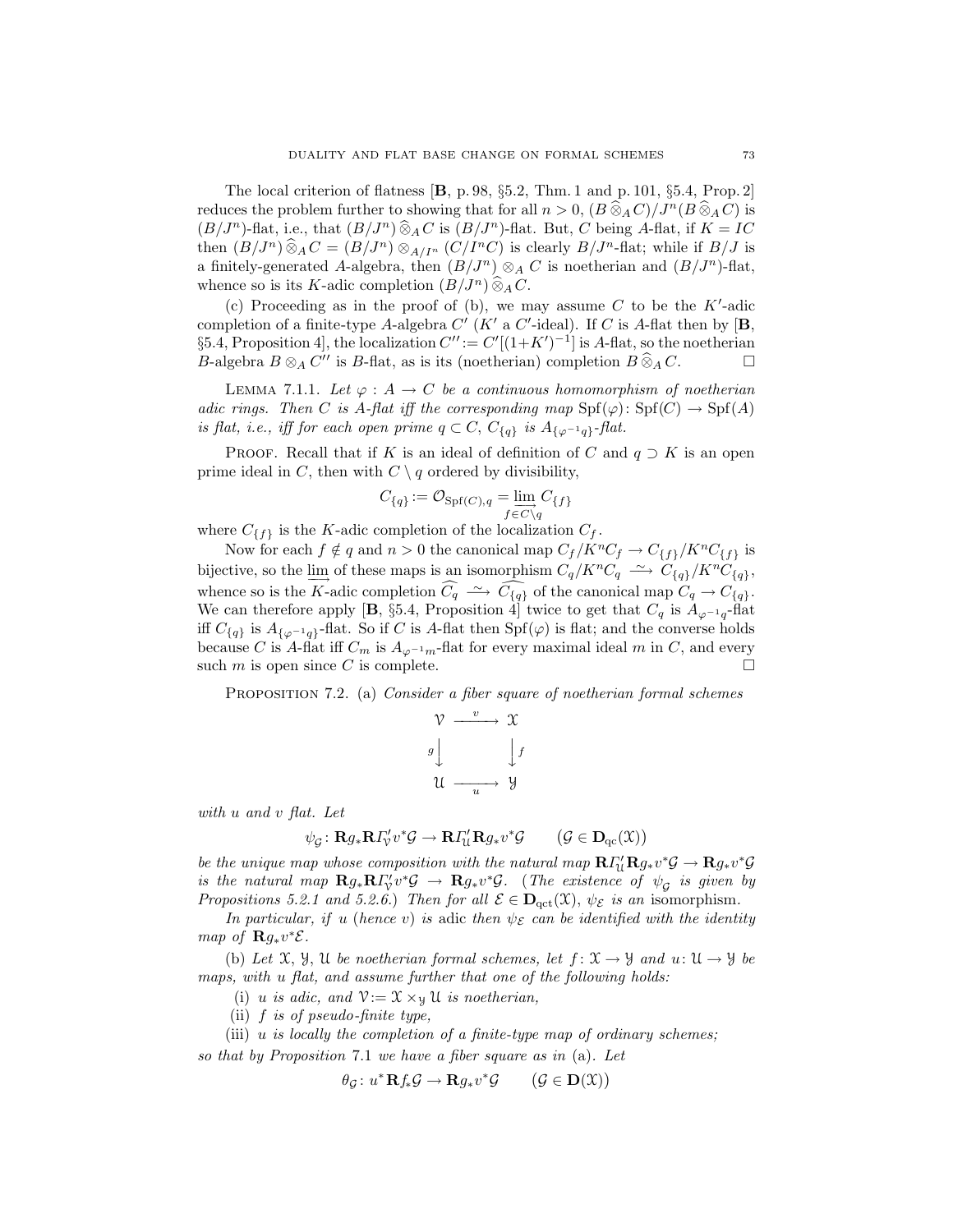The local criterion of flatness  $[B, p. 98, \S 5.2, Thm. 1 and p. 101, \S 5.4, Prop. 2]$ reduces the problem further to showing that for all  $n > 0$ ,  $(B \widehat{\otimes}_A C)/J^n(B \widehat{\otimes}_A C)$  is  $(B/J^n)$ -flat, i.e., that  $(B/J^n) \widehat{\otimes}_A C$  is  $(B/J^n)$ -flat. But, C being A-flat, if  $K = IC$ then  $(B/J^n) \widehat{\otimes}_A C = (B/J^n) \otimes_{A/I^n} (C/I^nC)$  is clearly  $B/J^n$ -flat; while if  $B/J$  is a finitely-generated A-algebra, then  $(B/J^n) \otimes_A C$  is noetherian and  $(B/J^n)$ -flat, whence so is its K-adic completion  $(B/J^n) \widehat{\otimes}_A C$ .

(c) Proceeding as in the proof of (b), we may assume  $C$  to be the  $K'$ -adic completion of a finite-type A-algebra  $C'$  (K' a  $C'$ -ideal). If C is A-flat then by  $[\mathbf{B},]$ §5.4, Proposition 4, the localization  $C'' := C'[(1+K')^{-1}]$  is A-flat, so the noetherian B-algebra  $B \otimes_A C''$  is B-flat, as is its (noetherian) completion  $B \hat{\otimes}_A C$ .

LEMMA 7.1.1. Let  $\varphi: A \to C$  be a continuous homomorphism of noetherian adic rings. Then C is A-flat iff the corresponding map  $\text{Spf}(\varphi)$ :  $\text{Spf}(C) \to \text{Spf}(A)$ is flat, i.e., iff for each open prime  $q \subset C$ ,  $C_{\{q\}}$  is  $A_{\{\varphi^{-1}q\}}$ -flat.

PROOF. Recall that if K is an ideal of definition of C and  $q \supset K$  is an open prime ideal in C, then with  $C \setminus q$  ordered by divisibility,

$$
C_{\{q\}} := \mathcal{O}_{\mathrm{Spf}(C), q} = \varinjlim_{f \in C \setminus q} C_{\{f\}}
$$

where  $C_{\{f\}}$  is the K-adic completion of the localization  $C_f$ .

Now for each  $f \notin q$  and  $n > 0$  the canonical map  $C_f / K^n C_f \to C_{\{f\}} / K^n C_{\{f\}}$  is bijective, so the  $\underline{\lim}$  of these maps is an isomorphism  $C_q/K^nC_q \longrightarrow C_{\{q\}}/K^nC_{\{q\}}$ , whence so is the K-adic completion  $\widehat{C_q} \stackrel{\sim}{\longrightarrow} \widehat{C_{\{q\}}}$  of the canonical map  $C_q \to C_{\{q\}}$ . We can therefore apply [**B**, §5.4, Proposition 4] twice to get that  $C_q$  is  $A_{\varphi^{-1}q}$ -flat iff  $C_{\{q\}}$  is  $A_{\{\varphi^{-1}q\}}$ -flat. So if C is A-flat then Spf( $\varphi$ ) is flat; and the converse holds because C is A-flat iff  $C_m$  is  $A_{\varphi^{-1}m}$ -flat for every maximal ideal m in C, and every such  $m$  is open since  $C$  is complete.

PROPOSITION 7.2. (a) Consider a fiber square of noetherian formal schemes

$$
\begin{array}{ccc}\n\mathcal{V} & \xrightarrow{v} & \mathcal{X} \\
g & & \downarrow f \\
\mathcal{U} & \xrightarrow{u} & \mathcal{Y}\n\end{array}
$$

with u and v flat. Let

$$
\psi_{\mathcal{G}} \colon \mathbf{R} g_* \mathbf{R} \Gamma_{\mathcal{V}}' v^* \mathcal{G} \to \mathbf{R} \Gamma_{\mathcal{U}}' \mathbf{R} g_* v^* \mathcal{G} \qquad (\mathcal{G} \in \mathbf{D}_{\mathrm{qc}}(\mathfrak{X}))
$$

be the unique map whose composition with the natural map  $R\Gamma'_\text{U}R g_* v^*\mathcal{G} \to R g_* v^*\mathcal{G}$ is the natural map  $\mathbf{R}g_*\mathbf{R} \Gamma'_v v^* \mathcal{G} \to \mathbf{R}g_*v^* \mathcal{G}$ . (The existence of  $\psi_{\mathcal{G}}$  is given by Propositions 5.2.1 and 5.2.6.) Then for all  $\mathcal{E} \in \mathbf{D}_{\text{act}}(\mathfrak{X}), \psi_{\mathcal{E}}$  is an isomorphism.

In particular, if u (hence v) is adic then  $\psi_{\mathcal{E}}$  can be identified with the identity map of  $\mathbf{R}g_*v^*\mathcal{E}$ .

(b) Let  $\mathfrak{X}, \mathfrak{Y}, \mathfrak{U}$  be noetherian formal schemes, let  $f : \mathfrak{X} \to \mathfrak{Y}$  and  $u : \mathfrak{U} \to \mathfrak{Y}$  be maps, with u flat, and assume further that one of the following holds:

- (i) u is adic, and  $\mathcal{V}:=\mathcal{X}\times_{\mathcal{Y}}\mathcal{U}$  is noetherian,
- (ii)  $f$  is of pseudo-finite type,

(iii)  $u$  is locally the completion of a finite-type map of ordinary schemes; so that by Proposition 7.1 we have a fiber square as in (a). Let

$$
\theta_{\mathcal{G}}\colon u^*\mathbf{R} f_*\mathcal{G} \to \mathbf{R} g_* v^*\mathcal{G} \qquad \big(\mathcal{G} \in \mathbf{D}(\mathfrak{X})\big)
$$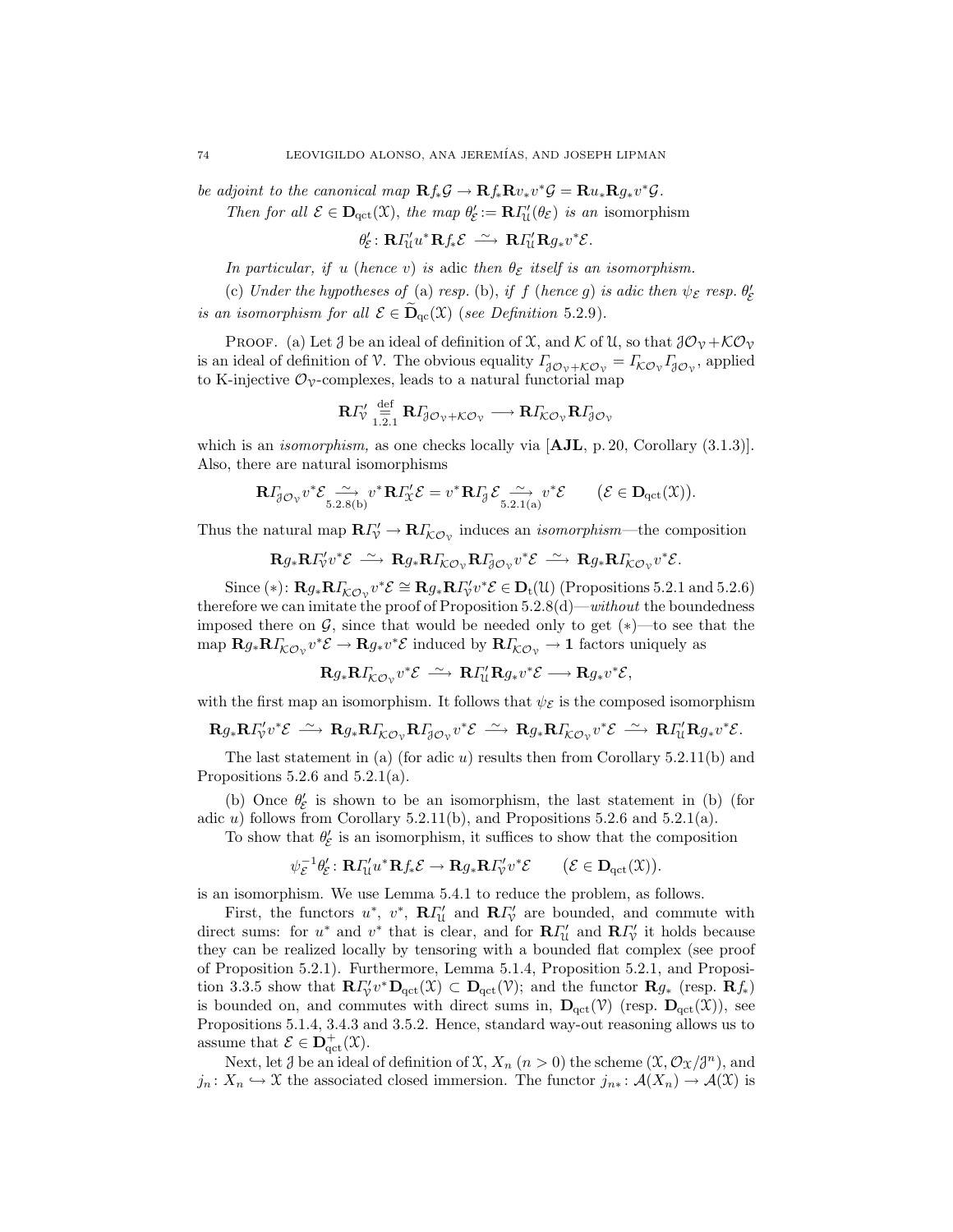be adjoint to the canonical map  $\mathbf{R} f_* \mathcal{G} \to \mathbf{R} f_* \mathbf{R} v_* v^* \mathcal{G} = \mathbf{R} u_* \mathbf{R} g_* v^* \mathcal{G}$ .

Then for all  $\mathcal{E} \in \mathbf{D}_{\text{qct}}(\mathcal{X})$ , the map  $\theta'_{\mathcal{E}} := \mathbf{R} \Gamma'_{\mathcal{U}}(\theta_{\mathcal{E}})$  is an isomorphism

$$
\theta_{\mathcal{E}}': \mathbf{R}\Gamma_{\mathcal{U}}^{\prime}u^*\mathbf{R}f_*\mathcal{E} \stackrel{\sim}{\longrightarrow} \mathbf{R}\Gamma_{\mathcal{U}}^{\prime}\mathbf{R}g_*v^*\mathcal{E}.
$$

In particular, if u (hence v) is adic then  $\theta_{\mathcal{E}}$  itself is an isomorphism.

(c) Under the hypotheses of (a) resp. (b), if f (hence g) is adic then  $\psi_{\mathcal{E}}$  resp.  $\theta_{\mathcal{E}}'$ is an isomorphism for all  $\mathcal{E} \in \widetilde{\mathbf{D}}_{\text{cc}}(\mathfrak{X})$  (see Definition 5.2.9).

PROOF. (a) Let  $\mathcal J$  be an ideal of definition of  $\mathfrak X$ , and  $\mathcal K$  of  $\mathfrak U$ , so that  $\mathcal J\mathcal O_\mathcal V+\mathcal K\mathcal O_\mathcal V$ is an ideal of definition of V. The obvious equality  $\Gamma_{\beta\mathcal{O}_V+\mathcal{KO}_V} = \Gamma_{\mathcal{KO}_V}\Gamma_{\beta\mathcal{O}_V}$ , applied to K-injective  $\mathcal{O}_{\mathcal{V}}$ -complexes, leads to a natural functorial map

$$
\mathbf{R}\varGamma_{\mathcal{V}}'\stackrel{\mathrm{def}}{=} \mathbf{R}\varGamma_{\mathcal{J}\mathcal{O}_{\mathcal{V}}+\mathcal{K}\mathcal{O}_{\mathcal{V}}}\longrightarrow \mathbf{R}\varGamma_{\mathcal{K}\mathcal{O}_{\mathcal{V}}}\mathbf{R}\varGamma_{\mathcal{J}\mathcal{O}_{\mathcal{V}}}
$$

which is an *isomorphism*, as one checks locally via  $[AJL, p. 20, Corollary (3.1.3)].$ Also, there are natural isomorphisms

$$
\mathbf{R}\Gamma_{\!\!\beta\mathcal{O}_\mathcal{V}}v^*\mathcal{E}\underset{5.2.8(b)}{\sim}v^*\mathbf{R}\Gamma_{\!\mathcal{X}}'\mathcal{E}=v^*\mathbf{R}\Gamma_{\!\!\beta}\mathcal{E}\underset{5.2.1(a)}{\sim}v^*\mathcal{E}\qquad (\mathcal{E}\in\mathbf{D}_{\operatorname{qct}}(\mathfrak{X})).
$$

Thus the natural map  $\mathbf{R} \Gamma'_{\mathcal{V}} \to \mathbf{R} \Gamma'_{\mathcal{KO}_{\mathcal{V}}}$  induces an *isomorphism*—the composition

 ${\mathbf R} g_* {\mathbf R} \varGamma'_\mathsf{V} v^* {\mathcal E} \ \stackrel{\sim}{\longrightarrow}\ {\mathbf R} g_* {\mathbf R} \varGamma_{\mathsf{K} \mathcal{O}_\mathsf{V}} {\mathbf R} \varGamma_{\mathsf{J} \mathcal{O}_\mathsf{V}} v^* {\mathcal E} \stackrel{\sim}{\longrightarrow}\ {\mathbf R} g_* {\mathbf R} \varGamma_{\mathsf{K} \mathcal{O}_\mathsf{V}} v^* {\mathcal E}.$ 

Since (\*):  $\mathbf{R}g_*\mathbf{R}I_{\mathcal{KO}_\mathcal{V}}^*v^*\mathcal{E} \cong \mathbf{R}g_*\mathbf{R}I_{\mathcal{V}}^*v^*\mathcal{E} \in \mathbf{D}_t(\mathcal{U})$  (Propositions 5.2.1 and 5.2.6) therefore we can imitate the proof of Proposition  $5.2.8(d)$ —without the boundedness imposed there on  $\mathcal{G}$ , since that would be needed only to get  $(*)$ —to see that the map  $\mathbf{R}g_*\mathbf{R}I_{\mathcal{KO}_\mathcal{V}}v^*\mathcal{E} \to \mathbf{R}g_*v^*\mathcal{E}$  induced by  $\mathbf{R}I_{\mathcal{KO}_\mathcal{V}} \to 1$  factors uniquely as

$$
\mathbf{R} g_* \mathbf{R} \Gamma_{\! \mathcal{K} \mathcal{O}_\mathcal{V}} v^* \mathcal{E} \xrightarrow{\sim} \mathbf{R} \Gamma'_{\mathcal{U}} \mathbf{R} g_* v^* \mathcal{E} \longrightarrow \mathbf{R} g_* v^* \mathcal{E},
$$

with the first map an isomorphism. It follows that  $\psi_{\mathcal{E}}$  is the composed isomorphism

$$
\mathbf{R} g_* \mathbf{R} I'_\mathcal{V} v^* \mathcal{E} \ \stackrel{\sim}{\longrightarrow}\ \mathbf{R} g_* \mathbf{R} I_{\mathcal{KO}_\mathcal{V}} \mathbf{R} I_{\mathcal{J}\mathcal{O}_\mathcal{V}} v^* \mathcal{E} \ \stackrel{\sim}{\longrightarrow}\ \mathbf{R} g_* \mathbf{R} I_{\mathcal{KO}_\mathcal{V}} v^* \mathcal{E} \ \stackrel{\sim}{\longrightarrow}\ \mathbf{R} I'_{\mathfrak{U}} \mathbf{R} g_* v^* \mathcal{E}.
$$

The last statement in (a) (for adic u) results then from Corollary 5.2.11(b) and Propositions 5.2.6 and 5.2.1(a).

(b) Once  $\theta_{\mathcal{E}}'$  is shown to be an isomorphism, the last statement in (b) (for adic  $u$ ) follows from Corollary 5.2.11(b), and Propositions 5.2.6 and 5.2.1(a).

To show that  $\theta_{\mathcal{E}}'$  is an isomorphism, it suffices to show that the composition

$$
\psi_{\mathcal{E}}^{-1}\theta_{\mathcal{E}}':\mathbf{R}\Gamma_{\mathcal{U}}^{\prime}u^*\mathbf{R}f_*\mathcal{E}\to\mathbf{R}g_*\mathbf{R}\Gamma_{\mathcal{V}}^{\prime}v^*\mathcal{E}\qquad\big(\mathcal{E}\in\mathbf{D}_{\mathrm{qct}}(\mathfrak{X})\big).
$$

is an isomorphism. We use Lemma 5.4.1 to reduce the problem, as follows.

First, the functors  $u^*$ ,  $v^*$ ,  $\mathbf{R}\Gamma'_{\mathcal{U}}$  and  $\mathbf{R}\Gamma'_{\mathcal{V}}$  are bounded, and commute with direct sums: for  $u^*$  and  $v^*$  that is clear, and for  $\mathbb{R}\Gamma'_{\mathcal{U}}$  and  $\mathbb{R}\Gamma'_{\mathcal{V}}$  it holds because they can be realized locally by tensoring with a bounded flat complex (see proof of Proposition 5.2.1). Furthermore, Lemma 5.1.4, Proposition 5.2.1, and Proposition 3.3.5 show that  $\mathbb{R} \Gamma_{\mathcal{V}}' v^* \mathbb{D}_{\mathrm{qct}}(\mathfrak{X}) \subset \mathbb{D}_{\mathrm{qct}}(\mathfrak{V})$ ; and the functor  $\mathbb{R} \mathfrak{g}_*$  (resp.  $\mathbb{R} \mathfrak{f}_*$ ) is bounded on, and commutes with direct sums in,  $\mathbf{D}_{\text{qct}}(\mathcal{V})$  (resp.  $\mathbf{D}_{\text{qct}}(\mathcal{X})$ ), see Propositions 5.1.4, 3.4.3 and 3.5.2. Hence, standard way-out reasoning allows us to assume that  $\mathcal{E} \in \mathbf{D}^+_{\mathrm{qct}}(\mathfrak{X})$ .

Next, let  $\mathcal J$  be an ideal of definition of  $\mathfrak X$ ,  $X_n$   $(n > 0)$  the scheme  $(\mathfrak X, \mathcal O_{\mathfrak X}/\mathfrak Z^n)$ , and  $j_n: X_n \hookrightarrow \mathfrak{X}$  the associated closed immersion. The functor  $j_{n*}: \mathcal{A}(X_n) \to \mathcal{A}(\mathfrak{X})$  is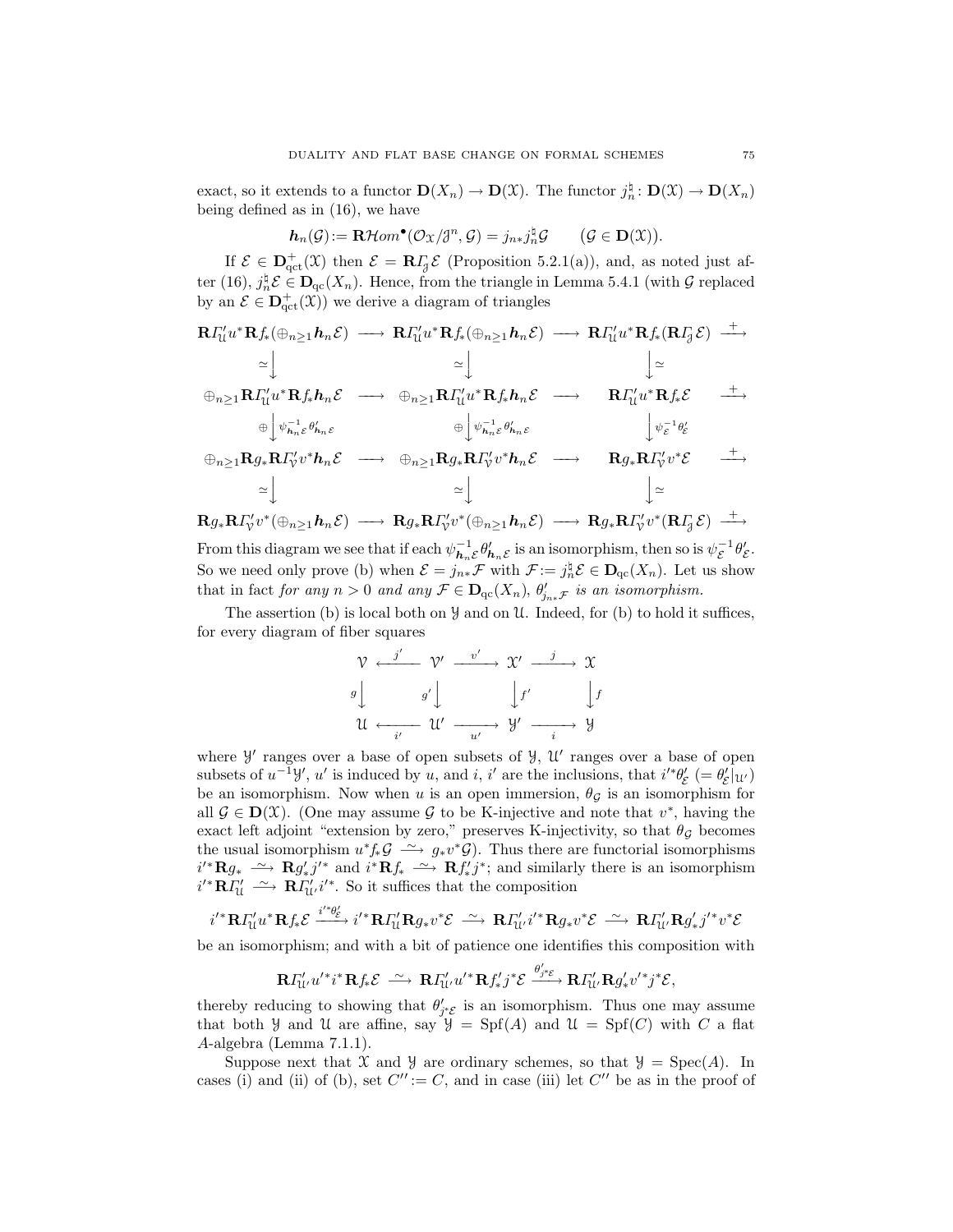exact, so it extends to a functor  $\mathbf{D}(X_n) \to \mathbf{D}(\mathcal{X})$ . The functor  $j_n^{\dagger} : \mathbf{D}(\mathcal{X}) \to \mathbf{D}(X_n)$ being defined as in (16), we have

$$
\mathbf{h}_n(\mathcal{G}) := \mathbf{R}\mathcal{H}om^{\bullet}(\mathcal{O}_{\mathfrak{X}}/\mathcal{J}^n, \mathcal{G}) = j_{n*}j_n^{\natural}\mathcal{G} \qquad (\mathcal{G} \in \mathbf{D}(\mathfrak{X})).
$$

If  $\mathcal{E} \in \mathbf{D}_{\mathrm{qct}}^{+}(\mathfrak{X})$  then  $\mathcal{E} = \mathbf{R} I_{\mathfrak{F}} \mathcal{E}$  (Proposition 5.2.1(a)), and, as noted just after (16),  $j_n^{\sharp} \mathcal{E} \in \mathbf{D}_{\mathrm{qc}}(X_n)$ . Hence, from the triangle in Lemma 5.4.1 (with  $\mathcal{G}$  replaced by an  $\mathcal{E} \in \mathbf{D}^+_{\mathrm{qct}}(\mathfrak{X})$  we derive a diagram of triangles

$$
\begin{array}{ccccccc}\n\mathbf{R}\Gamma_{\mathcal{U}}^{\prime}u^{*}\mathbf{R}f_{*}(\oplus_{n\geq 1}h_{n}\mathcal{E}) & \longrightarrow & \mathbf{R}\Gamma_{\mathcal{U}}^{\prime}u^{*}\mathbf{R}f_{*}(\oplus_{n\geq 1}h_{n}\mathcal{E}) & \longrightarrow & \mathbf{R}\Gamma_{\mathcal{U}}^{\prime}u^{*}\mathbf{R}f_{*}(\mathbf{R}\Gamma_{\mathcal{J}}\mathcal{E}) & \stackrel{+}{\longrightarrow} \\
& \simeq \bigcup_{\mathfrak{B}_{n\geq 1}}\mathbf{R}\Gamma_{\mathcal{U}}^{\prime}u^{*}\mathbf{R}f_{*}h_{n}\mathcal{E} & \longrightarrow & \oplus_{n\geq 1}\mathbf{R}\Gamma_{\mathcal{U}}^{\prime}u^{*}\mathbf{R}f_{*}h_{n}\mathcal{E} & \longrightarrow & \mathbf{R}\Gamma_{\mathcal{U}}^{\prime}u^{*}\mathbf{R}f_{*}\mathcal{E} & \stackrel{+}{\longrightarrow} \\
& & \oplus \bigg\downarrow \psi_{n}^{-1}\varepsilon\theta_{n}^{\prime}\varepsilon & \oplus \bigg\downarrow \psi_{n}^{-1}\varepsilon\theta_{n}^{\prime}\varepsilon & \bigg\downarrow \psi_{\varepsilon}^{-1}\theta_{\varepsilon}^{\prime} & \bigg\downarrow \psi_{\varepsilon}^{-1}\theta_{\varepsilon}^{\prime} \\
& & \oplus_{n\geq 1}\mathbf{R}g_{*}\mathbf{R}\Gamma_{\mathcal{V}}^{\prime}v^{*}h_{n}\mathcal{E} & \longrightarrow & \oplus_{n\geq 1}\mathbf{R}g_{*}\mathbf{R}\Gamma_{\mathcal{V}}^{\prime}v^{*}h_{n}\mathcal{E} & \longrightarrow & \mathbf{R}g_{*}\mathbf{R}\Gamma_{\mathcal{V}}^{\prime}v^{*}\mathcal{E} & \stackrel{+}{\longrightarrow} \\
& & \simeq \bigcup_{\mathfrak{B}_{n}\mathbf{R}\Gamma_{\mathcal{V}}^{\prime}v^{*}(\oplus_{n\geq 1}h_{n}\mathcal{E}) & \longrightarrow & \mathbf{R}g_{*}\mathbf{R}\Gamma_{\mathcal{V}}^{\prime}v^{*}(\mathbf{R}\Gamma_{\mathcal{J}}\mathcal{E}) & \stackrel{+}{\longrightarrow} \\
& &
$$

From this diagram we see that if each  $\psi_{h_n \mathcal{E}}^{-1} \theta'_{h_n \mathcal{E}}$  is an isomorphism, then so is  $\psi_{\mathcal{E}}^{-1} \theta'_{\mathcal{E}}$ . So we need only prove (b) when  $\mathcal{E} = j_{n*}\mathcal{F}$  with  $\mathcal{F} := j_n^{\natural}\mathcal{E} \in \mathbf{D}_{\mathrm{qc}}(X_n)$ . Let us show that in fact for any  $n > 0$  and any  $\mathcal{F} \in \mathbf{D}_{\mathrm{qc}}(X_n)$ ,  $\theta'_{j_{n\ast}\mathcal{F}}$  is an isomorphism.

The assertion (b) is local both on  $\mathcal Y$  and on  $\mathcal U$ . Indeed, for (b) to hold it suffices, for every diagram of fiber squares

$$
\begin{array}{ccc}\n\mathcal{V} & \xrightarrow{j'} & \mathcal{V}' & \xrightarrow{v'} & \mathcal{X}' & \xrightarrow{j} & \mathcal{X} \\
g \downarrow & & g' \downarrow & & \downarrow f' & & \downarrow f \\
\mathcal{U} & \xleftarrow{i'} & \mathcal{U}' & \xrightarrow{u'} & \mathcal{Y}' & \xrightarrow{i} & \mathcal{Y}\n\end{array}
$$

where  $\mathcal{Y}'$  ranges over a base of open subsets of  $\mathcal{Y}$ ,  $\mathcal{U}'$  ranges over a base of open subsets of  $u^{-1}\mathcal{Y}'$ , u' is induced by u, and i, i' are the inclusions, that  $i'^*\theta'_{\mathcal{E}}$   $(=\theta'_{\mathcal{E}}|_{\mathcal{U}'})$ be an isomorphism. Now when u is an open immersion,  $\theta_{\mathcal{G}}$  is an isomorphism for all  $\mathcal{G} \in \mathbf{D}(\mathcal{X})$ . (One may assume  $\mathcal{G}$  to be K-injective and note that  $v^*$ , having the exact left adjoint "extension by zero," preserves K-injectivity, so that  $\theta_{\mathcal{G}}$  becomes the usual isomorphism  $u^*f_*\mathcal{G} \longrightarrow g_*v^*\mathcal{G}$ . Thus there are functorial isomorphisms  $i'^* \mathbf{R} g_* \longrightarrow \mathbf{R} g'_* j'^*$  and  $i^* \mathbf{R} f_* \longrightarrow \mathbf{R} f'_* j^*$ ; and similarly there is an isomorphism  $i'^*{\bf R} \Gamma'_{\mathfrak{l}} \longrightarrow {\bf R} \Gamma'_{\mathfrak{l}} i'^*$ . So it suffices that the composition

$$
i^{\prime *}\mathbf{R} \Gamma'_\mathcal{U} u^*\mathbf{R} f_* \mathcal{E} \xrightarrow{i^{\prime *}\theta'_{\mathcal{E}}} i^{\prime *}\mathbf{R} \Gamma'_\mathcal{U} \mathbf{R} g_* v^* \mathcal{E} \xrightarrow{\sim} \mathbf{R} \Gamma'_\mathcal{U'} i^{\prime *}\mathbf{R} g_* v^* \mathcal{E} \xrightarrow{\sim} \mathbf{R} \Gamma'_\mathcal{U'} \mathbf{R} g'_* j^{\prime *} v^* \mathcal{E}
$$

be an isomorphism; and with a bit of patience one identifies this composition with

$$
\mathbf{R} \varGamma'_{\mathcal{U}'} u'^* i^* \mathbf{R} f_* \mathcal{E} \ \stackrel{\sim}{\longrightarrow} \ \mathbf{R} \varGamma'_{\mathcal{U}'} u'^* \mathbf{R} f'_* j^* \mathcal{E} \ \stackrel{\theta'_{j^* \mathcal{E}}}{\longrightarrow} \mathbf{R} \varGamma'_{\mathcal{U}'} \mathbf{R} g'_* v'^* j^* \mathcal{E},
$$

thereby reducing to showing that  $\theta'_{j^*\mathcal{E}}$  is an isomorphism. Thus one may assume that both  $\mathcal Y$  and  $\mathcal U$  are affine, say  $\mathcal Y = \mathrm{Spf}(A)$  and  $\mathcal U = \mathrm{Spf}(C)$  with  $C$  a flat A-algebra (Lemma 7.1.1).

Suppose next that X and Y are ordinary schemes, so that  $\mathcal{Y} = \text{Spec}(A)$ . In cases (i) and (ii) of (b), set  $C'' := C$ , and in case (iii) let  $C''$  be as in the proof of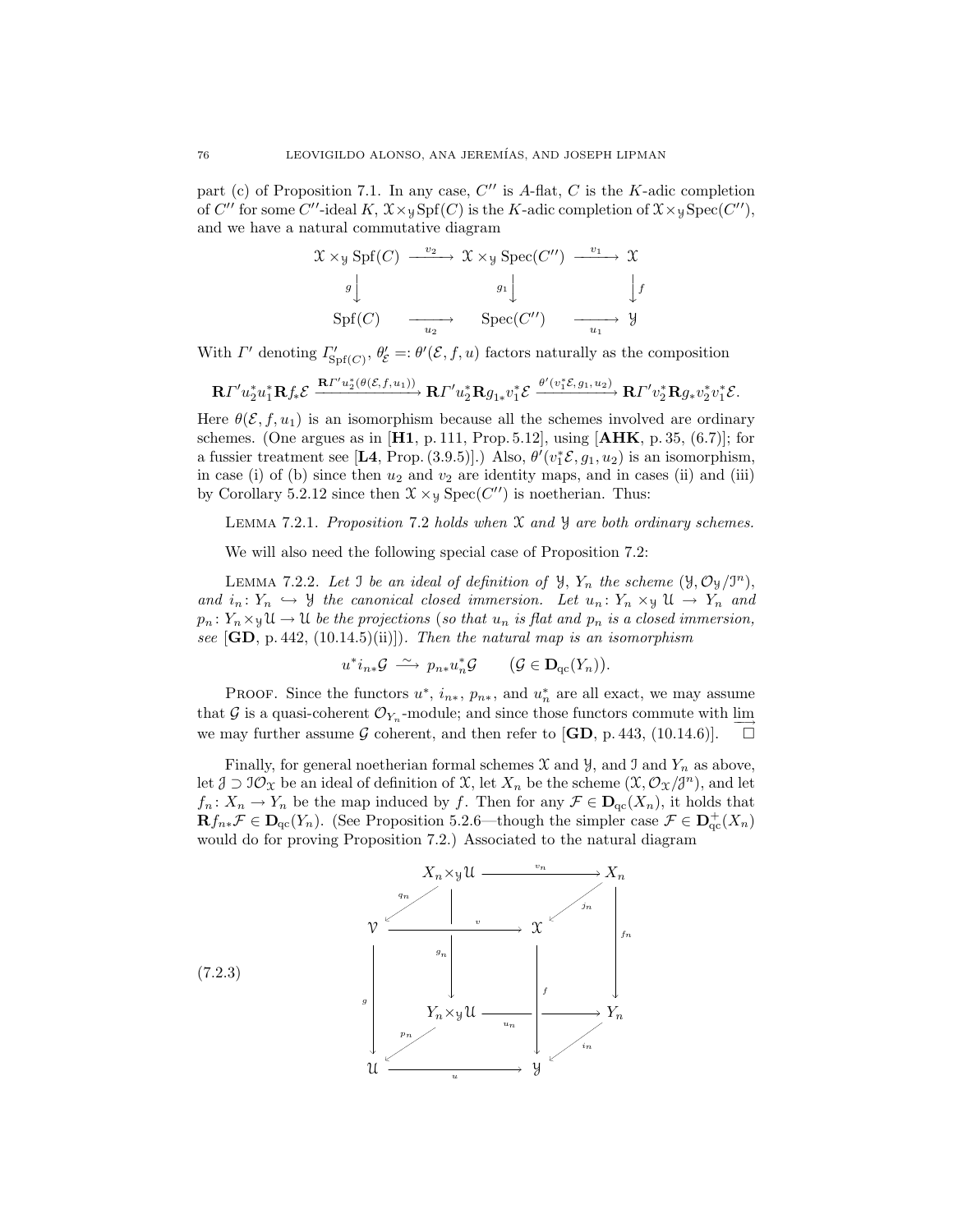part (c) of Proposition 7.1. In any case,  $C''$  is A-flat, C is the K-adic completion of C'' for some C''-ideal K,  $\mathfrak{X} \times \mathfrak{Y} Spf(C)$  is the K-adic completion of  $\mathfrak{X} \times \mathfrak{Y} Spec(C'')$ , and we have a natural commutative diagram

$$
\mathcal{X} \times \mathcal{Y} \text{ Spf}(C) \xrightarrow{v_2} \mathcal{X} \times \mathcal{Y} \text{Spec}(C'') \xrightarrow{v_1} \mathcal{X}
$$

$$
g \downarrow \qquad g_1 \downarrow \qquad \qquad \downarrow f
$$

$$
\text{Spf}(C) \xrightarrow{u_2} \text{Spec}(C'') \xrightarrow{u_1} \mathcal{Y}
$$

With  $\Gamma'$  denoting  $\Gamma'_{\text{Spf}(C)}$ ,  $\theta'_{\mathcal{E}} = \theta'(\mathcal{E}, f, u)$  factors naturally as the composition

$$
\mathbf{R} \varGamma' u_2^* u_1^* \mathbf{R} f_* \mathcal{E} \xrightarrow{\mathbf{R} \varGamma' u_2^* (\theta(\mathcal{E},f,u_1))} \mathbf{R} \varGamma' u_2^* \mathbf{R} g_{1*} v_1^* \mathcal{E} \xrightarrow{\theta' (v_1^* \mathcal{E}, g_1, u_2)} \mathbf{R} \varGamma' v_2^* \mathbf{R} g_* v_2^* v_1^* \mathcal{E}.
$$

Here  $\theta(\mathcal{E}, f, u_1)$  is an isomorphism because all the schemes involved are ordinary schemes. (One argues as in  $[H1, p. 111, Prop. 5.12]$ , using  $[AHK, p. 35, (6.7)]$ ; for a fussier treatment see [L4, Prop. (3.9.5)].) Also,  $\theta'(v_1^* \mathcal{E}, g_1, u_2)$  is an isomorphism, in case (i) of (b) since then  $u_2$  and  $v_2$  are identity maps, and in cases (ii) and (iii) by Corollary 5.2.12 since then  $\mathfrak{X} \times_{\mathcal{Y}} \text{Spec}(C'')$  is noetherian. Thus:

LEMMA 7.2.1. Proposition 7.2 holds when  $\mathfrak X$  and  $\mathfrak Y$  are both ordinary schemes.

We will also need the following special case of Proposition 7.2:

LEMMA 7.2.2. Let J be an ideal of definition of  $\mathcal{Y}, Y_n$  the scheme  $(\mathcal{Y}, \mathcal{O}_{\mathcal{Y}}/J^n)$ , and  $i_n: Y_n \hookrightarrow \mathcal{Y}$  the canonical closed immersion. Let  $u_n: Y_n \times_{\mathcal{Y}} \mathcal{U} \to Y_n$  and  $p_n\colon Y_n\times_{\mathfrak{P}}\mathfrak{U}\to\mathfrak{U}$  be the projections (so that  $u_n$  is flat and  $p_n$  is a closed immersion, see  $[\mathbf{GD}, p.442, (10.14.5)(ii)]$ . Then the natural map is an isomorphism

$$
u^*i_{n*}\mathcal{G} \stackrel{\sim}{\longrightarrow} p_{n*}u_n^*\mathcal{G} \qquad (\mathcal{G} \in \mathbf{D}_{\mathrm{qc}}(Y_n)).
$$

PROOF. Since the functors  $u^*, i_{n*}, p_{n*}$ , and  $u_n^*$  are all exact, we may assume that G is a quasi-coherent  $\mathcal{O}_{Y_n}$ -module; and since those functors commute with  $\varinjlim$ we may further assume G coherent, and then refer to  $[\mathbf{GD}, \mathbf{p}, 443, (10.14.6)].$ 

Finally, for general noetherian formal schemes  $\mathfrak X$  and  $\mathfrak Y$ , and  $\mathfrak I$  and  $Y_n$  as above, let  $\mathcal{J} \supset \mathcal{I} \mathcal{O}_\mathfrak{X}$  be an ideal of definition of  $\mathfrak{X}$ , let  $X_n$  be the scheme  $(\mathfrak{X}, \mathcal{O}_\mathfrak{X}/\mathfrak{Z}^n)$ , and let  $f_n: X_n \to Y_n$  be the map induced by f. Then for any  $\mathcal{F} \in \mathbf{D}_{\mathrm{qc}}(X_n)$ , it holds that  $\mathbf{R}f_{n*}\mathcal{F} \in \mathbf{D}_{\mathrm{qc}}(Y_n)$ . (See Proposition 5.2.6—though the simpler case  $\mathcal{F} \in \mathbf{D}_{\mathrm{qc}}^+(X_n)$ would do for proving Proposition 7.2.) Associated to the natural diagram

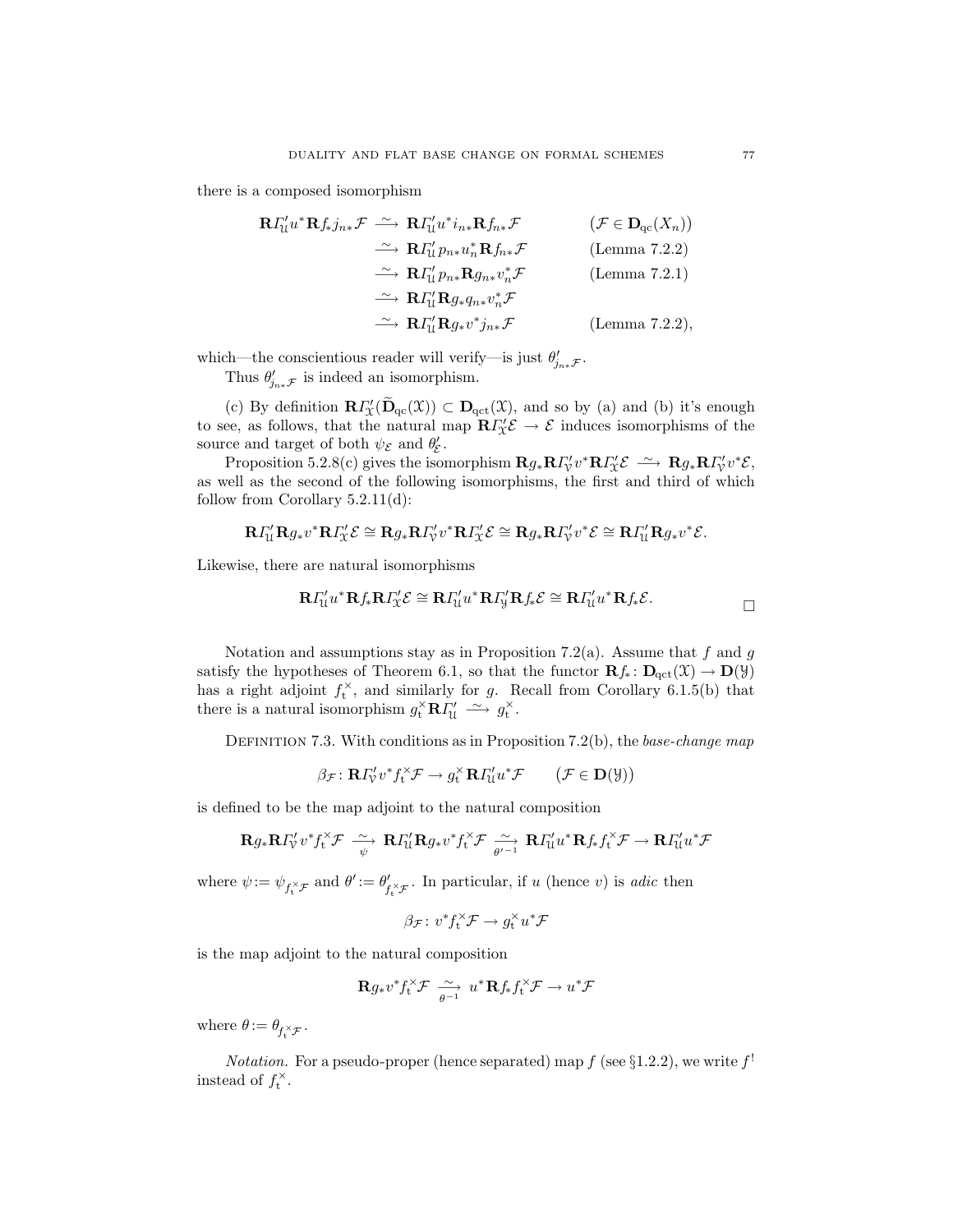there is a composed isomorphism

$$
\begin{array}{ccc}\n\mathbf{R}\Gamma_{\mathcal{U}}^{\prime}u^{*}\mathbf{R}f_{*}j_{n*}\mathcal{F} & \xrightarrow{\sim} \mathbf{R}\Gamma_{\mathcal{U}}^{\prime}u^{*}i_{n*}\mathbf{R}f_{n*}\mathcal{F} & (\mathcal{F}\in\mathbf{D}_{\mathrm{qc}}(X_{n})) \\
\xrightarrow{\sim} \mathbf{R}\Gamma_{\mathcal{U}}^{\prime}p_{n*}u_{n}^{*}\mathbf{R}f_{n*}\mathcal{F} & \text{(Lemma 7.2.2)} \\
\xrightarrow{\sim} \mathbf{R}\Gamma_{\mathcal{U}}^{\prime}p_{n*}\mathbf{R}g_{n*}v_{n}^{*}\mathcal{F} & \text{(Lemma 7.2.1)} \\
\xrightarrow{\sim} \mathbf{R}\Gamma_{\mathcal{U}}^{\prime}\mathbf{R}g_{*}q_{n*}v_{n}^{*}\mathcal{F} & \text{(Lemma 7.2.2)} \\
\xrightarrow{\sim} \mathbf{R}\Gamma_{\mathcal{U}}^{\prime}\mathbf{R}g_{*}v^{*}j_{n*}\mathcal{F} & \text{(Lemma 7.2.2)},\n\end{array}
$$

which—the conscientious reader will verify—is just  $\theta'_{j_{n*}}\mathcal{F}$ .

Thus  $\theta'_{j_{n\ast}\mathcal{F}}$  is indeed an isomorphism.

(c) By definition  $\mathbf{R} \Gamma'_{\mathcal{X}}(\mathbf{D}_{\mathrm{qc}}(\mathcal{X})) \subset \mathbf{D}_{\mathrm{qct}}(\mathcal{X})$ , and so by (a) and (b) it's enough to see, as follows, that the natural map  $\mathbb{R}I'_{\mathcal{X}}\mathcal{E} \to \mathcal{E}$  induces isomorphisms of the source and target of both  $\psi_{\mathcal{E}}$  and  $\theta'_{\mathcal{E}}$ .

Proposition 5.2.8(c) gives the isomorphism  $\mathbf{R}g_*\mathbf{R} \Gamma'_{\mathcal{V}} v^* \mathbf{R} \Gamma'_{\mathcal{X}} \mathcal{E} \longrightarrow \mathbf{R}g_*\mathbf{R} \Gamma'_{\mathcal{V}} v^* \mathcal{E},$ as well as the second of the following isomorphisms, the first and third of which follow from Corollary 5.2.11(d):

$$
\mathbf{R} \varGamma_{\mathcal{U}}^{\prime} \mathbf{R} g_{*} v^{*} \mathbf{R} \varGamma_{\mathcal{X}}^{\prime} \mathcal{E} \cong \mathbf{R} g_{*} \mathbf{R} \varGamma_{\mathcal{V}}^{\prime} v^{*} \mathbf{R} \varGamma_{\mathcal{X}}^{\prime} \mathcal{E} \cong \mathbf{R} g_{*} \mathbf{R} \varGamma_{\mathcal{V}}^{\prime} v^{*} \mathcal{E} \cong \mathbf{R} \varGamma_{\mathcal{U}}^{\prime} \mathbf{R} g_{*} v^{*} \mathcal{E}.
$$

Likewise, there are natural isomorphisms

$$
\mathbf{R} \varGamma_{\mathcal{U}}^{\prime} u^{*} \mathbf{R} f_{*} \mathbf{R} \varGamma_{\mathcal{X}}^{\prime} \mathcal{E} \cong \mathbf{R} \varGamma_{\mathcal{U}}^{\prime} u^{*} \mathbf{R} \varGamma_{\mathcal{Y}}^{\prime} \mathbf{R} f_{*} \mathcal{E} \cong \mathbf{R} \varGamma_{\mathcal{U}}^{\prime} u^{*} \mathbf{R} f_{*} \mathcal{E}.
$$

Notation and assumptions stay as in Proposition 7.2(a). Assume that  $f$  and  $g$ satisfy the hypotheses of Theorem 6.1, so that the functor  $\mathbf{R}f_* \colon \mathbf{D}_{\text{qct}}(\mathfrak{X}) \to \mathbf{D}(\mathfrak{Y})$ has a right adjoint  $f_t^{\times}$ , and similarly for g. Recall from Corollary 6.1.5(b) that there is a natural isomorphism  $g_t^{\times} \mathbf{R} I_{\mathcal{U}}' \longrightarrow g_t^{\times}$ .

DEFINITION 7.3. With conditions as in Proposition 7.2(b), the base-change map

$$
\beta_{\mathcal{F}} \colon \mathbf{R} \Gamma_{\mathcal{V}}' v^* f_t^{\times} \mathcal{F} \to g_t^{\times} \mathbf{R} \Gamma_{\mathcal{U}}' u^* \mathcal{F} \qquad (\mathcal{F} \in \mathbf{D}(\mathcal{Y}))
$$

is defined to be the map adjoint to the natural composition

$$
\mathbf{R} g_* \mathbf{R} I_{\mathcal{V}}' v^* f_{\mathbf{t}}^{\times} \mathcal{F} \xrightarrow[\psi]{\sim} \mathbf{R} I_{\mathcal{U}}' \mathbf{R} g_* v^* f_{\mathbf{t}}^{\times} \mathcal{F} \xrightarrow[\psi'-1]{\sim} \mathbf{R} I_{\mathcal{U}}' u^* \mathbf{R} f_* f_{\mathbf{t}}^{\times} \mathcal{F} \to \mathbf{R} I_{\mathcal{U}}' u^* \mathcal{F}
$$

where  $\psi := \psi_{f_t^{\times} \mathcal{F}}$  and  $\theta' := \theta'_{f}$  $\int_{t_1^{\times} \mathcal{F}}^{\prime}$ . In particular, if u (hence v) is *adic* then

$$
\beta_{\mathcal{F}}\colon v^*f^\times_\mathbf{t}\mathcal{F}\to g^\times_\mathbf{t}u^*\mathcal{F}
$$

is the map adjoint to the natural composition

$$
\mathbf{R} g_* v^* f_t^{\times} \mathcal{F} \xrightarrow[\theta^{-1}]{\sim} u^* \mathbf{R} f_* f_t^{\times} \mathcal{F} \to u^* \mathcal{F}
$$

where  $\theta := \theta_{f_t^{\times} \mathcal{F}}$ .

*Notation.* For a pseudo-proper (hence separated) map  $f$  (see §1.2.2), we write  $f'$ instead of  $f_t^{\times}$ .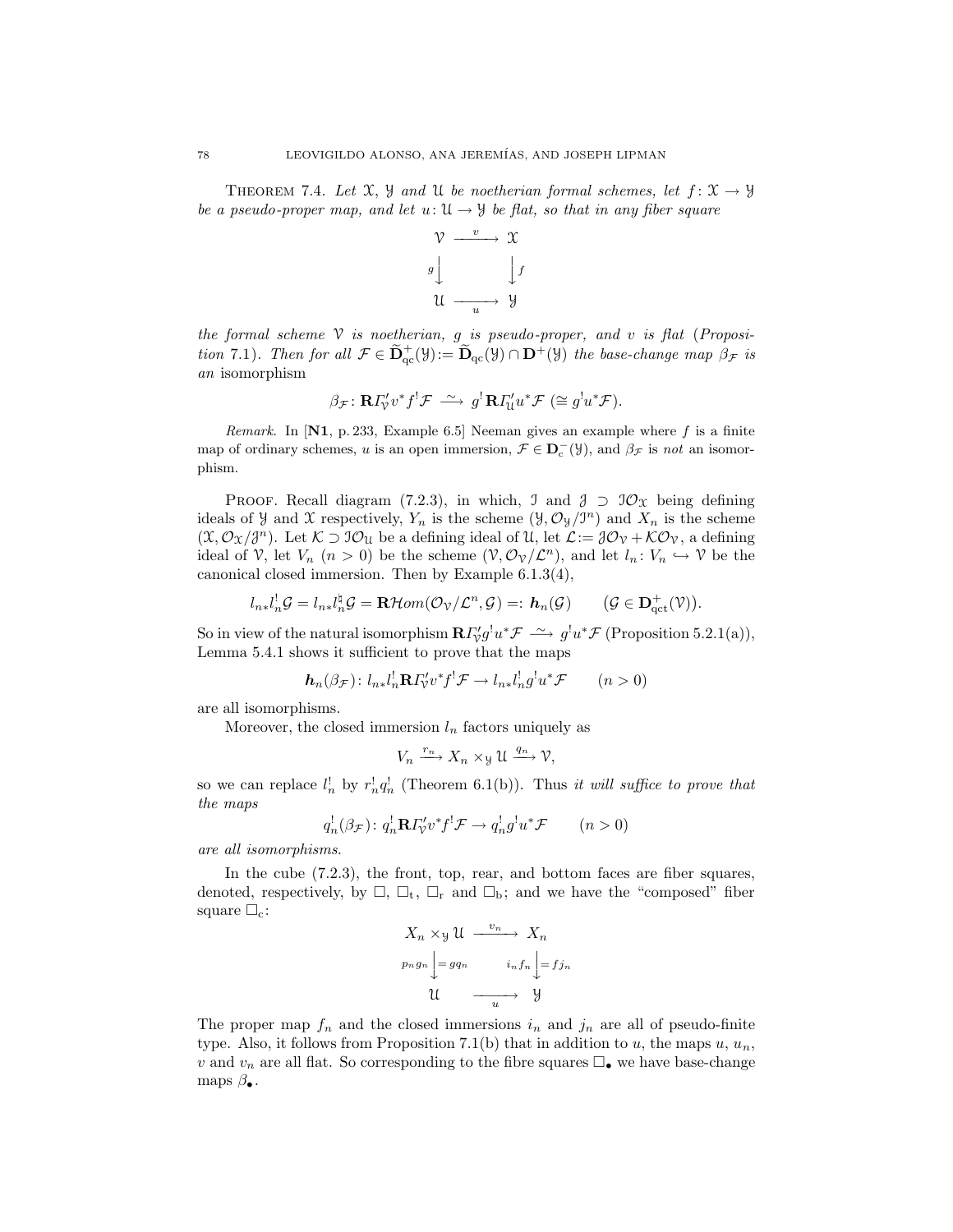THEOREM 7.4. Let X, Y and U be noetherian formal schemes, let  $f: \mathfrak{X} \to \mathcal{Y}$ be a pseudo-proper map, and let  $u: \mathfrak{U} \to \mathfrak{Y}$  be flat, so that in any fiber square



the formal scheme  $\mathcal V$  is noetherian, g is pseudo-proper, and v is flat (Proposition 7.1). Then for all  $\mathcal{F} \in \widetilde{\mathbf{D}}_{qc}^+(\mathcal{Y}):= \widetilde{\mathbf{D}}_{qc}(\mathcal{Y}) \cap \mathbf{D}^+(\mathcal{Y})$  the base-change map  $\beta_{\mathcal{F}}$  is an isomorphism

$$
\beta_{\mathcal{F}}: \mathbf{R} \Gamma'_{\mathcal{V}} v^* f^! \mathcal{F} \stackrel{\sim}{\longrightarrow} g^! \mathbf{R} \Gamma'_{\mathcal{U}} u^* \mathcal{F} \ (\cong g^! u^* \mathcal{F}).
$$

*Remark.* In  $[N1, p. 233, Example 6.5]$  Neeman gives an example where f is a finite map of ordinary schemes, u is an open immersion,  $\mathcal{F} \in \mathbf{D}_{c}^{-}(\mathcal{Y})$ , and  $\beta_{\mathcal{F}}$  is not an isomorphism.

PROOF. Recall diagram (7.2.3), in which, J and  $\mathcal{J} \supset \mathcal{O}_{\mathcal{X}}$  being defining ideals of *y* and *X* respectively,  $Y_n$  is the scheme  $(\mathcal{Y}, \mathcal{O}_{\mathcal{Y}}/\mathcal{I}^n)$  and  $X_n$  is the scheme  $(\mathfrak{X}, \mathcal{O}_{\mathfrak{X}}/\mathfrak{F}^n)$ . Let  $\mathcal{K} \supset \mathfrak{I} \mathcal{O}_{\mathfrak{U}}$  be a defining ideal of  $\mathfrak{U}$ , let  $\mathcal{L} := \mathfrak{J} \mathcal{O}_{\mathfrak{V}} + \mathcal{K} \mathcal{O}_{\mathfrak{V}}$ , a defining ideal of V, let  $V_n$   $(n > 0)$  be the scheme  $(\mathcal{V}, \mathcal{O}_\mathcal{V}/\mathcal{L}^n)$ , and let  $l_n: V_n \hookrightarrow \mathcal{V}$  be the canonical closed immersion. Then by Example 6.1.3(4),

$$
l_{n*}l_n^!\mathcal{G}=l_{n*}l_n^{\sharp}\mathcal{G}=\mathbf{R}\mathcal{H}om(\mathcal{O}_{\mathcal{V}}/\mathcal{L}^n,\mathcal{G})=: \mathbf{h}_n(\mathcal{G}) \qquad (\mathcal{G}\in \mathbf{D}^+_{\mathrm{qct}}(\mathcal{V})).
$$

So in view of the natural isomorphism  $\mathbf{R} \Gamma'_{\mathcal{V}} g^! u^* \mathcal{F} \longrightarrow g^! u^* \mathcal{F}$  (Proposition 5.2.1(a)), Lemma 5.4.1 shows it sufficient to prove that the maps

$$
\mathbf{h}_n(\beta_{\mathcal{F}}): l_{n*}l_n^!\mathbf{R} \Gamma'_v v^* f^! \mathcal{F} \to l_{n*}l_n^! g^! u^* \mathcal{F} \qquad (n>0)
$$

are all isomorphisms.

Moreover, the closed immersion  $l_n$  factors uniquely as

$$
V_n \xrightarrow{r_n} X_n \times_{\mathcal{Y}} \mathcal{U} \xrightarrow{q_n} \mathcal{V},
$$

so we can replace  $l_n^!$  by  $r_n^! q_n^!$  (Theorem 6.1(b)). Thus it will suffice to prove that the maps

$$
q_n^!(\beta_{\mathcal{F}}): q_n^!\mathbf{R} \Gamma'_v v^* f^! \mathcal{F} \to q_n^! g^! u^* \mathcal{F} \qquad (n>0)
$$

are all isomorphisms.

In the cube (7.2.3), the front, top, rear, and bottom faces are fiber squares, denoted, respectively, by  $\Box$ ,  $\Box_t$ ,  $\Box_r$  and  $\Box_b$ ; and we have the "composed" fiber square  $\square_c$ :

$$
X_n \times y \mathcal{U} \xrightarrow{v_n} X_n
$$
  
\n
$$
p_n g_n \Bigg\downarrow = g q_n \qquad i_n f_n \Bigg\downarrow = f j_n
$$
  
\n
$$
\mathcal{U} \xrightarrow{u} \mathcal{Y}
$$

The proper map  $f_n$  and the closed immersions  $i_n$  and  $j_n$  are all of pseudo-finite type. Also, it follows from Proposition 7.1(b) that in addition to u, the maps  $u, u_n$ , v and  $v_n$  are all flat. So corresponding to the fibre squares  $\Box_{\bullet}$  we have base-change maps  $\beta_{\bullet}$ .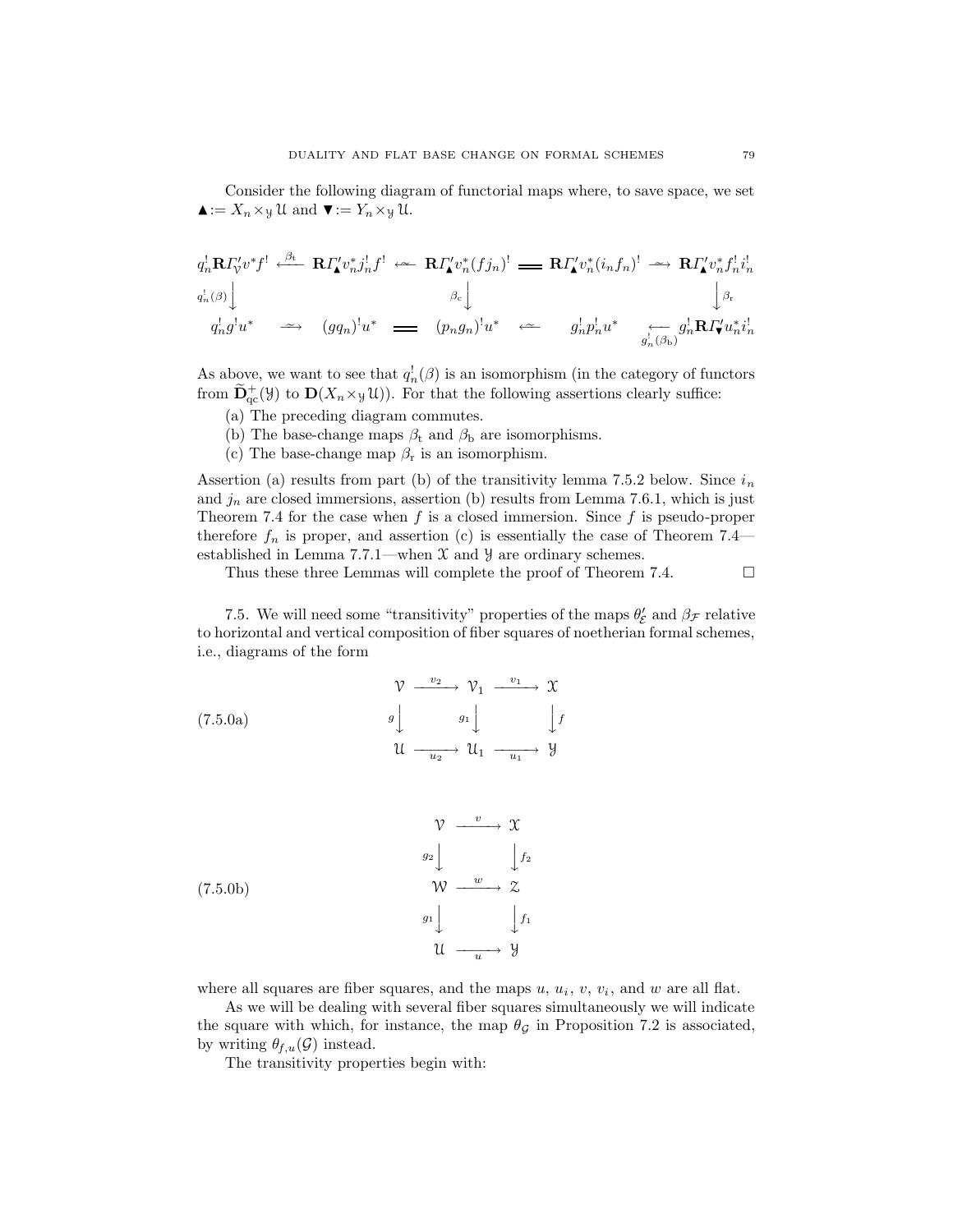Consider the following diagram of functorial maps where, to save space, we set  $\blacktriangle := X_n \times y$  U and  $\nabla := Y_n \times y$  U.

$$
q_n^!\mathbf{R} \Gamma_v' v^* f^! \xleftarrow{\beta_\mathrm{t}} \mathbf{R} \Gamma'_\mathbf{L} v_n^* j_n^! f^! \xleftarrow{\sim} \mathbf{R} \Gamma'_\mathbf{L} v_n^* (f j_n)^! \longrightarrow \mathbf{R} \Gamma'_\mathbf{L} v_n^* (i_n f_n)^! \longrightarrow \mathbf{R} \Gamma'_\mathbf{L} v_n^* f_n^! i_n^!
$$
  
\n
$$
q_n^!(\beta) \Big\downarrow
$$
  
\n
$$
q_n^! g^! u^* \longrightarrow (g q_n)^! u^* \longrightarrow (g n g_n)^! u^* \longrightarrow (g n g_n)^! u^* \longrightarrow g_n^! p_n^! u^* \longrightarrow g_n^! \overline{\mathbf{R}} \Gamma'_\mathbf{L} u_n^* i_n^!
$$

As above, we want to see that  $q_n^{\dagger}(\beta)$  is an isomorphism (in the category of functors from  $\widetilde{\mathbf{D}}_{\text{qc}}^+(\mathcal{Y})$  to  $\mathbf{D}(X_n \times \mathcal{Y}(\mathcal{U}))$ . For that the following assertions clearly suffice:

- (a) The preceding diagram commutes.
- (b) The base-change maps  $\beta_t$  and  $\beta_b$  are isomorphisms.
- (c) The base-change map  $\beta_r$  is an isomorphism.

Assertion (a) results from part (b) of the transitivity lemma 7.5.2 below. Since  $i_n$ and  $j_n$  are closed immersions, assertion (b) results from Lemma 7.6.1, which is just Theorem 7.4 for the case when  $f$  is a closed immersion. Since  $f$  is pseudo-proper therefore  $f_n$  is proper, and assertion (c) is essentially the case of Theorem 7.4 established in Lemma 7.7.1—when  $X$  and  $Y$  are ordinary schemes.

Thus these three Lemmas will complete the proof of Theorem 7.4.

7.5. We will need some "transitivity" properties of the maps  $\theta_{\mathcal{E}}'$  and  $\beta_{\mathcal{F}}$  relative to horizontal and vertical composition of fiber squares of noetherian formal schemes, i.e., diagrams of the form

(7.5.0a)  
\n
$$
\begin{array}{ccc}\n\mathcal{V} & \xrightarrow{v_2} & \mathcal{V}_1 & \xrightarrow{v_1} & \mathcal{X} \\
g \downarrow & & g_1 \downarrow & & \downarrow f \\
\mathcal{U} & \xrightarrow{u_2} & \mathcal{U}_1 & \xrightarrow{u_1} & \mathcal{Y}\n\end{array}
$$

(7.5.0b)  
\n
$$
\begin{array}{c}\n\mathcal{V} \xrightarrow{v} \mathcal{X} \\
g_2 \downarrow \qquad \qquad \downarrow f_2 \\
\mathcal{W} \xrightarrow{w} \mathcal{Z} \\
g_1 \downarrow \qquad \qquad \downarrow f_1 \\
\mathcal{U} \xrightarrow{u} \mathcal{Y}\n\end{array}
$$

where all squares are fiber squares, and the maps  $u, u_i, v, v_i$ , and  $w$  are all flat.

As we will be dealing with several fiber squares simultaneously we will indicate the square with which, for instance, the map  $\theta_{\mathcal{G}}$  in Proposition 7.2 is associated, by writing  $\theta_{f,u}(\mathcal{G})$  instead.

The transitivity properties begin with: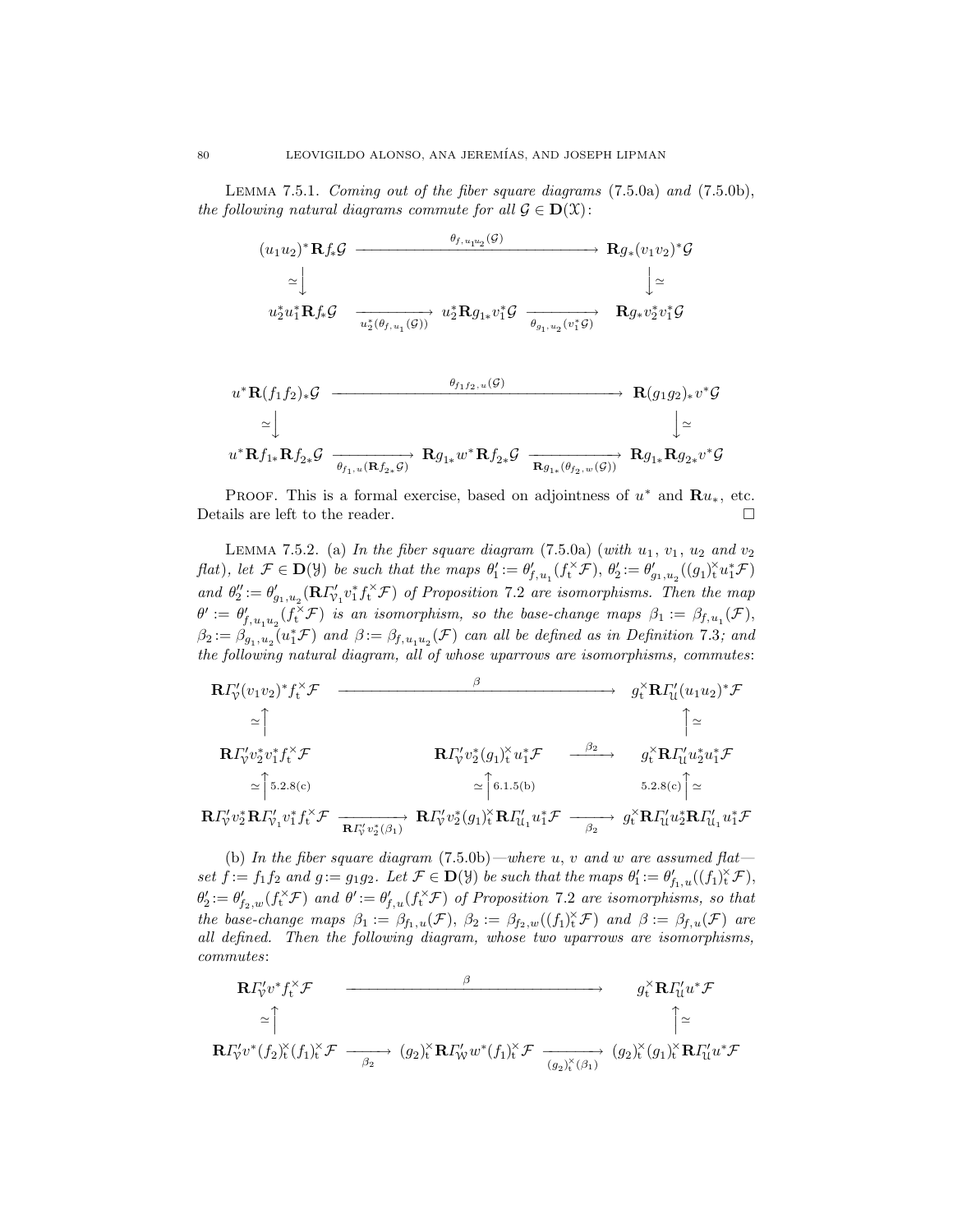Lemma 7.5.1. Coming out of the fiber square diagrams (7.5.0a) and (7.5.0b), the following natural diagrams commute for all  $\mathcal{G} \in \mathbf{D}(\mathcal{X})$ :

$$
(u_1u_2)^* \mathbf{R} f_* \mathcal{G} \xrightarrow{\theta_{f,u_1u_2}(\mathcal{G})} \mathbf{R} g_*(v_1v_2)^* \mathcal{G}
$$
  
\n
$$
\simeq \downarrow \qquad \qquad \downarrow \simeq
$$
  
\n
$$
u_2^* u_1^* \mathbf{R} f_* \mathcal{G} \xrightarrow{\phantom{xx} u_2^* (\theta_{f,u_1}(\mathcal{G}))} u_2^* \mathbf{R} g_{1*} v_1^* \mathcal{G} \xrightarrow{\phantom{xx} \theta_{g_1,u_2}(v_1^* \mathcal{G})} \mathbf{R} g_* v_2^* v_1^* \mathcal{G}
$$

$$
u^* \mathbf{R}(f_1 f_2)_* \mathcal{G} \xrightarrow{\theta_{f_1 f_2, u}(\mathcal{G})} \mathbf{R}(g_1 g_2)_* v^* \mathcal{G}
$$
  
\n
$$
\simeq \bigcup_{u^* \mathbf{R} f_{1*} \mathbf{R} f_{2*} \mathcal{G} \xrightarrow{\theta_{f_1, u}(\mathbf{R} f_{2*} \mathcal{G})} \mathbf{R} g_{1*} w^* \mathbf{R} f_{2*} \mathcal{G} \xrightarrow{\mathbf{R} g_{1*}(\theta_{f_2, w}(\mathcal{G}))} \mathbf{R} g_{1*} \mathbf{R} g_{2*} v^* \mathcal{G}
$$

PROOF. This is a formal exercise, based on adjointness of  $u^*$  and  $\mathbf{R}u_*,$  etc. Details are left to the reader.  $\hfill \square$ 

LEMMA 7.5.2. (a) In the fiber square diagram  $(7.5.0a)$  (with  $u_1, v_1, u_2$  and  $v_2$  $f(at)$ , let  $\mathcal{F} \in \mathbf{D}(\mathcal{Y})$  be such that the maps  $\theta'_1 := \theta'_{f,u_1}(f_t^{\times} \mathcal{F}), \theta'_2 := \theta'_{g_1,u_2}((g_1)_t^{\times} u_1^* \mathcal{F})$ and  $\theta''_2 := \theta'_{g_1, u_2} (\mathbf{R} \Gamma'_{\mathcal{V}_1} v_1^* f_t^* \mathcal{F})$  of Proposition 7.2 are isomorphisms. Then the map  $\theta':=\theta'_{f,u_1u_2}(f_{\mathbf{t}}^{\times} \mathcal{F})$  is an isomorphism, so the base-change maps  $\beta_1:=\beta_{f,u_1}(\mathcal{F}),$  $\beta_2 := \beta_{g_1, u_2}(u_1^* \mathcal{F})$  and  $\beta := \beta_{f, u_1 u_2}(\mathcal{F})$  can all be defined as in Definition 7.3; and the following natural diagram, all of whose uparrows are isomorphisms, commutes:

$$
\begin{array}{ccc}\n\mathbf{R}\Gamma_{\mathcal{V}}'(v_1v_2)^*f_t^{\times}\mathcal{F} & \xrightarrow{\beta} & g_t^{\times}\mathbf{R}\Gamma_{\mathcal{U}}'(u_1u_2)^*\mathcal{F} \\
&\simeq \uparrow & \uparrow & \uparrow \\
\mathbf{R}\Gamma_{\mathcal{V}}'v_2^*v_1^*f_t^{\times}\mathcal{F} & \mathbf{R}\Gamma_{\mathcal{V}}'v_2^*(g_1)_t^{\times}u_1^*\mathcal{F} & \xrightarrow{\beta_2} & g_t^{\times}\mathbf{R}\Gamma_{\mathcal{U}}'u_2^*u_1^*\mathcal{F} \\
&\simeq \uparrow 5.2.8(c) & \simeq \uparrow 6.1.5(b) & 5.2.8(c) \uparrow \simeq \\
\mathbf{R}\Gamma_{\mathcal{V}}'v_2^*\mathbf{R}\Gamma_{\mathcal{V}_1}v_1^*f_t^{\times}\mathcal{F} & \xrightarrow{\mathbf{R}\Gamma_{\mathcal{V}}'v_2^*(g_1)} \mathbf{R}\Gamma_{\mathcal{V}}'v_2^*(g_1)_t^{\times}\mathbf{R}\Gamma_{\mathcal{U}_1}u_1^*\mathcal{F} & \xrightarrow{\beta_2} & g_t^{\times}\mathbf{R}\Gamma_{\mathcal{U}}'u_2^*\mathbf{R}\Gamma_{\mathcal{U}_1}u_1^*\mathcal{F}\n\end{array}
$$

(b) In the fiber square diagram  $(7.5.0b)$ —where u, v and w are assumed flat set  $f := f_1 f_2$  and  $g := g_1 g_2$ . Let  $\mathcal{F} \in \mathbf{D}(\mathcal{Y})$  be such that the maps  $\theta'_1 := \theta'_{f_1,u}((f_1)_t^{\times} \mathcal{F})$ ,  $\theta_2' := \theta_{f_2,w}'(f_t^{\times} \mathcal{F})$  and  $\theta' := \theta_{f,u}'(f_t^{\times} \mathcal{F})$  of Proposition 7.2 are isomorphisms, so that the base-change maps  $\beta_1 := \beta_{f_1,u}(\mathcal{F}), \ \beta_2 := \beta_{f_2,w}((f_1)_t^{\times}\mathcal{F})$  and  $\beta := \beta_{f,u}(\mathcal{F})$  are all defined. Then the following diagram, whose two uparrows are isomorphisms, commutes:

$$
\mathbf{R}\Gamma_{\mathcal{V}}^{\prime}v^{*}f_{\mathbf{t}}^{\times}\mathcal{F} \longrightarrow g_{\mathbf{t}}^{\times}\mathbf{R}\Gamma_{\mathcal{U}}^{\prime}u^{*}\mathcal{F}
$$
  
\n
$$
\simeq \uparrow \qquad \qquad \uparrow \qquad \qquad \uparrow
$$
  
\n
$$
\mathbf{R}\Gamma_{\mathcal{V}}^{\prime}v^{*}(f_{2})_{\mathbf{t}}^{\times}(f_{1})_{\mathbf{t}}^{\times}\mathcal{F} \longrightarrow (g_{2})_{\mathbf{t}}^{\times}\mathbf{R}\Gamma_{\mathcal{W}}^{\prime}w^{*}(f_{1})_{\mathbf{t}}^{\times}\mathcal{F} \longrightarrow (g_{2})_{\mathbf{t}}^{\times}(g_{1})_{\mathbf{t}}^{\times}\mathbf{R}\Gamma_{\mathcal{U}}^{\prime}u^{*}\mathcal{F}
$$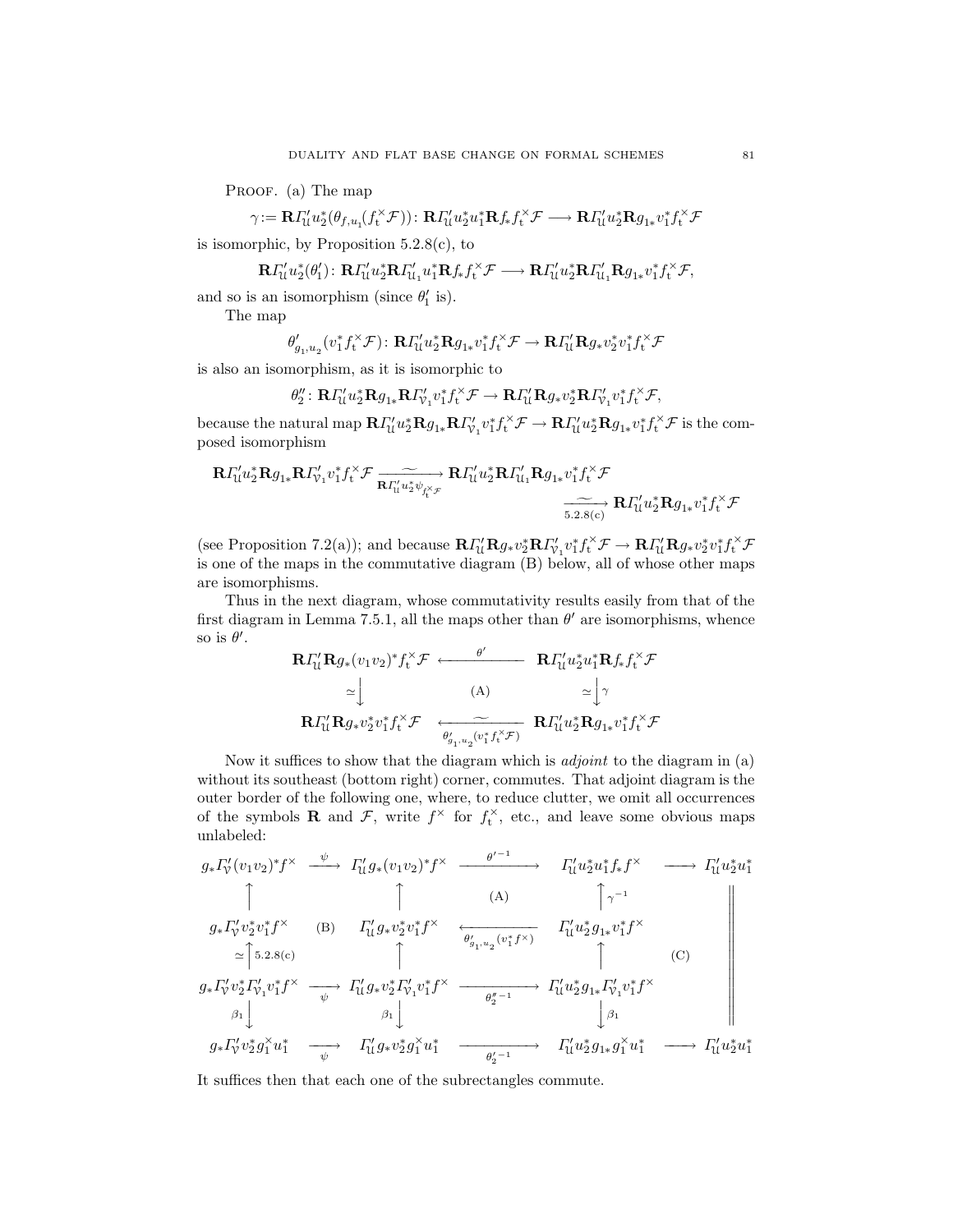PROOF. (a) The map

$$
\gamma\!:=\mathbf{R} \varGamma_{\mathbf{U}}' u_2^*(\theta_{f,u_1}(f_t^{\times}\mathcal{F}))\colon \mathbf{R}\varGamma_{\mathbf{U}}' u_2^*u_1^*\mathbf{R} f_*f_t^{\times}\mathcal{F}\longrightarrow \mathbf{R}\varGamma_{\mathbf{U}}' u_2^*\mathbf{R} g_{1*}v_1^*f_t^{\times}\mathcal{F}
$$

is isomorphic, by Proposition  $5.2.8(c)$ , to

$$
\mathbf{R} \Gamma'_\mathcal{U} u_2^*(\theta'_1): \mathbf{R} \Gamma'_\mathcal{U} u_2^* \mathbf{R} \Gamma'_\mathcal{U_1} u_1^* \mathbf{R} f_* f^{\times}_t \mathcal{F} \longrightarrow \mathbf{R} \Gamma'_\mathcal{U} u_2^* \mathbf{R} \Gamma'_\mathcal{U_1} \mathbf{R} g_{1*} v_1^* f^{\times}_t \mathcal{F},
$$

and so is an isomorphism (since  $\theta_1'$  is).

The map

$$
\theta'_{g_1, u_2} (v_1^* f_t^\times \mathcal F) \colon \mathbf{R} \varGamma'_\mathrm{U} u_2^* \mathbf{R} g_{1*} v_1^* f_t^\times \mathcal F \to \mathbf{R} \varGamma'_\mathrm{U} \mathbf{R} g_* v_2^* v_1^* f_t^\times \mathcal F
$$

is also an isomorphism, as it is isomorphic to

$$
\theta_2''\colon\mathbf{R} \varGamma_{\mathcal{U}}' u_2^*\mathbf{R} g_{1*}\mathbf{R} \varGamma_{\mathcal{V}_1}' v_1^* f_t^{\times}\mathcal{F}\to \mathbf{R} \varGamma_{\mathcal{U}}' \mathbf{R} g_* v_2^*\mathbf{R} \varGamma_{\mathcal{V}_1}' v_1^* f_t^{\times}\mathcal{F},
$$

because the natural map  $\mathbf{R} \Gamma'_{\mathcal{U}} u_2^* \mathbf{R} g_{1*} \mathbf{R} \Gamma'_{\mathcal{V}_1} v_1^* f_1^* \mathcal{F} \to \mathbf{R} \Gamma'_{\mathcal{U}} u_2^* \mathbf{R} g_{1*} v_1^* f_1^* \mathcal{F}$  is the composed isomorphism

$$
\mathbf{R} \Gamma'_\mathcal{U} u_2^* \mathbf{R} g_{1*} \mathbf{R} \Gamma'_{\mathcal{V}_1} v_1^* f_t^{\times} \mathcal{F} \xrightarrow[\mathbf{R} \Gamma'_\mathcal{U} u_2^* \mathbf{R} \mathcal{F}'_\mathcal{U} u_2^* \mathbf{R} \Gamma'_\mathcal{U} u_2^* \mathbf{R} \mathcal{F}]} \mathbf{R} \Gamma'_\mathcal{U} u_2^* \mathbf{R} \mathcal{F}' \xrightarrow[\mathbf{5}, \mathbf{2}, \mathbf{8}(\mathbf{c})]{} \mathbf{R} \Gamma'_\mathcal{U} u_2^* \mathbf{R} g_{1*} v_1^* f_t^{\times} \mathcal{F}
$$

(see Proposition 7.2(a)); and because  $\mathbf{R} \Gamma'_{\mathcal{U}} \mathbf{R} g_* v_2^* \mathbf{R} \Gamma'_{\mathcal{V}_1} v_1^* f_t^* \mathcal{F} \to \mathbf{R} \Gamma'_{\mathcal{U}} \mathbf{R} g_* v_2^* v_1^* f_t^* \mathcal{F}$ is one of the maps in the commutative diagram (B) below, all of whose other maps are isomorphisms.

Thus in the next diagram, whose commutativity results easily from that of the first diagram in Lemma 7.5.1, all the maps other than  $\theta'$  are isomorphisms, whence so is  $\theta'$ .

$$
\mathbf{R}\Gamma_{\mathcal{U}}^{\prime}\mathbf{R}g_{*}(v_{1}v_{2})^{*}f_{t}^{\times}\mathcal{F} \longleftarrow \theta^{\prime} \qquad \mathbf{R}\Gamma_{\mathcal{U}}^{\prime}u_{2}^{*}u_{1}^{*}\mathbf{R}f_{*}f_{t}^{\times}\mathcal{F}
$$
\n
$$
\simeq \int_{\mathbf{R}}^{\cdot} \mathbf{R}\Gamma_{\mathcal{U}}^{\prime}\mathbf{R}g_{*}v_{2}^{*}v_{1}^{*}f_{t}^{\times}\mathcal{F} \longleftarrow (\mathbf{A}) \qquad \simeq \int_{\theta}^{\prime} \int_{\theta}^{\prime} \mathbf{R}\Gamma_{\mathcal{U}}^{\prime}u_{2}^{*}\mathbf{R}g_{1*}v_{1}^{*}f_{t}^{\times}\mathcal{F}
$$

Now it suffices to show that the diagram which is *adjoint* to the diagram in (a) without its southeast (bottom right) corner, commutes. That adjoint diagram is the outer border of the following one, where, to reduce clutter, we omit all occurrences of the symbols **R** and  $\mathcal{F}$ , write  $f^{\times}$  for  $f_t^{\times}$ , etc., and leave some obvious maps unlabeled:

$$
g_{*}\Gamma_{\mathcal{V}}'(v_{1}v_{2})^{*}f^{\times} \xrightarrow{\psi} \Gamma_{\mathcal{U}}'g_{*}(v_{1}v_{2})^{*}f^{\times} \xrightarrow{\theta'^{-1}} \Gamma_{\mathcal{U}}'u_{2}^{*}u_{1}^{*}f_{*}f^{\times} \longrightarrow \Gamma_{\mathcal{U}}'u_{2}^{*}u_{1}^{*}
$$
  
\n
$$
\uparrow \qquad (A) \qquad \uparrow \gamma^{-1}
$$
  
\n
$$
g_{*}\Gamma_{\mathcal{V}}'v_{2}^{*}v_{1}^{*}f^{\times} \xrightarrow{\sim} (B) \qquad \Gamma_{\mathcal{U}}'g_{*}v_{2}^{*}v_{1}^{*}f^{\times} \xrightarrow{\theta'_{g_{1},u_{2}}(v_{1}^{*}f^{\times})} \Gamma_{\mathcal{U}}'u_{2}^{*}g_{1*}v_{1}^{*}f^{\times}
$$
  
\n
$$
\simeq \uparrow 5.2.8(c) \qquad \uparrow \qquad \uparrow \qquad (C)
$$
  
\n
$$
g_{*}\Gamma_{\mathcal{V}}'v_{2}^{*}\Gamma_{\mathcal{V}_{1}}'v_{1}^{*}f^{\times} \xrightarrow{\psi} \Gamma_{\mathcal{U}}'g_{*}v_{2}^{*}\Gamma_{\mathcal{V}_{1}}'v_{1}^{*}f^{\times} \xrightarrow{\theta_{g_{1}^{\prime}-1}^{*}} \Gamma_{\mathcal{U}}'u_{2}^{*}g_{1*}\Gamma_{\mathcal{V}_{1}}'v_{1}^{*}f^{\times}
$$
  
\n
$$
\beta_{1} \qquad \qquad \beta_{1} \qquad \qquad \beta_{1} \qquad \qquad \downarrow \beta_{1} \qquad \qquad \downarrow \beta_{1}
$$
  
\n
$$
g_{*}\Gamma_{\mathcal{V}}'v_{2}^{*}g_{1}^{*}u_{1}^{*} \xrightarrow{\psi} \qquad \Gamma_{\mathcal{U}}'g_{*}v_{2}^{*}g_{1}^{*}u_{1}^{*} \xrightarrow{\theta_{g_{1}^{\prime}-1}^{*}} \qquad \qquad \Gamma_{\mathcal{U}}'u_{2}^{*}g_{1*}g_{1}^{*}u_{1}^{*} \xrightarrow{\cdots} \Gamma_{\mathcal{U}}'u_{
$$

It suffices then that each one of the subrectangles commute.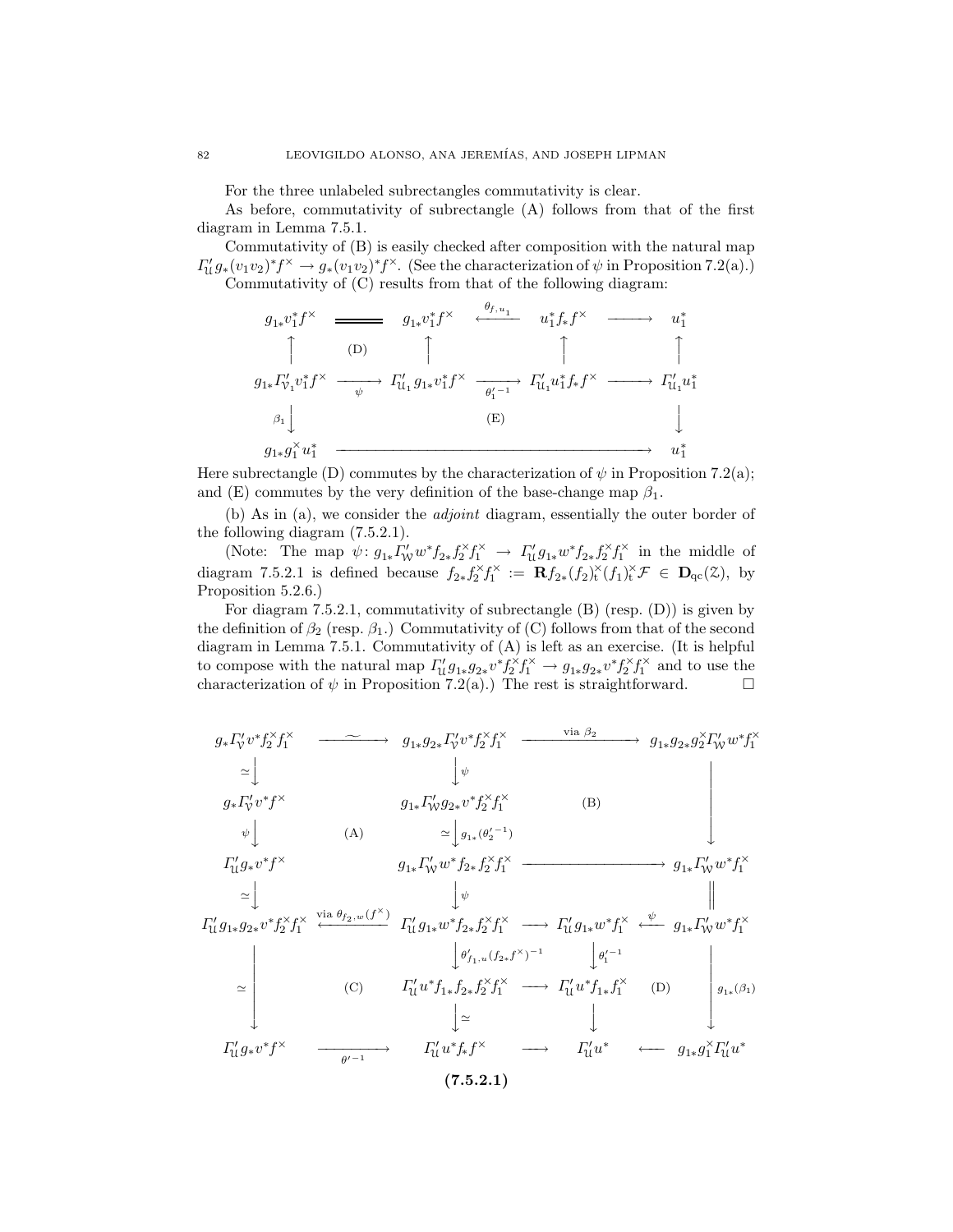For the three unlabeled subrectangles commutativity is clear.

As before, commutativity of subrectangle (A) follows from that of the first diagram in Lemma 7.5.1.

Commutativity of (B) is easily checked after composition with the natural map  $\Gamma'_{\mathfrak{U}} g_*(v_1v_2)^* f^\times \to g_*(v_1v_2)^* f^\times$ . (See the characterization of  $\psi$  in Proposition 7.2(a).) Commutativity of (C) results from that of the following diagram:

$$
g_{1*}v_1^*f^\times \longrightarrow g_{1*}v_1^*f^\times \xrightarrow{\theta_{f,u_1}} u_1^*f_*f^\times \longrightarrow u_1^*
$$
  
\n(D) 
$$
\uparrow \qquad \qquad \uparrow \qquad \qquad \uparrow \qquad \qquad \uparrow
$$
  
\n
$$
g_{1*} \Gamma'_{v_1}v_1^*f^\times \longrightarrow \Gamma'_{u_1}g_{1*}v_1^*f^\times \longrightarrow \qquad \qquad \uparrow
$$
  
\n(E) 
$$
g_{1*}g_1^\times u_1^* \longrightarrow u_1^*
$$

Here subrectangle (D) commutes by the characterization of  $\psi$  in Proposition 7.2(a); and (E) commutes by the very definition of the base-change map  $\beta_1$ .

(b) As in (a), we consider the adjoint diagram, essentially the outer border of the following diagram (7.5.2.1).

(Note: The map  $\psi: g_{1*}\Gamma'_{W}w^{*}f_{2*}f_{2}^{*}f_{1}^{*} \rightarrow \Gamma'_{U}g_{1*}w^{*}f_{2*}f_{2}^{*}f_{1}^{*}$  in the middle of diagram 7.5.2.1 is defined because  $f_{2*} f_2^{\times} f_1^{\times} := \mathbf{R} f_{2*} (f_2)_t^{\times} (f_1)_t^{\times} \mathcal{F} \in \mathbf{D}_{\mathrm{qc}}(\mathcal{Z})$ , by Proposition 5.2.6.)

For diagram 7.5.2.1, commutativity of subrectangle (B) (resp. (D)) is given by the definition of  $\beta_2$  (resp.  $\beta_1$ .) Commutativity of (C) follows from that of the second diagram in Lemma 7.5.1. Commutativity of (A) is left as an exercise. (It is helpful to compose with the natural map  $\Gamma'_\n\mathcal{U} g_{1*} g_{2*} v^* f_2^* f_1^* \to g_{1*} g_{2*} v^* f_2^* f_1^*$  and to use the characterization of  $\psi$  in Proposition 7.2(a).) The rest is straightforward.  $\square$ 

$$
g_{*}\Gamma_{\mathbf{y}}'v^{*}f_{2}^{\times}f_{1}^{\times}
$$
\n
$$
\simeq \downarrow \qquad g_{1*}g_{2*}\Gamma_{\mathbf{y}}'v^{*}f_{2}^{\times}f_{1}^{\times}
$$
\n
$$
\simeq \downarrow \qquad \qquad g_{1*}\Gamma_{\mathbf{y}}'g_{2*}v^{*}f_{2}^{\times}f_{1}^{\times}
$$
\n
$$
\simeq \downarrow \qquad g_{1*}\Gamma_{\mathbf{y}}'g_{2*}v^{*}f_{2}^{\times}f_{1}^{\times}
$$
\n
$$
\downarrow \qquad \qquad g_{1*}\Gamma_{\mathbf{y}}'g_{2*}v^{*}f_{2}^{\times}f_{1}^{\times}
$$
\n
$$
\simeq \downarrow g_{1*}\Gamma_{\mathbf{y}}'w^{*}f_{2*}f_{2}^{\times}f_{1}^{\times}
$$
\n
$$
\simeq \downarrow \qquad \qquad g_{1*}\Gamma_{\mathbf{y}}'w^{*}f_{2*}f_{2}^{\times}f_{1}^{\times}
$$
\n
$$
\simeq \downarrow \qquad \qquad \downarrow \qquad \qquad g_{1*}\Gamma_{\mathbf{y}}'w^{*}f_{2*}f_{2}^{\times}f_{1}^{\times}
$$
\n
$$
\simeq \downarrow \qquad \qquad \downarrow \qquad \qquad \downarrow \qquad \qquad \downarrow
$$
\n
$$
\Gamma_{\mathbf{U}}'g_{1*}g_{2*}v^{*}f_{2}^{\times}f_{1}^{\times} \xleftarrow{\text{via }\theta_{f_{2},w}(f^{\times})} \Gamma_{\mathbf{U}}'g_{1*}w^{*}f_{2*}f_{2}^{\times}f_{1}^{\times} \longrightarrow \Gamma_{\mathbf{U}}'g_{1*}w^{*}f_{1}^{\times} \xleftarrow{\psi} \qquad g_{1*}\Gamma_{\mathbf{y}}'w^{*}f_{1}^{\times}
$$
\n
$$
\simeq \qquad \qquad \downarrow \qquad \qquad \downarrow \qquad \qquad \downarrow
$$
\n
$$
\simeq \qquad \qquad \downarrow \qquad \qquad \downarrow \qquad \qquad \downarrow
$$
\n
$$
\simeq \q
$$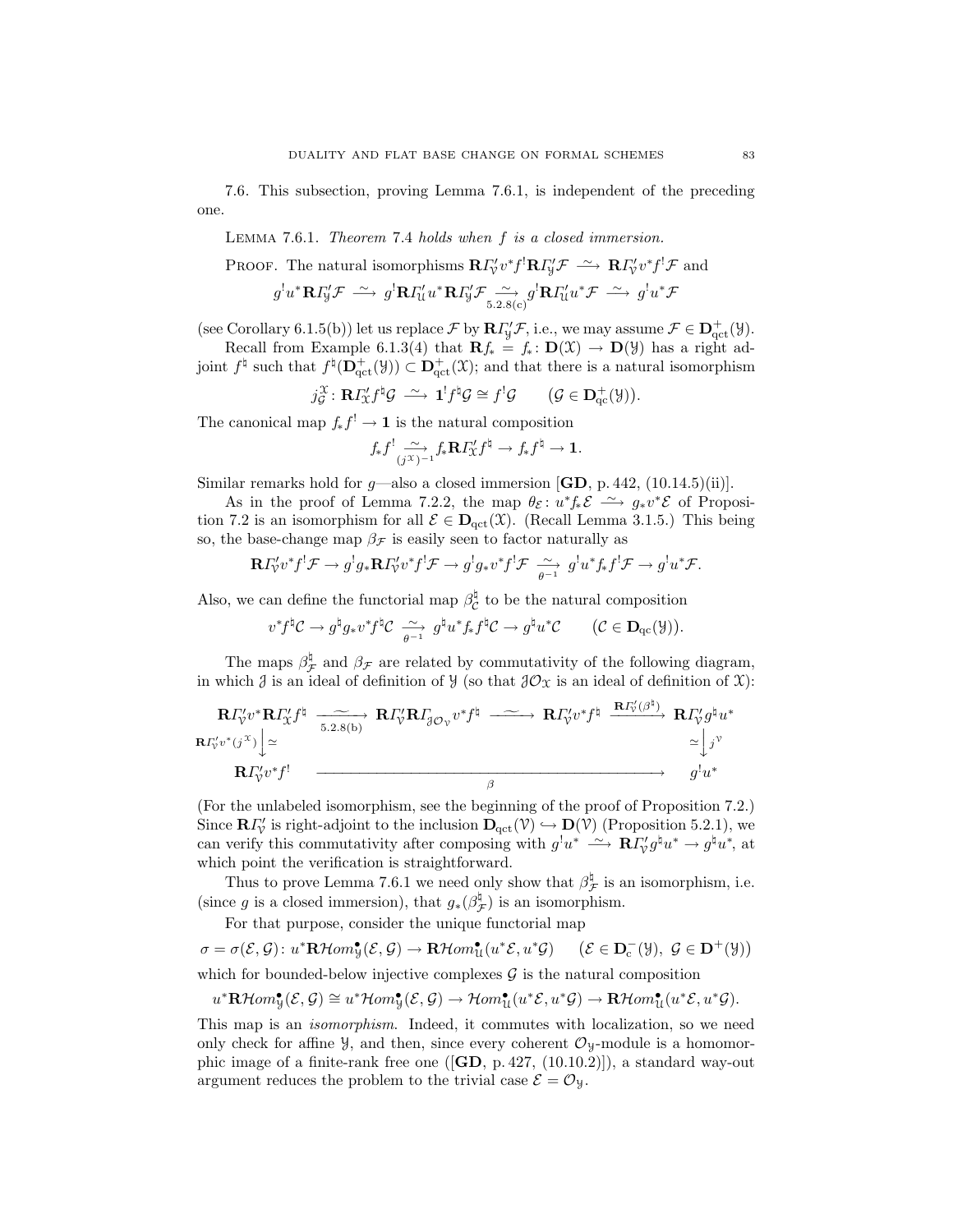7.6. This subsection, proving Lemma 7.6.1, is independent of the preceding one.

Lemma 7.6.1. Theorem 7.4 holds when f is a closed immersion.

PROOF. The natural isomorphisms 
$$
\mathbf{R} \Gamma'_v v^* f^! \mathbf{R} \Gamma'_y \mathcal{F} \xrightarrow{\sim} \mathbf{R} \Gamma'_v v^* f^! \mathcal{F}
$$
 and  
\n $g^! u^* \mathbf{R} \Gamma'_y \mathcal{F} \xrightarrow{\sim} g^! \mathbf{R} \Gamma'_u u^* \mathbf{R} \Gamma'_y \mathcal{F} \xrightarrow{\sim} g^! \mathbf{R} \Gamma'_u u^* \mathcal{F} \xrightarrow{\sim} g^! u^* \mathcal{F}$ 

(see Corollary 6.1.5(b)) let us replace  $\mathcal{F}$  by  $\mathbf{R} \Gamma'_{y} \mathcal{F}$ , i.e., we may assume  $\mathcal{F} \in \mathbf{D}^+_{\text{qct}}(\mathcal{Y})$ .

Recall from Example 6.1.3(4) that  $\mathbf{R}f_* = f_* : \mathbf{D}(\mathfrak{X}) \to \mathbf{D}(\mathfrak{Y})$  has a right adjoint  $f^{\natural}$  such that  $f^{\natural}(\mathbf{D}^+_{\text{qct}}(\mathcal{Y})) \subset \mathbf{D}^+_{\text{qct}}(\mathcal{X})$ ; and that there is a natural isomorphism

$$
j_{\mathcal{G}}^{\mathcal{X}}\colon \mathbf{R} I_{\mathcal{X}}^{\prime} f^{\dagger} \mathcal{G} \stackrel{\sim}{\longrightarrow} \mathbf{1}^{!} f^{\dagger} \mathcal{G} \cong f^{!} \mathcal{G} \qquad (\mathcal{G} \in \mathbf{D}_{\mathrm{qc}}^{+}(\mathcal{Y})).
$$

The canonical map  $f_* f^! \to \mathbf{1}$  is the natural composition

$$
f_*f^!\mathop{\longrightarrow}\limits_{(j^{\mathfrak{X}})^{-1}}f_*\mathbf{R}I_{\mathfrak{X}}'f^{\natural}\rightarrow f_*f^{\natural}\rightarrow 1.
$$

Similar remarks hold for g—also a closed immersion  $[\mathbf{GD}, p. 442, (10.14.5)(ii)].$ 

As in the proof of Lemma 7.2.2, the map  $\theta_{\mathcal{E}}: u^*f_*\mathcal{E} \longrightarrow g_*v^*\mathcal{E}$  of Proposition 7.2 is an isomorphism for all  $\mathcal{E} \in \mathbf{D}_{\text{qct}}(\mathfrak{X})$ . (Recall Lemma 3.1.5.) This being so, the base-change map  $\beta_{\mathcal{F}}$  is easily seen to factor naturally as

$$
\mathbf{R}\Gamma_{\mathcal{V}}'v^*f^!\mathcal{F}\to g^!g_*\mathbf{R}\Gamma_{\mathcal{V}}'v^*f^!\mathcal{F}\to g^!g_*v^*f^!\mathcal{F}\xrightarrow[\theta^{-1}]{\sim}g^!u^*f_*f^!\mathcal{F}\to g^!u^*\mathcal{F}.
$$

Also, we can define the functorial map  $\beta_c^{\dagger}$  to be the natural composition

$$
v^*f^{\natural}\mathcal{C}\to g^{\natural}g_*v^*f^{\natural}\mathcal{C}\;\overset{\sim}{\underset{\theta^{-1}}{\longrightarrow}}\;g^{\natural}u^*f_*f^{\natural}\mathcal{C}\to g^{\natural}u^*\mathcal{C}\qquad \big(\mathcal{C}\in \mathbf{D}_{\mathrm{qc}}(\mathcal{Y})\big).
$$

The maps  $\beta_{\mathcal{F}}^{\natural}$  and  $\beta_{\mathcal{F}}$  are related by commutativity of the following diagram, in which  $\mathcal J$  is an ideal of definition of  $\mathcal Y$  (so that  $\mathcal J\mathcal O_\mathfrak{X}$  is an ideal of definition of  $\mathfrak X)$ :

$$
\mathbf{R}\Gamma_{\mathcal{V}}^{\prime}v^{*}\mathbf{R}\Gamma_{\mathcal{X}}^{\prime}f^{\sharp}\xrightarrow[5.2.8(b)]{}\mathbf{R}\Gamma_{\mathcal{V}}^{\prime}\mathbf{R}\Gamma_{\mathcal{J}\mathcal{O}_{\mathcal{V}}}v^{*}f^{\sharp}\xrightarrow[\alpha]{\sim}\mathbf{R}\Gamma_{\mathcal{V}}^{\prime}v^{*}f^{\sharp}\xrightarrow[\alpha]{\sim}\mathbf{R}\Gamma_{\mathcal{V}}^{\prime}v^{*}g^{\sharp}u^{*}\xrightarrow[\alpha]{\sim}\mathbf{R}\Gamma_{\mathcal{V}}^{\prime}v^{*}f^{\sharp}\xrightarrow[\alpha]{\sim}\mathbf{R}\Gamma_{\mathcal{V}}^{\prime}v^{*}f^{\sharp}\xrightarrow[\beta]{\sim}\mathbf{R}\Gamma_{\mathcal{V}}^{\prime}v^{*}f^{\sharp}\xrightarrow[\beta]{\sim}\mathbf{R}\Gamma_{\mathcal{V}}^{\prime}v^{*}f^{\sharp}\xrightarrow[\beta]{\sim}\mathbf{R}\Gamma_{\mathcal{V}}^{\prime}v^{*}f^{\sharp}\xrightarrow[\beta]{\sim}\mathbf{R}\Gamma_{\mathcal{V}}^{\prime}v^{*}f^{\sharp}\xrightarrow[\beta]{\sim}\mathbf{R}\Gamma_{\mathcal{V}}^{\prime}v^{*}f^{\sharp}\xrightarrow[\beta]{\sim}\mathbf{R}\Gamma_{\mathcal{V}}^{\prime}v^{*}f^{\sharp}\xrightarrow[\beta]{\sim}\mathbf{R}\Gamma_{\mathcal{V}}^{\prime}v^{*}f^{\sharp}\xrightarrow[\beta]{\sim}\mathbf{R}\Gamma_{\mathcal{V}}^{\prime}v^{*}f^{\sharp}\xrightarrow[\beta]{\sim}\mathbf{R}\Gamma_{\mathcal{V}}^{\prime}v^{*}f^{\sharp}\xrightarrow[\beta]{\sim}\mathbf{R}\Gamma_{\mathcal{V}}^{\prime}v^{*}f^{\sharp}\xrightarrow[\beta]{\sim}\mathbf{R}\Gamma_{\mathcal{V}}^{\prime}v^{*}f^{\sharp}\xrightarrow[\beta]{\sim}\mathbf{R}\Gamma_{\mathcal{V}}^{\prime}v^{*}f^{\sharp}\xrightarrow[\beta]{\sim}\mathbf{R}\Gamma_{\mathcal{V}}^{\prime}v^{*}f^{\sharp}\xrightarrow[\beta]{\sim}\mathbf{R}\Gamma_{\mathcal{V}}^{\prime}v^{*}f^{\sharp}\xrightarrow[\beta]{\sim}\mathbf{R}\Gamma_{\mathcal{V}}^{\prime}v^{*}f^{\sharp}\xrightarrow[\beta]{
$$

(For the unlabeled isomorphism, see the beginning of the proof of Proposition 7.2.) Since  $\mathbf{R} \Gamma'_{\mathcal{V}}$  is right-adjoint to the inclusion  $\mathbf{D}_{\mathrm{qct}}(\mathcal{V}) \hookrightarrow \mathbf{D}(\mathcal{V})$  (Proposition 5.2.1), we can verify this commutativity after composing with  $g' u^* \longrightarrow \mathbb{R} \Gamma_v^{\prime} g^{\sharp} u^* \to g^{\sharp} u^*$ , at which point the verification is straightforward.

Thus to prove Lemma 7.6.1 we need only show that  $\beta_{\mathcal{F}}^{\natural}$  is an isomorphism, i.e. (since g is a closed immersion), that  $g_*(\beta_{\mathcal{F}}^{\natural})$  is an isomorphism.

For that purpose, consider the unique functorial map

 $\sigma = \sigma(\mathcal{E}, \mathcal{G}) : u^* \mathbf{R} \mathcal{H} om_{\mathcal{Y}}^{\bullet}(\mathcal{E}, \mathcal{G}) \to \mathbf{R} \mathcal{H} om_{\mathcal{U}}^{\bullet}(u^* \mathcal{E}, u^* \mathcal{G}) \quad (\mathcal{E} \in \mathbf{D}_{\mathcal{C}}^-(\mathcal{Y}), \ \mathcal{G} \in \mathbf{D}^+(\mathcal{Y}))$ which for bounded-below injective complexes  $G$  is the natural composition

 $u^*{\bf R}\mathcal{H}om_{\mathcal{Y}}^{\bullet}(\mathcal{E}, \mathcal{G}) \cong u^*\mathcal{H}om_{\mathcal{Y}}^{\bullet}(\mathcal{E}, \mathcal{G}) \to \mathcal{H}om_{\mathcal{U}}^{\bullet}(u^*\mathcal{E}, u^*\mathcal{G}) \to {\bf R}\mathcal{H}om_{\mathcal{U}}^{\bullet}(u^*\mathcal{E}, u^*\mathcal{G}).$ 

This map is an isomorphism. Indeed, it commutes with localization, so we need only check for affine  $\mathcal{Y}$ , and then, since every coherent  $\mathcal{O}_y$ -module is a homomorphic image of a finite-rank free one  $(|GD, p. 427, (10.10.2))$ , a standard way-out argument reduces the problem to the trivial case  $\mathcal{E} = \mathcal{O}_{\mathcal{Y}}$ .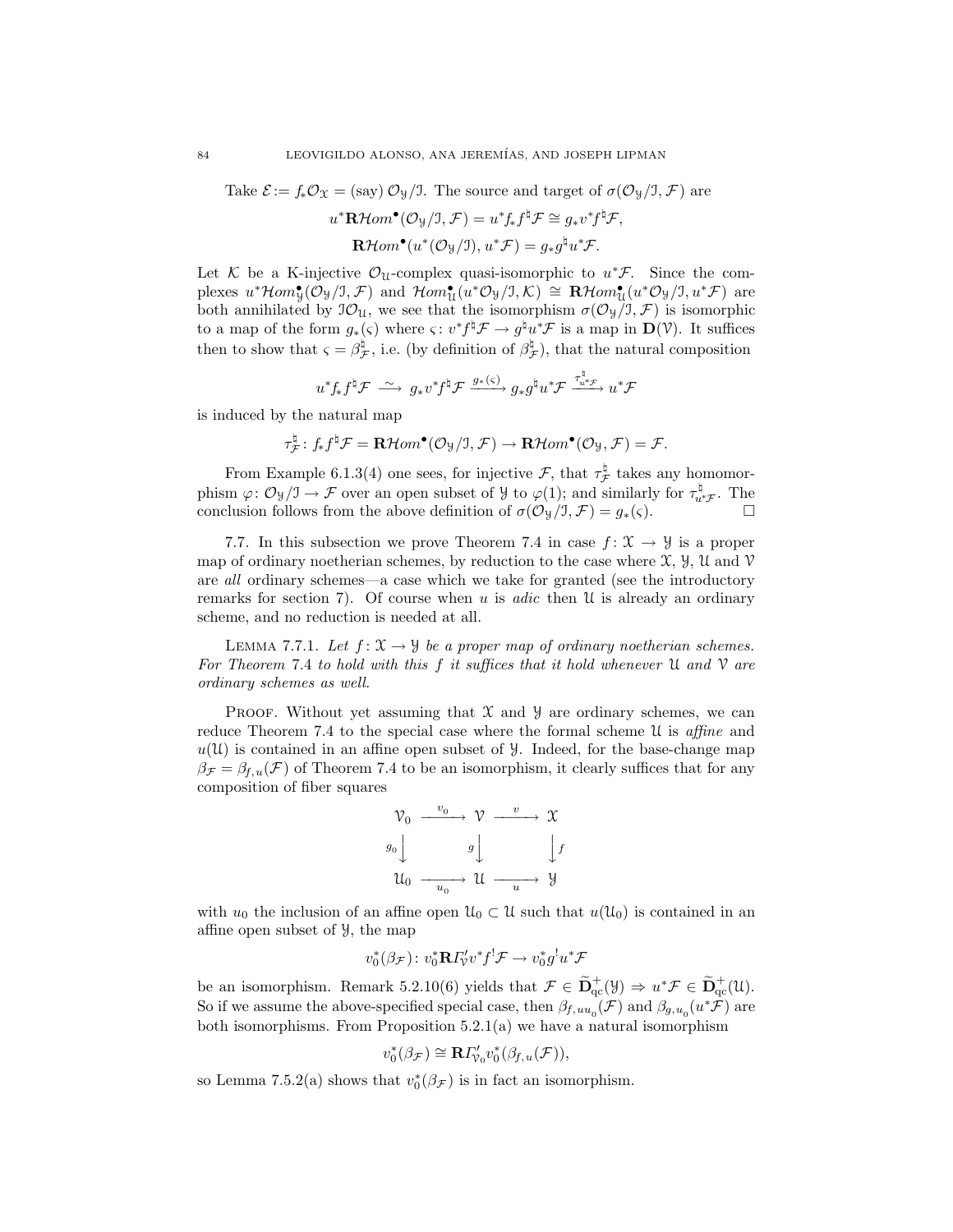Take  $\mathcal{E} := f_* \mathcal{O}_{\mathfrak{X}} = (\text{say}) \mathcal{O}_{\mathfrak{Y}}/J$ . The source and target of  $\sigma(\mathcal{O}_{\mathfrak{Y}}/J, \mathcal{F})$  are

$$
u^* \mathbf{R} \mathcal{H}om^{\bullet}(\mathcal{O}_\mathcal{Y}/\mathcal{I}, \mathcal{F}) = u^* f_* f^{\sharp} \mathcal{F} \cong g_* v^* f^{\sharp} \mathcal{F},
$$

$$
\mathbf{R} \mathcal{H}om^{\bullet}(u^*(\mathcal{O}_\mathcal{Y}/\mathcal{I}), u^* \mathcal{F}) = g_* g^{\sharp} u^* \mathcal{F}.
$$

Let K be a K-injective  $\mathcal{O}_u$ -complex quasi-isomorphic to  $u^*\mathcal{F}$ . Since the complexes  $u^* \mathcal{H}om_{\mathcal{Y}}^{\bullet}(\mathcal{O}_{\mathcal{Y}}/J, \mathcal{F})$  and  $\mathcal{H}om_{\mathcal{U}}^{\bullet}(u^*\mathcal{O}_{\mathcal{Y}}/J, \mathcal{K}) \cong \mathbf{R}\mathcal{H}om_{\mathcal{U}}^{\bullet}(u^*\mathcal{O}_{\mathcal{Y}}/J, u^*\mathcal{F})$  are both annihilated by  $\mathcal{O}_{\mathcal{U}}$ , we see that the isomorphism  $\sigma(\mathcal{O}_{\mathcal{Y}}/J, \mathcal{F})$  is isomorphic to a map of the form  $g_*(\varsigma)$  where  $\varsigma: v^* f^{\sharp} \mathcal{F} \to g^{\sharp} u^* \mathcal{F}$  is a map in  $\mathbf{D}(\mathcal{V})$ . It suffices then to show that  $\varsigma = \beta_{\mathcal{F}}^{\sharp}$ , i.e. (by definition of  $\beta_{\mathcal{F}}^{\sharp}$ ), that the natural composition

$$
u^*f_*f^{\natural}\mathcal{F} \stackrel{\sim}{\longrightarrow} g_*v^*f^{\natural}\mathcal{F} \xrightarrow{g_*(\varsigma)} g_*g^{\natural}u^*\mathcal{F} \xrightarrow{\tau_u^{\natural}\mathcal{F}} u^*\mathcal{F}
$$

is induced by the natural map

$$
\tau_{\mathcal{F}}^{\natural}: f_* f^{\natural} \mathcal{F} = \mathbf{R} \mathcal{H}om^{\bullet}(\mathcal{O}_{\mathcal{Y}}/J, \mathcal{F}) \to \mathbf{R} \mathcal{H}om^{\bullet}(\mathcal{O}_{\mathcal{Y}}, \mathcal{F}) = \mathcal{F}.
$$

From Example 6.1.3(4) one sees, for injective  $\mathcal{F}$ , that  $\tau_{\mathcal{F}}^{\sharp}$  takes any homomorphism  $\varphi: \mathcal{O}_{\mathcal{Y}}/\mathcal{I} \to \mathcal{F}$  over an open subset of  $\mathcal{Y}$  to  $\varphi(1)$ ; and similarly for  $\tau_{u^*\mathcal{F}}^{\mathfrak{h}}$ . The conclusion follows from the above definition of  $\sigma(\mathcal{O}_{\mathcal{Y}}/\mathcal{I}, \mathcal{F}) = g_*(\varsigma)$ .

7.7. In this subsection we prove Theorem 7.4 in case  $f: \mathcal{X} \to \mathcal{Y}$  is a proper map of ordinary noetherian schemes, by reduction to the case where  $\mathfrak{X}, \mathfrak{Y}, \mathfrak{U}$  and  $\mathfrak{V}$ are all ordinary schemes—a case which we take for granted (see the introductory remarks for section 7). Of course when  $u$  is *adic* then  $\mathcal U$  is already an ordinary scheme, and no reduction is needed at all.

LEMMA 7.7.1. Let  $f: \mathfrak{X} \to \mathfrak{Y}$  be a proper map of ordinary noetherian schemes. For Theorem 7.4 to hold with this  $f$  it suffices that it hold whenever  $\mathfrak U$  and  $\mathfrak V$  are ordinary schemes as well.

PROOF. Without yet assuming that  $\mathcal X$  and  $\mathcal Y$  are ordinary schemes, we can reduce Theorem 7.4 to the special case where the formal scheme  $\mathcal U$  is affine and  $u(\mathfrak{U})$  is contained in an affine open subset of  $\mathcal{Y}$ . Indeed, for the base-change map  $\beta_{\mathcal{F}} = \beta_{f,u}(\mathcal{F})$  of Theorem 7.4 to be an isomorphism, it clearly suffices that for any composition of fiber squares

$$
\begin{array}{ccc}\n\mathcal{V}_0 & \xrightarrow{v_0} & \mathcal{V} & \xrightarrow{v} & \mathcal{X} \\
g_0 & & & g \downarrow & & \downarrow f \\
\mathcal{U}_0 & \xrightarrow{u_0} & \mathcal{U} & \xrightarrow{u} & \mathcal{Y}\n\end{array}
$$

with  $u_0$  the inclusion of an affine open  $\mathcal{U}_0 \subset \mathcal{U}$  such that  $u(\mathcal{U}_0)$  is contained in an affine open subset of Y, the map

$$
v_0^*(\beta_{\mathcal{F}}): v_0^* \mathbf{R} \Gamma_v' v^* f^! \mathcal{F} \to v_0^* g^! u^* \mathcal{F}
$$

be an isomorphism. Remark 5.2.10(6) yields that  $\mathcal{F} \in \widetilde{\mathbf{D}}_{\text{qc}}^+(\mathcal{Y}) \Rightarrow u^*\mathcal{F} \in \widetilde{\mathbf{D}}_{\text{qc}}^+(\mathcal{U})$ . So if we assume the above-specified special case, then  $\beta_{f,uu_0}(\mathcal{F})$  and  $\beta_{g,u_0}(u^*\mathcal{F})$  are both isomorphisms. From Proposition  $5.2.1(a)$  we have a natural isomorphism

$$
v_0^*(\beta_{\mathcal{F}}) \cong \mathbf{R} \Gamma'_{v_0} v_0^*(\beta_{f,u}(\mathcal{F})),
$$

so Lemma 7.5.2(a) shows that  $v_0^*(\beta_{\mathcal{F}})$  is in fact an isomorphism.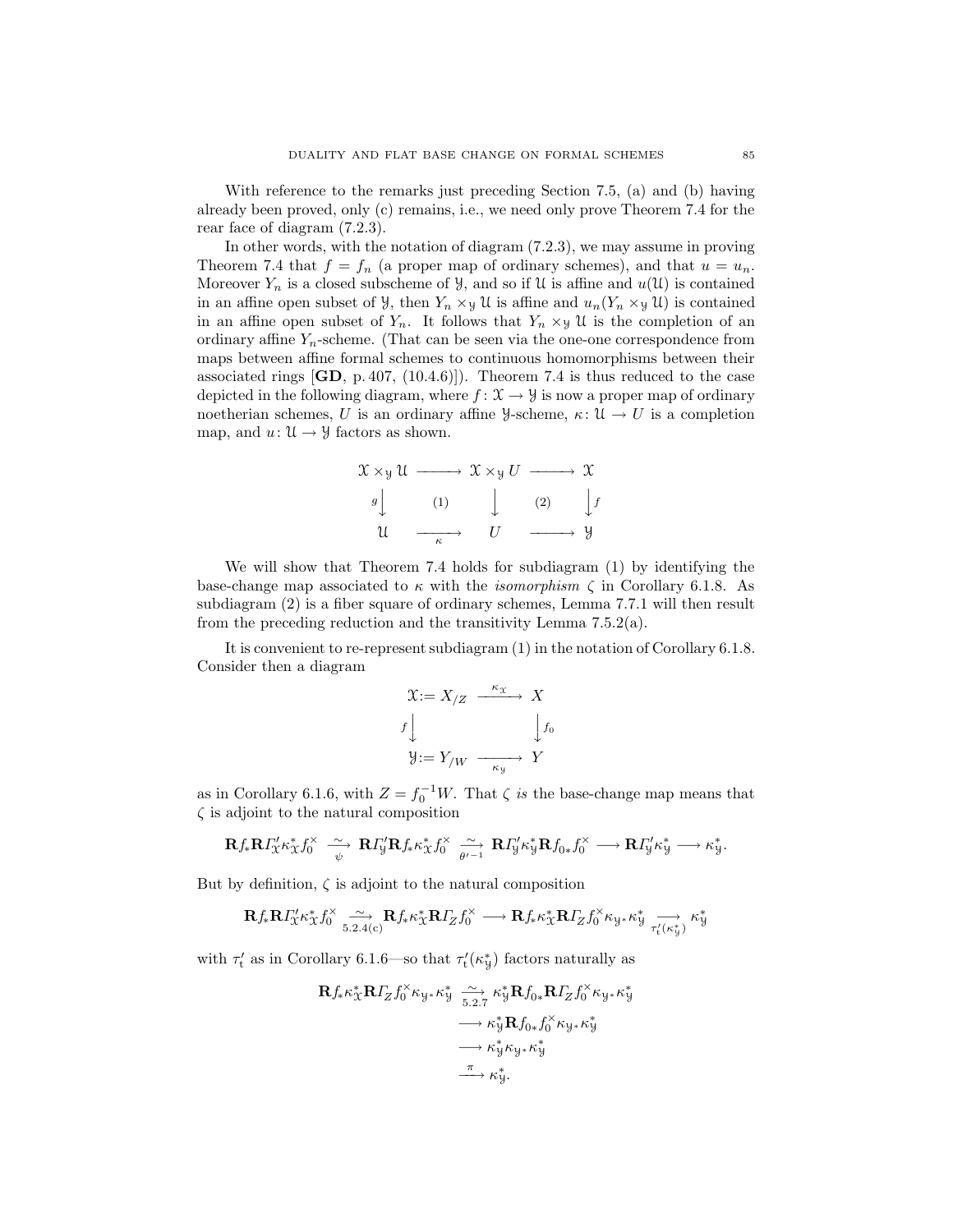With reference to the remarks just preceding Section 7.5, (a) and (b) having already been proved, only (c) remains, i.e., we need only prove Theorem 7.4 for the rear face of diagram (7.2.3).

In other words, with the notation of diagram (7.2.3), we may assume in proving Theorem 7.4 that  $f = f_n$  (a proper map of ordinary schemes), and that  $u = u_n$ . Moreover  $Y_n$  is a closed subscheme of  $\mathcal{Y}$ , and so if  $\mathcal{U}$  is affine and  $u(\mathcal{U})$  is contained in an affine open subset of  $\mathcal{Y}$ , then  $Y_n \times_{\mathcal{Y}} \mathcal{U}$  is affine and  $u_n(Y_n \times_{\mathcal{Y}} \mathcal{U})$  is contained in an affine open subset of  $Y_n$ . It follows that  $Y_n \times_{\mathcal{Y}} \mathcal{U}$  is the completion of an ordinary affine  $Y_n$ -scheme. (That can be seen via the one-one correspondence from maps between affine formal schemes to continuous homomorphisms between their associated rings  $[\mathbf{GD}, p.407, (10.4.6)]$ . Theorem 7.4 is thus reduced to the case depicted in the following diagram, where  $f: \mathcal{X} \to \mathcal{Y}$  is now a proper map of ordinary noetherian schemes, U is an ordinary affine  $\mathcal{Y}$ -scheme,  $\kappa: \mathcal{U} \to U$  is a completion map, and  $u: \mathcal{U} \to \mathcal{Y}$  factors as shown.

$$
\begin{array}{ccc}\n\mathfrak{X} \times_{\mathcal{Y}} \mathfrak{U} & \xrightarrow{\hspace{0.5cm}} & \mathfrak{X} \times_{\mathcal{Y}} U & \xrightarrow{\hspace{0.5cm}} & \mathfrak{X} \\
g \downarrow & & & \downarrow & & (2) & \downarrow f \\
\mathfrak{U} & \xrightarrow{\hspace{0.5cm}} & U & \xrightarrow{\hspace{0.5cm}} & \mathcal{Y}\n\end{array}
$$

We will show that Theorem 7.4 holds for subdiagram (1) by identifying the base-change map associated to  $\kappa$  with the *isomorphism*  $\zeta$  in Corollary 6.1.8. As subdiagram (2) is a fiber square of ordinary schemes, Lemma 7.7.1 will then result from the preceding reduction and the transitivity Lemma 7.5.2(a).

It is convenient to re-represent subdiagram  $(1)$  in the notation of Corollary 6.1.8. Consider then a diagram

$$
\mathcal{X} := X_{/Z} \xrightarrow{\kappa_{\mathcal{X}}} X
$$

$$
f \downarrow \qquad \qquad f_0
$$

$$
\mathcal{Y} := Y_{/W} \xrightarrow{\kappa_{\mathcal{Y}}} Y
$$

as in Corollary 6.1.6, with  $Z = f_0^{-1}W$ . That  $\zeta$  is the base-change map means that  $\zeta$  is adjoint to the natural composition

$$
\mathbf{R} f_*\mathbf{R} I_{X}^{\prime\prime}\kappa_{X}^*f_{0}^{\times} \xrightarrow[\psi]{\sim} \mathbf{R} I_{Y}^{\prime}\mathbf{R} f_*\kappa_{X}^*f_{0}^{\times} \xrightarrow[\psi-1]{\sim} \mathbf{R} I_{Y}^{\prime\prime}\kappa_{Y}^* \mathbf{R} f_{0*}f_{0}^{\times} \longrightarrow \mathbf{R} I_{Y}^{\prime\prime}\kappa_{Y}^* \longrightarrow \kappa_{Y}^*.
$$

But by definition,  $\zeta$  is adjoint to the natural composition

$$
\mathbf{R} f_*\mathbf{R} \mathbf{\Gamma}_X' \kappa_X^* f_0^{\times} \xrightarrow[5.2.4(c)} \mathbf{R} f_* \kappa_X^* \mathbf{R} \mathbf{\Gamma}_Z f_0^{\times} \longrightarrow \mathbf{R} f_* \kappa_X^* \mathbf{R} \mathbf{\Gamma}_Z f_0^{\times} \kappa_{\mathcal{Y}^*} \kappa_{\mathcal{Y}}^* \xrightarrow[\tau_t'(\kappa_{\mathcal{Y}}^*)} \kappa_{\mathcal{Y}}^*
$$

with  $\tau'_{\text{t}}$  as in Corollary 6.1.6—so that  $\tau'_{\text{t}}(\kappa^*_{\text{y}})$  factors naturally as

$$
\mathbf{R} f_{*} \kappa_{\mathcal{X}}^{*} \mathbf{R} I_{Z} f_{0}^{\times} \kappa_{y} \underset{5.2.7}{\longrightarrow} \kappa_{y}^{*} \mathbf{R} f_{0*} \mathbf{R} I_{Z} f_{0}^{\times} \kappa_{y} \kappa_{y}^{*}
$$

$$
\longrightarrow \kappa_{y}^{*} \mathbf{R} f_{0*} f_{0}^{\times} \kappa_{y} \kappa_{y}^{*}
$$

$$
\longrightarrow \kappa_{y}^{*} \kappa_{y} \kappa_{y}^{*}
$$

$$
\longrightarrow \kappa_{y}^{*}.
$$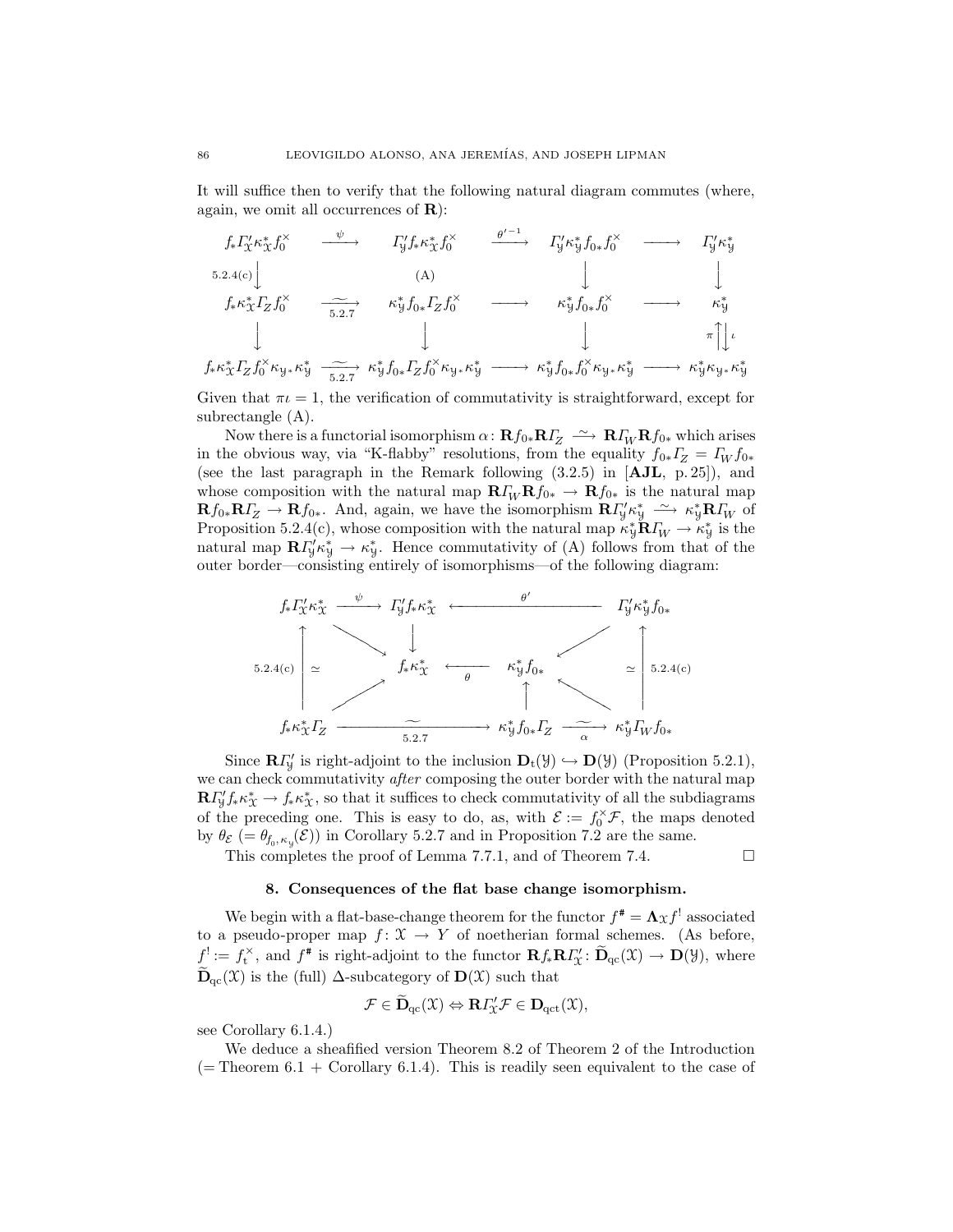It will suffice then to verify that the following natural diagram commutes (where, again, we omit all occurrences of **):** 

$$
f_{*}\Gamma_{X}^{\prime}\kappa_{X}^{*}f_{0}^{\times} \xrightarrow{\psi} \Gamma_{Y}^{\prime}f_{*}\kappa_{X}^{*}f_{0}^{\times} \xrightarrow{\theta^{\prime-1}} \Gamma_{Y}^{\prime}\kappa_{Y}^{*}f_{0*}f_{0}^{\times} \longrightarrow \Gamma_{Y}^{\prime}\kappa_{Y}^{*}
$$
\n
$$
5.2.4(c) \downarrow \qquad (A) \downarrow \qquad \qquad \downarrow
$$
\n
$$
f_{*}\kappa_{X}^{*}\Gamma_{Z}f_{0}^{\times} \xrightarrow{\sim} \kappa_{Y}^{*}f_{0*}\Gamma_{Z}f_{0}^{\times} \longrightarrow \kappa_{Y}^{*}f_{0*}f_{0}^{\times} \longrightarrow \kappa_{Y}^{*}
$$
\n
$$
\downarrow \qquad \qquad \downarrow \qquad \qquad \downarrow \qquad \qquad \uparrow \uparrow \downarrow
$$
\n
$$
f_{*}\kappa_{X}^{*}\Gamma_{Z}f_{0}^{\times}\kappa_{Y}^{*}f_{\frac{\sim}{2}}\longrightarrow \kappa_{Y}^{*}f_{0*}\Gamma_{Z}f_{0}^{\times}\kappa_{Y}^{*}\kappa_{Y}^* \longrightarrow \kappa_{Y}^{*}f_{0*}f_{0}^{\times}\kappa_{Y}^{*}\kappa_{Y}^{*} \longrightarrow \kappa_{Y}^{*}\kappa_{Y}^{*}\kappa_{Y}^{*}
$$

Given that  $\pi \iota = 1$ , the verification of commutativity is straightforward, except for subrectangle (A).

Now there is a functorial isomorphism  $\alpha: \mathbf{R}f_{0*}\mathbf{R}f_{Z} \longrightarrow \mathbf{R}f_{W}\mathbf{R}f_{0*}$  which arises in the obvious way, via "K-flabby" resolutions, from the equality  $f_{0*} \Gamma_Z = \Gamma_W f_{0*}$ (see the last paragraph in the Remark following (3.2.5) in [AJL, p. 25]), and whose composition with the natural map  $\mathbf{R} \cdot \mathbf{R} f_{0*} \to \mathbf{R} f_{0*}$  is the natural map  $\mathbf{R} f_{0*} \mathbf{R} I_Z \to \mathbf{R} f_{0*}$ . And, again, we have the isomorphism  $\mathbf{R} I_y' \kappa_y^* \stackrel{\sim}{\longrightarrow} \kappa_y^* \mathbf{R} I_W$  of Proposition 5.2.4(c), whose composition with the natural map  $\kappa_y^* \mathbf{R} I_W \to \kappa_y^*$  is the natural map  $\mathbf{R} \Gamma'_y \kappa^*_y \to \kappa^*_y$ . Hence commutativity of (A) follows from that of the outer border—consisting entirely of isomorphisms—of the following diagram:



Since  $\mathbf{R}I_{\mathcal{Y}}'$  is right-adjoint to the inclusion  $\mathbf{D}_{t}(\mathcal{Y}) \hookrightarrow \mathbf{D}(\mathcal{Y})$  (Proposition 5.2.1), we can check commutativity *after* composing the outer border with the natural map  $\mathbf{R} \Gamma_{\mathcal{Y}}' f_* \kappa_{\mathcal{X}}^* \to f_* \kappa_{\mathcal{X}}^*$ , so that it suffices to check commutativity of all the subdiagrams of the preceding one. This is easy to do, as, with  $\mathcal{E} := f_0^{\times} \mathcal{F}$ , the maps denoted by  $\theta_{\mathcal{E}}$  (=  $\theta_{f_0, \kappa_y}(\mathcal{E})$ ) in Corollary 5.2.7 and in Proposition 7.2 are the same.

This completes the proof of Lemma 7.7.1, and of Theorem 7.4.

$$
\Box
$$

## 8. Consequences of the flat base change isomorphism.

We begin with a flat-base-change theorem for the functor  $f^* = \Lambda_{\mathfrak{X}} f^!$  associated to a pseudo-proper map  $f: \mathfrak{X} \to Y$  of noetherian formal schemes. (As before,  $f^! := f_t^{\times}$ , and  $f^*$  is right-adjoint to the functor  $\mathbf{R} f_* \mathbf{R} F'_{\mathcal{X}} \colon \widetilde{\mathbf{D}}_{\text{qc}}(\mathcal{X}) \to \mathbf{D}(\mathcal{Y})$ , where  $\widetilde{\mathbf{D}}_{\text{qc}}(\mathfrak{X})$  is the (full)  $\Delta$ -subcategory of  $\mathbf{D}(\mathfrak{X})$  such that

$$
\mathcal{F} \in \widetilde{\mathbf{D}}_{\mathrm{qc}}(\mathfrak{X}) \Leftrightarrow \mathbf{R} \varGamma_{\!\mathfrak{X}}' \mathcal{F} \in \mathbf{D}_{\mathrm{qct}}(\mathfrak{X}),
$$

see Corollary 6.1.4.)

We deduce a sheafified version Theorem 8.2 of Theorem 2 of the Introduction  $($  = Theorem 6.1 + Corollary 6.1.4). This is readily seen equivalent to the case of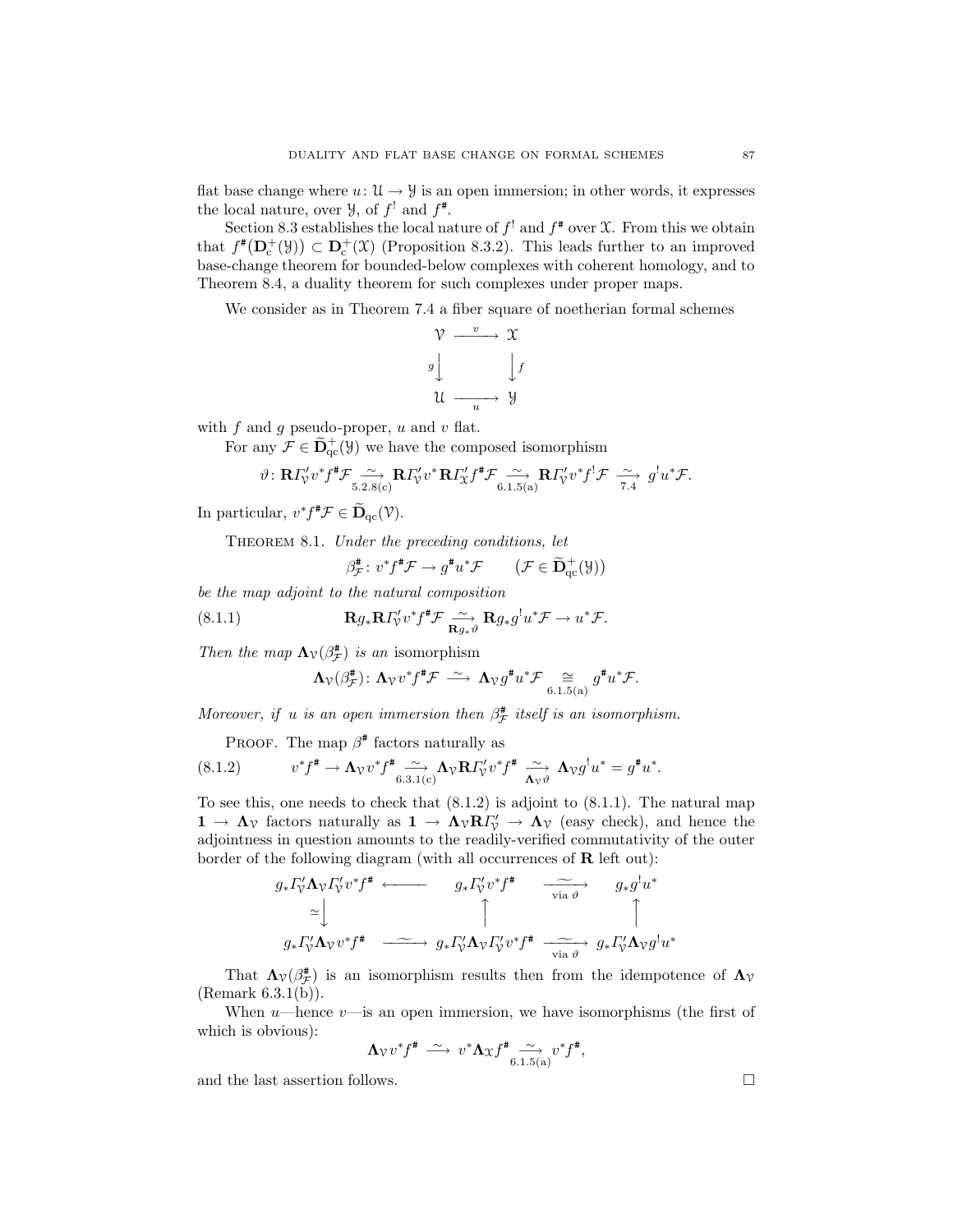flat base change where  $u: \mathfrak{U} \to \mathcal{Y}$  is an open immersion; in other words, it expresses the local nature, over  $\mathcal{Y}$ , of  $f'$  and  $f^*$ .

Section 8.3 establishes the local nature of  $f^!$  and  $f^*$  over X. From this we obtain that  $f^*(\mathbf{D}_c^+(\mathcal{Y})) \subset \mathbf{D}_c^+(\mathcal{X})$  (Proposition 8.3.2). This leads further to an improved base-change theorem for bounded-below complexes with coherent homology, and to Theorem 8.4, a duality theorem for such complexes under proper maps.

We consider as in Theorem 7.4 a fiber square of noetherian formal schemes

$$
\begin{array}{ccc}\n\mathcal{V} & \xrightarrow{v} & \mathcal{X} \\
\downarrow^g & & \downarrow^f \\
\mathcal{U} & \xrightarrow{u} & \mathcal{Y}\n\end{array}
$$

with  $f$  and  $g$  pseudo-proper,  $u$  and  $v$  flat.

For any  $\mathcal{F} \in \tilde{\mathbf{D}}_{\text{qc}}^+(\mathcal{Y})$  we have the composed isomorphism

g

$$
\vartheta\colon \mathbf{R}\Gamma_{\mathcal{V}}'v^*f^{\#}\mathcal{F}\xrightarrow[5.2.8(c)]{}\mathbf{R}\Gamma_{\mathcal{V}}'v^*\mathbf{R}\Gamma_{\mathcal{X}}'f^{\#}\mathcal{F}\xrightarrow[6.1.5(a)]{}_{\mathbf{R}}\mathbf{R}\Gamma_{\mathcal{V}}'v^*f^!\mathcal{F}\xrightarrow[7.4]{}g^!u^*\mathcal{F}.
$$

In particular,  $v^* f^* \mathcal{F} \in \widetilde{\mathbf{D}}_{\mathrm{qc}}(\mathcal{V})$ .

THEOREM 8.1. Under the preceding conditions, let

$$
\beta_{\mathcal{F}}^{\#} \colon v^* f^{\#} \mathcal{F} \to g^{\#} u^* \mathcal{F} \qquad \left( \mathcal{F} \in \widetilde{\mathbf{D}}_{\mathrm{qc}}^+(\mathcal{Y}) \right)
$$

be the map adjoint to the natural composition

(8.1.1) 
$$
\mathbf{R}g_*\mathbf{R}I'_{\gamma}v^*f^{\#}\mathcal{F}\underset{\mathbf{R}g_*\vartheta}{\longrightarrow}\mathbf{R}g_*g^!u^*\mathcal{F}\to u^*\mathcal{F}.
$$

Then the map  $\Lambda_{\mathcal{V}}(\beta_{\mathcal{F}}^{*})$  is an isomorphism

$$
\Lambda_{\mathcal{V}}(\beta_{\mathcal{F}}^{\#})\colon \Lambda_{\mathcal{V}}v^*f^{\#}\mathcal{F} \;\stackrel{\sim}{\longrightarrow}\; \Lambda_{\mathcal{V}}g^{\#}u^*\mathcal{F} \underset{6.1.5(a)}{\cong} g^{\#}u^*\mathcal{F}.
$$

Moreover, if u is an open immersion then  $\beta^{\#}_{\mathcal{F}}$  itself is an isomorphism.

PROOF. The map  $\beta^*$  factors naturally as

$$
(8.1.2) \t v^* f^* \to \Lambda_{\mathcal{V}} v^* f^* \underset{6.3.1(c)}{\sim} \Lambda_{\mathcal{V}} \mathbf{R} \Gamma_{\mathcal{V}}' v^* f^* \underset{\Lambda_{\mathcal{V}} \vartheta}{\sim} \Lambda_{\mathcal{V}} g^! u^* = g^* u^*.
$$

To see this, one needs to check that  $(8.1.2)$  is adjoint to  $(8.1.1)$ . The natural map  $1 \to \Lambda_{\mathcal{V}}$  factors naturally as  $1 \to \Lambda_{\mathcal{V}} R I_{\mathcal{V}}' \to \Lambda_{\mathcal{V}}$  (easy check), and hence the adjointness in question amounts to the readily-verified commutativity of the outer border of the following diagram (with all occurrences of  **left out):** 

$$
g_* \Gamma_v' \Lambda_v \Gamma_v' v^* f^* \longleftarrow g_* \Gamma_v' v^* f^* \longrightarrow g_* g^! u^*
$$
  
\n
$$
\simeq \downarrow \qquad \qquad \uparrow \qquad \qquad \downarrow
$$
  
\n
$$
g_* \Gamma_v' \Lambda_v v^* f^* \longrightarrow g_* \Gamma_v' \Lambda_v \Gamma_v' v^* f^* \longrightarrow g_* \Gamma_v' \Lambda_v g^! u^*
$$

That  $\Lambda_{\mathcal{V}}(\beta_{\mathcal{F}}^{*})$  is an isomorphism results then from the idempotence of  $\Lambda_{\mathcal{V}}$ (Remark 6.3.1(b)).

When  $u$ —hence  $v$ —is an open immersion, we have isomorphisms (the first of which is obvious):

$$
\Lambda_{\mathcal{V}} v^* f^{\#} \stackrel{\sim}{\longrightarrow} v^* \Lambda_{\mathfrak{X}} f^{\#} \underset{6.1.5(a)}{\longrightarrow} v^* f^{\#},
$$

and the last assertion follows.  $\Box$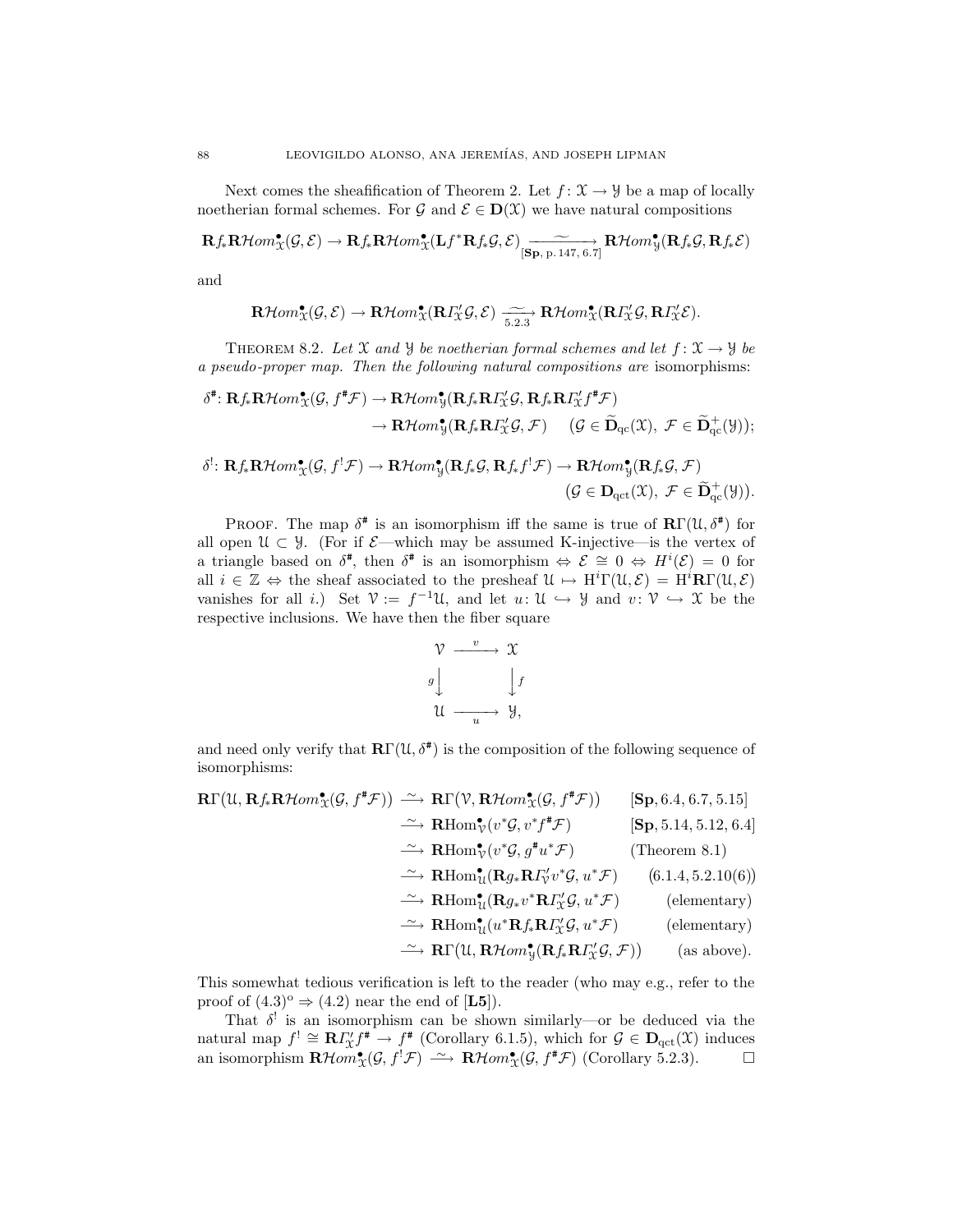Next comes the sheafification of Theorem 2. Let  $f: \mathfrak{X} \to \mathcal{Y}$  be a map of locally noetherian formal schemes. For  $\mathcal{G}$  and  $\mathcal{E} \in \mathbf{D}(\mathcal{X})$  we have natural compositions

$$
\mathbf{R} f_*\mathbf{R}\mathcal{H}om_{\mathfrak{X}}^{\bullet}(\mathcal{G},\mathcal{E})\rightarrow \mathbf{R} f_*\mathbf{R}\mathcal{H}om_{\mathfrak{X}}^{\bullet}(\mathbf{L} f^*\mathbf{R} f_*\mathcal{G},\mathcal{E})\xrightarrow[\mathbf{Sp},\text{p.147},\text{6.7}]}\mathbf{R}\mathcal{H}om_{\mathcal{Y}}^{\bullet}(\mathbf{R} f_*\mathcal{G},\mathbf{R} f_*\mathcal{E})
$$

and

$$
\mathbf{R}\mathcal{H}om_{\mathcal{X}}^{\bullet}(\mathcal{G},\mathcal{E}) \to \mathbf{R}\mathcal{H}om_{\mathcal{X}}^{\bullet}(\mathbf{R}\Gamma_{\mathcal{X}}^{\prime}\mathcal{G},\mathcal{E}) \xrightarrow[5.2.3]{} \mathbf{R}\mathcal{H}om_{\mathcal{X}}^{\bullet}(\mathbf{R}\Gamma_{\mathcal{X}}^{\prime}\mathcal{G},\mathbf{R}\Gamma_{\mathcal{X}}^{\prime}\mathcal{E}).
$$

THEOREM 8.2. Let X and Y be noetherian formal schemes and let  $f: X \rightarrow Y$  be a pseudo-proper map. Then the following natural compositions are isomorphisms:

$$
\delta^{\sharp}: \mathbf{R} f_{*} \mathbf{R} \mathcal{H} om_{\mathcal{X}}^{\bullet}(\mathcal{G}, f^{\sharp} \mathcal{F}) \to \mathbf{R} \mathcal{H} om_{\mathcal{Y}}^{\bullet}(\mathbf{R} f_{*} \mathbf{R} I_{\mathcal{X}}^{\prime} \mathcal{G}, \mathbf{R} f_{*} \mathbf{R} I_{\mathcal{X}}^{\prime} f^{\sharp} \mathcal{F})
$$

$$
\to \mathbf{R} \mathcal{H} om_{\mathcal{Y}}^{\bullet}(\mathbf{R} f_{*} \mathbf{R} I_{\mathcal{X}}^{\prime} \mathcal{G}, \mathcal{F}) \qquad (\mathcal{G} \in \widetilde{\mathbf{D}}_{qc}(\mathcal{X}), \ \mathcal{F} \in \widetilde{\mathbf{D}}_{qc}^{+}(\mathcal{Y}));
$$

$$
\delta^{!}:\mathbf{R} f \mathbf{R} \mathcal{H} om^{\bullet}(\mathcal{G}, f^{!}\mathcal{F}) \to \mathbf{R} \mathcal{H} om^{\bullet}(\mathbf{R} f \mathcal{G}, \mathbf{R} f f^{!}\mathcal{F}) \to \mathbf{R} \mathcal{H} om^{\bullet}(\mathbf{R} f \mathcal{G}, \mathcal{F})
$$

$$
\delta^!\colon \mathbf{R} f_*\mathbf{R}\mathcal{H}om_{\mathfrak{X}}^{\bullet}(\mathcal{G},f^!\mathcal{F}) \to \mathbf{R}\mathcal{H}om_{\mathfrak{Y}}^{\bullet}(\mathbf{R} f_*\mathcal{G},\mathbf{R} f_*f^!\mathcal{F}) \to \mathbf{R}\mathcal{H}om_{\mathfrak{Y}}^{\bullet}(\mathbf{R} f_*\mathcal{G},\mathcal{F})
$$

$$
(\mathcal{G} \in \mathbf{D}_{\mathrm{qct}}(\mathfrak{X}),\ \mathcal{F} \in \widetilde{\mathbf{D}}_{\mathrm{qct}}^+(\mathfrak{Y})).
$$

PROOF. The map  $\delta^{\#}$  is an isomorphism iff the same is true of  $\mathbb{R}\Gamma(\mathcal{U},\delta^{\#})$  for all open  $\mathcal{U} \subset \mathcal{Y}$ . (For if  $\mathcal{E}$ —which may be assumed K-injective—is the vertex of a triangle based on  $\delta^*$ , then  $\delta^*$  is an isomorphism  $\Leftrightarrow \mathcal{E} \cong 0 \Leftrightarrow H^i(\mathcal{E}) = 0$  for all  $i \in \mathbb{Z} \Leftrightarrow$  the sheaf associated to the presheaf  $\mathcal{U} \mapsto H^i\Gamma(\mathcal{U}, \mathcal{E}) = H^i\mathbf{R}\Gamma(\mathcal{U}, \mathcal{E})$ vanishes for all *i*.) Set  $\mathcal{V} := f^{-1} \mathcal{U}$ , and let  $u: \mathcal{U} \hookrightarrow \mathcal{Y}$  and  $v: \mathcal{V} \hookrightarrow \mathcal{X}$  be the respective inclusions. We have then the fiber square

$$
\begin{array}{ccc}\n\mathcal{V} & \xrightarrow{v} & \mathcal{X} \\
g \downarrow & & \downarrow f \\
\mathcal{U} & \xrightarrow{u} & \mathcal{Y},\n\end{array}
$$

and need only verify that  $\mathbb{R}\Gamma(\mathfrak{U},\delta^*)$  is the composition of the following sequence of isomorphisms:

$$
\begin{array}{rcl}\n\mathbf{R}\Gamma(\mathcal{U},\mathbf{R}f_*\mathbf{R}\mathcal{H}om^{\bullet}_{\mathcal{X}}(\mathcal{G},f^*\mathcal{F})) & \cong \mathbf{R}\Gamma(\mathcal{V},\mathbf{R}\mathcal{H}om^{\bullet}_{\mathcal{X}}(\mathcal{G},f^*\mathcal{F})) \qquad [\mathbf{Sp},6.4,6.7,5.15] \\
& \cong \mathbf{R}\mathrm{Hom}^{\bullet}_{\mathcal{V}}(v^*\mathcal{G},v^*f^*\mathcal{F}) \qquad [\mathbf{Sp},5.14,5.12,6.4] \\
& \cong \mathbf{R}\mathrm{Hom}^{\bullet}_{\mathcal{U}}(v^*\mathcal{G},g^*\mathcal{U}^*\mathcal{F}) \qquad (\text{Theorem 8.1}) \\
& \cong \mathbf{R}\mathrm{Hom}^{\bullet}_{\mathcal{U}}(\mathbf{R}g_*\mathbf{R}I'_{\mathcal{V}}v^*\mathcal{G},u^*\mathcal{F}) \qquad (6.1.4,5.2.10(6)) \\
& \cong \mathbf{R}\mathrm{Hom}^{\bullet}_{\mathcal{U}}(\mathbf{R}g_*v^*\mathbf{R}I''_{\mathcal{X}}\mathcal{G},u^*\mathcal{F}) \qquad (\text{elementary}) \\
& \cong \mathbf{R}\mathrm{Hom}^{\bullet}_{\mathcal{U}}(u^*\mathbf{R}f_*\mathbf{R}I''_{\mathcal{X}}\mathcal{G},u^*\mathcal{F}) \qquad (\text{elementary}) \\
& \cong \mathbf{R}\Gamma(\mathcal{U},\mathbf{R}\mathcal{H}om^{\bullet}_{\mathcal{Y}}(\mathbf{R}f_*\mathbf{R}I''_{\mathcal{X}}\mathcal{G},\mathcal{F})) \qquad (\text{as above}).\n\end{array}
$$

This somewhat tedious verification is left to the reader (who may e.g., refer to the proof of  $(4.3)^{\circ} \Rightarrow (4.2)$  near the end of [L5]).

That  $\delta^!$  is an isomorphism can be shown similarly—or be deduced via the natural map  $f' \cong \mathbb{R} \Gamma_{\mathcal{X}}' f^* \to f^*$  (Corollary 6.1.5), which for  $\mathcal{G} \in \mathbb{D}_{\text{qct}}(\mathcal{X})$  induces an isomorphism  $\mathbf{R}\mathcal{H}om_{\mathfrak{X}}^{\bullet}(\mathcal{G},f^{!}\mathcal{F}) \longrightarrow \mathbf{R}\mathcal{H}om_{\mathfrak{X}}^{\bullet}(\mathcal{G},f^{*}\mathcal{F})$  (Corollary 5.2.3).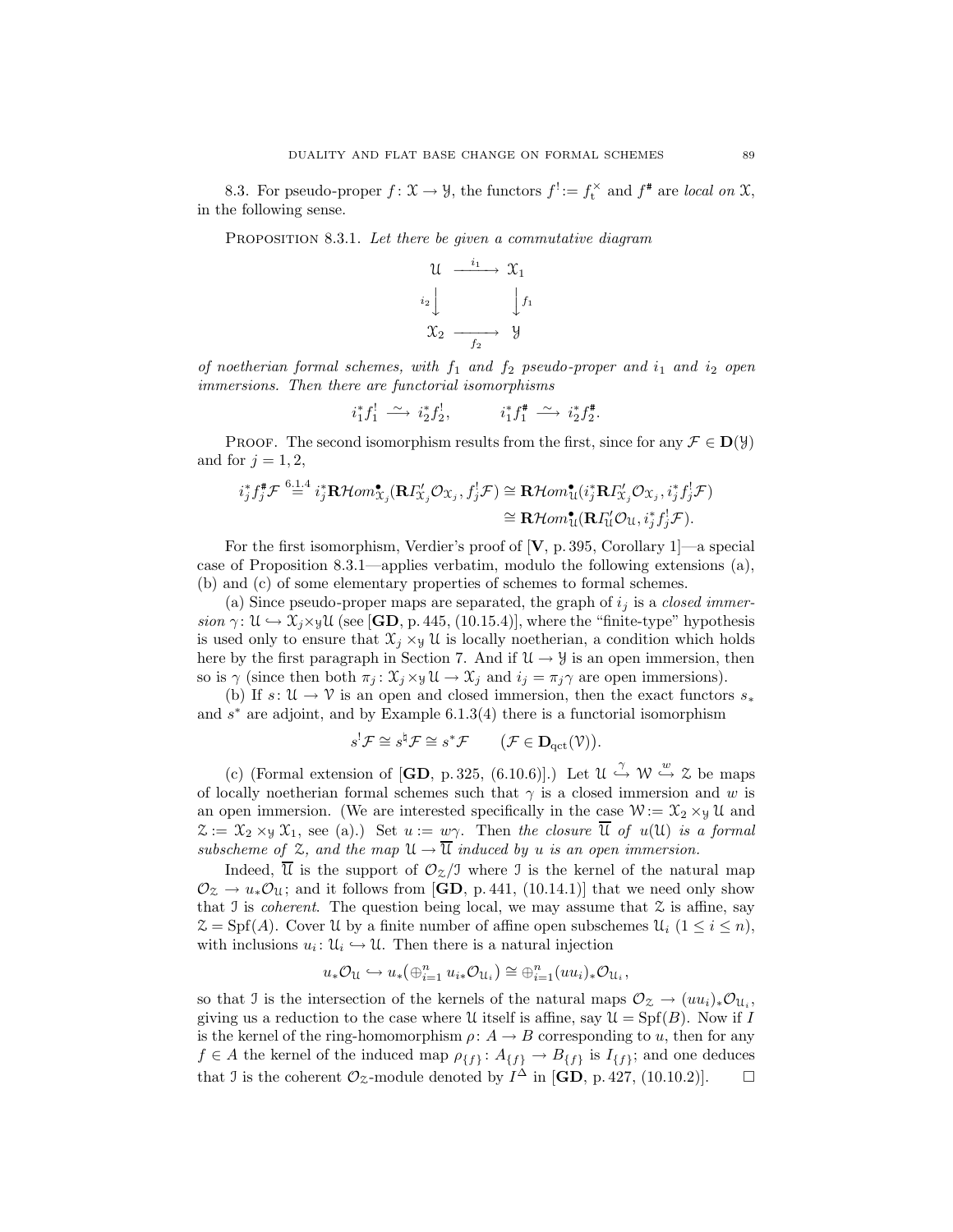8.3. For pseudo-proper  $f: \mathfrak{X} \to \mathcal{Y}$ , the functors  $f^! := f_t^{\times}$  and  $f^*$  are local on  $\mathfrak{X}$ , in the following sense.

PROPOSITION 8.3.1. Let there be given a commutative diagram



of noetherian formal schemes, with  $f_1$  and  $f_2$  pseudo-proper and  $i_1$  and  $i_2$  open immersions. Then there are functorial isomorphisms

$$
i_1^* f_1^! \xrightarrow{\sim} i_2^* f_2^!, \qquad i_1^* f_1^* \xrightarrow{\sim} i_2^* f_2^*.
$$

**PROOF.** The second isomorphism results from the first, since for any  $\mathcal{F} \in D(\mathcal{Y})$ and for  $j = 1, 2$ ,

$$
i_j^* f_j^* \mathcal{F} \stackrel{6 \perp 4}{=} i_j^* \mathbf{R} \mathcal{H}om_{X_j}^{\bullet}(\mathbf{R} \Gamma'_{X_j} \mathcal{O}_{X_j}, f_j^! \mathcal{F}) \cong \mathbf{R} \mathcal{H}om_{\mathbf{U}}^{\bullet} (i_j^* \mathbf{R} \Gamma'_{X_j} \mathcal{O}_{X_j}, i_j^* f_j^! \mathcal{F})
$$

$$
\cong \mathbf{R} \mathcal{H}om_{\mathbf{U}}^{\bullet}(\mathbf{R} \Gamma'_{\mathbf{U}} \mathcal{O}_{\mathbf{U}}, i_j^* f_j^! \mathcal{F}).
$$

For the first isomorphism, Verdier's proof of  $[V, p. 395, Corollary 1]$ —a special case of Proposition 8.3.1—applies verbatim, modulo the following extensions (a), (b) and (c) of some elementary properties of schemes to formal schemes.

(a) Since pseudo-proper maps are separated, the graph of  $i_j$  is a *closed immer*sion  $\gamma: \mathcal{U} \hookrightarrow \mathcal{X}_i \times \mathcal{Y} \mathcal{U}$  (see [GD, p. 445, (10.15.4)], where the "finite-type" hypothesis is used only to ensure that  $\mathfrak{X}_i \times_{\mathfrak{Y}} \mathfrak{U}$  is locally noetherian, a condition which holds here by the first paragraph in Section 7. And if  $\mathcal{U} \rightarrow \mathcal{Y}$  is an open immersion, then so is  $\gamma$  (since then both  $\pi_j : \mathfrak{X}_i \times \mathfrak{Y} \mathfrak{U} \to \mathfrak{X}_i$  and  $i_j = \pi_j \gamma$  are open immersions).

(b) If  $s: \mathcal{U} \to \mathcal{V}$  is an open and closed immersion, then the exact functors  $s_*$ and  $s^*$  are adjoint, and by Example 6.1.3(4) there is a functorial isomorphism

$$
s! \mathcal{F} \cong s! \mathcal{F} \cong s^* \mathcal{F} \qquad (\mathcal{F} \in \mathbf{D}_{\mathrm{qct}}(\mathcal{V})).
$$

(c) (Formal extension of  $[\mathbf{GD}, p. 325, (6.10.6)]$ .) Let  $\mathcal{U} \stackrel{\gamma}{\hookrightarrow} \mathcal{W} \stackrel{w}{\hookrightarrow} \mathcal{Z}$  be maps of locally noetherian formal schemes such that  $\gamma$  is a closed immersion and w is an open immersion. (We are interested specifically in the case  $W := \mathfrak{X}_2 \times_{\mathfrak{Y}} \mathfrak{U}$  and  $\mathfrak{X} := \mathfrak{X}_2 \times_{\mathfrak{Y}} \mathfrak{X}_1$ , see (a).) Set  $u := w\gamma$ . Then the closure  $\overline{\mathfrak{U}}$  of  $u(\mathfrak{U})$  is a formal subscheme of  $\mathfrak{L}$ , and the map  $\mathfrak{U} \to \overline{\mathfrak{U}}$  induced by u is an open immersion.

Indeed,  $\overline{\mathcal{U}}$  is the support of  $\mathcal{O}_{\mathcal{Z}}/J$  where J is the kernel of the natural map  $\mathcal{O}_{\mathfrak{Z}} \to u_* \mathcal{O}_{\mathfrak{U}}$ ; and it follows from [GD, p. 441, (10.14.1)] that we need only show that I is *coherent*. The question being local, we may assume that  $\mathcal Z$  is affine, say  $\mathcal{Z} = Spf(A)$ . Cover U by a finite number of affine open subschemes  $\mathcal{U}_i$   $(1 \leq i \leq n)$ , with inclusions  $u_i: \mathcal{U}_i \hookrightarrow \mathcal{U}$ . Then there is a natural injection

$$
u_*\mathcal{O}_{\mathfrak{U}} \hookrightarrow u_*\big(\oplus_{i=1}^n u_{i*}\mathcal{O}_{\mathfrak{U}_i}\big) \cong \oplus_{i=1}^n (uu_i)_*\mathcal{O}_{\mathfrak{U}_i},
$$

so that J is the intersection of the kernels of the natural maps  $\mathcal{O}_\mathcal{Z} \to (uu_i)_*\mathcal{O}_{\mathfrak{U}_i}$ , giving us a reduction to the case where U itself is affine, say  $\mathcal{U} = Spf(B)$ . Now if I is the kernel of the ring-homomorphism  $\rho: A \to B$  corresponding to u, then for any  $f \in A$  the kernel of the induced map  $\rho_{\{f\}}: A_{\{f\}} \to B_{\{f\}}$  is  $I_{\{f\}}$ ; and one deduces that J is the coherent  $\mathcal{O}_{\mathcal{Z}}$ -module denoted by  $I^{\Delta}$  in [**GD**, p. 427, (10.10.2)].  $\Box$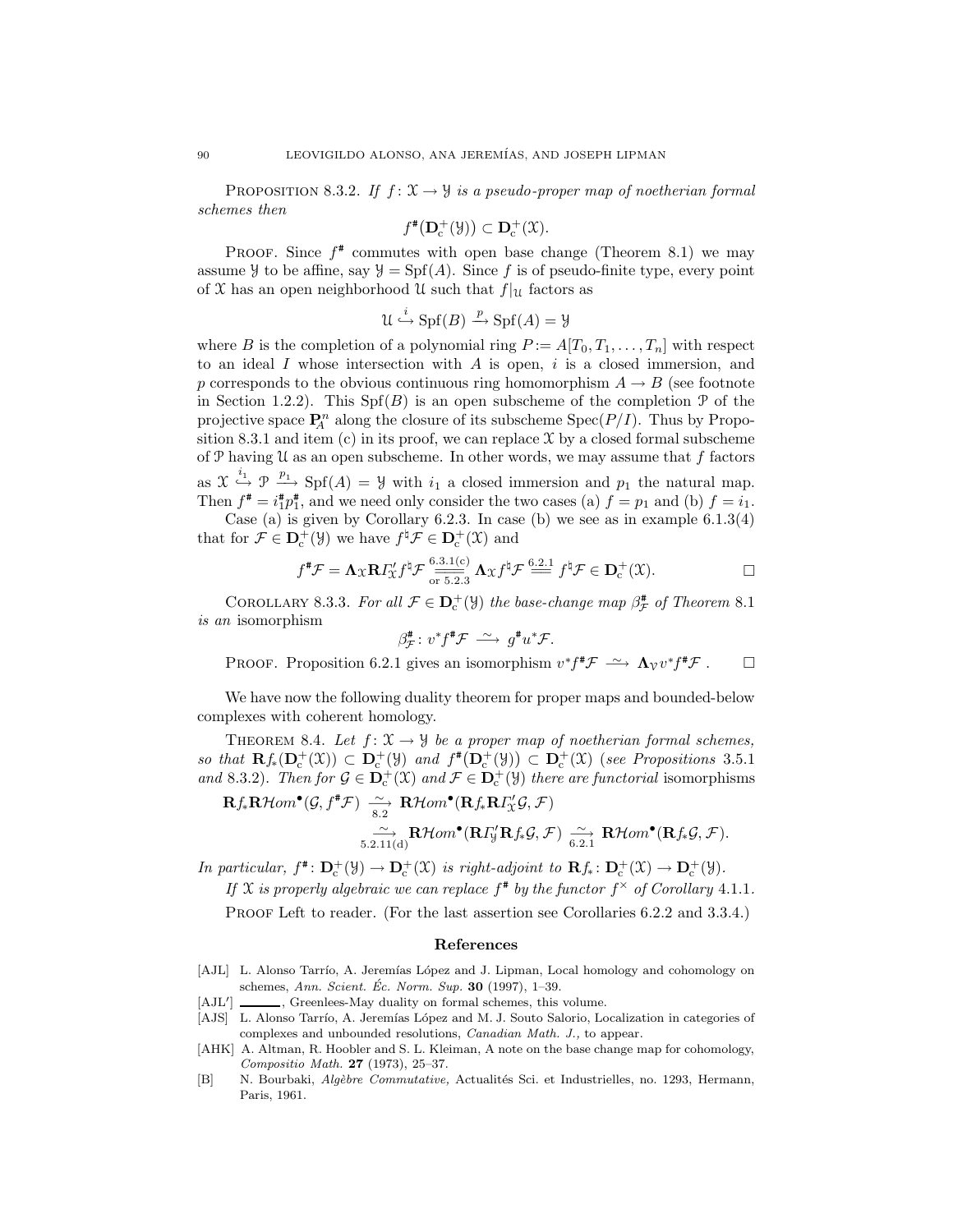PROPOSITION 8.3.2. If  $f: \mathfrak{X} \to \mathcal{Y}$  is a pseudo-proper map of noetherian formal schemes then

$$
f^{\#}(\mathbf{D}_{\mathrm{c}}^{+}(\mathcal{Y})) \subset \mathbf{D}_{\mathrm{c}}^{+}(\mathcal{X}).
$$

PROOF. Since  $f^*$  commutes with open base change (Theorem 8.1) we may assume  $\mathcal Y$  to be affine, say  $\mathcal Y = Spf(A)$ . Since f is of pseudo-finite type, every point of X has an open neighborhood U such that  $f|_U$  factors as

$$
\mathcal{U} \xrightarrow{i} \mathrm{Spf}(B) \xrightarrow{p} \mathrm{Spf}(A) = \mathcal{Y}
$$

where B is the completion of a polynomial ring  $P := A[T_0, T_1, \ldots, T_n]$  with respect to an ideal I whose intersection with  $A$  is open,  $i$  is a closed immersion, and p corresponds to the obvious continuous ring homomorphism  $A \rightarrow B$  (see footnote in Section 1.2.2). This  $Spf(B)$  is an open subscheme of the completion  $\mathcal P$  of the projective space  $\mathbf{P}_{A}^{n}$  along the closure of its subscheme  $\text{Spec}(P/I)$ . Thus by Proposition 8.3.1 and item  $(c)$  in its proof, we can replace  $\mathfrak X$  by a closed formal subscheme of  $P$  having  $U$  as an open subscheme. In other words, we may assume that  $f$  factors as  $\mathfrak{X} \stackrel{i_1}{\hookrightarrow} \mathfrak{P} \stackrel{p_1}{\longrightarrow} \mathrm{Spf}(A) = \mathcal{Y}$  with  $i_1$  a closed immersion and  $p_1$  the natural map. Then  $f^* = i_1^* p_1^*$ , and we need only consider the two cases (a)  $f = p_1$  and (b)  $f = i_1$ .

Case (a) is given by Corollary  $6.2.3$ . In case (b) we see as in example  $6.1.3(4)$ that for  $\mathcal{F} \in \mathbf{D}_{c}^{+}(\mathcal{Y})$  we have  $f^{\sharp} \mathcal{F} \in \mathbf{D}_{c}^{+}(\mathcal{X})$  and

$$
f^{\sharp}\mathcal{F} = \Lambda_{\mathfrak{X}}\mathbf{R}I_{\mathfrak{X}}^{\prime}f^{\sharp}\mathcal{F} \stackrel{6.3.1(c)}{\underset{\text{or } 5.2.3}{\longrightarrow}} \Lambda_{\mathfrak{X}}f^{\sharp}\mathcal{F} \stackrel{6.2.1}{=} f^{\sharp}\mathcal{F} \in \mathbf{D}_{c}^{+}(\mathfrak{X}).
$$

COROLLARY 8.3.3. For all  $\mathcal{F} \in \mathbf{D}_{c}^{+}(\mathcal{Y})$  the base-change map  $\beta_{\mathcal{F}}^{*}$  of Theorem 8.1 is an isomorphism

$$
\beta^{\#}_{\mathcal{F}}\colon v^*f^{\#}\mathcal{F} \stackrel{\sim}{\longrightarrow} g^{\#}u^*\mathcal{F}.
$$

PROOF. Proposition 6.2.1 gives an isomorphism  $v^* f^* \mathcal{F} \longrightarrow \Lambda_{\mathcal{V}} v^* f^* \mathcal{F}$ .  $\Box$ 

We have now the following duality theorem for proper maps and bounded-below complexes with coherent homology.

THEOREM 8.4. Let  $f: \mathfrak{X} \to \mathfrak{Y}$  be a proper map of noetherian formal schemes, so that  $\mathbf{R} f_*(\mathbf{D}_c^+(\mathfrak{X})) \subset \mathbf{D}_c^+(\mathfrak{Y})$  and  $f^*(\mathbf{D}_c^+(\mathfrak{Y})) \subset \mathbf{D}_c^+(\mathfrak{X})$  (see Propositions 3.5.1) and 8.3.2). Then for  $\mathcal{G} \in \mathbf{D}_{c}^{+}(\mathfrak{X})$  and  $\mathcal{F} \in \mathbf{D}_{c}^{+}(\mathfrak{Y})$  there are functorial isomorphisms

$$
\mathbf{R} f_* \mathbf{R} \mathcal{H} om^{\bullet}(\mathcal{G}, f^{\sharp} \mathcal{F}) \xrightarrow[8.2]{\sim} \mathbf{R} \mathcal{H} om^{\bullet}(\mathbf{R} f_* \mathbf{R} \Gamma'_{\mathcal{X}} \mathcal{G}, \mathcal{F})
$$

$$
\xrightarrow[5.2.11(d)]{\sim} \mathbf{R} \mathcal{H} om^{\bullet}(\mathbf{R} \Gamma'_{\mathcal{Y}} \mathbf{R} f_* \mathcal{G}, \mathcal{F}) \xrightarrow[6.2.1]{\sim} \mathbf{R} \mathcal{H} om^{\bullet}(\mathbf{R} f_* \mathcal{G}, \mathcal{F}).
$$

In particular,  $f^* \colon \mathbf{D}^+_c(\mathfrak{Y}) \to \mathbf{D}^+_c(\mathfrak{X})$  is right-adjoint to  $\mathbf{R} f_* \colon \mathbf{D}^+_c(\mathfrak{X}) \to \mathbf{D}^+_c(\mathfrak{Y})$ . If X is properly algebraic we can replace  $f^*$  by the functor  $f^*$  of Corollary 4.1.1.

PROOF Left to reader. (For the last assertion see Corollaries 6.2.2 and 3.3.4.)

## References

- [AJL] L. Alonso Tarrío, A. Jeremías López and J. Lipman, Local homology and cohomology on schemes, Ann. Scient. Éc. Norm. Sup. 30 (1997), 1–39.
- $[AJL']$   $\qquad$ , Greenlees-May duality on formal schemes, this volume.
- [AJS] L. Alonso Tarrío, A. Jeremías López and M. J. Souto Salorio, Localization in categories of complexes and unbounded resolutions, Canadian Math. J., to appear.
- [AHK] A. Altman, R. Hoobler and S. L. Kleiman, A note on the base change map for cohomology, Compositio Math. 27 (1973), 25–37.
- [B] N. Bourbaki, Algèbre Commutative, Actualités Sci. et Industrielles, no. 1293, Hermann, Paris, 1961.